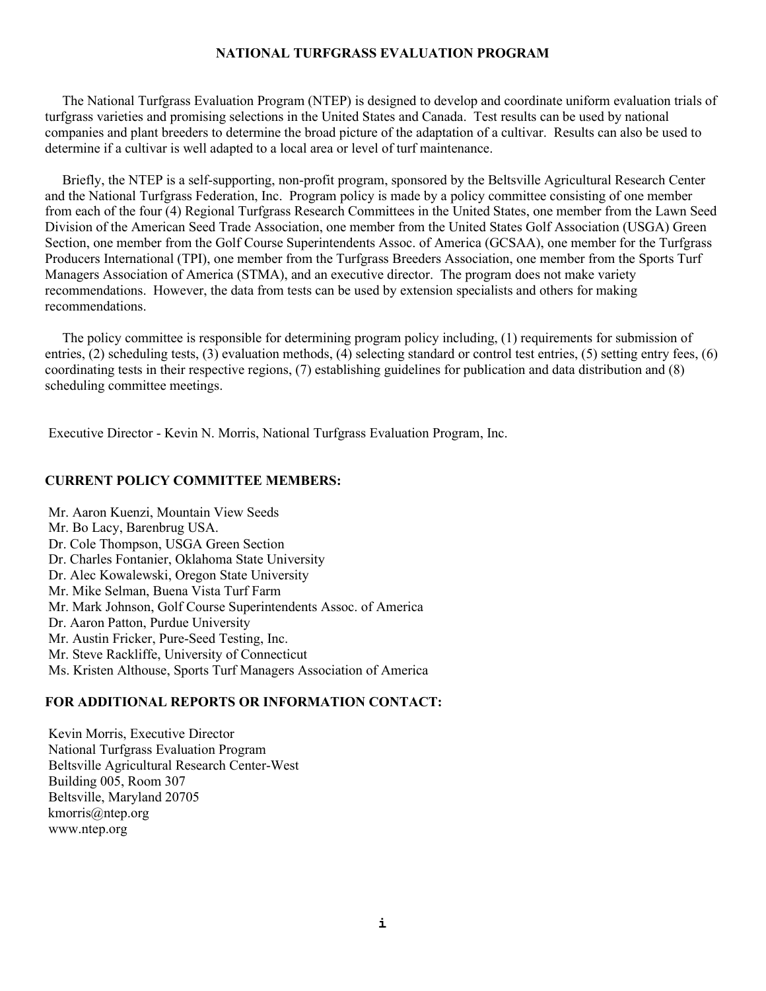# **NATIONAL TURFGRASS EVALUATION PROGRAM**

 The National Turfgrass Evaluation Program (NTEP) is designed to develop and coordinate uniform evaluation trials of turfgrass varieties and promising selections in the United States and Canada. Test results can be used by national companies and plant breeders to determine the broad picture of the adaptation of a cultivar. Results can also be used to determine if a cultivar is well adapted to a local area or level of turf maintenance.

 Briefly, the NTEP is a self-supporting, non-profit program, sponsored by the Beltsville Agricultural Research Center and the National Turfgrass Federation, Inc. Program policy is made by a policy committee consisting of one member from each of the four (4) Regional Turfgrass Research Committees in the United States, one member from the Lawn Seed Division of the American Seed Trade Association, one member from the United States Golf Association (USGA) Green Section, one member from the Golf Course Superintendents Assoc. of America (GCSAA), one member for the Turfgrass Producers International (TPI), one member from the Turfgrass Breeders Association, one member from the Sports Turf Managers Association of America (STMA), and an executive director. The program does not make variety recommendations. However, the data from tests can be used by extension specialists and others for making recommendations.

 The policy committee is responsible for determining program policy including, (1) requirements for submission of entries, (2) scheduling tests, (3) evaluation methods, (4) selecting standard or control test entries, (5) setting entry fees, (6) coordinating tests in their respective regions, (7) establishing guidelines for publication and data distribution and (8) scheduling committee meetings.

Executive Director - Kevin N. Morris, National Turfgrass Evaluation Program, Inc.

# **CURRENT POLICY COMMITTEE MEMBERS:**

Mr. Aaron Kuenzi, Mountain View Seeds Mr. Bo Lacy, Barenbrug USA. Dr. Cole Thompson, USGA Green Section Dr. Charles Fontanier, Oklahoma State University Dr. Alec Kowalewski, Oregon State University Mr. Mike Selman, Buena Vista Turf Farm Mr. Mark Johnson, Golf Course Superintendents Assoc. of America Dr. Aaron Patton, Purdue University Mr. Austin Fricker, Pure-Seed Testing, Inc. Mr. Steve Rackliffe, University of Connecticut Ms. Kristen Althouse, Sports Turf Managers Association of America

# **FOR ADDITIONAL REPORTS OR INFORMATION CONTACT:**

Kevin Morris, Executive Director National Turfgrass Evaluation Program Beltsville Agricultural Research Center-West Building 005, Room 307 Beltsville, Maryland 20705 [kmorris@ntep.org](mailto:kmorris@ntep.org) www.ntep.org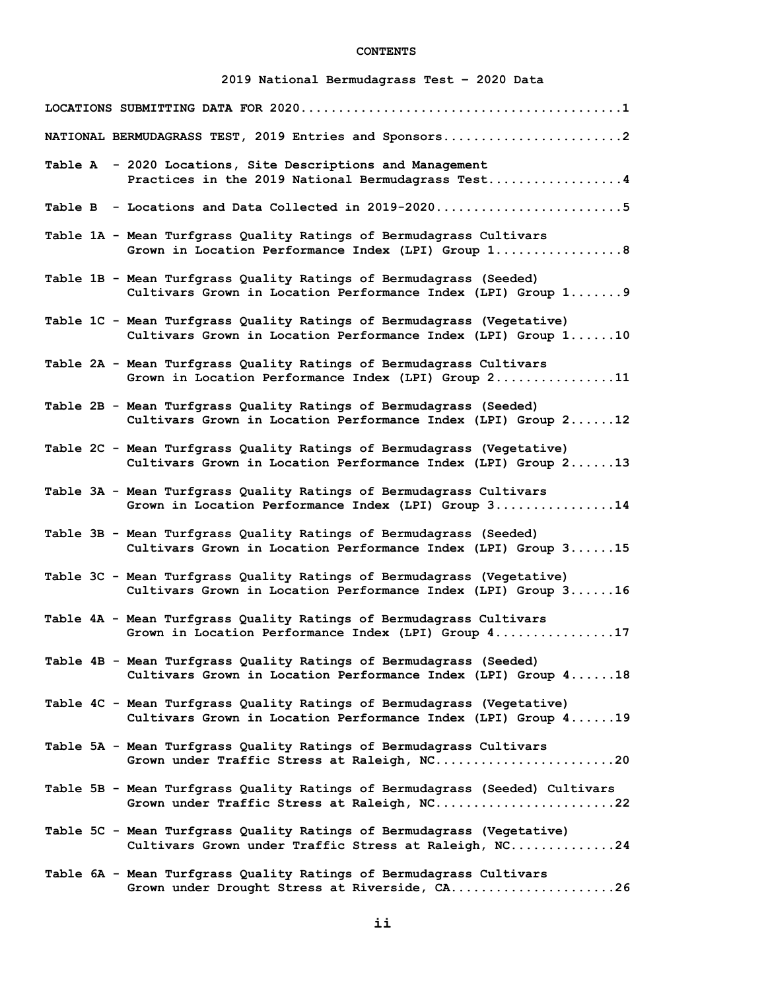# **CONTENTS**

# **2019 National Bermudagrass Test – 2020 Data**

| NATIONAL BERMUDAGRASS TEST, 2019 Entries and Sponsors2                                                                                  |
|-----------------------------------------------------------------------------------------------------------------------------------------|
| Table A - 2020 Locations, Site Descriptions and Management<br>Practices in the 2019 National Bermudagrass Test4                         |
| Table B - Locations and Data Collected in 2019-20205                                                                                    |
| Table 1A - Mean Turfgrass Quality Ratings of Bermudagrass Cultivars<br>Grown in Location Performance Index (LPI) Group 1 8              |
| Table 1B - Mean Turfgrass Quality Ratings of Bermudagrass (Seeded)<br>Cultivars Grown in Location Performance Index (LPI) Group 1 9     |
| Table 1C - Mean Turfgrass Quality Ratings of Bermudagrass (Vegetative)<br>Cultivars Grown in Location Performance Index (LPI) Group 110 |
| Table 2A - Mean Turfgrass Quality Ratings of Bermudagrass Cultivars<br>Grown in Location Performance Index (LPI) Group 211              |
| Table 2B - Mean Turfgrass Quality Ratings of Bermudagrass (Seeded)<br>Cultivars Grown in Location Performance Index (LPI) Group 212     |
| Table 2C - Mean Turfgrass Quality Ratings of Bermudagrass (Vegetative)<br>Cultivars Grown in Location Performance Index (LPI) Group 213 |
| Table 3A - Mean Turfgrass Quality Ratings of Bermudagrass Cultivars<br>Grown in Location Performance Index (LPI) Group 314              |
| Table 3B - Mean Turfgrass Quality Ratings of Bermudagrass (Seeded)<br>Cultivars Grown in Location Performance Index (LPI) Group 315     |
| Table 3C - Mean Turfgrass Quality Ratings of Bermudagrass (Vegetative)<br>Cultivars Grown in Location Performance Index (LPI) Group 316 |
| Table 4A - Mean Turfgrass Quality Ratings of Bermudagrass Cultivars<br>Grown in Location Performance Index (LPI) Group 417              |
| Table 4B - Mean Turfgrass Quality Ratings of Bermudagrass (Seeded)<br>Cultivars Grown in Location Performance Index (LPI) Group 418     |
| Table 4C - Mean Turfgrass Quality Ratings of Bermudagrass (Vegetative)<br>Cultivars Grown in Location Performance Index (LPI) Group 419 |
| Table 5A - Mean Turfgrass Quality Ratings of Bermudagrass Cultivars<br>Grown under Traffic Stress at Raleigh, NC20                      |
| Table 5B - Mean Turfgrass Quality Ratings of Bermudagrass (Seeded) Cultivars<br>Grown under Traffic Stress at Raleigh, NC22             |
| Table 5C - Mean Turfgrass Quality Ratings of Bermudagrass (Vegetative)<br>Cultivars Grown under Traffic Stress at Raleigh, NC24         |
| Table 6A - Mean Turfgrass Quality Ratings of Bermudagrass Cultivars<br>Grown under Drought Stress at Riverside, CA26                    |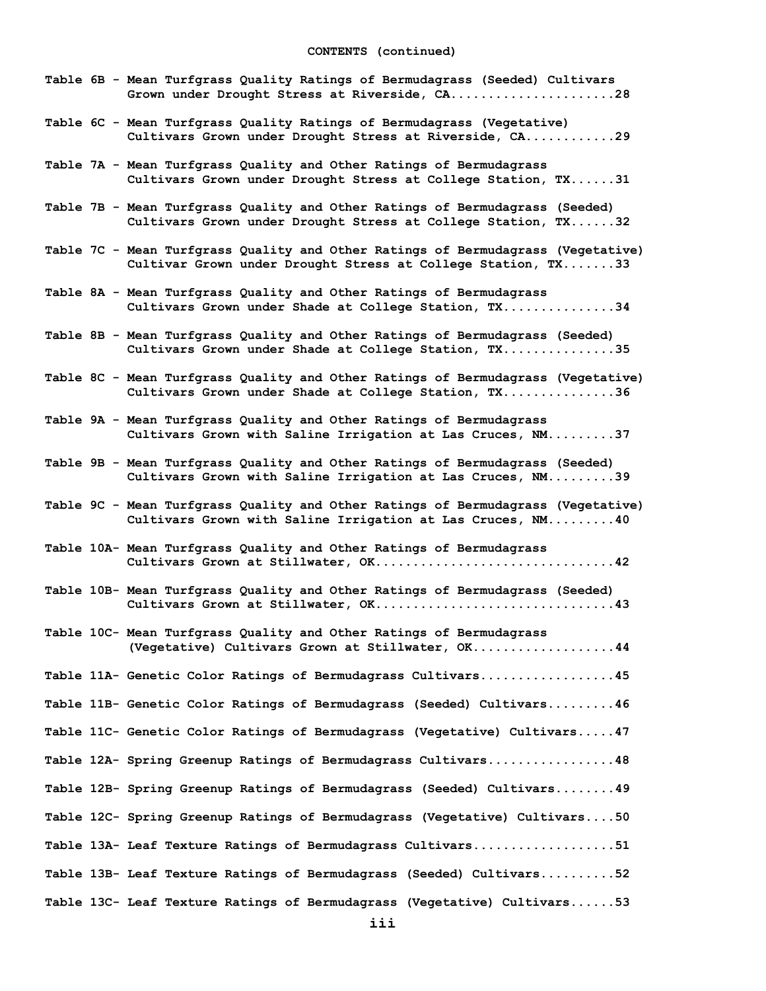| Table 6B - Mean Turfgrass Quality Ratings of Bermudagrass (Seeded) Cultivars<br>Grown under Drought Stress at Riverside, CA28                    |
|--------------------------------------------------------------------------------------------------------------------------------------------------|
| Table 6C - Mean Turfgrass Quality Ratings of Bermudagrass (Vegetative)<br>Cultivars Grown under Drought Stress at Riverside, CA29                |
| Table 7A - Mean Turfgrass Quality and Other Ratings of Bermudagrass<br>Cultivars Grown under Drought Stress at College Station, TX31             |
| Table 7B - Mean Turfgrass Quality and Other Ratings of Bermudagrass (Seeded)<br>Cultivars Grown under Drought Stress at College Station, TX32    |
| Table 7C - Mean Turfgrass Quality and Other Ratings of Bermudagrass (Vegetative)<br>Cultivar Grown under Drought Stress at College Station, TX33 |
| Table 8A - Mean Turfgrass Quality and Other Ratings of Bermudagrass<br>Cultivars Grown under Shade at College Station, TX34                      |
| Table 8B - Mean Turfgrass Quality and Other Ratings of Bermudagrass (Seeded)<br>Cultivars Grown under Shade at College Station, TX35             |
| Table 8C - Mean Turfgrass Quality and Other Ratings of Bermudagrass (Vegetative)<br>Cultivars Grown under Shade at College Station, TX36         |
| Table 9A - Mean Turfgrass Quality and Other Ratings of Bermudagrass<br>Cultivars Grown with Saline Irrigation at Las Cruces, NM37                |
| Table 9B - Mean Turfgrass Quality and Other Ratings of Bermudagrass (Seeded)<br>Cultivars Grown with Saline Irrigation at Las Cruces, NM39       |
| Table 9C - Mean Turfgrass Quality and Other Ratings of Bermudagrass (Vegetative)<br>Cultivars Grown with Saline Irrigation at Las Cruces, NM40   |
| Table 10A- Mean Turfgrass Quality and Other Ratings of Bermudagrass                                                                              |
| Table 10B- Mean Turfgrass Quality and Other Ratings of Bermudagrass (Seeded)                                                                     |
| Table 10C- Mean Turfgrass Quality and Other Ratings of Bermudagrass<br>(Vegetative) Cultivars Grown at Stillwater, OK44                          |
| Table 11A- Genetic Color Ratings of Bermudagrass Cultivars45                                                                                     |
| Table 11B- Genetic Color Ratings of Bermudagrass (Seeded) Cultivars46                                                                            |
| Table 11C- Genetic Color Ratings of Bermudagrass (Vegetative) Cultivars47                                                                        |
| Table 12A- Spring Greenup Ratings of Bermudagrass Cultivars48                                                                                    |
| Table 12B- Spring Greenup Ratings of Bermudagrass (Seeded) Cultivars 49                                                                          |
| Table 12C- Spring Greenup Ratings of Bermudagrass (Vegetative) Cultivars50                                                                       |
|                                                                                                                                                  |
| Table 13A- Leaf Texture Ratings of Bermudagrass Cultivars51                                                                                      |
| Table 13B- Leaf Texture Ratings of Bermudagrass (Seeded) Cultivars52                                                                             |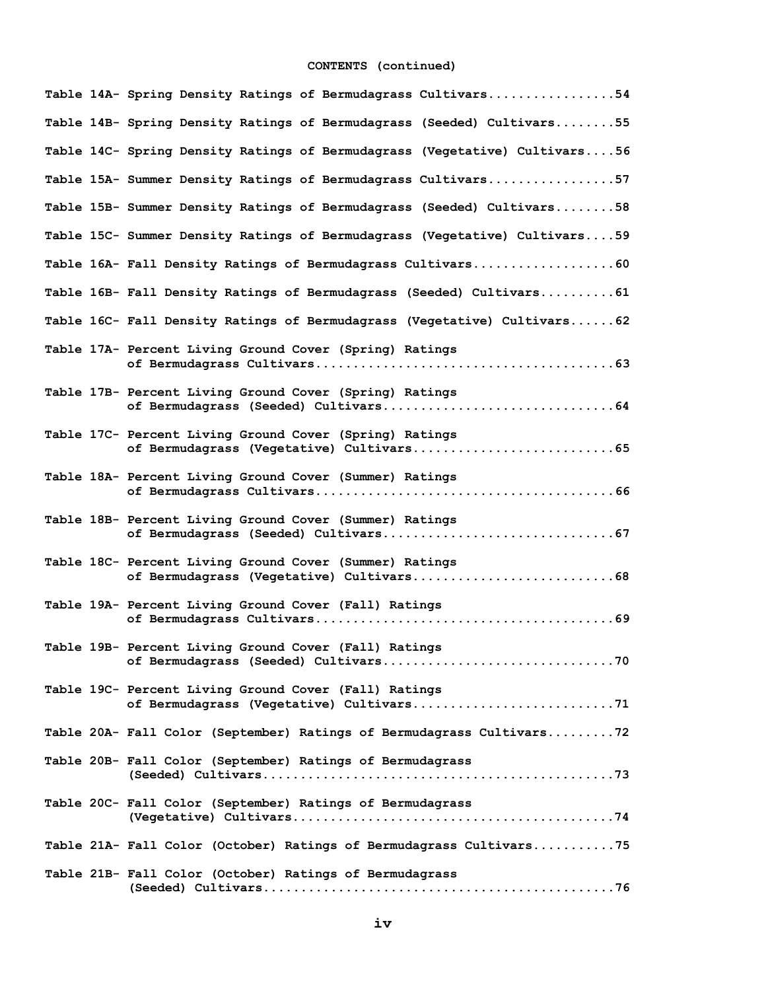# **CONTENTS (continued)**

|  | Table 14A- Spring Density Ratings of Bermudagrass Cultivars54                                     |
|--|---------------------------------------------------------------------------------------------------|
|  | Table 14B- Spring Density Ratings of Bermudagrass (Seeded) Cultivars55                            |
|  | Table 14C- Spring Density Ratings of Bermudagrass (Vegetative) Cultivars56                        |
|  | Table 15A- Summer Density Ratings of Bermudagrass Cultivars57                                     |
|  | Table 15B- Summer Density Ratings of Bermudagrass (Seeded) Cultivars58                            |
|  | Table 15C- Summer Density Ratings of Bermudagrass (Vegetative) Cultivars59                        |
|  | Table 16A- Fall Density Ratings of Bermudagrass Cultivars60                                       |
|  | Table 16B- Fall Density Ratings of Bermudagrass (Seeded) Cultivars61                              |
|  | Table 16C- Fall Density Ratings of Bermudagrass (Vegetative) Cultivars62                          |
|  | Table 17A- Percent Living Ground Cover (Spring) Ratings                                           |
|  | Table 17B- Percent Living Ground Cover (Spring) Ratings                                           |
|  | Table 17C- Percent Living Ground Cover (Spring) Ratings                                           |
|  | Table 18A- Percent Living Ground Cover (Summer) Ratings                                           |
|  | Table 18B- Percent Living Ground Cover (Summer) Ratings                                           |
|  | Table 18C- Percent Living Ground Cover (Summer) Ratings                                           |
|  | Table 19A- Percent Living Ground Cover (Fall) Ratings                                             |
|  | Table 19B- Percent Living Ground Cover (Fall) Ratings                                             |
|  | Table 19C- Percent Living Ground Cover (Fall) Ratings<br>of Bermudagrass (Vegetative) Cultivars71 |
|  | Table 20A- Fall Color (September) Ratings of Bermudagrass Cultivars72                             |
|  | Table 20B- Fall Color (September) Ratings of Bermudagrass                                         |
|  | Table 20C- Fall Color (September) Ratings of Bermudagrass                                         |
|  | Table 21A- Fall Color (October) Ratings of Bermudagrass Cultivars75                               |
|  | Table 21B- Fall Color (October) Ratings of Bermudagrass                                           |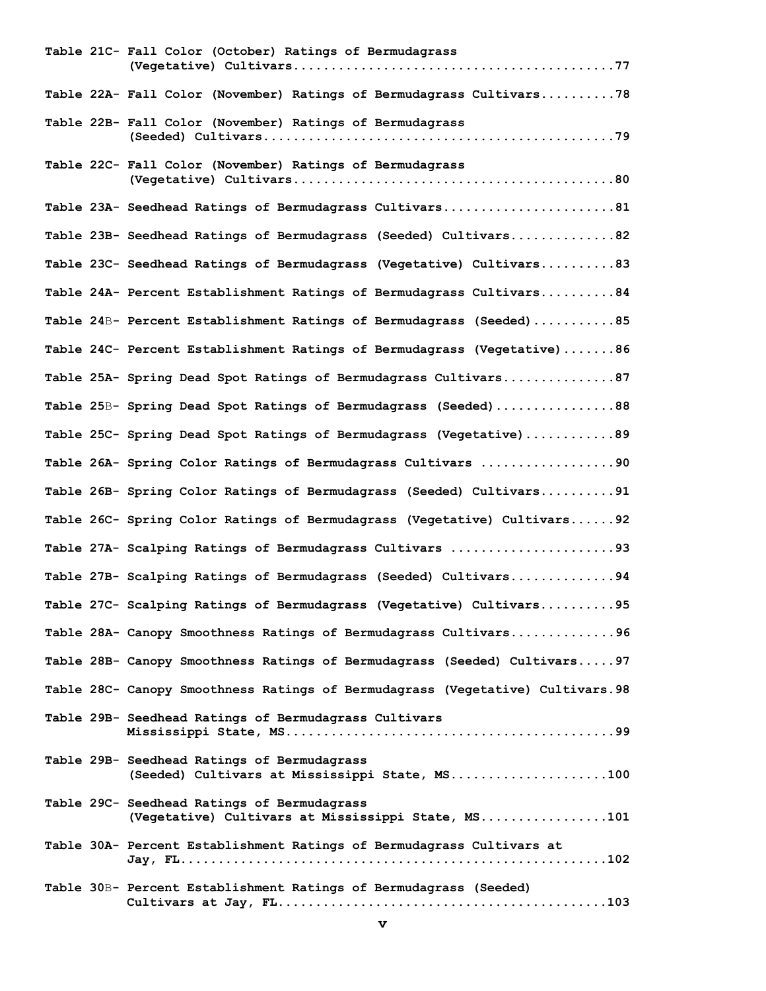|  | Table 21C- Fall Color (October) Ratings of Bermudagrass                                           |
|--|---------------------------------------------------------------------------------------------------|
|  | Table 22A- Fall Color (November) Ratings of Bermudagrass Cultivars78                              |
|  | Table 22B- Fall Color (November) Ratings of Bermudagrass                                          |
|  | Table 22C- Fall Color (November) Ratings of Bermudagrass                                          |
|  | Table 23A- Seedhead Ratings of Bermudagrass Cultivars81                                           |
|  | Table 23B- Seedhead Ratings of Bermudagrass (Seeded) Cultivars82                                  |
|  | Table 23C- Seedhead Ratings of Bermudagrass (Vegetative) Cultivars83                              |
|  | Table 24A- Percent Establishment Ratings of Bermudagrass Cultivars84                              |
|  | Table 24B- Percent Establishment Ratings of Bermudagrass (Seeded)85                               |
|  | Table 24C- Percent Establishment Ratings of Bermudagrass (Vegetative)86                           |
|  | Table 25A- Spring Dead Spot Ratings of Bermudagrass Cultivars87                                   |
|  | Table 25B- Spring Dead Spot Ratings of Bermudagrass (Seeded)88                                    |
|  | Table 25C- Spring Dead Spot Ratings of Bermudagrass (Vegetative)89                                |
|  | Table 26A- Spring Color Ratings of Bermudagrass Cultivars 90                                      |
|  | Table 26B- Spring Color Ratings of Bermudagrass (Seeded) Cultivars91                              |
|  | Table 26C- Spring Color Ratings of Bermudagrass (Vegetative) Cultivars92                          |
|  | Table 27A- Scalping Ratings of Bermudagrass Cultivars 93                                          |
|  | Table 27B- Scalping Ratings of Bermudagrass (Seeded) Cultivars94                                  |
|  | Table 27C- Scalping Ratings of Bermudagrass (Vegetative) Cultivars95                              |
|  | Table 28A- Canopy Smoothness Ratings of Bermudagrass Cultivars96                                  |
|  | Table 28B- Canopy Smoothness Ratings of Bermudagrass (Seeded) Cultivars97                         |
|  | Table 28C- Canopy Smoothness Ratings of Bermudagrass (Vegetative) Cultivars.98                    |
|  | Table 29B- Seedhead Ratings of Bermudagrass Cultivars                                             |
|  | Table 29B- Seedhead Ratings of Bermudagrass<br>(Seeded) Cultivars at Mississippi State, MS100     |
|  | Table 29C- Seedhead Ratings of Bermudagrass<br>(Vegetative) Cultivars at Mississippi State, MS101 |
|  | Table 30A- Percent Establishment Ratings of Bermudagrass Cultivars at                             |
|  | Table 30B- Percent Establishment Ratings of Bermudagrass (Seeded)                                 |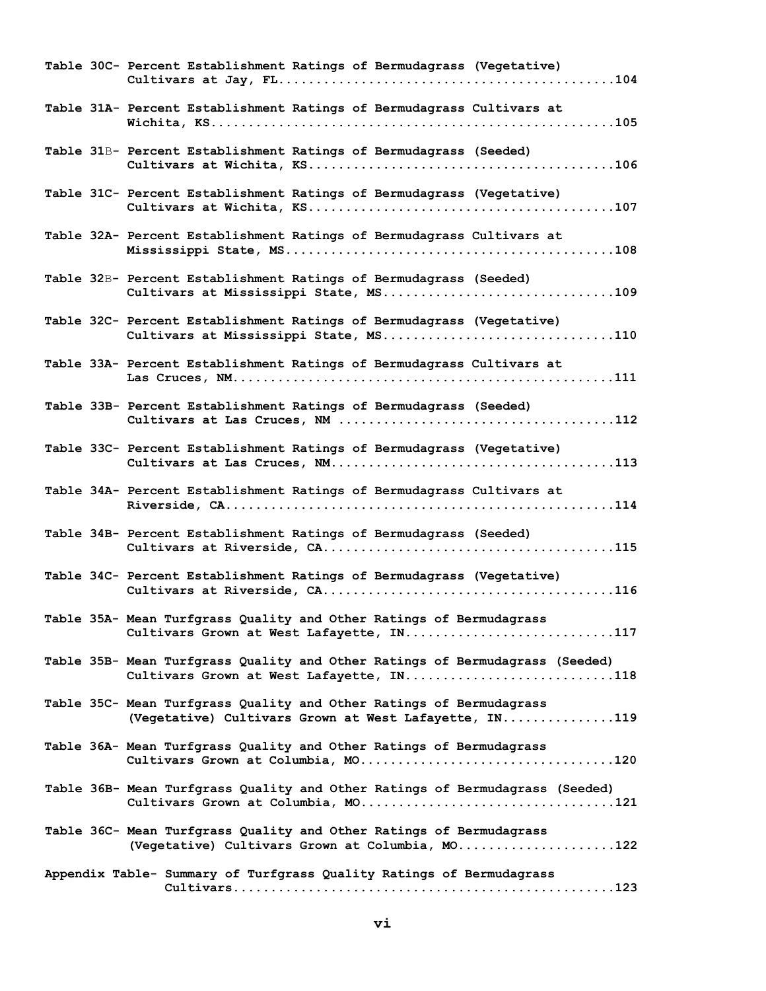| Table 30C- Percent Establishment Ratings of Bermudagrass (Vegetative)                                                        |
|------------------------------------------------------------------------------------------------------------------------------|
| Table 31A- Percent Establishment Ratings of Bermudagrass Cultivars at                                                        |
| Table 31B- Percent Establishment Ratings of Bermudagrass (Seeded)                                                            |
| Table 31C- Percent Establishment Ratings of Bermudagrass (Vegetative)                                                        |
| Table 32A- Percent Establishment Ratings of Bermudagrass Cultivars at                                                        |
| Table 32B- Percent Establishment Ratings of Bermudagrass (Seeded)<br>Cultivars at Mississippi State, MS109                   |
| Table 32C- Percent Establishment Ratings of Bermudagrass (Vegetative)<br>Cultivars at Mississippi State, MS110               |
| Table 33A- Percent Establishment Ratings of Bermudagrass Cultivars at                                                        |
| Table 33B- Percent Establishment Ratings of Bermudagrass (Seeded)                                                            |
| Table 33C- Percent Establishment Ratings of Bermudagrass (Vegetative)                                                        |
| Table 34A- Percent Establishment Ratings of Bermudagrass Cultivars at                                                        |
| Table 34B- Percent Establishment Ratings of Bermudagrass (Seeded)                                                            |
| Table 34C- Percent Establishment Ratings of Bermudagrass (Vegetative)                                                        |
| Table 35A- Mean Turfgrass Quality and Other Ratings of Bermudagrass<br>Cultivars Grown at West Lafayette, IN117              |
| Table 35B- Mean Turfgrass Quality and Other Ratings of Bermudagrass (Seeded)<br>Cultivars Grown at West Lafayette, IN118     |
| Table 35C- Mean Turfgrass Quality and Other Ratings of Bermudagrass<br>(Vegetative) Cultivars Grown at West Lafayette, IN119 |
| Table 36A- Mean Turfgrass Quality and Other Ratings of Bermudagrass                                                          |
| Table 36B- Mean Turfgrass Quality and Other Ratings of Bermudagrass (Seeded)                                                 |
| Table 36C- Mean Turfgrass Quality and Other Ratings of Bermudagrass<br>(Vegetative) Cultivars Grown at Columbia, MO122       |
| Appendix Table- Summary of Turfgrass Quality Ratings of Bermudagrass                                                         |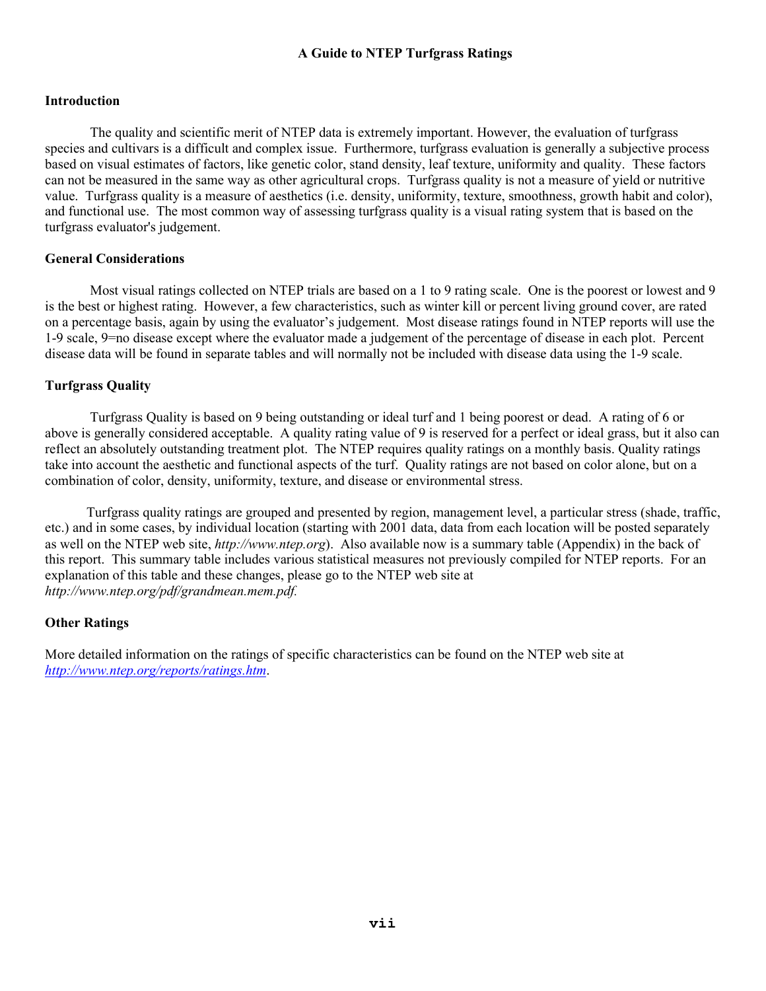# **A Guide to NTEP Turfgrass Ratings**

# **Introduction**

The quality and scientific merit of NTEP data is extremely important. However, the evaluation of turfgrass species and cultivars is a difficult and complex issue. Furthermore, turfgrass evaluation is generally a subjective process based on visual estimates of factors, like genetic color, stand density, leaf texture, uniformity and quality. These factors can not be measured in the same way as other agricultural crops. Turfgrass quality is not a measure of yield or nutritive value. Turfgrass quality is a measure of aesthetics (i.e. density, uniformity, texture, smoothness, growth habit and color), and functional use. The most common way of assessing turfgrass quality is a visual rating system that is based on the turfgrass evaluator's judgement.

# **General Considerations**

Most visual ratings collected on NTEP trials are based on a 1 to 9 rating scale. One is the poorest or lowest and 9 is the best or highest rating. However, a few characteristics, such as winter kill or percent living ground cover, are rated on a percentage basis, again by using the evaluator's judgement. Most disease ratings found in NTEP reports will use the 1-9 scale, 9=no disease except where the evaluator made a judgement of the percentage of disease in each plot. Percent disease data will be found in separate tables and will normally not be included with disease data using the 1-9 scale.

# **Turfgrass Quality**

Turfgrass Quality is based on 9 being outstanding or ideal turf and 1 being poorest or dead. A rating of 6 or above is generally considered acceptable. A quality rating value of 9 is reserved for a perfect or ideal grass, but it also can reflect an absolutely outstanding treatment plot. The NTEP requires quality ratings on a monthly basis. Quality ratings take into account the aesthetic and functional aspects of the turf. Quality ratings are not based on color alone, but on a combination of color, density, uniformity, texture, and disease or environmental stress.

Turfgrass quality ratings are grouped and presented by region, management level, a particular stress (shade, traffic, etc.) and in some cases, by individual location (starting with 2001 data, data from each location will be posted separately as well on the NTEP web site, *http://www.ntep.org*). Also available now is a summary table (Appendix) in the back of this report. This summary table includes various statistical measures not previously compiled for NTEP reports. For an explanation of this table and these changes, please go to the NTEP web site at *http://www.ntep.org/pdf/grandmean.mem.pdf.*

# **Other Ratings**

More detailed information on the ratings of specific characteristics can be found on the NTEP web site at *[http://www.ntep.org/reports/ratings.htm](http://www.ntep.org/reports/ratings.htm.)*.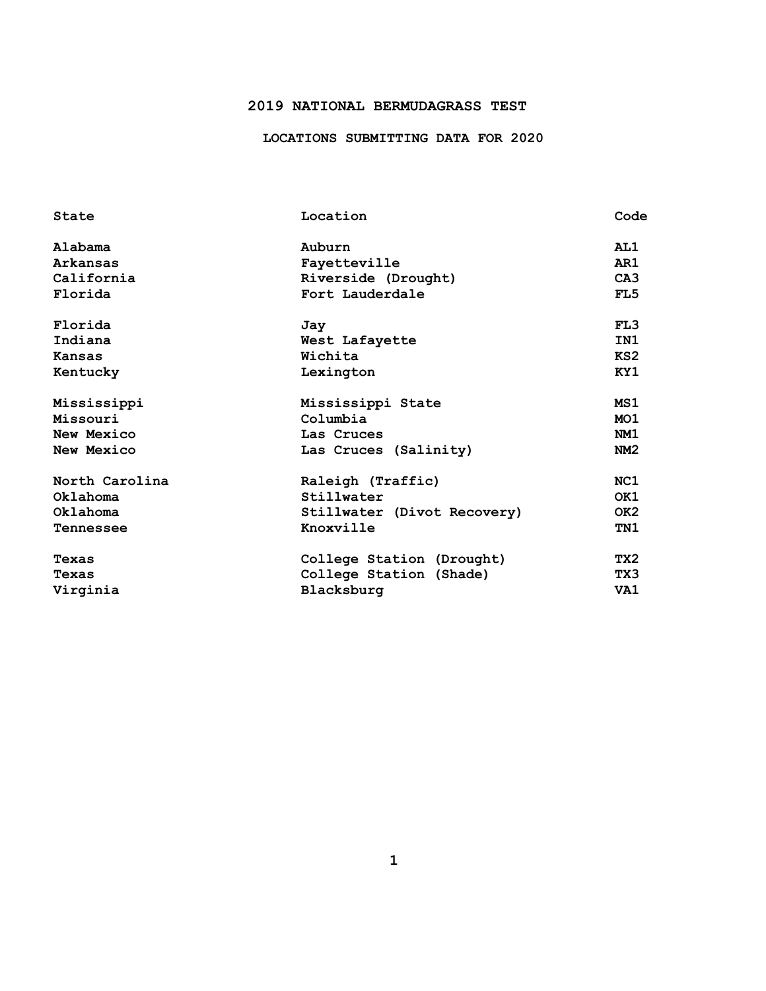# **2019 NATIONAL BERMUDAGRASS TEST**

# **LOCATIONS SUBMITTING DATA FOR 2020**

| State            | Location                    | Code            |
|------------------|-----------------------------|-----------------|
| Alabama          | Auburn                      | AL1             |
| Arkansas         | Fayetteville                | AR1             |
| California       | Riverside (Drought)         | C <sub>A3</sub> |
| Florida          | Fort Lauderdale             | FL5             |
| Florida          | Jay                         | FL3             |
| Indiana          | West Lafayette              | IN1             |
| <b>Kansas</b>    | Wichita                     | KS2             |
| Kentucky         | Lexington                   | KY1             |
| Mississippi      | Mississippi State           | MS1             |
| Missouri         | Columbia                    | MO <sub>1</sub> |
| New Mexico       | Las Cruces                  | NM1             |
| New Mexico       | Las Cruces (Salinity)       | NM2             |
| North Carolina   | Raleigh (Traffic)           | NC1             |
| Oklahoma         | Stillwater                  | OK1             |
| Oklahoma         | Stillwater (Divot Recovery) | OK <sub>2</sub> |
| <b>Tennessee</b> | Knoxville                   | TN1             |
| Texas            | College Station (Drought)   | TX2             |
| Texas            | College Station (Shade)     | TX3             |
| Virginia         | Blacksburg                  | VA1             |
|                  |                             |                 |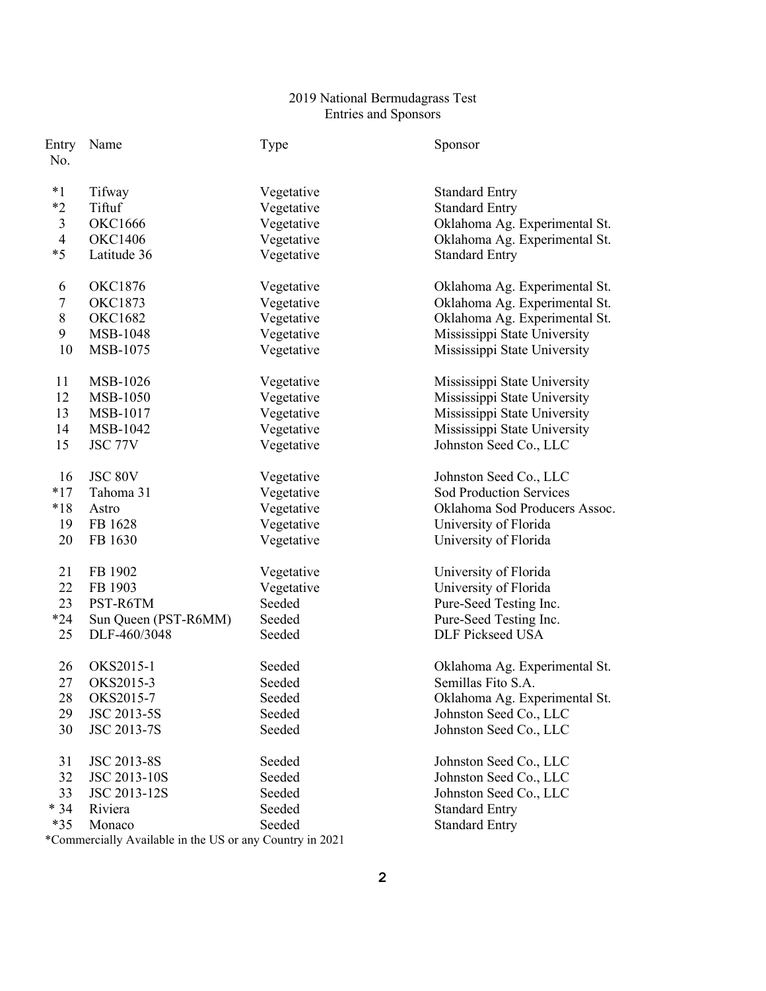# National Bermudagrass Test Entries and Sponsors

| Name            | Type                                                                                                                                                                                                                                                      | Sponsor                                                                                                                                                                                                                                            |
|-----------------|-----------------------------------------------------------------------------------------------------------------------------------------------------------------------------------------------------------------------------------------------------------|----------------------------------------------------------------------------------------------------------------------------------------------------------------------------------------------------------------------------------------------------|
| Tifway          |                                                                                                                                                                                                                                                           | <b>Standard Entry</b>                                                                                                                                                                                                                              |
| Tiftuf          |                                                                                                                                                                                                                                                           | <b>Standard Entry</b>                                                                                                                                                                                                                              |
| <b>OKC1666</b>  | Vegetative                                                                                                                                                                                                                                                | Oklahoma Ag. Experimental St.                                                                                                                                                                                                                      |
| <b>OKC1406</b>  |                                                                                                                                                                                                                                                           | Oklahoma Ag. Experimental St.                                                                                                                                                                                                                      |
| Latitude 36     | Vegetative                                                                                                                                                                                                                                                | <b>Standard Entry</b>                                                                                                                                                                                                                              |
| <b>OKC1876</b>  | Vegetative                                                                                                                                                                                                                                                | Oklahoma Ag. Experimental St.                                                                                                                                                                                                                      |
|                 |                                                                                                                                                                                                                                                           | Oklahoma Ag. Experimental St.                                                                                                                                                                                                                      |
|                 |                                                                                                                                                                                                                                                           | Oklahoma Ag. Experimental St.                                                                                                                                                                                                                      |
|                 |                                                                                                                                                                                                                                                           | Mississippi State University                                                                                                                                                                                                                       |
| MSB-1075        | Vegetative                                                                                                                                                                                                                                                | Mississippi State University                                                                                                                                                                                                                       |
| MSB-1026        | Vegetative                                                                                                                                                                                                                                                | Mississippi State University                                                                                                                                                                                                                       |
| <b>MSB-1050</b> | Vegetative                                                                                                                                                                                                                                                | Mississippi State University                                                                                                                                                                                                                       |
|                 |                                                                                                                                                                                                                                                           | Mississippi State University                                                                                                                                                                                                                       |
|                 |                                                                                                                                                                                                                                                           | Mississippi State University                                                                                                                                                                                                                       |
|                 |                                                                                                                                                                                                                                                           | Johnston Seed Co., LLC                                                                                                                                                                                                                             |
| JSC 80V         | Vegetative                                                                                                                                                                                                                                                | Johnston Seed Co., LLC                                                                                                                                                                                                                             |
|                 |                                                                                                                                                                                                                                                           | <b>Sod Production Services</b>                                                                                                                                                                                                                     |
|                 |                                                                                                                                                                                                                                                           | Oklahoma Sod Producers Assoc.                                                                                                                                                                                                                      |
|                 |                                                                                                                                                                                                                                                           | University of Florida                                                                                                                                                                                                                              |
|                 |                                                                                                                                                                                                                                                           | University of Florida                                                                                                                                                                                                                              |
| FB 1902         | Vegetative                                                                                                                                                                                                                                                | University of Florida                                                                                                                                                                                                                              |
|                 |                                                                                                                                                                                                                                                           | University of Florida                                                                                                                                                                                                                              |
|                 |                                                                                                                                                                                                                                                           | Pure-Seed Testing Inc.                                                                                                                                                                                                                             |
|                 |                                                                                                                                                                                                                                                           | Pure-Seed Testing Inc.                                                                                                                                                                                                                             |
|                 |                                                                                                                                                                                                                                                           | <b>DLF Pickseed USA</b>                                                                                                                                                                                                                            |
| OKS2015-1       | Seeded                                                                                                                                                                                                                                                    | Oklahoma Ag. Experimental St.                                                                                                                                                                                                                      |
|                 |                                                                                                                                                                                                                                                           | Semillas Fito S.A.                                                                                                                                                                                                                                 |
|                 | Seeded                                                                                                                                                                                                                                                    | Oklahoma Ag. Experimental St.                                                                                                                                                                                                                      |
|                 | Seeded                                                                                                                                                                                                                                                    | Johnston Seed Co., LLC                                                                                                                                                                                                                             |
|                 |                                                                                                                                                                                                                                                           | Johnston Seed Co., LLC                                                                                                                                                                                                                             |
| JSC 2013-8S     | Seeded                                                                                                                                                                                                                                                    | Johnston Seed Co., LLC                                                                                                                                                                                                                             |
| JSC 2013-10S    | Seeded                                                                                                                                                                                                                                                    | Johnston Seed Co., LLC                                                                                                                                                                                                                             |
| JSC 2013-12S    | Seeded                                                                                                                                                                                                                                                    | Johnston Seed Co., LLC                                                                                                                                                                                                                             |
| Riviera         | Seeded                                                                                                                                                                                                                                                    | <b>Standard Entry</b>                                                                                                                                                                                                                              |
| Monaco          | Seeded                                                                                                                                                                                                                                                    | <b>Standard Entry</b>                                                                                                                                                                                                                              |
|                 | <b>OKC1873</b><br><b>OKC1682</b><br>MSB-1048<br>MSB-1017<br>MSB-1042<br><b>JSC 77V</b><br>Tahoma 31<br>Astro<br>FB 1628<br>FB 1630<br>FB 1903<br>PST-R6TM<br>Sun Queen (PST-R6MM)<br>DLF-460/3048<br>OKS2015-3<br>OKS2015-7<br>JSC 2013-5S<br>JSC 2013-7S | Vegetative<br>Vegetative<br>Vegetative<br>Vegetative<br>Vegetative<br>Vegetative<br>Vegetative<br>Vegetative<br>Vegetative<br>Vegetative<br>Vegetative<br>Vegetative<br>Vegetative<br>Vegetative<br>Seeded<br>Seeded<br>Seeded<br>Seeded<br>Seeded |

\*Commercially Available in the US or any Country in 2021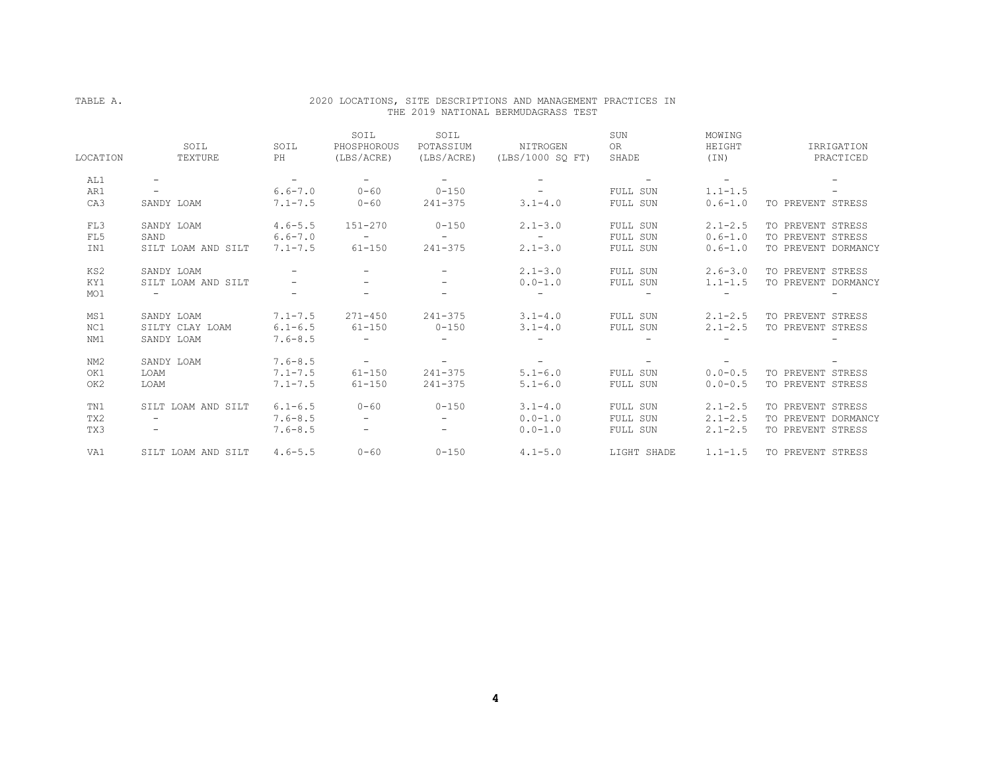## TABLE A. 2020 LOCATIONS, SITE DESCRIPTIONS AND MANAGEMENT PRACTICES IN THE 2019 NATIONAL BERMUDAGRASS TEST

| LOCATION        | SOIL<br>TEXTURE          | SOIL<br>PH               | SOIL<br>PHOSPHOROUS<br>(LBS/ACRE) | SOIL<br>POTASSIUM<br>(LBS/ACRE) | NITROGEN<br>(LBS/1000 SO FT) | SUN<br>0R<br>SHADE | MOWING<br>HEIGHT<br>(TN) | IRRIGATION<br>PRACTICED |
|-----------------|--------------------------|--------------------------|-----------------------------------|---------------------------------|------------------------------|--------------------|--------------------------|-------------------------|
| AL1             | $\overline{\phantom{m}}$ | $\overline{\phantom{a}}$ | $\sim$ 100 $\mu$                  | $\sim$                          | $\overline{\phantom{a}}$     |                    | $\overline{\phantom{a}}$ |                         |
| AR1             | $\overline{\phantom{m}}$ | $6.6 - 7.0$              | $0 - 60$                          | $0 - 150$                       | $\sim$                       | FULL SUN           | $1.1 - 1.5$              | -                       |
| CA <sub>3</sub> | SANDY LOAM               | $7.1 - 7.5$              | $0 - 60$                          | $241 - 375$                     | $3.1 - 4.0$                  | FULL SUN           | $0.6 - 1.0$              | TO PREVENT STRESS       |
| FL3             | SANDY LOAM               | $4.6 - 5.5$              | $151 - 270$                       | $0 - 150$                       | $2.1 - 3.0$                  | FULL SUN           | $2.1 - 2.5$              | TO PREVENT STRESS       |
| FL5             | SAND                     | $6.6 - 7.0$              | $\sim$ 100 $\mu$                  | $\sim$ 100 $\sim$               | $\sim$                       | FULL SUN           | $0.6 - 1.0$              | TO PREVENT STRESS       |
| IN1             | SILT LOAM AND SILT       | $7.1 - 7.5$              | $61 - 150$                        | $241 - 375$                     | $2.1 - 3.0$                  | FULL SUN           | $0.6 - 1.0$              | TO PREVENT DORMANCY     |
| KS2             | SANDY LOAM               |                          |                                   |                                 | $2.1 - 3.0$                  | FULL SUN           | $2.6 - 3.0$              | TO PREVENT STRESS       |
| KY1             | SILT LOAM AND SILT       |                          |                                   | $\overline{\phantom{a}}$        | $0.0 - 1.0$                  | FULL SUN           | $1.1 - 1.5$              | TO PREVENT DORMANCY     |
| MO1             | $\equiv$                 | $\overline{\phantom{a}}$ | Ξ.                                |                                 |                              |                    |                          |                         |
| MS1             | SANDY LOAM               | $7.1 - 7.5$              | $271 - 450$                       | $241 - 375$                     | $3.1 - 4.0$                  | FULL SUN           | $2.1 - 2.5$              | TO PREVENT STRESS       |
| NC1             | SILTY CLAY LOAM          | $6.1 - 6.5$              | $61 - 150$                        | $0 - 150$                       | $3.1 - 4.0$                  | FULL SUN           | $2.1 - 2.5$              | TO PREVENT STRESS       |
| NM1             | SANDY LOAM               | $7.6 - 8.5$              | $\sim$                            | $\sim$ 10 $\,$                  |                              |                    |                          |                         |
| NM2             | SANDY LOAM               | $7.6 - 8.5$              | $\overline{\phantom{a}}$          | $\sim$                          | $\sim$                       |                    |                          |                         |
| OK1             | LOAM                     | $7.1 - 7.5$              | $61 - 150$                        | $241 - 375$                     | $5.1 - 6.0$                  | FULL SUN           | $0.0 - 0.5$              | TO PREVENT STRESS       |
| OK2             | LOAM                     | $7.1 - 7.5$              | $61 - 150$                        | $241 - 375$                     | $5.1 - 6.0$                  | FULL SUN           | $0.0 - 0.5$              | TO PREVENT STRESS       |
| TN1             | SILT LOAM AND SILT       | $6.1 - 6.5$              | $0 - 60$                          | $0 - 150$                       | $3.1 - 4.0$                  | FULL SUN           | $2.1 - 2.5$              | TO PREVENT STRESS       |
| TX2             | $\overline{\phantom{0}}$ | $7.6 - 8.5$              | $\sim$                            | $\sim$                          | $0.0 - 1.0$                  | FULL SUN           | $2.1 - 2.5$              | TO PREVENT DORMANCY     |
| TX3             | $\overline{\phantom{0}}$ | $7.6 - 8.5$              | $-$                               | $\overline{\phantom{0}}$        | $0.0 - 1.0$                  | FULL SUN           | $2.1 - 2.5$              | TO PREVENT STRESS       |
| VA1             | SILT LOAM AND SILT       | $4.6 - 5.5$              | $0 - 60$                          | $0 - 150$                       | $4.1 - 5.0$                  | LIGHT SHADE        | $1.1 - 1.5$              | TO PREVENT STRESS       |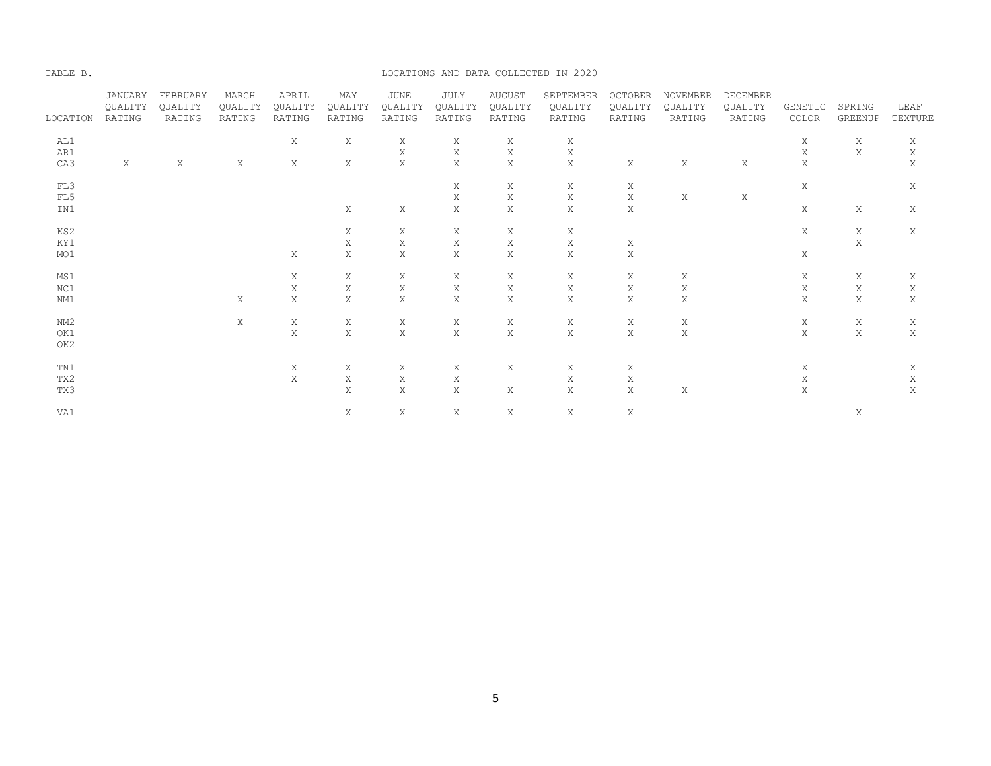#### TABLE B. LOCATIONS AND DATA COLLECTED IN 2020

|          | JANUARY | FEBRUARY | MARCH   | APRIL       | MAY         | <b>JUNE</b> | JULY        | <b>AUGUST</b> | SEPTEMBER   | <b>OCTOBER</b> | NOVEMBER    | DECEMBER    |             |             |             |
|----------|---------|----------|---------|-------------|-------------|-------------|-------------|---------------|-------------|----------------|-------------|-------------|-------------|-------------|-------------|
|          | QUALITY | QUALITY  | QUALITY | QUALITY     | QUALITY     | QUALITY     | QUALITY     | QUALITY       | QUALITY     | QUALITY        | QUALITY     | QUALITY     | GENETIC     | SPRING      | LEAF        |
| LOCATION | RATING  | RATING   | RATING  | RATING      | RATING      | RATING      | RATING      | RATING        | RATING      | RATING         | RATING      | RATING      | COLOR       | GREENUP     | TEXTURE     |
| AL1      |         |          |         | X           | Χ           | X           | Χ           | Χ             | Χ           |                |             |             | X           | Χ           | Χ           |
| AR1      |         |          |         |             |             | $\mathbf X$ | X           | $\mathbf X$   | $\mathbf X$ |                |             |             | $\mathbf X$ | $\mathbf X$ | $\mathbf X$ |
| CA3      | X       | Χ        | Χ       | X           | X           | $\mathbf X$ | X           | $\mathbf X$   | $\mathbf X$ | X              | X           | X           | X           |             | X           |
| FL3      |         |          |         |             |             |             | X           | X             | Χ           | Χ              |             |             | X           |             | X           |
| FL5      |         |          |         |             |             |             | X           | $\mathbf X$   | X           | $\mathbf X$    | Χ           | $\mathbf X$ |             |             |             |
|          |         |          |         |             | $\mathbf X$ |             | X           | $\mathbf X$   |             | X              |             |             | X           |             |             |
| IN1      |         |          |         |             |             | Χ           |             |               | X           |                |             |             |             | Χ           | X           |
| KS2      |         |          |         |             | Χ           | Χ           | Χ           | Χ             | X           |                |             |             | X           | Χ           | Χ           |
| KY1      |         |          |         |             | $\mathbf X$ | $\mathbf X$ | X           | $\mathbf X$   | $\mathbf X$ | Χ              |             |             |             | $\mathbf X$ |             |
| MO1      |         |          |         | X           | $\mathbf X$ | Χ           | Χ           | X             | $\mathbf X$ | Χ              |             |             | X           |             |             |
| MS1      |         |          |         | X           | Χ           | X           | Χ           | Χ             | X           | X              | Χ           |             | X           | Χ           | Χ           |
| NC1      |         |          |         | $\mathbf X$ | $\mathbf X$ | $\mathbf X$ | $\mathbf X$ | $\mathbf X$   | $\mathbf X$ | $\mathbf X$    | X           |             | $\mathbf X$ | $\mathbf X$ | X           |
| NM1      |         |          | X       | Χ           | $\mathbf X$ | $\mathbf X$ | X           | $\mathbf X$   | $\mathbf X$ | X              | $\mathbf X$ |             | X           | $\mathbf X$ | $\mathbf X$ |
|          |         |          |         |             |             |             |             |               |             |                |             |             |             |             |             |
| NM2      |         |          | X       | X           | Χ           | Χ           | Χ           | Χ             | Χ           | Χ              | Χ           |             | X           | Χ           | Χ           |
| OK1      |         |          |         | $\mathbf X$ | $\mathbf X$ | $\rm X$     | $\mathbf X$ | $\mathbf X$   | $\mathbf X$ | $\mathbf X$    | $\mathbf X$ |             | $\mathbf X$ | $\mathbf X$ | $\mathbf X$ |
| OK2      |         |          |         |             |             |             |             |               |             |                |             |             |             |             |             |
| TN1      |         |          |         | X           | X           | X           | Χ           | X             | X           | X              |             |             | X           |             | Χ           |
| TX2      |         |          |         | X           | Χ           | Χ           | Χ           |               | X           | Χ              |             |             | Χ           |             | Χ           |
| TX3      |         |          |         |             | $\mathbf X$ | $\mathbf X$ | X           | X             | $\mathbf X$ | X              | X           |             | X           |             | X           |
|          |         |          |         |             |             |             |             |               |             |                |             |             |             |             |             |
| VA1      |         |          |         |             | Χ           | Χ           | Χ           | Χ             | Χ           | Χ              |             |             |             | Χ           |             |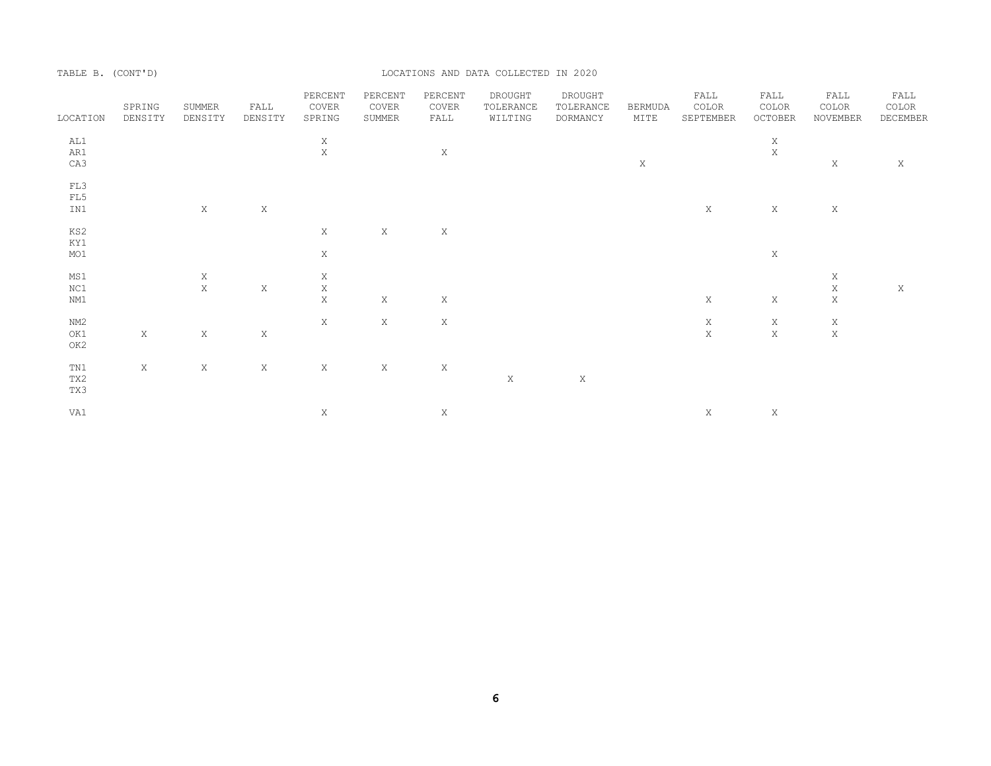TABLE B. (CONT'D) LOCATIONS AND DATA COLLECTED IN 2020

| LOCATION | SPRING<br>DENSITY | SUMMER<br>DENSITY | FALL<br>DENSITY | PERCENT<br>COVER<br>SPRING | PERCENT<br>COVER<br>SUMMER | PERCENT<br>COVER<br>FALL | DROUGHT<br>TOLERANCE<br>WILTING | DROUGHT<br>TOLERANCE<br>DORMANCY | <b>BERMUDA</b><br>MITE | FALL<br>COLOR<br>SEPTEMBER | FALL<br>COLOR<br>OCTOBER | FALL<br>COLOR<br>NOVEMBER | FALL<br>COLOR<br>DECEMBER |
|----------|-------------------|-------------------|-----------------|----------------------------|----------------------------|--------------------------|---------------------------------|----------------------------------|------------------------|----------------------------|--------------------------|---------------------------|---------------------------|
| AL1      |                   |                   |                 | $_{\rm X}^{\rm X}$         |                            |                          |                                 |                                  |                        |                            | $\mathbf X$              |                           |                           |
| AR1      |                   |                   |                 |                            |                            | $\mathbf X$              |                                 |                                  |                        |                            | $\bar{\text{X}}$         |                           |                           |
| CA3      |                   |                   |                 |                            |                            |                          |                                 |                                  | X                      |                            |                          | $\mathbf X$               | Χ                         |
| FL3      |                   |                   |                 |                            |                            |                          |                                 |                                  |                        |                            |                          |                           |                           |
| FL5      |                   |                   |                 |                            |                            |                          |                                 |                                  |                        |                            |                          |                           |                           |
| IN1      |                   | X                 | $\mathbf X$     |                            |                            |                          |                                 |                                  |                        | X                          | $\mathbf X$              | Χ                         |                           |
| KS2      |                   |                   |                 | X                          | X                          | X                        |                                 |                                  |                        |                            |                          |                           |                           |
| KY1      |                   |                   |                 |                            |                            |                          |                                 |                                  |                        |                            |                          |                           |                           |
| MO1      |                   |                   |                 | X                          |                            |                          |                                 |                                  |                        |                            | X                        |                           |                           |
| MS1      |                   | $\mathbf X$       |                 | X                          |                            |                          |                                 |                                  |                        |                            |                          | Χ                         |                           |
| NC1      |                   | $\mathbf X$       | X               | $_{\rm X}^{\rm X}$         |                            |                          |                                 |                                  |                        |                            |                          | $\mathbf X$               | Χ                         |
| NM1      |                   |                   |                 |                            | X                          | X                        |                                 |                                  |                        | X                          | Χ                        | $\mathbf X$               |                           |
| NM2      |                   |                   |                 | $\mathbf X$                | X                          | $\,$ X                   |                                 |                                  |                        | $\mathbf X$                | X                        | $\mathbf X$               |                           |
| OK1      | $\mathbf X$       | X                 | $\mathbf X$     |                            |                            |                          |                                 |                                  |                        | $\mathbf X$                | $\mathbf X$              | $\mathbf X$               |                           |
| OK2      |                   |                   |                 |                            |                            |                          |                                 |                                  |                        |                            |                          |                           |                           |
| TN1      | X                 | X                 | $\mathbf X$     | $\mathbf X$                | $\mathbf X$                | X                        |                                 |                                  |                        |                            |                          |                           |                           |
| TX2      |                   |                   |                 |                            |                            |                          | $\mathbf X$                     | $\,$ X                           |                        |                            |                          |                           |                           |
| TX3      |                   |                   |                 |                            |                            |                          |                                 |                                  |                        |                            |                          |                           |                           |
| VA1      |                   |                   |                 | X                          |                            | $\mathbf X$              |                                 |                                  |                        | $\mathbf X$                | X                        |                           |                           |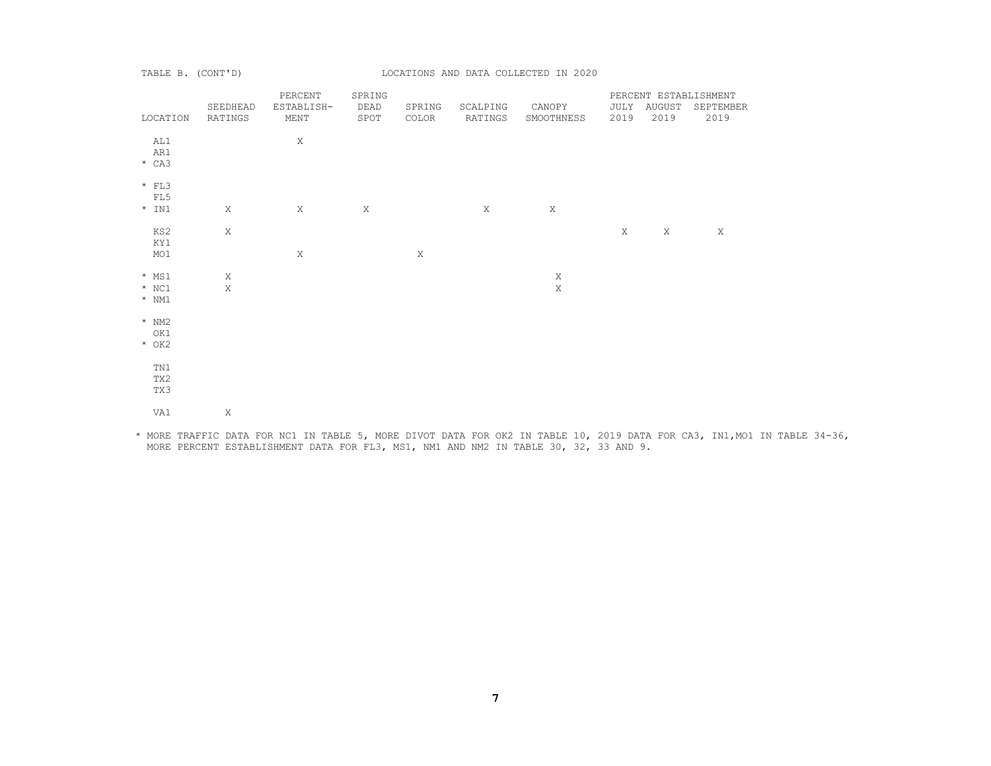TABLE B. (CONT'D) LOCATIONS AND DATA COLLECTED IN 2020

| LOCATION | SEEDHEAD<br>RATINGS | PERCENT<br>ESTABLISH-<br>MENT | SPRING<br>DEAD<br>SPOT | SPRING<br>COLOR | SCALPING<br>RATINGS | CANOPY<br>SMOOTHNESS | 2019 | JULY AUGUST<br>2019 | PERCENT ESTABLISHMENT<br>SEPTEMBER<br>2019 |
|----------|---------------------|-------------------------------|------------------------|-----------------|---------------------|----------------------|------|---------------------|--------------------------------------------|
|          |                     |                               |                        |                 |                     |                      |      |                     |                                            |
| AL1      |                     | $\mathbf X$                   |                        |                 |                     |                      |      |                     |                                            |
| AR1      |                     |                               |                        |                 |                     |                      |      |                     |                                            |
| $*$ CA3  |                     |                               |                        |                 |                     |                      |      |                     |                                            |
|          |                     |                               |                        |                 |                     |                      |      |                     |                                            |
| $*$ FL3  |                     |                               |                        |                 |                     |                      |      |                     |                                            |
| FL5      |                     |                               |                        |                 |                     |                      |      |                     |                                            |
| $*$ IN1  | $\mathbf X$         | X                             | X                      |                 | X                   | $\mathbf X$          |      |                     |                                            |
|          |                     |                               |                        |                 |                     |                      |      |                     |                                            |
| KS2      | $\,$ X              |                               |                        |                 |                     |                      | X    | $\mathbf X$         | $\mathbf X$                                |
| KY1      |                     |                               |                        |                 |                     |                      |      |                     |                                            |
| MO1      |                     | $\mathbf X$                   |                        | $\mathbf X$     |                     |                      |      |                     |                                            |
|          |                     |                               |                        |                 |                     |                      |      |                     |                                            |
| $*$ MS1  | X                   |                               |                        |                 |                     | $\mathbf X$          |      |                     |                                            |
| $*$ NC1  | $\mathbf X$         |                               |                        |                 |                     | $\mathbf X$          |      |                     |                                            |
| $*$ NM1  |                     |                               |                        |                 |                     |                      |      |                     |                                            |
| $*$ NM2  |                     |                               |                        |                 |                     |                      |      |                     |                                            |
| OK1      |                     |                               |                        |                 |                     |                      |      |                     |                                            |
| $*$ OK2  |                     |                               |                        |                 |                     |                      |      |                     |                                            |
|          |                     |                               |                        |                 |                     |                      |      |                     |                                            |
| TN1      |                     |                               |                        |                 |                     |                      |      |                     |                                            |
| TX2      |                     |                               |                        |                 |                     |                      |      |                     |                                            |
| TX3      |                     |                               |                        |                 |                     |                      |      |                     |                                            |
|          |                     |                               |                        |                 |                     |                      |      |                     |                                            |
| VA1      | Χ                   |                               |                        |                 |                     |                      |      |                     |                                            |
|          |                     |                               |                        |                 |                     |                      |      |                     |                                            |

 \* MORE TRAFFIC DATA FOR NC1 IN TABLE 5, MORE DIVOT DATA FOR OK2 IN TABLE 10, 2019 DATA FOR CA3, IN1,MO1 IN TABLE 34-36, MORE PERCENT ESTABLISHMENT DATA FOR FL3, MS1, NM1 AND NM2 IN TABLE 30, 32, 33 AND 9.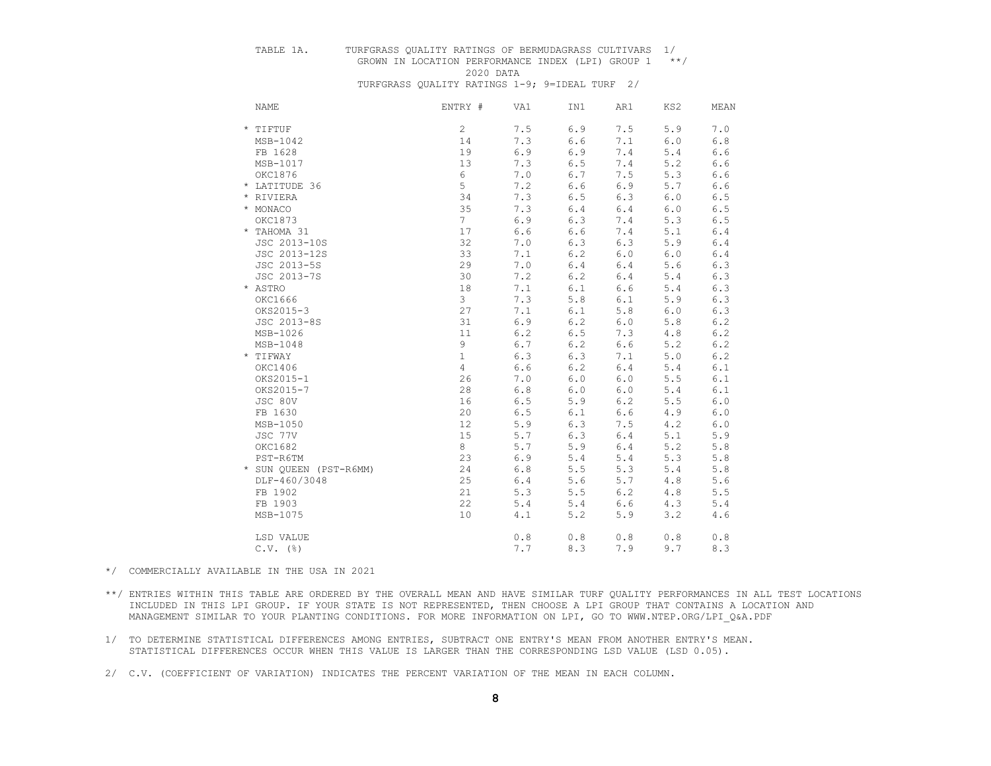# TABLE 1A. TURFGRASS QUALITY RATINGS OF BERMUDAGRASS CULTIVARS 1/

 GROWN IN LOCATION PERFORMANCE INDEX (LPI) GROUP 1 \*\*/ 2020 DATA

TURFGRASS QUALITY RATINGS 1-9; 9=IDEAL TURF 2/

| <b>NAME</b>            | ENTRY #        | VA1 | IN1     | AR1     | KS2     | MEAN  |
|------------------------|----------------|-----|---------|---------|---------|-------|
| * TIFTUF               | $\overline{c}$ | 7.5 | $6.9$   | 7.5     | 5.9     | 7.0   |
| MSB-1042               | 14             | 7.3 | 6.6     | 7.1     | $6.0$   | 6.8   |
| FB 1628                | 19             | 6.9 | 6.9     | 7.4     | 5.4     | 6.6   |
| MSB-1017               | 13             | 7.3 | 6.5     | $7.4\,$ | 5.2     | 6.6   |
| OKC1876                | $\epsilon$     | 7.0 | 6.7     | 7.5     | 5.3     | 6.6   |
| * LATITUDE 36          | 5              | 7.2 | 6.6     | 6.9     | 5.7     | 6.6   |
| * RIVIERA              | 34             | 7.3 | 6.5     | 6.3     | $6.0$   | 6.5   |
| * MONACO               | 35             | 7.3 | $6.4$   | 6.4     | $6.0$   | 6.5   |
| OKC1873                | 7 <sup>1</sup> | 6.9 | 6.3     | 7.4     | 5.3     | 6.5   |
| * TAHOMA 31            | 17             | 6.6 | 6.6     | 7.4     | 5.1     | 6.4   |
| JSC 2013-10S           | 32             | 7.0 | 6.3     | 6.3     | 5.9     | $6.4$ |
| JSC 2013-12S           | 33             | 7.1 | $6.2\,$ | $6.0$   | $6.0$   | $6.4$ |
| JSC 2013-5S            | 29             | 7.0 | $6.4\,$ | 6.4     | 5.6     | 6.3   |
| JSC 2013-7S            | 30             | 7.2 | 6.2     | 6.4     | 5.4     | 6.3   |
| * ASTRO                | 18             | 7.1 | 6.1     | $6.6$   | 5.4     | 6.3   |
| OKC1666                | 3              | 7.3 | 5.8     | 6.1     | 5.9     | 6.3   |
| OKS2015-3              | 27             | 7.1 | 6.1     | 5.8     | $6.0$   | 6.3   |
| JSC 2013-8S            | 31             | 6.9 | $6.2\,$ | $6.0$   | 5.8     | 6.2   |
| MSB-1026               | 11             | 6.2 | 6.5     | 7.3     | $4.8\,$ | 6.2   |
| $MSB-1048$             | 9              | 6.7 | $6.2\,$ | $6.6$   | 5.2     | 6.2   |
| * TIFWAY               | $\mathbf{1}$   | 6.3 | 6.3     | 7.1     | $5.0$   | 6.2   |
| OKC1406                | 4              | 6.6 | 6.2     | 6.4     | 5.4     | 6.1   |
| OKS2015-1              | 26             | 7.0 | 6.0     | 6.0     | 5.5     | 6.1   |
| OKS2015-7              | 28             | 6.8 | 6.0     | 6.0     | 5.4     | 6.1   |
| JSC 80V                | 16             | 6.5 | 5.9     | 6.2     | 5.5     | 6.0   |
| FB 1630                | 20             | 6.5 | 6.1     | $6.6$   | 4.9     | 6.0   |
| MSB-1050               | 12             | 5.9 | 6.3     | 7.5     | 4.2     | 6.0   |
| JSC 77V                | 15             | 5.7 | 6.3     | 6.4     | 5.1     | 5.9   |
| OKC1682                | 8              | 5.7 | 5.9     | 6.4     | 5.2     | 5.8   |
| PST-R6TM               | 23             | 6.9 | $5.4$   | 5.4     | 5.3     | 5.8   |
| * SUN QUEEN (PST-R6MM) | 24             | 6.8 | 5.5     | 5.3     | 5.4     | 5.8   |
| DLF-460/3048           | 25             | 6.4 | 5.6     | 5.7     | 4.8     | 5.6   |
| FB 1902                | 21             | 5.3 | 5.5     | 6.2     | $4.8\,$ | 5.5   |
| FB 1903                | 22             | 5.4 | $5.4$   | $6.6$   | 4.3     | $5.4$ |
| MSB-1075               | 10             | 4.1 | 5.2     | 5.9     | 3.2     | 4.6   |
| LSD VALUE              |                | 0.8 | $0.8$   | $0.8$   | $0.8$   | 0.8   |
| $C.V.$ ( $\S$ )        |                | 7.7 | 8.3     | 7.9     | 9.7     | 8.3   |

\*/ COMMERCIALLY AVAILABLE IN THE USA IN 2021

- \*\*/ ENTRIES WITHIN THIS TABLE ARE ORDERED BY THE OVERALL MEAN AND HAVE SIMILAR TURF QUALITY PERFORMANCES IN ALL TEST LOCATIONS INCLUDED IN THIS LPI GROUP. IF YOUR STATE IS NOT REPRESENTED, THEN CHOOSE A LPI GROUP THAT CONTAINS A LOCATION AND MANAGEMENT SIMILAR TO YOUR PLANTING CONDITIONS. FOR MORE INFORMATION ON LPI, GO TO WWW.NTEP.ORG/LPI\_Q&A.PDF
- 1/ TO DETERMINE STATISTICAL DIFFERENCES AMONG ENTRIES, SUBTRACT ONE ENTRY'S MEAN FROM ANOTHER ENTRY'S MEAN. STATISTICAL DIFFERENCES OCCUR WHEN THIS VALUE IS LARGER THAN THE CORRESPONDING LSD VALUE (LSD 0.05).
- 2/ C.V. (COEFFICIENT OF VARIATION) INDICATES THE PERCENT VARIATION OF THE MEAN IN EACH COLUMN.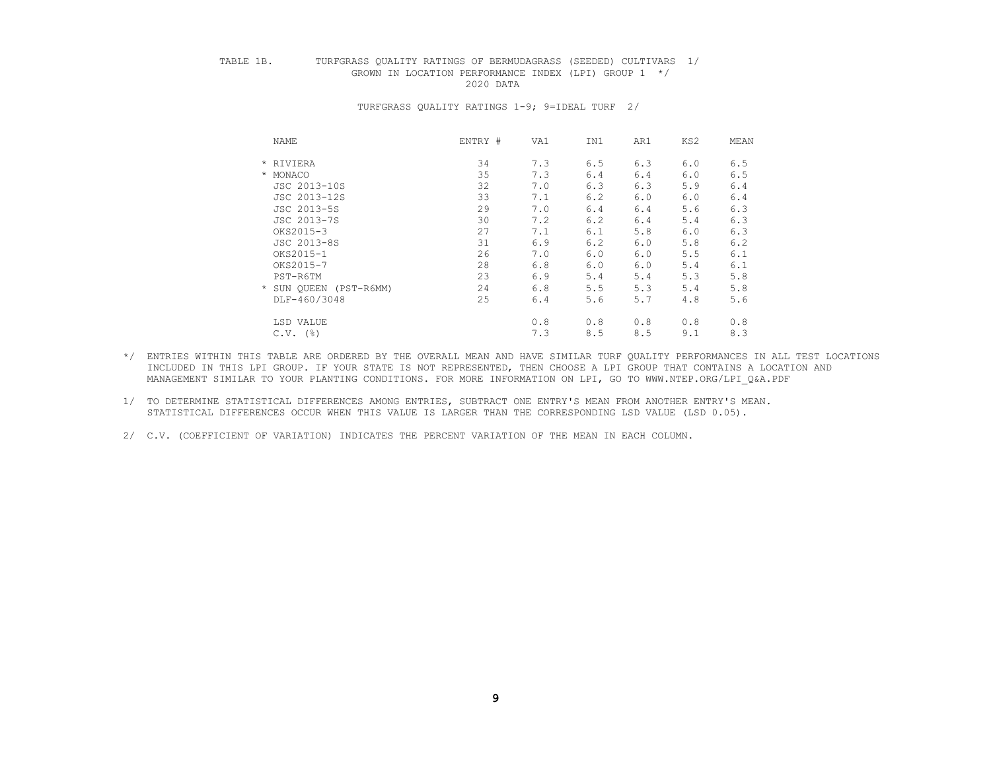# TABLE 1B. TURFGRASS QUALITY RATINGS OF BERMUDAGRASS (SEEDED) CULTIVARS 1/ GROWN IN LOCATION PERFORMANCE INDEX (LPI) GROUP  $1 \times / 2020$  DATA

2020 DATA

| NAME                   | ENTRY # | VA1 | IN1 | AR1 | KS2 | MEAN |
|------------------------|---------|-----|-----|-----|-----|------|
| * RIVIERA              | 34      | 7.3 | 6.5 | 6.3 | 6.0 | 6.5  |
| * MONACO               | 35      | 7.3 | 6.4 | 6.4 | 6.0 | 6.5  |
| JSC 2013-10S           | 32      | 7.0 | 6.3 | 6.3 | 5.9 | 6.4  |
| JSC 2013-12S           | 33      | 7.1 | 6.2 | 6.0 | 6.0 | 6.4  |
| JSC 2013-5S            | 29      | 7.0 | 6.4 | 6.4 | 5.6 | 6.3  |
| JSC 2013-7S            | 30      | 7.2 | 6.2 | 6.4 | 5.4 | 6.3  |
| OKS2015-3              | 27      | 7.1 | 6.1 | 5.8 | 6.0 | 6.3  |
| JSC 2013-8S            | 31      | 6.9 | 6.2 | 6.0 | 5.8 | 6.2  |
| OKS2015-1              | 26      | 7.0 | 6.0 | 6.0 | 5.5 | 6.1  |
| OKS2015-7              | 28      | 6.8 | 6.0 | 6.0 | 5.4 | 6.1  |
| PST-R6TM               | 23      | 6.9 | 5.4 | 5.4 | 5.3 | 5.8  |
| * SUN QUEEN (PST-R6MM) | 24      | 6.8 | 5.5 | 5.3 | 5.4 | 5.8  |
| DLF-460/3048           | 25      | 6.4 | 5.6 | 5.7 | 4.8 | 5.6  |
| LSD VALUE              |         | 0.8 | 0.8 | 0.8 | 0.8 | 0.8  |
| $C.V.$ (%)             |         | 7.3 | 8.5 | 8.5 | 9.1 | 8.3  |
|                        |         |     |     |     |     |      |

- \*/ ENTRIES WITHIN THIS TABLE ARE ORDERED BY THE OVERALL MEAN AND HAVE SIMILAR TURF QUALITY PERFORMANCES IN ALL TEST LOCATIONS INCLUDED IN THIS LPI GROUP. IF YOUR STATE IS NOT REPRESENTED, THEN CHOOSE A LPI GROUP THAT CONTAINS A LOCATION AND MANAGEMENT SIMILAR TO YOUR PLANTING CONDITIONS. FOR MORE INFORMATION ON LPI, GO TO WWW.NTEP.ORG/LPI\_Q&A.PDF
- 1/ TO DETERMINE STATISTICAL DIFFERENCES AMONG ENTRIES, SUBTRACT ONE ENTRY'S MEAN FROM ANOTHER ENTRY'S MEAN. STATISTICAL DIFFERENCES OCCUR WHEN THIS VALUE IS LARGER THAN THE CORRESPONDING LSD VALUE (LSD 0.05).
- 2/ C.V. (COEFFICIENT OF VARIATION) INDICATES THE PERCENT VARIATION OF THE MEAN IN EACH COLUMN.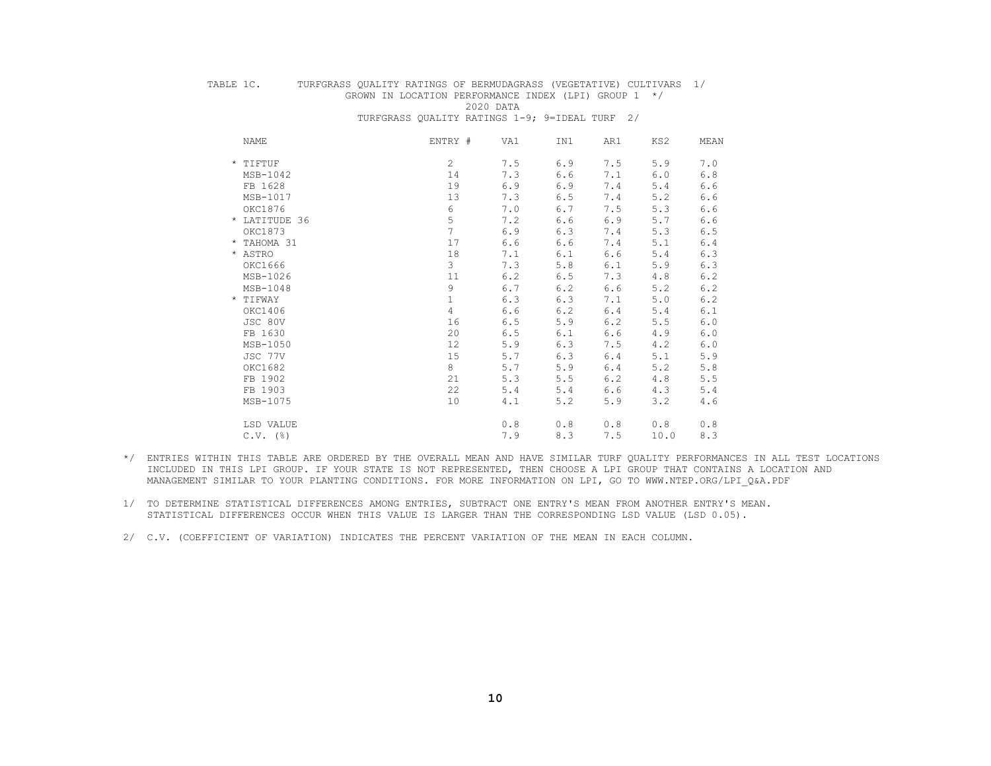TABLE 1C. TURFGRASS QUALITY RATINGS OF BERMUDAGRASS (VEGETATIVE) CULTIVARS 1/ GROWN IN LOCATION PERFORMANCE INDEX (LPI) GROUP  $1 \times / 2020$  DATA

2020 DATA

TURFGRASS QUALITY RATINGS 1-9; 9=IDEAL TURF 2/

| NAME          | ENTRY #        | VA1 | IN1 | AR1 | KS2  | MEAN |
|---------------|----------------|-----|-----|-----|------|------|
| * TIFTUF      | $\mathbf{2}$   | 7.5 | 6.9 | 7.5 | 5.9  | 7.0  |
| MSB-1042      | 14             | 7.3 | 6.6 | 7.1 | 6.0  | 6.8  |
| FB 1628       | 19             | 6.9 | 6.9 | 7.4 | 5.4  | 6.6  |
| MSB-1017      | 13             | 7.3 | 6.5 | 7.4 | 5.2  | 6.6  |
| OKC1876       | 6              | 7.0 | 6.7 | 7.5 | 5.3  | 6.6  |
| * LATITUDE 36 | 5              | 7.2 | 6.6 | 6.9 | 5.7  | 6.6  |
| OKC1873       | $\overline{7}$ | 6.9 | 6.3 | 7.4 | 5.3  | 6.5  |
| * TAHOMA 31   | 17             | 6.6 | 6.6 | 7.4 | 5.1  | 6.4  |
| * ASTRO       | 18             | 7.1 | 6.1 | 6.6 | 5.4  | 6.3  |
| OKC1666       | 3              | 7.3 | 5.8 | 6.1 | 5.9  | 6.3  |
| MSB-1026      | 11             | 6.2 | 6.5 | 7.3 | 4.8  | 6.2  |
| $MSB-1048$    | 9              | 6.7 | 6.2 | 6.6 | 5.2  | 6.2  |
| * TIFWAY      | $\mathbf 1$    | 6.3 | 6.3 | 7.1 | 5.0  | 6.2  |
| OKC1406       | 4              | 6.6 | 6.2 | 6.4 | 5.4  | 6.1  |
| JSC 80V       | 16             | 6.5 | 5.9 | 6.2 | 5.5  | 6.0  |
| FB 1630       | 20             | 6.5 | 6.1 | 6.6 | 4.9  | 6.0  |
| MSB-1050      | 12             | 5.9 | 6.3 | 7.5 | 4.2  | 6.0  |
| JSC 77V       | 15             | 5.7 | 6.3 | 6.4 | 5.1  | 5.9  |
| OKC1682       | 8              | 5.7 | 5.9 | 6.4 | 5.2  | 5.8  |
| FB 1902       | 21             | 5.3 | 5.5 | 6.2 | 4.8  | 5.5  |
| FB 1903       | 22             | 5.4 | 5.4 | 6.6 | 4.3  | 5.4  |
| MSB-1075      | 10             | 4.1 | 5.2 | 5.9 | 3.2  | 4.6  |
| LSD VALUE     |                | 0.8 | 0.8 | 0.8 | 0.8  | 0.8  |
| $C.V.$ (%)    |                | 7.9 | 8.3 | 7.5 | 10.0 | 8.3  |
|               |                |     |     |     |      |      |

- \*/ ENTRIES WITHIN THIS TABLE ARE ORDERED BY THE OVERALL MEAN AND HAVE SIMILAR TURF QUALITY PERFORMANCES IN ALL TEST LOCATIONS INCLUDED IN THIS LPI GROUP. IF YOUR STATE IS NOT REPRESENTED, THEN CHOOSE A LPI GROUP THAT CONTAINS A LOCATION AND MANAGEMENT SIMILAR TO YOUR PLANTING CONDITIONS. FOR MORE INFORMATION ON LPI, GO TO WWW.NTEP.ORG/LPI\_Q&A.PDF
- 1/ TO DETERMINE STATISTICAL DIFFERENCES AMONG ENTRIES, SUBTRACT ONE ENTRY'S MEAN FROM ANOTHER ENTRY'S MEAN. STATISTICAL DIFFERENCES OCCUR WHEN THIS VALUE IS LARGER THAN THE CORRESPONDING LSD VALUE (LSD 0.05).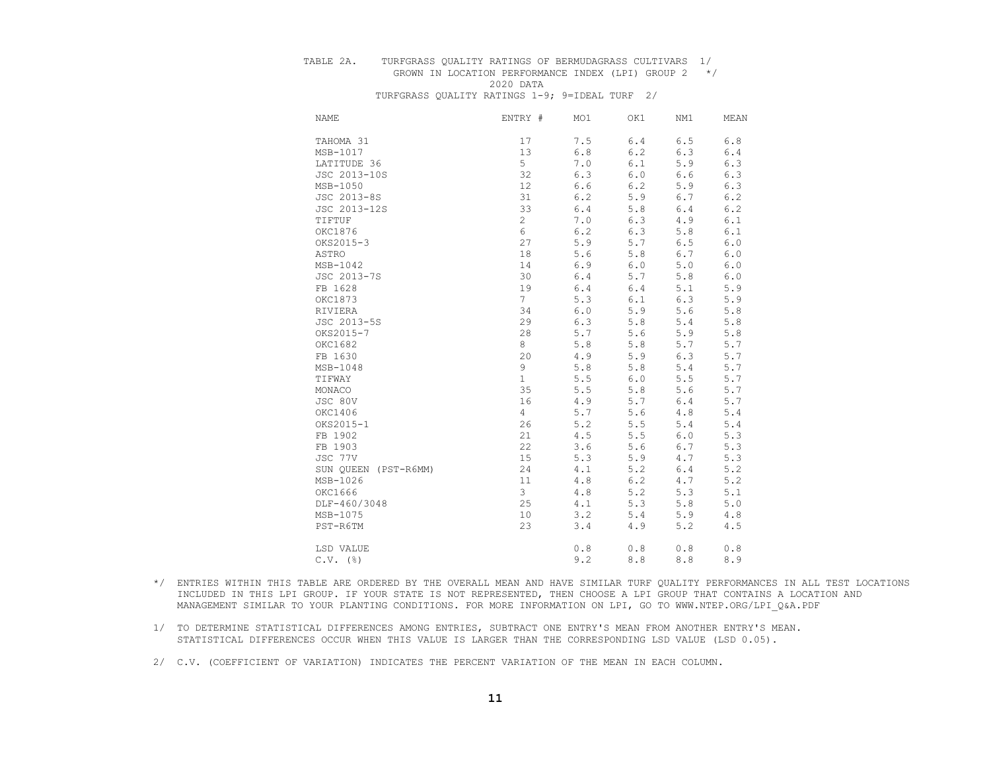#### TABLE 2A. TURFGRASS QUALITY RATINGS OF BERMUDAGRASS CULTIVARS 1/

# GROWN IN LOCATION PERFORMANCE INDEX (LPI) GROUP 2 \*/ 2020 DATA

| <b>NAME</b>          | ENTRY #        | MO1   | OK1   | NM1 | MEAN    |
|----------------------|----------------|-------|-------|-----|---------|
| TAHOMA 31            | 17             | 7.5   | 6.4   | 6.5 | $6.8$   |
| MSB-1017             | 13             | 6.8   | 6.2   | 6.3 | 6.4     |
| LATITUDE 36          | 5              | 7.0   | 6.1   | 5.9 | 6.3     |
| JSC 2013-10S         | 32             | 6.3   | $6.0$ | 6.6 | 6.3     |
| MSB-1050             | 12             | 6.6   | 6.2   | 5.9 | 6.3     |
| JSC 2013-8S          | 31             | 6.2   | 5.9   | 6.7 | 6.2     |
| JSC 2013-12S         | 33             | 6.4   | 5.8   | 6.4 | 6.2     |
| TIFTUF               | 2              | 7.0   | 6.3   | 4.9 | 6.1     |
| OKC1876              | 6              | 6.2   | 6.3   | 5.8 | 6.1     |
| OKS2015-3            | 27             | 5.9   | 5.7   | 6.5 | 6.0     |
| ASTRO                | 18             | 5.6   | 5.8   | 6.7 | 6.0     |
| MSB-1042             | 14             | 6.9   | $6.0$ | 5.0 | 6.0     |
| JSC 2013-7S          | 30             | 6.4   | 5.7   | 5.8 | 6.0     |
| FB 1628              | 19             | 6.4   | 6.4   | 5.1 | 5.9     |
| OKC1873              | $7\phantom{.}$ | 5.3   | 6.1   | 6.3 | 5.9     |
| RIVIERA              | 34             | $6.0$ | 5.9   | 5.6 | 5.8     |
| JSC 2013-5S          | 29             | 6.3   | $5.8$ | 5.4 | 5.8     |
| OKS2015-7            | 28             | 5.7   | 5.6   | 5.9 | 5.8     |
| OKC1682              | 8              | 5.8   | 5.8   | 5.7 | 5.7     |
| FB 1630              | 20             | 4.9   | 5.9   | 6.3 | 5.7     |
| MSB-1048             | 9              | 5.8   | $5.8$ | 5.4 | 5.7     |
| TIFWAY               | $\mathbf{1}$   | 5.5   | $6.0$ | 5.5 | 5.7     |
| MONACO               | 35             | 5.5   | 5.8   | 5.6 | 5.7     |
| JSC 80V              | 16             | 4.9   | 5.7   | 6.4 | 5.7     |
| OKC1406              | 4              | 5.7   | 5.6   | 4.8 | 5.4     |
| OKS2015-1            | 26             | 5.2   | 5.5   | 5.4 | 5.4     |
| FB 1902              | 21             | 4.5   | 5.5   | 6.0 | 5.3     |
| FB 1903              | 22             | 3.6   | 5.6   | 6.7 | 5.3     |
| JSC 77V              | 15             | 5.3   | 5.9   | 4.7 | 5.3     |
| SUN QUEEN (PST-R6MM) | 24             | 4.1   | 5.2   | 6.4 | 5.2     |
| MSB-1026             | 11             | 4.8   | 6.2   | 4.7 | 5.2     |
| OKC1666              | 3              | 4.8   | 5.2   | 5.3 | 5.1     |
| DLF-460/3048         | 25             | 4.1   | 5.3   | 5.8 | $5.0$   |
| MSB-1075             | 10             | 3.2   | 5.4   | 5.9 | 4.8     |
| PST-R6TM             | 23             | 3.4   | 4.9   | 5.2 | $4.5\,$ |
| LSD VALUE            |                | $0.8$ | 0.8   | 0.8 | 0.8     |
| $C.V.$ (%)           |                | 9.2   | 8.8   | 8.8 | 8.9     |

- \*/ ENTRIES WITHIN THIS TABLE ARE ORDERED BY THE OVERALL MEAN AND HAVE SIMILAR TURF QUALITY PERFORMANCES IN ALL TEST LOCATIONS INCLUDED IN THIS LPI GROUP. IF YOUR STATE IS NOT REPRESENTED, THEN CHOOSE A LPI GROUP THAT CONTAINS A LOCATION AND MANAGEMENT SIMILAR TO YOUR PLANTING CONDITIONS. FOR MORE INFORMATION ON LPI, GO TO WWW.NTEP.ORG/LPI\_Q&A.PDF
- 1/ TO DETERMINE STATISTICAL DIFFERENCES AMONG ENTRIES, SUBTRACT ONE ENTRY'S MEAN FROM ANOTHER ENTRY'S MEAN. STATISTICAL DIFFERENCES OCCUR WHEN THIS VALUE IS LARGER THAN THE CORRESPONDING LSD VALUE (LSD 0.05).
- 2/ C.V. (COEFFICIENT OF VARIATION) INDICATES THE PERCENT VARIATION OF THE MEAN IN EACH COLUMN.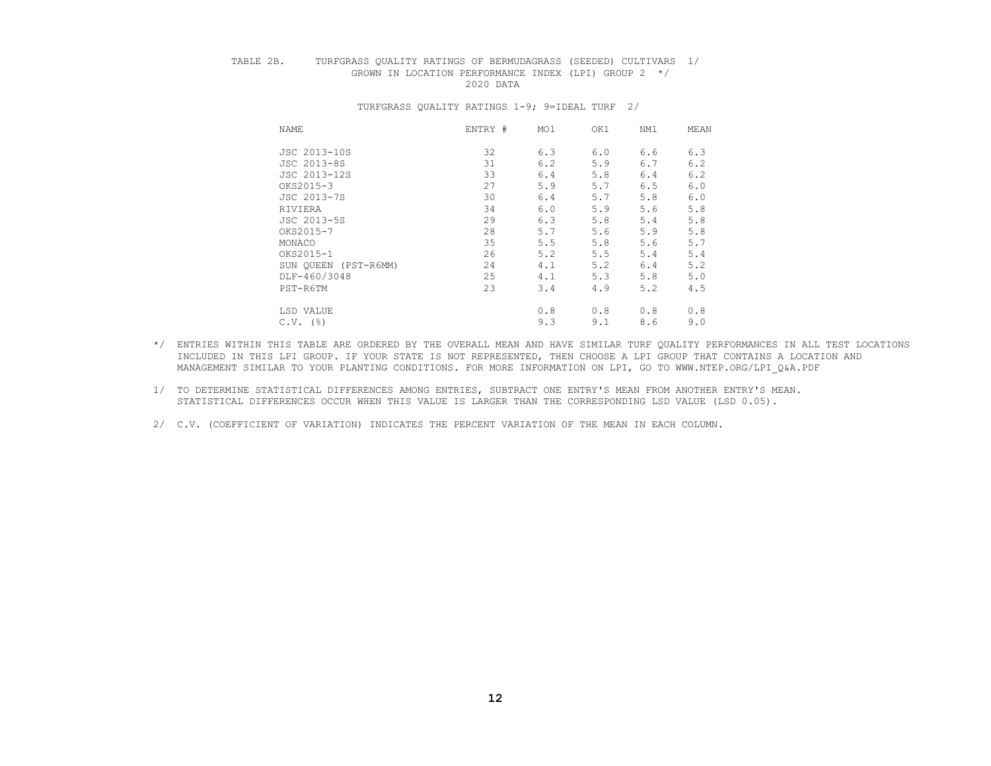## TABLE 2B. TURFGRASS QUALITY RATINGS OF BERMUDAGRASS (SEEDED) CULTIVARS 1/ GROWN IN LOCATION PERFORMANCE INDEX (LPI) GROUP  $2 \times / 2020$  DATA 2020 DATA

| NAME                 | ENTRY # | MO1 | OK1 | NM1 | MEAN |
|----------------------|---------|-----|-----|-----|------|
| JSC 2013-10S         | 32      | 6.3 | 6.0 | 6.6 | 6.3  |
| JSC 2013-8S          | 31      | 6.2 | 5.9 | 6.7 | 6.2  |
| JSC 2013-12S         | 33      | 6.4 | 5.8 | 6.4 | 6.2  |
| OKS2015-3            | 27      | 5.9 | 5.7 | 6.5 | 6.0  |
| JSC 2013-7S          | 30      | 6.4 | 5.7 | 5.8 | 6.0  |
| RIVIERA              | 34      | 6.0 | 5.9 | 5.6 | 5.8  |
| JSC 2013-5S          | 29      | 6.3 | 5.8 | 5.4 | 5.8  |
| OKS2015-7            | 28      | 5.7 | 5.6 | 5.9 | 5.8  |
| MONACO               | 35      | 5.5 | 5.8 | 5.6 | 5.7  |
| OKS2015-1            | 26      | 5.2 | 5.5 | 5.4 | 5.4  |
| SUN OUEEN (PST-R6MM) | 24      | 4.1 | 5.2 | 6.4 | 5.2  |
| DLF-460/3048         | 25      | 4.1 | 5.3 | 5.8 | 5.0  |
| PST-R6TM             | 23      | 3.4 | 4.9 | 5.2 | 4.5  |
| LSD VALUE            |         | 0.8 | 0.8 | 0.8 | 0.8  |
| $C.V.$ ( $\S$ )      |         | 9.3 | 9.1 | 8.6 | 9.0  |

- \*/ ENTRIES WITHIN THIS TABLE ARE ORDERED BY THE OVERALL MEAN AND HAVE SIMILAR TURF QUALITY PERFORMANCES IN ALL TEST LOCATIONS INCLUDED IN THIS LPI GROUP. IF YOUR STATE IS NOT REPRESENTED, THEN CHOOSE A LPI GROUP THAT CONTAINS A LOCATION AND MANAGEMENT SIMILAR TO YOUR PLANTING CONDITIONS. FOR MORE INFORMATION ON LPI, GO TO WWW.NTEP.ORG/LPI\_Q&A.PDF
- 1/ TO DETERMINE STATISTICAL DIFFERENCES AMONG ENTRIES, SUBTRACT ONE ENTRY'S MEAN FROM ANOTHER ENTRY'S MEAN. STATISTICAL DIFFERENCES OCCUR WHEN THIS VALUE IS LARGER THAN THE CORRESPONDING LSD VALUE (LSD 0.05).
- 2/ C.V. (COEFFICIENT OF VARIATION) INDICATES THE PERCENT VARIATION OF THE MEAN IN EACH COLUMN.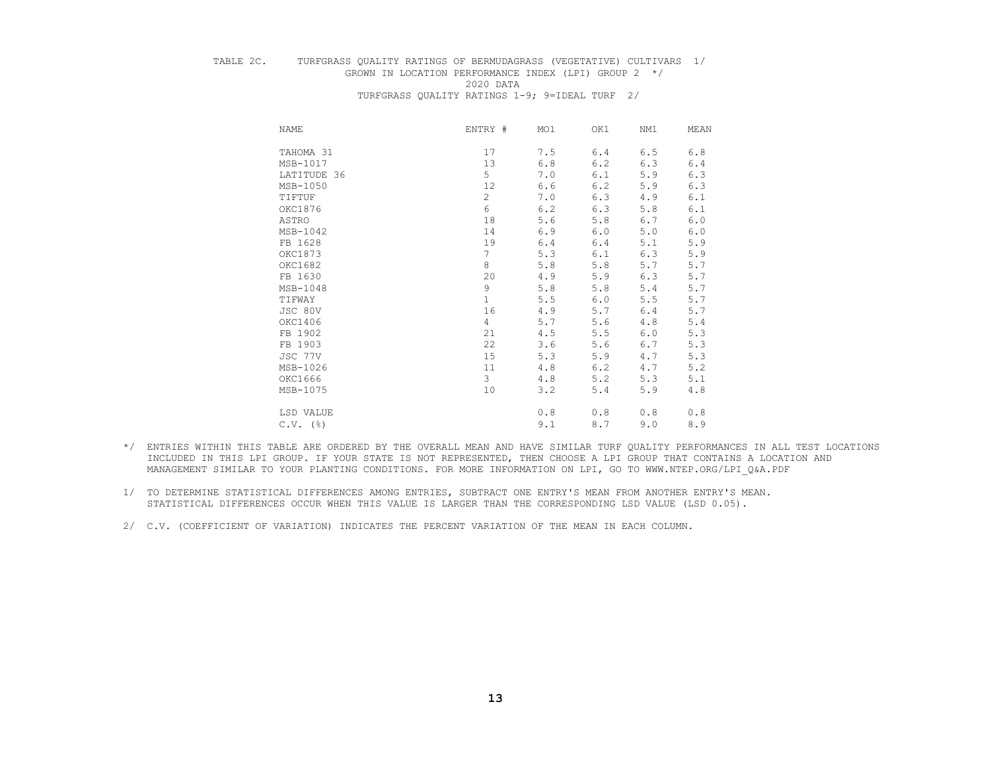# TABLE 2C. TURFGRASS QUALITY RATINGS OF BERMUDAGRASS (VEGETATIVE) CULTIVARS 1/ GROWN IN LOCATION PERFORMANCE INDEX (LPI) GROUP  $2 \times / 2020$  DATA

 2020 DATA TURFGRASS QUALITY RATINGS 1-9; 9=IDEAL TURF 2/

| NAME            | ENTRY #        | MO1 | OK1   | NM1   | MEAN  |
|-----------------|----------------|-----|-------|-------|-------|
| TAHOMA 31       | 17             | 7.5 | 6.4   | 6.5   | $6.8$ |
| MSB-1017        | 13             | 6.8 | 6.2   | 6.3   | 6.4   |
| LATITUDE 36     | 5              | 7.0 | 6.1   | 5.9   | 6.3   |
| MSB-1050        | 12             | 6.6 | 6.2   | 5.9   | 6.3   |
| TIFTUF          | $\overline{c}$ | 7.0 | 6.3   | 4.9   | 6.1   |
| OKC1876         | 6              | 6.2 | 6.3   | 5.8   | 6.1   |
| ASTRO           | 18             | 5.6 | 5.8   | 6.7   | 6.0   |
| MSB-1042        | 14             | 6.9 | 6.0   | 5.0   | 6.0   |
| FB 1628         | 19             | 6.4 | 6.4   | 5.1   | 5.9   |
| OKC1873         | $\overline{7}$ | 5.3 | 6.1   | 6.3   | 5.9   |
| OKC1682         | 8              | 5.8 | 5.8   | $5.7$ | 5.7   |
| FB 1630         | 20             | 4.9 | 5.9   | 6.3   | 5.7   |
| MSB-1048        | 9              | 5.8 | 5.8   | 5.4   | 5.7   |
| TIFWAY          | $\mathbf{1}$   | 5.5 | 6.0   | 5.5   | 5.7   |
| JSC 80V         | 16             | 4.9 | 5.7   | 6.4   | 5.7   |
| OKC1406         | 4              | 5.7 | 5.6   | 4.8   | 5.4   |
| FB 1902         | 21             | 4.5 | $5.5$ | 6.0   | 5.3   |
| FB 1903         | 22             | 3.6 | 5.6   | 6.7   | 5.3   |
| JSC 77V         | 15             | 5.3 | 5.9   | 4.7   | 5.3   |
| MSB-1026        | 11             | 4.8 | $6.2$ | 4.7   | 5.2   |
| OKC1666         | 3              | 4.8 | 5.2   | 5.3   | 5.1   |
| MSB-1075        | 10             | 3.2 | 5.4   | 5.9   | 4.8   |
| LSD VALUE       |                | 0.8 | 0.8   | 0.8   | 0.8   |
| $C.V.$ ( $\S$ ) |                | 9.1 | 8.7   | 9.0   | 8.9   |

- \*/ ENTRIES WITHIN THIS TABLE ARE ORDERED BY THE OVERALL MEAN AND HAVE SIMILAR TURF QUALITY PERFORMANCES IN ALL TEST LOCATIONS INCLUDED IN THIS LPI GROUP. IF YOUR STATE IS NOT REPRESENTED, THEN CHOOSE A LPI GROUP THAT CONTAINS A LOCATION AND MANAGEMENT SIMILAR TO YOUR PLANTING CONDITIONS. FOR MORE INFORMATION ON LPI, GO TO WWW.NTEP.ORG/LPI\_Q&A.PDF
- 1/ TO DETERMINE STATISTICAL DIFFERENCES AMONG ENTRIES, SUBTRACT ONE ENTRY'S MEAN FROM ANOTHER ENTRY'S MEAN. STATISTICAL DIFFERENCES OCCUR WHEN THIS VALUE IS LARGER THAN THE CORRESPONDING LSD VALUE (LSD 0.05).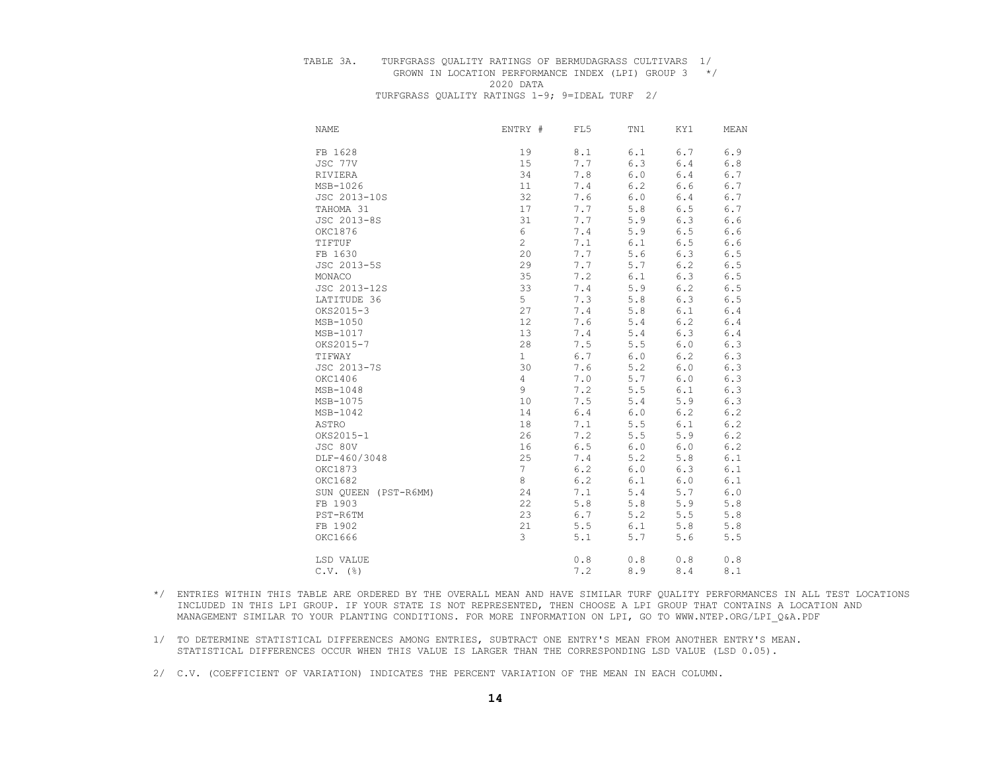## TABLE 3A. TURFGRASS QUALITY RATINGS OF BERMUDAGRASS CULTIVARS 1/

# GROWN IN LOCATION PERFORMANCE INDEX (LPI) GROUP 3 \*/ 2020 DATA

| <b>NAME</b>  | ENTRY #                    | FL5   | TN1   | KY1         | MEAN  |
|--------------|----------------------------|-------|-------|-------------|-------|
| FB 1628      | 19                         | 8.1   | 6.1   | 6.7         | 6.9   |
| JSC 77V      | 15                         | 7.7   | 6.3   | $6.4$       | $6.8$ |
| RIVIERA      | 34                         | 7.8   | 6.0   | 6.4         | 6.7   |
| MSB-1026     | 11                         | 7.4   | 6.2   | 6.6         | 6.7   |
| JSC 2013-10S | 32                         | 7.6   | 6.0   | 6.4         | 6.7   |
| TAHOMA 31    | 17                         | 7.7   | 5.8   | $6.5$       | 6.7   |
| JSC 2013-8S  | 31                         | 7.7   | 5.9   | 6.3         | 6.6   |
| OKC1876      | 6                          | 7.4   | 5.9   | 6.5         | $6.6$ |
| TIFTUF       | $\overline{c}$             | 7.1   | 6.1   | $6.5$       | 6.6   |
| FB 1630      | 20                         | 7.7   | 5.6   | 6.3         | $6.5$ |
| JSC 2013-5S  | 29                         | 7.7   | 5.7   | 6.2         | $6.5$ |
| MONACO       | 35                         | 7.2   | 6.1   | 6.3         | 6.5   |
| JSC 2013-12S | 33                         | 7.4   | 5.9   | 6.2         | $6.5$ |
| LATITUDE 36  | 5                          | 7.3   | 5.8   | 6.3         | 6.5   |
| OKS2015-3    | 27                         | 7.4   | 5.8   | $6.1$       | 6.4   |
| MSB-1050     | 12                         | 7.6   | 5.4   | 6.2         | 6.4   |
| MSB-1017     | 13                         | 7.4   | 5.4   | 6.3         | 6.4   |
| OKS2015-7    | 28                         | 7.5   | 5.5   | $6.0$       | 6.3   |
| TIFWAY       | $\mathbf{1}$               | 6.7   | $6.0$ | 6.2         | 6.3   |
| JSC 2013-7S  | 30                         | 7.6   | 5.2   | 6.0         | 6.3   |
| OKC1406      | 4                          | 7.0   | 5.7   | $6.0$       | 6.3   |
| $MSB-1048$   | 9                          | 7.2   | 5.5   | 6.1         | 6.3   |
| MSB-1075     | 10                         | 7.5   | 5.4   | 5.9         | 6.3   |
| MSB-1042     | 14                         | $6.4$ | 6.0   | 6.2         | 6.2   |
| ASTRO        | 18                         | 7.1   | 5.5   | 6.1         | 6.2   |
| OKS2015-1    | 26                         | 7.2   | 5.5   | 5.9         | 6.2   |
| JSC 80V      | 16                         | 6.5   | $6.0$ | $6.0$       | 6.2   |
| DLF-460/3048 | 25                         | 7.4   | 5.2   | 5.8         | 6.1   |
| OKC1873      | 7                          | 6.2   | 6.0   | 6.3         | 6.1   |
| OKC1682      | 8                          | $6.2$ | 6.1   | 6.0         | 6.1   |
|              | 24<br>SUN QUEEN (PST-R6MM) | 7.1   | 5.4   | 5.7         | 6.0   |
| FB 1903      | 22                         | 5.8   | 5.8   | 5.9         | 5.8   |
| PST-R6TM     | 23                         | 6.7   | 5.2   | 5.5         | 5.8   |
| FB 1902      | 21                         | 5.5   | 6.1   | $5.8$       | 5.8   |
| OKC1666      | 3                          | 5.1   | 5.7   | 5.6         | 5.5   |
| LSD VALUE    |                            | 0.8   | 0.8   | 0.8         | 0.8   |
| $C.V.$ (%)   |                            | 7.2   | 8.9   | $\,8$ . $4$ | 8.1   |

- \*/ ENTRIES WITHIN THIS TABLE ARE ORDERED BY THE OVERALL MEAN AND HAVE SIMILAR TURF QUALITY PERFORMANCES IN ALL TEST LOCATIONS INCLUDED IN THIS LPI GROUP. IF YOUR STATE IS NOT REPRESENTED, THEN CHOOSE A LPI GROUP THAT CONTAINS A LOCATION AND MANAGEMENT SIMILAR TO YOUR PLANTING CONDITIONS. FOR MORE INFORMATION ON LPI, GO TO WWW.NTEP.ORG/LPI\_Q&A.PDF
- 1/ TO DETERMINE STATISTICAL DIFFERENCES AMONG ENTRIES, SUBTRACT ONE ENTRY'S MEAN FROM ANOTHER ENTRY'S MEAN. STATISTICAL DIFFERENCES OCCUR WHEN THIS VALUE IS LARGER THAN THE CORRESPONDING LSD VALUE (LSD 0.05).
- 2/ C.V. (COEFFICIENT OF VARIATION) INDICATES THE PERCENT VARIATION OF THE MEAN IN EACH COLUMN.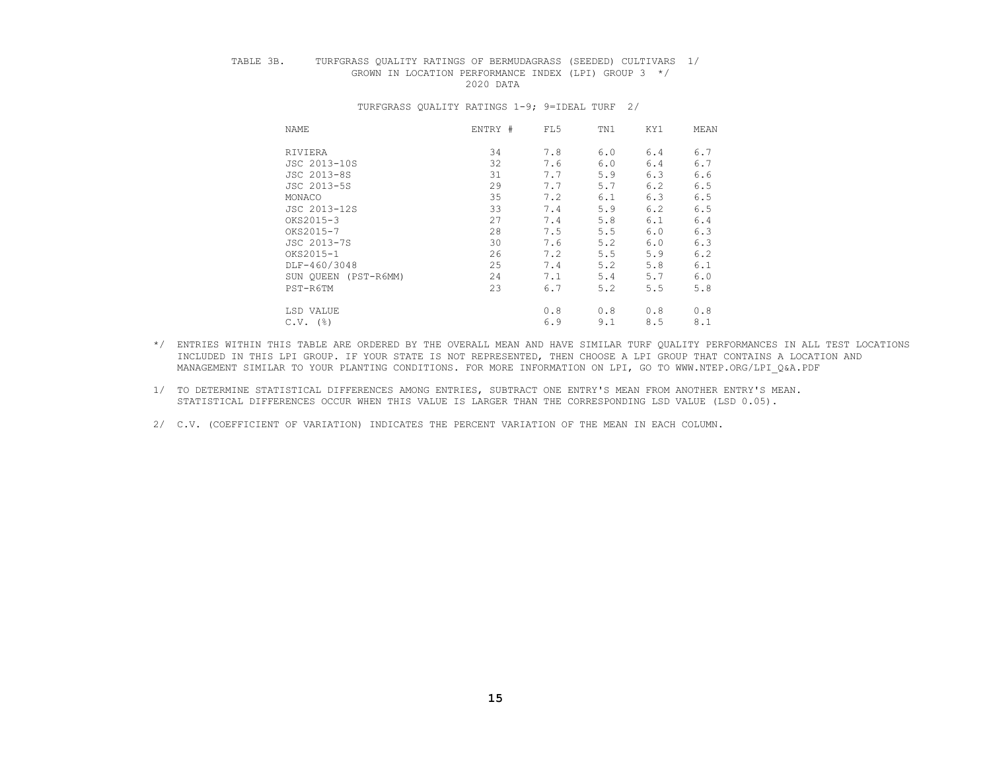## TABLE 3B. TURFGRASS QUALITY RATINGS OF BERMUDAGRASS (SEEDED) CULTIVARS 1/ GROWN IN LOCATION PERFORMANCE INDEX (LPI) GROUP  $3 \times / 2020$  DATA 2020 DATA

| NAME                 | ENTRY # | FL5 | TN1 | KY1 | MEAN |
|----------------------|---------|-----|-----|-----|------|
| RIVIERA              | 34      | 7.8 | 6.0 | 6.4 | 6.7  |
| JSC 2013-10S         | 32      | 7.6 | 6.0 | 6.4 | 6.7  |
| JSC 2013-8S          | 31      | 7.7 | 5.9 | 6.3 | 6.6  |
| JSC 2013-5S          | 29      | 7.7 | 5.7 | 6.2 | 6.5  |
| MONACO               | 35      | 7.2 | 6.1 | 6.3 | 6.5  |
| JSC 2013-12S         | 33      | 7.4 | 5.9 | 6.2 | 6.5  |
| OKS2015-3            | 27      | 7.4 | 5.8 | 6.1 | 6.4  |
| OKS2015-7            | 28      | 7.5 | 5.5 | 6.0 | 6.3  |
| JSC 2013-7S          | 30      | 7.6 | 5.2 | 6.0 | 6.3  |
| OKS2015-1            | 26      | 7.2 | 5.5 | 5.9 | 6.2  |
| DLF-460/3048         | 25      | 7.4 | 5.2 | 5.8 | 6.1  |
| SUN OUEEN (PST-R6MM) | 24      | 7.1 | 5.4 | 5.7 | 6.0  |
| PST-R6TM             | 23      | 6.7 | 5.2 | 5.5 | 5.8  |
| LSD VALUE            |         | 0.8 | 0.8 | 0.8 | 0.8  |
| $C.V.$ (%)           |         | 6.9 | 9.1 | 8.5 | 8.1  |

- \*/ ENTRIES WITHIN THIS TABLE ARE ORDERED BY THE OVERALL MEAN AND HAVE SIMILAR TURF QUALITY PERFORMANCES IN ALL TEST LOCATIONS INCLUDED IN THIS LPI GROUP. IF YOUR STATE IS NOT REPRESENTED, THEN CHOOSE A LPI GROUP THAT CONTAINS A LOCATION AND MANAGEMENT SIMILAR TO YOUR PLANTING CONDITIONS. FOR MORE INFORMATION ON LPI, GO TO WWW.NTEP.ORG/LPI\_Q&A.PDF
- 1/ TO DETERMINE STATISTICAL DIFFERENCES AMONG ENTRIES, SUBTRACT ONE ENTRY'S MEAN FROM ANOTHER ENTRY'S MEAN. STATISTICAL DIFFERENCES OCCUR WHEN THIS VALUE IS LARGER THAN THE CORRESPONDING LSD VALUE (LSD 0.05).
- 2/ C.V. (COEFFICIENT OF VARIATION) INDICATES THE PERCENT VARIATION OF THE MEAN IN EACH COLUMN.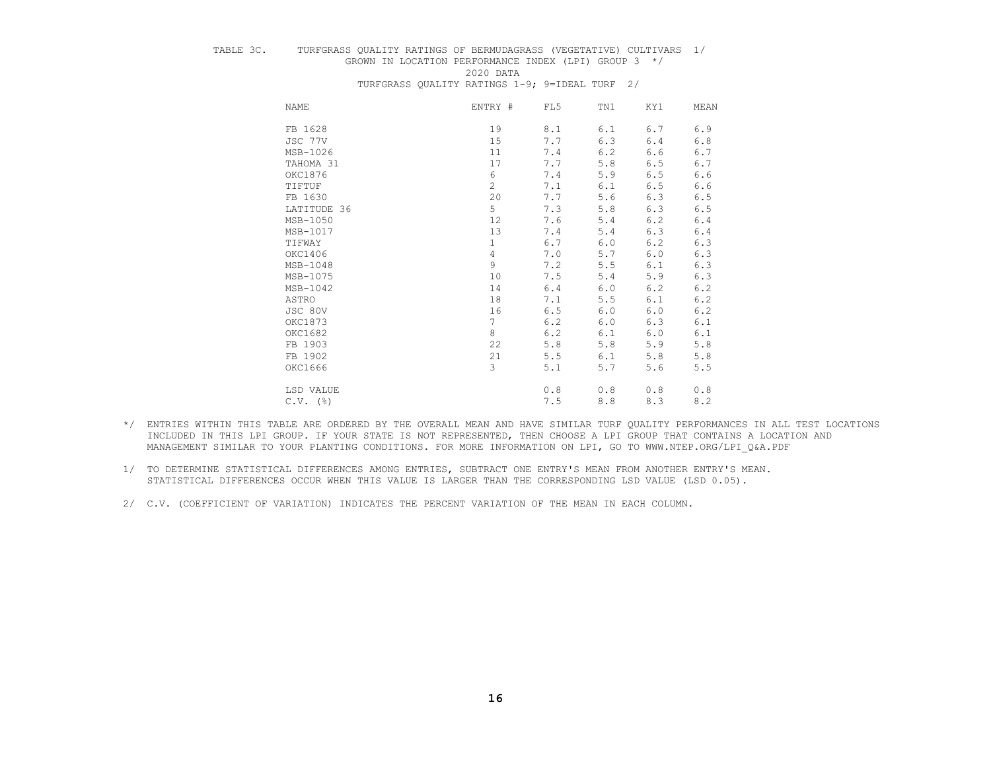# TABLE 3C. TURFGRASS QUALITY RATINGS OF BERMUDAGRASS (VEGETATIVE) CULTIVARS 1/

# GROWN IN LOCATION PERFORMANCE INDEX (LPI) GROUP  $3 \times / 2020$  DATA

2020 DATA

TURFGRASS QUALITY RATINGS 1-9; 9=IDEAL TURF 2/

| NAME            | ENTRY #        | FL5 | TN1   | KY1 | MEAN  |
|-----------------|----------------|-----|-------|-----|-------|
| FB 1628         | 19             | 8.1 | 6.1   | 6.7 | 6.9   |
| JSC 77V         | 15             | 7.7 | 6.3   | 6.4 | 6.8   |
| MSB-1026        | 11             | 7.4 | 6.2   | 6.6 | $6.7$ |
| TAHOMA 31       | 17             | 7.7 | 5.8   | 6.5 | 6.7   |
| OKC1876         | 6              | 7.4 | 5.9   | 6.5 | 6.6   |
| TIFTUF          | $\overline{c}$ | 7.1 | 6.1   | 6.5 | 6.6   |
| FB 1630         | 20             | 7.7 | 5.6   | 6.3 | $6.5$ |
| LATITUDE 36     | 5              | 7.3 | 5.8   | 6.3 | $6.5$ |
| MSB-1050        | 12             | 7.6 | 5.4   | 6.2 | 6.4   |
| MSB-1017        | 13             | 7.4 | 5.4   | 6.3 | 6.4   |
| TIFWAY          | $\mathbf 1$    | 6.7 | 6.0   | 6.2 | 6.3   |
| OKC1406         | $\overline{4}$ | 7.0 | 5.7   | 6.0 | 6.3   |
| MSB-1048        | 9              | 7.2 | 5.5   | 6.1 | 6.3   |
| MSB-1075        | 10             | 7.5 | 5.4   | 5.9 | 6.3   |
| MSB-1042        | 14             | 6.4 | 6.0   | 6.2 | 6.2   |
| ASTRO           | 18             | 7.1 | 5.5   | 6.1 | 6.2   |
| JSC 80V         | 16             | 6.5 | 6.0   | 6.0 | 6.2   |
| OKC1873         | $\overline{7}$ | 6.2 | 6.0   | 6.3 | 6.1   |
| OKC1682         | 8              | 6.2 | 6.1   | 6.0 | 6.1   |
| FB 1903         | 22             | 5.8 | 5.8   | 5.9 | 5.8   |
| FB 1902         | 21             | 5.5 | 6.1   | 5.8 | 5.8   |
| OKC1666         | 3              | 5.1 | 5.7   | 5.6 | 5.5   |
| LSD VALUE       |                | 0.8 | 0.8   | 0.8 | 0.8   |
| $C.V.$ ( $\S$ ) |                | 7.5 | $8.8$ | 8.3 | 8.2   |

- \*/ ENTRIES WITHIN THIS TABLE ARE ORDERED BY THE OVERALL MEAN AND HAVE SIMILAR TURF QUALITY PERFORMANCES IN ALL TEST LOCATIONS INCLUDED IN THIS LPI GROUP. IF YOUR STATE IS NOT REPRESENTED, THEN CHOOSE A LPI GROUP THAT CONTAINS A LOCATION AND MANAGEMENT SIMILAR TO YOUR PLANTING CONDITIONS. FOR MORE INFORMATION ON LPI, GO TO WWW.NTEP.ORG/LPI\_Q&A.PDF
- 1/ TO DETERMINE STATISTICAL DIFFERENCES AMONG ENTRIES, SUBTRACT ONE ENTRY'S MEAN FROM ANOTHER ENTRY'S MEAN. STATISTICAL DIFFERENCES OCCUR WHEN THIS VALUE IS LARGER THAN THE CORRESPONDING LSD VALUE (LSD 0.05).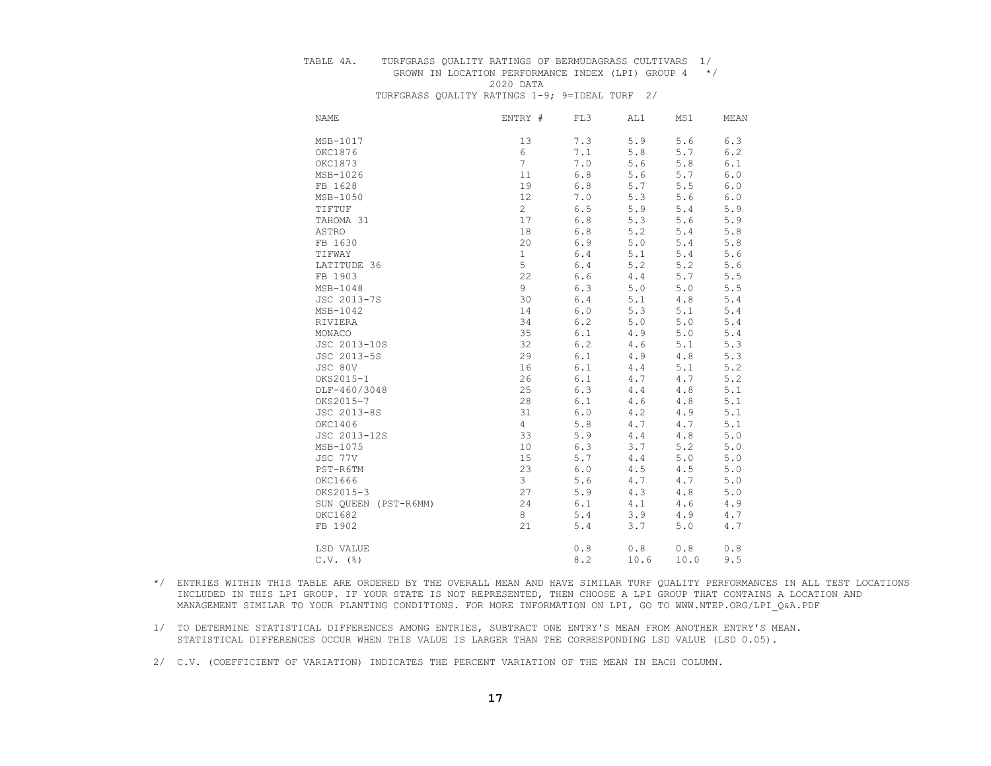#### TABLE 4A. TURFGRASS QUALITY RATINGS OF BERMUDAGRASS CULTIVARS 1/

# GROWN IN LOCATION PERFORMANCE INDEX (LPI) GROUP 4 \*/ 2020 DATA

| <b>NAME</b>          | ENTRY #         | FL3     | AL1  | MS1   | MEAN  |
|----------------------|-----------------|---------|------|-------|-------|
| MSB-1017             | 13              | 7.3     | 5.9  | 5.6   | 6.3   |
| OKC1876              | 6               | 7.1     | 5.8  | 5.7   | 6.2   |
| OKC1873              | $7\overline{ }$ | 7.0     | 5.6  | 5.8   | 6.1   |
| MSB-1026             | 11              | $6.8$   | 5.6  | 5.7   | 6.0   |
| FB 1628              | 19              | $6.8$   | 5.7  | 5.5   | 6.0   |
| MSB-1050             | 12              | 7.0     | 5.3  | 5.6   | 6.0   |
| TIFTUF               | $\overline{2}$  | 6.5     | 5.9  | 5.4   | 5.9   |
| TAHOMA 31            | 17              | $6.8$   | 5.3  | 5.6   | 5.9   |
| ASTRO                | 18              | $6.8$   | 5.2  | 5.4   | 5.8   |
| FB 1630              | 20              | 6.9     | 5.0  | 5.4   | 5.8   |
| TIFWAY               | $\mathbf{1}$    | 6.4     | 5.1  | 5.4   | 5.6   |
| LATITUDE 36          | 5               | $6.4$   | 5.2  | 5.2   | 5.6   |
| FB 1903              | 22              | $6.6$   | 4.4  | 5.7   | 5.5   |
| MSB-1048             | 9               | 6.3     | 5.0  | 5.0   | 5.5   |
| JSC 2013-7S          | 30              | $6.4$   | 5.1  | 4.8   | 5.4   |
| MSB-1042             | 14              | $6.0$   | 5.3  | 5.1   | 5.4   |
| RIVIERA              | 34              | 6.2     | 5.0  | $5.0$ | 5.4   |
| MONACO               | 35              | 6.1     | 4.9  | 5.0   | 5.4   |
| JSC 2013-10S         | 32              | 6.2     | 4.6  | 5.1   | 5.3   |
| JSC 2013-5S          | 29              | 6.1     | 4.9  | $4.8$ | 5.3   |
| JSC 80V              | 16              | $6.1$   | 4.4  | 5.1   | 5.2   |
| OKS2015-1            | 26              | $6.1$   | 4.7  | 4.7   | 5.2   |
| DLF-460/3048         | 25              | 6.3     | 4.4  | 4.8   | 5.1   |
| OKS2015-7            | 28              | 6.1     | 4.6  | 4.8   | 5.1   |
| JSC 2013-8S          | 31              | $6.0$   | 4.2  | 4.9   | 5.1   |
| OKC1406              | 4               | 5.8     | 4.7  | 4.7   | 5.1   |
| JSC 2013-12S         | 33              | 5.9     | 4.4  | 4.8   | 5.0   |
| MSB-1075             | 10              | 6.3     | 3.7  | 5.2   | 5.0   |
| JSC 77V              | 15              | 5.7     | 4.4  | 5.0   | 5.0   |
| PST-R6TM             | 23              | $6.0$   | 4.5  | 4.5   | $5.0$ |
| OKC1666              | 3               | 5.6     | 4.7  | 4.7   | 5.0   |
| OKS2015-3            | 27              | 5.9     | 4.3  | 4.8   | 5.0   |
| SUN QUEEN (PST-R6MM) | 24              | 6.1     | 4.1  | 4.6   | 4.9   |
| OKC1682              | 8               | 5.4     | 3.9  | 4.9   | $4.7$ |
| FB 1902              | 21              | $5.4\,$ | 3.7  | 5.0   | 4.7   |
| LSD VALUE            |                 | 0.8     | 0.8  | 0.8   | 0.8   |
| $C.V.$ ( $\S$ )      |                 | 8.2     | 10.6 | 10.0  | 9.5   |

- \*/ ENTRIES WITHIN THIS TABLE ARE ORDERED BY THE OVERALL MEAN AND HAVE SIMILAR TURF QUALITY PERFORMANCES IN ALL TEST LOCATIONS INCLUDED IN THIS LPI GROUP. IF YOUR STATE IS NOT REPRESENTED, THEN CHOOSE A LPI GROUP THAT CONTAINS A LOCATION AND MANAGEMENT SIMILAR TO YOUR PLANTING CONDITIONS. FOR MORE INFORMATION ON LPI, GO TO WWW.NTEP.ORG/LPI\_Q&A.PDF
- 1/ TO DETERMINE STATISTICAL DIFFERENCES AMONG ENTRIES, SUBTRACT ONE ENTRY'S MEAN FROM ANOTHER ENTRY'S MEAN. STATISTICAL DIFFERENCES OCCUR WHEN THIS VALUE IS LARGER THAN THE CORRESPONDING LSD VALUE (LSD 0.05).
- 2/ C.V. (COEFFICIENT OF VARIATION) INDICATES THE PERCENT VARIATION OF THE MEAN IN EACH COLUMN.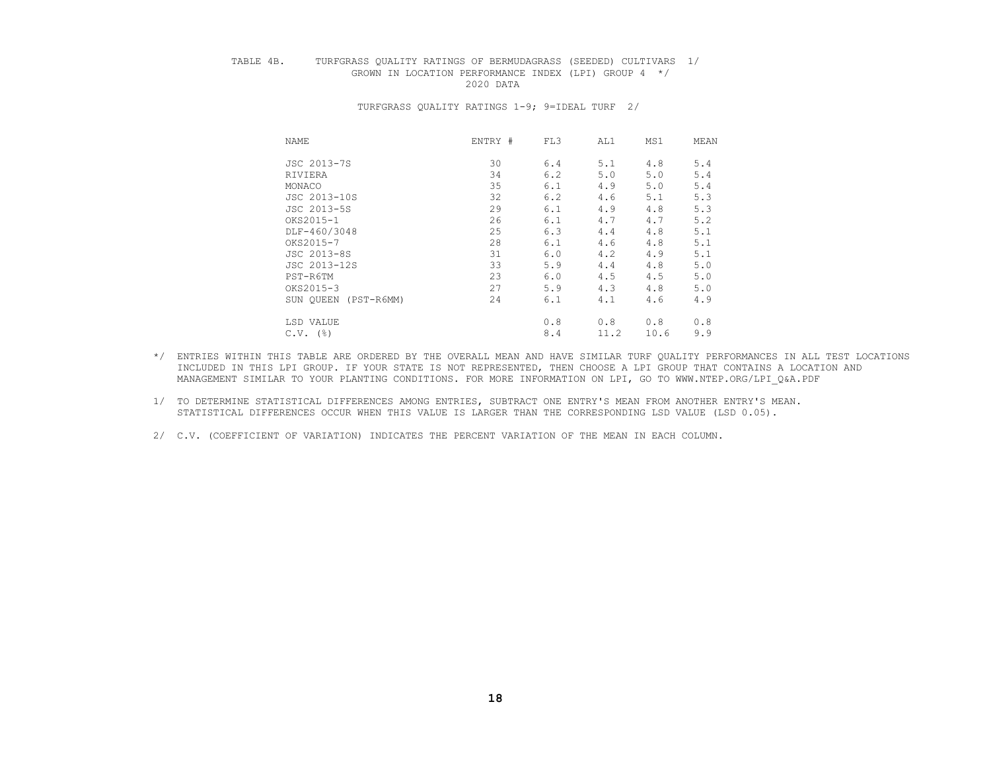## TABLE 4B. TURFGRASS QUALITY RATINGS OF BERMUDAGRASS (SEEDED) CULTIVARS 1/ GROWN IN LOCATION PERFORMANCE INDEX (LPI) GROUP  $4 \times / 2020$  DATA 2020 DATA

| NAME            | ENTRY #    | FL3       | AL1 | MS1          | MEAN |
|-----------------|------------|-----------|-----|--------------|------|
| JSC 2013-7S     |            | 30<br>6.4 | 5.1 | 4.8          | 5.4  |
| RIVIERA         |            | 34<br>6.2 | 5.0 | 5.0          | 5.4  |
| MONACO          |            | 35<br>6.1 | 4.9 | 5.0          | 5.4  |
| JSC 2013-10S    |            | 32<br>6.2 | 4.6 | 5.1          | 5.3  |
| JSC 2013-5S     |            | 29<br>6.1 | 4.9 | 4.8          | 5.3  |
| OKS2015-1       |            | 26<br>6.1 | 4.7 | 4.7          | 5.2  |
| DLF-460/3048    |            | 25<br>6.3 | 4.4 | 4.8          | 5.1  |
| OKS2015-7       |            | 28<br>6.1 | 4.6 | 4.8          | 5.1  |
| JSC 2013-8S     |            | 31<br>6.0 | 4.2 | 4.9          | 5.1  |
| JSC 2013-12S    |            | 33<br>5.9 | 4.4 | 4.8          | 5.0  |
| PST-R6TM        |            | 23<br>6.0 | 4.5 | 4.5          | 5.0  |
| OKS2015-3       |            | 27<br>5.9 | 4.3 | 4.8          | 5.0  |
| SUN OUEEN       | (PST-R6MM) | 24<br>6.1 | 4.1 | 4.6          | 4.9  |
| LSD VALUE       |            | 0.8       | 0.8 | 0.8          | 0.8  |
| $C.V.$ ( $\S$ ) |            | 8.4       |     | 11.2<br>10.6 | 9.9  |

- \*/ ENTRIES WITHIN THIS TABLE ARE ORDERED BY THE OVERALL MEAN AND HAVE SIMILAR TURF QUALITY PERFORMANCES IN ALL TEST LOCATIONS INCLUDED IN THIS LPI GROUP. IF YOUR STATE IS NOT REPRESENTED, THEN CHOOSE A LPI GROUP THAT CONTAINS A LOCATION AND MANAGEMENT SIMILAR TO YOUR PLANTING CONDITIONS. FOR MORE INFORMATION ON LPI, GO TO WWW.NTEP.ORG/LPI\_Q&A.PDF
- 1/ TO DETERMINE STATISTICAL DIFFERENCES AMONG ENTRIES, SUBTRACT ONE ENTRY'S MEAN FROM ANOTHER ENTRY'S MEAN. STATISTICAL DIFFERENCES OCCUR WHEN THIS VALUE IS LARGER THAN THE CORRESPONDING LSD VALUE (LSD 0.05).
- 2/ C.V. (COEFFICIENT OF VARIATION) INDICATES THE PERCENT VARIATION OF THE MEAN IN EACH COLUMN.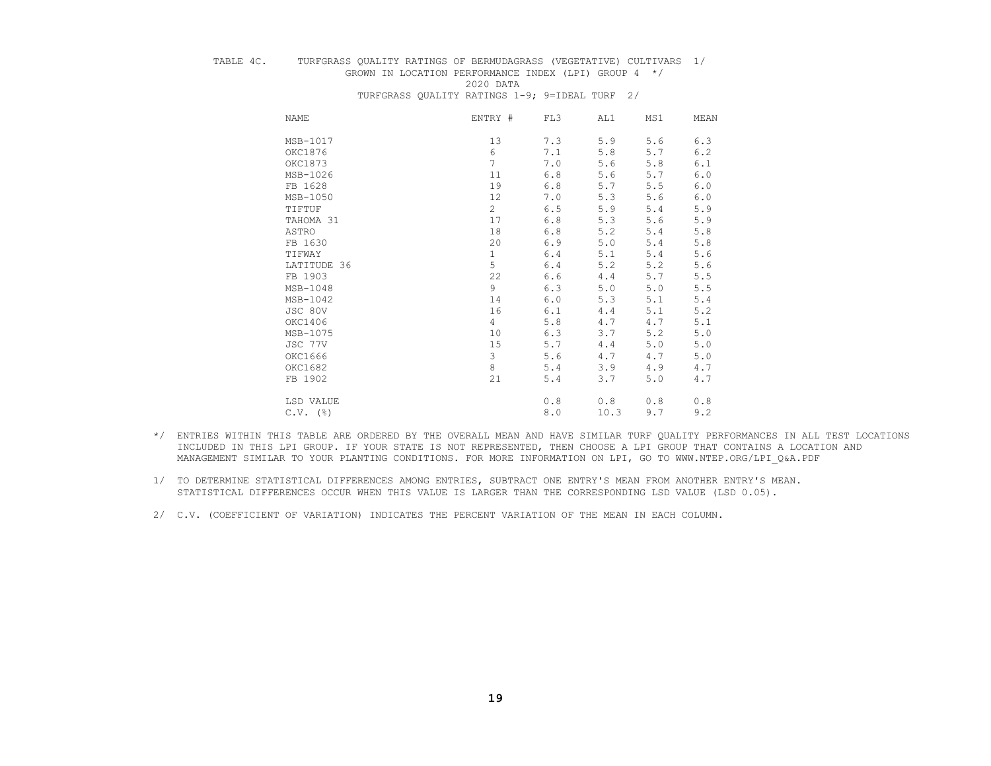# TABLE 4C. TURFGRASS QUALITY RATINGS OF BERMUDAGRASS (VEGETATIVE) CULTIVARS 1/ GROWN IN LOCATION PERFORMANCE INDEX (LPI) GROUP  $4 \times / 2020$  DATA

 2020 DATA TURFGRASS QUALITY RATINGS 1-9; 9=IDEAL TURF 2/

| NAME        | ENTRY #         | FL3 | AL1   | MS1   | MEAN  |
|-------------|-----------------|-----|-------|-------|-------|
| MSB-1017    | 13              | 7.3 | 5.9   | 5.6   | 6.3   |
| OKC1876     | $\epsilon$      | 7.1 | 5.8   | 5.7   | 6.2   |
| OKC1873     | $7\overline{ }$ | 7.0 | 5.6   | 5.8   | 6.1   |
| MSB-1026    | 11              | 6.8 | 5.6   | 5.7   | 6.0   |
| FB 1628     | 19              | 6.8 | 5.7   | 5.5   | 6.0   |
| MSB-1050    | 12              | 7.0 | 5.3   | 5.6   | 6.0   |
| TIFTUF      | $\overline{c}$  | 6.5 | 5.9   | 5.4   | 5.9   |
| TAHOMA 31   | 17              | 6.8 | 5.3   | 5.6   | 5.9   |
| ASTRO       | 18              | 6.8 | 5.2   | 5.4   | 5.8   |
| FB 1630     | 20              | 6.9 | $5.0$ | 5.4   | 5.8   |
| TIFWAY      | $\mathbf{1}$    | 6.4 | 5.1   | 5.4   | 5.6   |
| LATITUDE 36 | 5               | 6.4 | 5.2   | 5.2   | 5.6   |
| FB 1903     | 22              | 6.6 | 4.4   | 5.7   | 5.5   |
| MSB-1048    | 9               | 6.3 | $5.0$ | 5.0   | $5.5$ |
| MSB-1042    | 14              | 6.0 | 5.3   | 5.1   | 5.4   |
| JSC 80V     | 16              | 6.1 | 4.4   | 5.1   | 5.2   |
| OKC1406     | $\overline{4}$  | 5.8 | 4.7   | 4.7   | 5.1   |
| MSB-1075    | 10              | 6.3 | 3.7   | 5.2   | 5.0   |
| JSC 77V     | 15              | 5.7 | 4.4   | 5.0   | 5.0   |
| OKC1666     | 3               | 5.6 | 4.7   | 4.7   | 5.0   |
| OKC1682     | 8               | 5.4 | 3.9   | 4.9   | 4.7   |
| FB 1902     | 21              | 5.4 | 3.7   | $5.0$ | 4.7   |
| LSD VALUE   |                 | 0.8 | 0.8   | 0.8   | 0.8   |
| $C.V.$ (%)  |                 | 8.0 | 10.3  | 9.7   | 9.2   |

- \*/ ENTRIES WITHIN THIS TABLE ARE ORDERED BY THE OVERALL MEAN AND HAVE SIMILAR TURF QUALITY PERFORMANCES IN ALL TEST LOCATIONS INCLUDED IN THIS LPI GROUP. IF YOUR STATE IS NOT REPRESENTED, THEN CHOOSE A LPI GROUP THAT CONTAINS A LOCATION AND MANAGEMENT SIMILAR TO YOUR PLANTING CONDITIONS. FOR MORE INFORMATION ON LPI, GO TO WWW.NTEP.ORG/LPI\_Q&A.PDF
- 1/ TO DETERMINE STATISTICAL DIFFERENCES AMONG ENTRIES, SUBTRACT ONE ENTRY'S MEAN FROM ANOTHER ENTRY'S MEAN. STATISTICAL DIFFERENCES OCCUR WHEN THIS VALUE IS LARGER THAN THE CORRESPONDING LSD VALUE (LSD 0.05).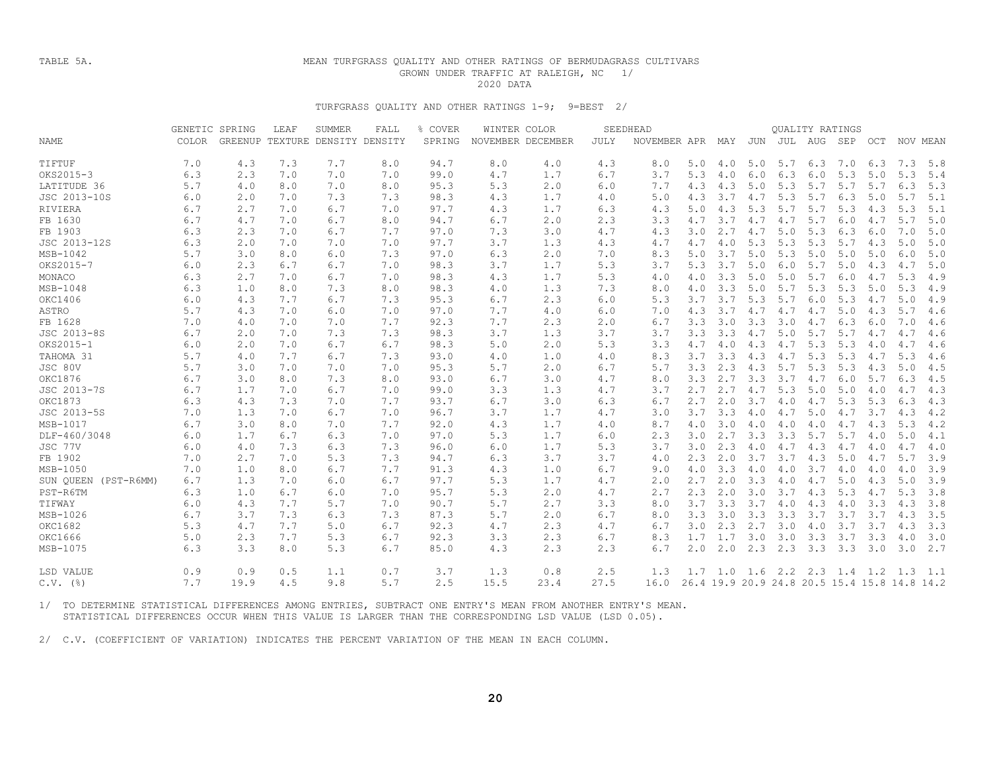## TABLE 5A. MEAN TURFGRASS QUALITY AND OTHER RATINGS OF BERMUDAGRASS CULTIVARS GROWN UNDER TRAFFIC AT RALEIGH, NC 1/<br>2020 DATA 2020 DATA

### TURFGRASS QUALITY AND OTHER RATINGS 1-9; 9=BEST 2/

|                      | GENETIC SPRING |      | LEAF | SUMMER                          | FALL | % COVER | WINTER COLOR |                   |             | SEEDHEAD     |     |     |     |         | QUALITY RATINGS |     |     |                                              |     |
|----------------------|----------------|------|------|---------------------------------|------|---------|--------------|-------------------|-------------|--------------|-----|-----|-----|---------|-----------------|-----|-----|----------------------------------------------|-----|
| <b>NAME</b>          | <b>COLOR</b>   |      |      | GREENUP TEXTURE DENSITY DENSITY |      | SPRING  |              | NOVEMBER DECEMBER | <b>JULY</b> | NOVEMBER APR |     | MAY | JUN | JUL     | AUG             | SEP | OCT | NOV MEAN                                     |     |
|                      |                |      |      |                                 |      |         |              |                   |             |              |     |     |     |         |                 |     |     |                                              |     |
| TTFTUF               | 7.0            | 4.3  | 7.3  | 7.7                             | 8.0  | 94.7    | 8.0          | 4.0               | 4.3         | 8.0          | 5.0 | 4.0 | 5.0 | 5.7     | 6.3             | 7.0 | 6.3 | 7.3                                          | 5.8 |
| OKS2015-3            | 6.3            | 2.3  | 7.0  | 7.0                             | 7.0  | 99.0    | 4.7          | 1.7               | 6.7         | 3.7          | 5.3 | 4.0 | 6.0 | 6.3     | 6.0             | 5.3 | 5.0 | 5.3                                          | 5.4 |
| LATITUDE 36          | 5.7            | 4.0  | 8.0  | 7.0                             | 8.0  | 95.3    | 5.3          | 2.0               | 6.0         | 7.7          | 4.3 | 4.3 | 5.0 | 5.3     | 5.7             | 5.7 | 5.7 | 6.3                                          | 5.3 |
| JSC 2013-10S         | 6.0            | 2.0  | 7.0  | 7.3                             | 7.3  | 98.3    | 4.3          | 1.7               | 4.0         | 5.0          | 4.3 | 3.7 | 4.7 | 5.3     | 5.7             | 6.3 | 5.0 | 5.7                                          | 5.1 |
| RIVIERA              | 6.7            | 2.7  | 7.0  | 6.7                             | 7.0  | 97.7    | 4.3          | 1.7               | 6.3         | 4.3          | 5.0 | 4.3 | 5.3 | 5.7     | 5.7             | 5.3 | 4.3 | 5.3                                          | 5.1 |
| FB 1630              | 6.7            | 4.7  | 7.0  | 6.7                             | 8.0  | 94.7    | 6.7          | 2.0               | 2.3         | 3.3          | 4.7 | 3.7 | 4.7 | 4.7     | 5.7             | 6.0 | 4.7 | 5.7                                          | 5.0 |
| FB 1903              | 6.3            | 2.3  | 7.0  | 6.7                             | 7.7  | 97.0    | 7.3          | 3.0               | 4.7         | 4.3          | 3.0 | 2.7 | 4.7 | 5.0     | 5.3             | 6.3 | 6.0 | 7.0                                          | 5.0 |
| JSC 2013-12S         | 6.3            | 2.0  | 7.0  | 7.0                             | 7.0  | 97.7    | 3.7          | 1.3               | 4.3         | 4.7          | 4.7 | 4.0 | 5.3 | 5.3     | 5.3             | 5.7 | 4.3 | 5.0                                          | 5.0 |
| MSB-1042             | 5.7            | 3.0  | 8.0  | 6.0                             | 7.3  | 97.0    | 6.3          | 2.0               | 7.0         | 8.3          | 5.0 | 3.7 | 5.0 | 5.3     | 5.0             | 5.0 | 5.0 | 6.0                                          | 5.0 |
| OKS2015-7            | 6.0            | 2.3  | 6.7  | 6.7                             | 7.0  | 98.3    | 3.7          | 1.7               | 5.3         | 3.7          | 5.3 | 3.7 | 5.0 | 6.0     | 5.7             | 5.0 | 4.3 | 4.7                                          | 5.0 |
| MONACO               | 6.3            | 2.7  | 7.0  | 6.7                             | 7.0  | 98.3    | 4.3          | 1.7               | 5.3         | 4.0          | 4.0 | 3.3 | 5.0 | 5.0     | 5.7             | 6.0 | 4.7 | 5.3                                          | 4.9 |
| $MSB-1048$           | 6.3            | 1.0  | 8.0  | 7.3                             | 8.0  | 98.3    | 4.0          | 1.3               | 7.3         | 8.0          | 4.0 | 3.3 | 5.0 | 5.7     | 5.3             | 5.3 | 5.0 | 5.3                                          | 4.9 |
| OKC1406              | 6.0            | 4.3  | 7.7  | 6.7                             | 7.3  | 95.3    | 6.7          | 2.3               | 6.0         | 5.3          | 3.7 | 3.7 | 5.3 | 5.7     | 6.0             | 5.3 | 4.7 | 5.0                                          | 4.9 |
| ASTRO                | 5.7            | 4.3  | 7.0  | 6.0                             | 7.0  | 97.0    | 7.7          | 4.0               | 6.0         | 7.0          | 4.3 | 3.7 | 4.7 | 4.7     | 4.7             | 5.0 | 4.3 | 5.7                                          | 4.6 |
| FB 1628              | 7.0            | 4.0  | 7.0  | 7.0                             | 7.7  | 92.3    | 7.7          | 2.3               | 2.0         | 6.7          | 3.3 | 3.0 | 3.3 | 3.0     | 4.7             | 6.3 | 6.0 | 7.0                                          | 4.6 |
| JSC 2013-8S          | 6.7            | 2.0  | 7.0  | 7.3                             | 7.3  | 98.3    | 3.7          | 1.3               | 3.7         | 3.7          | 3.3 | 3.3 | 4.7 | 5.0     | 5.7             | 5.7 | 4.7 | 4.7                                          | 4.6 |
| OKS2015-1            | 6.0            | 2.0  | 7.0  | 6.7                             | 6.7  | 98.3    | 5.0          | 2.0               | 5.3         | 3.3          | 4.7 | 4.0 | 4.3 | 4.7     | 5.3             | 5.3 | 4.0 | 4.7                                          | 4.6 |
| TAHOMA 31            | 5.7            | 4.0  | 7.7  | 6.7                             | 7.3  | 93.0    | 4.0          | 1.0               | 4.0         | 8.3          | 3.7 | 3.3 | 4.3 | 4.7     | 5.3             | 5.3 | 4.7 | 5.3                                          | 4.6 |
| JSC 80V              | 5.7            | 3.0  | 7.0  | 7.0                             | 7.0  | 95.3    | 5.7          | 2.0               | 6.7         | 5.7          | 3.3 | 2.3 | 4.3 | 5.7     | 5.3             | 5.3 | 4.3 | 5.0                                          | 4.5 |
| OKC1876              | 6.7            | 3.0  | 8.0  | 7.3                             | 8.0  | 93.0    | 6.7          | 3.0               | 4.7         | 8.0          | 3.3 | 2.7 | 3.3 | 3.7     | 4.7             | 6.0 | 5.7 | 6.3                                          | 4.5 |
| JSC 2013-7S          | 6.7            | 1.7  | 7.0  | 6.7                             | 7.0  | 99.0    | 3.3          | 1.3               | 4.7         | 3.7          | 2.7 | 2.7 | 4.7 | 5.3     | 5.0             | 5.0 | 4.0 | 4.7                                          | 4.3 |
| <b>OKC1873</b>       | 6.3            | 4.3  | 7.3  | 7.0                             | 7.7  | 93.7    | 6.7          | 3.0               | 6.3         | 6.7          | 2.7 | 2.0 | 3.7 | 4.0     | 4.7             | 5.3 | 5.3 | 6.3                                          | 4.3 |
| JSC 2013-5S          | 7.0            | 1.3  | 7.0  | 6.7                             | 7.0  | 96.7    | 3.7          | 1.7               | 4.7         | 3.0          | 3.7 | 3.3 | 4.0 | 4.7     | 5.0             | 4.7 | 3.7 | 4.3                                          | 4.2 |
| MSB-1017             | 6.7            | 3.0  | 8.0  | 7.0                             | 7.7  | 92.0    | 4.3          | 1.7               | 4.0         | 8.7          | 4.0 | 3.0 | 4.0 | 4.0     | 4.0             | 4.7 | 4.3 | 5.3                                          | 4.2 |
| DLF-460/3048         | 6.0            | 1.7  | 6.7  | 6.3                             | 7.0  | 97.0    | 5.3          | 1.7               | 6.0         | 2.3          | 3.0 | 2.7 | 3.3 | 3.3     | 5.7             | 5.7 | 4.0 | 5.0                                          | 4.1 |
| JSC 77V              | 6.0            | 4.0  | 7.3  | 6.3                             | 7.3  | 96.0    | 6.0          | 1.7               | 5.3         | 3.7          | 3.0 | 2.3 | 4.0 | 4.7     | 4.3             | 4.7 | 4.0 | 4.7                                          | 4.0 |
| FB 1902              | 7.0            | 2.7  | 7.0  | 5.3                             | 7.3  | 94.7    | 6.3          | 3.7               | 3.7         | 4.0          | 2.3 | 2.0 | 3.7 | 3.7     | 4.3             | 5.0 | 4.7 | 5.7                                          | 3.9 |
| MSB-1050             | 7.0            | 1.0  | 8.0  | 6.7                             | 7.7  | 91.3    | 4.3          | 1.0               | 6.7         | 9.0          | 4.0 | 3.3 | 4.0 | 4.0     | 3.7             | 4.0 | 4.0 | 4.0                                          | 3.9 |
| SUN OUEEN (PST-R6MM) | 6.7            | 1.3  | 7.0  | 6.0                             | 6.7  | 97.7    | 5.3          | 1.7               | 4.7         | 2.0          | 2.7 | 2.0 | 3.3 | 4.0     | 4.7             | 5.0 | 4.3 | 5.0                                          | 3.9 |
| PST-R6TM             | 6.3            | 1.0  | 6.7  | 6.0                             | 7.0  | 95.7    | 5.3          | 2.0               | 4.7         | 2.7          | 2.3 | 2.0 | 3.0 | 3.7     | 4.3             | 5.3 | 4.7 | 5.3                                          | 3.8 |
| TIFWAY               | 6.0            | 4.3  | 7.7  | 5.7                             | 7.0  | 90.7    | 5.7          | 2.7               | 3.3         | 8.0          | 3.7 | 3.3 | 3.7 | 4.0     | 4.3             | 4.0 | 3.3 | 4.3                                          | 3.8 |
| MSB-1026             | 6.7            | 3.7  | 7.3  | 6.3                             | 7.3  | 87.3    | 5.7          | 2.0               | 6.7         | 8.0          | 3.3 | 3.0 | 3.3 | 3.3     | 3.7             | 3.7 | 3.7 | 4.3                                          | 3.5 |
| OKC1682              | 5.3            | 4.7  | 7.7  | 5.0                             | 6.7  | 92.3    | 4.7          | 2.3               | 4.7         | 6.7          | 3.0 | 2.3 | 2.7 | 3.0     | 4.0             | 3.7 | 3.7 | 4.3                                          | 3.3 |
| OKC1666              | 5.0            | 2.3  | 7.7  | 5.3                             | 6.7  | 92.3    | 3.3          | 2.3               | 6.7         | 8.3          | 1.7 | 1.7 | 3.0 | 3.0     | 3.3             | 3.7 | 3.3 | 4.0                                          | 3.0 |
| MSB-1075             | 6.3            | 3.3  | 8.0  | 5.3                             | 6.7  | 85.0    | 4.3          | 2.3               | 2.3         | 6.7          | 2.0 | 2.0 | 2.3 | 2.3     | 3.3             | 3.3 | 3.0 | 3.0                                          | 2.7 |
| LSD VALUE            | 0.9            | 0.9  | 0.5  | 1.1                             | 0.7  | 3.7     | 1.3          | 0.8               | 2.5         | 1.3          | 1.7 | 1.0 | 1.6 | 2.2 2.3 |                 | 1.4 | 1.2 | 1.3                                          | 1.1 |
| $C.V.$ (%)           | 7.7            | 19.9 | 4.5  | 9.8                             | 5.7  | 2.5     | 15.5         | 23.4              | 27.5        | 16.0         |     |     |     |         |                 |     |     | 26.4 19.9 20.9 24.8 20.5 15.4 15.8 14.8 14.2 |     |

 1/ TO DETERMINE STATISTICAL DIFFERENCES AMONG ENTRIES, SUBTRACT ONE ENTRY'S MEAN FROM ANOTHER ENTRY'S MEAN. STATISTICAL DIFFERENCES OCCUR WHEN THIS VALUE IS LARGER THAN THE CORRESPONDING LSD VALUE (LSD 0.05).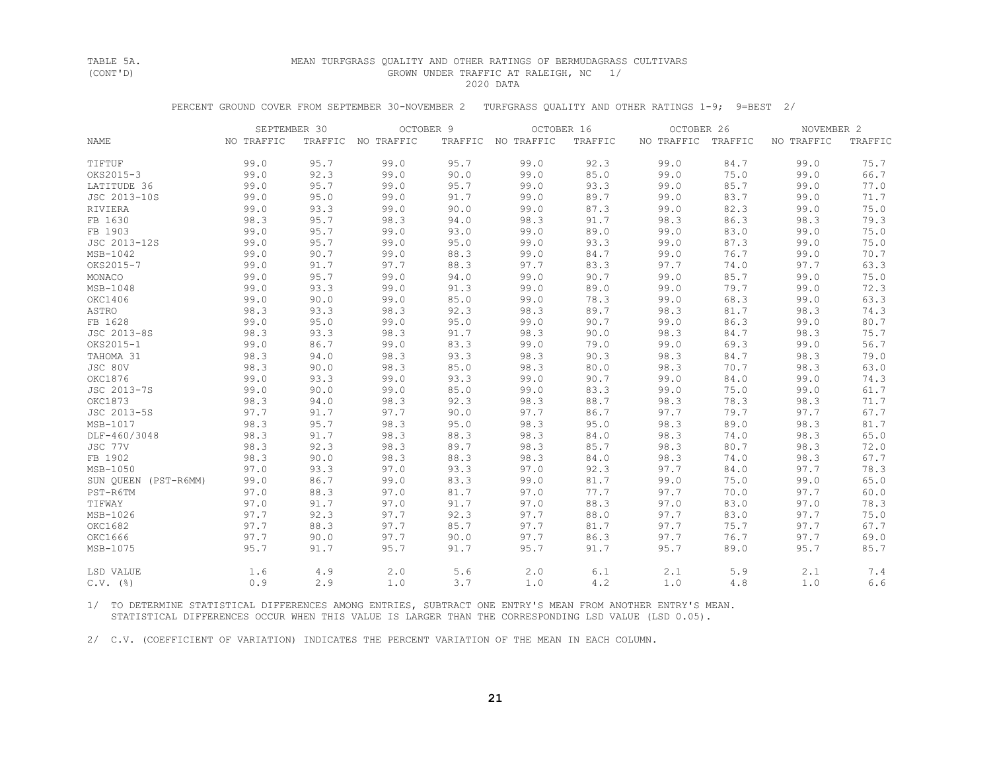#### TABLE 5A. MEAN TURFGRASS QUALITY AND OTHER RATINGS OF BERMUDAGRASS CULTIVARS GROWN UNDER TRAFFIC AT RALEIGH, NC 1/ 2020 DATA

PERCENT GROUND COVER FROM SEPTEMBER 30-NOVEMBER 2 TURFGRASS QUALITY AND OTHER RATINGS 1-9; 9=BEST 2/

|                      | SEPTEMBER 30 |      | OCTOBER 9          |      | OCTOBER 16         |         | OCTOBER 26 |         | NOVEMBER 2 |         |
|----------------------|--------------|------|--------------------|------|--------------------|---------|------------|---------|------------|---------|
| <b>NAME</b>          | NO TRAFFIC   |      | TRAFFIC NO TRAFFIC |      | TRAFFIC NO TRAFFIC | TRAFFIC | NO TRAFFIC | TRAFFIC | NO TRAFFIC | TRAFFIC |
| TIFTUF               | 99.0         | 95.7 | 99.0               | 95.7 | 99.0               | 92.3    | 99.0       | 84.7    | 99.0       | 75.7    |
| OKS2015-3            | 99.0         | 92.3 | 99.0               | 90.0 | 99.0               | 85.0    | 99.0       | 75.0    | 99.0       | 66.7    |
| LATITUDE 36          | 99.0         | 95.7 | 99.0               | 95.7 | 99.0               | 93.3    | 99.0       | 85.7    | 99.0       | 77.0    |
| JSC 2013-10S         | 99.0         | 95.0 | 99.0               | 91.7 | 99.0               | 89.7    | 99.0       | 83.7    | 99.0       | 71.7    |
| RIVIERA              | 99.0         | 93.3 | 99.0               | 90.0 | 99.0               | 87.3    | 99.0       | 82.3    | 99.0       | 75.0    |
| FB 1630              | 98.3         | 95.7 | 98.3               | 94.0 | 98.3               | 91.7    | 98.3       | 86.3    | 98.3       | 79.3    |
| FB 1903              | 99.0         | 95.7 | 99.0               | 93.0 | 99.0               | 89.0    | 99.0       | 83.0    | 99.0       | 75.0    |
| JSC 2013-12S         | 99.0         | 95.7 | 99.0               | 95.0 | 99.0               | 93.3    | 99.0       | 87.3    | 99.0       | 75.0    |
| MSB-1042             | 99.0         | 90.7 | 99.0               | 88.3 | 99.0               | 84.7    | 99.0       | 76.7    | 99.0       | 70.7    |
| OKS2015-7            | 99.0         | 91.7 | 97.7               | 88.3 | 97.7               | 83.3    | 97.7       | 74.0    | 97.7       | 63.3    |
| MONACO               | 99.0         | 95.7 | 99.0               | 94.0 | 99.0               | 90.7    | 99.0       | 85.7    | 99.0       | 75.0    |
| MSB-1048             | 99.0         | 93.3 | 99.0               | 91.3 | 99.0               | 89.0    | 99.0       | 79.7    | 99.0       | 72.3    |
| OKC1406              | 99.0         | 90.0 | 99.0               | 85.0 | 99.0               | 78.3    | 99.0       | 68.3    | 99.0       | 63.3    |
| ASTRO                | 98.3         | 93.3 | 98.3               | 92.3 | 98.3               | 89.7    | 98.3       | 81.7    | 98.3       | 74.3    |
| FB 1628              | 99.0         | 95.0 | 99.0               | 95.0 | 99.0               | 90.7    | 99.0       | 86.3    | 99.0       | 80.7    |
| JSC 2013-8S          | 98.3         | 93.3 | 98.3               | 91.7 | 98.3               | 90.0    | 98.3       | 84.7    | 98.3       | 75.7    |
| OKS2015-1            | 99.0         | 86.7 | 99.0               | 83.3 | 99.0               | 79.0    | 99.0       | 69.3    | 99.0       | 56.7    |
| TAHOMA 31            | 98.3         | 94.0 | 98.3               | 93.3 | 98.3               | 90.3    | 98.3       | 84.7    | 98.3       | 79.0    |
| JSC 80V              | 98.3         | 90.0 | 98.3               | 85.0 | 98.3               | 80.0    | 98.3       | 70.7    | 98.3       | 63.0    |
| OKC1876              | 99.0         | 93.3 | 99.0               | 93.3 | 99.0               | 90.7    | 99.0       | 84.0    | 99.0       | 74.3    |
| JSC 2013-7S          | 99.0         | 90.0 | 99.0               | 85.0 | 99.0               | 83.3    | 99.0       | 75.0    | 99.0       | 61.7    |
| OKC1873              | 98.3         | 94.0 | 98.3               | 92.3 | 98.3               | 88.7    | 98.3       | 78.3    | 98.3       | 71.7    |
| JSC 2013-5S          | 97.7         | 91.7 | 97.7               | 90.0 | 97.7               | 86.7    | 97.7       | 79.7    | 97.7       | 67.7    |
| MSB-1017             | 98.3         | 95.7 | 98.3               | 95.0 | 98.3               | 95.0    | 98.3       | 89.0    | 98.3       | 81.7    |
| DLF-460/3048         | 98.3         | 91.7 | 98.3               | 88.3 | 98.3               | 84.0    | 98.3       | 74.0    | 98.3       | 65.0    |
| JSC 77V              | 98.3         | 92.3 | 98.3               | 89.7 | 98.3               | 85.7    | 98.3       | 80.7    | 98.3       | 72.0    |
| FB 1902              | 98.3         | 90.0 | 98.3               | 88.3 | 98.3               | 84.0    | 98.3       | 74.0    | 98.3       | 67.7    |
| MSB-1050             | 97.0         | 93.3 | 97.0               | 93.3 | 97.0               | 92.3    | 97.7       | 84.0    | 97.7       | 78.3    |
| SUN OUEEN (PST-R6MM) | 99.0         | 86.7 | 99.0               | 83.3 | 99.0               | 81.7    | 99.0       | 75.0    | 99.0       | 65.0    |
| PST-R6TM             | 97.0         | 88.3 | 97.0               | 81.7 | 97.0               | 77.7    | 97.7       | 70.0    | 97.7       | 60.0    |
| TIFWAY               | 97.0         | 91.7 | 97.0               | 91.7 | 97.0               | 88.3    | 97.0       | 83.0    | 97.0       | 78.3    |
| MSB-1026             | 97.7         | 92.3 | 97.7               | 92.3 | 97.7               | 88.0    | 97.7       | 83.0    | 97.7       | 75.0    |
| OKC1682              | 97.7         | 88.3 | 97.7               | 85.7 | 97.7               | 81.7    | 97.7       | 75.7    | 97.7       | 67.7    |
| OKC1666              | 97.7         | 90.0 | 97.7               | 90.0 | 97.7               | 86.3    | 97.7       | 76.7    | 97.7       | 69.0    |
| MSB-1075             | 95.7         | 91.7 | 95.7               | 91.7 | 95.7               | 91.7    | 95.7       | 89.0    | 95.7       | 85.7    |
| LSD VALUE            | 1.6          | 4.9  | 2.0                | 5.6  | 2.0                | 6.1     | 2.1        | 5.9     | 2.1        | 7.4     |
| $C.V.$ (%)           | 0.9          | 2.9  | 1.0                | 3.7  | 1.0                | 4.2     | 1.0        | 4.8     | 1.0        | 6.6     |

 1/ TO DETERMINE STATISTICAL DIFFERENCES AMONG ENTRIES, SUBTRACT ONE ENTRY'S MEAN FROM ANOTHER ENTRY'S MEAN. STATISTICAL DIFFERENCES OCCUR WHEN THIS VALUE IS LARGER THAN THE CORRESPONDING LSD VALUE (LSD 0.05).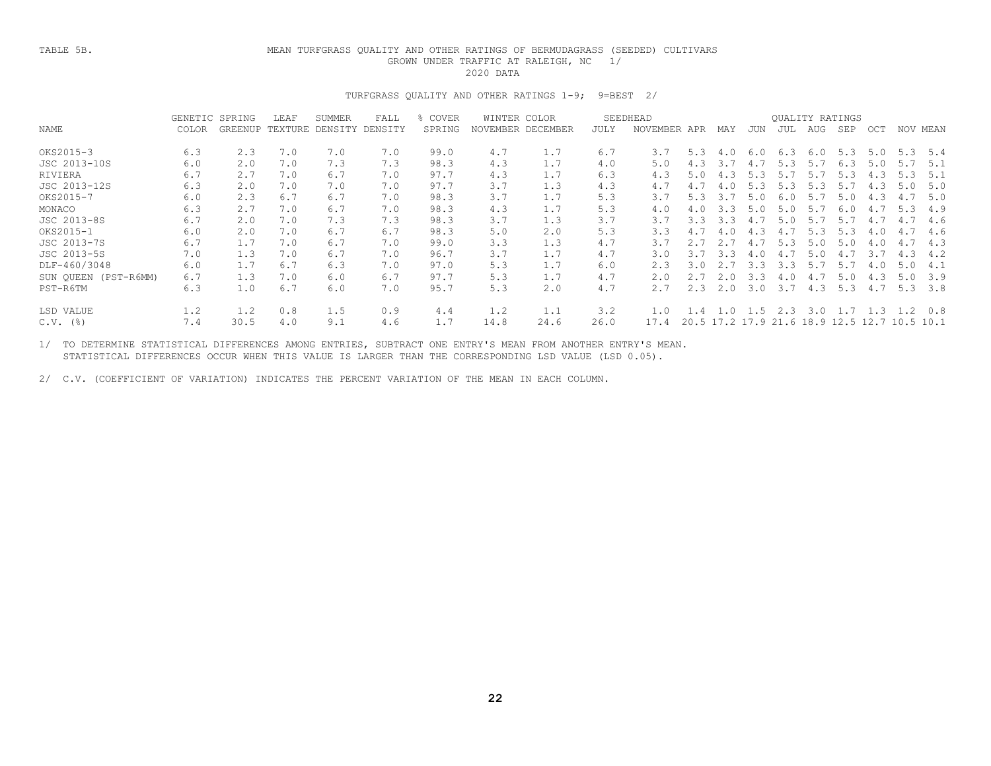### TABLE 5B. MEAN TURFGRASS QUALITY AND OTHER RATINGS OF BERMUDAGRASS (SEEDED) CULTIVARS GROWN UNDER TRAFFIC AT RALEIGH, NC 1/ 2020 DATA

## TURFGRASS QUALITY AND OTHER RATINGS 1-9; 9=BEST 2/

|                      | GENETIC SPRING |         | LEAF    | <b>SUMMER</b> | FALL    | COVER  | WINTER<br>COLOR |          |      | SEEDHEAD        |      |     |                |     |           | OUALITY RATINGS |      |      |          |
|----------------------|----------------|---------|---------|---------------|---------|--------|-----------------|----------|------|-----------------|------|-----|----------------|-----|-----------|-----------------|------|------|----------|
| NAME                 | COLOR          | GREENUP | TEXTURE | DENSITY       | DENSITY | SPRING | NOVEMBER        | DECEMBER | JULY | <b>NOVEMBER</b> | APR  | MAY | JUN            | JUL | AUG       | SEP             | OCT  |      | NOV MEAN |
| OKS2015-3            | 6.3            | 2.3     | 7.0     | 7.0           | 7.0     | 99.0   | 4.7             | 1.7      | 6.7  | 3.7             | 5.3  | 4.0 | 6.0            | 6.3 | 6.0       | 5.3             | 5.0  | 5.3  | 5.4      |
|                      |                |         |         |               |         |        |                 |          |      |                 |      |     |                |     |           |                 |      |      |          |
| JSC 2013-10S         | 6.0            | 2.0     | 7.0     | 7.3           | 7.3     | 98.3   | 4.3             | 1.7      | 4.0  | 5.0             | 4.3  | 3.7 | 4.7            | 5.3 | 5.7       | 6.3             | 5.0  | 5.7  | 5.1      |
| RIVIERA              | 6.7            | 2.7     | 7.0     | 6.7           | 7.0     | 97.7   | 4.3             | 1.7      | 6.3  | 4.3             | 5.0  | 4.3 | 5.3            | 5.7 | 5.7       | 5.3             | 4.3  | 5.3  | 5.1      |
| JSC 2013-12S         | 6.3            | 2.0     | 7.0     | 7.0           | 7.0     | 97.7   | 3.7             | 1.3      | 4.3  |                 | 4.7  | 4.0 | 5.3            | 5.3 | 5.3       | 5.7             | 4.3  | 5.0  | 5.0      |
| OKS2015-7            | 6.0            | 2.3     | 6.7     | 6.7           | 7.0     | 98.3   | 3.7             | 1.7      | 5.3  | 3.7             | 5.3  | 3.7 | 5.0            | 6.0 | 5.7       | 5.0             | 4.3  | 4.7  | 5.0      |
| MONACO               | 6.3            | 2.7     | 7.0     | 6.7           | 7.0     | 98.3   | 4.3             | 1.7      | 5.3  | 4.0             |      | 3.3 | 5.0            | 5.0 | 5.7       | 6.0             | 4.7  | 5.3  | 4.9      |
| JSC 2013-8S          | 6.7            | 2.0     | 7.0     | 7.3           | 7.3     | 98.3   | 3.7             | 1.3      | 3.7  | 3.7             | 3.3  | 3.3 | 4.7            | 5.0 | 5.7       | 5.7             | 4.7  | 4.7  | 4.6      |
| OKS2015-1            | 6.0            | 2.0     | 7.0     | 6.7           | 6.7     | 98.3   | 5.0             | 2.0      | 5.3  | 3.3             | 4.7  | 4.0 | 4.3            | 4.7 | 5.3       | 5.3             | 4.0  | 4.7  | 4.6      |
| JSC 2013-7S          | 6.7            | 1.7     | 7.0     | 6.7           | 7.0     | 99.0   | 3.3             | 1.3      | 4.7  | 3.7             |      |     | 4.7            | 5.3 | 5.0       | 5.0             | 4.0  | 4.7  | 4.3      |
| JSC 2013-5S          | 7.0            | 1.3     | 7.0     | 6.7           | 7.0     | 96.7   | 3.7             | 1.7      | 4.7  | 3.0             | 3.7  | 3.3 | 4.0            | 4.7 | 5.0       |                 | 3.7  | 43   | 4.2      |
| DLF-460/3048         | 6.0            | 1.7     | 6.7     | 6.3           | 7.0     | 97.0   | 5.3             | 1.7      | 6.0  | 2.3             | 3.0  |     | 3.3            | 3.3 | 5.7       | 5.7             | 4.0  | 5.0  | 4.1      |
| SUN QUEEN (PST-R6MM) | 6.7            | 1.3     | 7.0     | 6.0           | 6.7     | 97.7   | 5.3             | 1.7      | 4.7  |                 |      |     | 3.3            | 4.0 | 4.7       | 5.0             | 4.3  | .5   | 3.9      |
| PST-R6TM             | 6.3            | 1.0     | 6.7     | 6.0           | 7.0     | 95.7   | 5.3             | 2.0      | 4.7  |                 | 2.3  | 2.0 | 3.0            | 3.7 | 4.3       | 5.3             | 4.7  | 5.3  | 3.8      |
| LSD VALUE            | 1.2            | 1.2     | 0.8     | 1.5           | 0.9     | 4.4    | 1.2             | 1.1      | 3.2  | 1.0             | 4    | .0  | 1.5            | 2.3 | 3.0       |                 | 1.3  |      | 0.8      |
| $C.V.$ (%)           | 7.4            | 30.5    | 4.0     | 9.1           | 4.6     | 1.7    | 14.8            | 24.6     | 26.0 | 17.4            | 20.5 |     | 17.2 17.9 21.6 |     | 18.9 12.5 |                 | 12.7 | 10.5 | - 10.1   |
|                      |                |         |         |               |         |        |                 |          |      |                 |      |     |                |     |           |                 |      |      |          |

 1/ TO DETERMINE STATISTICAL DIFFERENCES AMONG ENTRIES, SUBTRACT ONE ENTRY'S MEAN FROM ANOTHER ENTRY'S MEAN. STATISTICAL DIFFERENCES OCCUR WHEN THIS VALUE IS LARGER THAN THE CORRESPONDING LSD VALUE (LSD 0.05).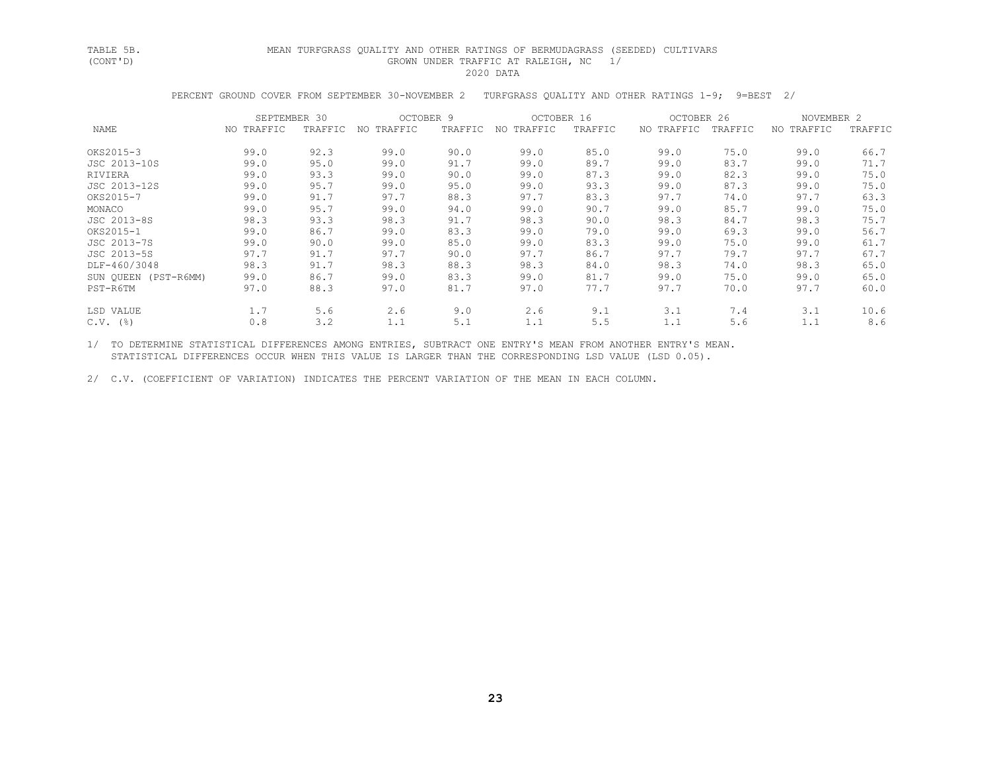## TABLE 5B. MEAN TURFGRASS QUALITY AND OTHER RATINGS OF BERMUDAGRASS (SEEDED) CULTIVARS GROWN UNDER TRAFFIC AT RALEIGH, NC 1/ 2020 DATA

PERCENT GROUND COVER FROM SEPTEMBER 30-NOVEMBER 2 TURFGRASS QUALITY AND OTHER RATINGS 1-9; 9=BEST 2/

|                      | SEPTEMBER 30 |         | OCTOBER 9  |         | OCTOBER 16     |         | OCTOBER 26 |         | NOVEMBER 2 |         |
|----------------------|--------------|---------|------------|---------|----------------|---------|------------|---------|------------|---------|
| NAME                 | NO TRAFFIC   | TRAFFIC | NO TRAFFIC | TRAFFIC | TRAFFIC<br>NO. | TRAFFIC | NO TRAFFIC | TRAFFIC | NO TRAFFIC | TRAFFIC |
| OKS2015-3            | 99.0         | 92.3    | 99.0       | 90.0    | 99.0           | 85.0    | 99.0       | 75.0    | 99.0       | 66.7    |
| JSC 2013-10S         | 99.0         | 95.0    | 99.0       | 91.7    | 99.0           | 89.7    | 99.0       | 83.7    | 99.0       | 71.7    |
| RIVIERA              | 99.0         | 93.3    | 99.0       | 90.0    | 99.0           | 87.3    | 99.0       | 82.3    | 99.0       | 75.0    |
| JSC 2013-12S         | 99.0         | 95.7    | 99.0       | 95.0    | 99.0           | 93.3    | 99.0       | 87.3    | 99.0       | 75.0    |
| OKS2015-7            | 99.0         | 91.7    | 97.7       | 88.3    | 97.7           | 83.3    | 97.7       | 74.0    | 97.7       | 63.3    |
| MONACO               | 99.0         | 95.7    | 99.0       | 94.0    | 99.0           | 90.7    | 99.0       | 85.7    | 99.0       | 75.0    |
| JSC 2013-8S          | 98.3         | 93.3    | 98.3       | 91.7    | 98.3           | 90.0    | 98.3       | 84.7    | 98.3       | 75.7    |
| OKS2015-1            | 99.0         | 86.7    | 99.0       | 83.3    | 99.0           | 79.0    | 99.0       | 69.3    | 99.0       | 56.7    |
| JSC 2013-7S          | 99.0         | 90.0    | 99.0       | 85.0    | 99.0           | 83.3    | 99.0       | 75.0    | 99.0       | 61.7    |
| JSC 2013-5S          | 97.7         | 91.7    | 97.7       | 90.0    | 97.7           | 86.7    | 97.7       | 79.7    | 97.7       | 67.7    |
| DLF-460/3048         | 98.3         | 91.7    | 98.3       | 88.3    | 98.3           | 84.0    | 98.3       | 74.0    | 98.3       | 65.0    |
| SUN QUEEN (PST-R6MM) | 99.0         | 86.7    | 99.0       | 83.3    | 99.0           | 81.7    | 99.0       | 75.0    | 99.0       | 65.0    |
| PST-R6TM             | 97.0         | 88.3    | 97.0       | 81.7    | 97.0           | 77.7    | 97.7       | 70.0    | 97.7       | 60.0    |
| LSD VALUE            | 1.7          | 5.6     | 2.6        | 9.0     | 2.6            | 9.1     | 3.1        | 7.4     | 3.1        | 10.6    |
| $C.V.$ (%)           | 0.8          | 3.2     | 1.1        | 5.1     | 1.1            | 5.5     | 1.1        | 5.6     | 1.1        | 8.6     |

 1/ TO DETERMINE STATISTICAL DIFFERENCES AMONG ENTRIES, SUBTRACT ONE ENTRY'S MEAN FROM ANOTHER ENTRY'S MEAN. STATISTICAL DIFFERENCES OCCUR WHEN THIS VALUE IS LARGER THAN THE CORRESPONDING LSD VALUE (LSD 0.05).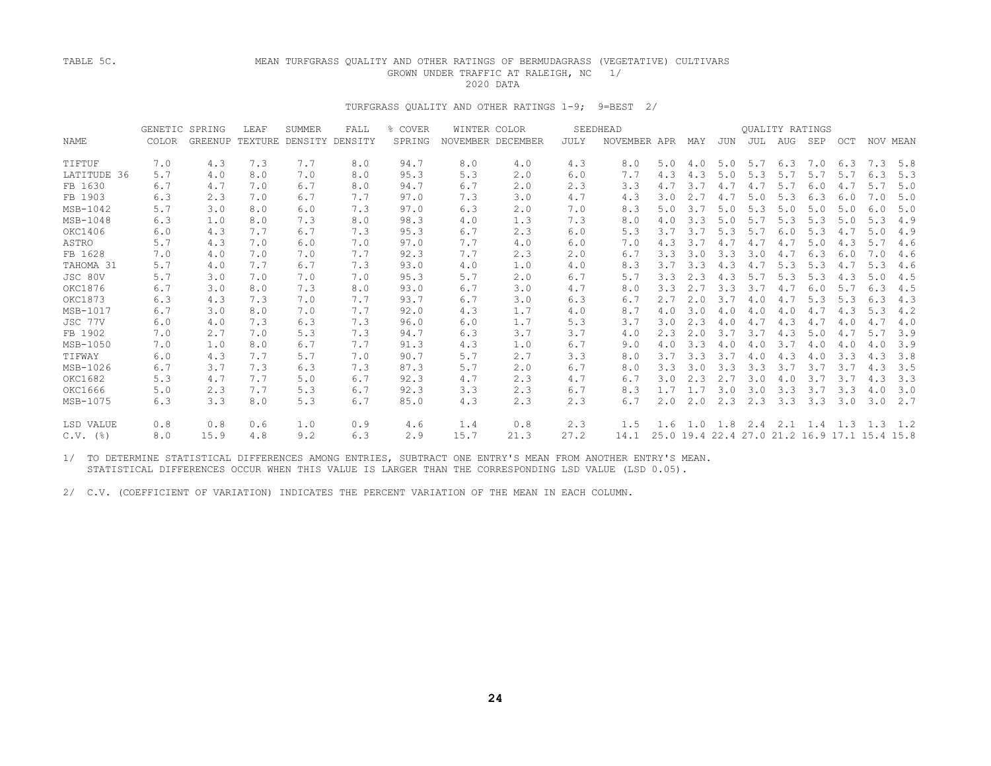## TABLE 5C. MEAN TURFGRASS QUALITY AND OTHER RATINGS OF BERMUDAGRASS (VEGETATIVE) CULTIVARS GROWN UNDER TRAFFIC AT RALEIGH, NC 1/<br>2020 DATA 2020 DATA

## TURFGRASS QUALITY AND OTHER RATINGS 1-9; 9=BEST 2/

|             | GENETIC SPRING |      | LEAF | <b>SUMMER</b>                   | FALL | COVER  |      | WINTER COLOR      |      | SEEDHEAD     |     |     |     |     | <b>OUALITY RATINGS</b> |             |                                              |     |          |
|-------------|----------------|------|------|---------------------------------|------|--------|------|-------------------|------|--------------|-----|-----|-----|-----|------------------------|-------------|----------------------------------------------|-----|----------|
| <b>NAME</b> | COLOR          |      |      | GREENUP TEXTURE DENSITY DENSITY |      | SPRING |      | NOVEMBER DECEMBER | JULY | NOVEMBER APR |     | MAY | JUN | JUL | AUG                    | SEP         | OCT                                          |     | NOV MEAN |
| TIFTUF      | 7.0            | 4.3  | 7.3  | 7.7                             | 8.0  | 94.7   | 8.0  | 4.0               | 4.3  | 8.0          | 5.0 | 4.0 | 5.0 | 5.7 |                        | $6.3$ $7.0$ | 6.3                                          |     | 7.3 5.8  |
| LATITUDE 36 | 5.7            | 4.0  | 8.0  | 7.0                             | 8.0  | 95.3   | 5.3  | 2.0               | 6.0  | 7.7          | 4.3 | 4.3 | 5.0 | 5.3 | 5.7                    | 5.7         | 5.7                                          | 6.3 | 5.3      |
| FB 1630     | 6.7            | 4.7  | 7.0  | 6.7                             | 8.0  | 94.7   | 6.7  | 2.0               | 2.3  | 3.3          | 4.7 | 3.7 | 4.7 | 4.7 | 5.7                    | 6.0         | 4.7                                          | 5.7 | 5.0      |
| FB 1903     | 6.3            | 2.3  | 7.0  | 6.7                             | 7.7  | 97.0   | 7.3  | 3.0               | 4.7  | 4.3          | 3.0 | 2.7 | 4.7 | 5.0 | 5.3                    | 6.3         | 6.0                                          | 7.0 | 5.0      |
| MSB-1042    | 5.7            | 3.0  | 8.0  | 6.0                             | 7.3  | 97.0   | 6.3  | 2.0               | 7.0  | 8.3          | 5.0 | 3.7 | 5.0 | 5.3 | 5.0                    | 5.0         | 5.0                                          | 6.0 | 5.0      |
| MSB-1048    | 6.3            | 1.0  | 8.0  | 7.3                             | 8.0  | 98.3   | 4.0  | 1.3               | 7.3  | 8.0          | 4.0 | 3.3 | 5.0 | 5.7 | 5.3                    | 5.3         | 5.0                                          | 5.3 | 4.9      |
| OKC1406     | 6.0            | 4.3  | 7.7  | 6.7                             | 7.3  | 95.3   | 6.7  | 2.3               | 6.0  | 5.3          | 3.7 | 3.7 | 5.3 | 5.7 | 6.0                    | 5.3         | 4.7                                          | 5.0 | 4.9      |
| ASTRO       | 5.7            | 4.3  | 7.0  | 6.0                             | 7.0  | 97.0   | 7.7  | 4.0               | 6.0  | 7.0          | 4.3 | 3.7 | 4.7 | 4.7 | 4.7                    | 5.0         | 4.3                                          | 5.7 | 4.6      |
| FB 1628     | 7.0            | 4.0  | 7.0  | 7.0                             | 7.7  | 92.3   | 7.7  | 2.3               | 2.0  | 6.7          | 3.3 | 3.0 | 3.3 | 3.0 | 4.7                    | 6.3         | 6.0                                          | 7.0 | 4.6      |
| TAHOMA 31   | 5.7            | 4.0  | 7.7  | 6.7                             | 7.3  | 93.0   | 4.0  | 1.0               | 4.0  | 8.3          | 3.7 | 3.3 | 4.3 | 4.7 | 5.3                    | 5.3         | 4.7                                          | 5.3 | 4.6      |
| JSC 80V     | 5.7            | 3.0  | 7.0  | 7.0                             | 7.0  | 95.3   | 5.7  | 2.0               | 6.7  | 5.7          | 3.3 | 2.3 | 4.3 | 5.7 | 5.3                    | 5.3         | 4.3                                          | 5.0 | 4.5      |
| OKC1876     | 6.7            | 3.0  | 8.0  | 7.3                             | 8.0  | 93.0   | 6.7  | 3.0               | 4.7  | 8.0          | 3.3 | 2.7 | 3.3 | 3.7 | 4.7                    | 6.0         | 5.7                                          | 6.3 | 4.5      |
| OKC1873     | 6.3            | 4.3  | 7.3  | 7.0                             | 7.7  | 93.7   | 6.7  | 3.0               | 6.3  | 6.7          | 2.7 | 2.0 | 3.7 | 4.0 | 4.7                    | 5.3         | 5.3                                          | 6.3 | 4.3      |
| MSB-1017    | 6.7            | 3.0  | 8.0  | 7.0                             | 7.7  | 92.0   | 4.3  | 1.7               | 4.0  | 8.7          | 4.0 | 3.0 | 4.0 | 4.0 | 4.0                    | 4.7         | 4.3                                          | 5.3 | 4.2      |
| JSC 77V     | 6.0            | 4.0  | 7.3  | 6.3                             | 7.3  | 96.0   | 6.0  | 1.7               | 5.3  | 3.7          | 3.0 | 2.3 | 4.0 | 4.7 | 4.3                    | 4.7         | 4.0                                          | 4.7 | 4.0      |
| FB 1902     | 7.0            | 2.7  | 7.0  | 5.3                             | 7.3  | 94.7   | 6.3  | 3.7               | 3.7  | 4.0          | 2.3 | 2.0 | 3.7 | 3.7 | 4.3                    | 5.0         | 4.7                                          | 5.7 | 3.9      |
| MSB-1050    | 7.0            | 1.0  | 8.0  | 6.7                             | 7.7  | 91.3   | 4.3  | 1.0               | 6.7  | 9.0          | 4.0 | 3.3 | 4.0 | 4.0 | 3.7                    | 4.0         | 4.0                                          | 4.0 | 3.9      |
| TIFWAY      | 6.0            | 4.3  | 7.7  | 5.7                             | 7.0  | 90.7   | 5.7  | 2.7               | 3.3  | 8.0          | 3.7 | 3.3 | 3.7 | 4.0 | 4.3                    | 4.0         | 3.3                                          | 4.3 | 3.8      |
| MSB-1026    | 6.7            | 3.7  | 7.3  | 6.3                             | 7.3  | 87.3   | 5.7  | 2.0               | 6.7  | 8.0          | 3.3 | 3.0 | 3.3 | 3.3 | 3.7                    | 3.7         | 3.7                                          | 4.3 | 3.5      |
| OKC1682     | 5.3            | 4.7  | 7.7  | 5.0                             | 6.7  | 92.3   | 4.7  | 2.3               | 4.7  | 6.7          | 3.0 | 2.3 | 2.7 | 3.0 | 4.0                    | 3.7         | 3.7                                          | 4.3 | 3.3      |
| OKC1666     | 5.0            | 2.3  | 7.7  | 5.3                             | 6.7  | 92.3   | 3.3  | 2.3               | 6.7  | 8.3          | 1.7 | 1.7 | 3.0 | 3.0 | 3.3                    | 3.7         | 3.3                                          | 4.0 | 3.0      |
| MSB-1075    | 6.3            | 3.3  | 8.0  | 5.3                             | 6.7  | 85.0   | 4.3  | 2.3               | 2.3  | 6.7          | 2.0 | 2.0 | 2.3 | 2.3 | 3.3                    | 3.3         | 3.0                                          | 3.0 | 2.7      |
| LSD VALUE   | 0.8            | 0.8  | 0.6  | 1.0                             | 0.9  | 4.6    | 1.4  | 0.8               | 2.3  | 1.5          | 1.6 |     |     |     |                        |             | 1.0 1.8 2.4 2.1 1.4 1.3 1.3                  |     | 1.2      |
| $C.V.$ (%)  | 8.0            | 15.9 | 4.8  | 9.2                             | 6.3  | 2.9    | 15.7 | 21.3              | 27.2 | 14.1         |     |     |     |     |                        |             | 25.0 19.4 22.4 27.0 21.2 16.9 17.1 15.4 15.8 |     |          |

 1/ TO DETERMINE STATISTICAL DIFFERENCES AMONG ENTRIES, SUBTRACT ONE ENTRY'S MEAN FROM ANOTHER ENTRY'S MEAN. STATISTICAL DIFFERENCES OCCUR WHEN THIS VALUE IS LARGER THAN THE CORRESPONDING LSD VALUE (LSD 0.05).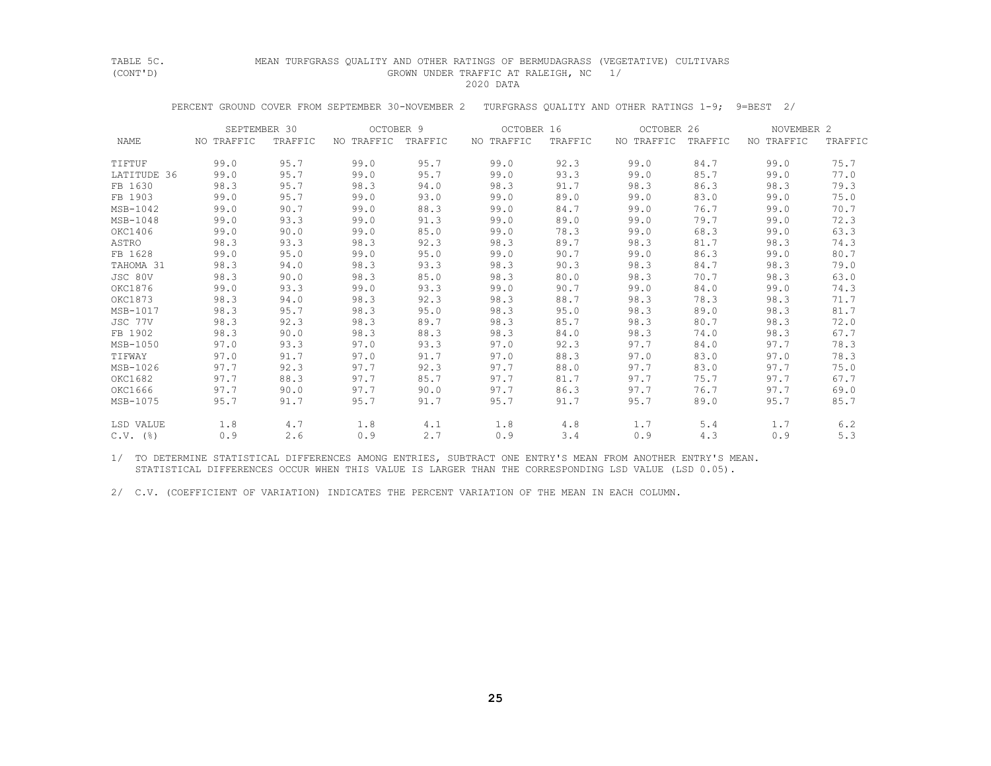# TABLE 5C. MEAN TURFGRASS QUALITY AND OTHER RATINGS OF BERMUDAGRASS (VEGETATIVE) CULTIVARS<br>(CONT'D) (GROWN UNDER TRAFFIC AT RALEIGH, NC 1 GROWN UNDER TRAFFIC AT RALEIGH, NC 1/

2020 DATA

PERCENT GROUND COVER FROM SEPTEMBER 30-NOVEMBER 2 TURFGRASS QUALITY AND OTHER RATINGS 1-9; 9=BEST 2/

|                        | SEPTEMBER 30 |         | OCTOBER 9          |      | OCTOBER 16 |         | OCTOBER 26         |      | NOVEMBER 2 |         |
|------------------------|--------------|---------|--------------------|------|------------|---------|--------------------|------|------------|---------|
| NAME                   | NO TRAFFIC   | TRAFFIC | NO TRAFFIC TRAFFIC |      | NO TRAFFIC | TRAFFIC | NO TRAFFIC TRAFFIC |      | NO TRAFFIC | TRAFFIC |
| TIFTUF                 | 99.0         | 95.7    | 99.0               | 95.7 | 99.0       | 92.3    | 99.0               | 84.7 | 99.0       | 75.7    |
| LATITUDE 36            | 99.0         | 95.7    | 99.0               | 95.7 | 99.0       | 93.3    | 99.0               | 85.7 | 99.0       | 77.0    |
| FB 1630                | 98.3         | 95.7    | 98.3               | 94.0 | 98.3       | 91.7    | 98.3               | 86.3 | 98.3       | 79.3    |
| FB 1903                | 99.0         | 95.7    | 99.0               | 93.0 | 99.0       | 89.0    | 99.0               | 83.0 | 99.0       | 75.0    |
| MSB-1042               | 99.0         | 90.7    | 99.0               | 88.3 | 99.0       | 84.7    | 99.0               | 76.7 | 99.0       | 70.7    |
| MSB-1048               | 99.0         | 93.3    | 99.0               | 91.3 | 99.0       | 89.0    | 99.0               | 79.7 | 99.0       | 72.3    |
| OKC1406                | 99.0         | 90.0    | 99.0               | 85.0 | 99.0       | 78.3    | 99.0               | 68.3 | 99.0       | 63.3    |
| ASTRO                  | 98.3         | 93.3    | 98.3               | 92.3 | 98.3       | 89.7    | 98.3               | 81.7 | 98.3       | 74.3    |
| FB 1628                | 99.0         | 95.0    | 99.0               | 95.0 | 99.0       | 90.7    | 99.0               | 86.3 | 99.0       | 80.7    |
| TAHOMA 31              | 98.3         | 94.0    | 98.3               | 93.3 | 98.3       | 90.3    | 98.3               | 84.7 | 98.3       | 79.0    |
| JSC 80V                | 98.3         | 90.0    | 98.3               | 85.0 | 98.3       | 80.0    | 98.3               | 70.7 | 98.3       | 63.0    |
| OKC1876                | 99.0         | 93.3    | 99.0               | 93.3 | 99.0       | 90.7    | 99.0               | 84.0 | 99.0       | 74.3    |
| OKC1873                | 98.3         | 94.0    | 98.3               | 92.3 | 98.3       | 88.7    | 98.3               | 78.3 | 98.3       | 71.7    |
| MSB-1017               | 98.3         | 95.7    | 98.3               | 95.0 | 98.3       | 95.0    | 98.3               | 89.0 | 98.3       | 81.7    |
| JSC 77V                | 98.3         | 92.3    | 98.3               | 89.7 | 98.3       | 85.7    | 98.3               | 80.7 | 98.3       | 72.0    |
| FB 1902                | 98.3         | 90.0    | 98.3               | 88.3 | 98.3       | 84.0    | 98.3               | 74.0 | 98.3       | 67.7    |
| MSB-1050               | 97.0         | 93.3    | 97.0               | 93.3 | 97.0       | 92.3    | 97.7               | 84.0 | 97.7       | 78.3    |
| TIFWAY                 | 97.0         | 91.7    | 97.0               | 91.7 | 97.0       | 88.3    | 97.0               | 83.0 | 97.0       | 78.3    |
| MSB-1026               | 97.7         | 92.3    | 97.7               | 92.3 | 97.7       | 88.0    | 97.7               | 83.0 | 97.7       | 75.0    |
| OKC1682                | 97.7         | 88.3    | 97.7               | 85.7 | 97.7       | 81.7    | 97.7               | 75.7 | 97.7       | 67.7    |
| OKC1666                | 97.7         | 90.0    | 97.7               | 90.0 | 97.7       | 86.3    | 97.7               | 76.7 | 97.7       | 69.0    |
| MSB-1075               | 95.7         | 91.7    | 95.7               | 91.7 | 95.7       | 91.7    | 95.7               | 89.0 | 95.7       | 85.7    |
| LSD VALUE              | 1.8          | 4.7     | 1.8                | 4.1  | 1.8        | 4.8     | 1.7                | 5.4  | 1.7        | 6.2     |
| $C.V.$ $(\frac{6}{6})$ | 0.9          | 2.6     | 0.9                | 2.7  | 0.9        | 3.4     | 0.9                | 4.3  | 0.9        | 5.3     |

 1/ TO DETERMINE STATISTICAL DIFFERENCES AMONG ENTRIES, SUBTRACT ONE ENTRY'S MEAN FROM ANOTHER ENTRY'S MEAN. STATISTICAL DIFFERENCES OCCUR WHEN THIS VALUE IS LARGER THAN THE CORRESPONDING LSD VALUE (LSD 0.05).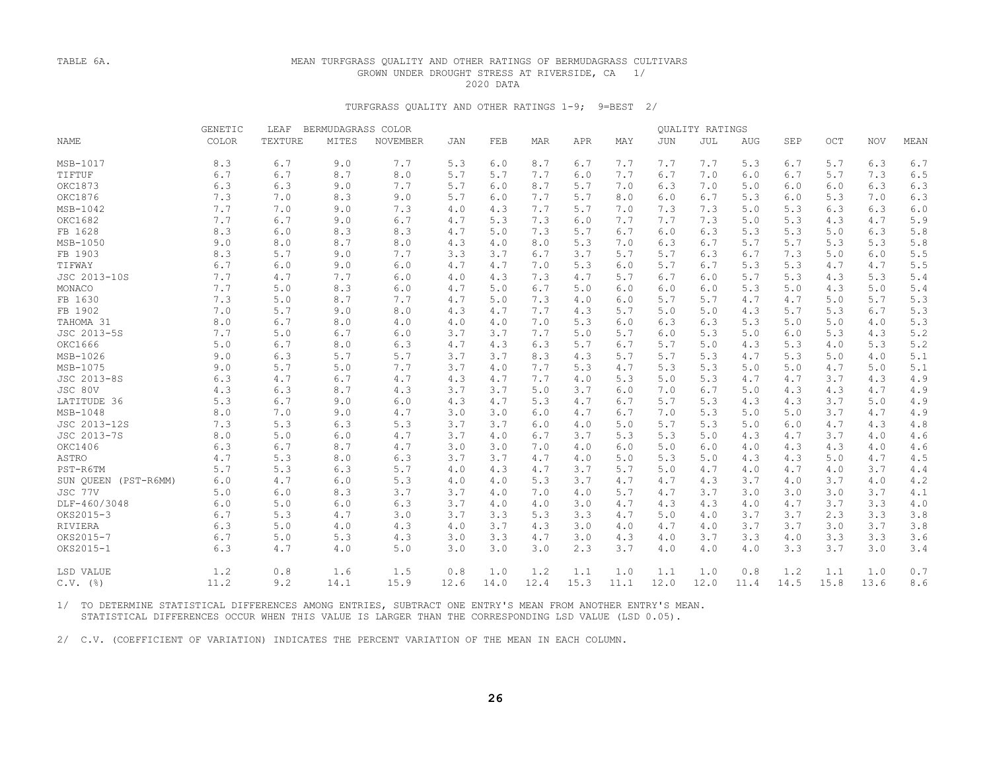## TABLE 6A. MEAN TURFGRASS QUALITY AND OTHER RATINGS OF BERMUDAGRASS CULTIVARS GROWN UNDER DROUGHT STRESS AT RIVERSIDE, CA 1/ 2020 DATA

## TURFGRASS QUALITY AND OTHER RATINGS 1-9; 9=BEST 2/

|                      | <b>GENETIC</b> | LEAF    | BERMUDAGRASS COLOR |                 |      |      |            |      |      |            | QUALITY RATINGS |      |      |       |            |      |
|----------------------|----------------|---------|--------------------|-----------------|------|------|------------|------|------|------------|-----------------|------|------|-------|------------|------|
| <b>NAME</b>          | COLOR          | TEXTURE | MITES              | <b>NOVEMBER</b> | JAN  | FEB  | <b>MAR</b> | APR  | MAY  | <b>JUN</b> | JUL             | AUG  | SEP  | OCT   | <b>NOV</b> | MEAN |
| MSB-1017             | 8.3            | 6.7     | 9.0                | 7.7             | 5.3  | 6.0  | 8.7        | 6.7  | 7.7  | 7.7        | 7.7             | 5.3  | 6.7  | 5.7   | 6.3        | 6.7  |
| TIFTUF               | 6.7            | 6.7     | 8.7                | 8.0             | 5.7  | 5.7  | 7.7        | 6.0  | 7.7  | 6.7        | 7.0             | 6.0  | 6.7  | 5.7   | 7.3        | 6.5  |
| OKC1873              | 6.3            | 6.3     | 9.0                | 7.7             | 5.7  | 6.0  | 8.7        | 5.7  | 7.0  | 6.3        | 7.0             | 5.0  | 6.0  | 6.0   | 6.3        | 6.3  |
| OKC1876              | 7.3            | 7.0     | 8.3                | 9.0             | 5.7  | 6.0  | 7.7        | 5.7  | 8.0  | 6.0        | 6.7             | 5.3  | 6.0  | 5.3   | 7.0        | 6.3  |
| MSB-1042             | 7.7            | 7.0     | 9.0                | 7.3             | 4.0  | 4.3  | 7.7        | 5.7  | 7.0  | 7.3        | 7.3             | 5.0  | 5.3  | 6.3   | 6.3        | 6.0  |
| OKC1682              | 7.7            | 6.7     | 9.0                | 6.7             | 4.7  | 5.3  | 7.3        | 6.0  | 7.7  | 7.7        | 7.3             | 5.0  | 5.3  | 4.3   | 4.7        | 5.9  |
| FB 1628              | 8.3            | 6.0     | 8.3                | 8.3             | 4.7  | 5.0  | 7.3        | 5.7  | 6.7  | 6.0        | 6.3             | 5.3  | 5.3  | 5.0   | 6.3        | 5.8  |
| MSB-1050             | 9.0            | 8.0     | 8.7                | 8.0             | 4.3  | 4.0  | 8.0        | 5.3  | 7.0  | 6.3        | 6.7             | 5.7  | 5.7  | 5.3   | 5.3        | 5.8  |
| FB 1903              | 8.3            | 5.7     | 9.0                | 7.7             | 3.3  | 3.7  | 6.7        | 3.7  | 5.7  | 5.7        | 6.3             | 6.7  | 7.3  | 5.0   | 6.0        | 5.5  |
| TIFWAY               | 6.7            | $6.0$   | 9.0                | $6.0$           | 4.7  | 4.7  | 7.0        | 5.3  | 6.0  | 5.7        | 6.7             | 5.3  | 5.3  | 4.7   | 4.7        | 5.5  |
| JSC 2013-10S         | 7.7            | 4.7     | 7.7                | 6.0             | 4.0  | 4.3  | 7.3        | 4.7  | 5.7  | 6.7        | 6.0             | 5.7  | 5.3  | 4.3   | 5.3        | 5.4  |
| MONACO               | 7.7            | 5.0     | 8.3                | 6.0             | 4.7  | 5.0  | 6.7        | 5.0  | 6.0  | 6.0        | 6.0             | 5.3  | 5.0  | 4.3   | 5.0        | 5.4  |
| FB 1630              | 7.3            | 5.0     | 8.7                | 7.7             | 4.7  | 5.0  | 7.3        | 4.0  | 6.0  | 5.7        | 5.7             | 4.7  | 4.7  | 5.0   | 5.7        | 5.3  |
| FB 1902              | 7.0            | 5.7     | 9.0                | 8.0             | 4.3  | 4.7  | 7.7        | 4.3  | 5.7  | 5.0        | 5.0             | 4.3  | 5.7  | 5.3   | 6.7        | 5.3  |
| TAHOMA 31            | 8.0            | 6.7     | 8.0                | 4.0             | 4.0  | 4.0  | 7.0        | 5.3  | 6.0  | 6.3        | 6.3             | 5.3  | 5.0  | $5.0$ | 4.0        | 5.3  |
| JSC 2013-5S          | 7.7            | 5.0     | 6.7                | 6.0             | 3.7  | 3.7  | 7.7        | 5.0  | 5.7  | 6.0        | 5.3             | 5.0  | 6.0  | 5.3   | 4.3        | 5.2  |
| OKC1666              | 5.0            | 6.7     | 8.0                | 6.3             | 4.7  | 4.3  | 6.3        | 5.7  | 6.7  | 5.7        | 5.0             | 4.3  | 5.3  | 4.0   | 5.3        | 5.2  |
| MSB-1026             | 9.0            | 6.3     | 5.7                | 5.7             | 3.7  | 3.7  | 8.3        | 4.3  | 5.7  | 5.7        | 5.3             | 4.7  | 5.3  | 5.0   | 4.0        | 5.1  |
| MSB-1075             | 9.0            | 5.7     | 5.0                | 7.7             | 3.7  | 4.0  | 7.7        | 5.3  | 4.7  | 5.3        | 5.3             | 5.0  | 5.0  | 4.7   | 5.0        | 5.1  |
| JSC 2013-8S          | 6.3            | 4.7     | 6.7                | $4.7\,$         | 4.3  | 4.7  | 7.7        | 4.0  | 5.3  | 5.0        | 5.3             | 4.7  | 4.7  | 3.7   | 4.3        | 4.9  |
| JSC 80V              | 4.3            | 6.3     | 8.7                | 4.3             | 3.7  | 3.7  | 5.0        | 3.7  | 6.0  | 7.0        | 6.7             | 5.0  | 4.3  | 4.3   | 4.7        | 4.9  |
| LATITUDE 36          | 5.3            | 6.7     | 9.0                | 6.0             | 4.3  | 4.7  | 5.3        | 4.7  | 6.7  | 5.7        | 5.3             | 4.3  | 4.3  | 3.7   | 5.0        | 4.9  |
| MSB-1048             | 8.0            | 7.0     | 9.0                | 4.7             | 3.0  | 3.0  | 6.0        | 4.7  | 6.7  | 7.0        | 5.3             | 5.0  | 5.0  | 3.7   | 4.7        | 4.9  |
| JSC 2013-12S         | 7.3            | 5.3     | 6.3                | 5.3             | 3.7  | 3.7  | 6.0        | 4.0  | 5.0  | 5.7        | 5.3             | 5.0  | 6.0  | 4.7   | 4.3        | 4.8  |
| JSC 2013-7S          | 8.0            | 5.0     | 6.0                | 4.7             | 3.7  | 4.0  | 6.7        | 3.7  | 5.3  | 5.3        | 5.0             | 4.3  | 4.7  | 3.7   | 4.0        | 4.6  |
| OKC1406              | 6.3            | 6.7     | 8.7                | 4.7             | 3.0  | 3.0  | 7.0        | 4.0  | 6.0  | 5.0        | 6.0             | 4.0  | 4.3  | 4.3   | 4.0        | 4.6  |
| ASTRO                | 4.7            | 5.3     | 8.0                | 6.3             | 3.7  | 3.7  | 4.7        | 4.0  | 5.0  | 5.3        | 5.0             | 4.3  | 4.3  | 5.0   | 4.7        | 4.5  |
| PST-R6TM             | 5.7            | 5.3     | 6.3                | 5.7             | 4.0  | 4.3  | 4.7        | 3.7  | 5.7  | 5.0        | 4.7             | 4.0  | 4.7  | 4.0   | 3.7        | 4.4  |
| SUN QUEEN (PST-R6MM) | 6.0            | 4.7     | 6.0                | 5.3             | 4.0  | 4.0  | 5.3        | 3.7  | 4.7  | 4.7        | 4.3             | 3.7  | 4.0  | 3.7   | 4.0        | 4.2  |
| JSC 77V              | 5.0            | $6.0$   | 8.3                | 3.7             | 3.7  | 4.0  | 7.0        | 4.0  | 5.7  | 4.7        | 3.7             | 3.0  | 3.0  | 3.0   | 3.7        | 4.1  |
| DLF-460/3048         | 6.0            | 5.0     | 6.0                | 6.3             | 3.7  | 4.0  | 4.0        | 3.0  | 4.7  | 4.3        | 4.3             | 4.0  | 4.7  | 3.7   | 3.3        | 4.0  |
| OKS2015-3            | 6.7            | 5.3     | 4.7                | 3.0             | 3.7  | 3.3  | 5.3        | 3.3  | 4.7  | 5.0        | 4.0             | 3.7  | 3.7  | 2.3   | 3.3        | 3.8  |
| RIVIERA              | 6.3            | 5.0     | 4.0                | 4.3             | 4.0  | 3.7  | 4.3        | 3.0  | 4.0  | 4.7        | 4.0             | 3.7  | 3.7  | 3.0   | 3.7        | 3.8  |
| OKS2015-7            | 6.7            | 5.0     | 5.3                | 4.3             | 3.0  | 3.3  | 4.7        | 3.0  | 4.3  | 4.0        | 3.7             | 3.3  | 4.0  | 3.3   | 3.3        | 3.6  |
| OKS2015-1            | 6.3            | 4.7     | 4.0                | 5.0             | 3.0  | 3.0  | 3.0        | 2.3  | 3.7  | 4.0        | 4.0             | 4.0  | 3.3  | 3.7   | 3.0        | 3.4  |
| LSD VALUE            | 1.2            | 0.8     | 1.6                | 1.5             | 0.8  | 1.0  | 1.2        | 1.1  | 1.0  | 1.1        | 1.0             | 0.8  | 1.2  | 1.1   | 1.0        | 0.7  |
| $C.V.$ (%)           | 11.2           | 9.2     | 14.1               | 15.9            | 12.6 | 14.0 | 12.4       | 15.3 | 11.1 | 12.0       | 12.0            | 11.4 | 14.5 | 15.8  | 13.6       | 8.6  |
|                      |                |         |                    |                 |      |      |            |      |      |            |                 |      |      |       |            |      |

 1/ TO DETERMINE STATISTICAL DIFFERENCES AMONG ENTRIES, SUBTRACT ONE ENTRY'S MEAN FROM ANOTHER ENTRY'S MEAN. STATISTICAL DIFFERENCES OCCUR WHEN THIS VALUE IS LARGER THAN THE CORRESPONDING LSD VALUE (LSD 0.05).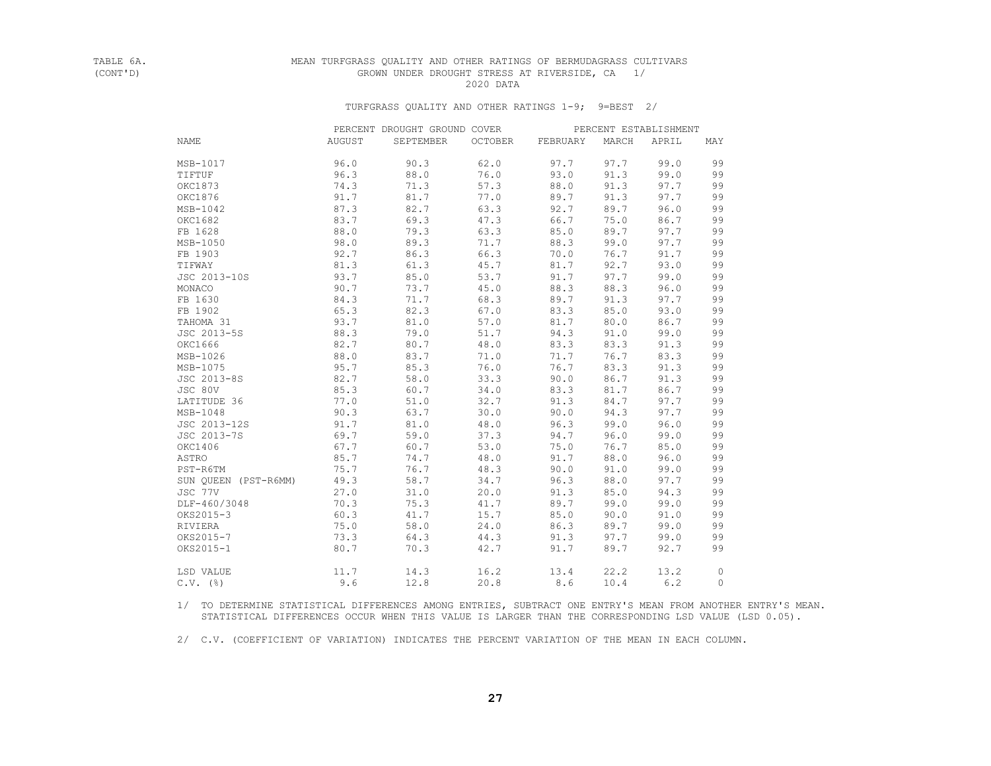## TABLE 6A. MEAN TURFGRASS QUALITY AND OTHER RATINGS OF BERMUDAGRASS CULTIVARS GROWN UNDER DROUGHT STRESS AT RIVERSIDE, CA 1/ 2020 DATA

## TURFGRASS QUALITY AND OTHER RATINGS 1-9; 9=BEST 2/

|                      |        | PERCENT DROUGHT GROUND COVER |         |          |       | PERCENT ESTABLISHMENT |         |
|----------------------|--------|------------------------------|---------|----------|-------|-----------------------|---------|
| <b>NAME</b>          | AUGUST | SEPTEMBER                    | OCTOBER | FEBRUARY | MARCH | APRIL                 | MAY     |
| MSB-1017             | 96.0   | 90.3                         | 62.0    | 97.7     | 97.7  | 99.0                  | 99      |
| TIFTUF               | 96.3   | 88.0                         | 76.0    | 93.0     | 91.3  | 99.0                  | 99      |
| OKC1873              | 74.3   | 71.3                         | 57.3    | 88.0     | 91.3  | 97.7                  | 99      |
| OKC1876              | 91.7   | 81.7                         | 77.0    | 89.7     | 91.3  | 97.7                  | 99      |
| MSB-1042             | 87.3   | 82.7                         | 63.3    | 92.7     | 89.7  | 96.0                  | 99      |
| OKC1682              | 83.7   | 69.3                         | 47.3    | 66.7     | 75.0  | 86.7                  | 99      |
| FB 1628              | 88.0   | 79.3                         | 63.3    | 85.0     | 89.7  | 97.7                  | 99      |
| MSB-1050             | 98.0   | 89.3                         | 71.7    | 88.3     | 99.0  | 97.7                  | 99      |
| FB 1903              | 92.7   | 86.3                         | 66.3    | 70.0     | 76.7  | 91.7                  | 99      |
| TIFWAY               | 81.3   | 61.3                         | 45.7    | 81.7     | 92.7  | 93.0                  | 99      |
| JSC 2013-10S         | 93.7   | 85.0                         | 53.7    | 91.7     | 97.7  | 99.0                  | 99      |
| MONACO               | 90.7   | 73.7                         | 45.0    | 88.3     | 88.3  | 96.0                  | 99      |
| FB 1630              | 84.3   | 71.7                         | 68.3    | 89.7     | 91.3  | 97.7                  | 99      |
| FB 1902              | 65.3   | 82.3                         | 67.0    | 83.3     | 85.0  | 93.0                  | 99      |
| TAHOMA 31            | 93.7   | 81.0                         | 57.0    | 81.7     | 80.0  | 86.7                  | 99      |
| JSC 2013-5S          | 88.3   | 79.0                         | 51.7    | 94.3     | 91.0  | 99.0                  | 99      |
| OKC1666              | 82.7   | 80.7                         | 48.0    | 83.3     | 83.3  | 91.3                  | 99      |
| MSB-1026             | 88.0   | 83.7                         | 71.0    | 71.7     | 76.7  | 83.3                  | 99      |
| MSB-1075             | 95.7   | 85.3                         | 76.0    | 76.7     | 83.3  | 91.3                  | 99      |
| JSC 2013-8S          | 82.7   | 58.0                         | 33.3    | 90.0     | 86.7  | 91.3                  | 99      |
| JSC 80V              | 85.3   | 60.7                         | 34.0    | 83.3     | 81.7  | 86.7                  | 99      |
| LATITUDE 36          | 77.0   | 51.0                         | 32.7    | 91.3     | 84.7  | 97.7                  | 99      |
| MSB-1048             | 90.3   | 63.7                         | 30.0    | 90.0     | 94.3  | 97.7                  | 99      |
| JSC 2013-12S         | 91.7   | 81.0                         | 48.0    | 96.3     | 99.0  | 96.0                  | 99      |
| JSC 2013-7S          | 69.7   | 59.0                         | 37.3    | 94.7     | 96.0  | 99.0                  | 99      |
| OKC1406              | 67.7   | 60.7                         | 53.0    | 75.0     | 76.7  | 85.0                  | 99      |
| ASTRO                | 85.7   | 74.7                         | 48.0    | 91.7     | 88.0  | 96.0                  | 99      |
| PST-R6TM             | 75.7   | 76.7                         | 48.3    | 90.0     | 91.0  | 99.0                  | 99      |
| SUN QUEEN (PST-R6MM) | 49.3   | 58.7                         | 34.7    | 96.3     | 88.0  | 97.7                  | 99      |
| JSC 77V              | 27.0   | 31.0                         | 20.0    | 91.3     | 85.0  | 94.3                  | 99      |
| DLF-460/3048         | 70.3   | 75.3                         | 41.7    | 89.7     | 99.0  | 99.0                  | 99      |
| OKS2015-3            | 60.3   | 41.7                         | 15.7    | 85.0     | 90.0  | 91.0                  | 99      |
| RIVIERA              | 75.0   | 58.0                         | 24.0    | 86.3     | 89.7  | 99.0                  | 99      |
| OKS2015-7            | 73.3   | 64.3                         | 44.3    | 91.3     | 97.7  | 99.0                  | 99      |
| OKS2015-1            | 80.7   | 70.3                         | 42.7    | 91.7     | 89.7  | 92.7                  | 99      |
| LSD VALUE            | 11.7   | 14.3                         | 16.2    | 13.4     | 22.2  | 13.2                  | $\circ$ |
| $C.V.$ (%)           | 9.6    | 12.8                         | 20.8    | 8.6      | 10.4  | 6.2                   | $\circ$ |

 1/ TO DETERMINE STATISTICAL DIFFERENCES AMONG ENTRIES, SUBTRACT ONE ENTRY'S MEAN FROM ANOTHER ENTRY'S MEAN. STATISTICAL DIFFERENCES OCCUR WHEN THIS VALUE IS LARGER THAN THE CORRESPONDING LSD VALUE (LSD 0.05).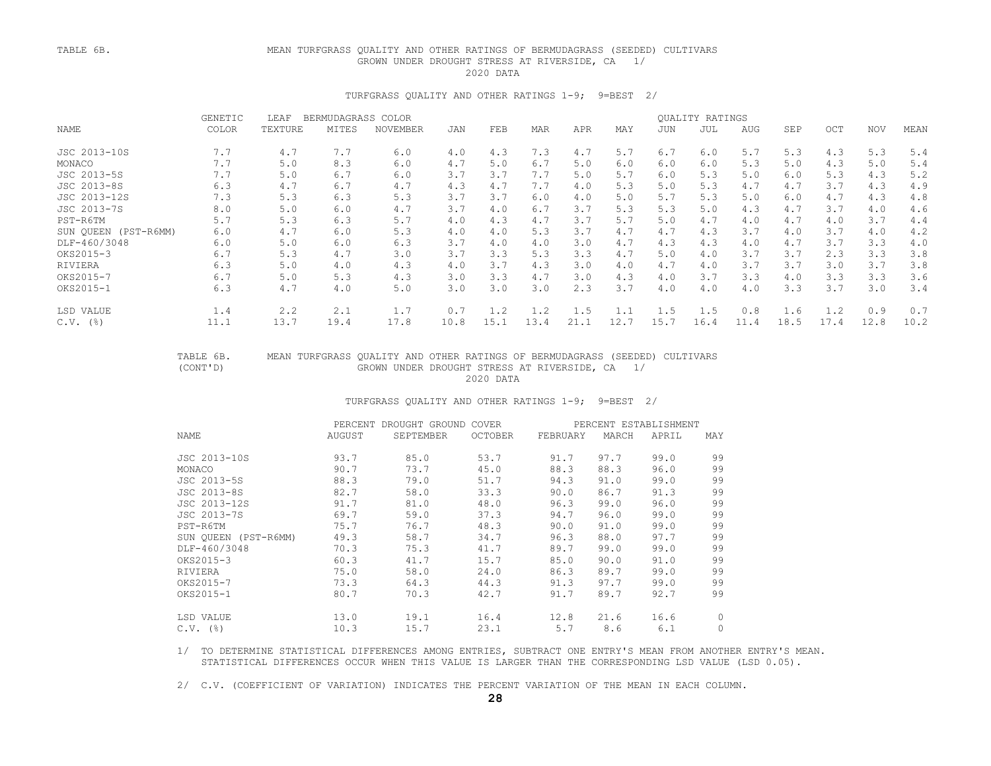## TABLE 6B. MEAN TURFGRASS QUALITY AND OTHER RATINGS OF BERMUDAGRASS (SEEDED) CULTIVARS GROWN UNDER DROUGHT STRESS AT RIVERSIDE, CA 1/ 2020 DATA

### TURFGRASS QUALITY AND OTHER RATINGS 1-9; 9=BEST 2/

|                      | <b>GENETIC</b><br>LEAF<br>BERMUDAGRASS COLOR |         |       |          |      |      |      |      |      | QUALITY RATINGS |      |      |            |      |            |      |
|----------------------|----------------------------------------------|---------|-------|----------|------|------|------|------|------|-----------------|------|------|------------|------|------------|------|
| NAME                 | COLOR                                        | TEXTURE | MITES | NOVEMBER | JAN  | FEB  | MAR  | APR  | MAY  | JUN             | JUL  | AUG  | <b>SEP</b> | OCT  | <b>NOV</b> | MEAN |
| JSC 2013-10S         | 7.7                                          | 4.7     | 7.7   | 6.0      | 4.0  | 4.3  | 7.3  | 4.7  | 5.7  | 6.7             | 6.0  | 5.7  | 5.3        | 4.3  | 5.3        | 5.4  |
| MONACO               | 7.7                                          | 5.0     | 8.3   | 6.0      | 4.7  | 5.0  | 6.7  | 5.0  | 6.0  | 6.0             | 6.0  | 5.3  | 5.0        | 4.3  | 5.0        | 5.4  |
| JSC 2013-5S          | 7.7                                          | 5.0     | 6.7   | 6.0      | 3.7  | 3.7  | 7.7  | 5.0  | 5.7  | 6.0             | 5.3  | 5.0  | 6.0        | 5.3  | 4.3        | 5.2  |
| JSC 2013-8S          | 6.3                                          | 4.7     | 6.7   | 4.7      | 4.3  | 4.7  | 7.7  | 4.0  | 5.3  | 5.0             | 5.3  | 4.7  | 4.7        | 3.7  | 4.3        | 4.9  |
| JSC 2013-12S         | 7.3                                          | 5.3     | 6.3   | 5.3      | 3.7  | 3.7  | 6.0  | 4.0  | 5.0  | 5.7             | 5.3  | 5.0  | 6.0        | 4.7  | 4.3        | 4.8  |
| JSC 2013-7S          | 8.0                                          | 5.0     | 6.0   | 4.7      | 3.7  | 4.0  | 6.7  | 3.7  | 5.3  | 5.3             | 5.0  | 4.3  | 4.7        | 3.7  | 4.0        | 4.6  |
| PST-R6TM             | 5.7                                          | 5.3     | 6.3   | 5.7      | 4.0  | 4.3  | 4.7  | 3.7  | 5.7  | 5.0             | 4.7  | 4.0  | 4.7        | 4.0  | 3.7        | 4.4  |
| SUN OUEEN (PST-R6MM) | 6.0                                          | 4.7     | 6.0   | 5.3      | 4.0  | 4.0  | 5.3  | 3.7  | 4.7  | 4.7             | 4.3  | 3.7  | 4.0        | 3.7  | 4.0        | 4.2  |
| DLF-460/3048         | 6.0                                          | 5.0     | 6.0   | 6.3      | 3.7  | 4.0  | 4.0  | 3.0  | 4.7  | 4.3             | 4.3  | 4.0  | 4.7        | 3.7  | 3.3        | 4.0  |
| OKS2015-3            | 6.7                                          | 5.3     | 4.7   | 3.0      | 3.7  | 3.3  | 5.3  | 3.3  | 4.7  | 5.0             | 4.0  | 3.7  | 3.7        | 2.3  | 3.3        | 3.8  |
| RIVIERA              | 6.3                                          | 5.0     | 4.0   | 4.3      | 4.0  | 3.7  | 4.3  | 3.0  | 4.0  | 4.7             | 4.0  | 3.7  | 3.7        | 3.0  | 3.7        | 3.8  |
| OKS2015-7            | 6.7                                          | 5.0     | 5.3   | 4.3      | 3.0  | 3.3  | 4.7  | 3.0  | 4.3  | 4.0             | 3.7  | 3.3  | 4.0        | 3.3  | 3.3        | 3.6  |
| OKS2015-1            | 6.3                                          | 4.7     | 4.0   | 5.0      | 3.0  | 3.0  | 3.0  | 2.3  | 3.7  | 4.0             | 4.0  | 4.0  | 3.3        | 3.7  | 3.0        | 3.4  |
| LSD VALUE            | 1.4                                          | 2.2     | 2.1   | 1.7      | 0.7  | 1.2  | 1.2  | 1.5  |      | 1.5             | 1.5  | 0.8  | 1.6        | 1.2  | 0.9        | 0.7  |
| $C.V.$ (%)           | 11.1                                         | 13.7    | 19.4  | 17.8     | 10.8 | 15.1 | 13.4 | 21.1 | 12.7 | 15.7            | 16.4 | 11.4 | 18.5       | 17.4 | 12.8       | 10.2 |

## TABLE 6B. MEAN TURFGRASS QUALITY AND OTHER RATINGS OF BERMUDAGRASS (SEEDED) CULTIVARS GROWN UNDER DROUGHT STRESS AT RIVERSIDE, CA 1/<br>2020 DATA 2020 DATA

#### TURFGRASS QUALITY AND OTHER RATINGS 1-9; 9=BEST 2/

|                      |        | PERCENT DROUGHT GROUND COVER |         |          |       | PERCENT ESTABLISHMENT |         |
|----------------------|--------|------------------------------|---------|----------|-------|-----------------------|---------|
| NAME                 | AUGUST | SEPTEMBER                    | OCTOBER | FEBRUARY | MARCH | APRIL                 | MAY     |
| JSC 2013-10S         | 93.7   | 85.0                         | 53.7    | 91.7     | 97.7  | 99.0                  | 99      |
| MONACO               | 90.7   | 73.7                         | 45.0    | 88.3     | 88.3  | 96.0                  | 99      |
| JSC 2013-5S          | 88.3   | 79.0                         | 51.7    | 94.3     | 91.0  | 99.0                  | 99      |
| JSC 2013-8S          | 82.7   | 58.0                         | 33.3    | 90.0     | 86.7  | 91.3                  | 99      |
| JSC 2013-12S         | 91.7   | 81.0                         | 48.0    | 96.3     | 99.0  | 96.0                  | 99      |
| JSC 2013-7S          | 69.7   | 59.0                         | 37.3    | 94.7     | 96.0  | 99.0                  | 99      |
| PST-R6TM             | 75.7   | 76.7                         | 48.3    | 90.0     | 91.0  | 99.0                  | 99      |
| SUN OUEEN (PST-R6MM) | 49.3   | 58.7                         | 34.7    | 96.3     | 88.0  | 97.7                  | 99      |
| DLF-460/3048         | 70.3   | 75.3                         | 41.7    | 89.7     | 99.0  | 99.0                  | 99      |
| OKS2015-3            | 60.3   | 41.7                         | 15.7    | 85.0     | 90.0  | 91.0                  | 99      |
| RIVIERA              | 75.0   | 58.0                         | 24.0    | 86.3     | 89.7  | 99.0                  | 99      |
| OKS2015-7            | 73.3   | 64.3                         | 44.3    | 91.3     | 97.7  | 99.0                  | 99      |
| OKS2015-1            | 80.7   | 70.3                         | 42.7    | 91.7     | 89.7  | 92.7                  | 99      |
| LSD VALUE            | 13.0   | 19.1                         | 16.4    | 12.8     | 21.6  | 16.6                  | $\circ$ |
| $C.V.$ (%)           | 10.3   | 15.7                         | 23.1    | 5.7      | 8.6   | 6.1                   | $\circ$ |
|                      |        |                              |         |          |       |                       |         |

 1/ TO DETERMINE STATISTICAL DIFFERENCES AMONG ENTRIES, SUBTRACT ONE ENTRY'S MEAN FROM ANOTHER ENTRY'S MEAN. STATISTICAL DIFFERENCES OCCUR WHEN THIS VALUE IS LARGER THAN THE CORRESPONDING LSD VALUE (LSD 0.05).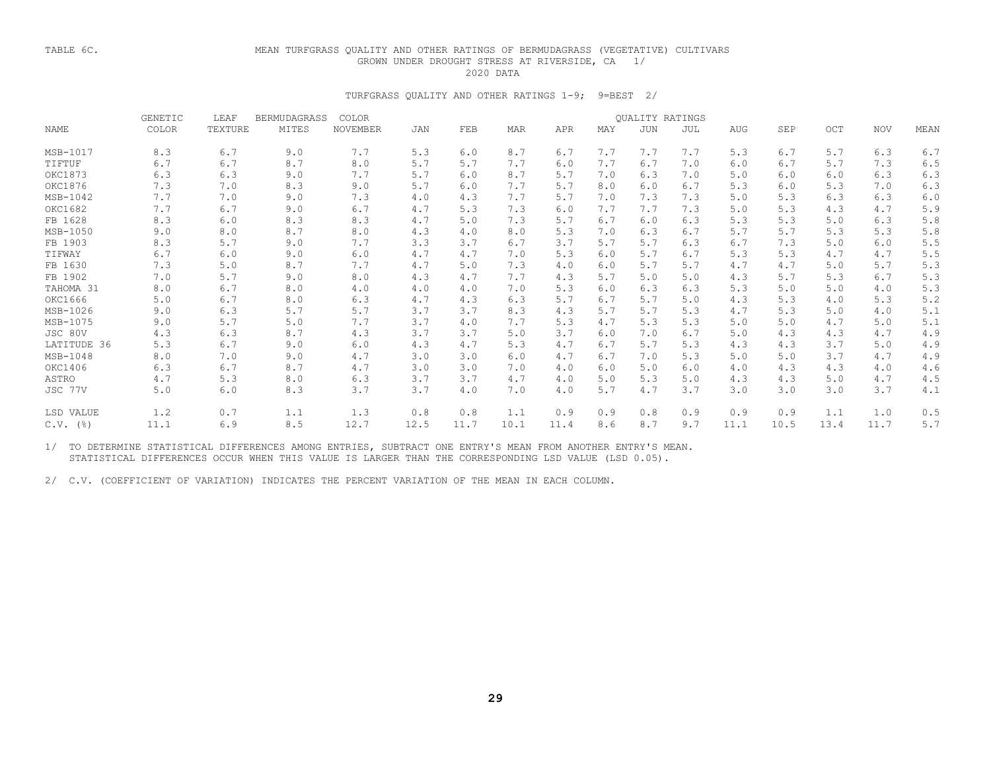## TABLE 6C. MEAN TURFGRASS QUALITY AND OTHER RATINGS OF BERMUDAGRASS (VEGETATIVE) CULTIVARS GROWN UNDER DROUGHT STRESS AT RIVERSIDE, CA 1/ 2020 DATA

## TURFGRASS QUALITY AND OTHER RATINGS 1-9; 9=BEST 2/

|             | <b>GENETIC</b> | LEAF    | <b>BERMUDAGRASS</b> | COLOR<br>QUALITY RATINGS |      |      |      |      |     |            |     |      |      |      |            |       |
|-------------|----------------|---------|---------------------|--------------------------|------|------|------|------|-----|------------|-----|------|------|------|------------|-------|
| NAME        | COLOR          | TEXTURE | MITES               | <b>NOVEMBER</b>          | JAN  | FEB  | MAR  | APR  | MAY | <b>JUN</b> | JUL | AUG  | SEP  | OCT  | <b>NOV</b> | MEAN  |
| MSB-1017    | 8.3            | 6.7     | 9.0                 | 7.7                      | 5.3  | 6.0  | 8.7  | 6.7  | 7.7 | 7.7        | 7.7 | 5.3  | 6.7  | 5.7  | 6.3        | 6.7   |
| TIFTUF      | 6.7            | 6.7     | 8.7                 | 8.0                      | 5.7  | 5.7  | 7.7  | 6.0  | 7.7 | 6.7        | 7.0 | 6.0  | 6.7  | 5.7  | 7.3        | 6.5   |
| OKC1873     | 6.3            | 6.3     | 9.0                 | 7.7                      | 5.7  | 6.0  | 8.7  | 5.7  | 7.0 | 6.3        | 7.0 | 5.0  | 6.0  | 6.0  | 6.3        | 6.3   |
| OKC1876     | 7.3            | 7.0     | 8.3                 | 9.0                      | 5.7  | 6.0  | 7.7  | 5.7  | 8.0 | 6.0        | 6.7 | 5.3  | 6.0  | 5.3  | 7.0        | 6.3   |
| MSB-1042    | 7.7            | 7.0     | 9.0                 | 7.3                      | 4.0  | 4.3  | 7.7  | 5.7  | 7.0 | 7.3        | 7.3 | 5.0  | 5.3  | 6.3  | 6.3        | 6.0   |
| OKC1682     | 7.7            | 6.7     | 9.0                 | 6.7                      | 4.7  | 5.3  | 7.3  | 6.0  | 7.7 | 7.7        | 7.3 | 5.0  | 5.3  | 4.3  | 4.7        | 5.9   |
| FB 1628     | 8.3            | 6.0     | 8.3                 | 8.3                      | 4.7  | 5.0  | 7.3  | 5.7  | 6.7 | 6.0        | 6.3 | 5.3  | 5.3  | 5.0  | 6.3        | 5.8   |
| MSB-1050    | 9.0            | 8.0     | 8.7                 | 8.0                      | 4.3  | 4.0  | 8.0  | 5.3  | 7.0 | 6.3        | 6.7 | 5.7  | 5.7  | 5.3  | 5.3        | 5.8   |
| FB 1903     | 8.3            | 5.7     | 9.0                 | 7.7                      | 3.3  | 3.7  | 6.7  | 3.7  | 5.7 | 5.7        | 6.3 | 6.7  | 7.3  | 5.0  | 6.0        | 5.5   |
| TIFWAY      | 6.7            | 6.0     | 9.0                 | 6.0                      | 4.7  | 4.7  | 7.0  | 5.3  | 6.0 | 5.7        | 6.7 | 5.3  | 5.3  | 4.7  | 4.7        | 5.5   |
| FB 1630     | 7.3            | 5.0     | 8.7                 | 7.7                      | 4.7  | 5.0  | 7.3  | 4.0  | 6.0 | 5.7        | 5.7 | 4.7  | 4.7  | 5.0  | 5.7        | 5.3   |
| FB 1902     | 7.0            | 5.7     | 9.0                 | 8.0                      | 4.3  | 4.7  | 7.7  | 4.3  | 5.7 | 5.0        | 5.0 | 4.3  | 5.7  | 5.3  | 6.7        | 5.3   |
| TAHOMA 31   | 8.0            | 6.7     | 8.0                 | 4.0                      | 4.0  | 4.0  | 7.0  | 5.3  | 6.0 | 6.3        | 6.3 | 5.3  | 5.0  | 5.0  | 4.0        | 5.3   |
| OKC1666     | 5.0            | 6.7     | 8.0                 | 6.3                      | 4.7  | 4.3  | 6.3  | 5.7  | 6.7 | 5.7        | 5.0 | 4.3  | 5.3  | 4.0  | 5.3        | 5.2   |
| MSB-1026    | 9.0            | 6.3     | 5.7                 | 5.7                      | 3.7  | 3.7  | 8.3  | 4.3  | 5.7 | 5.7        | 5.3 | 4.7  | 5.3  | 5.0  | 4.0        | 5.1   |
| MSB-1075    | 9.0            | 5.7     | 5.0                 | 7.7                      | 3.7  | 4.0  | 7.7  | 5.3  | 4.7 | 5.3        | 5.3 | 5.0  | 5.0  | 4.7  | 5.0        | 5.1   |
| JSC 80V     | 4.3            | 6.3     | 8.7                 | 4.3                      | 3.7  | 3.7  | 5.0  | 3.7  | 6.0 | 7.0        | 6.7 | 5.0  | 4.3  | 4.3  | 4.7        | 4.9   |
| LATITUDE 36 | 5.3            | 6.7     | 9.0                 | 6.0                      | 4.3  | 4.7  | 5.3  | 4.7  | 6.7 | 5.7        | 5.3 | 4.3  | 4.3  | 3.7  | 5.0        | 4.9   |
| MSB-1048    | 8.0            | 7.0     | 9.0                 | 4.7                      | 3.0  | 3.0  | 6.0  | 4.7  | 6.7 | 7.0        | 5.3 | 5.0  | 5.0  | 3.7  | 4.7        | 4.9   |
| OKC1406     | 6.3            | 6.7     | 8.7                 | 4.7                      | 3.0  | 3.0  | 7.0  | 4.0  | 6.0 | 5.0        | 6.0 | 4.0  | 4.3  | 4.3  | 4.0        | 4.6   |
| ASTRO       | 4.7            | 5.3     | 8.0                 | 6.3                      | 3.7  | 3.7  | 4.7  | 4.0  | 5.0 | 5.3        | 5.0 | 4.3  | 4.3  | 5.0  | 4.7        | 4.5   |
| JSC 77V     | 5.0            | 6.0     | 8.3                 | 3.7                      | 3.7  | 4.0  | 7.0  | 4.0  | 5.7 | 4.7        | 3.7 | 3.0  | 3.0  | 3.0  | 3.7        | 4.1   |
| LSD VALUE   | 1.2            | 0.7     | 1.1                 | 1.3                      | 0.8  | 0.8  | 1.1  | 0.9  | 0.9 | 0.8        | 0.9 | 0.9  | 0.9  | 1.1  | 1.0        | 0.5   |
| $C.V.$ (%)  | 11.1           | 6.9     | 8.5                 | 12.7                     | 12.5 | 11.7 | 10.1 | 11.4 | 8.6 | 8.7        | 9.7 | 11.1 | 10.5 | 13.4 | 11.7       | $5.7$ |

 1/ TO DETERMINE STATISTICAL DIFFERENCES AMONG ENTRIES, SUBTRACT ONE ENTRY'S MEAN FROM ANOTHER ENTRY'S MEAN. STATISTICAL DIFFERENCES OCCUR WHEN THIS VALUE IS LARGER THAN THE CORRESPONDING LSD VALUE (LSD 0.05).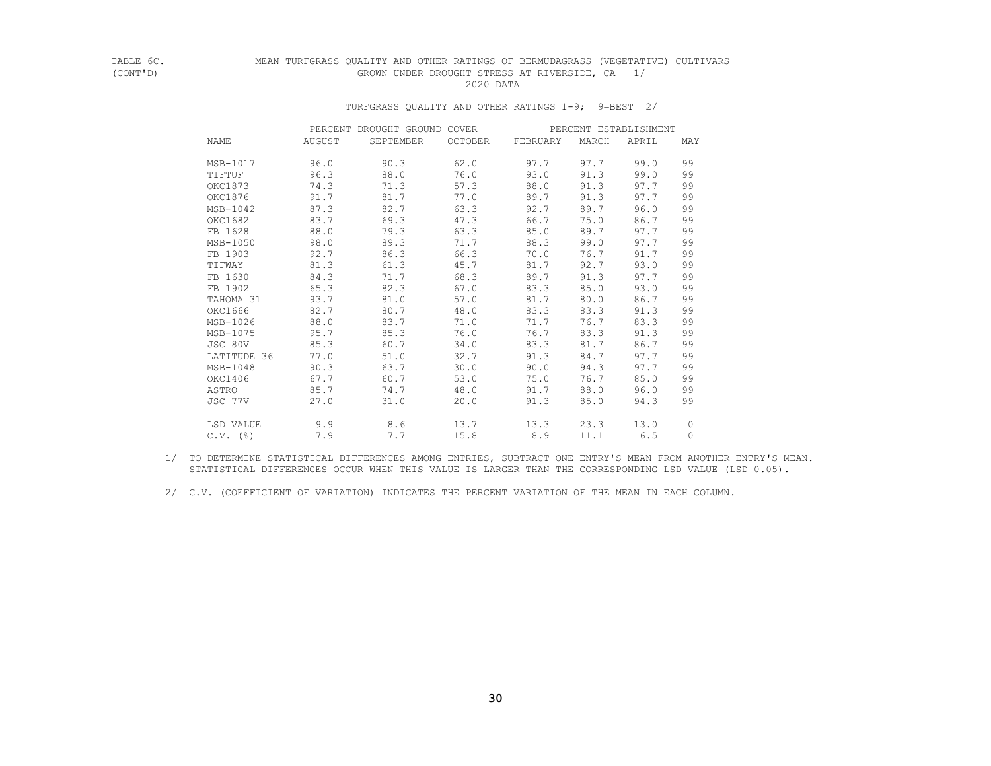## TABLE 6C. MEAN TURFGRASS QUALITY AND OTHER RATINGS OF BERMUDAGRASS (VEGETATIVE) CULTIVARS<br>(CONT'D) (GROWN UNDER DROUGHT STRESS AT RIVERSIDE, CA GROWN UNDER DROUGHT STRESS AT RIVERSIDE, CA 1/<br>2020 DATA 2020 DATA

## TURFGRASS QUALITY AND OTHER RATINGS 1-9; 9=BEST 2/

|                        |        | PERCENT DROUGHT GROUND COVER |         |          |       | PERCENT ESTABLISHMENT |              |
|------------------------|--------|------------------------------|---------|----------|-------|-----------------------|--------------|
| NAME                   | AUGUST | SEPTEMBER                    | OCTOBER | FEBRUARY | MARCH | APRIL                 | MAY          |
| MSB-1017               | 96.0   | 90.3                         | 62.0    | 97.7     | 97.7  | 99.0                  | 99           |
| TIFTUF                 | 96.3   | 88.0                         | 76.0    | 93.0     | 91.3  | 99.0                  | 99           |
| OKC1873                | 74.3   | 71.3                         | 57.3    | 88.0     | 91.3  | 97.7                  | 99           |
| OKC1876                | 91.7   | 81.7                         | 77.0    | 89.7     | 91.3  | 97.7                  | 99           |
| $MSB-1042$             | 87.3   | 82.7                         | 63.3    | 92.7     | 89.7  | 96.0                  | 99           |
| OKC1682                | 83.7   | 69.3                         | 47.3    | 66.7     | 75.0  | 86.7                  | 99           |
| FB 1628                | 88.0   | 79.3                         | 63.3    | 85.0     | 89.7  | 97.7                  | 99           |
| MSB-1050               | 98.0   | 89.3                         | 71.7    | 88.3     | 99.0  | 97.7                  | 99           |
| FB 1903                | 92.7   | 86.3                         | 66.3    | 70.0     | 76.7  | 91.7                  | 99           |
| TIFWAY                 | 81.3   | 61.3                         | 45.7    | 81.7     | 92.7  | 93.0                  | 99           |
| FB 1630                | 84.3   | 71.7                         | 68.3    | 89.7     | 91.3  | 97.7                  | 99           |
| FB 1902                | 65.3   | 82.3                         | 67.0    | 83.3     | 85.0  | 93.0                  | 99           |
| TAHOMA 31              | 93.7   | 81.0                         | 57.0    | 81.7     | 80.0  | 86.7                  | 99           |
| OKC1666                | 82.7   | 80.7                         | 48.0    | 83.3     | 83.3  | 91.3                  | 99           |
| MSB-1026               | 88.0   | 83.7                         | 71.0    | 71.7     | 76.7  | 83.3                  | 99           |
| MSB-1075               | 95.7   | 85.3                         | 76.0    | 76.7     | 83.3  | 91.3                  | 99           |
| JSC 80V                | 85.3   | 60.7                         | 34.0    | 83.3     | 81.7  | 86.7                  | 99           |
| LATITUDE 36            | 77.0   | 51.0                         | 32.7    | 91.3     | 84.7  | 97.7                  | 99           |
| MSB-1048               | 90.3   | 63.7                         | 30.0    | 90.0     | 94.3  | 97.7                  | 99           |
| OKC1406                | 67.7   | 60.7                         | 53.0    | 75.0     | 76.7  | 85.0                  | 99           |
| ASTRO                  | 85.7   | 74.7                         | 48.0    | 91.7     | 88.0  | 96.0                  | 99           |
| JSC 77V                | 27.0   | 31.0                         | 20.0    | 91.3     | 85.0  | 94.3                  | 99           |
| LSD VALUE              | 9.9    | 8.6                          | 13.7    | 13.3     | 23.3  | 13.0                  | 0            |
| $C.V.$ $(\frac{6}{6})$ | 7.9    | 7.7                          | 15.8    | 8.9      | 11.1  | 6.5                   | $\mathbf{0}$ |

 1/ TO DETERMINE STATISTICAL DIFFERENCES AMONG ENTRIES, SUBTRACT ONE ENTRY'S MEAN FROM ANOTHER ENTRY'S MEAN. STATISTICAL DIFFERENCES OCCUR WHEN THIS VALUE IS LARGER THAN THE CORRESPONDING LSD VALUE (LSD 0.05).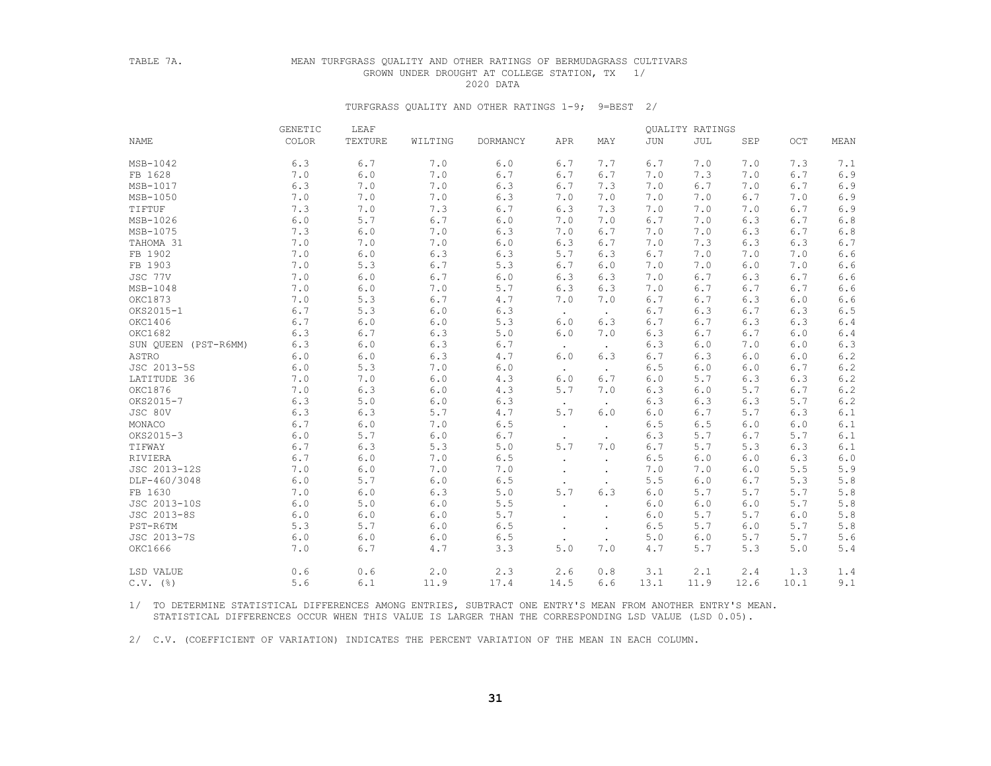### TABLE 7A. MEAN TURFGRASS QUALITY AND OTHER RATINGS OF BERMUDAGRASS CULTIVARS GROWN UNDER DROUGHT AT COLLEGE STATION, TX 1/ 2020 DATA

#### TURFGRASS QUALITY AND OTHER RATINGS 1-9; 9=BEST 2/

|                      | GENETIC | LEAF          |         |          |           |                      |       | QUALITY RATINGS |       |              |         |
|----------------------|---------|---------------|---------|----------|-----------|----------------------|-------|-----------------|-------|--------------|---------|
| <b>NAME</b>          | COLOR   | TEXTURE       | WILTING | DORMANCY | APR       | MAY                  | JUN   | JUL             | SEP   | $_{\rm OCT}$ | MEAN    |
| MSB-1042             | 6.3     | $6.7\,$       | 7.0     | 6.0      | $6.7$     | 7.7                  | 6.7   | 7.0             | 7.0   | 7.3          | 7.1     |
| FB 1628              | 7.0     | 6.0           | 7.0     | 6.7      | 6.7       | 6.7                  | 7.0   | 7.3             | 7.0   | 6.7          | 6.9     |
| MSB-1017             | 6.3     | 7.0           | 7.0     | 6.3      | 6.7       | 7.3                  | 7.0   | 6.7             | 7.0   | 6.7          | 6.9     |
| MSB-1050             | 7.0     | 7.0           | 7.0     | 6.3      | 7.0       | 7.0                  | 7.0   | 7.0             | 6.7   | 7.0          | 6.9     |
| TIFTUF               | 7.3     | 7.0           | 7.3     | 6.7      | 6.3       | 7.3                  | 7.0   | 7.0             | 7.0   | 6.7          | 6.9     |
| MSB-1026             | $6.0$   | $5.7$         | 6.7     | 6.0      | 7.0       | 7.0                  | 6.7   | 7.0             | 6.3   | 6.7          | $6.8\,$ |
| MSB-1075             | 7.3     | $6.0$         | 7.0     | 6.3      | 7.0       | 6.7                  | 7.0   | 7.0             | 6.3   | 6.7          | $6.8\,$ |
| TAHOMA 31            | 7.0     | 7.0           | 7.0     | 6.0      | 6.3       | 6.7                  | 7.0   | 7.3             | 6.3   | 6.3          | 6.7     |
| FB 1902              | 7.0     | 6.0           | 6.3     | 6.3      | 5.7       | 6.3                  | 6.7   | 7.0             | 7.0   | 7.0          | 6.6     |
| FB 1903              | 7.0     | 5.3           | 6.7     | 5.3      | 6.7       | 6.0                  | 7.0   | 7.0             | 6.0   | 7.0          | 6.6     |
| JSC 77V              | 7.0     | $6.0$         | 6.7     | 6.0      | 6.3       | 6.3                  | 7.0   | 6.7             | 6.3   | 6.7          | 6.6     |
| MSB-1048             | 7.0     | $6.0$         | 7.0     | 5.7      | 6.3       | 6.3                  | 7.0   | 6.7             | 6.7   | 6.7          | $6.6$   |
| OKC1873              | 7.0     | 5.3           | 6.7     | 4.7      | 7.0       | 7.0                  | 6.7   | 6.7             | 6.3   | 6.0          | 6.6     |
| OKS2015-1            | $6.7\,$ | 5.3           | $6.0$   | 6.3      | $\bullet$ | $\bullet$            | 6.7   | 6.3             | 6.7   | 6.3          | $6.5$   |
| OKC1406              | 6.7     | $6.0$         | 6.0     | 5.3      | 6.0       | 6.3                  | 6.7   | 6.7             | 6.3   | 6.3          | 6.4     |
| OKC1682              | 6.3     | 6.7           | 6.3     | 5.0      | 6.0       | 7.0                  | 6.3   | 6.7             | 6.7   | 6.0          | 6.4     |
| SUN OUEEN (PST-R6MM) | 6.3     | 6.0           | 6.3     | 6.7      |           | $\sim$               | 6.3   | 6.0             | 7.0   | 6.0          | 6.3     |
| ASTRO                | $6.0$   | $6.0$         | 6.3     | 4.7      | 6.0       | 6.3                  | 6.7   | 6.3             | 6.0   | 6.0          | $6\,.2$ |
| JSC 2013-5S          | $6.0$   | 5.3           | 7.0     | 6.0      |           | $\bullet$            | 6.5   | 6.0             | 6.0   | 6.7          | $6.2\,$ |
| LATITUDE 36          | 7.0     | $7 \, . \, 0$ | $6.0$   | 4.3      | 6.0       | 6.7                  | $6.0$ | 5.7             | 6.3   | 6.3          | $6.2\,$ |
| OKC1876              | 7.0     | 6.3           | 6.0     | 4.3      | 5.7       | 7.0                  | 6.3   | 6.0             | 5.7   | 6.7          | $6.2\,$ |
| OKS2015-7            | 6.3     | $5.0$         | 6.0     | 6.3      | $\bullet$ | $\bullet$            | 6.3   | 6.3             | 6.3   | 5.7          | $6.2\,$ |
| JSC 80V              | 6.3     | 6.3           | 5.7     | 4.7      | 5.7       | 6.0                  | 6.0   | 6.7             | 5.7   | 6.3          | 6.1     |
| MONACO               | 6.7     | $6 \, . \, 0$ | 7.0     | 6.5      | $\bullet$ |                      | 6.5   | 6.5             | 6.0   | 6.0          | $6.1$   |
| OKS2015-3            | 6.0     | 5.7           | 6.0     | 6.7      |           |                      | 6.3   | 5.7             | 6.7   | 5.7          | $6.1$   |
| TIFWAY               | 6.7     | 6.3           | 5.3     | 5.0      | $5.7$     | 7.0                  | 6.7   | 5.7             | 5.3   | 6.3          | 6.1     |
| RIVIERA              | 6.7     | $6.0\,$       | 7.0     | 6.5      | $\bullet$ | $\bullet$            | 6.5   | $6.0$           | 6.0   | 6.3          | $6.0$   |
| JSC 2013-12S         | 7.0     | 6.0           | 7.0     | 7.0      |           |                      | 7.0   | 7.0             | 6.0   | 5.5          | 5.9     |
| DLF-460/3048         | 6.0     | 5.7           | 6.0     | 6.5      |           | $\ddot{\phantom{0}}$ | 5.5   | 6.0             | 6.7   | 5.3          | $5.8$   |
| FB 1630              | 7.0     | $6.0$         | 6.3     | 5.0      | 5.7       | 6.3                  | 6.0   | 5.7             | 5.7   | 5.7          | $5.8$   |
| JSC 2013-10S         | 6.0     | $5.0$         | 6.0     | 5.5      |           |                      | 6.0   | 6.0             | 6.0   | 5.7          | 5.8     |
| JSC 2013-8S          | 6.0     | $6.0$         | 6.0     | 5.7      |           |                      | 6.0   | 5.7             | 5.7   | 6.0          | $5.8$   |
| PST-R6TM             | 5.3     | 5.7           | $6.0$   | 6.5      |           |                      | 6.5   | 5.7             | $6.0$ | 5.7          | $5.8$   |
| JSC 2013-7S          | 6.0     | 6.0           | 6.0     | 6.5      |           | $\bullet$            | 5.0   | 6.0             | 5.7   | 5.7          | 5.6     |
| OKC1666              | 7.0     | 6.7           | 4.7     | 3.3      | 5.0       | 7.0                  | 4.7   | 5.7             | 5.3   | 5.0          | $5.4$   |
| LSD VALUE            | 0.6     | 0.6           | 2.0     | 2.3      | 2.6       | 0.8                  | 3.1   | 2.1             | 2.4   | 1.3          | 1.4     |
| $C.V.$ (%)           | 5.6     | 6.1           | 11.9    | 17.4     | 14.5      | 6.6                  | 13.1  | 11.9            | 12.6  | 10.1         | 9.1     |

 1/ TO DETERMINE STATISTICAL DIFFERENCES AMONG ENTRIES, SUBTRACT ONE ENTRY'S MEAN FROM ANOTHER ENTRY'S MEAN. STATISTICAL DIFFERENCES OCCUR WHEN THIS VALUE IS LARGER THAN THE CORRESPONDING LSD VALUE (LSD 0.05).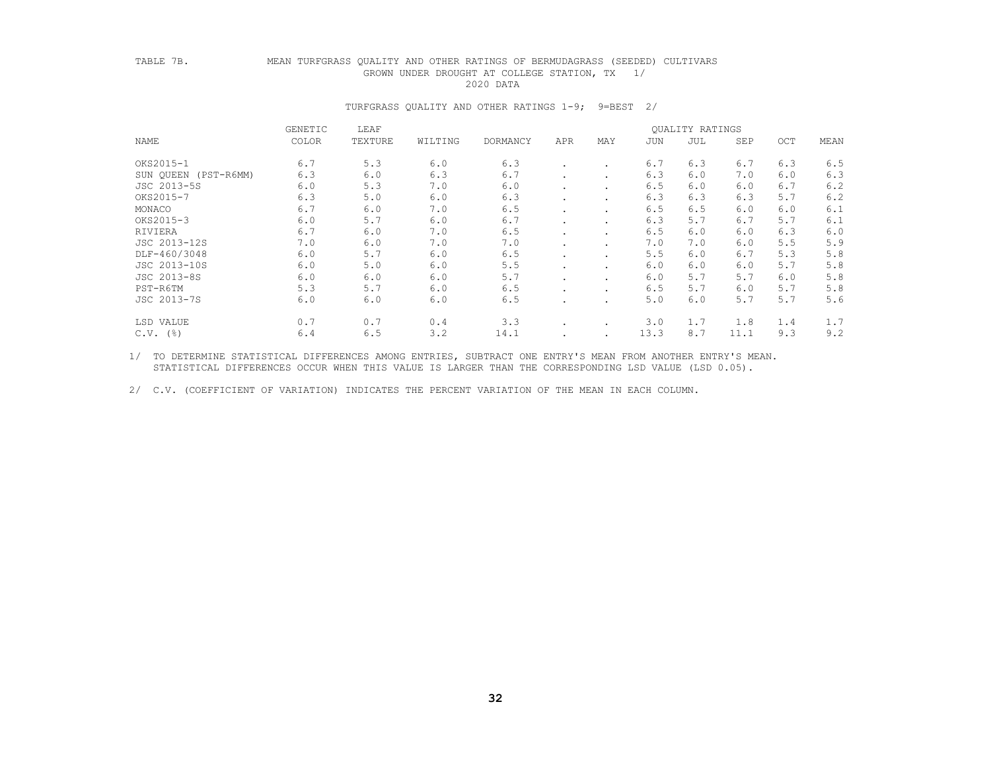### TABLE 7B. MEAN TURFGRASS QUALITY AND OTHER RATINGS OF BERMUDAGRASS (SEEDED) CULTIVARS GROWN UNDER DROUGHT AT COLLEGE STATION, TX 1/ 2020 DATA

#### TURFGRASS QUALITY AND OTHER RATINGS 1-9; 9=BEST 2/

|                      | GENETIC | LEAF    |         |          |     |                      |      | <b>OUALITY RATINGS</b> |      |     |      |
|----------------------|---------|---------|---------|----------|-----|----------------------|------|------------------------|------|-----|------|
| NAME                 | COLOR   | TEXTURE | WILTING | DORMANCY | APR | MAY                  | JUN  | JUL                    | SEP  | OCT | MEAN |
| OKS2015-1            | 6.7     | 5.3     | 6.0     | 6.3      |     | $\ddot{\phantom{a}}$ | 6.7  | 6.3                    | 6.7  | 6.3 | 6.5  |
| SUN OUEEN (PST-R6MM) | 6.3     | 6.0     | 6.3     | 6.7      |     |                      | 6.3  | 6.0                    | 7.0  | 6.0 | 6.3  |
| JSC 2013-5S          | 6.0     | 5.3     | 7.0     | 6.0      |     | $\cdot$              | 6.5  | 6.0                    | 6.0  | 6.7 | 6.2  |
| OKS2015-7            | 6.3     | 5.0     | 6.0     | 6.3      |     |                      | 6.3  | 6.3                    | 6.3  | 5.7 | 6.2  |
| MONACO               | 6.7     | 6.0     | 7.0     | 6.5      |     |                      | 6.5  | 6.5                    | 6.0  | 6.0 | 6.1  |
| OKS2015-3            | 6.0     | 5.7     | 6.0     | 6.7      |     |                      | 6.3  | 5.7                    | 6.7  | 5.7 | 6.1  |
| RIVIERA              | 6.7     | 6.0     | 7.0     | 6.5      |     |                      | 6.5  | 6.0                    | 6.0  | 6.3 | 6.0  |
| JSC 2013-12S         | 7.0     | 6.0     | 7.0     | 7.0      |     |                      | 7.0  | 7.0                    | 6.0  | 5.5 | 5.9  |
| DLF-460/3048         | 6.0     | 5.7     | 6.0     | 6.5      |     |                      | 5.5  | 6.0                    | 6.7  | 5.3 | 5.8  |
| JSC 2013-10S         | 6.0     | 5.0     | 6.0     | 5.5      |     | $\cdot$              | 6.0  | 6.0                    | 6.0  | 5.7 | 5.8  |
| JSC 2013-8S          | 6.0     | 6.0     | 6.0     | 5.7      |     |                      | 6.0  | 5.7                    | 5.7  | 6.0 | 5.8  |
| PST-R6TM             | 5.3     | 5.7     | 6.0     | 6.5      |     |                      | 6.5  | 5.7                    | 6.0  | 5.7 | 5.8  |
| JSC 2013-7S          | 6.0     | 6.0     | 6.0     | 6.5      |     |                      | 5.0  | 6.0                    | 5.7  | 5.7 | 5.6  |
| LSD VALUE            | 0.7     | 0.7     | 0.4     | 3.3      |     | $\cdot$              | 3.0  | 1.7                    | 1.8  | 1.4 | 1.7  |
| $C.V.$ (%)           | 6.4     | 6.5     | 3.2     | 14.1     |     |                      | 13.3 | 8.7                    | 11.1 | 9.3 | 9.2  |

 1/ TO DETERMINE STATISTICAL DIFFERENCES AMONG ENTRIES, SUBTRACT ONE ENTRY'S MEAN FROM ANOTHER ENTRY'S MEAN. STATISTICAL DIFFERENCES OCCUR WHEN THIS VALUE IS LARGER THAN THE CORRESPONDING LSD VALUE (LSD 0.05).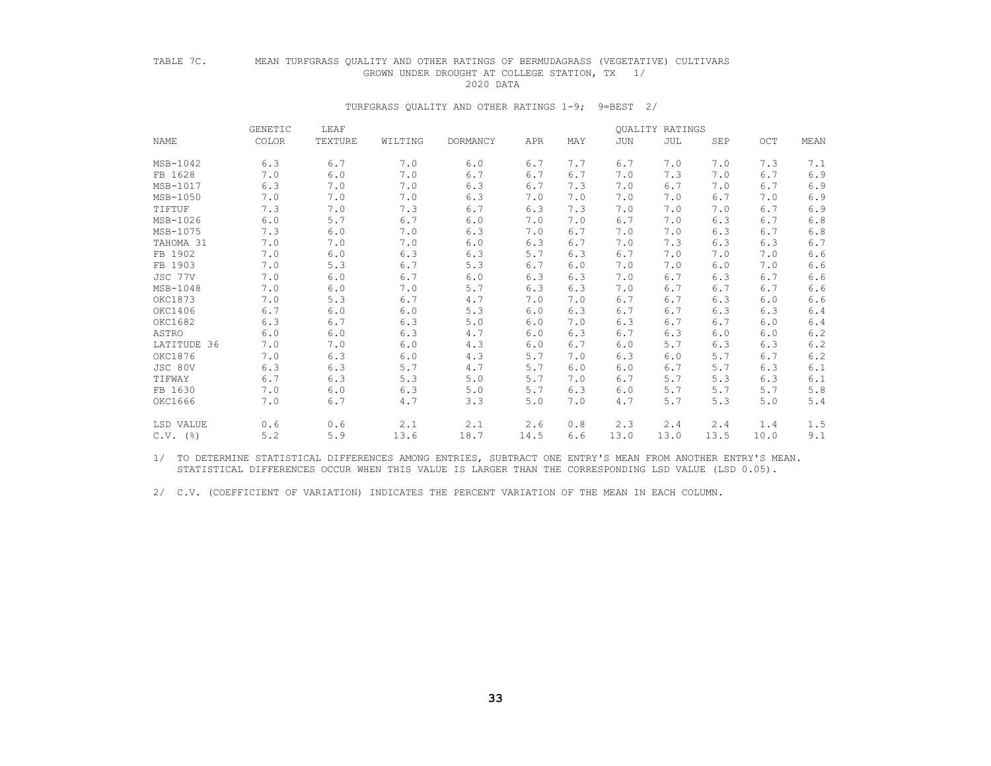# TABLE 7C. MEAN TURFGRASS QUALITY AND OTHER RATINGS OF BERMUDAGRASS (VEGETATIVE) CULTIVARS GROWN UNDER DROUGHT AT COLLEGE STATION, TX 1/<br>2020 DATA

#### 2020 DATA

#### TURFGRASS QUALITY AND OTHER RATINGS 1-9; 9=BEST 2/

|             | GENETIC | LEAF    |         |          |      |     |      | QUALITY RATINGS |      |      |       |
|-------------|---------|---------|---------|----------|------|-----|------|-----------------|------|------|-------|
| NAME        | COLOR   | TEXTURE | WILTING | DORMANCY | APR  | MAY | JUN  | JUL             | SEP  | OCT  | MEAN  |
| MSB-1042    | 6.3     | 6.7     | 7.0     | 6.0      | 6.7  | 7.7 | 6.7  | 7.0             | 7.0  | 7.3  | 7.1   |
| FB 1628     | 7.0     | 6.0     | 7.0     | 6.7      | 6.7  | 6.7 | 7.0  | 7.3             | 7.0  | 6.7  | 6.9   |
| MSB-1017    | 6.3     | 7.0     | 7.0     | 6.3      | 6.7  | 7.3 | 7.0  | 6.7             | 7.0  | 6.7  | 6.9   |
| MSB-1050    | 7.0     | 7.0     | 7.0     | 6.3      | 7.0  | 7.0 | 7.0  | 7.0             | 6.7  | 7.0  | 6.9   |
| TIFTUF      | 7.3     | 7.0     | 7.3     | 6.7      | 6.3  | 7.3 | 7.0  | 7.0             | 7.0  | 6.7  | 6.9   |
| MSB-1026    | 6.0     | 5.7     | 6.7     | 6.0      | 7.0  | 7.0 | 6.7  | 7.0             | 6.3  | 6.7  | $6.8$ |
| MSB-1075    | 7.3     | 6.0     | 7.0     | 6.3      | 7.0  | 6.7 | 7.0  | 7.0             | 6.3  | 6.7  | $6.8$ |
| TAHOMA 31   | 7.0     | 7.0     | 7.0     | 6.0      | 6.3  | 6.7 | 7.0  | 7.3             | 6.3  | 6.3  | 6.7   |
| FB 1902     | 7.0     | 6.0     | 6.3     | 6.3      | 5.7  | 6.3 | 6.7  | 7.0             | 7.0  | 7.0  | 6.6   |
| FB 1903     | 7.0     | 5.3     | 6.7     | 5.3      | 6.7  | 6.0 | 7.0  | 7.0             | 6.0  | 7.0  | 6.6   |
| JSC 77V     | 7.0     | 6.0     | $6.7$   | 6.0      | 6.3  | 6.3 | 7.0  | 6.7             | 6.3  | 6.7  | 6.6   |
| MSB-1048    | 7.0     | 6.0     | 7.0     | 5.7      | 6.3  | 6.3 | 7.0  | 6.7             | 6.7  | 6.7  | 6.6   |
| OKC1873     | 7.0     | 5.3     | 6.7     | 4.7      | 7.0  | 7.0 | 6.7  | 6.7             | 6.3  | 6.0  | $6.6$ |
| OKC1406     | 6.7     | $6.0$   | 6.0     | 5.3      | 6.0  | 6.3 | 6.7  | 6.7             | 6.3  | 6.3  | 6.4   |
| OKC1682     | 6.3     | 6.7     | 6.3     | 5.0      | 6.0  | 7.0 | 6.3  | 6.7             | 6.7  | 6.0  | 6.4   |
| ASTRO       | 6.0     | 6.0     | 6.3     | 4.7      | 6.0  | 6.3 | 6.7  | 6.3             | 6.0  | 6.0  | 6.2   |
| LATITUDE 36 | 7.0     | 7.0     | 6.0     | 4.3      | 6.0  | 6.7 | 6.0  | 5.7             | 6.3  | 6.3  | 6.2   |
| OKC1876     | 7.0     | 6.3     | 6.0     | 4.3      | 5.7  | 7.0 | 6.3  | 6.0             | 5.7  | 6.7  | 6.2   |
| JSC 80V     | 6.3     | 6.3     | 5.7     | 4.7      | 5.7  | 6.0 | 6.0  | 6.7             | 5.7  | 6.3  | 6.1   |
| TIFWAY      | 6.7     | 6.3     | 5.3     | 5.0      | 5.7  | 7.0 | 6.7  | 5.7             | 5.3  | 6.3  | 6.1   |
| FB 1630     | 7.0     | 6.0     | 6.3     | 5.0      | 5.7  | 6.3 | 6.0  | 5.7             | 5.7  | 5.7  | $5.8$ |
| OKC1666     | 7.0     | 6.7     | 4.7     | 3.3      | 5.0  | 7.0 | 4.7  | 5.7             | 5.3  | 5.0  | 5.4   |
| LSD VALUE   | 0.6     | 0.6     | 2.1     | 2.1      | 2.6  | 0.8 | 2.3  | 2.4             | 2.4  | 1.4  | 1.5   |
| $C.V.$ (%)  | 5.2     | 5.9     | 13.6    | 18.7     | 14.5 | 6.6 | 13.0 | 13.0            | 13.5 | 10.0 | 9.1   |

 1/ TO DETERMINE STATISTICAL DIFFERENCES AMONG ENTRIES, SUBTRACT ONE ENTRY'S MEAN FROM ANOTHER ENTRY'S MEAN. STATISTICAL DIFFERENCES OCCUR WHEN THIS VALUE IS LARGER THAN THE CORRESPONDING LSD VALUE (LSD 0.05).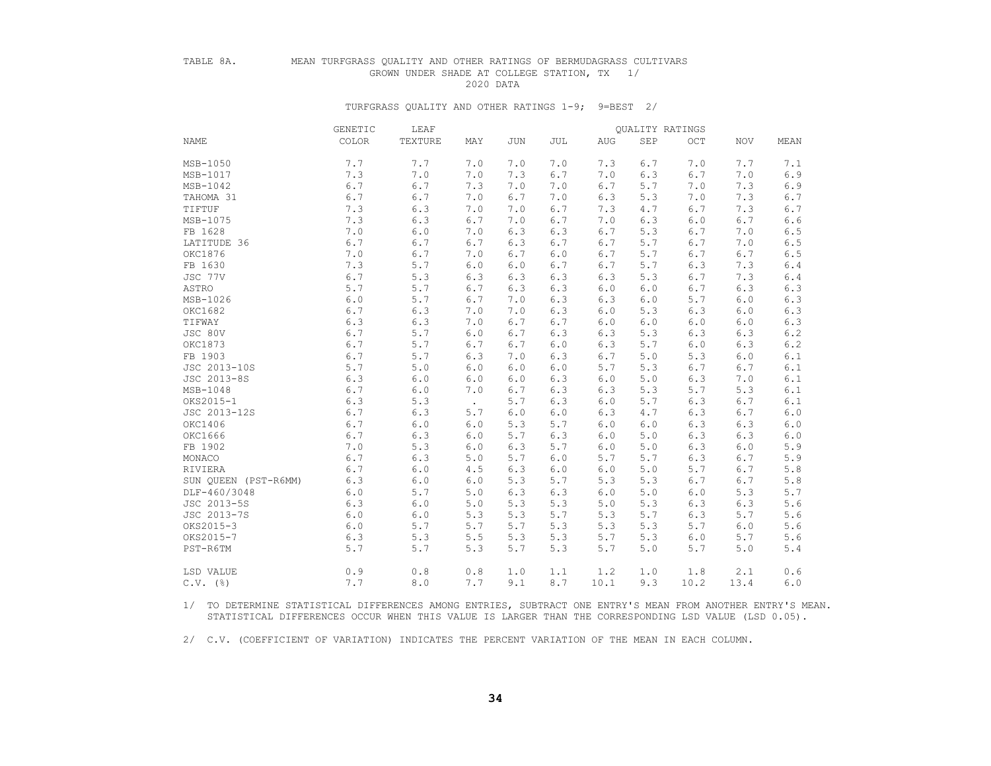# TABLE 8A. MEAN TURFGRASS QUALITY AND OTHER RATINGS OF BERMUDAGRASS CULTIVARS GROWN UNDER SHADE AT COLLEGE STATION, TX 1/<br>2020 DATA

2020 DATA

#### TURFGRASS QUALITY AND OTHER RATINGS 1-9; 9=BEST 2/

|                      | GENETIC | LEAF    |        |     |     |      | QUALITY RATINGS |      |       |       |
|----------------------|---------|---------|--------|-----|-----|------|-----------------|------|-------|-------|
| <b>NAME</b>          | COLOR   | TEXTURE | MAY    | JUN | JUL | AUG  | <b>SEP</b>      | OCT  | NOV   | MEAN  |
| MSB-1050             | 7.7     | 7.7     | 7.0    | 7.0 | 7.0 | 7.3  | 6.7             | 7.0  | 7.7   | 7.1   |
| MSB-1017             | 7.3     | 7.0     | 7.0    | 7.3 | 6.7 | 7.0  | 6.3             | 6.7  | 7.0   | 6.9   |
| MSB-1042             | 6.7     | 6.7     | 7.3    | 7.0 | 7.0 | 6.7  | 5.7             | 7.0  | 7.3   | 6.9   |
| TAHOMA 31            | 6.7     | 6.7     | 7.0    | 6.7 | 7.0 | 6.3  | 5.3             | 7.0  | 7.3   | 6.7   |
| TIFTUF               | 7.3     | 6.3     | 7.0    | 7.0 | 6.7 | 7.3  | 4.7             | 6.7  | 7.3   | 6.7   |
| MSB-1075             | 7.3     | 6.3     | 6.7    | 7.0 | 6.7 | 7.0  | 6.3             | 6.0  | 6.7   | 6.6   |
| FB 1628              | 7.0     | 6.0     | 7.0    | 6.3 | 6.3 | 6.7  | 5.3             | 6.7  | 7.0   | 6.5   |
| LATITUDE 36          | 6.7     | 6.7     | 6.7    | 6.3 | 6.7 | 6.7  | 5.7             | 6.7  | 7.0   | 6.5   |
| OKC1876              | 7.0     | 6.7     | 7.0    | 6.7 | 6.0 | 6.7  | 5.7             | 6.7  | 6.7   | 6.5   |
| FB 1630              | 7.3     | 5.7     | 6.0    | 6.0 | 6.7 | 6.7  | 5.7             | 6.3  | 7.3   | $6.4$ |
| JSC 77V              | 6.7     | 5.3     | 6.3    | 6.3 | 6.3 | 6.3  | 5.3             | 6.7  | 7.3   | 6.4   |
| ASTRO                | 5.7     | 5.7     | 6.7    | 6.3 | 6.3 | 6.0  | 6.0             | 6.7  | 6.3   | 6.3   |
| MSB-1026             | $6.0\,$ | 5.7     | 6.7    | 7.0 | 6.3 | 6.3  | 6.0             | 5.7  | $6.0$ | 6.3   |
| OKC1682              | 6.7     | 6.3     | 7.0    | 7.0 | 6.3 | 6.0  | 5.3             | 6.3  | 6.0   | 6.3   |
| TIFWAY               | 6.3     | 6.3     | 7.0    | 6.7 | 6.7 | 6.0  | 6.0             | 6.0  | 6.0   | 6.3   |
| JSC 80V              | 6.7     | 5.7     | 6.0    | 6.7 | 6.3 | 6.3  | 5.3             | 6.3  | 6.3   | 6.2   |
| OKC1873              | 6.7     | 5.7     | 6.7    | 6.7 | 6.0 | 6.3  | 5.7             | 6.0  | 6.3   | 6.2   |
| FB 1903              | 6.7     | 5.7     | 6.3    | 7.0 | 6.3 | 6.7  | 5.0             | 5.3  | 6.0   | 6.1   |
| JSC 2013-10S         | 5.7     | 5.0     | 6.0    | 6.0 | 6.0 | 5.7  | 5.3             | 6.7  | 6.7   | 6.1   |
| JSC 2013-8S          | 6.3     | 6.0     | 6.0    | 6.0 | 6.3 | 6.0  | 5.0             | 6.3  | 7.0   | 6.1   |
| MSB-1048             | 6.7     | 6.0     | 7.0    | 6.7 | 6.3 | 6.3  | 5.3             | 5.7  | 5.3   | 6.1   |
| OKS2015-1            | 6.3     | 5.3     | $\sim$ | 5.7 | 6.3 | 6.0  | 5.7             | 6.3  | 6.7   | 6.1   |
| JSC 2013-12S         | 6.7     | 6.3     | 5.7    | 6.0 | 6.0 | 6.3  | 4.7             | 6.3  | 6.7   | 6.0   |
| OKC1406              | 6.7     | 6.0     | 6.0    | 5.3 | 5.7 | 6.0  | 6.0             | 6.3  | 6.3   | $6.0$ |
| OKC1666              | 6.7     | 6.3     | 6.0    | 5.7 | 6.3 | 6.0  | 5.0             | 6.3  | 6.3   | 6.0   |
| FB 1902              | 7.0     | 5.3     | 6.0    | 6.3 | 5.7 | 6.0  | 5.0             | 6.3  | 6.0   | 5.9   |
| MONACO               | 6.7     | 6.3     | 5.0    | 5.7 | 6.0 | 5.7  | 5.7             | 6.3  | 6.7   | 5.9   |
| RIVIERA              | 6.7     | 6.0     | 4.5    | 6.3 | 6.0 | 6.0  | 5.0             | 5.7  | 6.7   | 5.8   |
| SUN OUEEN (PST-R6MM) | 6.3     | 6.0     | 6.0    | 5.3 | 5.7 | 5.3  | 5.3             | 6.7  | 6.7   | 5.8   |
| DLF-460/3048         | 6.0     | 5.7     | 5.0    | 6.3 | 6.3 | 6.0  | 5.0             | 6.0  | 5.3   | 5.7   |
| JSC 2013-5S          | 6.3     | 6.0     | 5.0    | 5.3 | 5.3 | 5.0  | 5.3             | 6.3  | 6.3   | 5.6   |
| JSC 2013-7S          | 6.0     | 6.0     | 5.3    | 5.3 | 5.7 | 5.3  | 5.7             | 6.3  | 5.7   | 5.6   |
| OKS2015-3            | 6.0     | 5.7     | 5.7    | 5.7 | 5.3 | 5.3  | 5.3             | 5.7  | 6.0   | 5.6   |
| OKS2015-7            | 6.3     | 5.3     | 5.5    | 5.3 | 5.3 | 5.7  | 5.3             | 6.0  | 5.7   | 5.6   |
| PST-R6TM             | 5.7     | 5.7     | 5.3    | 5.7 | 5.3 | 5.7  | 5.0             | 5.7  | 5.0   | 5.4   |
| LSD VALUE            | 0.9     | 0.8     | 0.8    | 1.0 | 1.1 | 1.2  | 1.0             | 1.8  | 2.1   | 0.6   |
| $C.V.$ (%)           | 7.7     | 8.0     | 7.7    | 9.1 | 8.7 | 10.1 | 9.3             | 10.2 | 13.4  | 6.0   |

 1/ TO DETERMINE STATISTICAL DIFFERENCES AMONG ENTRIES, SUBTRACT ONE ENTRY'S MEAN FROM ANOTHER ENTRY'S MEAN. STATISTICAL DIFFERENCES OCCUR WHEN THIS VALUE IS LARGER THAN THE CORRESPONDING LSD VALUE (LSD 0.05).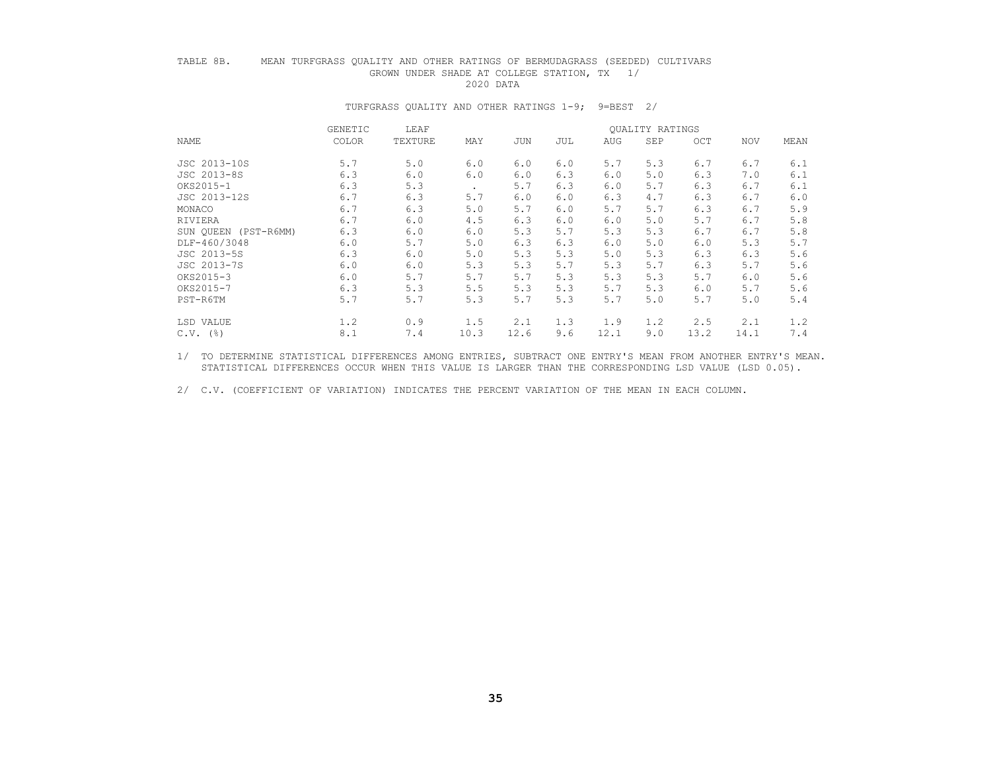### TABLE 8B. MEAN TURFGRASS QUALITY AND OTHER RATINGS OF BERMUDAGRASS (SEEDED) CULTIVARS GROWN UNDER SHADE AT COLLEGE STATION, TX 1/ 2020 DATA

#### TURFGRASS QUALITY AND OTHER RATINGS 1-9; 9=BEST 2/

|                      | <b>GENETIC</b> | LEAF    |         |            |     |      | <b>OUALITY RATINGS</b> |      |            |      |
|----------------------|----------------|---------|---------|------------|-----|------|------------------------|------|------------|------|
| <b>NAME</b>          | COLOR          | TEXTURE | MAY     | <b>JUN</b> | JUL | AUG  | SEP                    | OCT  | <b>NOV</b> | MEAN |
| JSC 2013-10S         | 5.7            | 5.0     | 6.0     | 6.0        | 6.0 | 5.7  | 5.3                    | 6.7  | 6.7        | 6.1  |
| JSC 2013-8S          | 6.3            | 6.0     | 6.0     | 6.0        | 6.3 | 6.0  | 5.0                    | 6.3  | 7.0        | 6.1  |
| OKS2015-1            | 6.3            | 5.3     | $\cdot$ | 5.7        | 6.3 | 6.0  | 5.7                    | 6.3  | 6.7        | 6.1  |
| JSC 2013-12S         | 6.7            | 6.3     | 5.7     | 6.0        | 6.0 | 6.3  | 4.7                    | 6.3  | 6.7        | 6.0  |
| MONACO               | 6.7            | 6.3     | 5.0     | 5.7        | 6.0 | 5.7  | 5.7                    | 6.3  | 6.7        | 5.9  |
| RIVIERA              | 6.7            | 6.0     | 4.5     | 6.3        | 6.0 | 6.0  | 5.0                    | 5.7  | 6.7        | 5.8  |
| SUN OUEEN (PST-R6MM) | 6.3            | 6.0     | 6.0     | 5.3        | 5.7 | 5.3  | 5.3                    | 6.7  | 6.7        | 5.8  |
| DLF-460/3048         | 6.0            | 5.7     | 5.0     | 6.3        | 6.3 | 6.0  | 5.0                    | 6.0  | 5.3        | 5.7  |
| JSC 2013-5S          | 6.3            | 6.0     | 5.0     | 5.3        | 5.3 | 5.0  | 5.3                    | 6.3  | 6.3        | 5.6  |
| JSC 2013-7S          | 6.0            | 6.0     | 5.3     | 5.3        | 5.7 | 5.3  | 5.7                    | 6.3  | 5.7        | 5.6  |
| OKS2015-3            | 6.0            | 5.7     | 5.7     | 5.7        | 5.3 | 5.3  | 5.3                    | 5.7  | 6.0        | 5.6  |
| OKS2015-7            | 6.3            | 5.3     | 5.5     | 5.3        | 5.3 | 5.7  | 5.3                    | 6.0  | 5.7        | 5.6  |
| PST-R6TM             | 5.7            | 5.7     | 5.3     | 5.7        | 5.3 | 5.7  | 5.0                    | 5.7  | 5.0        | 5.4  |
| LSD VALUE            | 1.2            | 0.9     | 1.5     | 2.1        | 1.3 | 1.9  | 1.2                    | 2.5  | 2.1        | 1.2  |
| $C.V.$ (%)           | 8.1            | 7.4     | 10.3    | 12.6       | 9.6 | 12.1 | 9.0                    | 13.2 | 14.1       | 7.4  |

 1/ TO DETERMINE STATISTICAL DIFFERENCES AMONG ENTRIES, SUBTRACT ONE ENTRY'S MEAN FROM ANOTHER ENTRY'S MEAN. STATISTICAL DIFFERENCES OCCUR WHEN THIS VALUE IS LARGER THAN THE CORRESPONDING LSD VALUE (LSD 0.05).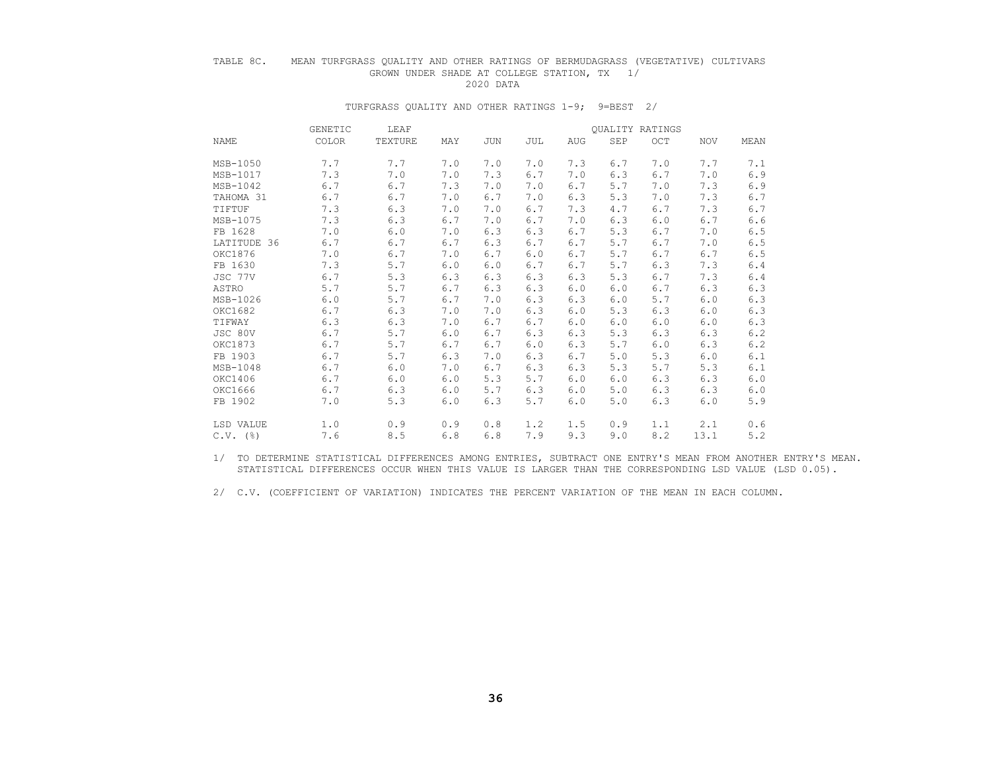### TABLE 8C. MEAN TURFGRASS QUALITY AND OTHER RATINGS OF BERMUDAGRASS (VEGETATIVE) CULTIVARS GROWN UNDER SHADE AT COLLEGE STATION, TX 1/<br>2020 DATA 2020 DATA

#### TURFGRASS QUALITY AND OTHER RATINGS 1-9; 9=BEST 2/

|             | <b>GENETIC</b> | LEAF    |     |     |     |     | <b>OUALITY RATINGS</b> |     |            |       |
|-------------|----------------|---------|-----|-----|-----|-----|------------------------|-----|------------|-------|
| <b>NAME</b> | <b>COLOR</b>   | TEXTURE | MAY | JUN | JUL | AUG | <b>SEP</b>             | OCT | <b>NOV</b> | MEAN  |
| $MSB-1050$  | 7.7            | 7.7     | 7.0 | 7.0 | 7.0 | 7.3 | 6.7                    | 7.0 | 7.7        | 7.1   |
| MSB-1017    | 7.3            | 7.0     | 7.0 | 7.3 | 6.7 | 7.0 | 6.3                    | 6.7 | 7.0        | 6.9   |
| MSB-1042    | $6.7$          | 6.7     | 7.3 | 7.0 | 7.0 | 6.7 | 5.7                    | 7.0 | 7.3        | 6.9   |
| TAHOMA 31   | 6.7            | 6.7     | 7.0 | 6.7 | 7.0 | 6.3 | 5.3                    | 7.0 | 7.3        | 6.7   |
| TIFTUF      | 7.3            | 6.3     | 7.0 | 7.0 | 6.7 | 7.3 | 4.7                    | 6.7 | 7.3        | 6.7   |
| MSB-1075    | 7.3            | 6.3     | 6.7 | 7.0 | 6.7 | 7.0 | 6.3                    | 6.0 | 6.7        | $6.6$ |
| FB 1628     | 7.0            | 6.0     | 7.0 | 6.3 | 6.3 | 6.7 | 5.3                    | 6.7 | 7.0        | $6.5$ |
| LATITUDE 36 | 6.7            | 6.7     | 6.7 | 6.3 | 6.7 | 6.7 | 5.7                    | 6.7 | 7.0        | 6.5   |
| OKC1876     | 7.0            | 6.7     | 7.0 | 6.7 | 6.0 | 6.7 | 5.7                    | 6.7 | 6.7        | 6.5   |
| FB 1630     | 7.3            | 5.7     | 6.0 | 6.0 | 6.7 | 6.7 | 5.7                    | 6.3 | 7.3        | 6.4   |
| JSC 77V     | 6.7            | 5.3     | 6.3 | 6.3 | 6.3 | 6.3 | 5.3                    | 6.7 | 7.3        | 6.4   |
| ASTRO       | 5.7            | 5.7     | 6.7 | 6.3 | 6.3 | 6.0 | 6.0                    | 6.7 | 6.3        | 6.3   |
| MSB-1026    | 6.0            | 5.7     | 6.7 | 7.0 | 6.3 | 6.3 | 6.0                    | 5.7 | 6.0        | 6.3   |
| OKC1682     | 6.7            | 6.3     | 7.0 | 7.0 | 6.3 | 6.0 | 5.3                    | 6.3 | 6.0        | 6.3   |
| TIFWAY      | 6.3            | 6.3     | 7.0 | 6.7 | 6.7 | 6.0 | 6.0                    | 6.0 | 6.0        | 6.3   |
| JSC 80V     | 6.7            | 5.7     | 6.0 | 6.7 | 6.3 | 6.3 | 5.3                    | 6.3 | 6.3        | 6.2   |
| OKC1873     | 6.7            | 5.7     | 6.7 | 6.7 | 6.0 | 6.3 | 5.7                    | 6.0 | 6.3        | 6.2   |
| FB 1903     | 6.7            | 5.7     | 6.3 | 7.0 | 6.3 | 6.7 | 5.0                    | 5.3 | 6.0        | 6.1   |
| MSB-1048    | 6.7            | 6.0     | 7.0 | 6.7 | 6.3 | 6.3 | 5.3                    | 5.7 | 5.3        | 6.1   |
| OKC1406     | 6.7            | 6.0     | 6.0 | 5.3 | 5.7 | 6.0 | 6.0                    | 6.3 | 6.3        | 6.0   |
| OKC1666     | 6.7            | 6.3     | 6.0 | 5.7 | 6.3 | 6.0 | 5.0                    | 6.3 | 6.3        | 6.0   |
| FB 1902     | 7.0            | 5.3     | 6.0 | 6.3 | 5.7 | 6.0 | 5.0                    | 6.3 | 6.0        | 5.9   |
| LSD VALUE   | 1.0            | 0.9     | 0.9 | 0.8 | 1.2 | 1.5 | 0.9                    | 1.1 | 2.1        | 0.6   |
| $C.V.$ (%)  | 7.6            | 8.5     | 6.8 | 6.8 | 7.9 | 9.3 | 9.0                    | 8.2 | 13.1       | 5.2   |

 1/ TO DETERMINE STATISTICAL DIFFERENCES AMONG ENTRIES, SUBTRACT ONE ENTRY'S MEAN FROM ANOTHER ENTRY'S MEAN. STATISTICAL DIFFERENCES OCCUR WHEN THIS VALUE IS LARGER THAN THE CORRESPONDING LSD VALUE (LSD 0.05).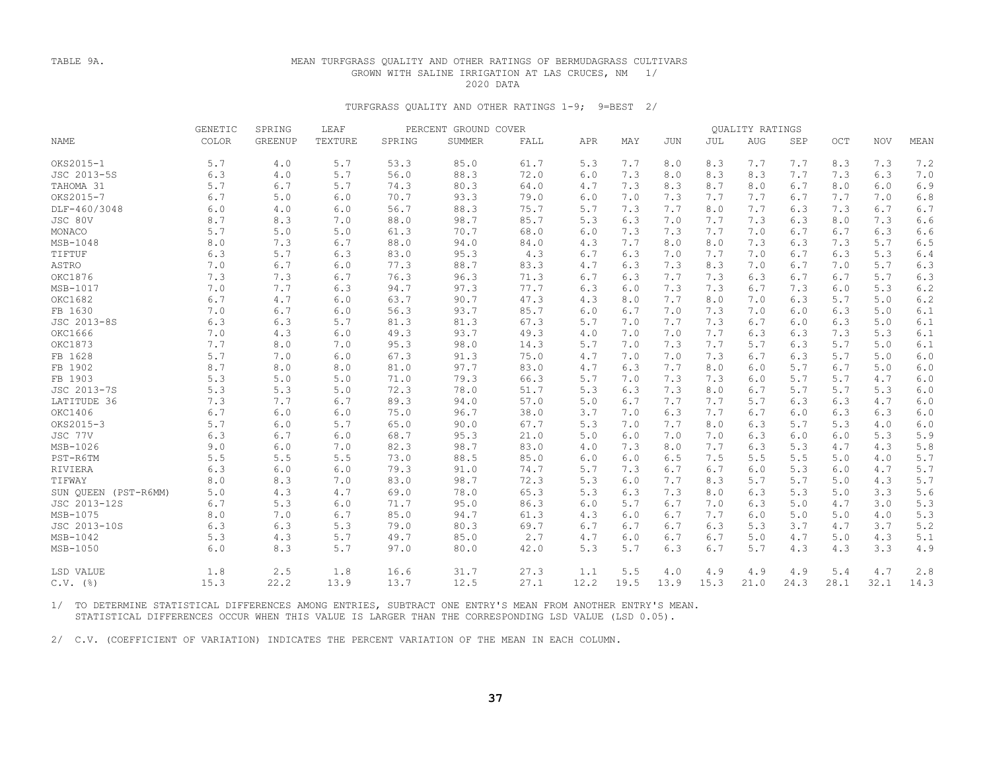#### TABLE 9A. MEAN TURFGRASS QUALITY AND OTHER RATINGS OF BERMUDAGRASS CULTIVARS GROWN WITH SALINE IRRIGATION AT LAS CRUCES, NM 1/ 2020 DATA

#### TURFGRASS QUALITY AND OTHER RATINGS 1-9; 9=BEST 2/

|                      | GENETIC | SPRING         | PERCENT GROUND COVER<br>LEAF |        |        |      |      |      |      |      | QUALITY RATINGS |      |      |            |         |
|----------------------|---------|----------------|------------------------------|--------|--------|------|------|------|------|------|-----------------|------|------|------------|---------|
| <b>NAME</b>          | COLOR   | <b>GREENUP</b> | TEXTURE                      | SPRING | SUMMER | FALL | APR  | MAY  | JUN  | JUL  | AUG             | SEP  | OCT  | <b>NOV</b> | MEAN    |
| OKS2015-1            | 5.7     | 4.0            | 5.7                          | 53.3   | 85.0   | 61.7 | 5.3  | 7.7  | 8.0  | 8.3  | 7.7             | 7.7  | 8.3  | 7.3        | 7.2     |
| JSC 2013-5S          | 6.3     | 4.0            | 5.7                          | 56.0   | 88.3   | 72.0 | 6.0  | 7.3  | 8.0  | 8.3  | 8.3             | 7.7  | 7.3  | 6.3        | 7.0     |
| TAHOMA 31            | 5.7     | 6.7            | 5.7                          | 74.3   | 80.3   | 64.0 | 4.7  | 7.3  | 8.3  | 8.7  | 8.0             | 6.7  | 8.0  | 6.0        | 6.9     |
| OKS2015-7            | 6.7     | 5.0            | 6.0                          | 70.7   | 93.3   | 79.0 | 6.0  | 7.0  | 7.3  | 7.7  | 7.7             | 6.7  | 7.7  | 7.0        | 6.8     |
| DLF-460/3048         | 6.0     | 4.0            | 6.0                          | 56.7   | 88.3   | 75.7 | 5.7  | 7.3  | 7.7  | 8.0  | 7.7             | 6.3  | 7.3  | 6.7        | 6.7     |
| JSC 80V              | 8.7     | 8.3            | 7.0                          | 88.0   | 98.7   | 85.7 | 5.3  | 6.3  | 7.0  | 7.7  | 7.3             | 6.3  | 8.0  | 7.3        | 6.6     |
| MONACO               | 5.7     | 5.0            | 5.0                          | 61.3   | 70.7   | 68.0 | 6.0  | 7.3  | 7.3  | 7.7  | 7.0             | 6.7  | 6.7  | 6.3        | 6.6     |
| MSB-1048             | 8.0     | 7.3            | 6.7                          | 88.0   | 94.0   | 84.0 | 4.3  | 7.7  | 8.0  | 8.0  | 7.3             | 6.3  | 7.3  | 5.7        | 6.5     |
| TIFTUF               | 6.3     | 5.7            | 6.3                          | 83.0   | 95.3   | 4.3  | 6.7  | 6.3  | 7.0  | 7.7  | 7.0             | 6.7  | 6.3  | 5.3        | 6.4     |
| ASTRO                | 7.0     | 6.7            | $6.0$                        | 77.3   | 88.7   | 83.3 | 4.7  | 6.3  | 7.3  | 8.3  | 7.0             | 6.7  | 7.0  | 5.7        | 6.3     |
| OKC1876              | 7.3     | 7.3            | 6.7                          | 76.3   | 96.3   | 71.3 | 6.7  | 6.3  | 7.7  | 7.3  | 6.3             | 6.7  | 6.7  | 5.7        | 6.3     |
| MSB-1017             | 7.0     | 7.7            | 6.3                          | 94.7   | 97.3   | 77.7 | 6.3  | 6.0  | 7.3  | 7.3  | 6.7             | 7.3  | 6.0  | 5.3        | $6.2\,$ |
| OKC1682              | 6.7     | 4.7            | 6.0                          | 63.7   | 90.7   | 47.3 | 4.3  | 8.0  | 7.7  | 8.0  | 7.0             | 6.3  | 5.7  | 5.0        | 6.2     |
| FB 1630              | 7.0     | 6.7            | 6.0                          | 56.3   | 93.7   | 85.7 | 6.0  | 6.7  | 7.0  | 7.3  | 7.0             | 6.0  | 6.3  | 5.0        | 6.1     |
| JSC 2013-8S          | 6.3     | 6.3            | 5.7                          | 81.3   | 81.3   | 67.3 | 5.7  | 7.0  | 7.7  | 7.3  | 6.7             | 6.0  | 6.3  | 5.0        | 6.1     |
| OKC1666              | 7.0     | 4.3            | 6.0                          | 49.3   | 93.7   | 49.3 | 4.0  | 7.0  | 7.0  | 7.7  | 6.3             | 6.3  | 7.3  | 5.3        | 6.1     |
| OKC1873              | 7.7     | 8.0            | 7.0                          | 95.3   | 98.0   | 14.3 | 5.7  | 7.0  | 7.3  | 7.7  | 5.7             | 6.3  | 5.7  | 5.0        | 6.1     |
| FB 1628              | 5.7     | 7.0            | 6.0                          | 67.3   | 91.3   | 75.0 | 4.7  | 7.0  | 7.0  | 7.3  | 6.7             | 6.3  | 5.7  | 5.0        | 6.0     |
| FB 1902              | 8.7     | $8.0$          | 8.0                          | 81.0   | 97.7   | 83.0 | 4.7  | 6.3  | 7.7  | 8.0  | $6.0$           | 5.7  | 6.7  | 5.0        | 6.0     |
| FB 1903              | 5.3     | 5.0            | 5.0                          | 71.0   | 79.3   | 66.3 | 5.7  | 7.0  | 7.3  | 7.3  | 6.0             | 5.7  | 5.7  | 4.7        | $6.0$   |
| JSC 2013-7S          | 5.3     | 5.3            | 5.0                          | 72.3   | 78.0   | 51.7 | 5.3  | 6.3  | 7.3  | 8.0  | 6.7             | 5.7  | 5.7  | 5.3        | 6.0     |
| LATITUDE 36          | 7.3     | 7.7            | 6.7                          | 89.3   | 94.0   | 57.0 | 5.0  | 6.7  | 7.7  | 7.7  | 5.7             | 6.3  | 6.3  | 4.7        | 6.0     |
| OKC1406              | 6.7     | 6.0            | 6.0                          | 75.0   | 96.7   | 38.0 | 3.7  | 7.0  | 6.3  | 7.7  | 6.7             | 6.0  | 6.3  | 6.3        | 6.0     |
| OKS2015-3            | 5.7     | 6.0            | 5.7                          | 65.0   | 90.0   | 67.7 | 5.3  | 7.0  | 7.7  | 8.0  | 6.3             | 5.7  | 5.3  | 4.0        | 6.0     |
| JSC 77V              | 6.3     | 6.7            | 6.0                          | 68.7   | 95.3   | 21.0 | 5.0  | 6.0  | 7.0  | 7.0  | 6.3             | 6.0  | 6.0  | 5.3        | 5.9     |
| MSB-1026             | 9.0     | 6.0            | 7.0                          | 82.3   | 98.7   | 83.0 | 4.0  | 7.3  | 8.0  | 7.7  | 6.3             | 5.3  | 4.7  | 4.3        | 5.8     |
| PST-R6TM             | 5.5     | 5.5            | 5.5                          | 73.0   | 88.5   | 85.0 | 6.0  | 6.0  | 6.5  | 7.5  | 5.5             | 5.5  | 5.0  | 4.0        | 5.7     |
| RIVIERA              | 6.3     | 6.0            | 6.0                          | 79.3   | 91.0   | 74.7 | 5.7  | 7.3  | 6.7  | 6.7  | 6.0             | 5.3  | 6.0  | 4.7        | 5.7     |
| TIFWAY               | 8.0     | 8.3            | 7.0                          | 83.0   | 98.7   | 72.3 | 5.3  | 6.0  | 7.7  | 8.3  | 5.7             | 5.7  | 5.0  | 4.3        | 5.7     |
| SUN QUEEN (PST-R6MM) | 5.0     | 4.3            | 4.7                          | 69.0   | 78.0   | 65.3 | 5.3  | 6.3  | 7.3  | 8.0  | 6.3             | 5.3  | 5.0  | 3.3        | 5.6     |
| JSC 2013-12S         | 6.7     | 5.3            | 6.0                          | 71.7   | 95.0   | 86.3 | 6.0  | 5.7  | 6.7  | 7.0  | 6.3             | 5.0  | 4.7  | 3.0        | 5.3     |
| MSB-1075             | 8.0     | 7.0            | 6.7                          | 85.0   | 94.7   | 61.3 | 4.3  | 6.0  | 6.7  | 7.7  | 6.0             | 5.0  | 5.0  | 4.0        | 5.3     |
| JSC 2013-10S         | 6.3     | 6.3            | 5.3                          | 79.0   | 80.3   | 69.7 | 6.7  | 6.7  | 6.7  | 6.3  | 5.3             | 3.7  | 4.7  | 3.7        | 5.2     |
| MSB-1042             | 5.3     | 4.3            | 5.7                          | 49.7   | 85.0   | 2.7  | 4.7  | 6.0  | 6.7  | 6.7  | 5.0             | 4.7  | 5.0  | 4.3        | 5.1     |
| MSB-1050             | 6.0     | 8.3            | 5.7                          | 97.0   | 80.0   | 42.0 | 5.3  | 5.7  | 6.3  | 6.7  | 5.7             | 4.3  | 4.3  | 3.3        | 4.9     |
| LSD VALUE            | 1.8     | 2.5            | 1.8                          | 16.6   | 31.7   | 27.3 | 1.1  | 5.5  | 4.0  | 4.9  | 4.9             | 4.9  | 5.4  | 4.7        | 2.8     |
| $C.V.$ (%)           | 15.3    | 22.2           | 13.9                         | 13.7   | 12.5   | 27.1 | 12.2 | 19.5 | 13.9 | 15.3 | 21.0            | 24.3 | 28.1 | 32.1       | 14.3    |

 1/ TO DETERMINE STATISTICAL DIFFERENCES AMONG ENTRIES, SUBTRACT ONE ENTRY'S MEAN FROM ANOTHER ENTRY'S MEAN. STATISTICAL DIFFERENCES OCCUR WHEN THIS VALUE IS LARGER THAN THE CORRESPONDING LSD VALUE (LSD 0.05).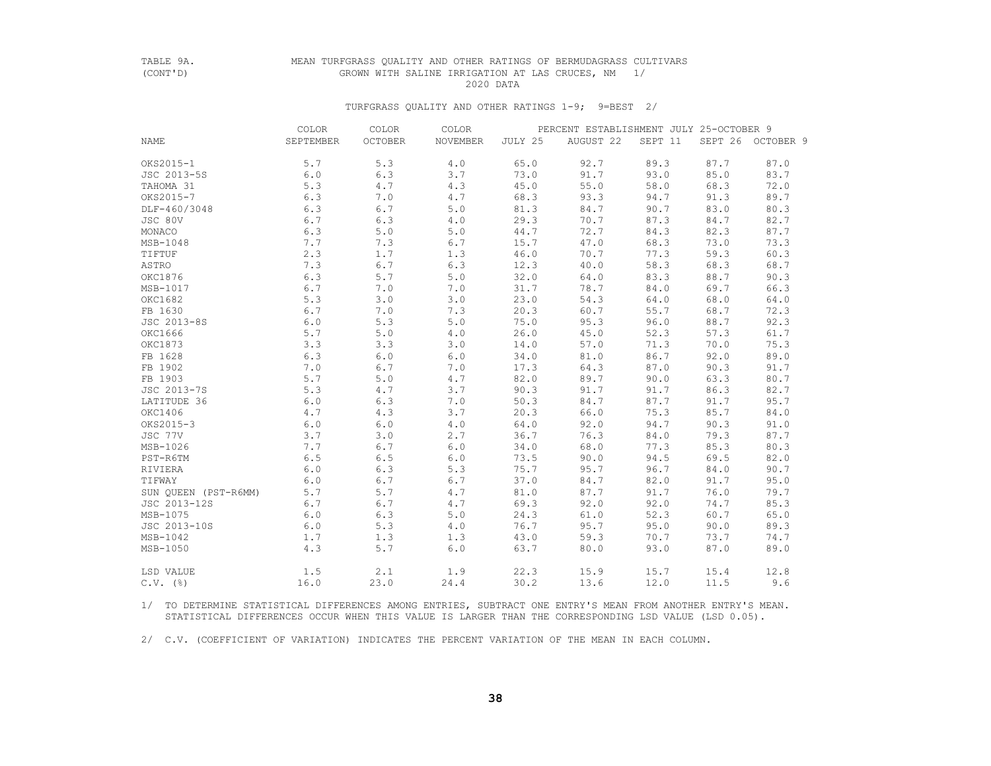### TABLE 9A. MEAN TURFGRASS QUALITY AND OTHER RATINGS OF BERMUDAGRASS CULTIVARS GROWN WITH SALINE IRRIGATION AT LAS CRUCES, NM 1/<br>2020 DATA 2020 DATA

#### TURFGRASS QUALITY AND OTHER RATINGS 1-9; 9=BEST 2/

|                        | COLOR     | COLOR          | COLOR    |         | PERCENT ESTABLISHMENT JULY 25-OCTOBER 9 |         |      |                   |
|------------------------|-----------|----------------|----------|---------|-----------------------------------------|---------|------|-------------------|
| NAME                   | SEPTEMBER | <b>OCTOBER</b> | NOVEMBER | JULY 25 | AUGUST 22                               | SEPT 11 |      | SEPT 26 OCTOBER 9 |
| OKS2015-1              | 5.7       | 5.3            | 4.0      | 65.0    | 92.7                                    | 89.3    | 87.7 | 87.0              |
| JSC 2013-5S            | 6.0       | 6.3            | 3.7      | 73.0    | 91.7                                    | 93.0    | 85.0 | 83.7              |
| TAHOMA 31              | 5.3       | 4.7            | 4.3      | 45.0    | 55.0                                    | 58.0    | 68.3 | 72.0              |
| OKS2015-7              | 6.3       | 7.0            | 4.7      | 68.3    | 93.3                                    | 94.7    | 91.3 | 89.7              |
| DLF-460/3048           | 6.3       | 6.7            | 5.0      | 81.3    | 84.7                                    | 90.7    | 83.0 | 80.3              |
| JSC 80V                | 6.7       | 6.3            | 4.0      | 29.3    | 70.7                                    | 87.3    | 84.7 | 82.7              |
| MONACO                 | 6.3       | 5.0            | 5.0      | 44.7    | 72.7                                    | 84.3    | 82.3 | 87.7              |
| MSB-1048               | 7.7       | 7.3            | 6.7      | 15.7    | 47.0                                    | 68.3    | 73.0 | 73.3              |
| TIFTUF                 | 2.3       | 1.7            | 1.3      | 46.0    | 70.7                                    | 77.3    | 59.3 | 60.3              |
| ASTRO                  | 7.3       | 6.7            | 6.3      | 12.3    | 40.0                                    | 58.3    | 68.3 | 68.7              |
| OKC1876                | 6.3       | 5.7            | 5.0      | 32.0    | 64.0                                    | 83.3    | 88.7 | 90.3              |
| MSB-1017               | 6.7       | 7.0            | 7.0      | 31.7    | 78.7                                    | 84.0    | 69.7 | 66.3              |
| OKC1682                | 5.3       | 3.0            | 3.0      | 23.0    | 54.3                                    | 64.0    | 68.0 | 64.0              |
| FB 1630                | 6.7       | 7.0            | 7.3      | 20.3    | 60.7                                    | 55.7    | 68.7 | 72.3              |
| JSC 2013-8S            | 6.0       | 5.3            | 5.0      | 75.0    | 95.3                                    | 96.0    | 88.7 | 92.3              |
| OKC1666                | 5.7       | 5.0            | 4.0      | 26.0    | 45.0                                    | 52.3    | 57.3 | 61.7              |
| OKC1873                | 3.3       | 3.3            | 3.0      | 14.0    | 57.0                                    | 71.3    | 70.0 | 75.3              |
| FB 1628                | 6.3       | 6.0            | 6.0      | 34.0    | 81.0                                    | 86.7    | 92.0 | 89.0              |
| FB 1902                | 7.0       | 6.7            | 7.0      | 17.3    | 64.3                                    | 87.0    | 90.3 | 91.7              |
| FB 1903                | 5.7       | 5.0            | 4.7      | 82.0    | 89.7                                    | 90.0    | 63.3 | 80.7              |
| JSC 2013-7S            | 5.3       | 4.7            | 3.7      | 90.3    | 91.7                                    | 91.7    | 86.3 | 82.7              |
| LATITUDE 36            | 6.0       | 6.3            | 7.0      | 50.3    | 84.7                                    | 87.7    | 91.7 | 95.7              |
| OKC1406                | 4.7       | 4.3            | 3.7      | 20.3    | 66.0                                    | 75.3    | 85.7 | 84.0              |
| OKS2015-3              | 6.0       | 6.0            | 4.0      | 64.0    | 92.0                                    | 94.7    | 90.3 | 91.0              |
| JSC 77V                | 3.7       | 3.0            | 2.7      | 36.7    | 76.3                                    | 84.0    | 79.3 | 87.7              |
| MSB-1026               | 7.7       | 6.7            | 6.0      | 34.0    | 68.0                                    | 77.3    | 85.3 | 80.3              |
| PST-R6TM               | 6.5       | 6.5            | 6.0      | 73.5    | 90.0                                    | 94.5    | 69.5 | 82.0              |
| RIVIERA                | 6.0       | 6.3            | 5.3      | 75.7    | 95.7                                    | 96.7    | 84.0 | 90.7              |
| TIFWAY                 | 6.0       | 6.7            | 6.7      | 37.0    | 84.7                                    | 82.0    | 91.7 | 95.0              |
| SUN OUEEN (PST-R6MM)   | 5.7       | 5.7            | 4.7      | 81.0    | 87.7                                    | 91.7    | 76.0 | 79.7              |
| JSC 2013-12S           | 6.7       | 6.7            | 4.7      | 69.3    | 92.0                                    | 92.0    | 74.7 | 85.3              |
| MSB-1075               | 6.0       | 6.3            | 5.0      | 24.3    | 61.0                                    | 52.3    | 60.7 | 65.0              |
| JSC 2013-10S           | 6.0       | 5.3            | 4.0      | 76.7    | 95.7                                    | 95.0    | 90.0 | 89.3              |
| $MSB-1042$             | 1.7       | 1.3            | 1.3      | 43.0    | 59.3                                    | 70.7    | 73.7 | 74.7              |
| MSB-1050               | 4.3       | 5.7            | 6.0      | 63.7    | 80.0                                    | 93.0    | 87.0 | 89.0              |
| LSD VALUE              | 1.5       | 2.1            | 1.9      | 22.3    | 15.9                                    | 15.7    | 15.4 | 12.8              |
| $C.V.$ $(\frac{6}{6})$ | 16.0      | 23.0           | 24.4     | 30.2    | 13.6                                    | 12.0    | 11.5 | 9.6               |

 1/ TO DETERMINE STATISTICAL DIFFERENCES AMONG ENTRIES, SUBTRACT ONE ENTRY'S MEAN FROM ANOTHER ENTRY'S MEAN. STATISTICAL DIFFERENCES OCCUR WHEN THIS VALUE IS LARGER THAN THE CORRESPONDING LSD VALUE (LSD 0.05).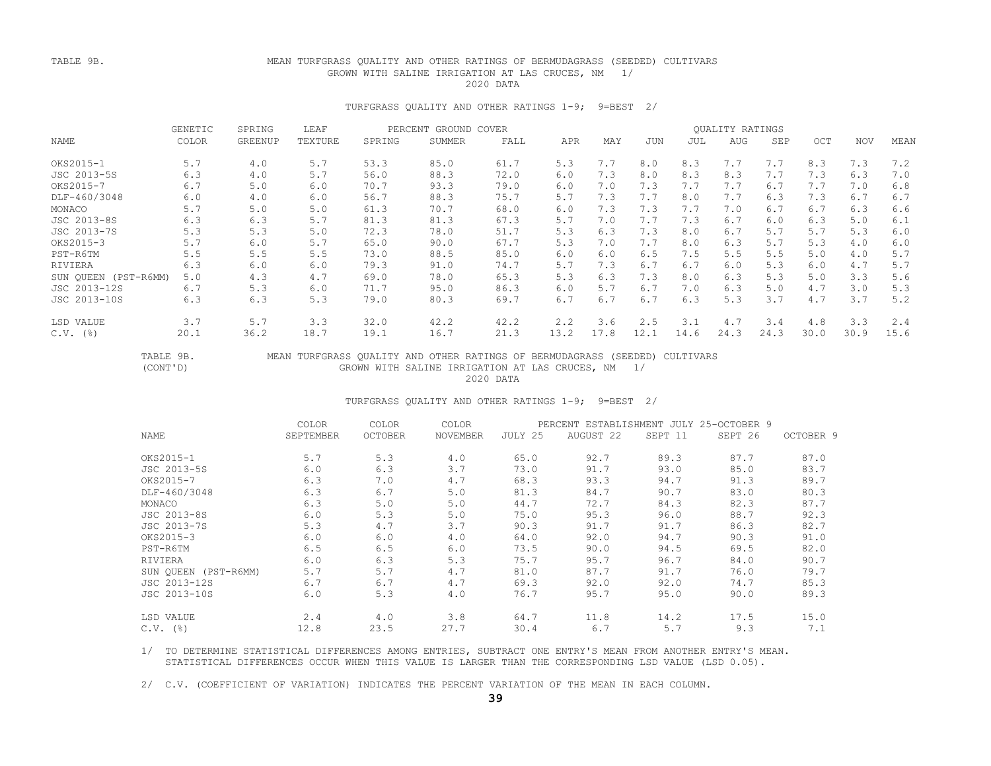### TABLE 9B. MEAN TURFGRASS QUALITY AND OTHER RATINGS OF BERMUDAGRASS (SEEDED) CULTIVARS GROWN WITH SALINE IRRIGATION AT LAS CRUCES, NM 1/ 2020 DATA

#### TURFGRASS QUALITY AND OTHER RATINGS 1-9; 9=BEST 2/

|                      | <b>GENETIC</b> | SPRING         | LEAF    | PERCENT GROUND COVER |        |      |      |      |            |      | QUALITY RATINGS |      |      |            |      |
|----------------------|----------------|----------------|---------|----------------------|--------|------|------|------|------------|------|-----------------|------|------|------------|------|
| NAME                 | COLOR          | <b>GREENUP</b> | TEXTURE | SPRING               | SUMMER | FALL | APR  | MAY  | <b>JUN</b> | JUL  | AUG             | SEP  | OCT  | <b>NOV</b> | MEAN |
| OKS2015-1            | 5.7            | 4.0            | 5.7     | 53.3                 | 85.0   | 61.7 | 5.3  | 7.7  | 8.0        | 8.3  | 7.7             | 7.7  | 8.3  | 7.3        | 7.2  |
| JSC 2013-5S          | 6.3            | 4.0            | 5.7     | 56.0                 | 88.3   | 72.0 | 6.0  | 7.3  | 8.0        | 8.3  | 8.3             | 7.7  | 7.3  | 6.3        | 7.0  |
| OKS2015-7            | 6.7            | 5.0            | 6.0     | 70.7                 | 93.3   | 79.0 | 6.0  | 7.0  | 7.3        | 7.7  | 7.7             | 6.7  | 7.7  | 7.0        | 6.8  |
| DLF-460/3048         | 6.0            | 4.0            | 6.0     | 56.7                 | 88.3   | 75.7 | 5.7  | 7.3  | 7.7        | 8.0  | 7.7             | 6.3  | 7.3  | 6.7        | 6.7  |
| MONACO               | 5.7            | 5.0            | 5.0     | 61.3                 | 70.7   | 68.0 | 6.0  | 7.3  | 7.3        | 7.7  | 7.0             | 6.7  | 6.7  | 6.3        | 6.6  |
| JSC 2013-8S          | 6.3            | 6.3            | 5.7     | 81.3                 | 81.3   | 67.3 | 5.7  | 7.0  | 7.7        | 7.3  | 6.7             | 6.0  | 6.3  | 5.0        | 6.1  |
| JSC 2013-7S          | 5.3            | 5.3            | 5.0     | 72.3                 | 78.0   | 51.7 | 5.3  | 6.3  | 7.3        | 8.0  | 6.7             | 5.7  | 5.7  | 5.3        | 6.0  |
| OKS2015-3            | 5.7            | 6.0            | 5.7     | 65.0                 | 90.0   | 67.7 | 5.3  | 7.0  | 7.7        | 8.0  | 6.3             | 5.7  | 5.3  | 4.0        | 6.0  |
| PST-R6TM             | 5.5            | 5.5            | 5.5     | 73.0                 | 88.5   | 85.0 | 6.0  | 6.0  | 6.5        | 7.5  | 5.5             | 5.5  | 5.0  | 4.0        | 5.7  |
| RIVIERA              | 6.3            | 6.0            | 6.0     | 79.3                 | 91.0   | 74.7 | 5.7  | 7.3  | 6.7        | 6.7  | 6.0             | 5.3  | 6.0  | 4.7        | 5.7  |
| SUN OUEEN (PST-R6MM) | 5.0            | 4.3            | 4.7     | 69.0                 | 78.0   | 65.3 | 5.3  | 6.3  | 7.3        | 8.0  | 6.3             | 5.3  | 5.0  | 3.3        | 5.6  |
| JSC 2013-12S         | 6.7            | 5.3            | 6.0     | 71.7                 | 95.0   | 86.3 | 6.0  | 5.7  | 6.7        | 7.0  | 6.3             | 5.0  | 4.7  | 3.0        | 5.3  |
| JSC 2013-10S         | 6.3            | 6.3            | 5.3     | 79.0                 | 80.3   | 69.7 | 6.7  | 6.7  | 6.7        | 6.3  | 5.3             | 3.7  | 4.7  | 3.7        | 5.2  |
| LSD VALUE            | 3.7            | 5.7            | 3.3     | 32.0                 | 42.2   | 42.2 | 2.2  | 3.6  | 2.5        | 3.1  | 4.7             | 3.4  | 4.8  | 3.3        | 2.4  |
| $C.V.$ (%)           | 20.1           | 36.2           | 18.7    | 19.1                 | 16.7   | 21.3 | 13.2 | 17.8 | 12.1       | 14.6 | 24.3            | 24.3 | 30.0 | 30.9       | 15.6 |

# TABLE 9B. MEAN TURFGRASS QUALITY AND OTHER RATINGS OF BERMUDAGRASS (SEEDED) CULTIVARS<br>(CONT'D) GROWN WITH SALINE IRRIGATION AT LAS CRUCES, NM 1/ GROWN WITH SALINE IRRIGATION AT LAS CRUCES, NM 1/<br>2020 DATA 2020 DATA

#### TURFGRASS QUALITY AND OTHER RATINGS 1-9; 9=BEST 2/

|                      | COLOR     | <b>COLOR</b> | COLOR    |         | PERCENT ESTABLISHMENT JULY 25-OCTOBER 9 |         |         |           |
|----------------------|-----------|--------------|----------|---------|-----------------------------------------|---------|---------|-----------|
| NAME                 | SEPTEMBER | OCTOBER      | NOVEMBER | JULY 25 | AUGUST 22                               | SEPT 11 | SEPT 26 | OCTOBER 9 |
| OKS2015-1            | 5.7       | 5.3          | 4.0      | 65.0    | 92.7                                    | 89.3    | 87.7    | 87.0      |
| JSC 2013-5S          | 6.0       | 6.3          | 3.7      | 73.0    | 91.7                                    | 93.0    | 85.0    | 83.7      |
| OKS2015-7            | 6.3       | 7.0          | 4.7      | 68.3    | 93.3                                    | 94.7    | 91.3    | 89.7      |
| DLF-460/3048         | 6.3       | 6.7          | 5.0      | 81.3    | 84.7                                    | 90.7    | 83.0    | 80.3      |
| MONACO               | 6.3       | 5.0          | 5.0      | 44.7    | 72.7                                    | 84.3    | 82.3    | 87.7      |
| JSC 2013-8S          | 6.0       | 5.3          | 5.0      | 75.0    | 95.3                                    | 96.0    | 88.7    | 92.3      |
| JSC 2013-7S          | 5.3       | 4.7          | 3.7      | 90.3    | 91.7                                    | 91.7    | 86.3    | 82.7      |
| OKS2015-3            | 6.0       | 6.0          | 4.0      | 64.0    | 92.0                                    | 94.7    | 90.3    | 91.0      |
| PST-R6TM             | 6.5       | 6.5          | 6.0      | 73.5    | 90.0                                    | 94.5    | 69.5    | 82.0      |
| RIVIERA              | 6.0       | 6.3          | 5.3      | 75.7    | 95.7                                    | 96.7    | 84.0    | 90.7      |
| SUN QUEEN (PST-R6MM) | 5.7       | 5.7          | 4.7      | 81.0    | 87.7                                    | 91.7    | 76.0    | 79.7      |
| JSC 2013-12S         | 6.7       | 6.7          | 4.7      | 69.3    | 92.0                                    | 92.0    | 74.7    | 85.3      |
| JSC 2013-10S         | 6.0       | 5.3          | 4.0      | 76.7    | 95.7                                    | 95.0    | 90.0    | 89.3      |
| LSD VALUE            | 2.4       | 4.0          | 3.8      | 64.7    | 11.8                                    | 14.2    | 17.5    | 15.0      |
| $C.V.$ (%)           | 12.8      | 23.5         | 27.7     | 30.4    | 6.7                                     | 5.7     | 9.3     | 7.1       |
|                      |           |              |          |         |                                         |         |         |           |

 1/ TO DETERMINE STATISTICAL DIFFERENCES AMONG ENTRIES, SUBTRACT ONE ENTRY'S MEAN FROM ANOTHER ENTRY'S MEAN. STATISTICAL DIFFERENCES OCCUR WHEN THIS VALUE IS LARGER THAN THE CORRESPONDING LSD VALUE (LSD 0.05).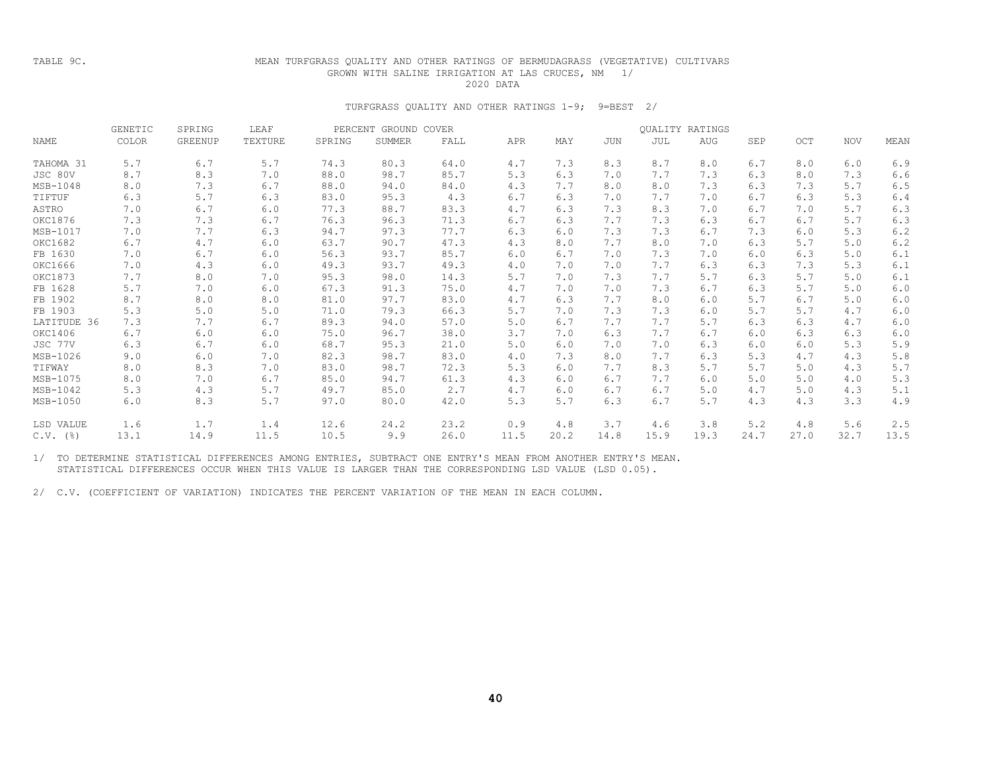#### TABLE 9C.

### MEAN TURFGRASS QUALITY AND OTHER RATINGS OF BERMUDAGRASS (VEGETATIVE) CULTIVARS GROWN WITH SALINE IRRIGATION AT LAS CRUCES, NM 1/ 2020 DATA

#### TURFGRASS QUALITY AND OTHER RATINGS 1-9; 9=BEST 2/

|             | GENETIC | SPRING         | LEAF    | PERCENT | GROUND COVER  |      |      |      |      |      | <b>OUALITY RATINGS</b> |      |      |            |      |
|-------------|---------|----------------|---------|---------|---------------|------|------|------|------|------|------------------------|------|------|------------|------|
| NAME        | COLOR   | <b>GREENUP</b> | TEXTURE | SPRING  | <b>SUMMER</b> | FALL | APR  | MAY  | JUN  | JUL  | <b>AUG</b>             | SEP  | OCT  | <b>NOV</b> | MEAN |
| TAHOMA 31   | 5.7     | 6.7            | 5.7     | 74.3    | 80.3          | 64.0 | 4.7  | 7.3  | 8.3  | 8.7  | 8.0                    | 6.7  | 8.0  | 6.0        | 6.9  |
| JSC 80V     | 8.7     | 8.3            | 7.0     | 88.0    | 98.7          | 85.7 | 5.3  | 6.3  | 7.0  | 7.7  | 7.3                    | 6.3  | 8.0  | 7.3        | 6.6  |
| $MSB-1048$  | 8.0     | 7.3            | 6.7     | 88.0    | 94.0          | 84.0 | 4.3  | 7.7  | 8.0  | 8.0  | 7.3                    | 6.3  | 7.3  | 5.7        | 6.5  |
| TIFTUF      | 6.3     | 5.7            | 6.3     | 83.0    | 95.3          | 4.3  | 6.7  | 6.3  | 7.0  | 7.7  | 7.0                    | 6.7  | 6.3  | 5.3        | 6.4  |
| ASTRO       | 7.0     | 6.7            | 6.0     | 77.3    | 88.7          | 83.3 | 4.7  | 6.3  | 7.3  | 8.3  | 7.0                    | 6.7  | 7.0  | 5.7        | 6.3  |
| OKC1876     | 7.3     | 7.3            | 6.7     | 76.3    | 96.3          | 71.3 | 6.7  | 6.3  | 7.7  | 7.3  | 6.3                    | 6.7  | 6.7  | 5.7        | 6.3  |
| MSB-1017    | 7.0     | 7.7            | 6.3     | 94.7    | 97.3          | 77.7 | 6.3  | 6.0  | 7.3  | 7.3  | 6.7                    | 7.3  | 6.0  | 5.3        | 6.2  |
| OKC1682     | 6.7     | 4.7            | 6.0     | 63.7    | 90.7          | 47.3 | 4.3  | 8.0  | 7.7  | 8.0  | 7.0                    | 6.3  | 5.7  | 5.0        | 6.2  |
| FB 1630     | 7.0     | 6.7            | 6.0     | 56.3    | 93.7          | 85.7 | 6.0  | 6.7  | 7.0  | 7.3  | 7.0                    | 6.0  | 6.3  | 5.0        | 6.1  |
| OKC1666     | 7.0     | 4.3            | 6.0     | 49.3    | 93.7          | 49.3 | 4.0  | 7.0  | 7.0  | 7.7  | 6.3                    | 6.3  | 7.3  | 5.3        | 6.1  |
| OKC1873     | 7.7     | 8.0            | 7.0     | 95.3    | 98.0          | 14.3 | 5.7  | 7.0  | 7.3  | 7.7  | 5.7                    | 6.3  | 5.7  | 5.0        | 6.1  |
| FB 1628     | 5.7     | 7.0            | 6.0     | 67.3    | 91.3          | 75.0 | 4.7  | 7.0  | 7.0  | 7.3  | 6.7                    | 6.3  | 5.7  | 5.0        | 6.0  |
| FB 1902     | 8.7     | 8.0            | 8.0     | 81.0    | 97.7          | 83.0 | 4.7  | 6.3  | 7.7  | 8.0  | 6.0                    | 5.7  | 6.7  | 5.0        | 6.0  |
| FB 1903     | 5.3     | 5.0            | 5.0     | 71.0    | 79.3          | 66.3 | 5.7  | 7.0  | 7.3  | 7.3  | 6.0                    | 5.7  | 5.7  | 4.7        | 6.0  |
| LATITUDE 36 | 7.3     | 7.7            | 6.7     | 89.3    | 94.0          | 57.0 | 5.0  | 6.7  | 7.7  | 7.7  | 5.7                    | 6.3  | 6.3  | 4.7        | 6.0  |
| OKC1406     | 6.7     | 6.0            | 6.0     | 75.0    | 96.7          | 38.0 | 3.7  | 7.0  | 6.3  | 7.7  | 6.7                    | 6.0  | 6.3  | 6.3        | 6.0  |
| JSC 77V     | 6.3     | 6.7            | 6.0     | 68.7    | 95.3          | 21.0 | 5.0  | 6.0  | 7.0  | 7.0  | 6.3                    | 6.0  | 6.0  | 5.3        | 5.9  |
| MSB-1026    | 9.0     | 6.0            | 7.0     | 82.3    | 98.7          | 83.0 | 4.0  | 7.3  | 8.0  | 7.7  | 6.3                    | 5.3  | 4.7  | 4.3        | 5.8  |
| TIFWAY      | 8.0     | 8.3            | 7.0     | 83.0    | 98.7          | 72.3 | 5.3  | 6.0  | 7.7  | 8.3  | 5.7                    | 5.7  | 5.0  | 4.3        | 5.7  |
| MSB-1075    | 8.0     | 7.0            | 6.7     | 85.0    | 94.7          | 61.3 | 4.3  | 6.0  | 6.7  | 7.7  | 6.0                    | 5.0  | 5.0  | 4.0        | 5.3  |
| MSB-1042    | 5.3     | 4.3            | 5.7     | 49.7    | 85.0          | 2.7  | 4.7  | 6.0  | 6.7  | 6.7  | 5.0                    | 4.7  | 5.0  | 4.3        | 5.1  |
| MSB-1050    | 6.0     | 8.3            | 5.7     | 97.0    | 80.0          | 42.0 | 5.3  | 5.7  | 6.3  | 6.7  | 5.7                    | 4.3  | 4.3  | 3.3        | 4.9  |
| LSD VALUE   | 1.6     | 1.7            | 1.4     | 12.6    | 24.2          | 23.2 | 0.9  | 4.8  | 3.7  | 4.6  | 3.8                    | 5.2  | 4.8  | 5.6        | 2.5  |
| $C.V.$ (%)  | 13.1    | 14.9           | 11.5    | 10.5    | 9.9           | 26.0 | 11.5 | 20.2 | 14.8 | 15.9 | 19.3                   | 24.7 | 27.0 | 32.7       | 13.5 |

1/ TO DETERMINE STATISTICAL DIFFERENCES AMONG ENTRIES, SUBTRACT ONE ENTRY'S MEAN FROM ANOTHER ENTRY'S MEAN. STATISTICAL DIFFERENCES OCCUR WHEN THIS VALUE IS LARGER THAN THE CORRESPONDING LSD VALUE (LSD 0.05).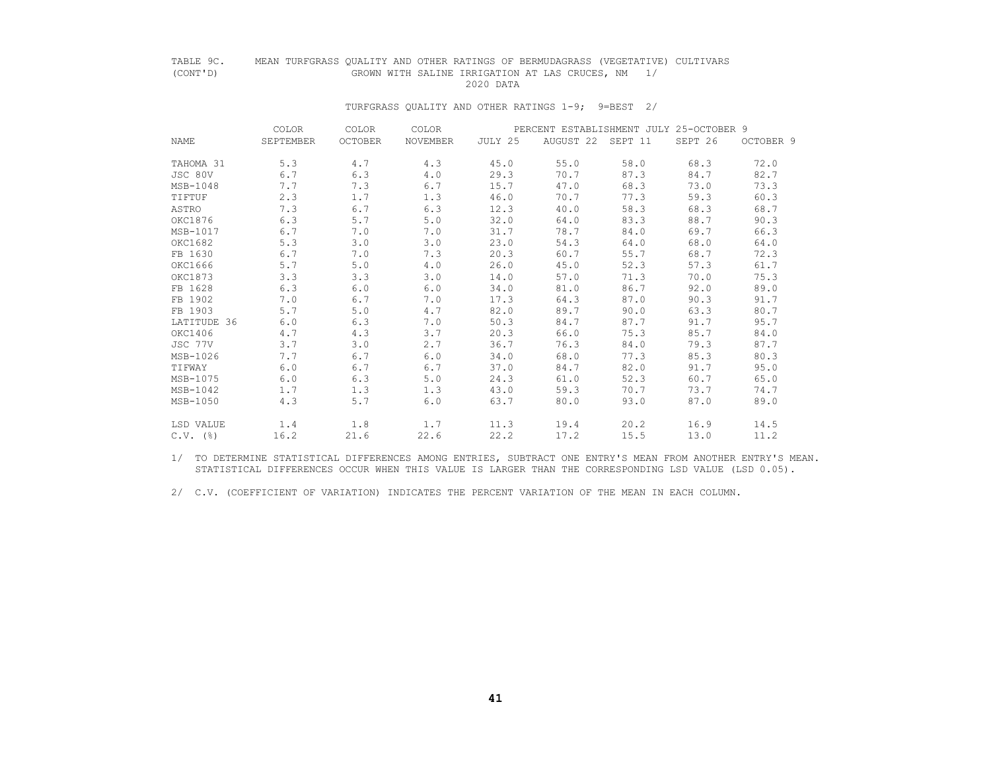# TABLE 9C. MEAN TURFGRASS QUALITY AND OTHER RATINGS OF BERMUDAGRASS (VEGETATIVE) CULTIVARS<br>(CONT'D) 6 GROWN WITH SALINE IRRIGATION AT LAS CRUCES, NM GROWN WITH SALINE IRRIGATION AT LAS CRUCES, NM 1/<br>2020 DATA

#### 2020 DATA

#### TURFGRASS QUALITY AND OTHER RATINGS 1-9; 9=BEST 2/

|                        | <b>COLOR</b> | COLOR          | COLOR           |         | PERCENT ESTABLISHMENT JULY 25-OCTOBER 9 |      |         |           |
|------------------------|--------------|----------------|-----------------|---------|-----------------------------------------|------|---------|-----------|
| NAME                   | SEPTEMBER    | <b>OCTOBER</b> | <b>NOVEMBER</b> | JULY 25 | AUGUST 22 SEPT 11                       |      | SEPT 26 | OCTOBER 9 |
| TAHOMA 31              | 5.3          | 4.7            | 4.3             | 45.0    | 55.0                                    | 58.0 | 68.3    | 72.0      |
| JSC 80V                | 6.7          | 6.3            | 4.0             | 29.3    | 70.7                                    | 87.3 | 84.7    | 82.7      |
| MSB-1048               | 7.7          | 7.3            | 6.7             | 15.7    | 47.0                                    | 68.3 | 73.0    | 73.3      |
| TIFTUF                 | 2.3          | 1.7            | 1.3             | 46.0    | 70.7                                    | 77.3 | 59.3    | 60.3      |
| ASTRO                  | 7.3          | 6.7            | 6.3             | 12.3    | 40.0                                    | 58.3 | 68.3    | 68.7      |
| OKC1876                | 6.3          | 5.7            | 5.0             | 32.0    | 64.0                                    | 83.3 | 88.7    | 90.3      |
| MSB-1017               | 6.7          | 7.0            | 7.0             | 31.7    | 78.7                                    | 84.0 | 69.7    | 66.3      |
| OKC1682                | 5.3          | 3.0            | 3.0             | 23.0    | 54.3                                    | 64.0 | 68.0    | 64.0      |
| FB 1630                | 6.7          | 7.0            | 7.3             | 20.3    | 60.7                                    | 55.7 | 68.7    | 72.3      |
| OKC1666                | 5.7          | 5.0            | 4.0             | 26.0    | 45.0                                    | 52.3 | 57.3    | 61.7      |
| OKC1873                | 3.3          | 3.3            | 3.0             | 14.0    | 57.0                                    | 71.3 | 70.0    | 75.3      |
| FB 1628                | 6.3          | 6.0            | 6.0             | 34.0    | 81.0                                    | 86.7 | 92.0    | 89.0      |
| FB 1902                | 7.0          | 6.7            | 7.0             | 17.3    | 64.3                                    | 87.0 | 90.3    | 91.7      |
| FB 1903                | 5.7          | 5.0            | 4.7             | 82.0    | 89.7                                    | 90.0 | 63.3    | 80.7      |
| LATITUDE 36            | 6.0          | 6.3            | 7.0             | 50.3    | 84.7                                    | 87.7 | 91.7    | 95.7      |
| OKC1406                | 4.7          | 4.3            | 3.7             | 20.3    | 66.0                                    | 75.3 | 85.7    | 84.0      |
| JSC 77V                | 3.7          | 3.0            | 2.7             | 36.7    | 76.3                                    | 84.0 | 79.3    | 87.7      |
| MSB-1026               | 7.7          | 6.7            | 6.0             | 34.0    | 68.0                                    | 77.3 | 85.3    | 80.3      |
| TIFWAY                 | 6.0          | 6.7            | 6.7             | 37.0    | 84.7                                    | 82.0 | 91.7    | 95.0      |
| MSB-1075               | 6.0          | 6.3            | 5.0             | 24.3    | 61.0                                    | 52.3 | 60.7    | 65.0      |
| MSB-1042               | 1.7          | 1.3            | 1.3             | 43.0    | 59.3                                    | 70.7 | 73.7    | 74.7      |
| MSB-1050               | 4.3          | 5.7            | 6.0             | 63.7    | 80.0                                    | 93.0 | 87.0    | 89.0      |
| LSD VALUE              | 1.4          | 1.8            | 1.7             | 11.3    | 19.4                                    | 20.2 | 16.9    | 14.5      |
| $C.V.$ $(\frac{8}{6})$ | 16.2         | 21.6           | 22.6            | 22.2    | 17.2                                    | 15.5 | 13.0    | 11.2      |

 1/ TO DETERMINE STATISTICAL DIFFERENCES AMONG ENTRIES, SUBTRACT ONE ENTRY'S MEAN FROM ANOTHER ENTRY'S MEAN. STATISTICAL DIFFERENCES OCCUR WHEN THIS VALUE IS LARGER THAN THE CORRESPONDING LSD VALUE (LSD 0.05).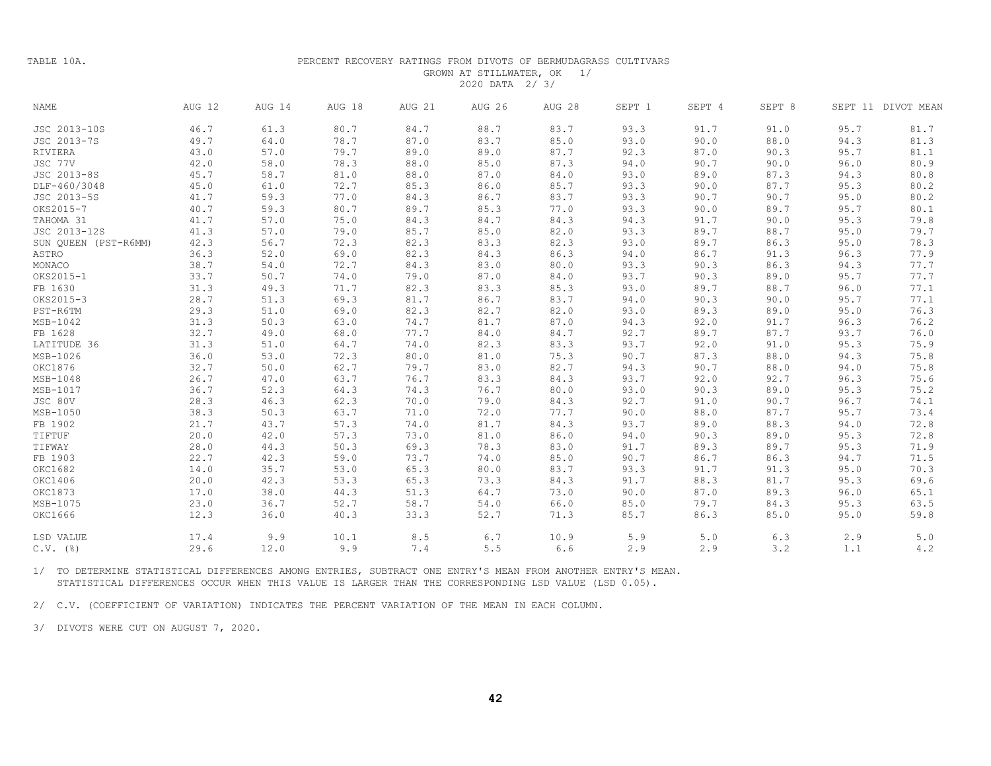TABLE 10A.

#### PERCENT RECOVERY RATINGS FROM DIVOTS OF BERMUDAGRASS CULTIVARS GROWN AT STILLWATER, OK 1/ 2020 DATA 2/ 3/

| <b>NAME</b>          | AUG 12 | AUG 14 | AUG 18 | AUG 21 | <b>AUG 26</b> | AUG 28 | SEPT 1 | SEPT 4 | SEPT 8 |      | SEPT 11 DIVOT MEAN |
|----------------------|--------|--------|--------|--------|---------------|--------|--------|--------|--------|------|--------------------|
| JSC 2013-10S         | 46.7   | 61.3   | 80.7   | 84.7   | 88.7          | 83.7   | 93.3   | 91.7   | 91.0   | 95.7 | 81.7               |
| JSC 2013-7S          | 49.7   | 64.0   | 78.7   | 87.0   | 83.7          | 85.0   | 93.0   | 90.0   | 88.0   | 94.3 | 81.3               |
| RIVIERA              | 43.0   | 57.0   | 79.7   | 89.0   | 89.0          | 87.7   | 92.3   | 87.0   | 90.3   | 95.7 | 81.1               |
| JSC 77V              | 42.0   | 58.0   | 78.3   | 88.0   | 85.0          | 87.3   | 94.0   | 90.7   | 90.0   | 96.0 | 80.9               |
| JSC 2013-8S          | 45.7   | 58.7   | 81.0   | 88.0   | 87.0          | 84.0   | 93.0   | 89.0   | 87.3   | 94.3 | 80.8               |
| DLF-460/3048         | 45.0   | 61.0   | 72.7   | 85.3   | 86.0          | 85.7   | 93.3   | 90.0   | 87.7   | 95.3 | 80.2               |
| JSC 2013-5S          | 41.7   | 59.3   | 77.0   | 84.3   | 86.7          | 83.7   | 93.3   | 90.7   | 90.7   | 95.0 | 80.2               |
| OKS2015-7            | 40.7   | 59.3   | 80.7   | 89.7   | 85.3          | 77.0   | 93.3   | 90.0   | 89.7   | 95.7 | 80.1               |
| TAHOMA 31            | 41.7   | 57.0   | 75.0   | 84.3   | 84.7          | 84.3   | 94.3   | 91.7   | 90.0   | 95.3 | 79.8               |
| JSC 2013-12S         | 41.3   | 57.0   | 79.0   | 85.7   | 85.0          | 82.0   | 93.3   | 89.7   | 88.7   | 95.0 | 79.7               |
| SUN QUEEN (PST-R6MM) | 42.3   | 56.7   | 72.3   | 82.3   | 83.3          | 82.3   | 93.0   | 89.7   | 86.3   | 95.0 | 78.3               |
| ASTRO                | 36.3   | 52.0   | 69.0   | 82.3   | 84.3          | 86.3   | 94.0   | 86.7   | 91.3   | 96.3 | 77.9               |
| MONACO               | 38.7   | 54.0   | 72.7   | 84.3   | 83.0          | 80.0   | 93.3   | 90.3   | 86.3   | 94.3 | 77.7               |
| OKS2015-1            | 33.7   | 50.7   | 74.0   | 79.0   | 87.0          | 84.0   | 93.7   | 90.3   | 89.0   | 95.7 | 77.7               |
| FB 1630              | 31.3   | 49.3   | 71.7   | 82.3   | 83.3          | 85.3   | 93.0   | 89.7   | 88.7   | 96.0 | 77.1               |
| OKS2015-3            | 28.7   | 51.3   | 69.3   | 81.7   | 86.7          | 83.7   | 94.0   | 90.3   | 90.0   | 95.7 | 77.1               |
| PST-R6TM             | 29.3   | 51.0   | 69.0   | 82.3   | 82.7          | 82.0   | 93.0   | 89.3   | 89.0   | 95.0 | 76.3               |
| MSB-1042             | 31.3   | 50.3   | 63.0   | 74.7   | 81.7          | 87.0   | 94.3   | 92.0   | 91.7   | 96.3 | 76.2               |
| FB 1628              | 32.7   | 49.0   | 68.0   | 77.7   | 84.0          | 84.7   | 92.7   | 89.7   | 87.7   | 93.7 | 76.0               |
| LATITUDE 36          | 31.3   | 51.0   | 64.7   | 74.0   | 82.3          | 83.3   | 93.7   | 92.0   | 91.0   | 95.3 | 75.9               |
| MSB-1026             | 36.0   | 53.0   | 72.3   | 80.0   | 81.0          | 75.3   | 90.7   | 87.3   | 88.0   | 94.3 | 75.8               |
| OKC1876              | 32.7   | 50.0   | 62.7   | 79.7   | 83.0          | 82.7   | 94.3   | 90.7   | 88.0   | 94.0 | 75.8               |
| $MSB-1048$           | 26.7   | 47.0   | 63.7   | 76.7   | 83.3          | 84.3   | 93.7   | 92.0   | 92.7   | 96.3 | 75.6               |
| MSB-1017             | 36.7   | 52.3   | 64.3   | 74.3   | 76.7          | 80.0   | 93.0   | 90.3   | 89.0   | 95.3 | 75.2               |
| JSC 80V              | 28.3   | 46.3   | 62.3   | 70.0   | 79.0          | 84.3   | 92.7   | 91.0   | 90.7   | 96.7 | 74.1               |
| MSB-1050             | 38.3   | 50.3   | 63.7   | 71.0   | 72.0          | 77.7   | 90.0   | 88.0   | 87.7   | 95.7 | 73.4               |
| FB 1902              | 21.7   | 43.7   | 57.3   | 74.0   | 81.7          | 84.3   | 93.7   | 89.0   | 88.3   | 94.0 | 72.8               |
| TIFTUF               | 20.0   | 42.0   | 57.3   | 73.0   | 81.0          | 86.0   | 94.0   | 90.3   | 89.0   | 95.3 | 72.8               |
| TIFWAY               | 28.0   | 44.3   | 50.3   | 69.3   | 78.3          | 83.0   | 91.7   | 89.3   | 89.7   | 95.3 | 71.9               |
| FB 1903              | 22.7   | 42.3   | 59.0   | 73.7   | 74.0          | 85.0   | 90.7   | 86.7   | 86.3   | 94.7 | 71.5               |
| OKC1682              | 14.0   | 35.7   | 53.0   | 65.3   | 80.0          | 83.7   | 93.3   | 91.7   | 91.3   | 95.0 | 70.3               |
| OKC1406              | 20.0   | 42.3   | 53.3   | 65.3   | 73.3          | 84.3   | 91.7   | 88.3   | 81.7   | 95.3 | 69.6               |
| OKC1873              | 17.0   | 38.0   | 44.3   | 51.3   | 64.7          | 73.0   | 90.0   | 87.0   | 89.3   | 96.0 | 65.1               |
| MSB-1075             | 23.0   | 36.7   | 52.7   | 58.7   | 54.0          | 66.0   | 85.0   | 79.7   | 84.3   | 95.3 | 63.5               |
| OKC1666              | 12.3   | 36.0   | 40.3   | 33.3   | 52.7          | 71.3   | 85.7   | 86.3   | 85.0   | 95.0 | 59.8               |
| LSD VALUE            | 17.4   | 9.9    | 10.1   | 8.5    | 6.7           | 10.9   | 5.9    | 5.0    | 6.3    | 2.9  | $5.0$              |
| $C.V.$ (%)           | 29.6   | 12.0   | 9.9    | 7.4    | 5.5           | 6.6    | 2.9    | 2.9    | 3.2    | 1.1  | 4.2                |

1/ TO DETERMINE STATISTICAL DIFFERENCES AMONG ENTRIES, SUBTRACT ONE ENTRY'S MEAN FROM ANOTHER ENTRY'S MEAN. STATISTICAL DIFFERENCES OCCUR WHEN THIS VALUE IS LARGER THAN THE CORRESPONDING LSD VALUE (LSD 0.05).

2/ C.V. (COEFFICIENT OF VARIATION) INDICATES THE PERCENT VARIATION OF THE MEAN IN EACH COLUMN.

3/ DIVOTS WERE CUT ON AUGUST 7, 2020.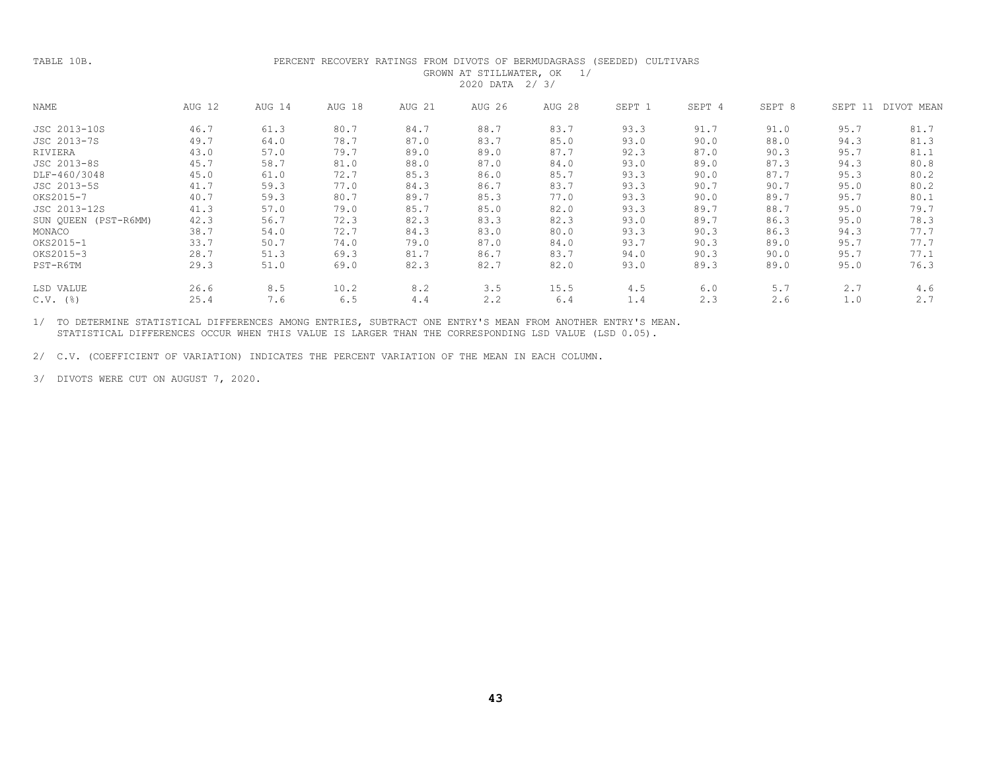| TABLE 10B.               |        |        | PERCENT RECOVERY RATINGS FROM DIVOTS OF BERMUDAGRASS |        | GROWN AT STILLWATER, OK<br>2020 DATA 2/3/ | 1/     | (SEEDED) CULTIVARS |        |        |         |            |
|--------------------------|--------|--------|------------------------------------------------------|--------|-------------------------------------------|--------|--------------------|--------|--------|---------|------------|
| NAME                     | AUG 12 | AUG 14 | AUG 18                                               | AUG 21 | AUG 26                                    | AUG 28 | SEPT 1             | SEPT 4 | SEPT 8 | SEPT 11 | DIVOT MEAN |
| JSC 2013-10S             | 46.7   | 61.3   | 80.7                                                 | 84.7   | 88.7                                      | 83.7   | 93.3               | 91.7   | 91.0   | 95.7    | 81.7       |
| JSC 2013-7S              | 49.7   | 64.0   | 78.7                                                 | 87.0   | 83.7                                      | 85.0   | 93.0               | 90.0   | 88.0   | 94.3    | 81.3       |
| RIVIERA                  | 43.0   | 57.0   | 79.7                                                 | 89.0   | 89.0                                      | 87.7   | 92.3               | 87.0   | 90.3   | 95.7    | 81.1       |
| JSC 2013-8S              | 45.7   | 58.7   | 81.0                                                 | 88.0   | 87.0                                      | 84.0   | 93.0               | 89.0   | 87.3   | 94.3    | 80.8       |
| DLF-460/3048             | 45.0   | 61.0   | 72.7                                                 | 85.3   | 86.0                                      | 85.7   | 93.3               | 90.0   | 87.7   | 95.3    | 80.2       |
| JSC 2013-5S              | 41.7   | 59.3   | 77.0                                                 | 84.3   | 86.7                                      | 83.7   | 93.3               | 90.7   | 90.7   | 95.0    | 80.2       |
| OKS2015-7                | 40.7   | 59.3   | 80.7                                                 | 89.7   | 85.3                                      | 77.0   | 93.3               | 90.0   | 89.7   | 95.7    | 80.1       |
| JSC 2013-12S             | 41.3   | 57.0   | 79.0                                                 | 85.7   | 85.0                                      | 82.0   | 93.3               | 89.7   | 88.7   | 95.0    | 79.7       |
| SUN QUEEN (PST-R6MM)     | 42.3   | 56.7   | 72.3                                                 | 82.3   | 83.3                                      | 82.3   | 93.0               | 89.7   | 86.3   | 95.0    | 78.3       |
| MONACO                   | 38.7   | 54.0   | 72.7                                                 | 84.3   | 83.0                                      | 80.0   | 93.3               | 90.3   | 86.3   | 94.3    | 77.7       |
| OKS2015-1                | 33.7   | 50.7   | 74.0                                                 | 79.0   | 87.0                                      | 84.0   | 93.7               | 90.3   | 89.0   | 95.7    | 77.7       |
| OKS2015-3                | 28.7   | 51.3   | 69.3                                                 | 81.7   | 86.7                                      | 83.7   | 94.0               | 90.3   | 90.0   | 95.7    | 77.1       |
| PST-R6TM                 | 29.3   | 51.0   | 69.0                                                 | 82.3   | 82.7                                      | 82.0   | 93.0               | 89.3   | 89.0   | 95.0    | 76.3       |
| LSD VALUE                | 26.6   | 8.5    | 10.2                                                 | 8.2    | 3.5                                       | 15.5   | 4.5                | 6.0    | 5.7    | 2.7     | 4.6        |
| $C.V.$ ( $\frac{8}{6}$ ) | 25.4   | 7.6    | 6.5                                                  | 4.4    | 2.2                                       | 6.4    | 1.4                | 2.3    | 2.6    | 1.0     | 2.7        |

1/ TO DETERMINE STATISTICAL DIFFERENCES AMONG ENTRIES, SUBTRACT ONE ENTRY'S MEAN FROM ANOTHER ENTRY'S MEAN. STATISTICAL DIFFERENCES OCCUR WHEN THIS VALUE IS LARGER THAN THE CORRESPONDING LSD VALUE (LSD 0.05).

2/ C.V. (COEFFICIENT OF VARIATION) INDICATES THE PERCENT VARIATION OF THE MEAN IN EACH COLUMN.

3/ DIVOTS WERE CUT ON AUGUST 7, 2020.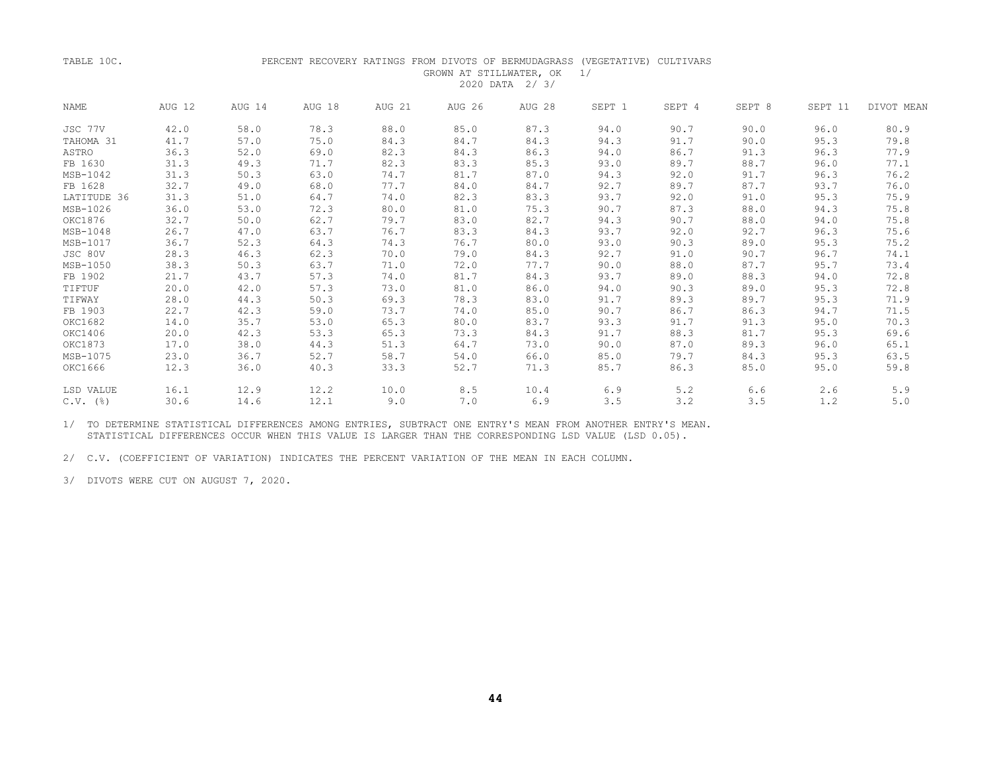#### TABLE 10C. PERCENT RECOVERY RATINGS FROM DIVOTS OF BERMUDAGRASS (VEGETATIVE) CULTIVARS GROWN AT STILLWATER, OK 1/ 2020 DATA 2/ 3/

| <b>NAME</b> | AUG 12 | AUG 14 | AUG 18 | AUG 21 | AUG 26 | AUG 28 | SEPT 1 | SEPT 4 | SEPT 8 | SEPT 11 | DIVOT MEAN |
|-------------|--------|--------|--------|--------|--------|--------|--------|--------|--------|---------|------------|
| JSC 77V     | 42.0   | 58.0   | 78.3   | 88.0   | 85.0   | 87.3   | 94.0   | 90.7   | 90.0   | 96.0    | 80.9       |
| TAHOMA 31   | 41.7   | 57.0   | 75.0   | 84.3   | 84.7   | 84.3   | 94.3   | 91.7   | 90.0   | 95.3    | 79.8       |
| ASTRO       | 36.3   | 52.0   | 69.0   | 82.3   | 84.3   | 86.3   | 94.0   | 86.7   | 91.3   | 96.3    | 77.9       |
| FB 1630     | 31.3   | 49.3   | 71.7   | 82.3   | 83.3   | 85.3   | 93.0   | 89.7   | 88.7   | 96.0    | 77.1       |
| MSB-1042    | 31.3   | 50.3   | 63.0   | 74.7   | 81.7   | 87.0   | 94.3   | 92.0   | 91.7   | 96.3    | 76.2       |
| FB 1628     | 32.7   | 49.0   | 68.0   | 77.7   | 84.0   | 84.7   | 92.7   | 89.7   | 87.7   | 93.7    | 76.0       |
| LATITUDE 36 | 31.3   | 51.0   | 64.7   | 74.0   | 82.3   | 83.3   | 93.7   | 92.0   | 91.0   | 95.3    | 75.9       |
| MSB-1026    | 36.0   | 53.0   | 72.3   | 80.0   | 81.0   | 75.3   | 90.7   | 87.3   | 88.0   | 94.3    | 75.8       |
| OKC1876     | 32.7   | 50.0   | 62.7   | 79.7   | 83.0   | 82.7   | 94.3   | 90.7   | 88.0   | 94.0    | 75.8       |
| MSB-1048    | 26.7   | 47.0   | 63.7   | 76.7   | 83.3   | 84.3   | 93.7   | 92.0   | 92.7   | 96.3    | 75.6       |
| MSB-1017    | 36.7   | 52.3   | 64.3   | 74.3   | 76.7   | 80.0   | 93.0   | 90.3   | 89.0   | 95.3    | 75.2       |
| JSC 80V     | 28.3   | 46.3   | 62.3   | 70.0   | 79.0   | 84.3   | 92.7   | 91.0   | 90.7   | 96.7    | 74.1       |
| MSB-1050    | 38.3   | 50.3   | 63.7   | 71.0   | 72.0   | 77.7   | 90.0   | 88.0   | 87.7   | 95.7    | 73.4       |
| FB 1902     | 21.7   | 43.7   | 57.3   | 74.0   | 81.7   | 84.3   | 93.7   | 89.0   | 88.3   | 94.0    | 72.8       |
| TIFTUF      | 20.0   | 42.0   | 57.3   | 73.0   | 81.0   | 86.0   | 94.0   | 90.3   | 89.0   | 95.3    | 72.8       |
| TIFWAY      | 28.0   | 44.3   | 50.3   | 69.3   | 78.3   | 83.0   | 91.7   | 89.3   | 89.7   | 95.3    | 71.9       |
| FB 1903     | 22.7   | 42.3   | 59.0   | 73.7   | 74.0   | 85.0   | 90.7   | 86.7   | 86.3   | 94.7    | 71.5       |
| OKC1682     | 14.0   | 35.7   | 53.0   | 65.3   | 80.0   | 83.7   | 93.3   | 91.7   | 91.3   | 95.0    | 70.3       |
| OKC1406     | 20.0   | 42.3   | 53.3   | 65.3   | 73.3   | 84.3   | 91.7   | 88.3   | 81.7   | 95.3    | 69.6       |
| OKC1873     | 17.0   | 38.0   | 44.3   | 51.3   | 64.7   | 73.0   | 90.0   | 87.0   | 89.3   | 96.0    | 65.1       |
| MSB-1075    | 23.0   | 36.7   | 52.7   | 58.7   | 54.0   | 66.0   | 85.0   | 79.7   | 84.3   | 95.3    | 63.5       |
| OKC1666     | 12.3   | 36.0   | 40.3   | 33.3   | 52.7   | 71.3   | 85.7   | 86.3   | 85.0   | 95.0    | 59.8       |
| LSD VALUE   | 16.1   | 12.9   | 12.2   | 10.0   | 8.5    | 10.4   | 6.9    | 5.2    | 6.6    | 2.6     | 5.9        |
| $C.V.$ (%)  | 30.6   | 14.6   | 12.1   | 9.0    | 7.0    | 6.9    | 3.5    | 3.2    | 3.5    | 1.2     | 5.0        |
|             |        |        |        |        |        |        |        |        |        |         |            |

 1/ TO DETERMINE STATISTICAL DIFFERENCES AMONG ENTRIES, SUBTRACT ONE ENTRY'S MEAN FROM ANOTHER ENTRY'S MEAN. STATISTICAL DIFFERENCES OCCUR WHEN THIS VALUE IS LARGER THAN THE CORRESPONDING LSD VALUE (LSD 0.05).

2/ C.V. (COEFFICIENT OF VARIATION) INDICATES THE PERCENT VARIATION OF THE MEAN IN EACH COLUMN.

3/ DIVOTS WERE CUT ON AUGUST 7, 2020.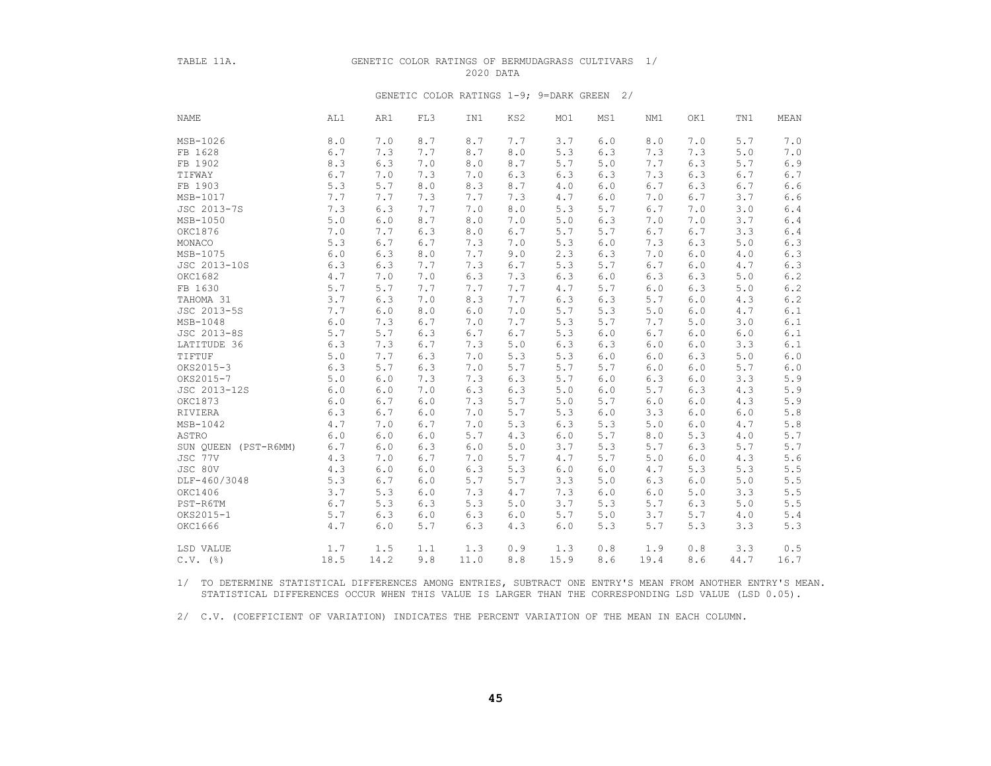#### TABLE 11A. GENETIC COLOR RATINGS OF BERMUDAGRASS CULTIVARS 1/ 2020 DATA

#### GENETIC COLOR RATINGS 1-9; 9=DARK GREEN 2/

| NAME                 | AL1  | AR1   | FL3   | IN1  | KS2 | MO1  | MS1   | NM1   | OK1 | TN1  | MEAN    |
|----------------------|------|-------|-------|------|-----|------|-------|-------|-----|------|---------|
| MSB-1026             | 8.0  | 7.0   | 8.7   | 8.7  | 7.7 | 3.7  | 6.0   | 8.0   | 7.0 | 5.7  | 7.0     |
| FB 1628              | 6.7  | 7.3   | 7.7   | 8.7  | 8.0 | 5.3  | 6.3   | 7.3   | 7.3 | 5.0  | 7.0     |
| FB 1902              | 8.3  | 6.3   | 7.0   | 8.0  | 8.7 | 5.7  | 5.0   | 7.7   | 6.3 | 5.7  | 6.9     |
| TIFWAY               | 6.7  | 7.0   | 7.3   | 7.0  | 6.3 | 6.3  | 6.3   | 7.3   | 6.3 | 6.7  | 6.7     |
| FB 1903              | 5.3  | $5.7$ | $8.0$ | 8.3  | 8.7 | 4.0  | 6.0   | 6.7   | 6.3 | 6.7  | $6.6$   |
| MSB-1017             | 7.7  | 7.7   | 7.3   | 7.7  | 7.3 | 4.7  | 6.0   | 7.0   | 6.7 | 3.7  | $6.6$   |
| JSC 2013-7S          | 7.3  | 6.3   | 7.7   | 7.0  | 8.0 | 5.3  | 5.7   | 6.7   | 7.0 | 3.0  | $6.4$   |
| MSB-1050             | 5.0  | 6.0   | 8.7   | 8.0  | 7.0 | 5.0  | 6.3   | 7.0   | 7.0 | 3.7  | 6.4     |
| OKC1876              | 7.0  | 7.7   | 6.3   | 8.0  | 6.7 | 5.7  | 5.7   | 6.7   | 6.7 | 3.3  | $6.4$   |
| MONACO               | 5.3  | 6.7   | 6.7   | 7.3  | 7.0 | 5.3  | 6.0   | 7.3   | 6.3 | 5.0  | 6.3     |
| MSB-1075             | 6.0  | 6.3   | 8.0   | 7.7  | 9.0 | 2.3  | 6.3   | 7.0   | 6.0 | 4.0  | 6.3     |
| JSC 2013-10S         | 6.3  | 6.3   | 7.7   | 7.3  | 6.7 | 5.3  | 5.7   | 6.7   | 6.0 | 4.7  | 6.3     |
| OKC1682              | 4.7  | 7.0   | 7.0   | 6.3  | 7.3 | 6.3  | 6.0   | 6.3   | 6.3 | 5.0  | $6.2\,$ |
| FB 1630              | 5.7  | 5.7   | 7.7   | 7.7  | 7.7 | 4.7  | 5.7   | 6.0   | 6.3 | 5.0  | $6.2\,$ |
| TAHOMA 31            | 3.7  | 6.3   | 7.0   | 8.3  | 7.7 | 6.3  | 6.3   | 5.7   | 6.0 | 4.3  | 6.2     |
| JSC 2013-5S          | 7.7  | 6.0   | $8.0$ | 6.0  | 7.0 | 5.7  | 5.3   | 5.0   | 6.0 | 4.7  | $6.1\,$ |
| MSB-1048             | 6.0  | 7.3   | 6.7   | 7.0  | 7.7 | 5.3  | 5.7   | 7.7   | 5.0 | 3.0  | 6.1     |
| JSC 2013-8S          | 5.7  | 5.7   | 6.3   | 6.7  | 6.7 | 5.3  | $6.0$ | 6.7   | 6.0 | 6.0  | 6.1     |
| LATITUDE 36          | 6.3  | 7.3   | 6.7   | 7.3  | 5.0 | 6.3  | 6.3   | $6.0$ | 6.0 | 3.3  | 6.1     |
| TIFTUF               | 5.0  | 7.7   | 6.3   | 7.0  | 5.3 | 5.3  | 6.0   | 6.0   | 6.3 | 5.0  | 6.0     |
| OKS2015-3            | 6.3  | 5.7   | 6.3   | 7.0  | 5.7 | 5.7  | 5.7   | $6.0$ | 6.0 | 5.7  | $6.0$   |
| OKS2015-7            | 5.0  | 6.0   | 7.3   | 7.3  | 6.3 | 5.7  | 6.0   | 6.3   | 6.0 | 3.3  | 5.9     |
| JSC 2013-12S         | 6.0  | 6.0   | 7.0   | 6.3  | 6.3 | 5.0  | 6.0   | 5.7   | 6.3 | 4.3  | 5.9     |
| OKC1873              | 6.0  | 6.7   | 6.0   | 7.3  | 5.7 | 5.0  | 5.7   | 6.0   | 6.0 | 4.3  | $5.9$   |
| RIVIERA              | 6.3  | 6.7   | 6.0   | 7.0  | 5.7 | 5.3  | 6.0   | 3.3   | 6.0 | 6.0  | $5.8\,$ |
| MSB-1042             | 4.7  | 7.0   | 6.7   | 7.0  | 5.3 | 6.3  | 5.3   | 5.0   | 6.0 | 4.7  | 5.8     |
| ASTRO                | 6.0  | $6.0$ | 6.0   | 5.7  | 4.3 | 6.0  | 5.7   | 8.0   | 5.3 | 4.0  | 5.7     |
| SUN OUEEN (PST-R6MM) | 6.7  | 6.0   | 6.3   | 6.0  | 5.0 | 3.7  | 5.3   | 5.7   | 6.3 | 5.7  | 5.7     |
| JSC 77V              | 4.3  | 7.0   | 6.7   | 7.0  | 5.7 | 4.7  | 5.7   | 5.0   | 6.0 | 4.3  | $5.6\,$ |
| JSC 80V              | 4.3  | 6.0   | 6.0   | 6.3  | 5.3 | 6.0  | 6.0   | 4.7   | 5.3 | 5.3  | $5.5$   |
| DLF-460/3048         | 5.3  | 6.7   | 6.0   | 5.7  | 5.7 | 3.3  | 5.0   | 6.3   | 6.0 | 5.0  | $5.5\,$ |
| OKC1406              | 3.7  | 5.3   | 6.0   | 7.3  | 4.7 | 7.3  | 6.0   | 6.0   | 5.0 | 3.3  | 5.5     |
| PST-R6TM             | 6.7  | 5.3   | 6.3   | 5.3  | 5.0 | 3.7  | 5.3   | 5.7   | 6.3 | 5.0  | 5.5     |
| OKS2015-1            | 5.7  | 6.3   | $6.0$ | 6.3  | 6.0 | 5.7  | 5.0   | 3.7   | 5.7 | 4.0  | 5.4     |
| OKC1666              | 4.7  | $6.0$ | 5.7   | 6.3  | 4.3 | 6.0  | 5.3   | 5.7   | 5.3 | 3.3  | 5.3     |
| LSD VALUE            | 1.7  | 1.5   | 1.1   | 1.3  | 0.9 | 1.3  | 0.8   | 1.9   | 0.8 | 3.3  | 0.5     |
| $C.V.$ (%)           | 18.5 | 14.2  | 9.8   | 11.0 | 8.8 | 15.9 | 8.6   | 19.4  | 8.6 | 44.7 | 16.7    |

 1/ TO DETERMINE STATISTICAL DIFFERENCES AMONG ENTRIES, SUBTRACT ONE ENTRY'S MEAN FROM ANOTHER ENTRY'S MEAN. STATISTICAL DIFFERENCES OCCUR WHEN THIS VALUE IS LARGER THAN THE CORRESPONDING LSD VALUE (LSD 0.05).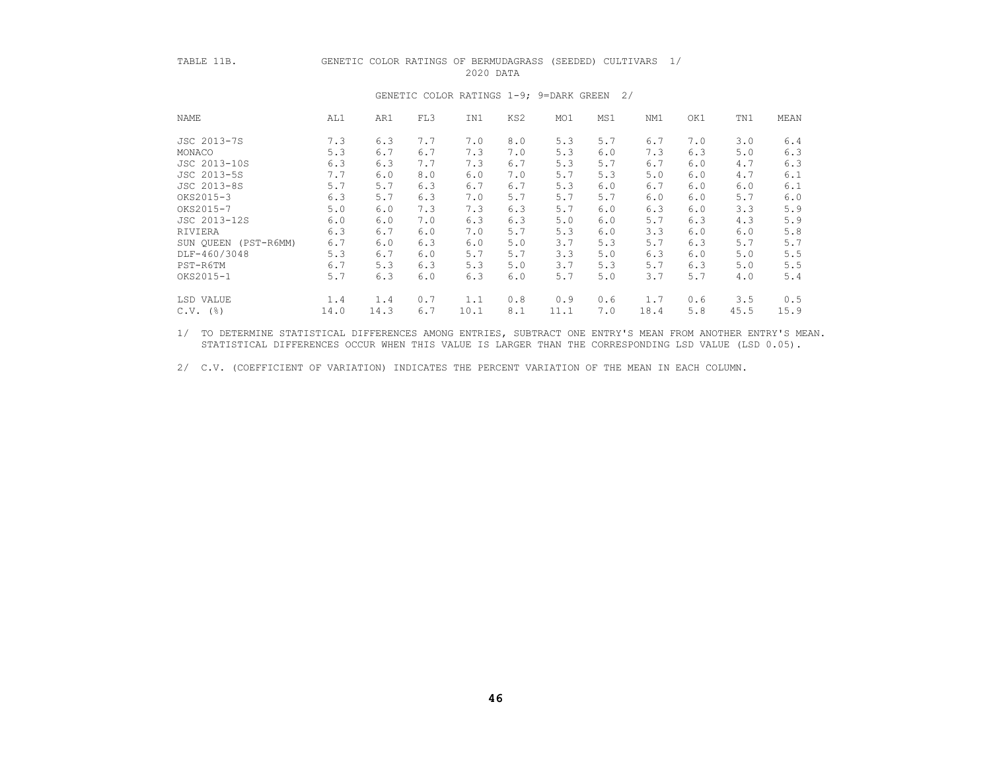# TABLE 11B. GENETIC COLOR RATINGS OF BERMUDAGRASS (SEEDED) CULTIVARS 1/

2020 DATA

| NAME         | AL1               | AR1  | FL3 | IN1  | KS2 | MO1  | MS1 | NM1  | OK1 | TN1  | MEAN |
|--------------|-------------------|------|-----|------|-----|------|-----|------|-----|------|------|
| JSC 2013-7S  | 7.3               | 6.3  | 7.7 | 7.0  | 8.0 | 5.3  | 5.7 | 6.7  | 7.0 | 3.0  | 6.4  |
| MONACO       | 5.3               | 6.7  | 6.7 | 7.3  | 7.0 | 5.3  | 6.0 | 7.3  | 6.3 | 5.0  | 6.3  |
| JSC 2013-10S | 6.3               | 6.3  | 7.7 | 7.3  | 6.7 | 5.3  | 5.7 | 6.7  | 6.0 | 4.7  | 6.3  |
| JSC 2013-5S  | 7.7               | 6.0  | 8.0 | 6.0  | 7.0 | 5.7  | 5.3 | 5.0  | 6.0 | 4.7  | 6.1  |
| JSC 2013-8S  | 5.7               | 5.7  | 6.3 | 6.7  | 6.7 | 5.3  | 6.0 | 6.7  | 6.0 | 6.0  | 6.1  |
| OKS2015-3    | 6.3               | 5.7  | 6.3 | 7.0  | 5.7 | 5.7  | 5.7 | 6.0  | 6.0 | 5.7  | 6.0  |
| OKS2015-7    | 5.0               | 6.0  | 7.3 | 7.3  | 6.3 | 5.7  | 6.0 | 6.3  | 6.0 | 3.3  | 5.9  |
| JSC 2013-12S | 6.0               | 6.0  | 7.0 | 6.3  | 6.3 | 5.0  | 6.0 | 5.7  | 6.3 | 4.3  | 5.9  |
| RIVIERA      | 6.3               | 6.7  | 6.0 | 7.0  | 5.7 | 5.3  | 6.0 | 3.3  | 6.0 | 6.0  | 5.8  |
| SUN OUEEN    | 6.7<br>(PST-R6MM) | 6.0  | 6.3 | 6.0  | 5.0 | 3.7  | 5.3 | 5.7  | 6.3 | 5.7  | 5.7  |
| DLF-460/3048 | 5.3               | 6.7  | 6.0 | 5.7  | 5.7 | 3.3  | 5.0 | 6.3  | 6.0 | 5.0  | 5.5  |
| PST-R6TM     | 6.7               | 5.3  | 6.3 | 5.3  | 5.0 | 3.7  | 5.3 | 5.7  | 6.3 | 5.0  | 5.5  |
| OKS2015-1    | 5.7               | 6.3  | 6.0 | 6.3  | 6.0 | 5.7  | 5.0 | 3.7  | 5.7 | 4.0  | 5.4  |
| LSD VALUE    | 1.4               | 1.4  | 0.7 | 1.1  | 0.8 | 0.9  | 0.6 | 1.7  | 0.6 | 3.5  | 0.5  |
| $C.V.$ (%)   | 14.0              | 14.3 | 6.7 | 10.1 | 8.1 | 11.1 | 7.0 | 18.4 | 5.8 | 45.5 | 15.9 |

#### GENETIC COLOR RATINGS 1-9; 9=DARK GREEN 2/

 1/ TO DETERMINE STATISTICAL DIFFERENCES AMONG ENTRIES, SUBTRACT ONE ENTRY'S MEAN FROM ANOTHER ENTRY'S MEAN. STATISTICAL DIFFERENCES OCCUR WHEN THIS VALUE IS LARGER THAN THE CORRESPONDING LSD VALUE (LSD 0.05).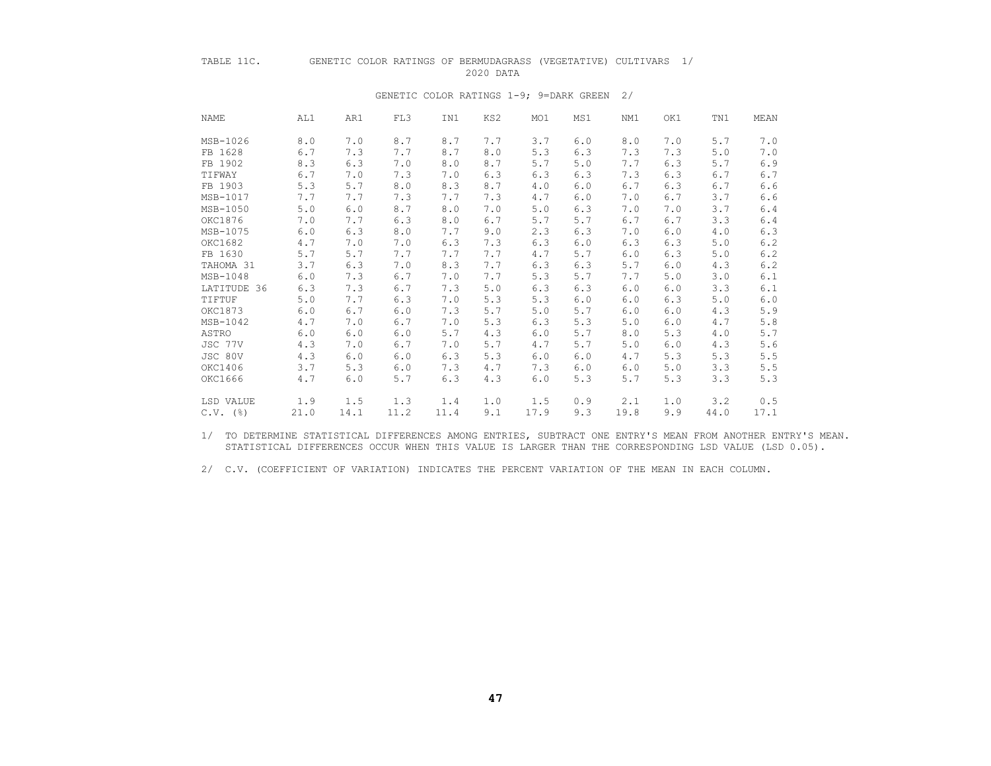### TABLE 11C. GENETIC COLOR RATINGS OF BERMUDAGRASS (VEGETATIVE) CULTIVARS 1/ 2020 DATA

# NAME AL1 AR1 FL3 IN1 KS2 MO1 MS1 NM1 OK1 TN1 MEAN MSB-1026 8.0 7.0 8.7 8.7 7.7 3.7 6.0 8.0 7.0 5.7 7.0 FB 1628 6.7 7.3 7.7 8.7 8.0 5.3 6.3 7.3 7.3 5.0 7.0 FB 1902 8.3 6.3 7.0 8.0 8.7 5.7 5.0 7.7 6.3 5.7 6.9 TIFWAY 6.7 7.0 7.3 7.0 6.3 6.3 6.3 7.3 6.3 6.7 6.7 FB 1903 5.3 5.7 8.0 8.3 8.7 4.0 6.0 6.7 6.3 6.7 6.6 MSB-1017 7.7 7.7 7.3 7.7 7.3 4.7 6.0 7.0 6.7 3.7 6.6 MSB-1050 5.0 6.0 8.7 8.0 7.0 5.0 6.3 7.0 7.0 3.7 6.4 OKC1876 7.0 7.7 6.3 8.0 6.7 5.7 5.7 6.7 6.7 3.3 6.4 MSB-1075 6.0 6.3 8.0 7.7 9.0 2.3 6.3 7.0 6.0 4.0 6.3 OKC1682 4.7 7.0 7.0 6.3 7.3 6.3 6.0 6.3 6.3 5.0 6.2 FB 1630 5.7 5.7 7.7 7.7 7.7 4.7 5.7 6.0 6.3 5.0 6.2 TAHOMA 31 3.7 6.3 7.0 8.3 7.7 6.3 6.3 5.7 6.0 4.3 6.2 MSB-1048 6.0 7.3 6.7 7.0 7.7 5.3 5.7 7.7 5.0 3.0 6.1 LATITUDE 36 6.3 7.3 6.7 7.3 5.0 6.3 6.3 6.0 6.0 3.3 6.1<br>TIFTUF 5.0 7.7 6.3 7.0 5.3 5.3 6.0 6.0 6.3 5.0 6.0 TIFTUF 5.0 7.7 6.3 7.0 5.3 5.3 6.0 6.0 6.3 5.0 6.0 OKC1873 6.0 6.7 6.0 7.3 5.7 5.0 5.7 6.0 6.0 4.3 5.9 MSB-1042 4.7 7.0 6.7 7.0 5.3 6.3 5.3 5.0 6.0 4.7 5.8 ASTRO 6.0 6.0 6.0 5.7 4.3 6.0 5.7 8.0 5.3 4.0 5.7 JSC 77V 4.3 7.0 6.7 7.0 5.7 4.7 5.7 5.0 6.0 4.3 5.6 JSC 80V 4.3 6.0 6.0 6.3 5.3 6.0 6.0 4.7 5.3 5.3 5.5 OKC1406 3.7 5.3 6.0 7.3 4.7 7.3 6.0 6.0 5.0 3.3 5.5 OKC1666 4.7 6.0 5.7 6.3 4.3 6.0 5.3 5.7 5.3 3.3 5.3 LSD VALUE 1.9 1.5 1.3 1.4 1.0 1.5 0.9 2.1 1.0 3.2 0.5 C.V. (%) 21.0 14.1 11.2 11.4 9.1 17.9 9.3 19.8 9.9 44.0 17.1

#### GENETIC COLOR RATINGS 1-9; 9=DARK GREEN 2/

 1/ TO DETERMINE STATISTICAL DIFFERENCES AMONG ENTRIES, SUBTRACT ONE ENTRY'S MEAN FROM ANOTHER ENTRY'S MEAN. STATISTICAL DIFFERENCES OCCUR WHEN THIS VALUE IS LARGER THAN THE CORRESPONDING LSD VALUE (LSD 0.05).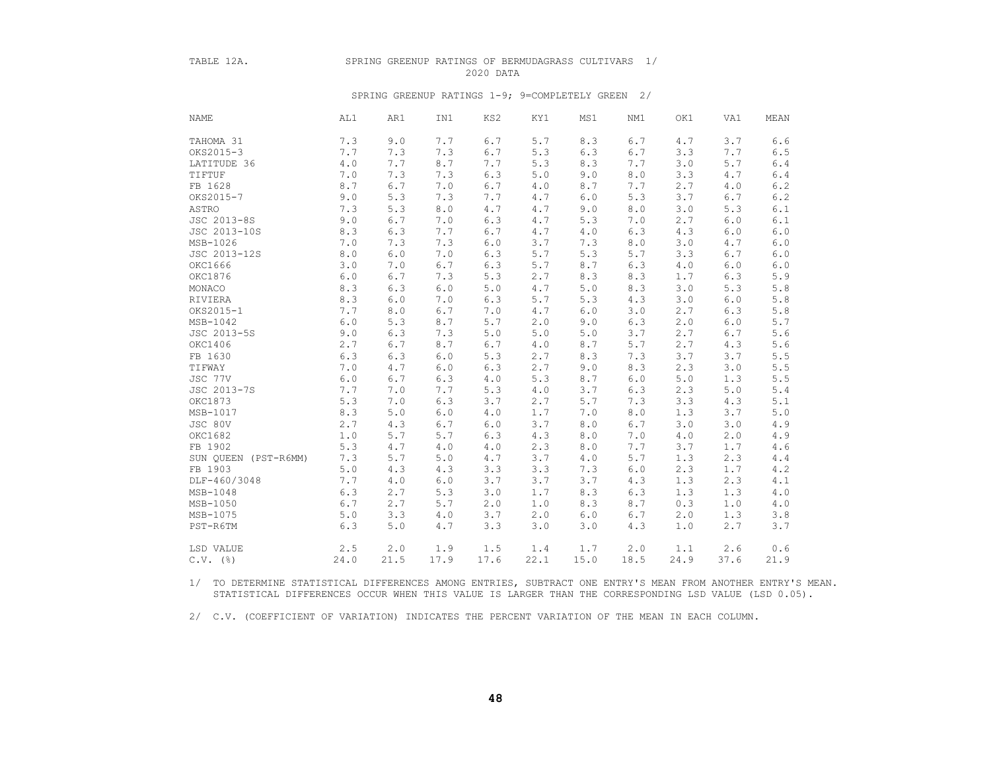#### TABLE 12A. SPRING GREENUP RATINGS OF BERMUDAGRASS CULTIVARS 1/ 2020 DATA

#### SPRING GREENUP RATINGS 1-9; 9=COMPLETELY GREEN 2/

| <b>NAME</b>          | AL1   | AR1   | IN1   | KS2   | KY1   | MS1   | NM1   | OK1   | VA1  | MEAN          |
|----------------------|-------|-------|-------|-------|-------|-------|-------|-------|------|---------------|
| TAHOMA 31            | 7.3   | 9.0   | 7.7   | 6.7   | 5.7   | 8.3   | 6.7   | 4.7   | 3.7  | 6.6           |
| OKS2015-3            | 7.7   | 7.3   | 7.3   | 6.7   | 5.3   | 6.3   | 6.7   | 3.3   | 7.7  | $6.5\,$       |
| LATITUDE 36          | $4.0$ | 7.7   | 8.7   | 7.7   | 5.3   | 8.3   | 7.7   | 3.0   | 5.7  | $6\,.$ $4\,$  |
| TIFTUF               | 7.0   | 7.3   | 7.3   | 6.3   | 5.0   | 9.0   | 8.0   | 3.3   | 4.7  | $6.4\,$       |
| FB 1628              | 8.7   | $6.7$ | 7.0   | 6.7   | 4.0   | 8.7   | 7.7   | 2.7   | 4.0  | $6.2\,$       |
| OKS2015-7            | 9.0   | 5.3   | 7.3   | 7.7   | 4.7   | 6.0   | 5.3   | 3.7   | 6.7  | $6\,.2$       |
| ASTRO                | 7.3   | 5.3   | 8.0   | $4.7$ | 4.7   | 9.0   | 8.0   | 3.0   | 5.3  | $6.1\,$       |
| JSC 2013-8S          | 9.0   | 6.7   | 7.0   | 6.3   | 4.7   | 5.3   | 7.0   | 2.7   | 6.0  | $6.1\,$       |
| JSC 2013-10S         | 8.3   | 6.3   | 7.7   | $6.7$ | 4.7   | $4.0$ | 6.3   | 4.3   | 6.0  | $6.0$         |
| MSB-1026             | 7.0   | 7.3   | 7.3   | $6.0$ | 3.7   | 7.3   | 8.0   | 3.0   | 4.7  | $6.0$         |
| JSC 2013-12S         | 8.0   | $6.0$ | 7.0   | 6.3   | 5.7   | 5.3   | 5.7   | 3.3   | 6.7  | $6.0\,$       |
| OKC1666              | 3.0   | 7.0   | 6.7   | 6.3   | 5.7   | 8.7   | 6.3   | 4.0   | 6.0  | $6.0$         |
| OKC1876              | 6.0   | 6.7   | 7.3   | 5.3   | 2.7   | 8.3   | 8.3   | 1.7   | 6.3  | $5.9$         |
| MONACO               | 8.3   | 6.3   | 6.0   | 5.0   | 4.7   | 5.0   | 8.3   | 3.0   | 5.3  | $5 \; . \; 8$ |
| RIVIERA              | 8.3   | $6.0$ | 7.0   | 6.3   | 5.7   | 5.3   | 4.3   | 3.0   | 6.0  | $5.8\,$       |
| OKS2015-1            | 7.7   | 8.0   | 6.7   | 7.0   | 4.7   | 6.0   | 3.0   | 2.7   | 6.3  | $5.8\,$       |
| MSB-1042             | 6.0   | 5.3   | 8.7   | 5.7   | 2.0   | 9.0   | 6.3   | 2.0   | 6.0  | $5.7$         |
| JSC 2013-5S          | 9.0   | 6.3   | 7.3   | 5.0   | $5.0$ | 5.0   | 3.7   | 2.7   | 6.7  | $5.6$         |
| OKC1406              | 2.7   | 6.7   | 8.7   | 6.7   | $4.0$ | 8.7   | 5.7   | 2.7   | 4.3  | 5.6           |
| FB 1630              | 6.3   | 6.3   | $6.0$ | 5.3   | 2.7   | 8.3   | 7.3   | 3.7   | 3.7  | $5.5\,$       |
| TIFWAY               | 7.0   | 4.7   | 6.0   | 6.3   | 2.7   | 9.0   | 8.3   | 2.3   | 3.0  | $5.5\,$       |
| JSC 77V              | 6.0   | 6.7   | 6.3   | $4.0$ | 5.3   | 8.7   | $6.0$ | $5.0$ | 1.3  | $5.5$         |
| JSC 2013-7S          | 7.7   | 7.0   | 7.7   | 5.3   | $4.0$ | 3.7   | 6.3   | 2.3   | 5.0  | $5.4$         |
| OKC1873              | 5.3   | 7.0   | 6.3   | 3.7   | 2.7   | 5.7   | 7.3   | 3.3   | 4.3  | 5.1           |
| MSB-1017             | 8.3   | 5.0   | 6.0   | 4.0   | 1.7   | 7.0   | 8.0   | 1.3   | 3.7  | $5.0\,$       |
| JSC 80V              | 2.7   | 4.3   | 6.7   | 6.0   | 3.7   | 8.0   | 6.7   | 3.0   | 3.0  | $4\,.9$       |
| OKC1682              | 1.0   | 5.7   | 5.7   | 6.3   | 4.3   | 8.0   | 7.0   | 4.0   | 2.0  | $4\,.9$       |
| FB 1902              | 5.3   | 4.7   | 4.0   | $4.0$ | 2.3   | 8.0   | 7.7   | 3.7   | 1.7  | $4\,.6$       |
| SUN QUEEN (PST-R6MM) | 7.3   | 5.7   | 5.0   | 4.7   | 3.7   | 4.0   | 5.7   | 1.3   | 2.3  | 4.4           |
| FB 1903              | $5.0$ | 4.3   | 4.3   | 3.3   | 3.3   | 7.3   | $6.0$ | 2.3   | 1.7  | 4.2           |
| DLF-460/3048         | 7.7   | 4.0   | 6.0   | 3.7   | 3.7   | 3.7   | 4.3   | 1.3   | 2.3  | 4.1           |
| $MSB-1048$           | 6.3   | 2.7   | 5.3   | 3.0   | 1.7   | 8.3   | 6.3   | 1.3   | 1.3  | $4.0$         |
| MSB-1050             | 6.7   | 2.7   | 5.7   | 2.0   | 1.0   | 8.3   | 8.7   | 0.3   | 1.0  | $4\,.0$       |
| MSB-1075             | 5.0   | 3.3   | 4.0   | 3.7   | 2.0   | 6.0   | 6.7   | 2.0   | 1.3  | 3.8           |
| PST-R6TM             | 6.3   | 5.0   | 4.7   | 3.3   | 3.0   | 3.0   | 4.3   | 1.0   | 2.7  | 3.7           |
| LSD VALUE            | 2.5   | 2.0   | 1.9   | 1.5   | 1.4   | 1.7   | 2.0   | 1.1   | 2.6  | 0.6           |
| $C.V.$ ( $\S$ )      | 24.0  | 21.5  | 17.9  | 17.6  | 22.1  | 15.0  | 18.5  | 24.9  | 37.6 | 21.9          |

 1/ TO DETERMINE STATISTICAL DIFFERENCES AMONG ENTRIES, SUBTRACT ONE ENTRY'S MEAN FROM ANOTHER ENTRY'S MEAN. STATISTICAL DIFFERENCES OCCUR WHEN THIS VALUE IS LARGER THAN THE CORRESPONDING LSD VALUE (LSD 0.05).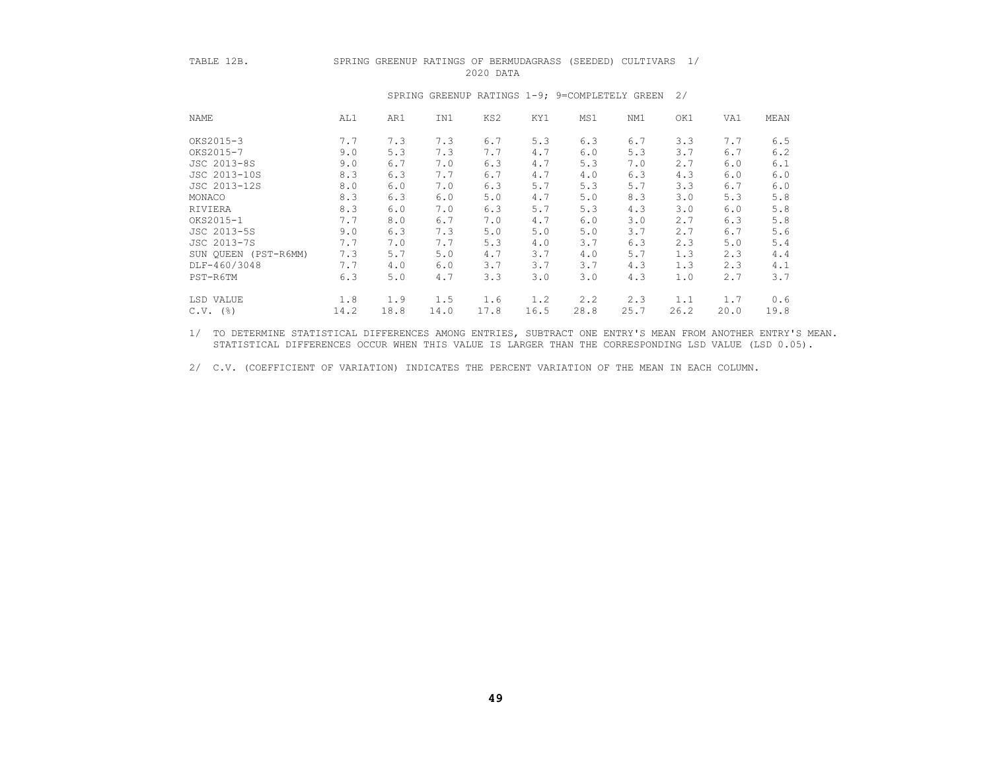#### TABLE 12B. SPRING GREENUP RATINGS OF BERMUDAGRASS (SEEDED) CULTIVARS 1/ 2020 DATA

| NAME                 | AL1  | AR1  | IN1  | KS2  | KY1  | MS1  | NM1  | OK1  | VA1  | MEAN |
|----------------------|------|------|------|------|------|------|------|------|------|------|
| OKS2015-3            | 7.7  | 7.3  | 7.3  | 6.7  | 5.3  | 6.3  | 6.7  | 3.3  | 7.7  | 6.5  |
| OKS2015-7            | 9.0  | 5.3  | 7.3  | 7.7  | 4.7  | 6.0  | 5.3  | 3.7  | 6.7  | 6.2  |
| JSC 2013-8S          | 9.0  | 6.7  | 7.0  | 6.3  | 4.7  | 5.3  | 7.0  | 2.7  | 6.0  | 6.1  |
| JSC 2013-10S         | 8.3  | 6.3  | 7.7  | 6.7  | 4.7  | 4.0  | 6.3  | 4.3  | 6.0  | 6.0  |
| JSC 2013-12S         | 8.0  | 6.0  | 7.0  | 6.3  | 5.7  | 5.3  | 5.7  | 3.3  | 6.7  | 6.0  |
| MONACO               | 8.3  | 6.3  | 6.0  | 5.0  | 4.7  | 5.0  | 8.3  | 3.0  | 5.3  | 5.8  |
| RIVIERA              | 8.3  | 6.0  | 7.0  | 6.3  | 5.7  | 5.3  | 4.3  | 3.0  | 6.0  | 5.8  |
| OKS2015-1            | 7.7  | 8.0  | 6.7  | 7.0  | 4.7  | 6.0  | 3.0  | 2.7  | 6.3  | 5.8  |
| JSC 2013-5S          | 9.0  | 6.3  | 7.3  | 5.0  | 5.0  | 5.0  | 3.7  | 2.7  | 6.7  | 5.6  |
| JSC 2013-7S          | 7.7  | 7.0  | 7.7  | 5.3  | 4.0  | 3.7  | 6.3  | 2.3  | 5.0  | 5.4  |
| SUN QUEEN (PST-R6MM) | 7.3  | 5.7  | 5.0  | 4.7  | 3.7  | 4.0  | 5.7  | 1.3  | 2.3  | 4.4  |
| DLF-460/3048         | 7.7  | 4.0  | 6.0  | 3.7  | 3.7  | 3.7  | 4.3  | 1.3  | 2.3  | 4.1  |
| PST-R6TM             | 6.3  | 5.0  | 4.7  | 3.3  | 3.0  | 3.0  | 4.3  | 1.0  | 2.7  | 3.7  |
| LSD VALUE            | 1.8  | 1.9  | 1.5  | 1.6  | 1.2  | 2, 2 | 2.3  | 1.1  | 1.7  | 0.6  |
| (응)<br>C.V.          | 14.2 | 18.8 | 14.0 | 17.8 | 16.5 | 28.8 | 25.7 | 26.2 | 20.0 | 19.8 |

#### SPRING GREENUP RATINGS 1-9; 9=COMPLETELY GREEN 2/

 1/ TO DETERMINE STATISTICAL DIFFERENCES AMONG ENTRIES, SUBTRACT ONE ENTRY'S MEAN FROM ANOTHER ENTRY'S MEAN. STATISTICAL DIFFERENCES OCCUR WHEN THIS VALUE IS LARGER THAN THE CORRESPONDING LSD VALUE (LSD 0.05).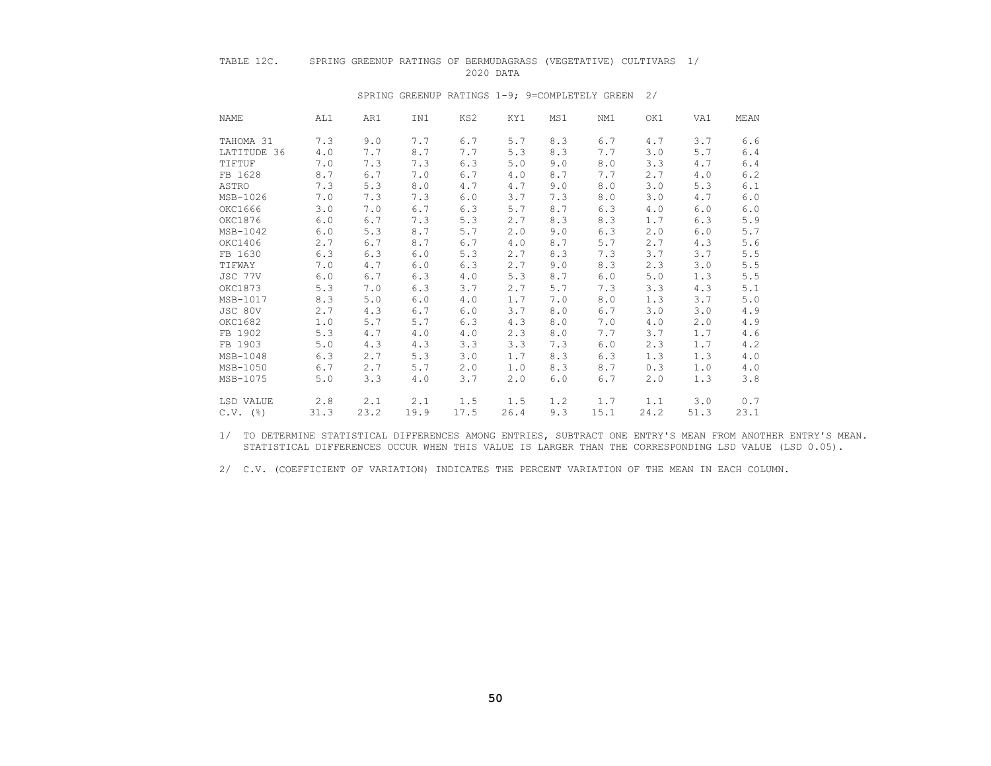#### TABLE 12C. SPRING GREENUP RATINGS OF BERMUDAGRASS (VEGETATIVE) CULTIVARS 1/ 2020 DATA

| NAME   | AL1                | AR1  | IN1  | KS2  | KY1  | MS1 | NM1  | OK1  | VA1  | MEAN  |
|--------|--------------------|------|------|------|------|-----|------|------|------|-------|
|        | TAHOMA 31<br>7.3   | 9.0  | 7.7  | 6.7  | 5.7  | 8.3 | 6.7  | 4.7  | 3.7  | 6.6   |
|        | LATITUDE 36<br>4.0 | 7.7  | 8.7  | 7.7  | 5.3  | 8.3 | 7.7  | 3.0  | 5.7  | 6.4   |
| TIFTUF | 7.0                | 7.3  | 7.3  | 6.3  | 5.0  | 9.0 | 8.0  | 3.3  | 4.7  | 6.4   |
|        | FB 1628<br>8.7     | 6.7  | 7.0  | 6.7  | 4.0  | 8.7 | 7.7  | 2.7  | 4.0  | 6.2   |
| ASTRO  | 7.3                | 5.3  | 8.0  | 4.7  | 4.7  | 9.0 | 8.0  | 3.0  | 5.3  | 6.1   |
|        | MSB-1026<br>7.0    | 7.3  | 7.3  | 6.0  | 3.7  | 7.3 | 8.0  | 3.0  | 4.7  | 6.0   |
|        | OKC1666<br>3.0     | 7.0  | 6.7  | 6.3  | 5.7  | 8.7 | 6.3  | 4.0  | 6.0  | 6.0   |
|        | OKC1876<br>6.0     | 6.7  | 7.3  | 5.3  | 2.7  | 8.3 | 8.3  | 1.7  | 6.3  | 5.9   |
|        | $MSB-1042$<br>6.0  | 5.3  | 8.7  | 5.7  | 2.0  | 9.0 | 6.3  | 2.0  | 6.0  | $5.7$ |
|        | OKC1406<br>2.7     | 6.7  | 8.7  | 6.7  | 4.0  | 8.7 | 5.7  | 2.7  | 4.3  | 5.6   |
|        | FB 1630<br>6.3     | 6.3  | 6.0  | 5.3  | 2.7  | 8.3 | 7.3  | 3.7  | 3.7  | 5.5   |
| TIFWAY | 7.0                | 4.7  | 6.0  | 6.3  | 2.7  | 9.0 | 8.3  | 2.3  | 3.0  | 5.5   |
|        | JSC 77V<br>6.0     | 6.7  | 6.3  | 4.0  | 5.3  | 8.7 | 6.0  | 5.0  | 1.3  | 5.5   |
|        | 5.3<br>OKC1873     | 7.0  | 6.3  | 3.7  | 2.7  | 5.7 | 7.3  | 3.3  | 4.3  | 5.1   |
|        | MSB-1017<br>8.3    | 5.0  | 6.0  | 4.0  | 1.7  | 7.0 | 8.0  | 1.3  | 3.7  | 5.0   |
|        | JSC 80V<br>2.7     | 4.3  | 6.7  | 6.0  | 3.7  | 8.0 | 6.7  | 3.0  | 3.0  | 4.9   |
|        | OKC1682<br>1.0     | 5.7  | 5.7  | 6.3  | 4.3  | 8.0 | 7.0  | 4.0  | 2.0  | 4.9   |
|        | 5.3<br>FB 1902     | 4.7  | 4.0  | 4.0  | 2.3  | 8.0 | 7.7  | 3.7  | 1.7  | 4.6   |
|        | FB 1903<br>5.0     | 4.3  | 4.3  | 3.3  | 3.3  | 7.3 | 6.0  | 2.3  | 1.7  | 4.2   |
|        | MSB-1048<br>6.3    | 2.7  | 5.3  | 3.0  | 1.7  | 8.3 | 6.3  | 1.3  | 1.3  | 4.0   |
|        | MSB-1050<br>6.7    | 2.7  | 5.7  | 2.0  | 1.0  | 8.3 | 8.7  | 0.3  | 1.0  | 4.0   |
|        | MSB-1075<br>5.0    | 3.3  | 4.0  | 3.7  | 2.0  | 6.0 | 6.7  | 2.0  | 1.3  | 3.8   |
|        | 2.8<br>LSD VALUE   | 2.1  | 2.1  | 1.5  | 1.5  | 1.2 | 1.7  | 1.1  | 3.0  | 0.7   |
|        | $C.V.$ (%)<br>31.3 | 23.2 | 19.9 | 17.5 | 26.4 | 9.3 | 15.1 | 24.2 | 51.3 | 23.1  |

#### SPRING GREENUP RATINGS 1-9; 9=COMPLETELY GREEN 2/

 1/ TO DETERMINE STATISTICAL DIFFERENCES AMONG ENTRIES, SUBTRACT ONE ENTRY'S MEAN FROM ANOTHER ENTRY'S MEAN. STATISTICAL DIFFERENCES OCCUR WHEN THIS VALUE IS LARGER THAN THE CORRESPONDING LSD VALUE (LSD 0.05).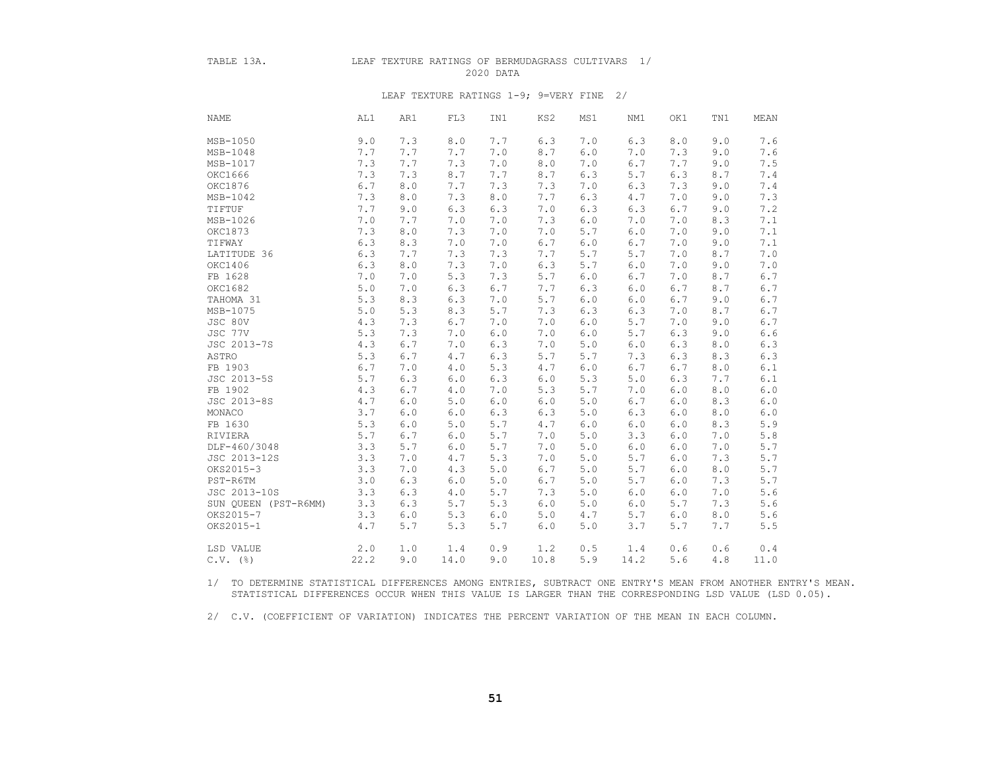#### TABLE 13A. LEAF TEXTURE RATINGS OF BERMUDAGRASS CULTIVARS 1/ 2020 DATA

#### LEAF TEXTURE RATINGS 1-9; 9=VERY FINE 2/

| <b>NAME</b>          | AL1   | AR1   | FL3   | IN1   | KS2   | MS1   | NM1  | OK1 | TN1 | MEAN          |
|----------------------|-------|-------|-------|-------|-------|-------|------|-----|-----|---------------|
| MSB-1050             | 9.0   | 7.3   | 8.0   | 7.7   | 6.3   | 7.0   | 6.3  | 8.0 | 9.0 | 7.6           |
| MSB-1048             | 7.7   | 7.7   | 7.7   | 7.0   | 8.7   | 6.0   | 7.0  | 7.3 | 9.0 | 7.6           |
| MSB-1017             | 7.3   | 7.7   | 7.3   | 7.0   | 8.0   | 7.0   | 6.7  | 7.7 | 9.0 | 7.5           |
| OKC1666              | 7.3   | 7.3   | 8.7   | 7.7   | 8.7   | 6.3   | 5.7  | 6.3 | 8.7 | 7.4           |
| OKC1876              | 6.7   | 8.0   | 7.7   | 7.3   | 7.3   | 7.0   | 6.3  | 7.3 | 9.0 | 7.4           |
| MSB-1042             | 7.3   | 8.0   | 7.3   | 8.0   | 7.7   | 6.3   | 4.7  | 7.0 | 9.0 | 7.3           |
| TIFTUF               | 7.7   | 9.0   | 6.3   | 6.3   | 7.0   | 6.3   | 6.3  | 6.7 | 9.0 | 7.2           |
| MSB-1026             | 7.0   | 7.7   | 7.0   | 7.0   | 7.3   | 6.0   | 7.0  | 7.0 | 8.3 | 7.1           |
| OKC1873              | 7.3   | 8.0   | 7.3   | 7.0   | 7.0   | 5.7   | 6.0  | 7.0 | 9.0 | 7.1           |
| TIFWAY               | 6.3   | 8.3   | 7.0   | 7.0   | 6.7   | $6.0$ | 6.7  | 7.0 | 9.0 | 7.1           |
| LATITUDE 36          | 6.3   | 7.7   | 7.3   | 7.3   | 7.7   | 5.7   | 5.7  | 7.0 | 8.7 | 7.0           |
| OKC1406              | 6.3   | 8.0   | 7.3   | 7.0   | 6.3   | 5.7   | 6.0  | 7.0 | 9.0 | 7.0           |
| FB 1628              | 7.0   | 7.0   | 5.3   | 7.3   | 5.7   | 6.0   | 6.7  | 7.0 | 8.7 | 6.7           |
| OKC1682              | 5.0   | 7.0   | 6.3   | 6.7   | 7.7   | 6.3   | 6.0  | 6.7 | 8.7 | $6.7\,$       |
| TAHOMA 31            | 5.3   | 8.3   | 6.3   | 7.0   | 5.7   | $6.0$ | 6.0  | 6.7 | 9.0 | $6.7\,$       |
| MSB-1075             | $5.0$ | 5.3   | 8.3   | 5.7   | 7.3   | 6.3   | 6.3  | 7.0 | 8.7 | $6.7\,$       |
| JSC 80V              | 4.3   | 7.3   | 6.7   | 7.0   | 7.0   | 6.0   | 5.7  | 7.0 | 9.0 | $6.7\,$       |
| JSC 77V              | 5.3   | 7.3   | 7.0   | 6.0   | 7.0   | 6.0   | 5.7  | 6.3 | 9.0 | $6.6\,$       |
| JSC 2013-7S          | 4.3   | 6.7   | 7.0   | 6.3   | 7.0   | 5.0   | 6.0  | 6.3 | 8.0 | 6.3           |
| ASTRO                | 5.3   | 6.7   | 4.7   | 6.3   | 5.7   | 5.7   | 7.3  | 6.3 | 8.3 | 6.3           |
| FB 1903              | 6.7   | 7.0   | 4.0   | 5.3   | $4.7$ | 6.0   | 6.7  | 6.7 | 8.0 | $6\,.1$       |
| JSC 2013-5S          | 5.7   | 6.3   | 6.0   | 6.3   | $6.0$ | 5.3   | 5.0  | 6.3 | 7.7 | $6.1$         |
| FB 1902              | 4.3   | 6.7   | 4.0   | 7.0   | 5.3   | 5.7   | 7.0  | 6.0 | 8.0 | 6.0           |
| JSC 2013-8S          | 4.7   | 6.0   | 5.0   | 6.0   | $6.0$ | 5.0   | 6.7  | 6.0 | 8.3 | $6.0\,$       |
| MONACO               | 3.7   | 6.0   | 6.0   | 6.3   | 6.3   | 5.0   | 6.3  | 6.0 | 8.0 | $6 \, . \, 0$ |
| FB 1630              | 5.3   | 6.0   | 5.0   | 5.7   | 4.7   | 6.0   | 6.0  | 6.0 | 8.3 | 5.9           |
| RIVIERA              | 5.7   | 6.7   | 6.0   | 5.7   | 7.0   | 5.0   | 3.3  | 6.0 | 7.0 | $5 \, . \, 8$ |
| DLF-460/3048         | 3.3   | 5.7   | 6.0   | 5.7   | 7.0   | 5.0   | 6.0  | 6.0 | 7.0 | 5.7           |
| JSC 2013-12S         | 3.3   | 7.0   | 4.7   | 5.3   | 7.0   | 5.0   | 5.7  | 6.0 | 7.3 | 5.7           |
| OKS2015-3            | 3.3   | 7.0   | 4.3   | 5.0   | 6.7   | 5.0   | 5.7  | 6.0 | 8.0 | $5.7$         |
| PST-R6TM             | 3.0   | 6.3   | $6.0$ | 5.0   | 6.7   | 5.0   | 5.7  | 6.0 | 7.3 | 5.7           |
| JSC 2013-10S         | 3.3   | 6.3   | 4.0   | 5.7   | 7.3   | 5.0   | 6.0  | 6.0 | 7.0 | 5.6           |
| SUN QUEEN (PST-R6MM) | 3.3   | 6.3   | 5.7   | 5.3   | 6.0   | 5.0   | 6.0  | 5.7 | 7.3 | $5.6\,$       |
| OKS2015-7            | 3.3   | $6.0$ | 5.3   | $6.0$ | 5.0   | 4.7   | 5.7  | 6.0 | 8.0 | 5.6           |
| OKS2015-1            | 4.7   | 5.7   | 5.3   | 5.7   | 6.0   | 5.0   | 3.7  | 5.7 | 7.7 | 5.5           |
| LSD VALUE            | 2.0   | 1.0   | 1.4   | 0.9   | 1.2   | 0.5   | 1.4  | 0.6 | 0.6 | 0.4           |
| $C.V.$ (%)           | 22.2  | 9.0   | 14.0  | 9.0   | 10.8  | 5.9   | 14.2 | 5.6 | 4.8 | 11.0          |

 1/ TO DETERMINE STATISTICAL DIFFERENCES AMONG ENTRIES, SUBTRACT ONE ENTRY'S MEAN FROM ANOTHER ENTRY'S MEAN. STATISTICAL DIFFERENCES OCCUR WHEN THIS VALUE IS LARGER THAN THE CORRESPONDING LSD VALUE (LSD 0.05).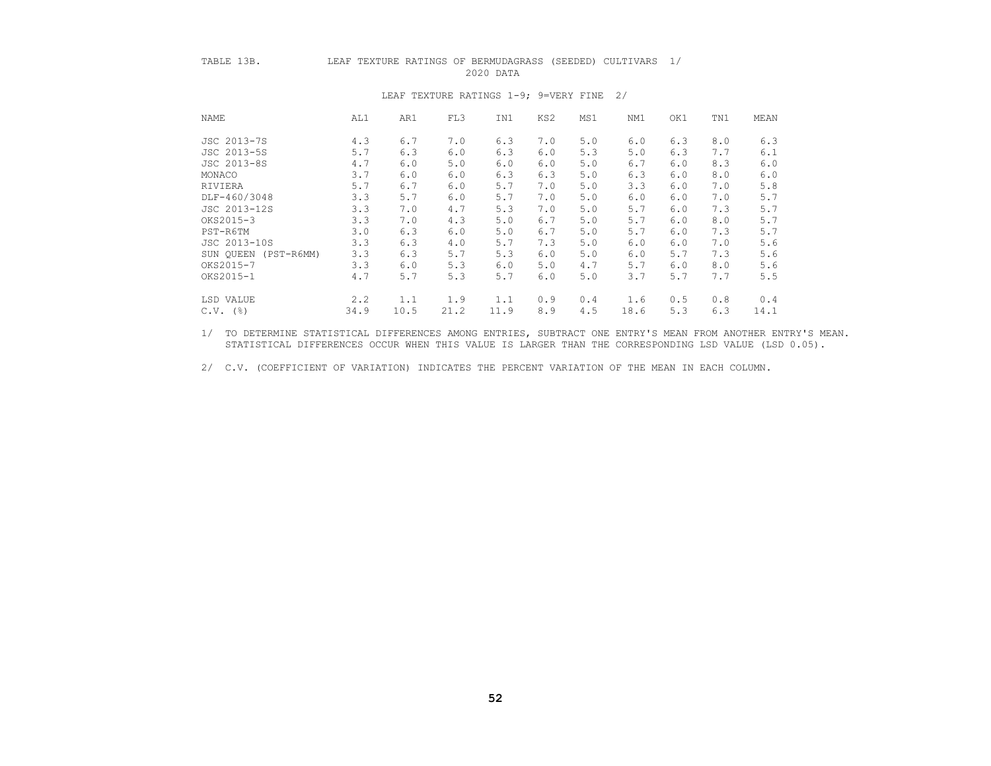# TABLE 13B. LEAF TEXTURE RATINGS OF BERMUDAGRASS (SEEDED) CULTIVARS 1/

2020 DATA

| <b>NAME</b>  | AL1               | AR1  | FL3  | IN1  | KS2 | MS1 | NM1  | OK1 | TN1 | MEAN |
|--------------|-------------------|------|------|------|-----|-----|------|-----|-----|------|
| JSC 2013-7S  | 4.3               | 6.7  | 7.0  | 6.3  | 7.0 | 5.0 | 6.0  | 6.3 | 8.0 | 6.3  |
| JSC 2013-5S  | 5.7               | 6.3  | 6.0  | 6.3  | 6.0 | 5.3 | 5.0  | 6.3 | 7.7 | 6.1  |
| JSC 2013-8S  | 4.7               | 6.0  | 5.0  | 6.0  | 6.0 | 5.0 | 6.7  | 6.0 | 8.3 | 6.0  |
| MONACO       | 3.7               | 6.0  | 6.0  | 6.3  | 6.3 | 5.0 | 6.3  | 6.0 | 8.0 | 6.0  |
| RIVIERA      | 5.7               | 6.7  | 6.0  | 5.7  | 7.0 | 5.0 | 3.3  | 6.0 | 7.0 | 5.8  |
| DLF-460/3048 | 3.3               | 5.7  | 6.0  | 5.7  | 7.0 | 5.0 | 6.0  | 6.0 | 7.0 | 5.7  |
| JSC 2013-12S | 3.3               | 7.0  | 4.7  | 5.3  | 7.0 | 5.0 | 5.7  | 6.0 | 7.3 | 5.7  |
| OKS2015-3    | 3.3               | 7.0  | 4.3  | 5.0  | 6.7 | 5.0 | 5.7  | 6.0 | 8.0 | 5.7  |
| PST-R6TM     | 3.0               | 6.3  | 6.0  | 5.0  | 6.7 | 5.0 | 5.7  | 6.0 | 7.3 | 5.7  |
| JSC 2013-10S | 3.3               | 6.3  | 4.0  | 5.7  | 7.3 | 5.0 | 6.0  | 6.0 | 7.0 | 5.6  |
| SUN OUEEN    | 3.3<br>(PST-R6MM) | 6.3  | 5.7  | 5.3  | 6.0 | 5.0 | 6.0  | 5.7 | 7.3 | 5.6  |
| OKS2015-7    | 3.3               | 6.0  | 5.3  | 6.0  | 5.0 | 4.7 | 5.7  | 6.0 | 8.0 | 5.6  |
| OKS2015-1    | 4.7               | 5.7  | 5.3  | 5.7  | 6.0 | 5.0 | 3.7  | 5.7 | 7.7 | 5.5  |
| LSD VALUE    | 2, 2              | 1.1  | 1.9  | 1.1  | 0.9 | 0.4 | 1.6  | 0.5 | 0.8 | 0.4  |
| $C.V.$ (%)   | 34.9              | 10.5 | 21.2 | 11.9 | 8.9 | 4.5 | 18.6 | 5.3 | 6.3 | 14.1 |

#### LEAF TEXTURE RATINGS 1-9; 9=VERY FINE 2/

 1/ TO DETERMINE STATISTICAL DIFFERENCES AMONG ENTRIES, SUBTRACT ONE ENTRY'S MEAN FROM ANOTHER ENTRY'S MEAN. STATISTICAL DIFFERENCES OCCUR WHEN THIS VALUE IS LARGER THAN THE CORRESPONDING LSD VALUE (LSD 0.05).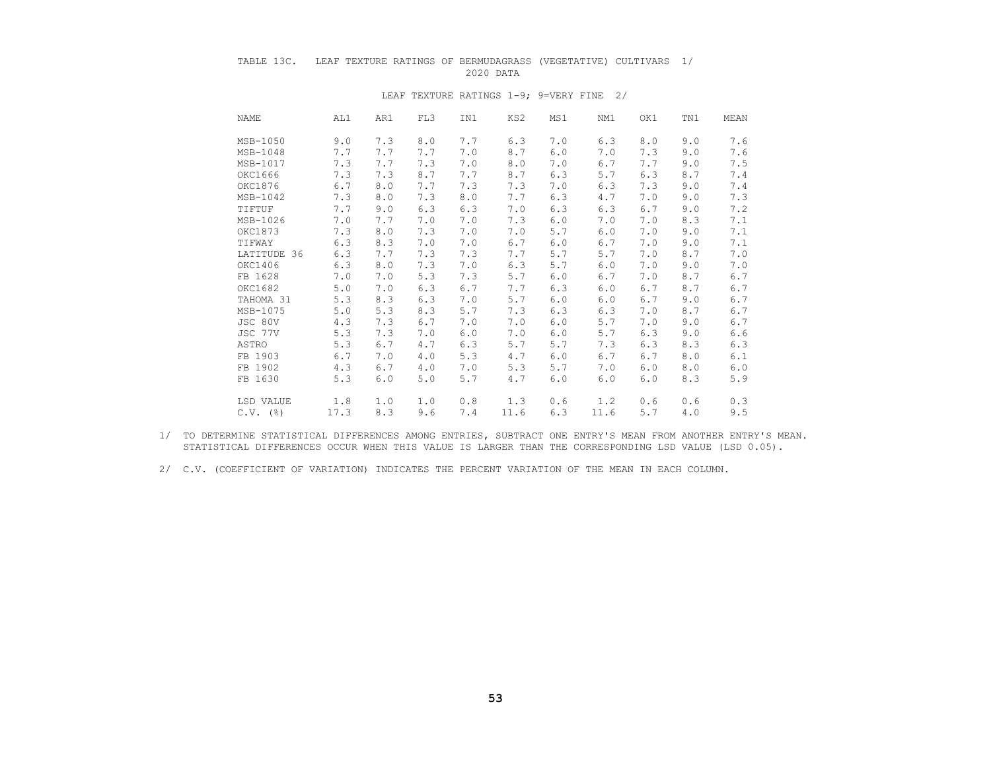# TABLE 13C. LEAF TEXTURE RATINGS OF BERMUDAGRASS (VEGETATIVE) CULTIVARS 1/ 2020 DATA

| NAME | AL1                | AR1 | FL3 | IN1 | KS2  | MS1 | NM1  | OK1 | TN1 | MEAN  |
|------|--------------------|-----|-----|-----|------|-----|------|-----|-----|-------|
|      | MSB-1050<br>9.0    | 7.3 | 8.0 | 7.7 | 6.3  | 7.0 | 6.3  | 8.0 | 9.0 | 7.6   |
|      | 7.7<br>MSB-1048    | 7.7 | 7.7 | 7.0 | 8.7  | 6.0 | 7.0  | 7.3 | 9.0 | 7.6   |
|      | 7.3<br>MSB-1017    | 7.7 | 7.3 | 7.0 | 8.0  | 7.0 | 6.7  | 7.7 | 9.0 | 7.5   |
|      | OKC1666<br>7.3     | 7.3 | 8.7 | 7.7 | 8.7  | 6.3 | 5.7  | 6.3 | 8.7 | 7.4   |
|      | OKC1876<br>6.7     | 8.0 | 7.7 | 7.3 | 7.3  | 7.0 | 6.3  | 7.3 | 9.0 | 7.4   |
|      | 7.3<br>MSB-1042    | 8.0 | 7.3 | 8.0 | 7.7  | 6.3 | 4.7  | 7.0 | 9.0 | 7.3   |
|      | 7.7<br>TIFTUF      | 9.0 | 6.3 | 6.3 | 7.0  | 6.3 | 6.3  | 6.7 | 9.0 | 7.2   |
|      | MSB-1026<br>7.0    | 7.7 | 7.0 | 7.0 | 7.3  | 6.0 | 7.0  | 7.0 | 8.3 | 7.1   |
|      | OKC1873<br>7.3     | 8.0 | 7.3 | 7.0 | 7.0  | 5.7 | 6.0  | 7.0 | 9.0 | 7.1   |
|      | 6.3<br>TIFWAY      | 8.3 | 7.0 | 7.0 | 6.7  | 6.0 | 6.7  | 7.0 | 9.0 | 7.1   |
|      | LATITUDE 36<br>6.3 | 7.7 | 7.3 | 7.3 | 7.7  | 5.7 | 5.7  | 7.0 | 8.7 | 7.0   |
|      | OKC1406<br>6.3     | 8.0 | 7.3 | 7.0 | 6.3  | 5.7 | 6.0  | 7.0 | 9.0 | 7.0   |
|      | FB 1628<br>7.0     | 7.0 | 5.3 | 7.3 | 5.7  | 6.0 | 6.7  | 7.0 | 8.7 | 6.7   |
|      | OKC1682<br>5.0     | 7.0 | 6.3 | 6.7 | 7.7  | 6.3 | 6.0  | 6.7 | 8.7 | 6.7   |
|      | TAHOMA 31<br>5.3   | 8.3 | 6.3 | 7.0 | 5.7  | 6.0 | 6.0  | 6.7 | 9.0 | $6.7$ |
|      | MSB-1075<br>5.0    | 5.3 | 8.3 | 5.7 | 7.3  | 6.3 | 6.3  | 7.0 | 8.7 | 6.7   |
|      | JSC 80V<br>4.3     | 7.3 | 6.7 | 7.0 | 7.0  | 6.0 | 5.7  | 7.0 | 9.0 | $6.7$ |
|      | 5.3<br>JSC 77V     | 7.3 | 7.0 | 6.0 | 7.0  | 6.0 | 5.7  | 6.3 | 9.0 | 6.6   |
|      | 5.3<br>ASTRO       | 6.7 | 4.7 | 6.3 | 5.7  | 5.7 | 7.3  | 6.3 | 8.3 | 6.3   |
|      | FB 1903<br>6.7     | 7.0 | 4.0 | 5.3 | 4.7  | 6.0 | 6.7  | 6.7 | 8.0 | 6.1   |
|      | FB 1902<br>4.3     | 6.7 | 4.0 | 7.0 | 5.3  | 5.7 | 7.0  | 6.0 | 8.0 | 6.0   |
|      | 5.3<br>FB 1630     | 6.0 | 5.0 | 5.7 | 4.7  | 6.0 | 6.0  | 6.0 | 8.3 | 5.9   |
|      | LSD VALUE<br>1.8   | 1.0 | 1.0 | 0.8 | 1.3  | 0.6 | 1.2  | 0.6 | 0.6 | 0.3   |
|      | $C.V.$ (%)<br>17.3 | 8.3 | 9.6 | 7.4 | 11.6 | 6.3 | 11.6 | 5.7 | 4.0 | 9.5   |

#### LEAF TEXTURE RATINGS 1-9; 9=VERY FINE 2/

 1/ TO DETERMINE STATISTICAL DIFFERENCES AMONG ENTRIES, SUBTRACT ONE ENTRY'S MEAN FROM ANOTHER ENTRY'S MEAN. STATISTICAL DIFFERENCES OCCUR WHEN THIS VALUE IS LARGER THAN THE CORRESPONDING LSD VALUE (LSD 0.05).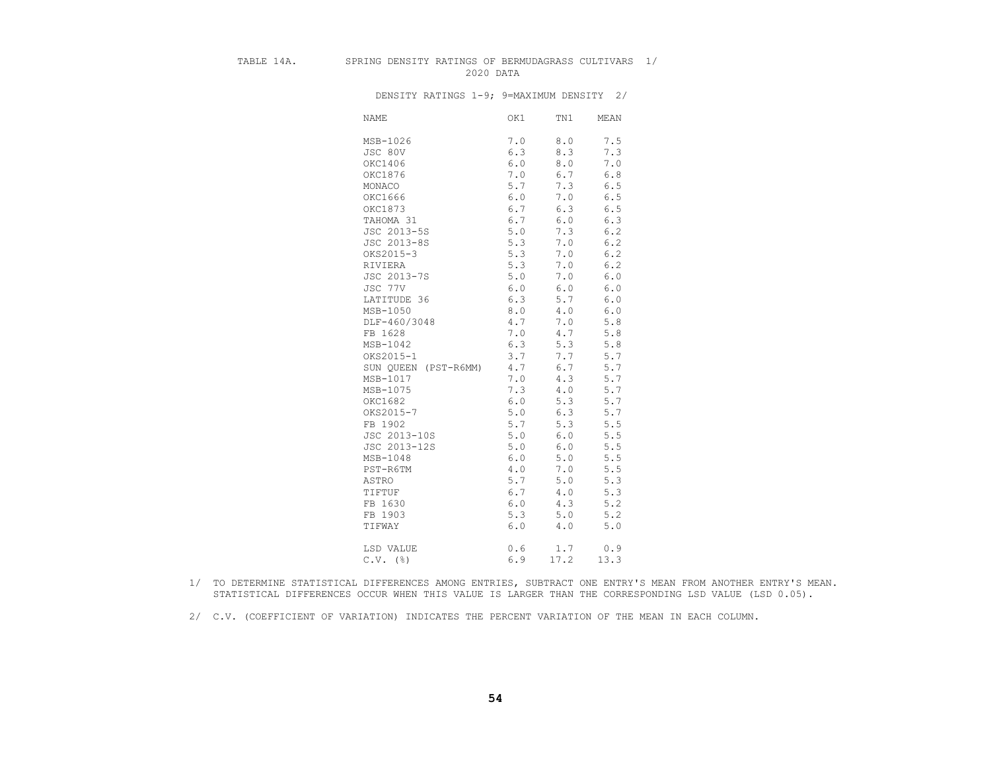#### TABLE 14A. SPRING DENSITY RATINGS OF BERMUDAGRASS CULTIVARS 1/ 2020 DATA

DENSITY RATINGS 1-9; 9=MAXIMUM DENSITY 2/

| <b>NAME</b>          | OK1   | TN1         | MEAN  |
|----------------------|-------|-------------|-------|
| MSB-1026             | 7.0   | 8.0         | 7.5   |
| JSC 80V              | 6.3   | 8.3         | 7.3   |
| OKC1406              | 6.0   | 8.0         | 7.0   |
| OKC1876              | 7.0   | 6.7         | 6.8   |
| MONACO               | 5.7   | 7.3         | 6.5   |
| OKC1666              | 6.0   | 7.0         | $6.5$ |
| OKC1873              | 6.7   | 6.3         | 6.5   |
| TAHOMA 31            | 6.7   | 6.0         | 6.3   |
| JSC 2013-5S          | 5.0   | 7.3         | 6.2   |
| JSC 2013-8S          | 5.3   | 7.0         | $6.2$ |
| OKS2015-3            | 5.3   | 7.0         | 6.2   |
| RIVIERA              | 5.3   | 7.0         | 6.2   |
| JSC 2013-7S          | $5.0$ | $7 \cdot 0$ | $6.0$ |
| JSC 77V              | 6.0   | 6.0         | $6.0$ |
| LATITUDE 36          | 6.3   | 5.7         | $6.0$ |
| MSB-1050             | 8.0   | 4.0         | 6.0   |
| DLF-460/3048         | 4.7   | 7.0         | 5.8   |
| FB 1628              | 7.0   | 4.7         | 5.8   |
| $MSB-1042$           | 6.3   | 5.3         | 5.8   |
| OKS2015-1            | 3.7   | 7.7         | 5.7   |
| SUN QUEEN (PST-R6MM) | 4.7   | 6.7         | 5.7   |
| MSB-1017             | 7.0   | 4.3         | 5.7   |
| MSB-1075             | 7.3   | 4.0         | 5.7   |
| OKC1682              | 6.0   | 5.3         | 5.7   |
| OKS2015-7            | 5.0   | 6.3         | 5.7   |
| FB 1902              | 5.7   | 5.3         | 5.5   |
| JSC 2013-10S         | 5.0   | 6.0         | 5.5   |
| JSC 2013-12S         | 5.0   | 6.0         | 5.5   |
| MSB-1048             | 6.0   | 5.0         | 5.5   |
| PST-R6TM             | 4.0   | 7.0         | 5.5   |
| ASTRO                | 5.7   | 5.0         | 5.3   |
| TIFTUF               | 6.7   | 4.0         | 5.3   |
| FB 1630              | 6.0   | 4.3         | 5.2   |
| FB 1903              | 5.3   | 5.0         | 5.2   |
| TIFWAY               | 6.0   | 4.0         | 5.0   |
| LSD VALUE            | 0.6   | 1.7         | 0.9   |
| $C.V.$ (%)           | 6.9   | 17.2        | 13.3  |

 1/ TO DETERMINE STATISTICAL DIFFERENCES AMONG ENTRIES, SUBTRACT ONE ENTRY'S MEAN FROM ANOTHER ENTRY'S MEAN. STATISTICAL DIFFERENCES OCCUR WHEN THIS VALUE IS LARGER THAN THE CORRESPONDING LSD VALUE (LSD 0.05).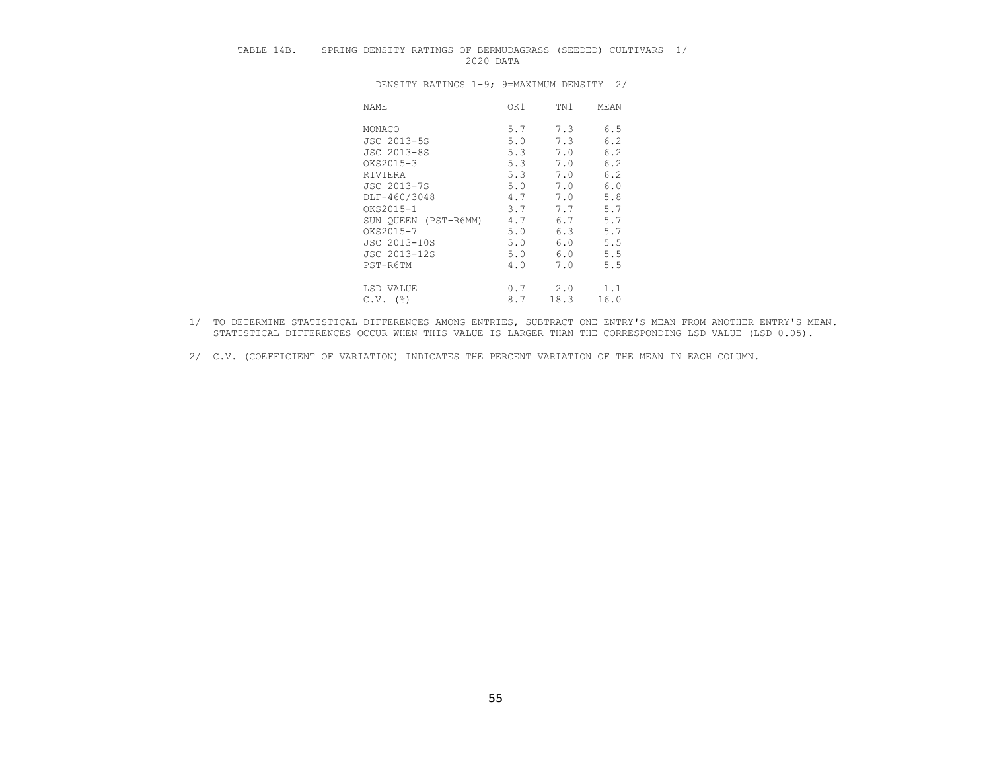# TABLE 14B. SPRING DENSITY RATINGS OF BERMUDAGRASS (SEEDED) CULTIVARS 1/ 2020 DATA

| NAME                 | OK1 | TN1  | MEAN |
|----------------------|-----|------|------|
| MONACO               | 5.7 | 7.3  | 6.5  |
| JSC 2013-5S          | 5.0 | 7.3  | 6.2  |
| JSC 2013-8S          | 5.3 | 7.0  | 6.2  |
| OKS2015-3            | 5.3 | 7.0  | 6.2  |
| RIVIERA              | 5.3 | 7.0  | 6.2  |
| JSC 2013-7S          | 5.0 | 7.0  | 6.0  |
| DLF-460/3048         | 4.7 | 7.0  | 5.8  |
| OKS2015-1            | 3.7 | 7.7  | 5.7  |
| SUN QUEEN (PST-R6MM) | 4.7 | 6.7  | 5.7  |
| OKS2015-7            | 5.0 | 6.3  | 5.7  |
| JSC 2013-10S         | 5.0 | 6.0  | 5.5  |
| JSC 2013-12S         | 5.0 | 6.0  | 5.5  |
| PST-R6TM             | 4.0 | 7.0  | 5.5  |
| LSD VALUE            | 0.7 | 2.0  | 1.1  |
| $C.V.$ (%)           | 8.7 | 18.3 | 16.0 |

- 1/ TO DETERMINE STATISTICAL DIFFERENCES AMONG ENTRIES, SUBTRACT ONE ENTRY'S MEAN FROM ANOTHER ENTRY'S MEAN. STATISTICAL DIFFERENCES OCCUR WHEN THIS VALUE IS LARGER THAN THE CORRESPONDING LSD VALUE (LSD 0.05).
- 2/ C.V. (COEFFICIENT OF VARIATION) INDICATES THE PERCENT VARIATION OF THE MEAN IN EACH COLUMN.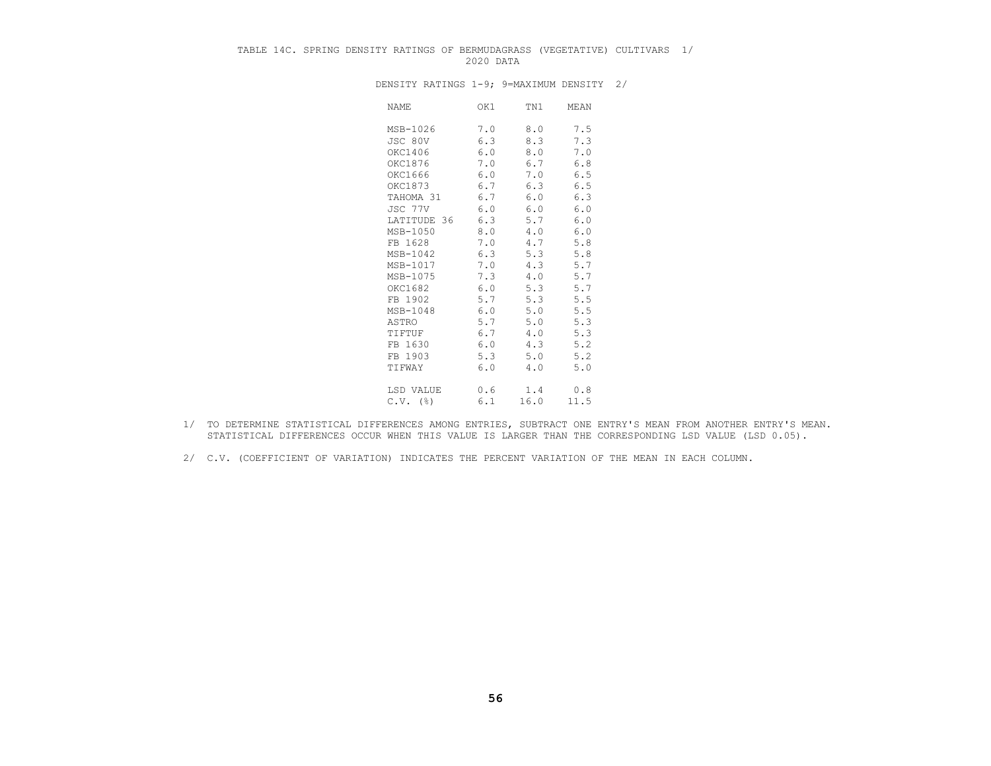# TABLE 14C. SPRING DENSITY RATINGS OF BERMUDAGRASS (VEGETATIVE) CULTIVARS 1/ 2020 DATA

| NAME        | OK1 | TN1  | MEAN |
|-------------|-----|------|------|
| MSB-1026    | 7.0 | 8.0  | 7.5  |
| JSC 80V     | 6.3 | 8.3  | 7.3  |
| OKC1406     | 6.0 | 8.0  | 7.0  |
| OKC1876     | 7.0 | 6.7  | 6.8  |
| OKC1666     | 6.0 | 7.0  | 6.5  |
| OKC1873     | 6.7 | 6.3  | 6.5  |
| TAHOMA 31   | 6.7 | 6.0  | 6.3  |
| JSC 77V     | 6.0 | 6.0  | 6.0  |
| LATITUDE 36 | 6.3 | 5.7  | 6.0  |
| MSB-1050    | 8.0 | 4.0  | 6.0  |
| FB 1628     | 7.0 | 4.7  | 5.8  |
| MSB-1042    | 6.3 | 5.3  | 5.8  |
| MSB-1017    | 7.0 | 4.3  | 5.7  |
| MSB-1075    | 7.3 | 4.0  | 5.7  |
| OKC1682     | 6.0 | 5.3  | 5.7  |
| FB 1902     | 5.7 | 5.3  | 5.5  |
| MSB-1048    | 6.0 | 5.0  | 5.5  |
| ASTRO       | 5.7 | 5.0  | 5.3  |
| TIFTUF      | 6.7 | 4.0  | 5.3  |
| FB 1630     | 6.0 | 4.3  | 5.2  |
| FB 1903     | 5.3 | 5.0  | 5.2  |
| TIFWAY      | 6.0 | 4.0  | 5.0  |
| LSD VALUE   | 0.6 | 1.4  | 0.8  |
| $C.V.$ (%)  | 6.1 | 16.0 | 11.5 |

- 1/ TO DETERMINE STATISTICAL DIFFERENCES AMONG ENTRIES, SUBTRACT ONE ENTRY'S MEAN FROM ANOTHER ENTRY'S MEAN. STATISTICAL DIFFERENCES OCCUR WHEN THIS VALUE IS LARGER THAN THE CORRESPONDING LSD VALUE (LSD 0.05).
- 2/ C.V. (COEFFICIENT OF VARIATION) INDICATES THE PERCENT VARIATION OF THE MEAN IN EACH COLUMN.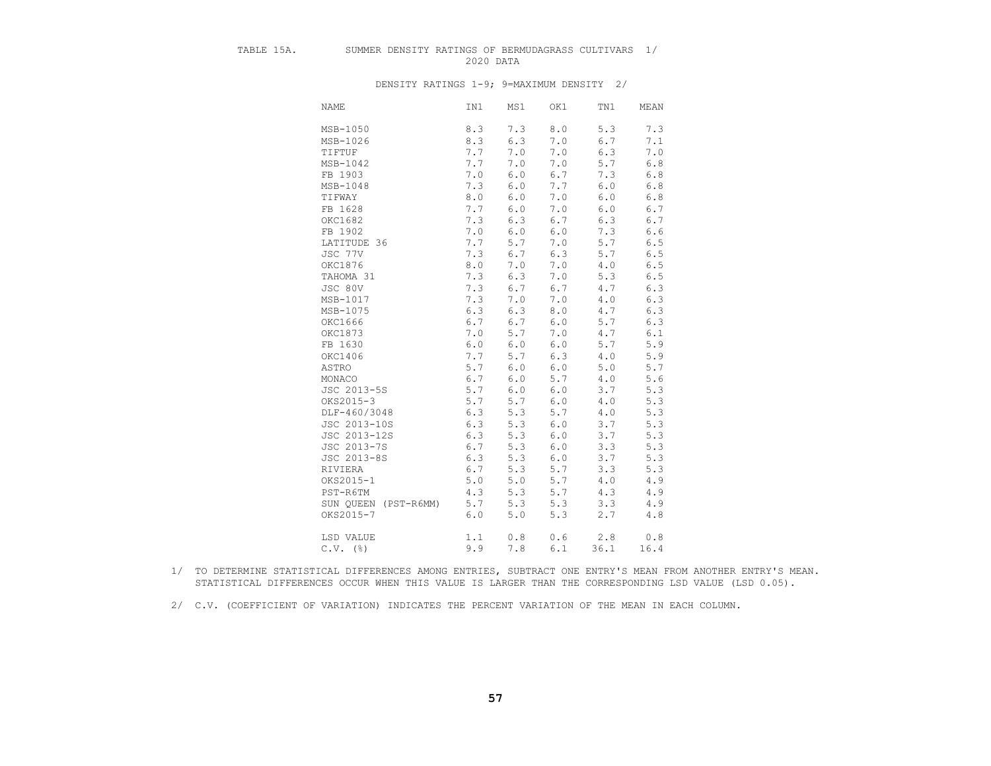# TABLE 15A. SUMMER DENSITY RATINGS OF BERMUDAGRASS CULTIVARS 1/<br>2020 DATA 2020 DATA

DENSITY RATINGS 1-9; 9=MAXIMUM DENSITY 2/

| <b>NAME</b>          | IN1 | MS1   | OK1   | TN1   | MEAN    |
|----------------------|-----|-------|-------|-------|---------|
| MSB-1050             | 8.3 | 7.3   | 8.0   | 5.3   | 7.3     |
| MSB-1026             | 8.3 | 6.3   | 7.0   | 6.7   | 7.1     |
| TIFTUF               | 7.7 | 7.0   | 7.0   | 6.3   | 7.0     |
| MSB-1042             | 7.7 | 7.0   | 7.0   | 5.7   | $6.8\,$ |
| FB 1903              | 7.0 | 6.0   | 6.7   | 7.3   | $6.8\,$ |
| MSB-1048             | 7.3 | 6.0   | 7.7   | $6.0$ | $6.8\,$ |
| TIFWAY               | 8.0 | 6.0   | 7.0   | 6.0   | $6.8\,$ |
| FB 1628              | 7.7 | 6.0   | 7.0   | $6.0$ | $6.7$   |
| OKC1682              | 7.3 | 6.3   | 6.7   | 6.3   | 6.7     |
| FB 1902              | 7.0 | 6.0   | 6.0   | 7.3   | 6.6     |
| LATITUDE 36          | 7.7 | 5.7   | 7.0   | 5.7   | $6.5$   |
| JSC 77V              | 7.3 | 6.7   | 6.3   | 5.7   | $6.5$   |
| OKC1876              | 8.0 | 7.0   | 7.0   | 4.0   | $6.5$   |
| TAHOMA 31            | 7.3 | 6.3   | 7.0   | 5.3   | 6.5     |
| JSC 80V              | 7.3 | 6.7   | 6.7   | 4.7   | 6.3     |
| MSB-1017             | 7.3 | 7.0   | 7.0   | 4.0   | 6.3     |
| MSB-1075             | 6.3 | 6.3   | 8.0   | 4.7   | $6.3$   |
| OKC1666              | 6.7 | 6.7   | 6.0   | 5.7   | 6.3     |
| OKC1873              | 7.0 | 5.7   | 7.0   | 4.7   | 6.1     |
| FB 1630              | 6.0 | 6.0   | 6.0   | 5.7   | 5.9     |
| OKC1406              | 7.7 | 5.7   | 6.3   | $4.0$ | 5.9     |
| ASTRO                | 5.7 | 6.0   | 6.0   | 5.0   | 5.7     |
| MONACO               | 6.7 | 6.0   | 5.7   | 4.0   | 5.6     |
| JSC 2013-5S          | 5.7 | 6.0   | $6.0$ | 3.7   | 5.3     |
| OKS2015-3            | 5.7 | 5.7   | 6.0   | 4.0   | 5.3     |
| DLF-460/3048         | 6.3 | 5.3   | 5.7   | 4.0   | 5.3     |
| JSC 2013-10S         | 6.3 | 5.3   | 6.0   | 3.7   | 5.3     |
| JSC 2013-12S         | 6.3 | 5.3   | $6.0$ | 3.7   | 5.3     |
| JSC 2013-7S          | 6.7 | 5.3   | 6.0   | 3.3   | 5.3     |
| JSC 2013-8S          | 6.3 | 5.3   | 6.0   | 3.7   | 5.3     |
| RIVIERA              | 6.7 | 5.3   | 5.7   | 3.3   | 5.3     |
| OKS2015-1            | 5.0 | $5.0$ | 5.7   | 4.0   | 4.9     |
| PST-R6TM             | 4.3 | 5.3   | 5.7   | 4.3   | 4.9     |
| SUN QUEEN (PST-R6MM) | 5.7 | 5.3   | 5.3   | 3.3   | 4.9     |
| OKS2015-7            | 6.0 | 5.0   | 5.3   | 2.7   | 4.8     |
| LSD VALUE            | 1.1 | 0.8   | 0.6   | 2.8   | 0.8     |
| $C.V.$ (%)           | 9.9 | 7.8   | 6.1   | 36.1  | 16.4    |

 <sup>1/</sup> TO DETERMINE STATISTICAL DIFFERENCES AMONG ENTRIES, SUBTRACT ONE ENTRY'S MEAN FROM ANOTHER ENTRY'S MEAN. STATISTICAL DIFFERENCES OCCUR WHEN THIS VALUE IS LARGER THAN THE CORRESPONDING LSD VALUE (LSD 0.05).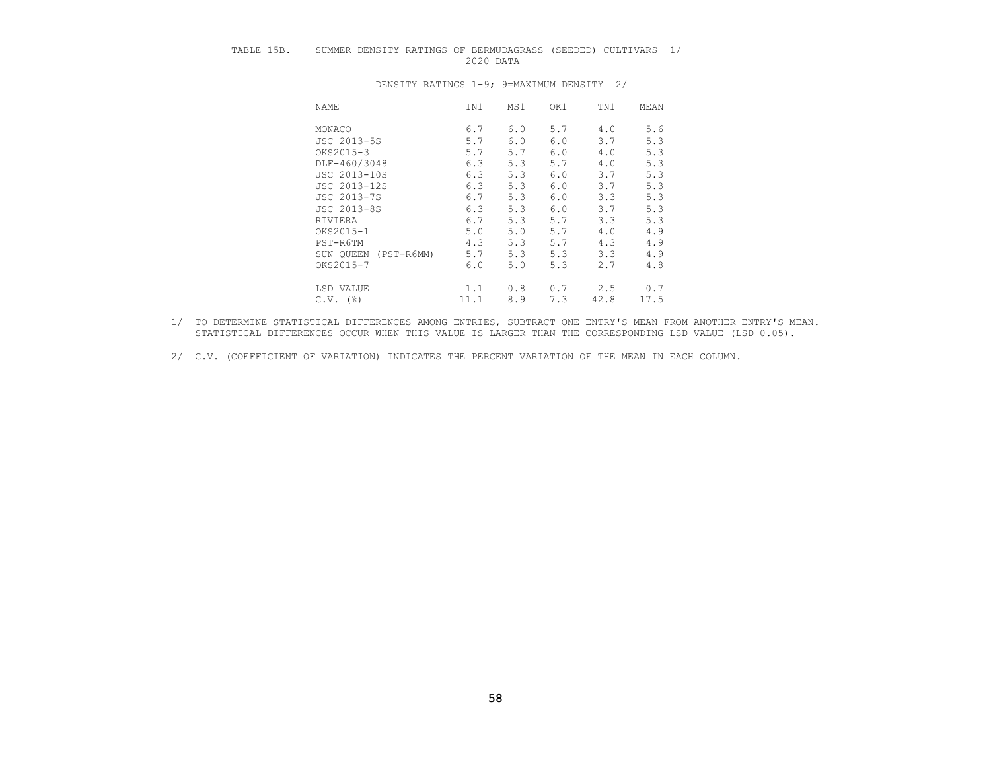# TABLE 15B. SUMMER DENSITY RATINGS OF BERMUDAGRASS (SEEDED) CULTIVARS 1/ 2020 DATA

| NAME                      | IN1  | MS1 | OK1 | TN1  | MEAN |
|---------------------------|------|-----|-----|------|------|
| MONACO                    | 6.7  | 6.0 | 5.7 | 4.0  | 5.6  |
| JSC 2013-5S               | 5.7  | 6.0 | 6.0 | 3.7  | 5.3  |
| OKS2015-3                 | 5.7  | 5.7 | 6.0 | 4.0  | 5.3  |
| DLF-460/3048              | 6.3  | 5.3 | 5.7 | 4.0  | 5.3  |
| JSC 2013-10S              | 6.3  | 5.3 | 6.0 | 3.7  | 5.3  |
| JSC 2013-12S              | 6.3  | 5.3 | 6.0 | 3.7  | 5.3  |
| JSC 2013-7S               | 6.7  | 5.3 | 6.0 | 3.3  | 5.3  |
| JSC 2013-8S               | 6.3  | 5.3 | 6.0 | 3.7  | 5.3  |
| RIVIERA                   | 6.7  | 5.3 | 5.7 | 3.3  | 5.3  |
| OKS2015-1                 | 5.0  | 5.0 | 5.7 | 4.0  | 4.9  |
| PST-R6TM                  | 4.3  | 5.3 | 5.7 | 4.3  | 4.9  |
| SUN OUEEN<br>$(PST-R6MM)$ | 5.7  | 5.3 | 5.3 | 3.3  | 4.9  |
| OKS2015-7                 | 6.0  | 5.0 | 5.3 | 2.7  | 4.8  |
| LSD VALUE                 | 1.1  | 0.8 | 0.7 | 2.5  | 0.7  |
| $C.V.$ (%)                | 11.1 | 8.9 | 7.3 | 42.8 | 17.5 |

- 1/ TO DETERMINE STATISTICAL DIFFERENCES AMONG ENTRIES, SUBTRACT ONE ENTRY'S MEAN FROM ANOTHER ENTRY'S MEAN. STATISTICAL DIFFERENCES OCCUR WHEN THIS VALUE IS LARGER THAN THE CORRESPONDING LSD VALUE (LSD 0.05).
- 2/ C.V. (COEFFICIENT OF VARIATION) INDICATES THE PERCENT VARIATION OF THE MEAN IN EACH COLUMN.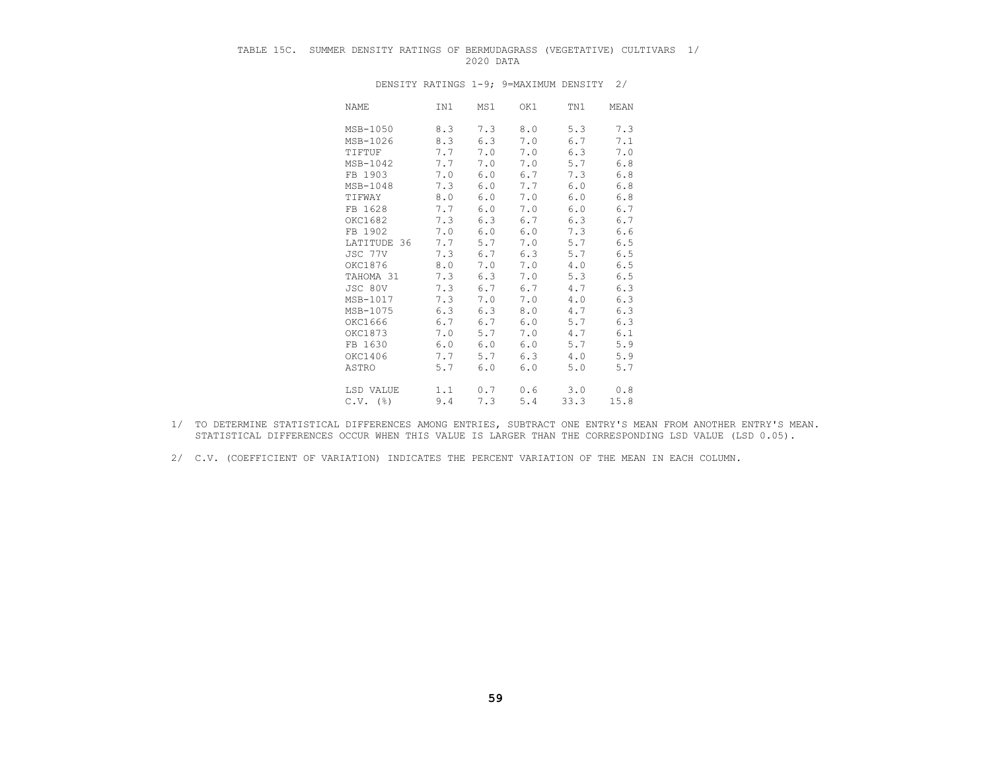# TABLE 15C. SUMMER DENSITY RATINGS OF BERMUDAGRASS (VEGETATIVE) CULTIVARS 1/ 2020 DATA

| NAME        | IN1 | MS1 | OK1 | TN1  | MEAN  |
|-------------|-----|-----|-----|------|-------|
| MSB-1050    | 8.3 | 7.3 | 8.0 | 5.3  | 7.3   |
| MSB-1026    | 8.3 | 6.3 | 7.0 | 6.7  | 7.1   |
| TIFTUF      | 7.7 | 7.0 | 7.0 | 6.3  | 7.0   |
| MSB-1042    | 7.7 | 7.0 | 7.0 | 5.7  | 6.8   |
| FB 1903     | 7.0 | 6.0 | 6.7 | 7.3  | $6.8$ |
| MSB-1048    | 7.3 | 6.0 | 7.7 | 6.0  | $6.8$ |
| TIFWAY      | 8.0 | 6.0 | 7.0 | 6.0  | 6.8   |
| FB 1628     | 7.7 | 6.0 | 7.0 | 6.0  | 6.7   |
| OKC1682     | 7.3 | 6.3 | 6.7 | 6.3  | 6.7   |
| FB 1902     | 7.0 | 6.0 | 6.0 | 7.3  | 6.6   |
| LATITUDE 36 | 7.7 | 5.7 | 7.0 | 5.7  | 6.5   |
| JSC 77V     | 7.3 | 6.7 | 6.3 | 5.7  | $6.5$ |
| OKC1876     | 8.0 | 7.0 | 7.0 | 4.0  | 6.5   |
| TAHOMA 31   | 7.3 | 6.3 | 7.0 | 5.3  | 6.5   |
| JSC 80V     | 7.3 | 6.7 | 6.7 | 4.7  | 6.3   |
| MSB-1017    | 7.3 | 7.0 | 7.0 | 4.0  | 6.3   |
| MSB-1075    | 6.3 | 6.3 | 8.0 | 4.7  | 6.3   |
| OKC1666     | 6.7 | 6.7 | 6.0 | 5.7  | 6.3   |
| OKC1873     | 7.0 | 5.7 | 7.0 | 4.7  | 6.1   |
| FB 1630     | 6.0 | 6.0 | 6.0 | 5.7  | 5.9   |
| OKC1406     | 7.7 | 5.7 | 6.3 | 4.0  | 5.9   |
| ASTRO       | 5.7 | 6.0 | 6.0 | 5.0  | 5.7   |
| LSD VALUE   | 1.1 | 0.7 | 0.6 | 3.0  | 0.8   |
| $C.V.$ (%)  | 9.4 | 7.3 | 5.4 | 33.3 | 15.8  |

- 1/ TO DETERMINE STATISTICAL DIFFERENCES AMONG ENTRIES, SUBTRACT ONE ENTRY'S MEAN FROM ANOTHER ENTRY'S MEAN. STATISTICAL DIFFERENCES OCCUR WHEN THIS VALUE IS LARGER THAN THE CORRESPONDING LSD VALUE (LSD 0.05).
- 2/ C.V. (COEFFICIENT OF VARIATION) INDICATES THE PERCENT VARIATION OF THE MEAN IN EACH COLUMN.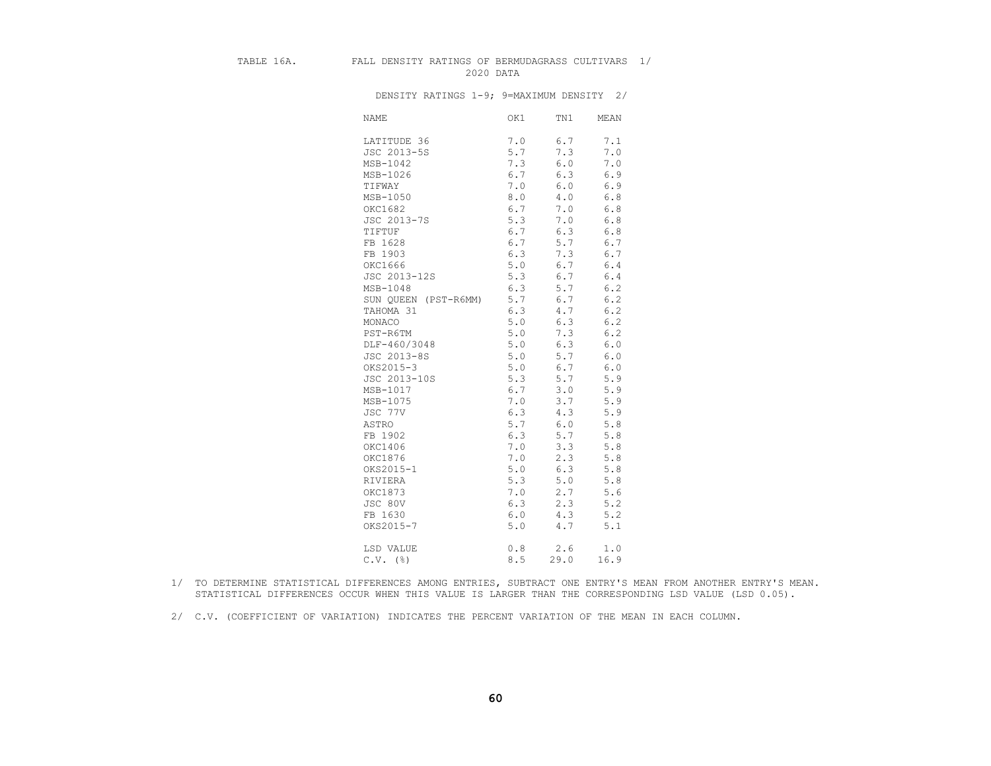#### TABLE 16A. FALL DENSITY RATINGS OF BERMUDAGRASS CULTIVARS 1/ 2020 DATA

| <b>NAME</b>          | OK1 | TN1   | MEAN          |
|----------------------|-----|-------|---------------|
| LATITUDE 36          | 7.0 | 6.7   | 7.1           |
| JSC 2013-5S          | 5.7 | 7.3   | 7.0           |
| MSB-1042             | 7.3 | 6.0   | $7 \, . \, 0$ |
| MSB-1026             | 6.7 | 6.3   | 6.9           |
| TIFWAY               | 7.0 | $6.0$ | 6.9           |
| MSB-1050             | 8.0 | 4.0   | $6.8\,$       |
| OKC1682              | 6.7 | 7.0   | $6.8$         |
| JSC 2013-7S          | 5.3 | 7.0   | 6.8           |
| TIFTUF               | 6.7 | 6.3   | $6.8$         |
| FB 1628              | 6.7 | 5.7   | 6.7           |
| FB 1903              | 6.3 | 7.3   | 6.7           |
| OKC1666              | 5.0 | 6.7   | $6.4$         |
| JSC 2013-12S         | 5.3 | 6.7   | 6.4           |
| MSB-1048             | 6.3 | 5.7   | 6.2           |
| SUN QUEEN (PST-R6MM) | 5.7 | 6.7   | $6.2$         |
| TAHOMA 31            | 6.3 | 4.7   | 6.2           |
| MONACO               | 5.0 | 6.3   | 6.2           |
| PST-R6TM             | 5.0 | 7.3   | 6.2           |
| DLF-460/3048         | 5.0 | 6.3   | $6.0$         |
| JSC 2013-8S          | 5.0 | 5.7   | $6.0$         |
| OKS2015-3            | 5.0 | 6.7   | 6.0           |
| JSC 2013-10S         | 5.3 | 5.7   | 5.9           |
| MSB-1017             | 6.7 | 3.0   | 5.9           |
| MSB-1075             | 7.0 | 3.7   | 5.9           |
| JSC 77V              | 6.3 | 4.3   | 5.9           |
| ASTRO                | 5.7 | 6.0   | 5.8           |
| FB 1902              | 6.3 | 5.7   | 5.8           |
| OKC1406              | 7.0 | 3.3   | 5.8           |
| OKC1876              | 7.0 | 2.3   | 5.8           |
| OKS2015-1            | 5.0 | 6.3   | 5.8           |
| RIVIERA              | 5.3 | 5.0   | 5.8           |
| OKC1873              | 7.0 | 2.7   | 5.6           |
| JSC 80V              | 6.3 | 2.3   | 5.2           |
| FB 1630              | 6.0 | 4.3   | 5.2           |
| OKS2015-7            | 5.0 | 4.7   | 5.1           |
| LSD VALUE            | 0.8 | 2.6   | 1.0           |
| $C.V.$ (%)           | 8.5 | 29.0  | 16.9          |

- 1/ TO DETERMINE STATISTICAL DIFFERENCES AMONG ENTRIES, SUBTRACT ONE ENTRY'S MEAN FROM ANOTHER ENTRY'S MEAN. STATISTICAL DIFFERENCES OCCUR WHEN THIS VALUE IS LARGER THAN THE CORRESPONDING LSD VALUE (LSD 0.05).
- 2/ C.V. (COEFFICIENT OF VARIATION) INDICATES THE PERCENT VARIATION OF THE MEAN IN EACH COLUMN.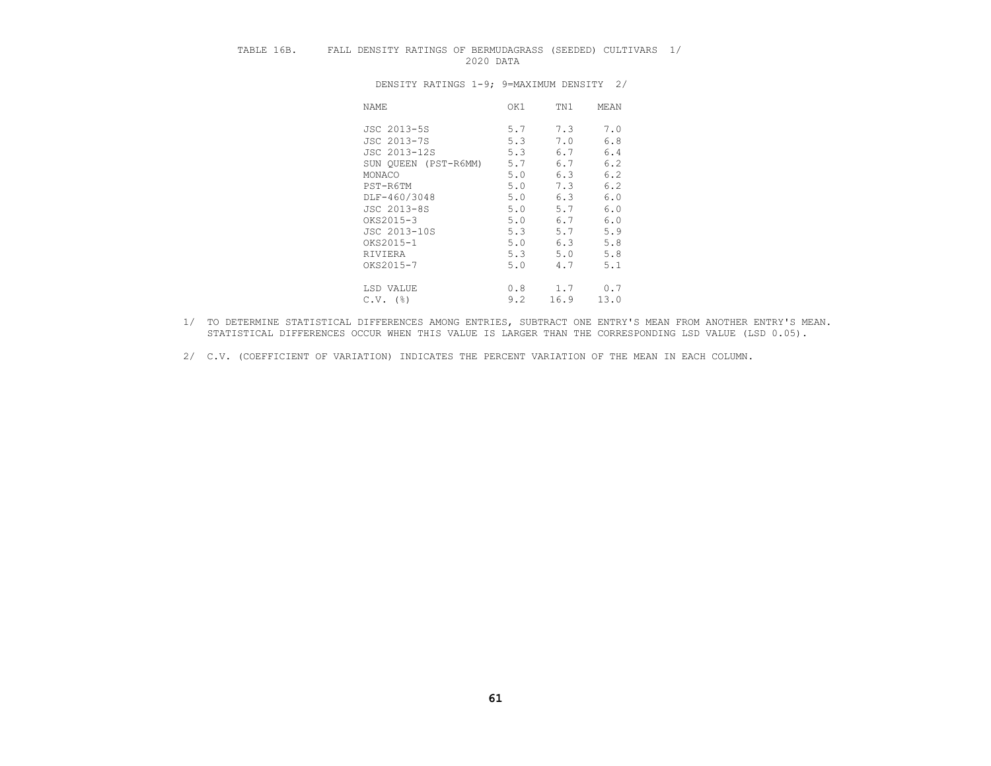# TABLE 16B. FALL DENSITY RATINGS OF BERMUDAGRASS (SEEDED) CULTIVARS 1/<br>2020 DATA 2020 DATA

| NAME                 | OK1 | TN1  | MEAN |
|----------------------|-----|------|------|
| JSC 2013-5S          | 5.7 | 7.3  | 7.0  |
| JSC 2013-7S          | 5.3 | 7.0  | 6.8  |
| JSC 2013-12S         | 5.3 | 6.7  | 6.4  |
| SUN QUEEN (PST-R6MM) | 5.7 | 6.7  | 6.2  |
| MONACO               | 5.0 | 6.3  | 6.2  |
| PST-R6TM             | 5.0 | 7.3  | 6.2  |
| DLF-460/3048         | 5.0 | 6.3  | 6.0  |
| JSC 2013-8S          | 5.0 | 5.7  | 6.0  |
| OKS2015-3            | 5.0 | 6.7  | 6.0  |
| JSC 2013-10S         | 5.3 | 5.7  | 5.9  |
| OKS2015-1            | 5.0 | 6.3  | 5.8  |
| RIVIERA              | 5.3 | 5.0  | 5.8  |
| OKS2015-7            | 5.0 | 4.7  | 5.1  |
| LSD VALUE            | 0.8 | 1.7  | 0.7  |
| $C.V.$ (%)           | 9.2 | 16.9 | 13.0 |

- 1/ TO DETERMINE STATISTICAL DIFFERENCES AMONG ENTRIES, SUBTRACT ONE ENTRY'S MEAN FROM ANOTHER ENTRY'S MEAN. STATISTICAL DIFFERENCES OCCUR WHEN THIS VALUE IS LARGER THAN THE CORRESPONDING LSD VALUE (LSD 0.05).
- 2/ C.V. (COEFFICIENT OF VARIATION) INDICATES THE PERCENT VARIATION OF THE MEAN IN EACH COLUMN.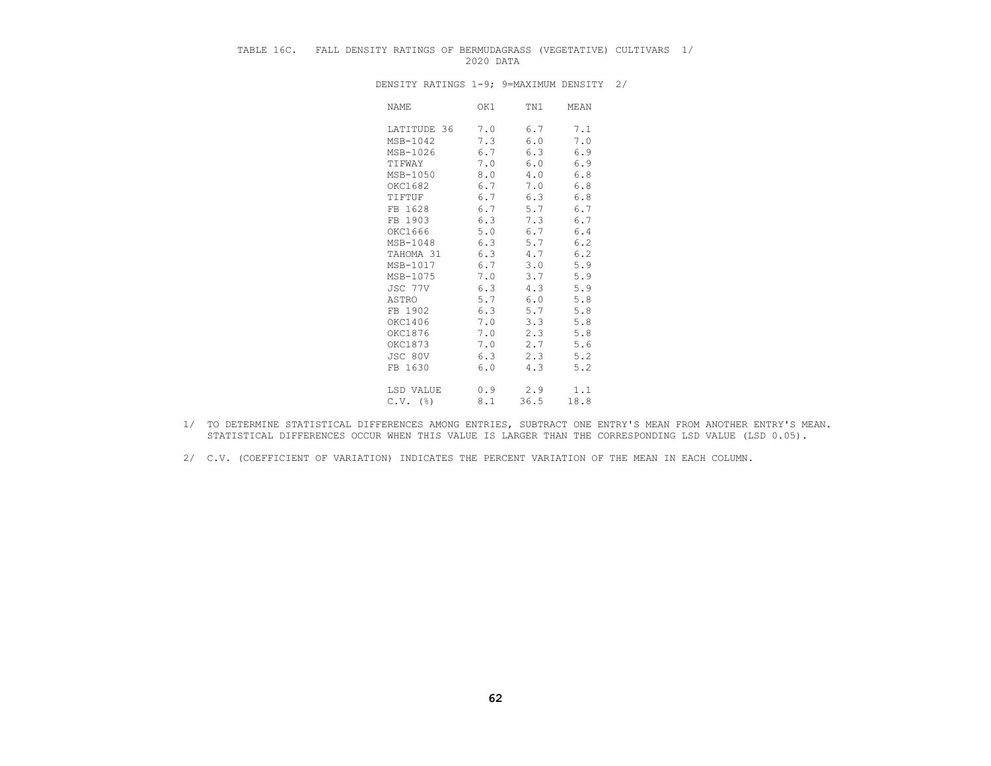# TABLE 16C. FALL DENSITY RATINGS OF BERMUDAGRASS (VEGETATIVE) CULTIVARS 1/ 2020 DATA

| NAME        | OK1 | TN1  | MEAN |
|-------------|-----|------|------|
| LATITUDE 36 | 7.0 | 6.7  | 7.1  |
| MSB-1042    | 7.3 | 6.0  | 7.0  |
| MSB-1026    | 6.7 | 6.3  | 6.9  |
| TIFWAY      | 7.0 | 6.0  | 6.9  |
| MSB-1050    | 8.0 | 4.0  | 6.8  |
|             |     |      |      |
| OKC1682     | 6.7 | 7.0  | 6.8  |
| TIFTUF      | 6.7 | 6.3  | 6.8  |
| FB 1628     | 6.7 | 5.7  | 6.7  |
| FB 1903     | 6.3 | 7.3  | 6.7  |
| OKC1666     | 5.0 | 6.7  | 6.4  |
| MSB-1048    | 6.3 | 5.7  | 6.2  |
| TAHOMA 31   | 6.3 | 4.7  | 6.2  |
| MSB-1017    | 6.7 | 3.0  | 5.9  |
| MSB-1075    | 7.0 | 3.7  | 5.9  |
| JSC 77V     | 6.3 | 4.3  | 5.9  |
| ASTRO       | 5.7 | 6.0  | 5.8  |
| FB 1902     | 6.3 | 5.7  | 5.8  |
| OKC1406     | 7.0 | 3.3  | 5.8  |
| OKC1876     | 7.0 | 2.3  | 5.8  |
| OKC1873     | 7.0 | 2.7  | 5.6  |
| JSC 80V     | 6.3 | 2.3  | 5.2  |
| FB 1630     | 6.0 | 4.3  | 5.2  |
| LSD VALUE   | 0.9 | 2.9  | 1.1  |
| $C.V.$ (%)  | 8.1 | 36.5 | 18.8 |
|             |     |      |      |

- 1/ TO DETERMINE STATISTICAL DIFFERENCES AMONG ENTRIES, SUBTRACT ONE ENTRY'S MEAN FROM ANOTHER ENTRY'S MEAN. STATISTICAL DIFFERENCES OCCUR WHEN THIS VALUE IS LARGER THAN THE CORRESPONDING LSD VALUE (LSD 0.05).
- 2/ C.V. (COEFFICIENT OF VARIATION) INDICATES THE PERCENT VARIATION OF THE MEAN IN EACH COLUMN.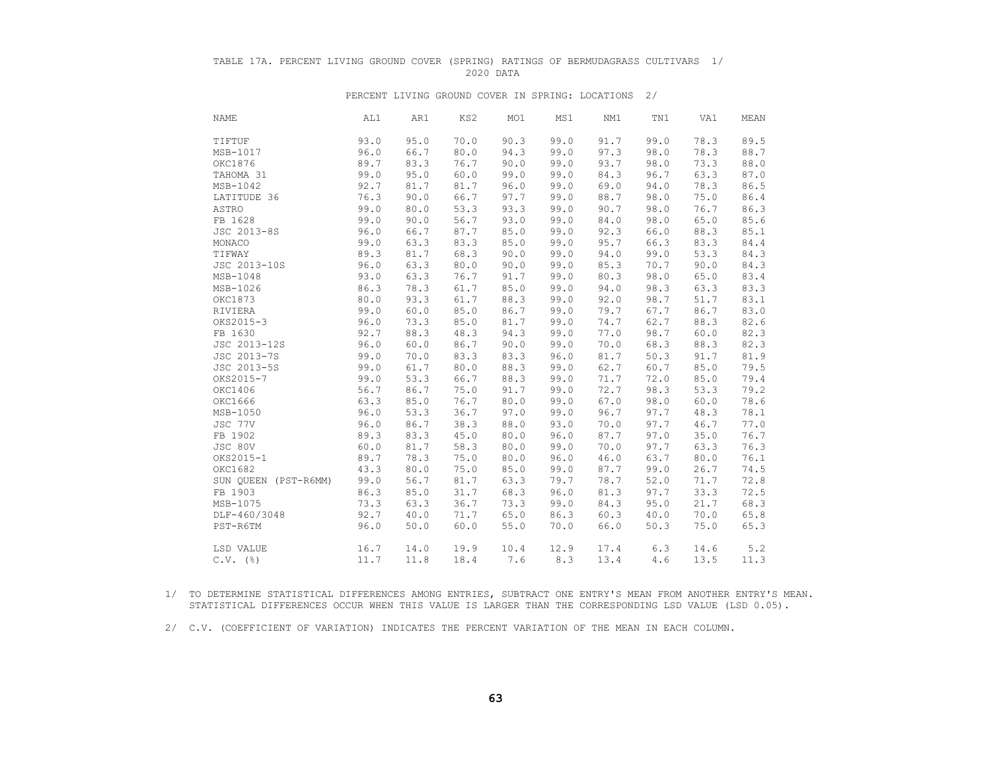### TABLE 17A. PERCENT LIVING GROUND COVER (SPRING) RATINGS OF BERMUDAGRASS CULTIVARS 1/ 2020 DATA

#### PERCENT LIVING GROUND COVER IN SPRING: LOCATIONS 2/

| <b>NAME</b>          | AL1  | AR1  | KS2  | MO1  | MS1  | NM1  | TN1  | VA1  | MEAN |
|----------------------|------|------|------|------|------|------|------|------|------|
| TIFTUF               | 93.0 | 95.0 | 70.0 | 90.3 | 99.0 | 91.7 | 99.0 | 78.3 | 89.5 |
| MSB-1017             | 96.0 | 66.7 | 80.0 | 94.3 | 99.0 | 97.3 | 98.0 | 78.3 | 88.7 |
| OKC1876              | 89.7 | 83.3 | 76.7 | 90.0 | 99.0 | 93.7 | 98.0 | 73.3 | 88.0 |
| TAHOMA 31            | 99.0 | 95.0 | 60.0 | 99.0 | 99.0 | 84.3 | 96.7 | 63.3 | 87.0 |
| MSB-1042             | 92.7 | 81.7 | 81.7 | 96.0 | 99.0 | 69.0 | 94.0 | 78.3 | 86.5 |
| LATITUDE 36          | 76.3 | 90.0 | 66.7 | 97.7 | 99.0 | 88.7 | 98.0 | 75.0 | 86.4 |
| ASTRO                | 99.0 | 80.0 | 53.3 | 93.3 | 99.0 | 90.7 | 98.0 | 76.7 | 86.3 |
| FB 1628              | 99.0 | 90.0 | 56.7 | 93.0 | 99.0 | 84.0 | 98.0 | 65.0 | 85.6 |
| JSC 2013-8S          | 96.0 | 66.7 | 87.7 | 85.0 | 99.0 | 92.3 | 66.0 | 88.3 | 85.1 |
| MONACO               | 99.0 | 63.3 | 83.3 | 85.0 | 99.0 | 95.7 | 66.3 | 83.3 | 84.4 |
| TIFWAY               | 89.3 | 81.7 | 68.3 | 90.0 | 99.0 | 94.0 | 99.0 | 53.3 | 84.3 |
| JSC 2013-10S         | 96.0 | 63.3 | 80.0 | 90.0 | 99.0 | 85.3 | 70.7 | 90.0 | 84.3 |
| MSB-1048             | 93.0 | 63.3 | 76.7 | 91.7 | 99.0 | 80.3 | 98.0 | 65.0 | 83.4 |
| MSB-1026             | 86.3 | 78.3 | 61.7 | 85.0 | 99.0 | 94.0 | 98.3 | 63.3 | 83.3 |
| OKC1873              | 80.0 | 93.3 | 61.7 | 88.3 | 99.0 | 92.0 | 98.7 | 51.7 | 83.1 |
| RIVIERA              | 99.0 | 60.0 | 85.0 | 86.7 | 99.0 | 79.7 | 67.7 | 86.7 | 83.0 |
| OKS2015-3            | 96.0 | 73.3 | 85.0 | 81.7 | 99.0 | 74.7 | 62.7 | 88.3 | 82.6 |
| FB 1630              | 92.7 | 88.3 | 48.3 | 94.3 | 99.0 | 77.0 | 98.7 | 60.0 | 82.3 |
| JSC 2013-12S         | 96.0 | 60.0 | 86.7 | 90.0 | 99.0 | 70.0 | 68.3 | 88.3 | 82.3 |
| JSC 2013-7S          | 99.0 | 70.0 | 83.3 | 83.3 | 96.0 | 81.7 | 50.3 | 91.7 | 81.9 |
| JSC 2013-5S          | 99.0 | 61.7 | 80.0 | 88.3 | 99.0 | 62.7 | 60.7 | 85.0 | 79.5 |
| OKS2015-7            | 99.0 | 53.3 | 66.7 | 88.3 | 99.0 | 71.7 | 72.0 | 85.0 | 79.4 |
| OKC1406              | 56.7 | 86.7 | 75.0 | 91.7 | 99.0 | 72.7 | 98.3 | 53.3 | 79.2 |
| OKC1666              | 63.3 | 85.0 | 76.7 | 80.0 | 99.0 | 67.0 | 98.0 | 60.0 | 78.6 |
| MSB-1050             | 96.0 | 53.3 | 36.7 | 97.0 | 99.0 | 96.7 | 97.7 | 48.3 | 78.1 |
| JSC 77V              | 96.0 | 86.7 | 38.3 | 88.0 | 93.0 | 70.0 | 97.7 | 46.7 | 77.0 |
| FB 1902              | 89.3 | 83.3 | 45.0 | 80.0 | 96.0 | 87.7 | 97.0 | 35.0 | 76.7 |
| JSC 80V              | 60.0 | 81.7 | 58.3 | 80.0 | 99.0 | 70.0 | 97.7 | 63.3 | 76.3 |
| OKS2015-1            | 89.7 | 78.3 | 75.0 | 80.0 | 96.0 | 46.0 | 63.7 | 80.0 | 76.1 |
| OKC1682              | 43.3 | 80.0 | 75.0 | 85.0 | 99.0 | 87.7 | 99.0 | 26.7 | 74.5 |
| SUN QUEEN (PST-R6MM) | 99.0 | 56.7 | 81.7 | 63.3 | 79.7 | 78.7 | 52.0 | 71.7 | 72.8 |
| FB 1903              | 86.3 | 85.0 | 31.7 | 68.3 | 96.0 | 81.3 | 97.7 | 33.3 | 72.5 |
| MSB-1075             | 73.3 | 63.3 | 36.7 | 73.3 | 99.0 | 84.3 | 95.0 | 21.7 | 68.3 |
| DLF-460/3048         | 92.7 | 40.0 | 71.7 | 65.0 | 86.3 | 60.3 | 40.0 | 70.0 | 65.8 |
| PST-R6TM             | 96.0 | 50.0 | 60.0 | 55.0 | 70.0 | 66.0 | 50.3 | 75.0 | 65.3 |
| LSD VALUE            | 16.7 | 14.0 | 19.9 | 10.4 | 12.9 | 17.4 | 6.3  | 14.6 | 5.2  |
| $C.V.$ (%)           | 11.7 | 11.8 | 18.4 | 7.6  | 8.3  | 13.4 | 4.6  | 13.5 | 11.3 |

 1/ TO DETERMINE STATISTICAL DIFFERENCES AMONG ENTRIES, SUBTRACT ONE ENTRY'S MEAN FROM ANOTHER ENTRY'S MEAN. STATISTICAL DIFFERENCES OCCUR WHEN THIS VALUE IS LARGER THAN THE CORRESPONDING LSD VALUE (LSD 0.05).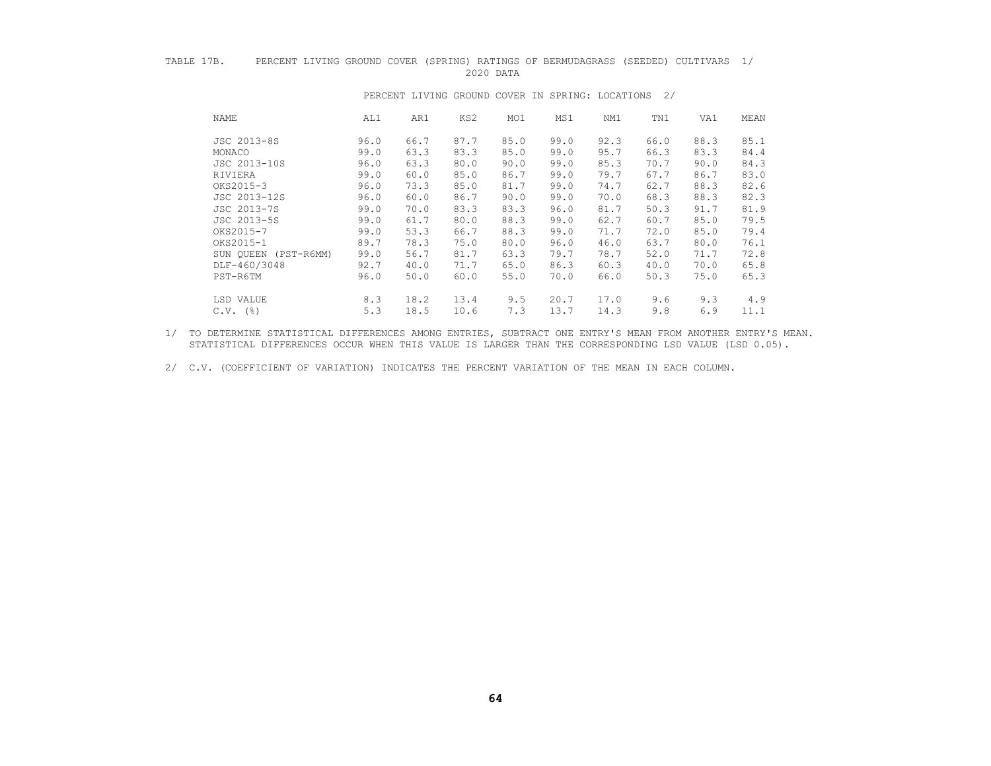### TABLE 17B. PERCENT LIVING GROUND COVER (SPRING) RATINGS OF BERMUDAGRASS (SEEDED) CULTIVARS 1/<br>2020 DATA 2020 DATA

| <b>NAME</b>          | AL1  | AR1  | KS2  | MO1  | MS1  | NM1  | TN1  | VA1  | MEAN |
|----------------------|------|------|------|------|------|------|------|------|------|
| JSC 2013-8S          | 96.0 | 66.7 | 87.7 | 85.0 | 99.0 | 92.3 | 66.0 | 88.3 | 85.1 |
| MONACO               | 99.0 | 63.3 | 83.3 | 85.0 | 99.0 | 95.7 | 66.3 | 83.3 | 84.4 |
| JSC 2013-10S         | 96.0 | 63.3 | 80.0 | 90.0 | 99.0 | 85.3 | 70.7 | 90.0 | 84.3 |
| RIVIERA              | 99.0 | 60.0 | 85.0 | 86.7 | 99.0 | 79.7 | 67.7 | 86.7 | 83.0 |
| OKS2015-3            | 96.0 | 73.3 | 85.0 | 81.7 | 99.0 | 74.7 | 62.7 | 88.3 | 82.6 |
| JSC 2013-12S         | 96.0 | 60.0 | 86.7 | 90.0 | 99.0 | 70.0 | 68.3 | 88.3 | 82.3 |
| JSC 2013-7S          | 99.0 | 70.0 | 83.3 | 83.3 | 96.0 | 81.7 | 50.3 | 91.7 | 81.9 |
| JSC 2013-5S          | 99.0 | 61.7 | 80.0 | 88.3 | 99.0 | 62.7 | 60.7 | 85.0 | 79.5 |
| OKS2015-7            | 99.0 | 53.3 | 66.7 | 88.3 | 99.0 | 71.7 | 72.0 | 85.0 | 79.4 |
| OKS2015-1            | 89.7 | 78.3 | 75.0 | 80.0 | 96.0 | 46.0 | 63.7 | 80.0 | 76.1 |
| SUN QUEEN (PST-R6MM) | 99.0 | 56.7 | 81.7 | 63.3 | 79.7 | 78.7 | 52.0 | 71.7 | 72.8 |
| DLF-460/3048         | 92.7 | 40.0 | 71.7 | 65.0 | 86.3 | 60.3 | 40.0 | 70.0 | 65.8 |
| PST-R6TM             | 96.0 | 50.0 | 60.0 | 55.0 | 70.0 | 66.0 | 50.3 | 75.0 | 65.3 |
| LSD VALUE            | 8.3  | 18.2 | 13.4 | 9.5  | 20.7 | 17.0 | 9.6  | 9.3  | 4.9  |
| $C.V.$ (%)           | 5.3  | 18.5 | 10.6 | 7.3  | 13.7 | 14.3 | 9.8  | 6.9  | 11.1 |

#### PERCENT LIVING GROUND COVER IN SPRING: LOCATIONS 2/

 1/ TO DETERMINE STATISTICAL DIFFERENCES AMONG ENTRIES, SUBTRACT ONE ENTRY'S MEAN FROM ANOTHER ENTRY'S MEAN. STATISTICAL DIFFERENCES OCCUR WHEN THIS VALUE IS LARGER THAN THE CORRESPONDING LSD VALUE (LSD 0.05).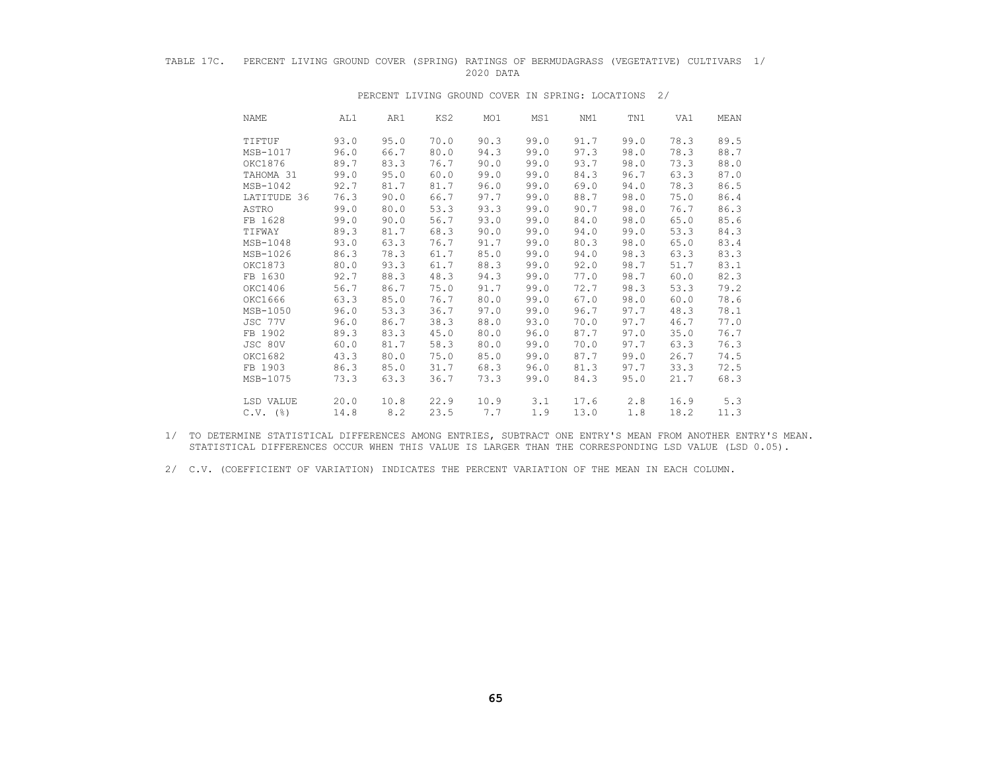#### TABLE 17C. PERCENT LIVING GROUND COVER (SPRING) RATINGS OF BERMUDAGRASS (VEGETATIVE) CULTIVARS 1/ 2020 DATA

| NAME        | AL1  | AR1  | KS2  | MO1  | MS1  | NM1  | TN1  | VA1  | MEAN |
|-------------|------|------|------|------|------|------|------|------|------|
| TIFTUF      | 93.0 | 95.0 | 70.0 | 90.3 | 99.0 | 91.7 | 99.0 | 78.3 | 89.5 |
| MSB-1017    | 96.0 | 66.7 | 80.0 | 94.3 | 99.0 | 97.3 | 98.0 | 78.3 | 88.7 |
| OKC1876     | 89.7 | 83.3 | 76.7 | 90.0 | 99.0 | 93.7 | 98.0 | 73.3 | 88.0 |
| TAHOMA 31   | 99.0 | 95.0 | 60.0 | 99.0 | 99.0 | 84.3 | 96.7 | 63.3 | 87.0 |
| MSB-1042    | 92.7 | 81.7 | 81.7 | 96.0 | 99.0 | 69.0 | 94.0 | 78.3 | 86.5 |
| LATITUDE 36 | 76.3 | 90.0 | 66.7 | 97.7 | 99.0 | 88.7 | 98.0 | 75.0 | 86.4 |
| ASTRO       | 99.0 | 80.0 | 53.3 | 93.3 | 99.0 | 90.7 | 98.0 | 76.7 | 86.3 |
| FB 1628     | 99.0 | 90.0 | 56.7 | 93.0 | 99.0 | 84.0 | 98.0 | 65.0 | 85.6 |
| TIFWAY      | 89.3 | 81.7 | 68.3 | 90.0 | 99.0 | 94.0 | 99.0 | 53.3 | 84.3 |
| MSB-1048    | 93.0 | 63.3 | 76.7 | 91.7 | 99.0 | 80.3 | 98.0 | 65.0 | 83.4 |
| MSB-1026    | 86.3 | 78.3 | 61.7 | 85.0 | 99.0 | 94.0 | 98.3 | 63.3 | 83.3 |
| OKC1873     | 80.0 | 93.3 | 61.7 | 88.3 | 99.0 | 92.0 | 98.7 | 51.7 | 83.1 |
| FB 1630     | 92.7 | 88.3 | 48.3 | 94.3 | 99.0 | 77.0 | 98.7 | 60.0 | 82.3 |
| OKC1406     | 56.7 | 86.7 | 75.0 | 91.7 | 99.0 | 72.7 | 98.3 | 53.3 | 79.2 |
| OKC1666     | 63.3 | 85.0 | 76.7 | 80.0 | 99.0 | 67.0 | 98.0 | 60.0 | 78.6 |
| MSB-1050    | 96.0 | 53.3 | 36.7 | 97.0 | 99.0 | 96.7 | 97.7 | 48.3 | 78.1 |
| JSC 77V     | 96.0 | 86.7 | 38.3 | 88.0 | 93.0 | 70.0 | 97.7 | 46.7 | 77.0 |
| FB 1902     | 89.3 | 83.3 | 45.0 | 80.0 | 96.0 | 87.7 | 97.0 | 35.0 | 76.7 |
| JSC 80V     | 60.0 | 81.7 | 58.3 | 80.0 | 99.0 | 70.0 | 97.7 | 63.3 | 76.3 |
| OKC1682     | 43.3 | 80.0 | 75.0 | 85.0 | 99.0 | 87.7 | 99.0 | 26.7 | 74.5 |
| FB 1903     | 86.3 | 85.0 | 31.7 | 68.3 | 96.0 | 81.3 | 97.7 | 33.3 | 72.5 |
| MSB-1075    | 73.3 | 63.3 | 36.7 | 73.3 | 99.0 | 84.3 | 95.0 | 21.7 | 68.3 |
| LSD VALUE   | 20.0 | 10.8 | 22.9 | 10.9 | 3.1  | 17.6 | 2.8  | 16.9 | 5.3  |
| $C.V.$ (%)  | 14.8 | 8.2  | 23.5 | 7.7  | 1.9  | 13.0 | 1.8  | 18.2 | 11.3 |

#### PERCENT LIVING GROUND COVER IN SPRING: LOCATIONS 2/

 1/ TO DETERMINE STATISTICAL DIFFERENCES AMONG ENTRIES, SUBTRACT ONE ENTRY'S MEAN FROM ANOTHER ENTRY'S MEAN. STATISTICAL DIFFERENCES OCCUR WHEN THIS VALUE IS LARGER THAN THE CORRESPONDING LSD VALUE (LSD 0.05).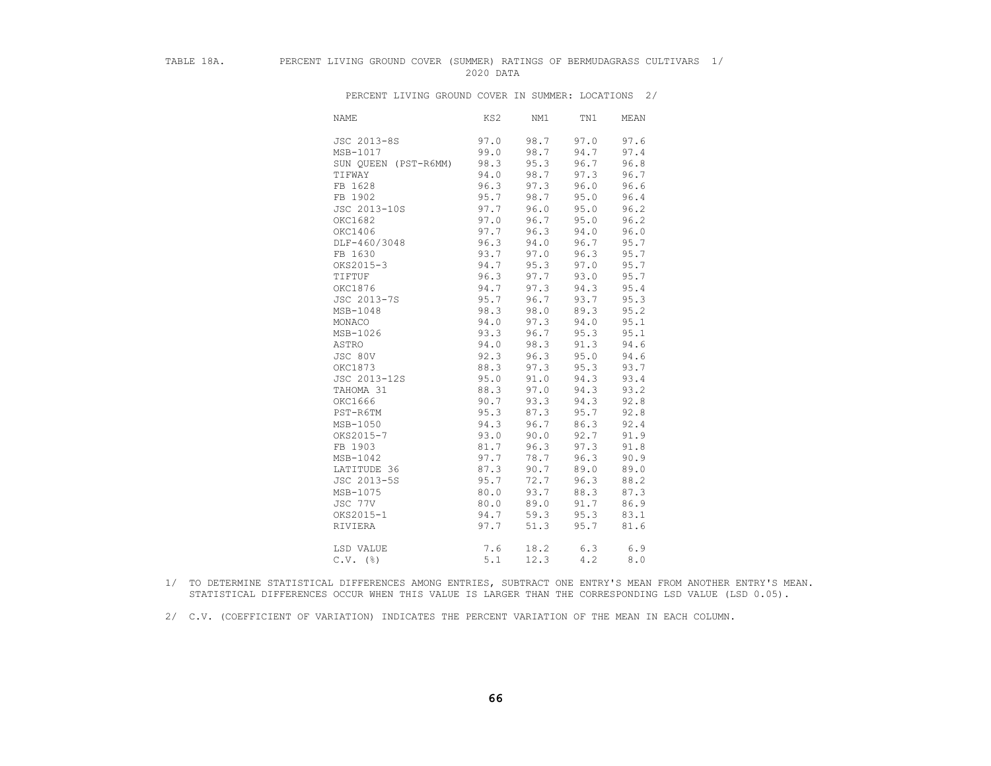### TABLE 18A. PERCENT LIVING GROUND COVER (SUMMER) RATINGS OF BERMUDAGRASS CULTIVARS 1/ 2020 DATA

 NAME KS2 NM1 TN1 MEAN JSC 2013-8S 97.0 98.7 97.0 97.6 98.7 94.7 97.4<br>95.3 96.7 96.8 SUN QUEEN (PST-R6MM) 98.3<br>TIFWAY 94.0 TIFWAY 94.0 98.7 97.3 96.7 FB 1628 96.3 97.3 96.0 96.6<br>FB 1902 95.7 98.7 95.0 96.4 FB 1902 95.7 98.7 95.0 96.4 JSC 2013-10S 97.7 96.0 95.0 96.2 OKC1682 97.0 96.7 95.0 96.2 OKC1406 97.7 96.3 94.0 96.0<br>DLF-460/3048 96.3 94.0 96.7 95.7 DLF-460/3048 96.3 94.0 96.7 95.7<br>FB 1630 93.7 97.0 96.3 95.7 FB 1630 93.7 97.0 96.3 95.7<br>0KS2015-3 94.7 95.3 97.0 95.7 OKS2015-3 94.7 95.3 97.0 95.7<br>TIFTUF 96.3 97.7 93.0 95.7 TIFTUF 96.3 97.7 93.0 95.7 OKC1876 94.7 97.3 94.3 95.4 JSC 2013-7S 95.7 96.7 93.7 95.3 MSB-1048 98.3 98.0 89.3 95.2<br>MONACO 94.0 97.3 94.0 95.1 MONACO 94.0 97.3 94.0 95.1<br>MSB-1026 93.3 96.7 95.3 95.1 MSB-1026 93.3 96.7 95.3 95.1<br>ASTRO 94.0 98.3 91.3 94.6 ASTRO 94.0 98.3 91.3 94.6 JSC 80V 92.3 96.3 95.0 94.6 OKC1873 88.3 97.3 95.3 93.7<br>JSC 2013-12S 95.0 91.0 94.3 93.4 JSC 2013-12S 95.0 91.0 94.3 93.4 TAHOMA 31 88.3 97.0 94.3 93.2<br>OKC1666 90.7 93.3 94.3 92.8 OKC1666 90.7 93.3 94.3 92.8<br>PST-R6TM 95.3 87.3 95.7 92.8 PST-R6TM 95.3 87.3 95.7 92.8<br>MSB-1050 94.3 96.7 86.3 92.4 MSB-1050 94.3 96.7 86.3 92.4<br>0KS2015-7 93.0 90.0 92.7 91.9 0KS2015-7 93.0 90.0 92.7 91.9<br>FB 1903 81.7 96.3 97.3 91.8 FB 1903 81.7 96.3 97.3 91.8<br>MSB-1042 97.7 78.7 96.3 90.9 MSB-1042 97.7 78.7 96.3 90.9 LATITUDE 36 87.3 90.7 89.0 89.0<br>JSC 2013-5S 95.7 72.7 96.3 88.2 JSC 2013-5S 95.7 72.7 96.3 88.2 MSB-1075 80.0 93.7 88.3 87.3 JSC 77V 80.0 89.0 91.7 86.9<br>0KS2015-1 94.7 59.3 95.3 83.1 OKS2015-1 94.7 59.3<br>RIVIERA 97.7 51.3 97.7 51.3 95.7 81.6 LSD VALUE 2008 7.6 18.2 6.3 6.9  $C.V.$  (%)  $5.1$  12.3 4.2 8.0

PERCENT LIVING GROUND COVER IN SUMMER: LOCATIONS 2/

- 1/ TO DETERMINE STATISTICAL DIFFERENCES AMONG ENTRIES, SUBTRACT ONE ENTRY'S MEAN FROM ANOTHER ENTRY'S MEAN. STATISTICAL DIFFERENCES OCCUR WHEN THIS VALUE IS LARGER THAN THE CORRESPONDING LSD VALUE (LSD 0.05).
- 2/ C.V. (COEFFICIENT OF VARIATION) INDICATES THE PERCENT VARIATION OF THE MEAN IN EACH COLUMN.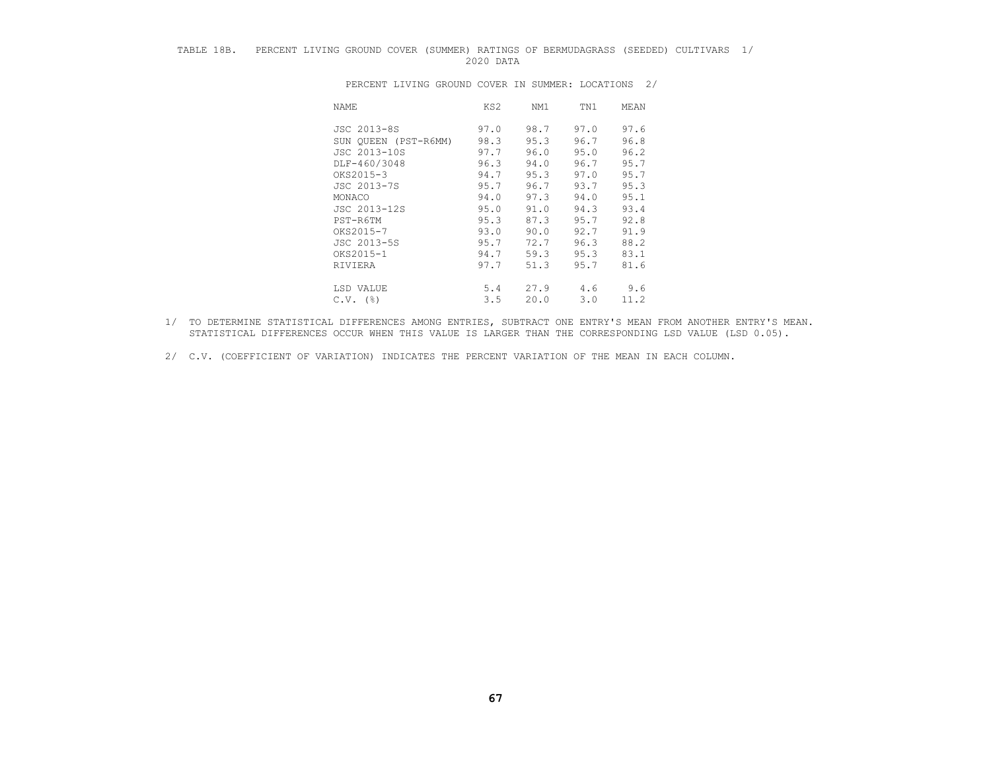## TABLE 18B. PERCENT LIVING GROUND COVER (SUMMER) RATINGS OF BERMUDAGRASS (SEEDED) CULTIVARS 1/ 2020 DATA

| NAME                 | KS2  | NM1  | TN1  | MEAN |
|----------------------|------|------|------|------|
| JSC 2013-8S          | 97.0 | 98.7 | 97.0 | 97.6 |
| SUN QUEEN (PST-R6MM) | 98.3 | 95.3 | 96.7 | 96.8 |
| JSC 2013-10S         | 97.7 | 96.0 | 95.0 | 96.2 |
| DLF-460/3048         | 96.3 | 94.0 | 96.7 | 95.7 |
| OKS2015-3            | 94.7 | 95.3 | 97.0 | 95.7 |
| JSC 2013-7S          | 95.7 | 96.7 | 93.7 | 95.3 |
| MONACO               | 94.0 | 97.3 | 94.0 | 95.1 |
| JSC 2013-12S         | 95.0 | 91.0 | 94.3 | 93.4 |
| PST-R6TM             | 95.3 | 87.3 | 95.7 | 92.8 |
| OKS2015-7            | 93.0 | 90.0 | 92.7 | 91.9 |
| JSC 2013-5S          | 95.7 | 72.7 | 96.3 | 88.2 |
| OKS2015-1            | 94.7 | 59.3 | 95.3 | 83.1 |
| RIVIERA              | 97.7 | 51.3 | 95.7 | 81.6 |
| LSD VALUE            | 5.4  | 27.9 | 4.6  | 9.6  |
| $C.V.$ (%)           | 3.5  | 20.0 | 3.0  | 11.2 |

PERCENT LIVING GROUND COVER IN SUMMER: LOCATIONS 2/

- 1/ TO DETERMINE STATISTICAL DIFFERENCES AMONG ENTRIES, SUBTRACT ONE ENTRY'S MEAN FROM ANOTHER ENTRY'S MEAN. STATISTICAL DIFFERENCES OCCUR WHEN THIS VALUE IS LARGER THAN THE CORRESPONDING LSD VALUE (LSD 0.05).
- 2/ C.V. (COEFFICIENT OF VARIATION) INDICATES THE PERCENT VARIATION OF THE MEAN IN EACH COLUMN.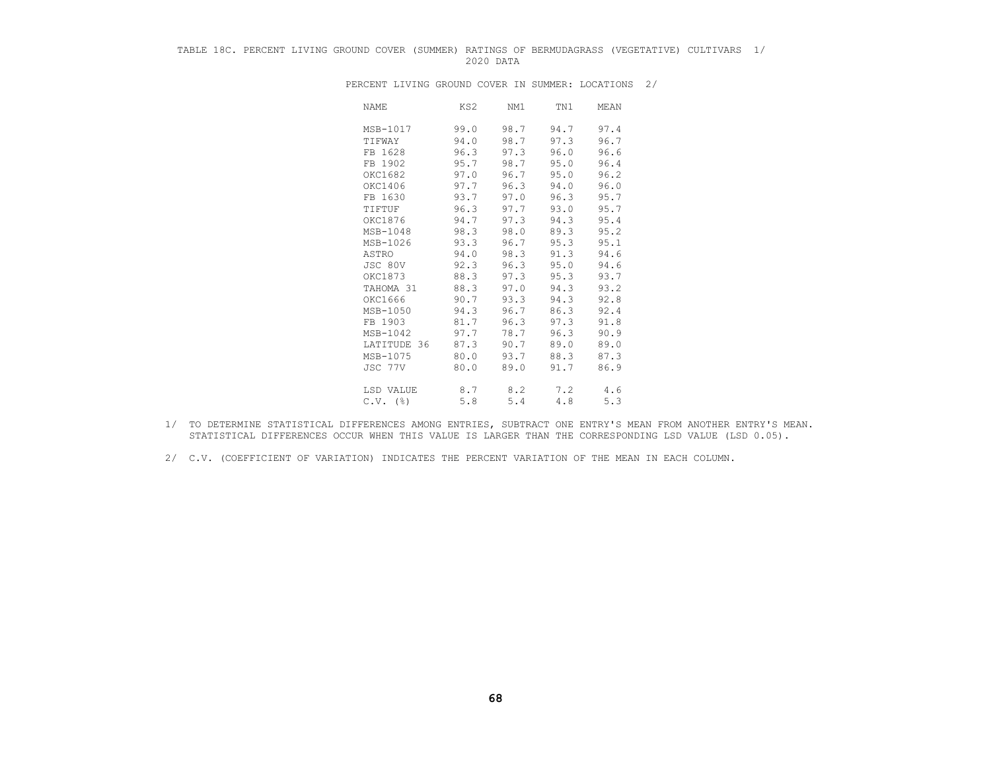## TABLE 18C. PERCENT LIVING GROUND COVER (SUMMER) RATINGS OF BERMUDAGRASS (VEGETATIVE) CULTIVARS 1/ 2020 DATA

| NAME                   | KS2  | NM1  | TN1  | MEAN |
|------------------------|------|------|------|------|
| MSB-1017               | 99.0 | 98.7 | 94.7 | 97.4 |
| TIFWAY                 | 94.0 | 98.7 | 97.3 | 96.7 |
| FB 1628                | 96.3 | 97.3 | 96.0 | 96.6 |
| FB 1902                | 95.7 | 98.7 | 95.0 | 96.4 |
| OKC1682                | 97.0 | 96.7 | 95.0 | 96.2 |
| OKC1406                | 97.7 | 96.3 | 94.0 | 96.0 |
| FB 1630                | 93.7 | 97.0 | 96.3 | 95.7 |
| TIFTUF                 | 96.3 | 97.7 | 93.0 | 95.7 |
| OKC1876                | 94.7 | 97.3 | 94.3 | 95.4 |
| MSB-1048               | 98.3 | 98.0 | 89.3 | 95.2 |
| MSB-1026               | 93.3 | 96.7 | 95.3 | 95.1 |
| ASTRO                  | 94.0 | 98.3 | 91.3 | 94.6 |
| JSC 80V                | 92.3 | 96.3 | 95.0 | 94.6 |
| OKC1873                | 88.3 | 97.3 | 95.3 | 93.7 |
| TAHOMA 31              | 88.3 | 97.0 | 94.3 | 93.2 |
| OKC1666                | 90.7 | 93.3 | 94.3 | 92.8 |
| MSB-1050               | 94.3 | 96.7 | 86.3 | 92.4 |
| FB 1903                | 81.7 | 96.3 | 97.3 | 91.8 |
| MSB-1042               | 97.7 | 78.7 | 96.3 | 90.9 |
| LATITUDE 36            | 87.3 | 90.7 | 89.0 | 89.0 |
| MSB-1075               | 80.0 | 93.7 | 88.3 | 87.3 |
| JSC 77V                | 80.0 | 89.0 | 91.7 | 86.9 |
| LSD VALUE              | 8.7  | 8.2  | 7.2  | 4.6  |
| $C.V.$ $(\frac{6}{6})$ | 5.8  | 5.4  | 4.8  | 5.3  |

PERCENT LIVING GROUND COVER IN SUMMER: LOCATIONS 2/

- 1/ TO DETERMINE STATISTICAL DIFFERENCES AMONG ENTRIES, SUBTRACT ONE ENTRY'S MEAN FROM ANOTHER ENTRY'S MEAN. STATISTICAL DIFFERENCES OCCUR WHEN THIS VALUE IS LARGER THAN THE CORRESPONDING LSD VALUE (LSD 0.05).
- 2/ C.V. (COEFFICIENT OF VARIATION) INDICATES THE PERCENT VARIATION OF THE MEAN IN EACH COLUMN.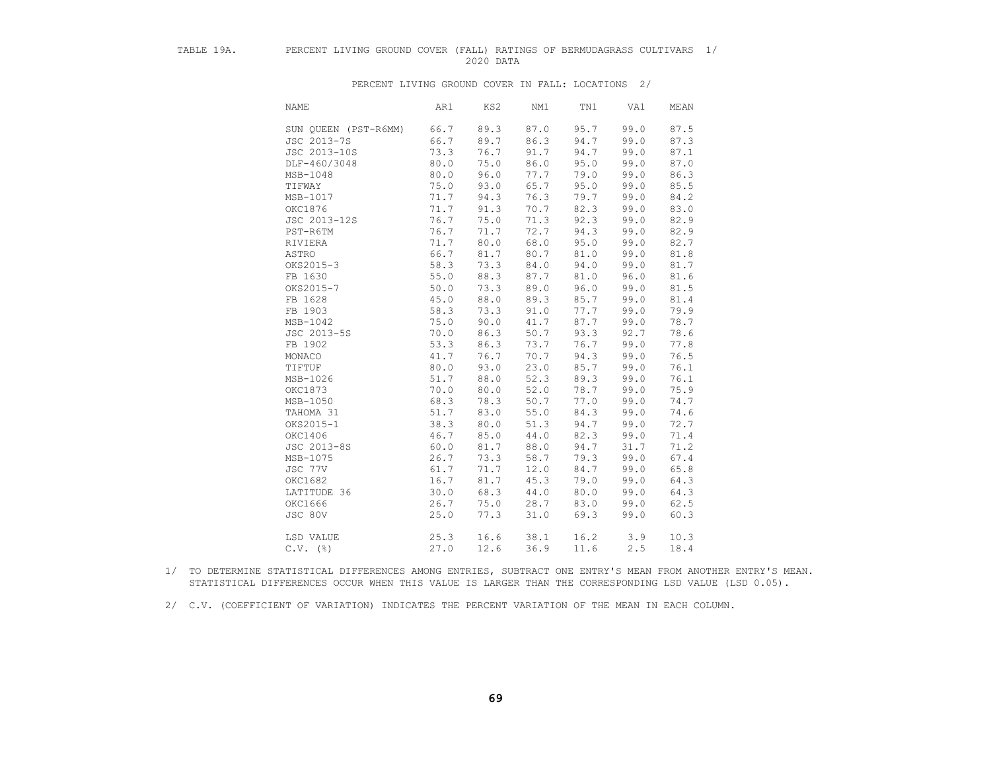## TABLE 19A. PERCENT LIVING GROUND COVER (FALL) RATINGS OF BERMUDAGRASS CULTIVARS 1/ 2020 DATA

PERCENT LIVING GROUND COVER IN FALL: LOCATIONS 2/

| <b>NAME</b>          | AR1  | KS2  | NM1  | TN1  | VA1  | $\operatorname{\mathsf{MEAN}}$ |
|----------------------|------|------|------|------|------|--------------------------------|
| SUN OUEEN (PST-R6MM) | 66.7 | 89.3 | 87.0 | 95.7 | 99.0 | 87.5                           |
| JSC 2013-7S          | 66.7 | 89.7 | 86.3 | 94.7 | 99.0 | 87.3                           |
| JSC 2013-10S         | 73.3 | 76.7 | 91.7 | 94.7 | 99.0 | 87.1                           |
| DLF-460/3048         | 80.0 | 75.0 | 86.0 | 95.0 | 99.0 | 87.0                           |
| MSB-1048             | 80.0 | 96.0 | 77.7 | 79.0 | 99.0 | 86.3                           |
| TIFWAY               | 75.0 | 93.0 | 65.7 | 95.0 | 99.0 | 85.5                           |
| MSB-1017             | 71.7 | 94.3 | 76.3 | 79.7 | 99.0 | 84.2                           |
| OKC1876              | 71.7 | 91.3 | 70.7 | 82.3 | 99.0 | 83.0                           |
| JSC 2013-12S         | 76.7 | 75.0 | 71.3 | 92.3 | 99.0 | 82.9                           |
| PST-R6TM             | 76.7 | 71.7 | 72.7 | 94.3 | 99.0 | 82.9                           |
| RIVIERA              | 71.7 | 80.0 | 68.0 | 95.0 | 99.0 | 82.7                           |
| ASTRO                | 66.7 | 81.7 | 80.7 | 81.0 | 99.0 | 81.8                           |
| OKS2015-3            | 58.3 | 73.3 | 84.0 | 94.0 | 99.0 | 81.7                           |
| FB 1630              | 55.0 | 88.3 | 87.7 | 81.0 | 96.0 | 81.6                           |
| OKS2015-7            | 50.0 | 73.3 | 89.0 | 96.0 | 99.0 | 81.5                           |
| FB 1628              | 45.0 | 88.0 | 89.3 | 85.7 | 99.0 | 81.4                           |
| FB 1903              | 58.3 | 73.3 | 91.0 | 77.7 | 99.0 | 79.9                           |
| MSB-1042             | 75.0 | 90.0 | 41.7 | 87.7 | 99.0 | 78.7                           |
| JSC 2013-5S          | 70.0 | 86.3 | 50.7 | 93.3 | 92.7 | 78.6                           |
| FB 1902              | 53.3 | 86.3 | 73.7 | 76.7 | 99.0 | 77.8                           |
| MONACO               | 41.7 | 76.7 | 70.7 | 94.3 | 99.0 | 76.5                           |
| TIFTUF               | 80.0 | 93.0 | 23.0 | 85.7 | 99.0 | 76.1                           |
| MSB-1026             | 51.7 | 88.0 | 52.3 | 89.3 | 99.0 | 76.1                           |
| OKC1873              | 70.0 | 80.0 | 52.0 | 78.7 | 99.0 | 75.9                           |
| MSB-1050             | 68.3 | 78.3 | 50.7 | 77.0 | 99.0 | 74.7                           |
| TAHOMA 31            | 51.7 | 83.0 | 55.0 | 84.3 | 99.0 | 74.6                           |
| OKS2015-1            | 38.3 | 80.0 | 51.3 | 94.7 | 99.0 | 72.7                           |
| OKC1406              | 46.7 | 85.0 | 44.0 | 82.3 | 99.0 | 71.4                           |
| JSC 2013-8S          | 60.0 | 81.7 | 88.0 | 94.7 | 31.7 | 71.2                           |
| MSB-1075             | 26.7 | 73.3 | 58.7 | 79.3 | 99.0 | 67.4                           |
| JSC 77V              | 61.7 | 71.7 | 12.0 | 84.7 | 99.0 | 65.8                           |
| OKC1682              | 16.7 | 81.7 | 45.3 | 79.0 | 99.0 | 64.3                           |
| LATITUDE 36          | 30.0 | 68.3 | 44.0 | 80.0 | 99.0 | 64.3                           |
| OKC1666              | 26.7 | 75.0 | 28.7 | 83.0 | 99.0 | 62.5                           |
| JSC 80V              | 25.0 | 77.3 | 31.0 | 69.3 | 99.0 | 60.3                           |
| LSD VALUE            | 25.3 | 16.6 | 38.1 | 16.2 | 3.9  | 10.3                           |
| $C.V.$ (%)           | 27.0 | 12.6 | 36.9 | 11.6 | 2.5  | 18.4                           |

 1/ TO DETERMINE STATISTICAL DIFFERENCES AMONG ENTRIES, SUBTRACT ONE ENTRY'S MEAN FROM ANOTHER ENTRY'S MEAN. STATISTICAL DIFFERENCES OCCUR WHEN THIS VALUE IS LARGER THAN THE CORRESPONDING LSD VALUE (LSD 0.05).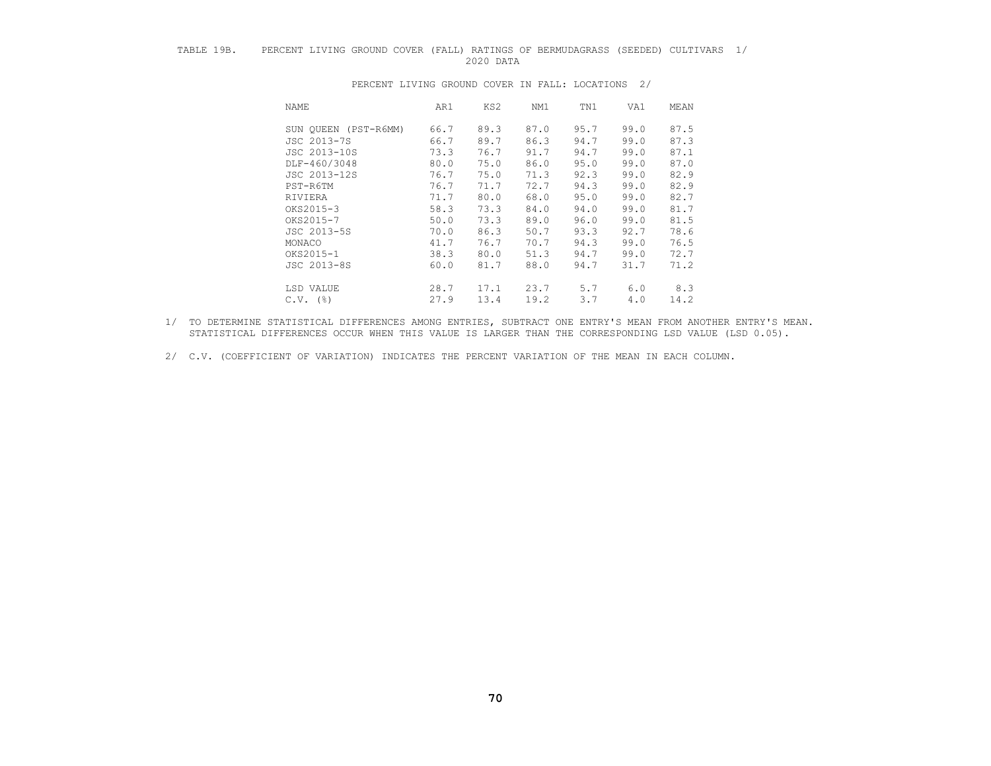## TABLE 19B. PERCENT LIVING GROUND COVER (FALL) RATINGS OF BERMUDAGRASS (SEEDED) CULTIVARS 1/ 2020 DATA

| NAME                 | AR1  | KS2  | NM1  | TN1  | VA1  | MEAN |
|----------------------|------|------|------|------|------|------|
| SUN QUEEN (PST-R6MM) | 66.7 | 89.3 | 87.0 | 95.7 | 99.0 | 87.5 |
| JSC 2013-7S          | 66.7 | 89.7 | 86.3 | 94.7 | 99.0 | 87.3 |
| JSC 2013-10S         | 73.3 | 76.7 | 91.7 | 94.7 | 99.0 | 87.1 |
| DLF-460/3048         | 80.0 | 75.0 | 86.0 | 95.0 | 99.0 | 87.0 |
| JSC 2013-12S         | 76.7 | 75.0 | 71.3 | 92.3 | 99.0 | 82.9 |
| PST-R6TM             | 76.7 | 71.7 | 72.7 | 94.3 | 99.0 | 82.9 |
| RIVIERA              | 71.7 | 80.0 | 68.0 | 95.0 | 99.0 | 82.7 |
| OKS2015-3            | 58.3 | 73.3 | 84.0 | 94.0 | 99.0 | 81.7 |
| OKS2015-7            | 50.0 | 73.3 | 89.0 | 96.0 | 99.0 | 81.5 |
| JSC 2013-5S          | 70.0 | 86.3 | 50.7 | 93.3 | 92.7 | 78.6 |
| MONACO               | 41.7 | 76.7 | 70.7 | 94.3 | 99.0 | 76.5 |
| OKS2015-1            | 38.3 | 80.0 | 51.3 | 94.7 | 99.0 | 72.7 |
| JSC 2013-8S          | 60.0 | 81.7 | 88.0 | 94.7 | 31.7 | 71.2 |
| LSD VALUE            | 28.7 | 17.1 | 23.7 | 5.7  | 6.0  | 8.3  |
| $C.V.$ (%)           | 27.9 | 13.4 | 19.2 | 3.7  | 4.0  | 14.2 |

PERCENT LIVING GROUND COVER IN FALL: LOCATIONS 2/

 1/ TO DETERMINE STATISTICAL DIFFERENCES AMONG ENTRIES, SUBTRACT ONE ENTRY'S MEAN FROM ANOTHER ENTRY'S MEAN. STATISTICAL DIFFERENCES OCCUR WHEN THIS VALUE IS LARGER THAN THE CORRESPONDING LSD VALUE (LSD 0.05).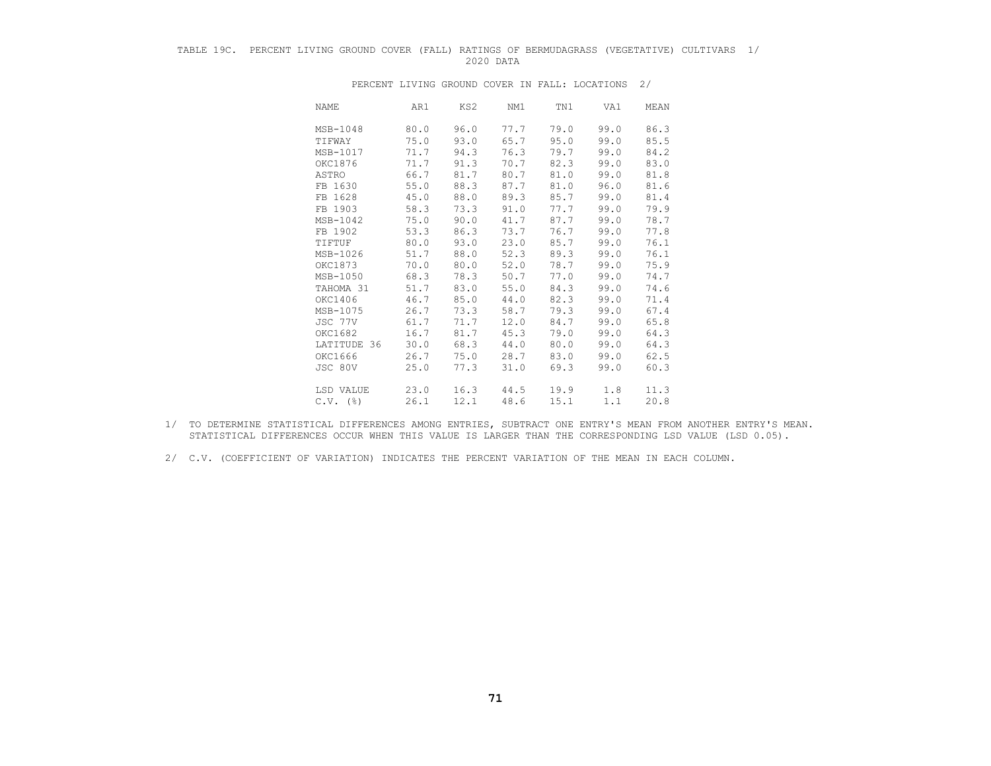## TABLE 19C. PERCENT LIVING GROUND COVER (FALL) RATINGS OF BERMUDAGRASS (VEGETATIVE) CULTIVARS 1/ 2020 DATA

| NAME             | AR1  | KS2  | NM1  | TN1  | VA1  | MEAN |
|------------------|------|------|------|------|------|------|
| MSB-1048         | 80.0 | 96.0 | 77.7 | 79.0 | 99.0 | 86.3 |
| TIFWAY           | 75.0 | 93.0 | 65.7 | 95.0 | 99.0 | 85.5 |
| MSB-1017         | 71.7 | 94.3 | 76.3 | 79.7 | 99.0 | 84.2 |
| OKC1876          | 71.7 | 91.3 | 70.7 | 82.3 | 99.0 | 83.0 |
| ASTRO            | 66.7 | 81.7 | 80.7 | 81.0 | 99.0 | 81.8 |
| FB 1630          | 55.0 | 88.3 | 87.7 | 81.0 | 96.0 | 81.6 |
| FB 1628          | 45.0 | 88.0 | 89.3 | 85.7 | 99.0 | 81.4 |
| FB 1903          | 58.3 | 73.3 | 91.0 | 77.7 | 99.0 | 79.9 |
| MSB-1042         | 75.0 | 90.0 | 41.7 | 87.7 | 99.0 | 78.7 |
| FB 1902          | 53.3 | 86.3 | 73.7 | 76.7 | 99.0 | 77.8 |
| TIFTUF           | 80.0 | 93.0 | 23.0 | 85.7 | 99.0 | 76.1 |
| MSB-1026         | 51.7 | 88.0 | 52.3 | 89.3 | 99.0 | 76.1 |
| OKC1873          | 70.0 | 80.0 | 52.0 | 78.7 | 99.0 | 75.9 |
| MSB-1050         | 68.3 | 78.3 | 50.7 | 77.0 | 99.0 | 74.7 |
| TAHOMA 31        | 51.7 | 83.0 | 55.0 | 84.3 | 99.0 | 74.6 |
| OKC1406          | 46.7 | 85.0 | 44.0 | 82.3 | 99.0 | 71.4 |
| MSB-1075         | 26.7 | 73.3 | 58.7 | 79.3 | 99.0 | 67.4 |
| JSC 77V          | 61.7 | 71.7 | 12.0 | 84.7 | 99.0 | 65.8 |
| OKC1682          | 16.7 | 81.7 | 45.3 | 79.0 | 99.0 | 64.3 |
| LATITUDE 36      | 30.0 | 68.3 | 44.0 | 80.0 | 99.0 | 64.3 |
| OKC1666          | 26.7 | 75.0 | 28.7 | 83.0 | 99.0 | 62.5 |
| JSC 80V          | 25.0 | 77.3 | 31.0 | 69.3 | 99.0 | 60.3 |
| LSD VALUE        | 23.0 | 16.3 | 44.5 | 19.9 | 1.8  | 11.3 |
| $C.V.$ ( $\})$ ) | 26.1 | 12.1 | 48.6 | 15.1 | 1.1  | 20.8 |

PERCENT LIVING GROUND COVER IN FALL: LOCATIONS 2/

- 1/ TO DETERMINE STATISTICAL DIFFERENCES AMONG ENTRIES, SUBTRACT ONE ENTRY'S MEAN FROM ANOTHER ENTRY'S MEAN. STATISTICAL DIFFERENCES OCCUR WHEN THIS VALUE IS LARGER THAN THE CORRESPONDING LSD VALUE (LSD 0.05).
- 2/ C.V. (COEFFICIENT OF VARIATION) INDICATES THE PERCENT VARIATION OF THE MEAN IN EACH COLUMN.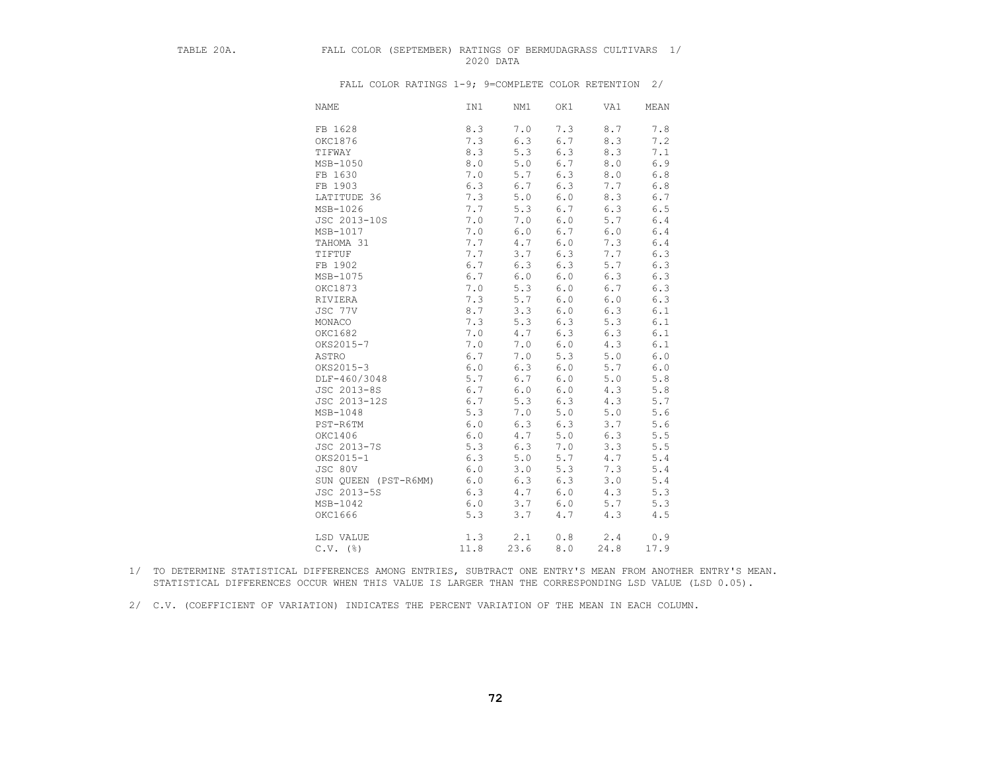## TABLE 20A. FALL COLOR (SEPTEMBER) RATINGS OF BERMUDAGRASS CULTIVARS 1/ 2020 DATA

| <b>NAME</b>          | IN1   | NM1     | OK1   | VA1   | MEAN    |
|----------------------|-------|---------|-------|-------|---------|
| FB 1628              | 8.3   | 7.0     | 7.3   | 8.7   | 7.8     |
| OKC1876              | 7.3   | 6.3     | 6.7   | 8.3   | 7.2     |
| TIFWAY               | 8.3   | 5.3     | 6.3   | 8.3   | 7.1     |
| MSB-1050             | $8.0$ | 5.0     | $6.7$ | $8.0$ | 6.9     |
| FB 1630              | 7.0   | $5.7$   | 6.3   | $8.0$ | $6.8$   |
| FB 1903              | 6.3   | $6.7$   | 6.3   | 7.7   | $6.8$   |
| LATITUDE 36          | 7.3   | $5.0$   | 6.0   | 8.3   | 6.7     |
| MSB-1026             | 7.7   | 5.3     | 6.7   | 6.3   | 6.5     |
| JSC 2013-10S         | 7.0   | 7.0     | 6.0   | 5.7   | $6.4$   |
| MSB-1017             | 7.0   | $6.0$   | 6.7   | $6.0$ | $6.4$   |
| TAHOMA 31            | 7.7   | 4.7     | 6.0   | 7.3   | $6.4$   |
| TIFTUF               | 7.7   | 3.7     | 6.3   | 7.7   | 6.3     |
| FB 1902              | 6.7   | 6.3     | 6.3   | 5.7   | 6.3     |
| MSB-1075             | 6.7   | $6.0$   | 6.0   | 6.3   | $6.3$   |
| OKC1873              | 7.0   | 5.3     | 6.0   | 6.7   | $6.3$   |
| RIVIERA              | 7.3   | 5.7     | 6.0   | $6.0$ | 6.3     |
| JSC 77V              | 8.7   | 3.3     | 6.0   | 6.3   | 6.1     |
| MONACO               | 7.3   | 5.3     | 6.3   | 5.3   | 6.1     |
| OKC1682              | 7.0   | 4.7     | 6.3   | 6.3   | 6.1     |
| OKS2015-7            | 7.0   | $7.0$   | 6.0   | 4.3   | 6.1     |
| ASTRO                | 6.7   | 7.0     | 5.3   | 5.0   | $6.0$   |
| OKS2015-3            | $6.0$ | 6.3     | $6.0$ | 5.7   | 6.0     |
| DLF-460/3048         | 5.7   | 6.7     | 6.0   | 5.0   | $5.8$   |
| JSC 2013-8S          | 6.7   | 6.0     | 6.0   | 4.3   | $5.8$   |
| JSC 2013-12S         | 6.7   | 5.3     | 6.3   | 4.3   | 5.7     |
| MSB-1048             | 5.3   | 7.0     | 5.0   | 5.0   | 5.6     |
| PST-R6TM             | 6.0   | 6.3     | 6.3   | 3.7   | 5.6     |
| OKC1406              | $6.0$ | 4.7     | $5.0$ | 6.3   | 5.5     |
| JSC 2013-7S          | 5.3   | 6.3     | 7.0   | 3.3   | $5.5$   |
| OKS2015-1            | 6.3   | 5.0     | 5.7   | 4.7   | $5.4\,$ |
| JSC 80V              | 6.0   | 3.0     | 5.3   | 7.3   | 5.4     |
| SUN QUEEN (PST-R6MM) | 6.0   | 6.3     | 6.3   | 3.0   | $5.4$   |
| JSC 2013-5S          | 6.3   | $4.7\,$ | 6.0   | 4.3   | 5.3     |
| MSB-1042             | $6.0$ | 3.7     | $6.0$ | 5.7   | 5.3     |
| OKC1666              | 5.3   | 3.7     | 4.7   | 4.3   | 4.5     |
| LSD VALUE            | 1.3   | 2.1     | 0.8   | 2.4   | 0.9     |
| $C.V.$ (%)           | 11.8  | 23.6    | 8.0   | 24.8  | 17.9    |

- 1/ TO DETERMINE STATISTICAL DIFFERENCES AMONG ENTRIES, SUBTRACT ONE ENTRY'S MEAN FROM ANOTHER ENTRY'S MEAN. STATISTICAL DIFFERENCES OCCUR WHEN THIS VALUE IS LARGER THAN THE CORRESPONDING LSD VALUE (LSD 0.05).
- 2/ C.V. (COEFFICIENT OF VARIATION) INDICATES THE PERCENT VARIATION OF THE MEAN IN EACH COLUMN.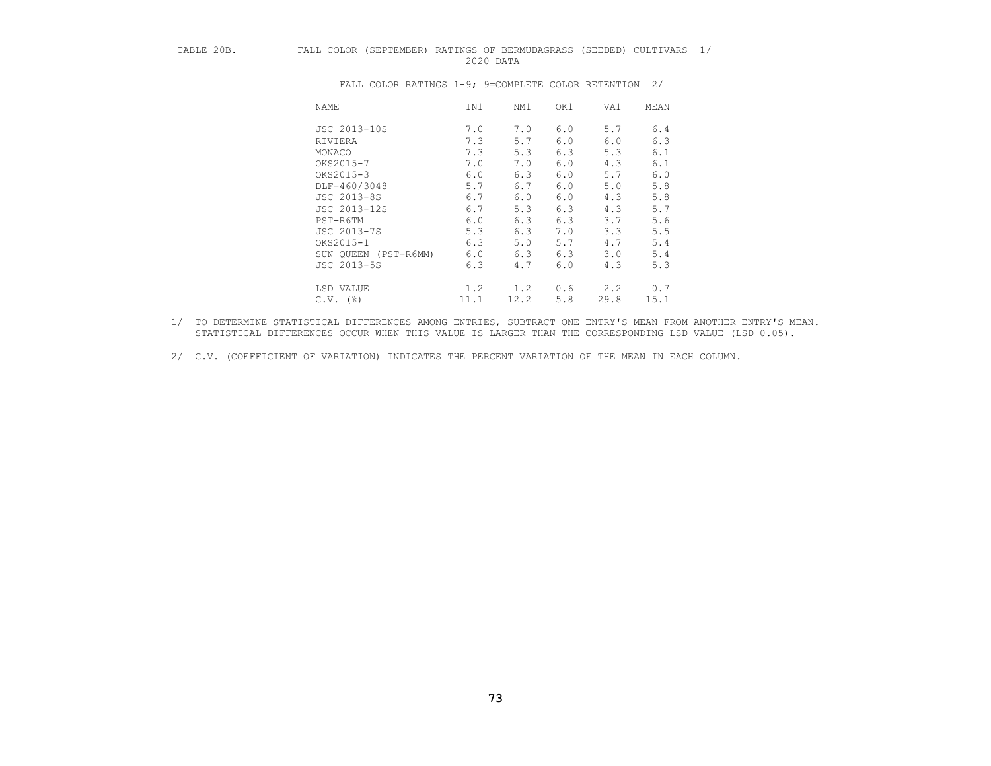## TABLE 20B. FALL COLOR (SEPTEMBER) RATINGS OF BERMUDAGRASS (SEEDED) CULTIVARS 1/ 2020 DATA

| <b>NAME</b>             | IN1  | NM1  | OK1 | VA1  | MEAN |
|-------------------------|------|------|-----|------|------|
| JSC 2013-10S            | 7.0  | 7.0  | 6.0 | 5.7  | 6.4  |
| RIVIERA                 | 7.3  | 5.7  | 6.0 | 6.0  | 6.3  |
| MONACO                  | 7.3  | 5.3  | 6.3 | 5.3  | 6.1  |
| OKS2015-7               | 7.0  | 7.0  | 6.0 | 4.3  | 6.1  |
| OKS2015-3               | 6.0  | 6.3  | 6.0 | 5.7  | 6.0  |
| DLF-460/3048            | 5.7  | 6.7  | 6.0 | 5.0  | 5.8  |
| JSC 2013-8S             | 6.7  | 6.0  | 6.0 | 4.3  | 5.8  |
| JSC 2013-12S            | 6.7  | 5.3  | 6.3 | 4.3  | 5.7  |
| PST-R6TM                | 6.0  | 6.3  | 6.3 | 3.7  | 5.6  |
| JSC 2013-7S             | 5.3  | 6.3  | 7.0 | 3.3  | 5.5  |
| OKS2015-1               | 6.3  | 5.0  | 5.7 | 4.7  | 5.4  |
| SUN OUEEN<br>(PST-R6MM) | 6.0  | 6.3  | 6.3 | 3.0  | 5.4  |
| JSC 2013-5S             | 6.3  | 4.7  | 6.0 | 4.3  | 5.3  |
| LSD VALUE               | 1.2  | 1.2  | 0.6 | 2, 2 | 0.7  |
| (응)<br>C.V.             | 11.1 | 12.2 | 5.8 | 29.8 | 15.1 |

- 1/ TO DETERMINE STATISTICAL DIFFERENCES AMONG ENTRIES, SUBTRACT ONE ENTRY'S MEAN FROM ANOTHER ENTRY'S MEAN. STATISTICAL DIFFERENCES OCCUR WHEN THIS VALUE IS LARGER THAN THE CORRESPONDING LSD VALUE (LSD 0.05).
- 2/ C.V. (COEFFICIENT OF VARIATION) INDICATES THE PERCENT VARIATION OF THE MEAN IN EACH COLUMN.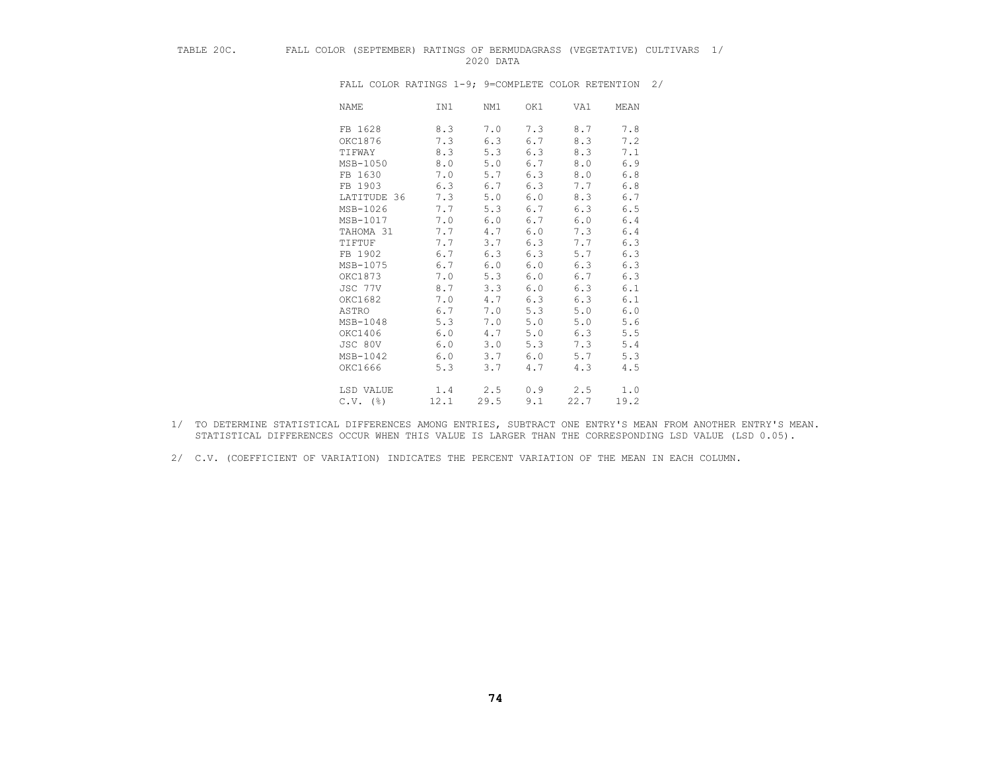## TABLE 20C. FALL COLOR (SEPTEMBER) RATINGS OF BERMUDAGRASS (VEGETATIVE) CULTIVARS 1/ 2020 DATA

| <b>NAME</b> | IN1  | NM1  | OK1 | VA1  | MEAN  |
|-------------|------|------|-----|------|-------|
| FB 1628     | 8.3  | 7.0  | 7.3 | 8.7  | 7.8   |
| OKC1876     | 7.3  | 6.3  | 6.7 | 8.3  | 7.2   |
| TIFWAY      | 8.3  | 5.3  | 6.3 | 8.3  | 7.1   |
| MSB-1050    | 8.0  | 5.0  | 6.7 | 8.0  | 6.9   |
| FB 1630     | 7.0  | 5.7  | 6.3 | 8.0  | 6.8   |
| FB 1903     | 6.3  | 6.7  | 6.3 | 7.7  | $6.8$ |
| LATITUDE 36 | 7.3  | 5.0  | 6.0 | 8.3  | 6.7   |
| MSB-1026    | 7.7  | 5.3  | 6.7 | 6.3  | 6.5   |
| MSB-1017    | 7.0  | 6.0  | 6.7 | 6.0  | 6.4   |
| TAHOMA 31   | 7.7  | 4.7  | 6.0 | 7.3  | 6.4   |
| TIFTUF      | 7.7  | 3.7  | 6.3 | 7.7  | 6.3   |
| FB 1902     | 6.7  | 6.3  | 6.3 | 5.7  | 6.3   |
| MSB-1075    | 6.7  | 6.0  | 6.0 | 6.3  | 6.3   |
| OKC1873     | 7.0  | 5.3  | 6.0 | 6.7  | 6.3   |
| JSC 77V     | 8.7  | 3.3  | 6.0 | 6.3  | 6.1   |
| OKC1682     | 7.0  | 4.7  | 6.3 | 6.3  | 6.1   |
| ASTRO       | 6.7  | 7.0  | 5.3 | 5.0  | $6.0$ |
| MSB-1048    | 5.3  | 7.0  | 5.0 | 5.0  | 5.6   |
| OKC1406     | 6.0  | 4.7  | 5.0 | 6.3  | 5.5   |
| JSC 80V     | 6.0  | 3.0  | 5.3 | 7.3  | 5.4   |
| MSB-1042    | 6.0  | 3.7  | 6.0 | 5.7  | 5.3   |
| OKC1666     | 5.3  | 3.7  | 4.7 | 4.3  | 4.5   |
| LSD VALUE   | 1.4  | 2.5  | 0.9 | 2.5  | 1.0   |
| $C.V.$ (%)  | 12.1 | 29.5 | 9.1 | 22.7 | 19.2  |

- 1/ TO DETERMINE STATISTICAL DIFFERENCES AMONG ENTRIES, SUBTRACT ONE ENTRY'S MEAN FROM ANOTHER ENTRY'S MEAN. STATISTICAL DIFFERENCES OCCUR WHEN THIS VALUE IS LARGER THAN THE CORRESPONDING LSD VALUE (LSD 0.05).
- 2/ C.V. (COEFFICIENT OF VARIATION) INDICATES THE PERCENT VARIATION OF THE MEAN IN EACH COLUMN.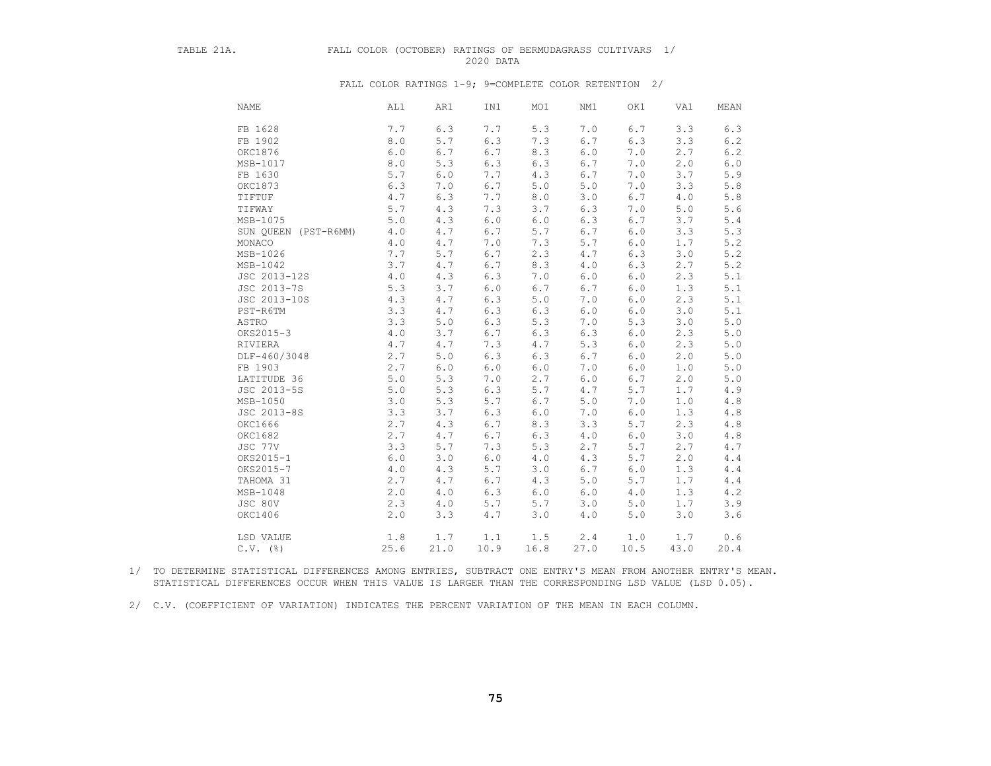## TABLE 21A. FALL COLOR (OCTOBER) RATINGS OF BERMUDAGRASS CULTIVARS 1/ 2020 DATA

FALL COLOR RATINGS 1-9; 9=COMPLETE COLOR RETENTION 2/

| <b>NAME</b>          | AL1     | AR1     | IN1     | MO1   | NM1       | OK1   | VA1       | MEAN         |
|----------------------|---------|---------|---------|-------|-----------|-------|-----------|--------------|
| FB 1628              | 7.7     | 6.3     | 7.7     | 5.3   | 7.0       | 6.7   | 3.3       | 6.3          |
| FB 1902              | 8.0     | 5.7     | 6.3     | 7.3   | 6.7       | 6.3   | 3.3       | $6.2\,$      |
| OKC1876              | 6.0     | 6.7     | 6.7     | 8.3   | 6.0       | 7.0   | 2.7       | 6.2          |
| MSB-1017             | 8.0     | 5.3     | 6.3     | 6.3   | 6.7       | 7.0   | 2.0       | $6.0\,$      |
| FB 1630              | 5.7     | $6.0$   | 7.7     | 4.3   | 6.7       | 7.0   | 3.7       | 5.9          |
| OKC1873              | 6.3     | 7.0     | 6.7     | $5.0$ | $5.0$     | 7.0   | 3.3       | $5.8\,$      |
| TIFTUF               | $4\,.7$ | 6.3     | 7.7     | $8.0$ | 3.0       | 6.7   | 4.0       | $5.8\,$      |
| TIFWAY               | 5.7     | 4.3     | 7.3     | 3.7   | 6.3       | 7.0   | 5.0       | $5.6$        |
| MSB-1075             | 5.0     | 4.3     | $6.0$   | $6.0$ | 6.3       | 6.7   | 3.7       | $5.4$        |
| SUN QUEEN (PST-R6MM) | 4.0     | 4.7     | 6.7     | 5.7   | 6.7       | $6.0$ | 3.3       | 5.3          |
| MONACO               | 4.0     | 4.7     | 7.0     | 7.3   | 5.7       | $6.0$ | 1.7       | 5.2          |
| MSB-1026             | 7.7     | $5.7$   | $6.7$   | 2.3   | 4.7       | 6.3   | 3.0       | $5.2\,$      |
| MSB-1042             | 3.7     | 4.7     | 6.7     | 8.3   | 4.0       | 6.3   | 2.7       | $5.2\,$      |
| JSC 2013-12S         | 4.0     | 4.3     | 6.3     | 7.0   | $6.0$     | $6.0$ | 2.3       | 5.1          |
| JSC 2013-7S          | 5.3     | 3.7     | $6.0$   | 6.7   | 6.7       | $6.0$ | 1.3       | $5.1\,$      |
| JSC 2013-10S         | 4.3     | 4.7     | 6.3     | $5.0$ | 7.0       | $6.0$ | 2.3       | $5.1\,$      |
| PST-R6TM             | 3.3     | 4.7     | 6.3     | 6.3   | $6.0$     | $6.0$ | 3.0       | 5.1          |
| ASTRO                | 3.3     | $5.0$   | 6.3     | 5.3   | 7.0       | 5.3   | 3.0       | $5.0$        |
| OKS2015-3            | 4.0     | 3.7     | 6.7     | 6.3   | 6.3       | $6.0$ | 2.3       | $5.0$        |
| RIVIERA              | $4.7$   | 4.7     | 7.3     | 4.7   | 5.3       | $6.0$ | 2.3       | $5.0$        |
| DLF-460/3048         | 2.7     | $5.0$   | 6.3     | 6.3   | 6.7       | $6.0$ | 2.0       | 5.0          |
| FB 1903              | 2.7     | $6.0$   | $6.0$   | $6.0$ | 7.0       | $6.0$ | 1.0       | $5.0$        |
| LATITUDE 36          | 5.0     | 5.3     | 7.0     | 2.7   | 6.0       | 6.7   | $2\,.\,0$ | $5.0$        |
| JSC 2013-5S          | $5.0$   | 5.3     | 6.3     | 5.7   | 4.7       | 5.7   | 1.7       | $4.9\,$      |
| MSB-1050             | 3.0     | 5.3     | 5.7     | 6.7   | 5.0       | 7.0   | 1.0       | $4\,.8$      |
| JSC 2013-8S          | 3.3     | 3.7     | 6.3     | $6.0$ | 7.0       | $6.0$ | 1.3       | $4\,.8$      |
| OKC1666              | 2.7     | 4.3     | 6.7     | 8.3   | 3.3       | 5.7   | 2.3       | $4\ .\ 8$    |
| OKC1682              | 2.7     | $4.7\,$ | 6.7     | 6.3   | $4.0$     | $6.0$ | 3.0       | $4\ .\ 8$    |
| JSC 77V              | 3.3     | 5.7     | 7.3     | 5.3   | 2.7       | 5.7   | 2.7       | 4.7          |
| OKS2015-1            | $6.0$   | 3.0     | $6.0$   | $4.0$ | 4.3       | 5.7   | 2.0       | $4\,\ldotp4$ |
| OKS2015-7            | 4.0     | 4.3     | 5.7     | 3.0   | 6.7       | $6.0$ | 1.3       | $4\,\ldotp4$ |
| TAHOMA 31            | 2.7     | 4.7     | 6.7     | 4.3   | $5.0$     | 5.7   | 1.7       | $4.4$        |
| MSB-1048             | 2.0     | 4.0     | 6.3     | $6.0$ | 6.0       | 4.0   | 1.3       | 4.2          |
| JSC 80V              | 2.3     | $4.0$   | 5.7     | 5.7   | 3.0       | $5.0$ | 1.7       | 3.9          |
| OKC1406              | 2.0     | 3.3     | $4\,.7$ | 3.0   | $4\ .\ 0$ | $5.0$ | 3.0       | 3.6          |
| LSD VALUE            | 1.8     | 1.7     | 1.1     | 1.5   | 2.4       | 1.0   | 1.7       | 0.6          |
| $C.V.$ (%)           | 25.6    | 21.0    | 10.9    | 16.8  | 27.0      | 10.5  | 43.0      | 20.4         |

 1/ TO DETERMINE STATISTICAL DIFFERENCES AMONG ENTRIES, SUBTRACT ONE ENTRY'S MEAN FROM ANOTHER ENTRY'S MEAN. STATISTICAL DIFFERENCES OCCUR WHEN THIS VALUE IS LARGER THAN THE CORRESPONDING LSD VALUE (LSD 0.05).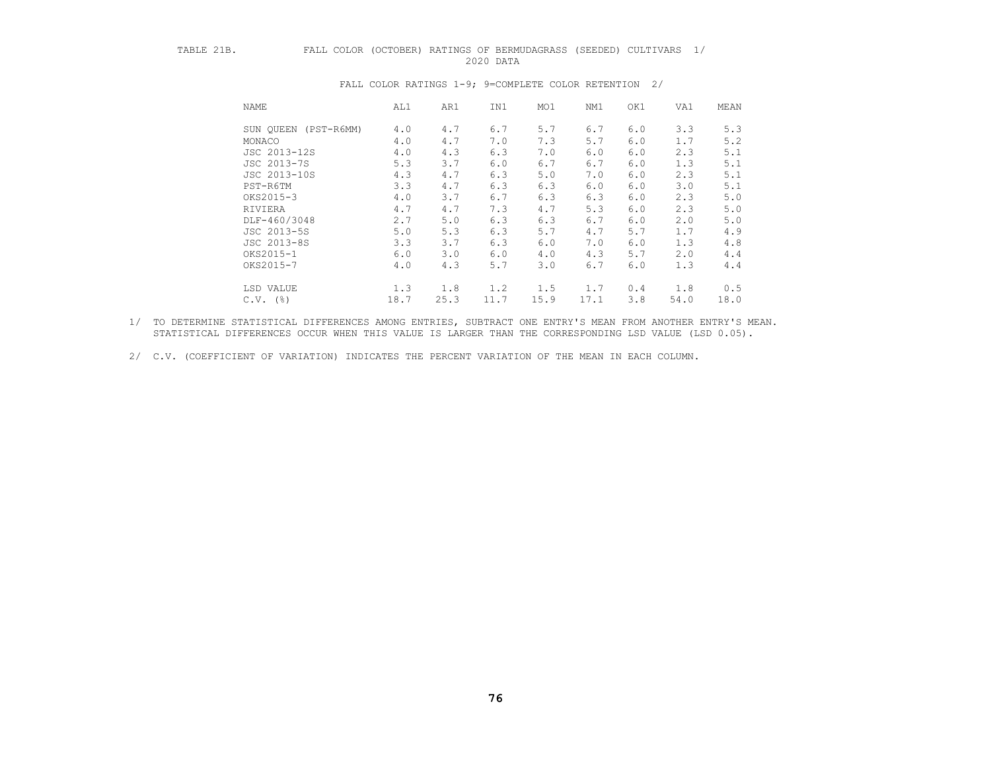## TABLE 21B. FALL COLOR (OCTOBER) RATINGS OF BERMUDAGRASS (SEEDED) CULTIVARS 1/ 2020 DATA

| NAME                    | AL1  | AR1  | IN1  | MO1  | NM1  | OK1 | VA1  | MEAN |
|-------------------------|------|------|------|------|------|-----|------|------|
| (PST-R6MM)<br>SUN OUEEN | 4.0  | 4.7  | 6.7  | 5.7  | 6.7  | 6.0 | 3.3  | 5.3  |
| MONACO                  | 4.0  | 4.7  | 7.0  | 7.3  | 5.7  | 6.0 | 1.7  | 5.2  |
| JSC 2013-12S            | 4.0  | 4.3  | 6.3  | 7.0  | 6.0  | 6.0 | 2.3  | 5.1  |
| JSC 2013-7S             | 5.3  | 3.7  | 6.0  | 6.7  | 6.7  | 6.0 | 1.3  | 5.1  |
| JSC 2013-10S            | 4.3  | 4.7  | 6.3  | 5.0  | 7.0  | 6.0 | 2.3  | 5.1  |
| PST-R6TM                | 3.3  | 4.7  | 6.3  | 6.3  | 6.0  | 6.0 | 3.0  | 5.1  |
| OKS2015-3               | 4.0  | 3.7  | 6.7  | 6.3  | 6.3  | 6.0 | 2.3  | 5.0  |
| RIVIERA                 | 4.7  | 4.7  | 7.3  | 4.7  | 5.3  | 6.0 | 2.3  | 5.0  |
| DLF-460/3048            | 2.7  | 5.0  | 6.3  | 6.3  | 6.7  | 6.0 | 2.0  | 5.0  |
| JSC 2013-5S             | 5.0  | 5.3  | 6.3  | 5.7  | 4.7  | 5.7 | 1.7  | 4.9  |
| JSC 2013-8S             | 3.3  | 3.7  | 6.3  | 6.0  | 7.0  | 6.0 | 1.3  | 4.8  |
| OKS2015-1               | 6.0  | 3.0  | 6.0  | 4.0  | 4.3  | 5.7 | 2.0  | 4.4  |
| OKS2015-7               | 4.0  | 4.3  | 5.7  | 3.0  | 6.7  | 6.0 | 1.3  | 4.4  |
| LSD VALUE               | 1.3  | 1.8  | 1.2  | 1.5  | 1.7  | 0.4 | 1.8  | 0.5  |
| $C.V.$ (%)              | 18.7 | 25.3 | 11.7 | 15.9 | 17.1 | 3.8 | 54.0 | 18.0 |

#### FALL COLOR RATINGS 1-9; 9=COMPLETE COLOR RETENTION 2/

 1/ TO DETERMINE STATISTICAL DIFFERENCES AMONG ENTRIES, SUBTRACT ONE ENTRY'S MEAN FROM ANOTHER ENTRY'S MEAN. STATISTICAL DIFFERENCES OCCUR WHEN THIS VALUE IS LARGER THAN THE CORRESPONDING LSD VALUE (LSD 0.05).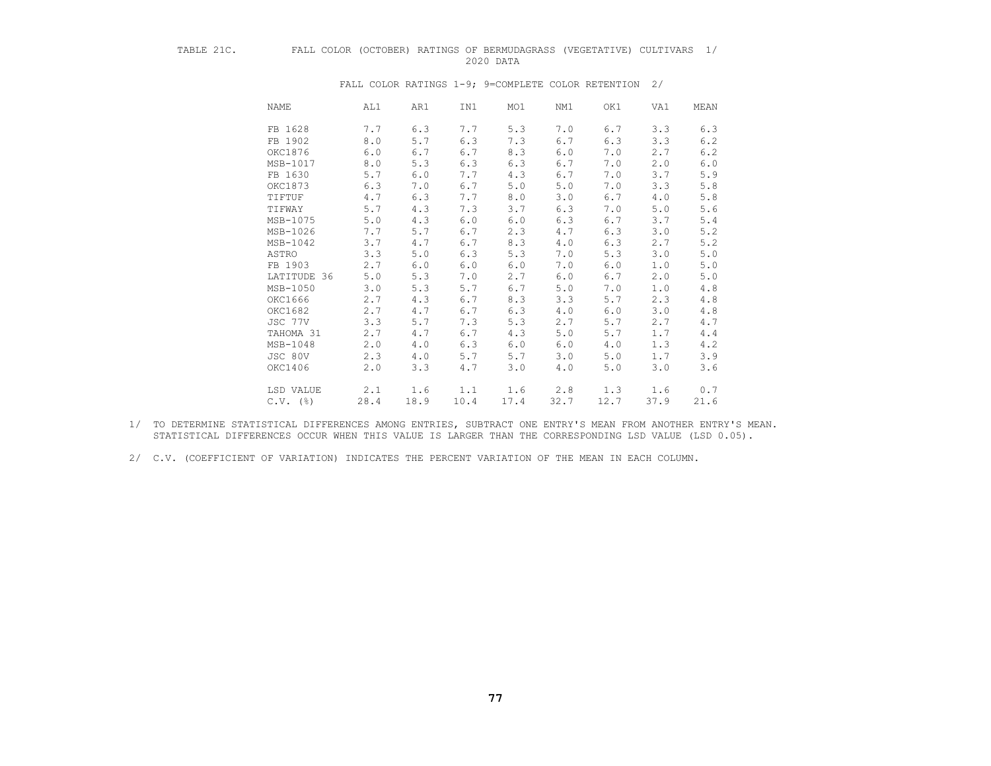## TABLE 21C. FALL COLOR (OCTOBER) RATINGS OF BERMUDAGRASS (VEGETATIVE) CULTIVARS 1/ 2020 DATA

| <b>NAME</b> | AL1  | AR1  | IN1  | MO1  | NM1  | OK1  | VA1  | MEAN |
|-------------|------|------|------|------|------|------|------|------|
| FB 1628     | 7.7  | 6.3  | 7.7  | 5.3  | 7.0  | 6.7  | 3.3  | 6.3  |
| FB 1902     | 8.0  | 5.7  | 6.3  | 7.3  | 6.7  | 6.3  | 3.3  | 6.2  |
| OKC1876     | 6.0  | 6.7  | 6.7  | 8.3  | 6.0  | 7.0  | 2.7  | 6.2  |
| MSB-1017    | 8.0  | 5.3  | 6.3  | 6.3  | 6.7  | 7.0  | 2.0  | 6.0  |
| FB 1630     | 5.7  | 6.0  | 7.7  | 4.3  | 6.7  | 7.0  | 3.7  | 5.9  |
| OKC1873     | 6.3  | 7.0  | 6.7  | 5.0  | 5.0  | 7.0  | 3.3  | 5.8  |
| TIFTUF      | 4.7  | 6.3  | 7.7  | 8.0  | 3.0  | 6.7  | 4.0  | 5.8  |
| TIFWAY      | 5.7  | 4.3  | 7.3  | 3.7  | 6.3  | 7.0  | 5.0  | 5.6  |
| MSB-1075    | 5.0  | 4.3  | 6.0  | 6.0  | 6.3  | 6.7  | 3.7  | 5.4  |
| MSB-1026    | 7.7  | 5.7  | 6.7  | 2.3  | 4.7  | 6.3  | 3.0  | 5.2  |
| MSB-1042    | 3.7  | 4.7  | 6.7  | 8.3  | 4.0  | 6.3  | 2.7  | 5.2  |
| ASTRO       | 3.3  | 5.0  | 6.3  | 5.3  | 7.0  | 5.3  | 3.0  | 5.0  |
| FB 1903     | 2.7  | 6.0  | 6.0  | 6.0  | 7.0  | 6.0  | 1.0  | 5.0  |
| LATITUDE 36 | 5.0  | 5.3  | 7.0  | 2.7  | 6.0  | 6.7  | 2.0  | 5.0  |
| MSB-1050    | 3.0  | 5.3  | 5.7  | 6.7  | 5.0  | 7.0  | 1.0  | 4.8  |
| OKC1666     | 2.7  | 4.3  | 6.7  | 8.3  | 3.3  | 5.7  | 2.3  | 4.8  |
| OKC1682     | 2.7  | 4.7  | 6.7  | 6.3  | 4.0  | 6.0  | 3.0  | 4.8  |
| JSC 77V     | 3.3  | 5.7  | 7.3  | 5.3  | 2.7  | 5.7  | 2.7  | 4.7  |
| TAHOMA 31   | 2.7  | 4.7  | 6.7  | 4.3  | 5.0  | 5.7  | 1.7  | 4.4  |
| MSB-1048    | 2.0  | 4.0  | 6.3  | 6.0  | 6.0  | 4.0  | 1.3  | 4.2  |
| JSC 80V     | 2.3  | 4.0  | 5.7  | 5.7  | 3.0  | 5.0  | 1.7  | 3.9  |
| OKC1406     | 2.0  | 3.3  | 4.7  | 3.0  | 4.0  | 5.0  | 3.0  | 3.6  |
| LSD VALUE   | 2.1  | 1.6  | 1.1  | 1.6  | 2.8  | 1.3  | 1.6  | 0.7  |
| $C.V.$ (%)  | 28.4 | 18.9 | 10.4 | 17.4 | 32.7 | 12.7 | 37.9 | 21.6 |

FALL COLOR RATINGS 1-9; 9=COMPLETE COLOR RETENTION 2/

 1/ TO DETERMINE STATISTICAL DIFFERENCES AMONG ENTRIES, SUBTRACT ONE ENTRY'S MEAN FROM ANOTHER ENTRY'S MEAN. STATISTICAL DIFFERENCES OCCUR WHEN THIS VALUE IS LARGER THAN THE CORRESPONDING LSD VALUE (LSD 0.05).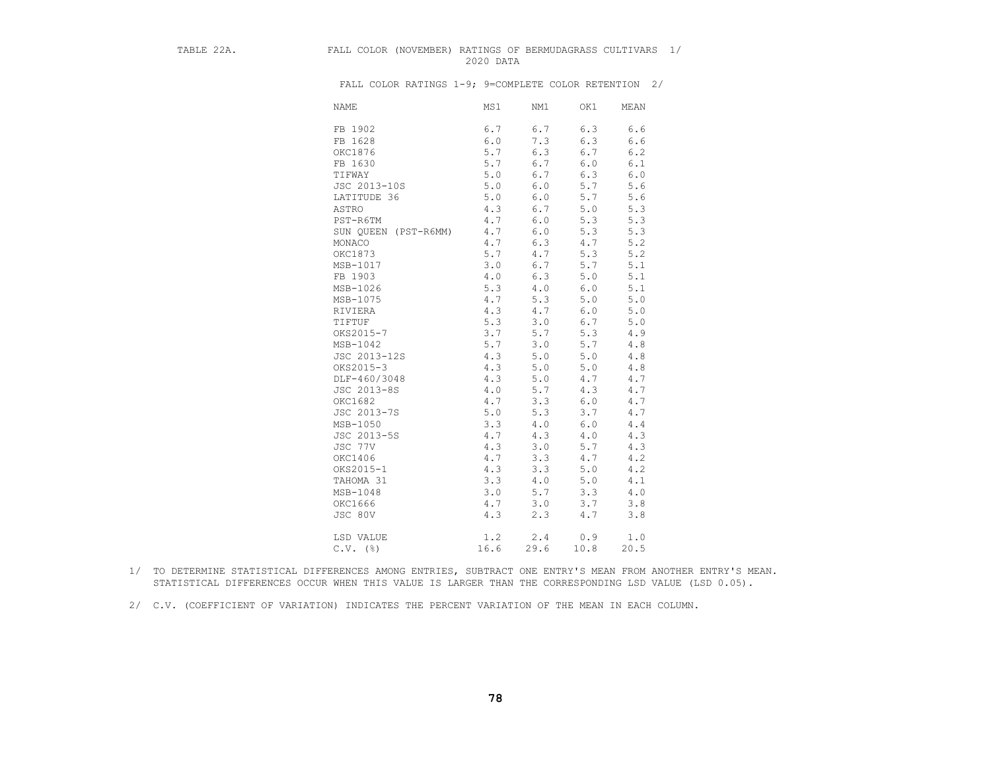## TABLE 22A. FALL COLOR (NOVEMBER) RATINGS OF BERMUDAGRASS CULTIVARS 1/ 2020 DATA

| <b>NAME</b>  | MS1                         | NM1   | OK1   | MEAN  |
|--------------|-----------------------------|-------|-------|-------|
| FB 1902      | 6.7                         | 6.7   | 6.3   | 6.6   |
| FB 1628      | 6.0                         | 7.3   | 6.3   | 6.6   |
| OKC1876      | 5.7                         | 6.3   | 6.7   | 6.2   |
| FB 1630      | 5.7                         | 6.7   | $6.0$ | 6.1   |
| TIFWAY       | 5.0                         | 6.7   | 6.3   | $6.0$ |
| JSC 2013-10S | 5.0                         | 6.0   | 5.7   | 5.6   |
| LATITUDE 36  | 5.0                         | 6.0   | 5.7   | 5.6   |
| ASTRO        | 4.3                         | 6.7   | 5.0   | 5.3   |
| PST-R6TM     | 4.7                         | $6.0$ | 5.3   | 5.3   |
|              | 4.7<br>SUN QUEEN (PST-R6MM) | 6.0   | 5.3   | 5.3   |
| MONACO       | 4.7                         | 6.3   | 4.7   | 5.2   |
| OKC1873      | 5.7                         | 4.7   | 5.3   | 5.2   |
| MSB-1017     | 3.0                         | 6.7   | 5.7   | 5.1   |
| FB 1903      | 4.0                         | 6.3   | 5.0   | 5.1   |
| MSB-1026     | 5.3                         | 4.0   | 6.0   | 5.1   |
| MSB-1075     | 4.7                         | 5.3   | $5.0$ | 5.0   |
| RIVIERA      | 4.3                         | 4.7   | $6.0$ | 5.0   |
| TIFTUF       | 5.3                         | 3.0   | 6.7   | $5.0$ |
| OKS2015-7    | 3.7                         | 5.7   | 5.3   | 4.9   |
| MSB-1042     | 5.7                         | 3.0   | 5.7   | 4.8   |
| JSC 2013-12S | 4.3                         | 5.0   | 5.0   | $4.8$ |
| OKS2015-3    | 4.3                         | 5.0   | 5.0   | 4.8   |
| DLF-460/3048 | 4.3                         | 5.0   | 4.7   | 4.7   |
| JSC 2013-8S  | 4.0                         | 5.7   | 4.3   | 4.7   |
| OKC1682      | 4.7                         | 3.3   | $6.0$ | 4.7   |
| JSC 2013-7S  | 5.0                         | 5.3   | 3.7   | 4.7   |
| MSB-1050     | 3.3                         | 4.0   | 6.0   | 4.4   |
| JSC 2013-5S  | 4.7                         | 4.3   | 4.0   | 4.3   |
| JSC 77V      | 4.3                         | 3.0   | 5.7   | 4.3   |
| OKC1406      | 4.7                         | 3.3   | 4.7   | 4.2   |
| OKS2015-1    | 4.3                         | 3.3   | 5.0   | 4.2   |
| TAHOMA 31    | 3.3                         | $4.0$ | 5.0   | 4.1   |
| MSB-1048     | 3.0                         | 5.7   | 3.3   | 4.0   |
| OKC1666      | 4.7                         | 3.0   | 3.7   | 3.8   |
| JSC 80V      | 4.3                         | 2.3   | 4.7   | 3.8   |
| LSD VALUE    | 1.2                         | 2.4   | 0.9   | 1.0   |
| $C.V.$ (%)   | 16.6                        | 29.6  | 10.8  | 20.5  |

- 1/ TO DETERMINE STATISTICAL DIFFERENCES AMONG ENTRIES, SUBTRACT ONE ENTRY'S MEAN FROM ANOTHER ENTRY'S MEAN. STATISTICAL DIFFERENCES OCCUR WHEN THIS VALUE IS LARGER THAN THE CORRESPONDING LSD VALUE (LSD 0.05).
- 2/ C.V. (COEFFICIENT OF VARIATION) INDICATES THE PERCENT VARIATION OF THE MEAN IN EACH COLUMN.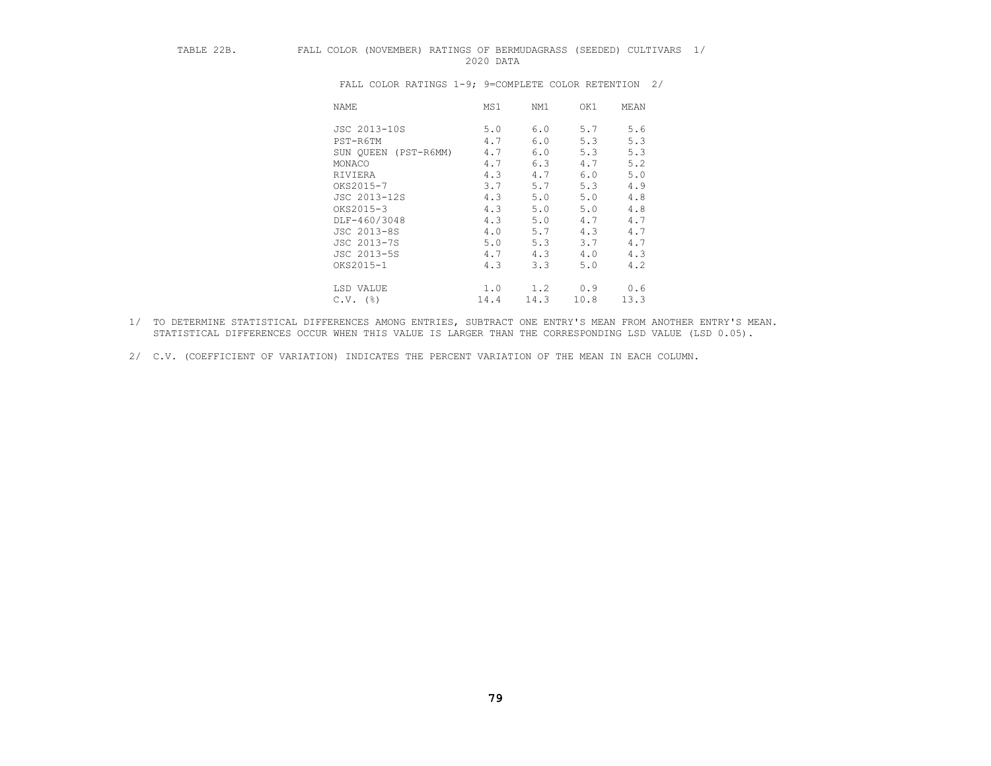## TABLE 22B. FALL COLOR (NOVEMBER) RATINGS OF BERMUDAGRASS (SEEDED) CULTIVARS 1/ 2020 DATA

| NAME                    | MS1  | NM1  | OK1  | MEAN |
|-------------------------|------|------|------|------|
| JSC 2013-10S            | 5.0  | 6.0  | 5.7  | 5.6  |
| PST-R6TM                | 4.7  | 6.0  | 5.3  | 5.3  |
| SUN QUEEN<br>(PST-R6MM) | 4.7  | 6.0  | 5.3  | 5.3  |
| MONACO                  | 4.7  | 6.3  | 4.7  | 5.2  |
| RIVIERA                 | 4.3  | 4.7  | 6.0  | 5.0  |
| OKS2015-7               | 3.7  | 5.7  | 5.3  | 4.9  |
| JSC 2013-12S            | 4.3  | 5.0  | 5.0  | 4.8  |
| OKS2015-3               | 4.3  | 5.0  | 5.0  | 4.8  |
| DLF-460/3048            | 4.3  | 5.0  | 4.7  | 4.7  |
| JSC 2013-8S             | 4.0  | 5.7  | 4.3  | 4.7  |
| JSC 2013-7S             | 5.0  | 5.3  | 3.7  | 4.7  |
| JSC 2013-5S             | 4.7  | 4.3  | 4.0  | 4.3  |
| OKS2015-1               | 4.3  | 3.3  | 5.0  | 4.2  |
| LSD VALUE               | 1.0  | 1.2  | 0.9  | 0.6  |
| $C.V.$ (%)              | 14.4 | 14.3 | 10.8 | 13.3 |

- 1/ TO DETERMINE STATISTICAL DIFFERENCES AMONG ENTRIES, SUBTRACT ONE ENTRY'S MEAN FROM ANOTHER ENTRY'S MEAN. STATISTICAL DIFFERENCES OCCUR WHEN THIS VALUE IS LARGER THAN THE CORRESPONDING LSD VALUE (LSD 0.05).
- 2/ C.V. (COEFFICIENT OF VARIATION) INDICATES THE PERCENT VARIATION OF THE MEAN IN EACH COLUMN.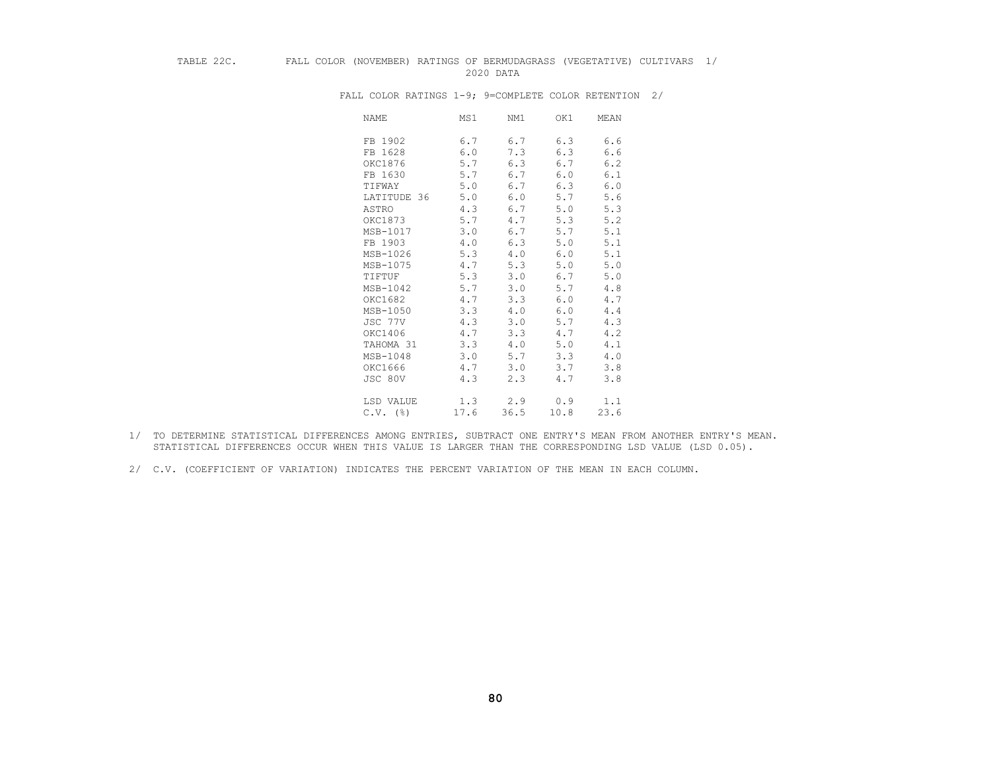## TABLE 22C. FALL COLOR (NOVEMBER) RATINGS OF BERMUDAGRASS (VEGETATIVE) CULTIVARS 1/ 2020 DATA

| NAME                   | MS1  | NM1  | OK1  | MEAN |
|------------------------|------|------|------|------|
| FB 1902                | 6.7  | 6.7  | 6.3  | 6.6  |
| FB 1628                | 6.0  | 7.3  | 6.3  | 6.6  |
| OKC1876                | 5.7  | 6.3  | 6.7  | 6.2  |
| FB 1630                | 5.7  | 6.7  | 6.0  | 6.1  |
| TIFWAY                 | 5.0  | 6.7  | 6.3  | 6.0  |
| LATITUDE 36            | 5.0  | 6.0  | 5.7  | 5.6  |
| ASTRO                  | 4.3  | 6.7  | 5.0  | 5.3  |
| OKC1873                | 5.7  | 4.7  | 5.3  | 5.2  |
| MSB-1017               | 3.0  | 6.7  | 5.7  | 5.1  |
| FB 1903                | 4.0  | 6.3  | 5.0  | 5.1  |
| MSB-1026               | 5.3  | 4.0  | 6.0  | 5.1  |
| MSB-1075               | 4.7  | 5.3  | 5.0  | 5.0  |
| TIFTUF                 | 5.3  | 3.0  | 6.7  | 5.0  |
| MSB-1042               | 5.7  | 3.0  | 5.7  | 4.8  |
| OKC1682                | 4.7  | 3.3  | 6.0  | 4.7  |
| MSB-1050               | 3.3  | 4.0  | 6.0  | 4.4  |
| JSC 77V                | 4.3  | 3.0  | 5.7  | 4.3  |
| OKC1406                | 4.7  | 3.3  | 4.7  | 4.2  |
| TAHOMA 31              | 3.3  | 4.0  | 5.0  | 4.1  |
| MSB-1048               | 3.0  | 5.7  | 3.3  | 4.0  |
| OKC1666                | 4.7  | 3.0  | 3.7  | 3.8  |
| JSC 80V                | 4.3  | 2.3  | 4.7  | 3.8  |
| LSD VALUE              | 1.3  | 2.9  | 0.9  | 1.1  |
| $C.V.$ $(\frac{6}{6})$ | 17.6 | 36.5 | 10.8 | 23.6 |

FALL COLOR RATINGS 1-9; 9=COMPLETE COLOR RETENTION 2/

 1/ TO DETERMINE STATISTICAL DIFFERENCES AMONG ENTRIES, SUBTRACT ONE ENTRY'S MEAN FROM ANOTHER ENTRY'S MEAN. STATISTICAL DIFFERENCES OCCUR WHEN THIS VALUE IS LARGER THAN THE CORRESPONDING LSD VALUE (LSD 0.05).

 <sup>2/</sup> C.V. (COEFFICIENT OF VARIATION) INDICATES THE PERCENT VARIATION OF THE MEAN IN EACH COLUMN.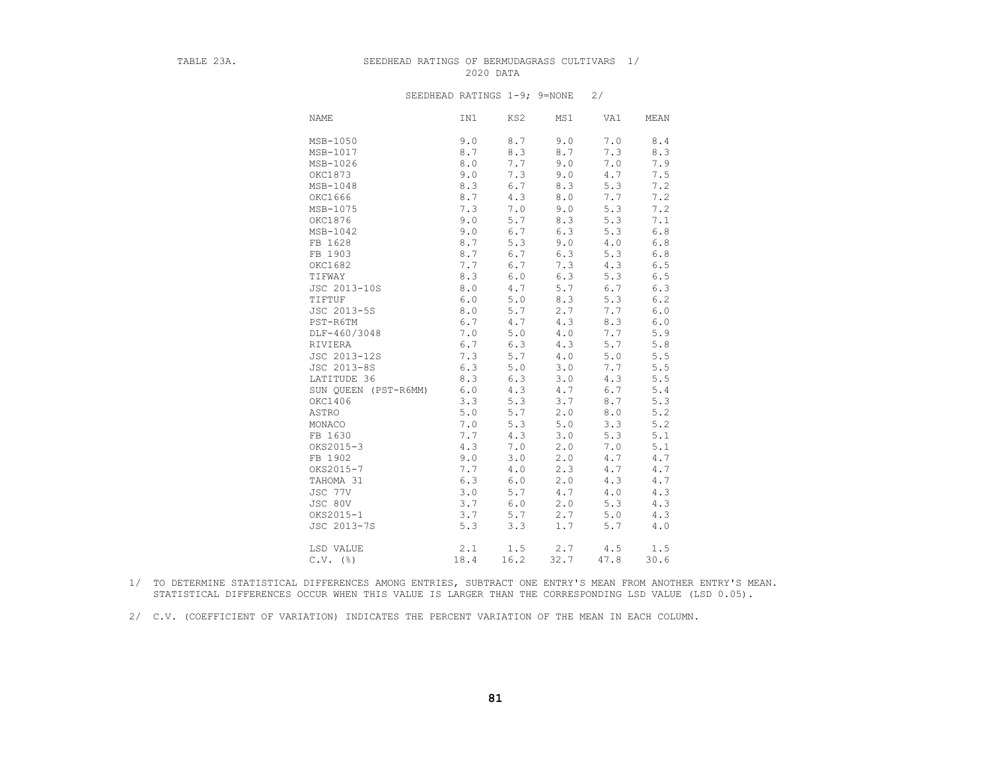### TABLE 23A. SEEDHEAD RATINGS OF BERMUDAGRASS CULTIVARS 1/ 2020 DATA

#### SEEDHEAD RATINGS 1-9; 9=NONE 2/

| <b>NAME</b>          | IN1  | KS2   | MS1  | VA1   | MEAN  |
|----------------------|------|-------|------|-------|-------|
| MSB-1050             | 9.0  | 8.7   | 9.0  | 7.0   | 8.4   |
| MSB-1017             | 8.7  | 8.3   | 8.7  | 7.3   | 8.3   |
| MSB-1026             | 8.0  | 7.7   | 9.0  | 7.0   | 7.9   |
| OKC1873              | 9.0  | 7.3   | 9.0  | 4.7   | 7.5   |
| MSB-1048             | 8.3  | 6.7   | 8.3  | 5.3   | 7.2   |
| OKC1666              | 8.7  | 4.3   | 8.0  | 7.7   | 7.2   |
| MSB-1075             | 7.3  | 7.0   | 9.0  | 5.3   | 7.2   |
| OKC1876              | 9.0  | 5.7   | 8.3  | 5.3   | 7.1   |
| MSB-1042             | 9.0  | 6.7   | 6.3  | 5.3   | $6.8$ |
| FB 1628              | 8.7  | 5.3   | 9.0  | 4.0   | $6.8$ |
| FB 1903              | 8.7  | 6.7   | 6.3  | 5.3   | $6.8$ |
| OKC1682              | 7.7  | 6.7   | 7.3  | 4.3   | $6.5$ |
| TIFWAY               | 8.3  | $6.0$ | 6.3  | 5.3   | 6.5   |
| JSC 2013-10S         | 8.0  | 4.7   | 5.7  | 6.7   | 6.3   |
| TIFTUF               | 6.0  | $5.0$ | 8.3  | 5.3   | 6.2   |
| JSC 2013-5S          | 8.0  | 5.7   | 2.7  | 7.7   | $6.0$ |
| PST-R6TM             | 6.7  | 4.7   | 4.3  | 8.3   | $6.0$ |
| DLF-460/3048         | 7.0  | 5.0   | 4.0  | 7.7   | 5.9   |
| RIVIERA              | 6.7  | 6.3   | 4.3  | 5.7   | 5.8   |
| JSC 2013-12S         | 7.3  | 5.7   | 4.0  | 5.0   | $5.5$ |
| JSC 2013-8S          | 6.3  | $5.0$ | 3.0  | 7.7   | $5.5$ |
| LATITUDE 36          | 8.3  | 6.3   | 3.0  | 4.3   | 5.5   |
| SUN QUEEN (PST-R6MM) | 6.0  | 4.3   | 4.7  | 6.7   | $5.4$ |
| OKC1406              | 3.3  | 5.3   | 3.7  | 8.7   | 5.3   |
| ASTRO                | 5.0  | 5.7   | 2.0  | 8.0   | 5.2   |
| MONACO               | 7.0  | 5.3   | 5.0  | 3.3   | 5.2   |
| FB 1630              | 7.7  | 4.3   | 3.0  | 5.3   | 5.1   |
| OKS2015-3            | 4.3  | 7.0   | 2.0  | 7.0   | 5.1   |
| FB 1902              | 9.0  | 3.0   | 2.0  | 4.7   | 4.7   |
| OKS2015-7            | 7.7  | 4.0   | 2.3  | 4.7   | 4.7   |
| TAHOMA 31            | 6.3  | 6.0   | 2.0  | 4.3   | 4.7   |
| JSC 77V              | 3.0  | 5.7   | 4.7  | 4.0   | 4.3   |
| JSC 80V              | 3.7  | 6.0   | 2.0  | 5.3   | 4.3   |
| OKS2015-1            | 3.7  | 5.7   | 2.7  | 5.0   | 4.3   |
| JSC 2013-7S          | 5.3  | 3.3   | 1.7  | $5.7$ | 4.0   |
| LSD VALUE            | 2.1  | 1.5   | 2.7  | 4.5   | 1.5   |
| $C.V.$ ( $\S$ )      | 18.4 | 16.2  | 32.7 | 47.8  | 30.6  |

 1/ TO DETERMINE STATISTICAL DIFFERENCES AMONG ENTRIES, SUBTRACT ONE ENTRY'S MEAN FROM ANOTHER ENTRY'S MEAN. STATISTICAL DIFFERENCES OCCUR WHEN THIS VALUE IS LARGER THAN THE CORRESPONDING LSD VALUE (LSD 0.05).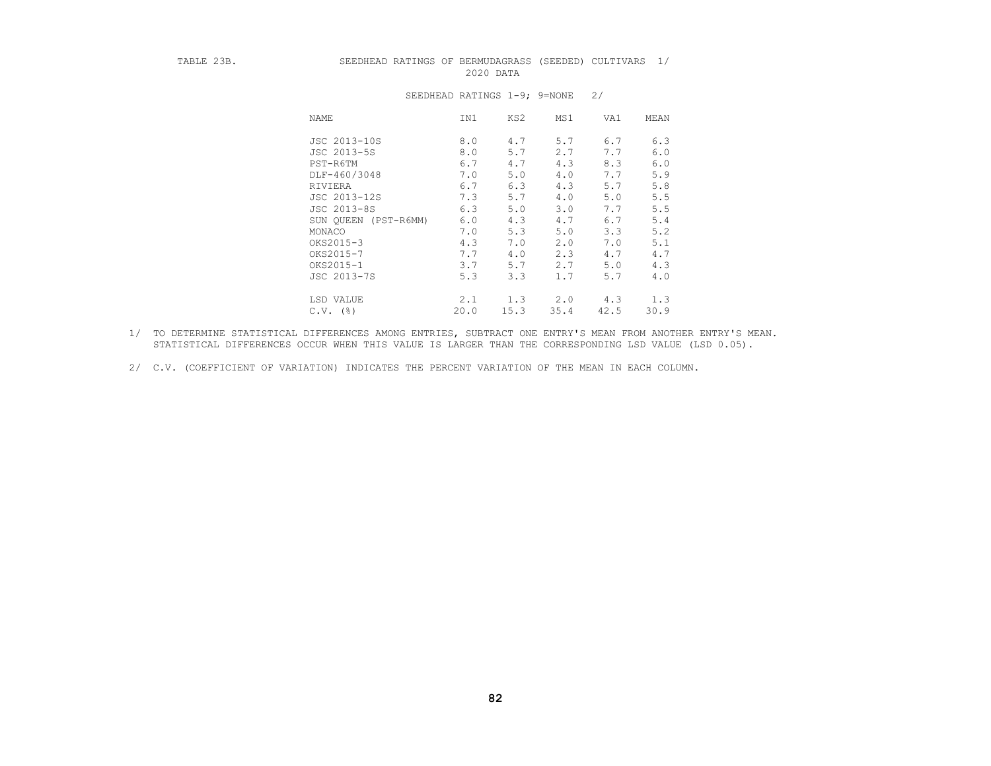#### TABLE 23B. SEEDHEAD RATINGS OF BERMUDAGRASS (SEEDED) CULTIVARS 1/ 2020 DATA

| NAME                 | IN1  | KS2  | MS1  | VA1  | MEAN |
|----------------------|------|------|------|------|------|
| JSC 2013-10S         | 8.0  | 4.7  | 5.7  | 6.7  | 6.3  |
| JSC 2013-5S          | 8.0  | 5.7  | 2.7  | 7.7  | 6.0  |
| PST-R6TM             | 6.7  | 4.7  | 4.3  | 8.3  | 6.0  |
| DLF-460/3048         | 7.0  | 5.0  | 4.0  | 7.7  | 5.9  |
| RIVIERA              | 6.7  | 6.3  | 4.3  | 5.7  | 5.8  |
| JSC 2013-12S         | 7.3  | 5.7  | 4.0  | 5.0  | 5.5  |
| JSC 2013-8S          | 6.3  | 5.0  | 3.0  | 7.7  | 5.5  |
| SUN OUEEN (PST-R6MM) | 6.0  | 4.3  | 4.7  | 6.7  | 5.4  |
| MONACO               | 7.0  | 5.3  | 5.0  | 3.3  | 5.2  |
| OKS2015-3            | 4.3  | 7.0  | 2.0  | 7.0  | 5.1  |
| OKS2015-7            | 7.7  | 4.0  | 2.3  | 4.7  | 4.7  |
| OKS2015-1            | 3.7  | 5.7  | 2.7  | 5.0  | 4.3  |
| JSC 2013-7S          | 5.3  | 3.3  | 1.7  | 5.7  | 4.0  |
| LSD VALUE            | 2.1  | 1.3  | 2.0  | 4.3  | 1.3  |
| $C.V.$ (%)           | 20.0 | 15.3 | 35.4 | 42.5 | 30.9 |

### SEEDHEAD RATINGS 1-9; 9=NONE 2/

- 1/ TO DETERMINE STATISTICAL DIFFERENCES AMONG ENTRIES, SUBTRACT ONE ENTRY'S MEAN FROM ANOTHER ENTRY'S MEAN. STATISTICAL DIFFERENCES OCCUR WHEN THIS VALUE IS LARGER THAN THE CORRESPONDING LSD VALUE (LSD 0.05).
- 2/ C.V. (COEFFICIENT OF VARIATION) INDICATES THE PERCENT VARIATION OF THE MEAN IN EACH COLUMN.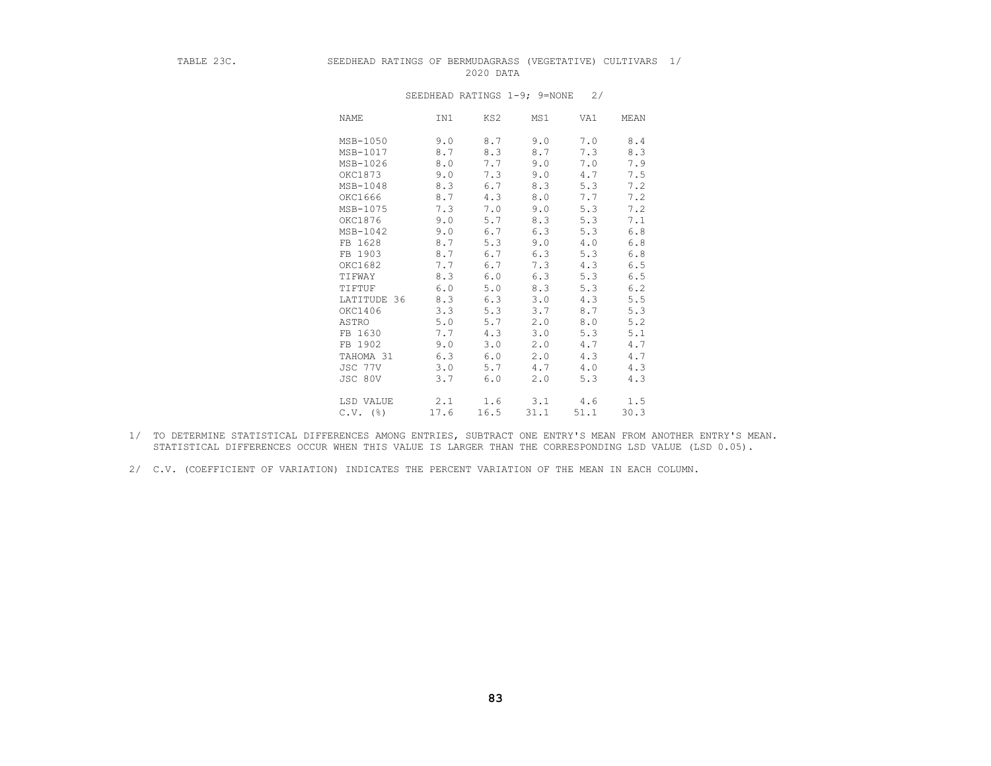## TABLE 23C. SEEDHEAD RATINGS OF BERMUDAGRASS (VEGETATIVE) CULTIVARS 1/ 2020 DATA

| NAME            | IN1  | KS2  | MS1  | VA1  | MEAN |
|-----------------|------|------|------|------|------|
| MSB-1050        | 9.0  | 8.7  | 9.0  | 7.0  | 8.4  |
| MSB-1017        | 8.7  | 8.3  | 8.7  | 7.3  | 8.3  |
| MSB-1026        | 8.0  | 7.7  | 9.0  | 7.0  | 7.9  |
| OKC1873         | 9.0  | 7.3  | 9.0  | 4.7  | 7.5  |
| MSB-1048        | 8.3  | 6.7  | 8.3  | 5.3  | 7.2  |
| OKC1666         | 8.7  | 4.3  | 8.0  | 7.7  | 7.2  |
| MSB-1075        | 7.3  | 7.0  | 9.0  | 5.3  | 7.2  |
| OKC1876         | 9.0  | 5.7  | 8.3  | 5.3  | 7.1  |
| MSB-1042        | 9.0  | 6.7  | 6.3  | 5.3  | 6.8  |
| FB 1628         | 8.7  | 5.3  | 9.0  | 4.0  | 6.8  |
| FB 1903         | 8.7  | 6.7  | 6.3  | 5.3  | 6.8  |
| OKC1682         | 7.7  | 6.7  | 7.3  | 4.3  | 6.5  |
| TIFWAY          | 8.3  | 6.0  | 6.3  | 5.3  | 6.5  |
| TIFTUF          | 6.0  | 5.0  | 8.3  | 5.3  | 6.2  |
| LATITUDE 36     | 8.3  | 6.3  | 3.0  | 4.3  | 5.5  |
| OKC1406         | 3.3  | 5.3  | 3.7  | 8.7  | 5.3  |
| ASTRO           | 5.0  | 5.7  | 2.0  | 8.0  | 5.2  |
| FB 1630         | 7.7  | 4.3  | 3.0  | 5.3  | 5.1  |
| FB 1902         | 9.0  | 3.0  | 2.0  | 4.7  | 4.7  |
| TAHOMA 31       | 6.3  | 6.0  | 2.0  | 4.3  | 4.7  |
| JSC 77V         | 3.0  | 5.7  | 4.7  | 4.0  | 4.3  |
| JSC 80V         | 3.7  | 6.0  | 2.0  | 5.3  | 4.3  |
| LSD VALUE       | 2.1  | 1.6  | 3.1  | 4.6  | 1.5  |
| $C.V.$ ( $\S$ ) | 17.6 | 16.5 | 31.1 | 51.1 | 30.3 |

### SEEDHEAD RATINGS 1-9; 9=NONE 2/

 1/ TO DETERMINE STATISTICAL DIFFERENCES AMONG ENTRIES, SUBTRACT ONE ENTRY'S MEAN FROM ANOTHER ENTRY'S MEAN. STATISTICAL DIFFERENCES OCCUR WHEN THIS VALUE IS LARGER THAN THE CORRESPONDING LSD VALUE (LSD 0.05).

 <sup>2/</sup> C.V. (COEFFICIENT OF VARIATION) INDICATES THE PERCENT VARIATION OF THE MEAN IN EACH COLUMN.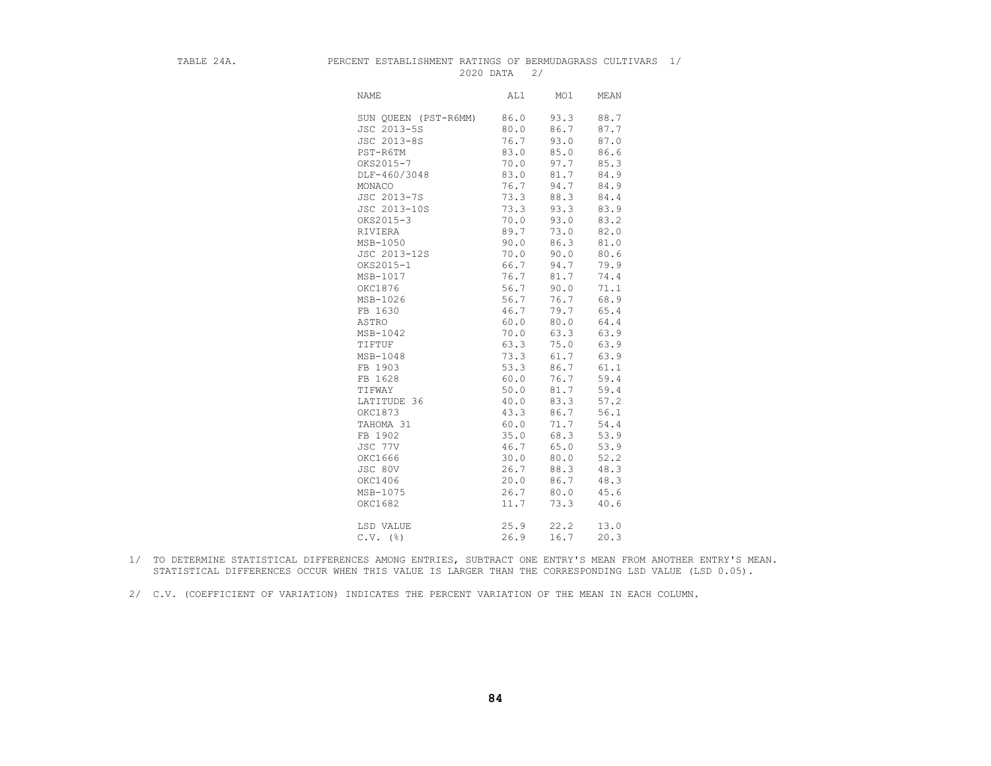#### TABLE 24A. PERCENT ESTABLISHMENT RATINGS OF BERMUDAGRASS CULTIVARS 1/ 2020 DATA 2/

| <b>NAME</b>          | AL1  | MO1  | MEAN |
|----------------------|------|------|------|
| SUN QUEEN (PST-R6MM) | 86.0 | 93.3 | 88.7 |
| JSC 2013-5S          | 80.0 | 86.7 | 87.7 |
| JSC 2013-8S          | 76.7 | 93.0 | 87.0 |
| PST-R6TM             | 83.0 | 85.0 | 86.6 |
| OKS2015-7            | 70.0 | 97.7 | 85.3 |
| DLF-460/3048         | 83.0 | 81.7 | 84.9 |
| MONACO               | 76.7 | 94.7 | 84.9 |
| JSC 2013-7S          | 73.3 | 88.3 | 84.4 |
| JSC 2013-10S         | 73.3 | 93.3 | 83.9 |
| OKS2015-3            | 70.0 | 93.0 | 83.2 |
| RIVIERA              | 89.7 | 73.0 | 82.0 |
| MSB-1050             | 90.0 | 86.3 | 81.0 |
| JSC 2013-12S         | 70.0 | 90.0 | 80.6 |
| OKS2015-1            | 66.7 | 94.7 | 79.9 |
| MSB-1017             | 76.7 | 81.7 | 74.4 |
| OKC1876              | 56.7 | 90.0 | 71.1 |
| MSB-1026             | 56.7 | 76.7 | 68.9 |
| FB 1630              | 46.7 | 79.7 | 65.4 |
| ASTRO                | 60.0 | 80.0 | 64.4 |
| MSB-1042             | 70.0 | 63.3 | 63.9 |
| TIFTUF               | 63.3 | 75.0 | 63.9 |
| MSB-1048             | 73.3 | 61.7 | 63.9 |
| FB 1903              | 53.3 | 86.7 | 61.1 |
| FB 1628              | 60.0 | 76.7 | 59.4 |
| TIFWAY               | 50.0 | 81.7 | 59.4 |
| LATITUDE 36          | 40.0 | 83.3 | 57.2 |
| OKC1873              | 43.3 | 86.7 | 56.1 |
| TAHOMA 31            | 60.0 | 71.7 | 54.4 |
| FB 1902              | 35.0 | 68.3 | 53.9 |
| JSC 77V              | 46.7 | 65.0 | 53.9 |
| OKC1666              | 30.0 | 80.0 | 52.2 |
| JSC 80V              | 26.7 | 88.3 | 48.3 |
| OKC1406              | 20.0 | 86.7 | 48.3 |
| MSB-1075             | 26.7 | 80.0 | 45.6 |
| OKC1682              | 11.7 | 73.3 | 40.6 |
|                      |      |      |      |
| LSD VALUE            | 25.9 | 22.2 | 13.0 |
| $C.V.$ (%)           | 26.9 | 16.7 | 20.3 |
|                      |      |      |      |

 1/ TO DETERMINE STATISTICAL DIFFERENCES AMONG ENTRIES, SUBTRACT ONE ENTRY'S MEAN FROM ANOTHER ENTRY'S MEAN. STATISTICAL DIFFERENCES OCCUR WHEN THIS VALUE IS LARGER THAN THE CORRESPONDING LSD VALUE (LSD 0.05).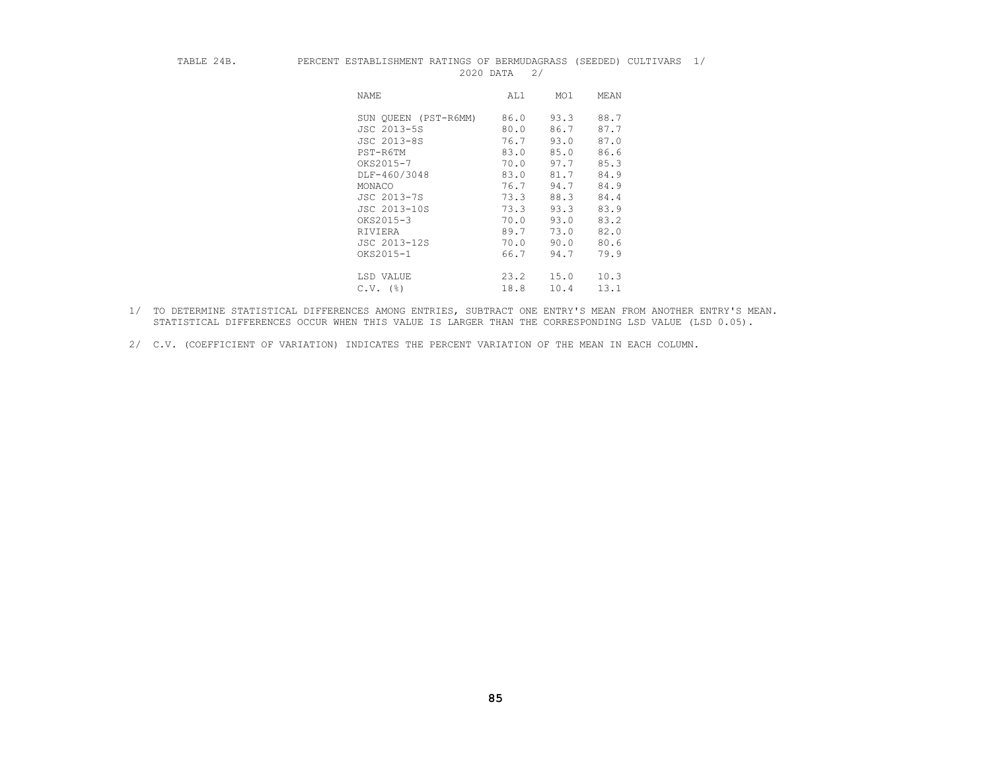#### TABLE 24B. PERCENT ESTABLISHMENT RATINGS OF BERMUDAGRASS (SEEDED) CULTIVARS 1/ 2020 DATA 2/

| NAME                 | AL1  | MO1  | MEAN |
|----------------------|------|------|------|
| SUN OUEEN (PST-R6MM) | 86.0 | 93.3 | 88.7 |
| JSC 2013-5S          | 80.0 | 86.7 | 87.7 |
| JSC 2013-8S          | 76.7 | 93.0 | 87.0 |
| PST-R6TM             | 83.0 | 85.0 | 86.6 |
| OKS2015-7            | 70.0 | 97.7 | 85.3 |
| DLF-460/3048         | 83.0 | 81.7 | 84.9 |
| MONACO               | 76.7 | 94.7 | 84.9 |
| JSC 2013-7S          | 73.3 | 88.3 | 84.4 |
| JSC 2013-10S         | 73.3 | 93.3 | 83.9 |
| OKS2015-3            | 70.0 | 93.0 | 83.2 |
| RIVIERA              | 89.7 | 73.0 | 82.0 |
| JSC 2013-12S         | 70.0 | 90.0 | 80.6 |
| OKS2015-1            | 66.7 | 94.7 | 79.9 |
| LSD VALUE            | 23.2 | 15.0 | 10.3 |
| $C.V.$ (%)           | 18.8 | 10.4 | 13.1 |

- 1/ TO DETERMINE STATISTICAL DIFFERENCES AMONG ENTRIES, SUBTRACT ONE ENTRY'S MEAN FROM ANOTHER ENTRY'S MEAN. STATISTICAL DIFFERENCES OCCUR WHEN THIS VALUE IS LARGER THAN THE CORRESPONDING LSD VALUE (LSD 0.05).
- 2/ C.V. (COEFFICIENT OF VARIATION) INDICATES THE PERCENT VARIATION OF THE MEAN IN EACH COLUMN.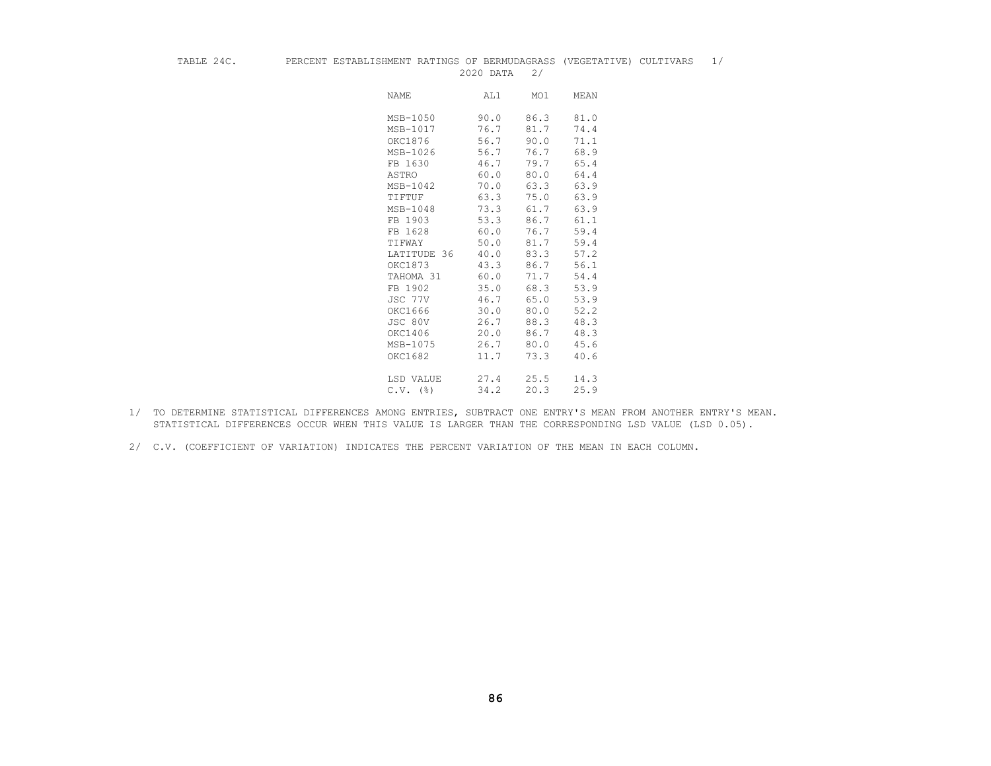#### TABLE 24C. PERCENT ESTABLISHMENT RATINGS OF BERMUDAGRASS (VEGETATIVE) CULTIVARS 1/ 2020 DATA 2/

| <b>NAME</b>            | AL1  | MO1  | MEAN |
|------------------------|------|------|------|
| MSB-1050               | 90.0 | 86.3 | 81.0 |
| MSB-1017               | 76.7 | 81.7 | 74.4 |
| OKC1876                | 56.7 | 90.0 | 71.1 |
| MSB-1026               | 56.7 | 76.7 | 68.9 |
| FB 1630                | 46.7 | 79.7 | 65.4 |
| ASTRO                  | 60.0 | 80.0 | 64.4 |
| MSB-1042               | 70.0 | 63.3 | 63.9 |
| TIFTUF                 | 63.3 | 75.0 | 63.9 |
| MSB-1048               | 73.3 | 61.7 | 63.9 |
| FB 1903                | 53.3 | 86.7 | 61.1 |
| FB 1628                | 60.0 | 76.7 | 59.4 |
| TIFWAY                 | 50.0 | 81.7 | 59.4 |
| LATITUDE 36            | 40.0 | 83.3 | 57.2 |
| OKC1873                | 43.3 | 86.7 | 56.1 |
| TAHOMA 31              | 60.0 | 71.7 | 54.4 |
| FB 1902                | 35.0 | 68.3 | 53.9 |
| JSC 77V                | 46.7 | 65.0 | 53.9 |
| OKC1666                | 30.0 | 80.0 | 52.2 |
| JSC 80V                | 26.7 | 88.3 | 48.3 |
| OKC1406                | 20.0 | 86.7 | 48.3 |
| MSB-1075               | 26.7 | 80.0 | 45.6 |
| OKC1682                | 11.7 | 73.3 | 40.6 |
|                        |      |      |      |
| LSD VALUE              | 27.4 | 25.5 | 14.3 |
| $C.V.$ $(\frac{6}{6})$ | 34.2 | 20.3 | 25.9 |

- 1/ TO DETERMINE STATISTICAL DIFFERENCES AMONG ENTRIES, SUBTRACT ONE ENTRY'S MEAN FROM ANOTHER ENTRY'S MEAN. STATISTICAL DIFFERENCES OCCUR WHEN THIS VALUE IS LARGER THAN THE CORRESPONDING LSD VALUE (LSD 0.05).
- 2/ C.V. (COEFFICIENT OF VARIATION) INDICATES THE PERCENT VARIATION OF THE MEAN IN EACH COLUMN.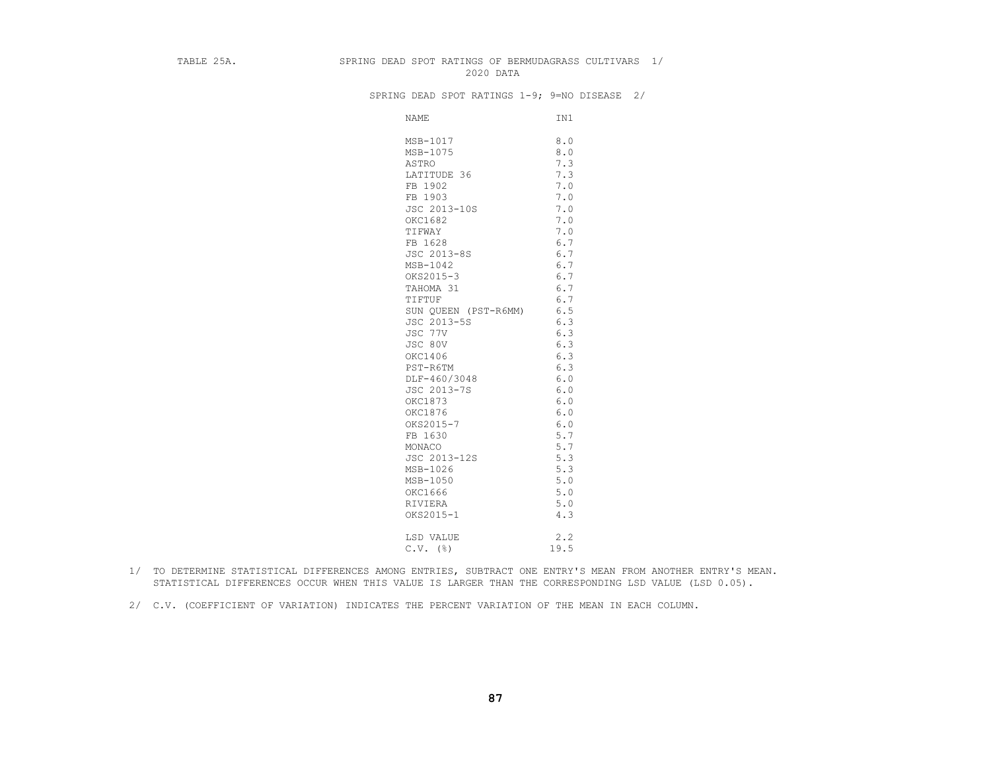#### TABLE 25A. SPRING DEAD SPOT RATINGS OF BERMUDAGRASS CULTIVARS 1/ 2020 DATA

SPRING DEAD SPOT RATINGS 1-9; 9=NO DISEASE 2/

| <b>NAME</b>          | IN1  |
|----------------------|------|
| MSB-1017             | 8.0  |
| MSB-1075             | 8.0  |
| ASTRO                | 7.3  |
| LATITUDE 36          | 7.3  |
| FB 1902              | 7.0  |
| FB 1903              | 7.0  |
| JSC 2013-10S         | 7.0  |
| OKC1682              | 7.0  |
| TIFWAY               | 7.0  |
| FB 1628              | 6.7  |
| JSC 2013-8S          | 6.7  |
| MSB-1042             | 6.7  |
| OKS2015-3            | 6.7  |
| TAHOMA 31            | 6.7  |
| TIFTUF               | 6.7  |
| SUN QUEEN (PST-R6MM) | 6.5  |
| JSC 2013-5S          | 6.3  |
| JSC 77V              | 6.3  |
| JSC 80V              | 6.3  |
| OKC1406              | 6.3  |
| PST-R6TM             | 6.3  |
| DLF-460/3048         | 6.0  |
| JSC 2013-7S          | 6.0  |
| OKC1873              | 6.0  |
| OKC1876              | 6.0  |
| OKS2015-7            | 6.0  |
| FB 1630              | 5.7  |
| MONACO               | 5.7  |
| JSC 2013-12S         | 5.3  |
| MSB-1026             | 5.3  |
| MSB-1050             | 5.0  |
| OKC1666              | 5.0  |
| RIVIERA              | 5.0  |
| OKS2015-1            | 4.3  |
| LSD VALUE            | 2.2  |
| $C.V.$ ( $\S$ )      | 19.5 |

- 1/ TO DETERMINE STATISTICAL DIFFERENCES AMONG ENTRIES, SUBTRACT ONE ENTRY'S MEAN FROM ANOTHER ENTRY'S MEAN. STATISTICAL DIFFERENCES OCCUR WHEN THIS VALUE IS LARGER THAN THE CORRESPONDING LSD VALUE (LSD 0.05).
- 2/ C.V. (COEFFICIENT OF VARIATION) INDICATES THE PERCENT VARIATION OF THE MEAN IN EACH COLUMN.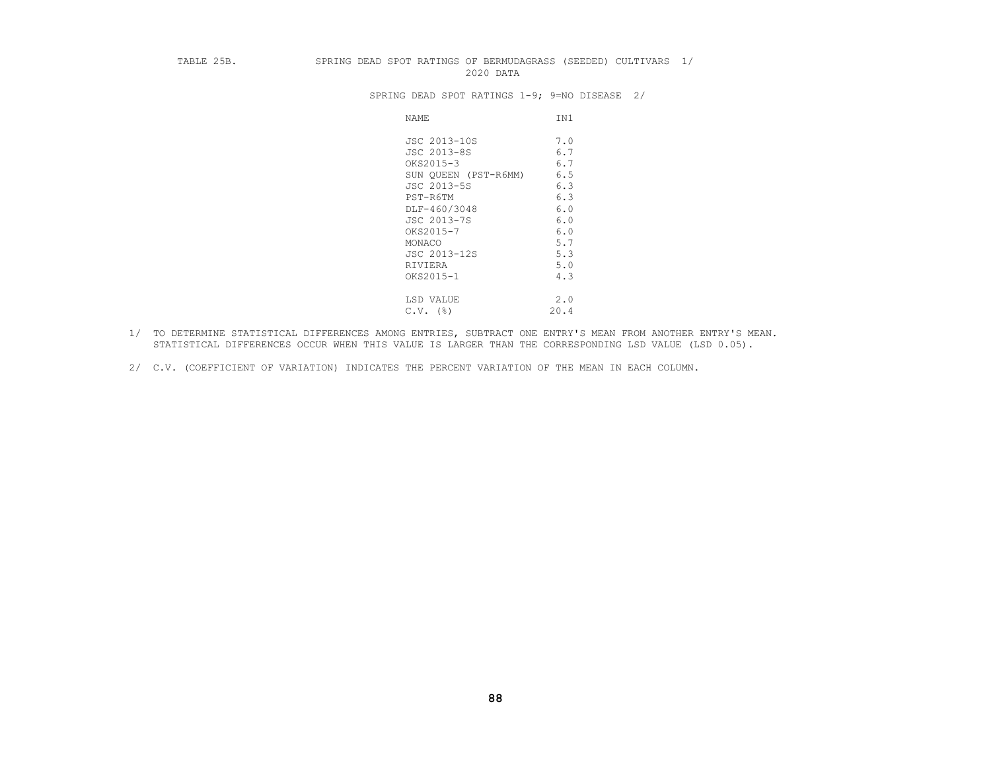#### TABLE 25B. SPRING DEAD SPOT RATINGS OF BERMUDAGRASS (SEEDED) CULTIVARS 1/ 2020 DATA

SPRING DEAD SPOT RATINGS 1-9; 9=NO DISEASE 2/

| JSC 2013-10S<br>7.0<br>JSC 2013-8S<br>6.7<br>6.7<br>OKS2015-3<br>6.5<br>SUN QUEEN (PST-R6MM)<br>JSC 2013-5S<br>6.3<br>6.3<br>PST-R6TM<br>DLF-460/3048<br>6.0<br>6.0<br>JSC 2013-7S<br>OKS2015-7<br>6.0<br>5.7<br>MONACO<br>5.3<br>JSC 2013-12S<br>5.0<br>RIVIERA<br>OKS2015-1<br>4.3<br>2.0<br>LSD VALUE<br>20.4<br>$C.V.$ (%) | NAME | IN1 |
|--------------------------------------------------------------------------------------------------------------------------------------------------------------------------------------------------------------------------------------------------------------------------------------------------------------------------------|------|-----|
|                                                                                                                                                                                                                                                                                                                                |      |     |
|                                                                                                                                                                                                                                                                                                                                |      |     |
|                                                                                                                                                                                                                                                                                                                                |      |     |
|                                                                                                                                                                                                                                                                                                                                |      |     |
|                                                                                                                                                                                                                                                                                                                                |      |     |
|                                                                                                                                                                                                                                                                                                                                |      |     |
|                                                                                                                                                                                                                                                                                                                                |      |     |
|                                                                                                                                                                                                                                                                                                                                |      |     |
|                                                                                                                                                                                                                                                                                                                                |      |     |
|                                                                                                                                                                                                                                                                                                                                |      |     |
|                                                                                                                                                                                                                                                                                                                                |      |     |
|                                                                                                                                                                                                                                                                                                                                |      |     |
|                                                                                                                                                                                                                                                                                                                                |      |     |
|                                                                                                                                                                                                                                                                                                                                |      |     |
|                                                                                                                                                                                                                                                                                                                                |      |     |
|                                                                                                                                                                                                                                                                                                                                |      |     |

- 1/ TO DETERMINE STATISTICAL DIFFERENCES AMONG ENTRIES, SUBTRACT ONE ENTRY'S MEAN FROM ANOTHER ENTRY'S MEAN. STATISTICAL DIFFERENCES OCCUR WHEN THIS VALUE IS LARGER THAN THE CORRESPONDING LSD VALUE (LSD 0.05).
- 2/ C.V. (COEFFICIENT OF VARIATION) INDICATES THE PERCENT VARIATION OF THE MEAN IN EACH COLUMN.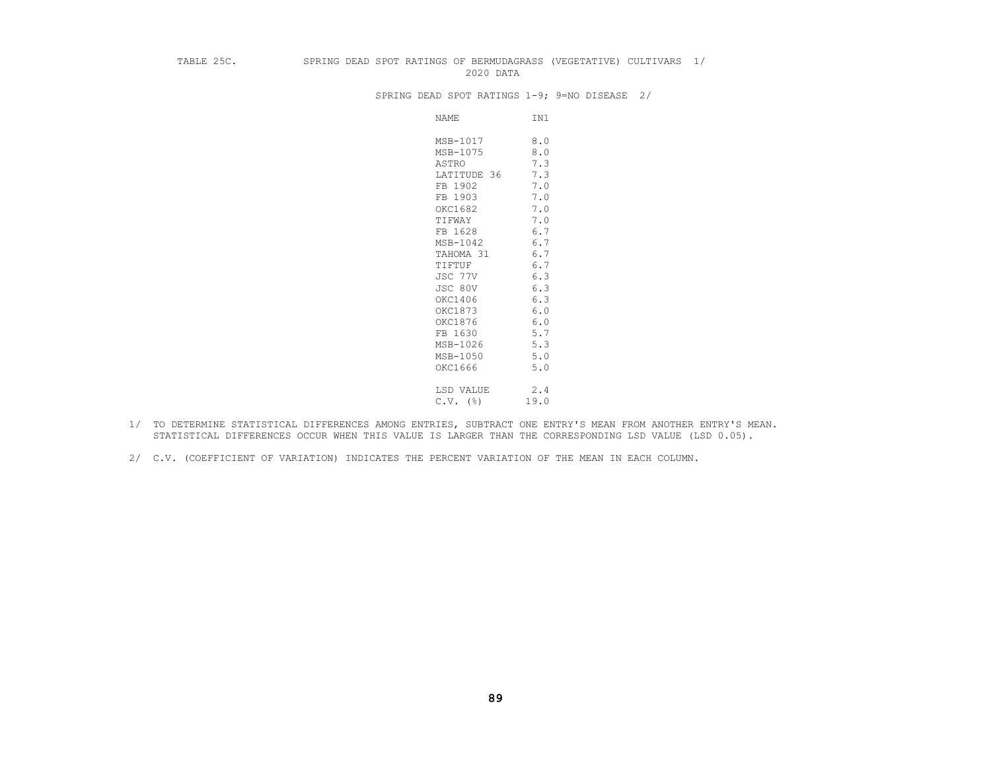#### TABLE 25C. SPRING DEAD SPOT RATINGS OF BERMUDAGRASS (VEGETATIVE) CULTIVARS 1/ 2020 DATA

SPRING DEAD SPOT RATINGS 1-9; 9=NO DISEASE 2/

| NAME        | IN1  |
|-------------|------|
| MSB-1017    | 8.0  |
| MSB-1075    | 8.0  |
| ASTRO       | 7.3  |
| LATITUDE 36 | 7.3  |
| FB 1902     | 7.0  |
| FB 1903     | 7.0  |
| OKC1682     | 7.0  |
| TIFWAY      | 7.0  |
| FB 1628     | 6.7  |
| MSB-1042    | 6.7  |
| TAHOMA 31   | 6.7  |
| TIFTUF      | 6.7  |
| JSC 77V     | 6.3  |
| JSC 80V     | 6.3  |
| OKC1406     | 6.3  |
| OKC1873     | 6.0  |
| OKC1876     | 6.0  |
| FB 1630     | 5.7  |
| MSB-1026    | 5.3  |
| MSB-1050    | 5.0  |
| OKC1666     | 5.0  |
| LSD VALUE   | 2.4  |
| $C.V.$ (%)  | 19.0 |
|             |      |

- 1/ TO DETERMINE STATISTICAL DIFFERENCES AMONG ENTRIES, SUBTRACT ONE ENTRY'S MEAN FROM ANOTHER ENTRY'S MEAN. STATISTICAL DIFFERENCES OCCUR WHEN THIS VALUE IS LARGER THAN THE CORRESPONDING LSD VALUE (LSD 0.05).
- 2/ C.V. (COEFFICIENT OF VARIATION) INDICATES THE PERCENT VARIATION OF THE MEAN IN EACH COLUMN.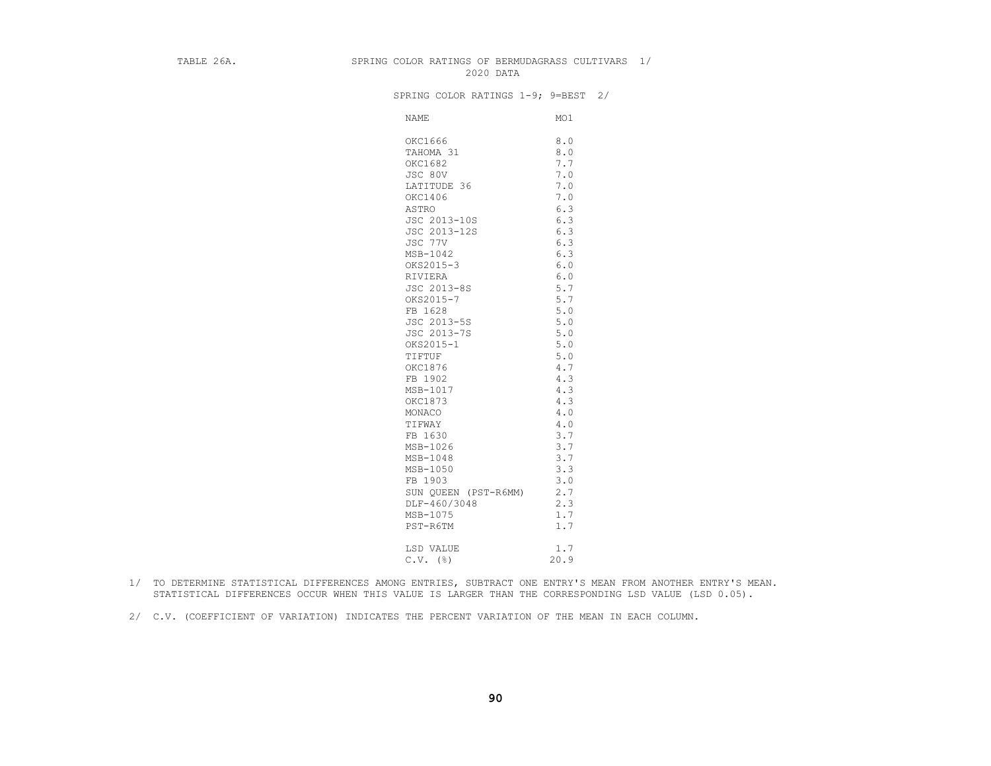#### TABLE 26A. SPRING COLOR RATINGS OF BERMUDAGRASS CULTIVARS 1/ 2020 DATA

SPRING COLOR RATINGS 1-9; 9=BEST 2/

| <b>NAME</b>          | MO1   |
|----------------------|-------|
| OKC1666              | 8.0   |
| TAHOMA 31            | 8.0   |
| OKC1682              | 7.7   |
| JSC 80V              | 7.0   |
| LATITUDE 36          | 7.0   |
| OKC1406              | 7.0   |
| ASTRO                | 6.3   |
| JSC 2013-10S         | 6.3   |
| JSC 2013-12S         | 6.3   |
| JSC 77V              | 6.3   |
| MSB-1042             | 6.3   |
| OKS2015-3            | $6.0$ |
| RIVIERA              | 6.0   |
| JSC 2013-8S          | 5.7   |
| OKS2015-7            | 5.7   |
| FB 1628              | 5.0   |
| JSC 2013-5S          | $5.0$ |
| JSC 2013-7S          | 5.0   |
| OKS2015-1            | 5.0   |
| TIFTUF               | 5.0   |
| OKC1876              | 4.7   |
| FB 1902              | 4.3   |
| MSB-1017             | 4.3   |
| OKC1873              | 4.3   |
| MONACO               | 4.0   |
| TIFWAY               | 4.0   |
| FB 1630              | 3.7   |
| MSB-1026             | 3.7   |
| MSB-1048             | 3.7   |
| MSB-1050             | 3.3   |
| FB 1903              | 3.0   |
| SUN QUEEN (PST-R6MM) | 2.7   |
| DLF-460/3048         | 2.3   |
| MSB-1075             | 1.7   |
| PST-R6TM             | 1.7   |
| LSD VALUE            | 1.7   |
| $C.V.$ ( $\S$ )      | 20.9  |

- 1/ TO DETERMINE STATISTICAL DIFFERENCES AMONG ENTRIES, SUBTRACT ONE ENTRY'S MEAN FROM ANOTHER ENTRY'S MEAN. STATISTICAL DIFFERENCES OCCUR WHEN THIS VALUE IS LARGER THAN THE CORRESPONDING LSD VALUE (LSD 0.05).
- 2/ C.V. (COEFFICIENT OF VARIATION) INDICATES THE PERCENT VARIATION OF THE MEAN IN EACH COLUMN.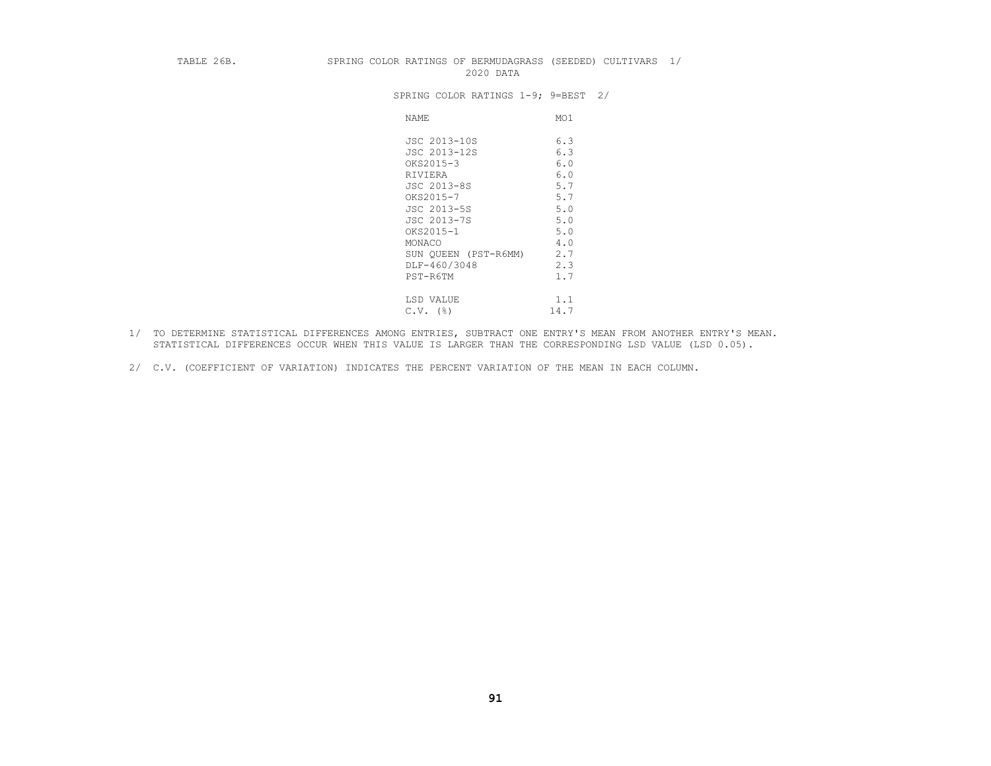#### TABLE 26B. SPRING COLOR RATINGS OF BERMUDAGRASS (SEEDED) CULTIVARS 1/ 2020 DATA

SPRING COLOR RATINGS 1-9; 9=BEST 2/

| <b>NAME</b>          | MO1  |
|----------------------|------|
| JSC 2013-10S         | 6.3  |
| JSC 2013-12S         | 6.3  |
| OKS2015-3            | 6.0  |
| RIVIERA              | 6.0  |
| JSC 2013-8S          | 5.7  |
| OKS2015-7            | 5.7  |
| JSC 2013-5S          | 5.0  |
| JSC 2013-7S          | 5.0  |
| OKS2015-1            | 5.0  |
| MONACO               | 4.0  |
| SUN QUEEN (PST-R6MM) | 2.7  |
| DLF-460/3048         | 2.3  |
| PST-R6TM             | 1.7  |
|                      |      |
| LSD VALUE            | 1.1  |
| $C.V.$ (%)           | 14.7 |

- 1/ TO DETERMINE STATISTICAL DIFFERENCES AMONG ENTRIES, SUBTRACT ONE ENTRY'S MEAN FROM ANOTHER ENTRY'S MEAN. STATISTICAL DIFFERENCES OCCUR WHEN THIS VALUE IS LARGER THAN THE CORRESPONDING LSD VALUE (LSD 0.05).
- 2/ C.V. (COEFFICIENT OF VARIATION) INDICATES THE PERCENT VARIATION OF THE MEAN IN EACH COLUMN.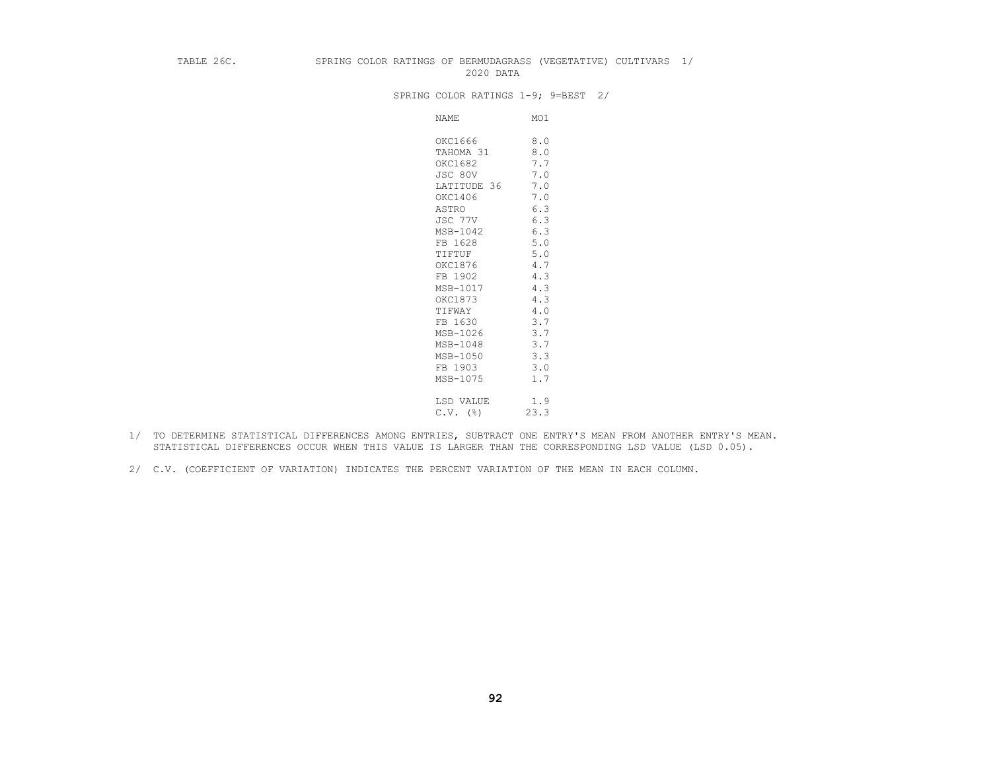#### TABLE 26C. SPRING COLOR RATINGS OF BERMUDAGRASS (VEGETATIVE) CULTIVARS 1/ 2020 DATA

SPRING COLOR RATINGS 1-9; 9=BEST 2/

| NAME        | MO1  |
|-------------|------|
| OKC1666     | 8.0  |
| TAHOMA 31   | 8.0  |
| OKC1682     | 7.7  |
| JSC 80V     | 7.0  |
| LATITUDE 36 | 7.0  |
| OKC1406     | 7.0  |
| ASTRO       | 6.3  |
| JSC 77V     | 6.3  |
| MSB-1042    | 6.3  |
| FB 1628     | 5.0  |
| TIFTUF      | 5.0  |
| OKC1876     | 4.7  |
| FB 1902     | 4.3  |
| MSB-1017    | 4.3  |
| OKC1873     | 4.3  |
| TIFWAY      | 4.0  |
| FB 1630     | 3.7  |
| MSB-1026    | 3.7  |
| MSB-1048    | 3.7  |
| MSB-1050    | 3.3  |
| FB 1903     | 3.0  |
| MSB-1075    | 1.7  |
| LSD VALUE   | 1.9  |
| $C.V.$ (%)  | 23.3 |

- 1/ TO DETERMINE STATISTICAL DIFFERENCES AMONG ENTRIES, SUBTRACT ONE ENTRY'S MEAN FROM ANOTHER ENTRY'S MEAN. STATISTICAL DIFFERENCES OCCUR WHEN THIS VALUE IS LARGER THAN THE CORRESPONDING LSD VALUE (LSD 0.05).
- 2/ C.V. (COEFFICIENT OF VARIATION) INDICATES THE PERCENT VARIATION OF THE MEAN IN EACH COLUMN.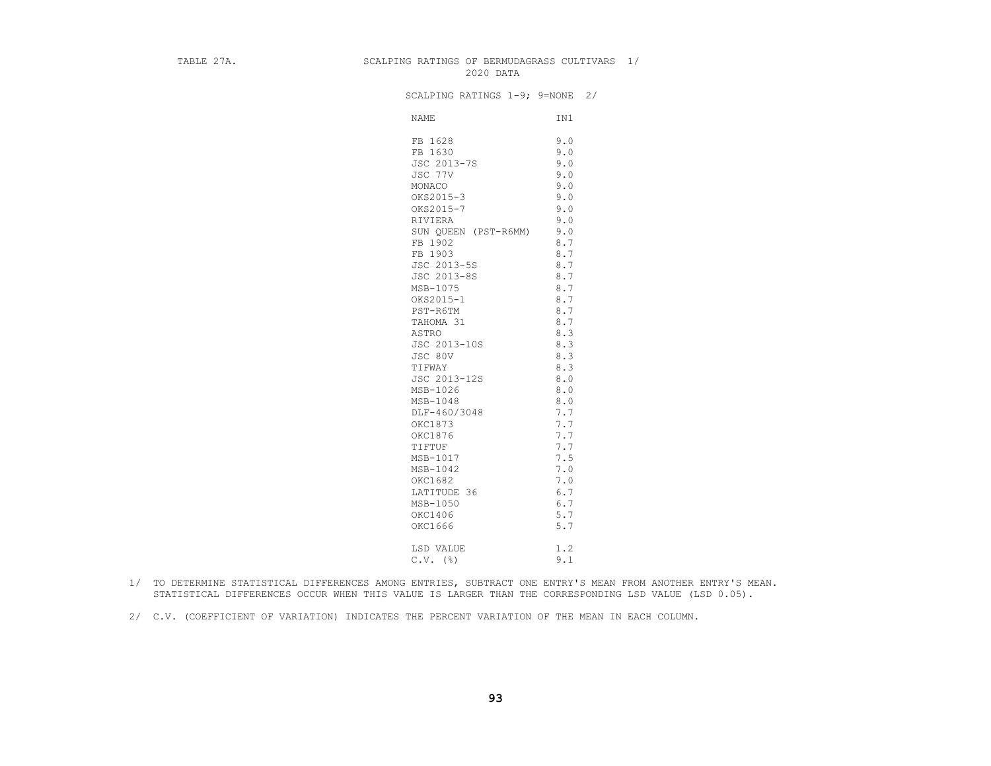## TABLE 27A. SCALPING RATINGS OF BERMUDAGRASS CULTIVARS 1/ 2020 DATA

| SCALPING RATINGS 1-9; 9=NONE 2/ |     |  |
|---------------------------------|-----|--|
| NAME                            | IN1 |  |
| FB 1628                         | 9.0 |  |
| FB 1630                         | 9.0 |  |
| JSC 2013-7S                     | 9.0 |  |
| JSC 77V                         | 9.0 |  |
| MONACO                          | 9.0 |  |
| OKS2015-3                       | 9.0 |  |
| OKS2015-7                       | 9.0 |  |
| RIVIERA                         | 9.0 |  |
| SUN QUEEN (PST-R6MM)            | 9.0 |  |
| FB 1902                         | 8.7 |  |
| FB 1903                         | 8.7 |  |
| JSC 2013-5S                     | 8.7 |  |
| JSC 2013-8S                     | 8.7 |  |
| MSB-1075                        | 8.7 |  |
| OKS2015-1                       | 8.7 |  |
| PST-R6TM                        | 8.7 |  |
| TAHOMA 31                       | 8.7 |  |
| ASTRO                           | 8.3 |  |
| JSC 2013-10S                    | 8.3 |  |
| JSC 80V                         | 8.3 |  |
| TIFWAY                          | 8.3 |  |
| JSC 2013-12S                    | 8.0 |  |
| MSB-1026                        | 8.0 |  |
| $MSB-1048$                      | 8.0 |  |
| DLF-460/3048                    | 7.7 |  |
| OKC1873                         | 7.7 |  |
| OKC1876                         | 7.7 |  |
| TIFTUF                          | 7.7 |  |
| MSB-1017                        | 7.5 |  |
| MSB-1042                        | 7.0 |  |
| OKC1682                         | 7.0 |  |
| LATITUDE 36                     | 6.7 |  |
| MSB-1050                        | 6.7 |  |
| OKC1406                         | 5.7 |  |
| OKC1666                         | 5.7 |  |
|                                 |     |  |
| LSD VALUE                       | 1.2 |  |
| $C.V.$ (%)                      | 9.1 |  |

- 1/ TO DETERMINE STATISTICAL DIFFERENCES AMONG ENTRIES, SUBTRACT ONE ENTRY'S MEAN FROM ANOTHER ENTRY'S MEAN. STATISTICAL DIFFERENCES OCCUR WHEN THIS VALUE IS LARGER THAN THE CORRESPONDING LSD VALUE (LSD 0.05).
- 2/ C.V. (COEFFICIENT OF VARIATION) INDICATES THE PERCENT VARIATION OF THE MEAN IN EACH COLUMN.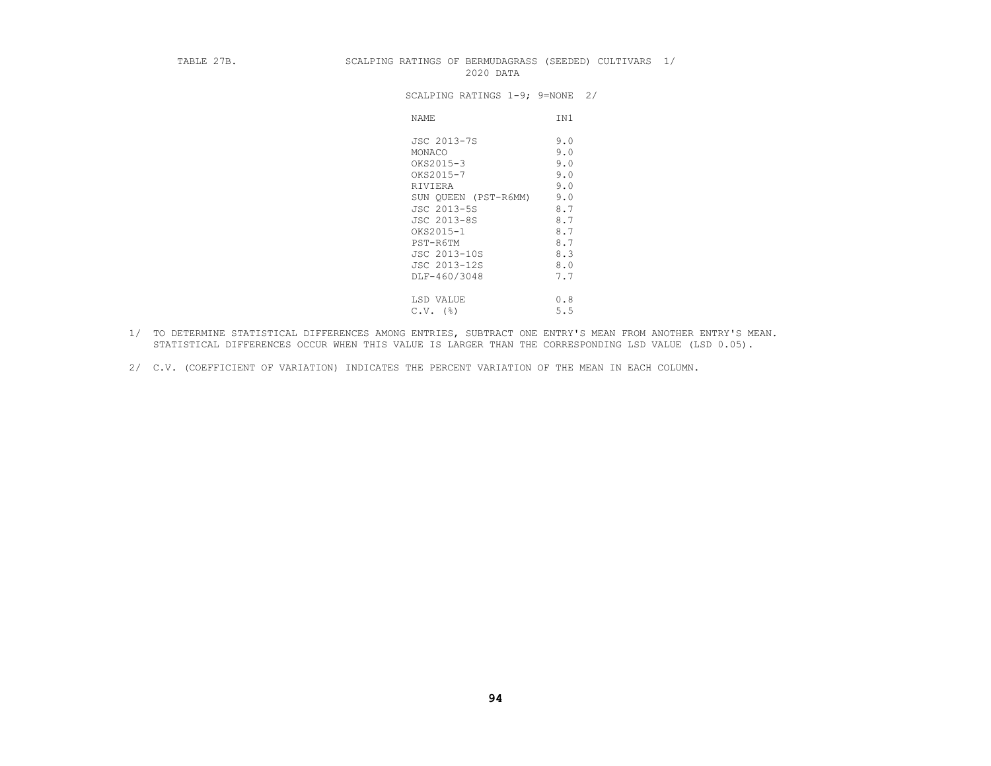#### TABLE 27B. SCALPING RATINGS OF BERMUDAGRASS (SEEDED) CULTIVARS 1/ 2020 DATA

| SCALPING RATINGS 1-9; 9=NONE 2/ |  |  |
|---------------------------------|--|--|
|---------------------------------|--|--|

| <b>NAME</b>          | IN1 |
|----------------------|-----|
| JSC 2013-7S          | 9.0 |
| MONACO               | 9.0 |
| OKS2015-3            | 9.0 |
| OKS2015-7            | 9.0 |
| RIVIERA              | 9.0 |
| SUN QUEEN (PST-R6MM) | 9.0 |
| JSC 2013-5S          | 8.7 |
| JSC 2013-8S          | 8.7 |
| OKS2015-1            | 8.7 |
| PST-R6TM             | 8.7 |
| JSC 2013-10S         | 8.3 |
| JSC 2013-12S         | 8.0 |
| DLF-460/3048         | 7.7 |
|                      |     |
| LSD VALUE            | 0.8 |
| (%)<br>C.V.          | 5.5 |

- 1/ TO DETERMINE STATISTICAL DIFFERENCES AMONG ENTRIES, SUBTRACT ONE ENTRY'S MEAN FROM ANOTHER ENTRY'S MEAN. STATISTICAL DIFFERENCES OCCUR WHEN THIS VALUE IS LARGER THAN THE CORRESPONDING LSD VALUE (LSD 0.05).
- 2/ C.V. (COEFFICIENT OF VARIATION) INDICATES THE PERCENT VARIATION OF THE MEAN IN EACH COLUMN.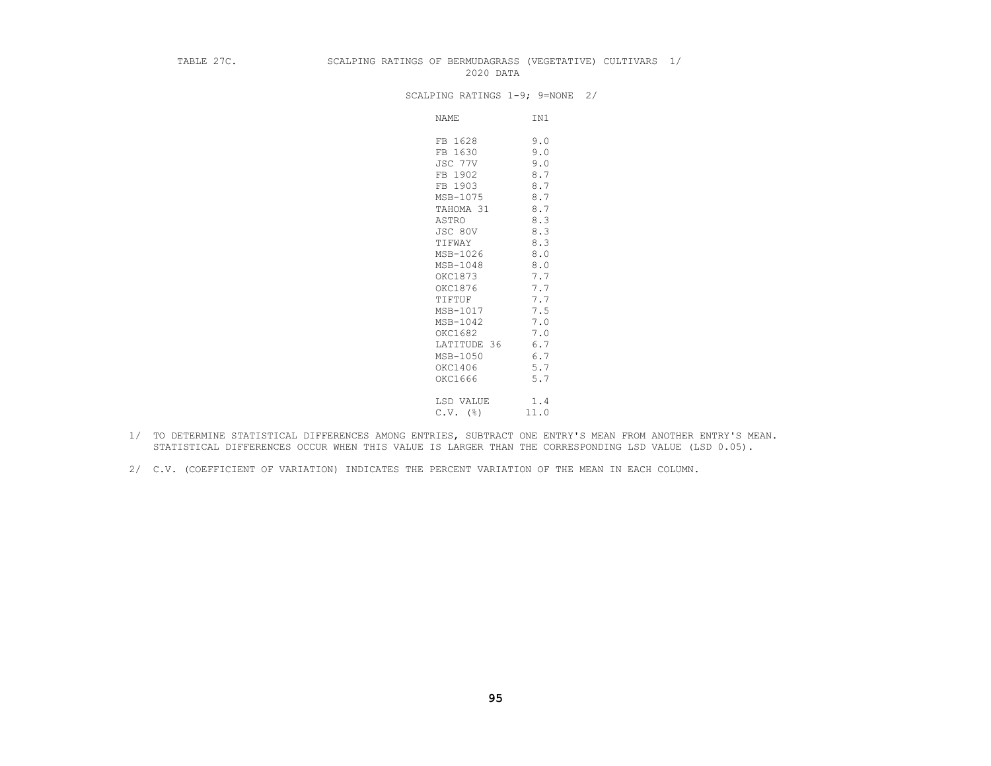## TABLE 27C. SCALPING RATINGS OF BERMUDAGRASS (VEGETATIVE) CULTIVARS 1/ 2020 DATA

#### SCALPING RATINGS 1-9; 9=NONE 2/

NAME IN1 FB 1628 9.0<br>FB 1630 9.0 FB 1630 9.0 JSC 77V 9.0 FB 1902 8.7 FB 1903 8.7 MSB-1075 8.7<br>TAHOMA 31 8.7 TAHOMA 31 8.7<br>ASTRO 8.3 as a set of the set of the set of the set of the set of the set of the set of the set of the set of the set of the set of the set of the set of the set of the set of the set of the set of the set of the set of the set of t  $JSC 80V$  8.3 TIFWAY 8.3  $MSB-1026$  8.0 MSB-1048 8.0<br>OKC1873 7.7 OKC1873 7.7<br>OKC1876 7.7 okc1876 7.7 TIFTUF 7.7 MSB-1017 7.5 MSB-1042 7.0 or the contract of the contract of the contract of the contract of the contract of the contract of the contract of the contract of the contract of the contract of the contract of the contract of the contract of the contrac LATITUDE 36 6.7<br>MSB-1050 6.7  $MSB-1050$  6.7 orces and the contract of the contract of the contract of the contract of the contract of the contract of the contract of the contract of the contract of the contract of the contract of the contract of the contract of the okc1666 5.7 LSD VALUE 1.4  $C.V.$  (%) 11.0

- 1/ TO DETERMINE STATISTICAL DIFFERENCES AMONG ENTRIES, SUBTRACT ONE ENTRY'S MEAN FROM ANOTHER ENTRY'S MEAN. STATISTICAL DIFFERENCES OCCUR WHEN THIS VALUE IS LARGER THAN THE CORRESPONDING LSD VALUE (LSD 0.05).
- 2/ C.V. (COEFFICIENT OF VARIATION) INDICATES THE PERCENT VARIATION OF THE MEAN IN EACH COLUMN.

**95**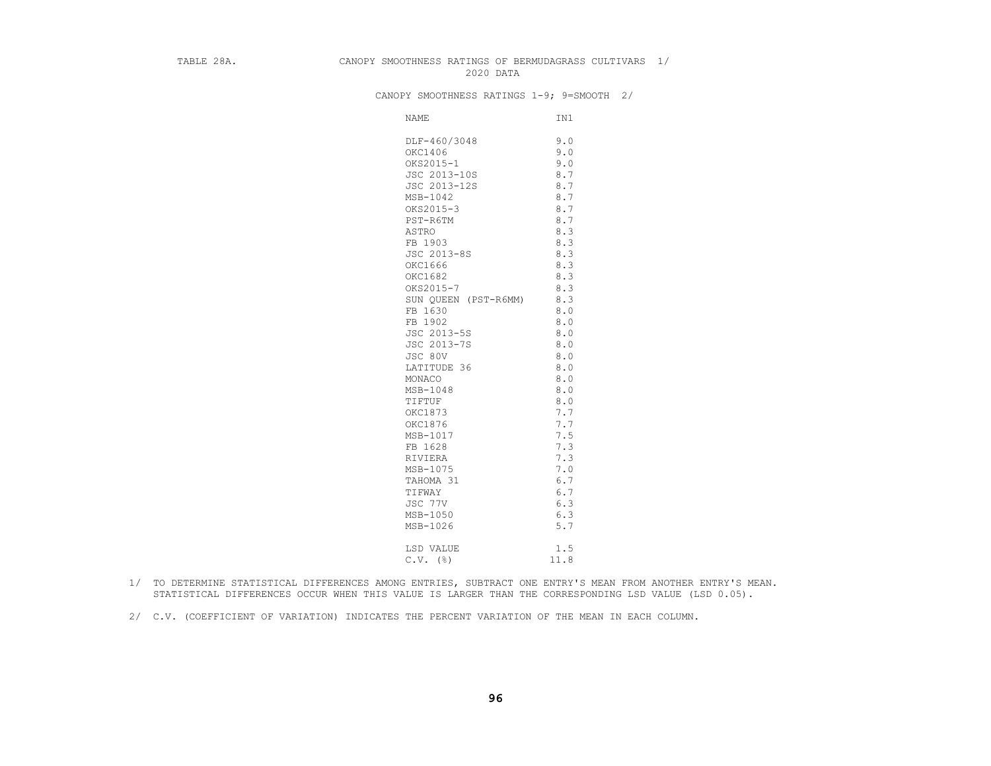### TABLE 28A. CANOPY SMOOTHNESS RATINGS OF BERMUDAGRASS CULTIVARS 1/ 2020 DATA

CANOPY SMOOTHNESS RATINGS 1-9; 9=SMOOTH 2/

| NAME                 | IN1  |
|----------------------|------|
| DLF-460/3048         | 9.0  |
| OKC1406              | 9.0  |
| OKS2015-1            | 9.0  |
| JSC 2013-10S         | 8.7  |
| JSC 2013-12S         | 8.7  |
| MSB-1042             | 8.7  |
| OKS2015-3            | 8.7  |
| PST-R6TM             | 8.7  |
| ASTRO                | 8.3  |
| FB 1903              | 8.3  |
| JSC 2013-8S          | 8.3  |
| OKC1666              | 8.3  |
| OKC1682              | 8.3  |
| OKS2015-7            | 8.3  |
| SUN QUEEN (PST-R6MM) | 8.3  |
| FB 1630              | 8.0  |
| FB 1902              | 8.0  |
| JSC 2013-5S          | 8.0  |
| JSC 2013-7S          | 8.0  |
| JSC 80V              | 8.0  |
| LATITUDE 36          | 8.0  |
| MONACO               | 8.0  |
| MSB-1048             | 8.0  |
| TIFTUF               | 8.0  |
| OKC1873              | 7.7  |
| OKC1876              | 7.7  |
| MSB-1017             | 7.5  |
| FB 1628              | 7.3  |
| RIVIERA              | 7.3  |
| MSB-1075             | 7.0  |
| TAHOMA 31            | 6.7  |
| TIFWAY               | 6.7  |
| JSC 77V              | 6.3  |
| MSB-1050             | 6.3  |
| MSB-1026             | 5.7  |
| LSD VALUE            | 1.5  |
| $C.V.$ ( $\S$ )      | 11.8 |

- 1/ TO DETERMINE STATISTICAL DIFFERENCES AMONG ENTRIES, SUBTRACT ONE ENTRY'S MEAN FROM ANOTHER ENTRY'S MEAN. STATISTICAL DIFFERENCES OCCUR WHEN THIS VALUE IS LARGER THAN THE CORRESPONDING LSD VALUE (LSD 0.05).
- 2/ C.V. (COEFFICIENT OF VARIATION) INDICATES THE PERCENT VARIATION OF THE MEAN IN EACH COLUMN.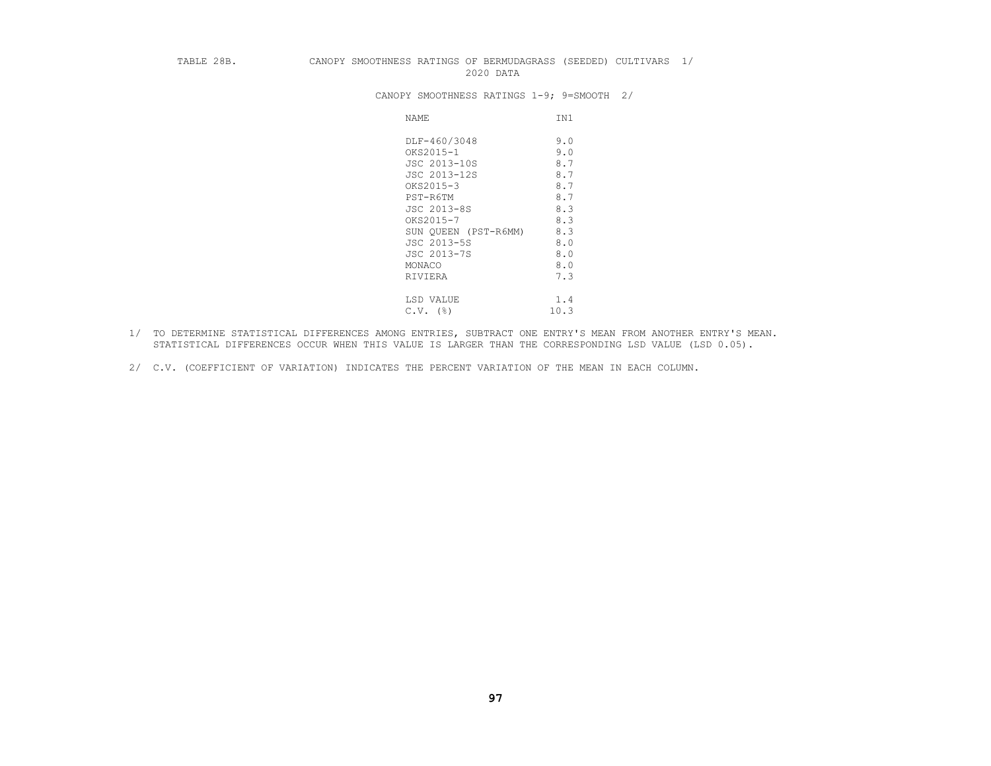#### TABLE 28B. CANOPY SMOOTHNESS RATINGS OF BERMUDAGRASS (SEEDED) CULTIVARS 1/ 2020 DATA

CANOPY SMOOTHNESS RATINGS 1-9; 9=SMOOTH 2/

| NAME                 | IN1  |
|----------------------|------|
| DLF-460/3048         | 9.0  |
| OKS2015-1            | 9.0  |
| JSC 2013-10S         | 8.7  |
| JSC 2013-12S         | 8.7  |
| OKS2015-3            | 8.7  |
| PST-R6TM             | 8.7  |
| JSC 2013-8S          | 8.3  |
| OKS2015-7            | 8.3  |
| SUN OUEEN (PST-R6MM) | 8.3  |
| JSC 2013-5S          | 8.0  |
| JSC 2013-7S          | 8.0  |
| MONACO               | 8.0  |
| RIVIERA              | 7.3  |
|                      |      |
| LSD VALUE            | 1.4  |
| (%)<br>C.V.          | 10.3 |

- 1/ TO DETERMINE STATISTICAL DIFFERENCES AMONG ENTRIES, SUBTRACT ONE ENTRY'S MEAN FROM ANOTHER ENTRY'S MEAN. STATISTICAL DIFFERENCES OCCUR WHEN THIS VALUE IS LARGER THAN THE CORRESPONDING LSD VALUE (LSD 0.05).
- 2/ C.V. (COEFFICIENT OF VARIATION) INDICATES THE PERCENT VARIATION OF THE MEAN IN EACH COLUMN.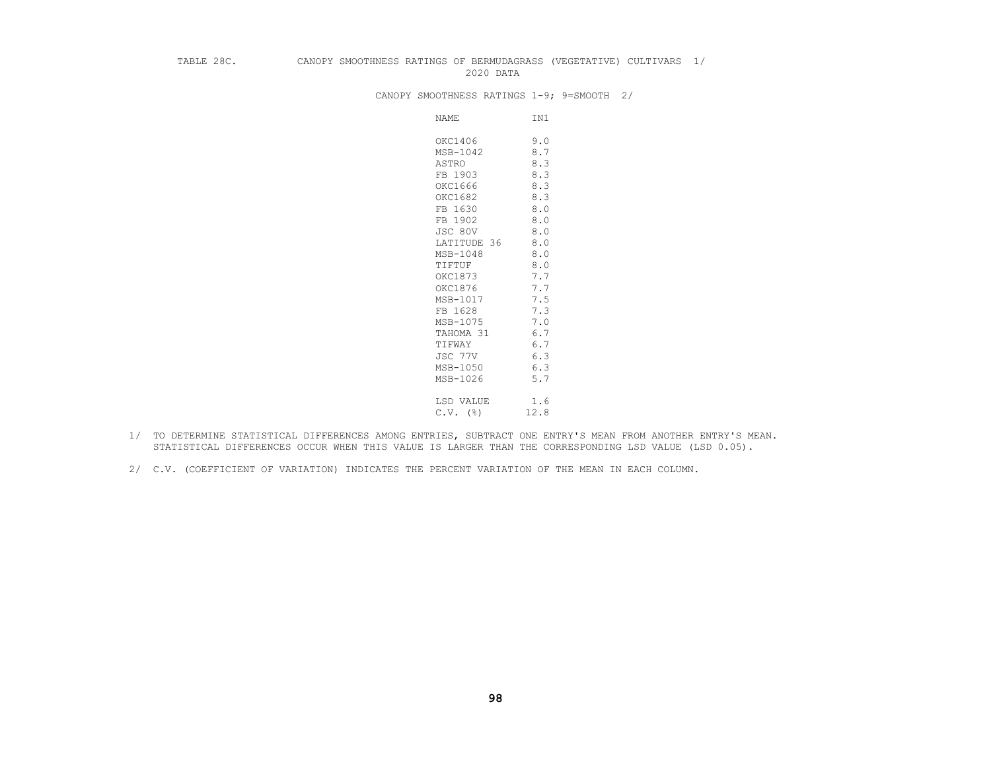## TABLE 28C. CANOPY SMOOTHNESS RATINGS OF BERMUDAGRASS (VEGETATIVE) CULTIVARS 1/ 2020 DATA

CANOPY SMOOTHNESS RATINGS 1-9; 9=SMOOTH 2/

| NAME        | IN1  |
|-------------|------|
| OKC1406     | 9.0  |
| MSB-1042    | 8.7  |
| ASTRO       | 8.3  |
| FB 1903     | 8.3  |
| OKC1666     | 8.3  |
| OKC1682     | 8.3  |
| FB 1630     | 8.0  |
| FB 1902     | 8.0  |
| JSC 80V     | 8.0  |
| LATITUDE 36 | 8.0  |
| MSB-1048    | 8.0  |
| TIFTUF      | 8.0  |
| OKC1873     | 7.7  |
| OKC1876     | 7.7  |
| MSB-1017    | 7.5  |
| FB 1628     | 7.3  |
| MSB-1075    | 7.0  |
| TAHOMA 31   | 6.7  |
| TIFWAY      | 6.7  |
| JSC 77V     | 6.3  |
| MSB-1050    | 6.3  |
| MSB-1026    | 5.7  |
| LSD VALUE   | 1.6  |
| $C.V.$ (%)  | 12.8 |

- 1/ TO DETERMINE STATISTICAL DIFFERENCES AMONG ENTRIES, SUBTRACT ONE ENTRY'S MEAN FROM ANOTHER ENTRY'S MEAN. STATISTICAL DIFFERENCES OCCUR WHEN THIS VALUE IS LARGER THAN THE CORRESPONDING LSD VALUE (LSD 0.05).
- 2/ C.V. (COEFFICIENT OF VARIATION) INDICATES THE PERCENT VARIATION OF THE MEAN IN EACH COLUMN.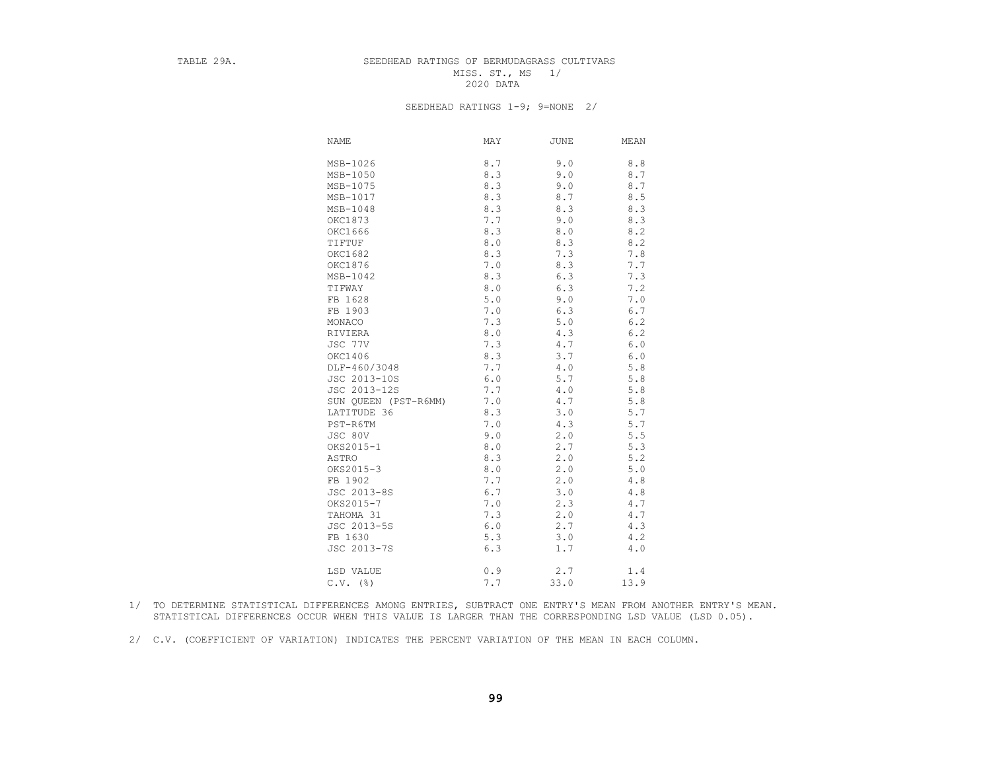## TABLE 29A. SEEDHEAD RATINGS OF BERMUDAGRASS CULTIVARS MISS. ST., MS 1/<br>2020 DATA 2020 DATA

#### SEEDHEAD RATINGS 1-9; 9=NONE 2/

| NAME                 | MAY   | JUNE    | MEAN  |
|----------------------|-------|---------|-------|
| MSB-1026             | 8.7   | 9.0     | 8.8   |
| MSB-1050             | 8.3   | 9.0     | 8.7   |
| MSB-1075             | 8.3   | 9.0     | 8.7   |
| MSB-1017             | 8.3   | 8.7     | 8.5   |
| MSB-1048             | 8.3   | 8.3     | 8.3   |
| OKC1873              | 7.7   | 9.0     | 8.3   |
| OKC1666              | 8.3   | 8.0     | 8.2   |
| TIFTUF               | 8.0   | 8.3     | 8.2   |
| OKC1682              | 8.3   | 7.3     | 7.8   |
| OKC1876              | 7.0   | 8.3     | 7.7   |
| MSB-1042             | 8.3   | 6.3     | 7.3   |
| TIFWAY               | $8.0$ | 6.3     | 7.2   |
| FB 1628              | $5.0$ | 9.0     | 7.0   |
| FB 1903              | 7.0   | 6.3     | 6.7   |
| MONACO               | 7.3   | $5.0$   | 6.2   |
| RIVIERA              | 8.0   | 4.3     | 6.2   |
| JSC 77V              | 7.3   | $4\,.7$ | 6.0   |
| OKC1406              | 8.3   | 3.7     | 6.0   |
| DLF-460/3048         | 7.7   | $4.0$   | 5.8   |
| JSC 2013-10S         | $6.0$ | 5.7     | 5.8   |
| JSC 2013-12S         | 7.7   | 4.0     | 5.8   |
| SUN QUEEN (PST-R6MM) | 7.0   | 4.7     | $5.8$ |
| LATITUDE 36          | 8.3   | 3.0     | 5.7   |
| PST-R6TM             | 7.0   | 4.3     | 5.7   |
| JSC 80V              | 9.0   | 2.0     | 5.5   |
| OKS2015-1            | 8.0   | 2.7     | 5.3   |
| ASTRO                | 8.3   | 2.0     | 5.2   |
| OKS2015-3            | 8.0   | 2.0     | 5.0   |
| FB 1902              | 7.7   | 2.0     | 4.8   |
| JSC 2013-8S          | 6.7   | 3.0     | 4.8   |
| OKS2015-7            | 7.0   | 2.3     | 4.7   |
| TAHOMA 31            | 7.3   | 2.0     | 4.7   |
| JSC 2013-5S          | 6.0   | 2.7     | 4.3   |
| FB 1630              | 5.3   | 3.0     | 4.2   |
| JSC 2013-7S          | 6.3   | 1.7     | 4.0   |
| LSD VALUE            | 0.9   | 2.7     | 1.4   |
| $C.V.$ (%)           | 7.7   | 33.0    | 13.9  |

- 1/ TO DETERMINE STATISTICAL DIFFERENCES AMONG ENTRIES, SUBTRACT ONE ENTRY'S MEAN FROM ANOTHER ENTRY'S MEAN. STATISTICAL DIFFERENCES OCCUR WHEN THIS VALUE IS LARGER THAN THE CORRESPONDING LSD VALUE (LSD 0.05).
- 2/ C.V. (COEFFICIENT OF VARIATION) INDICATES THE PERCENT VARIATION OF THE MEAN IN EACH COLUMN.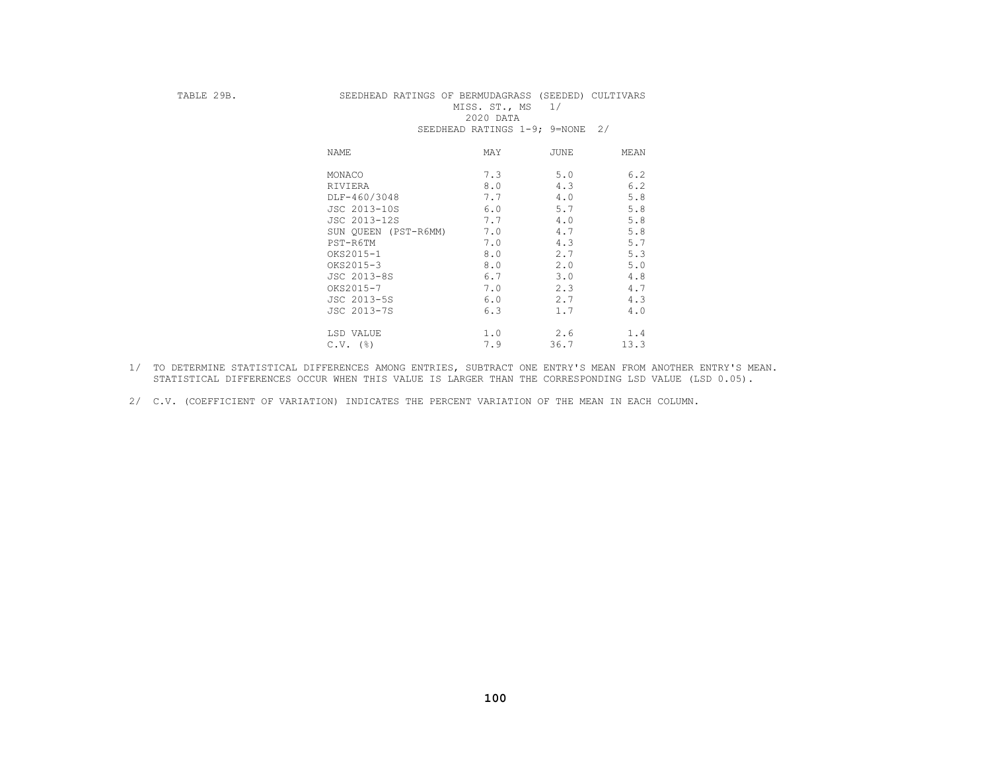## TABLE 29B. SEEDHEAD RATINGS OF BERMUDAGRASS (SEEDED) CULTIVARS MISS. ST., MS 1/<br>2020 DATA 2020 DATA SEEDHEAD RATINGS 1-9; 9=NONE 2/

| NAME                 | MAY | <b>JUNE</b> | MEAN |
|----------------------|-----|-------------|------|
| MONACO               | 7.3 | 5.0         | 6.2  |
| RIVIERA              | 8.0 | 4.3         | 6.2  |
| DLF-460/3048         | 7.7 | 4.0         | 5.8  |
| JSC 2013-10S         | 6.0 | 5.7         | 5.8  |
| JSC 2013-12S         | 7.7 | 4.0         | 5.8  |
| SUN QUEEN (PST-R6MM) | 7.0 | 4.7         | 5.8  |
| PST-R6TM             | 7.0 | 4.3         | 5.7  |
| OKS2015-1            | 8.0 | 2.7         | 5.3  |
| OKS2015-3            | 8.0 | 2.0         | 5.0  |
| JSC 2013-8S          | 6.7 | 3.0         | 4.8  |
| OKS2015-7            | 7.0 | 2.3         | 4.7  |
| JSC 2013-5S          | 6.0 | 2.7         | 4.3  |
| JSC 2013-7S          | 6.3 | 1.7         | 4.0  |
| LSD VALUE            | 1.0 | 2.6         | 1.4  |
| $C.V.$ (%)           | 7.9 | 36.7        | 13.3 |

- 1/ TO DETERMINE STATISTICAL DIFFERENCES AMONG ENTRIES, SUBTRACT ONE ENTRY'S MEAN FROM ANOTHER ENTRY'S MEAN. STATISTICAL DIFFERENCES OCCUR WHEN THIS VALUE IS LARGER THAN THE CORRESPONDING LSD VALUE (LSD 0.05).
- 2/ C.V. (COEFFICIENT OF VARIATION) INDICATES THE PERCENT VARIATION OF THE MEAN IN EACH COLUMN.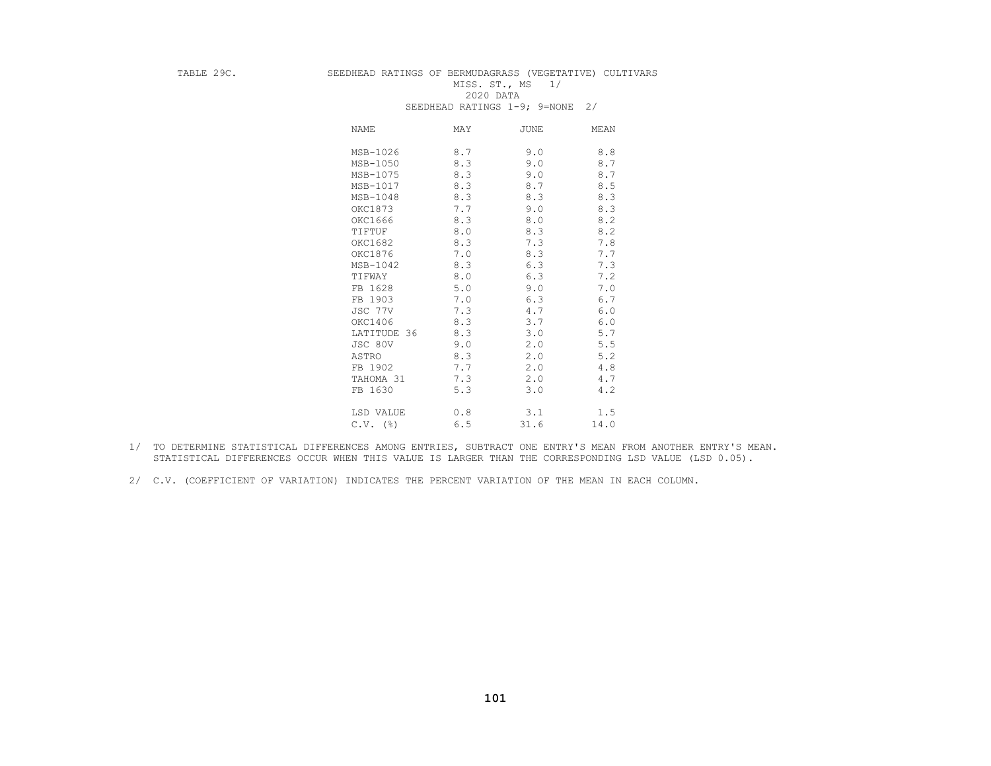# TABLE 29C. SEEDHEAD RATINGS OF BERMUDAGRASS (VEGETATIVE) CULTIVARS MISS. ST., MS 1/<br>2020 DATA

|             | UBBDIBAD IAIINGU I J, J-NONB |             | $\sim$ / |
|-------------|------------------------------|-------------|----------|
| NAME        | MAY                          | <b>JUNE</b> | MEAN     |
| MSB-1026    | 8.7                          | 9.0         | 8.8      |
| MSB-1050    | 8.3                          | 9.0         | 8.7      |
| MSB-1075    | 8.3                          | 9.0         | 8.7      |
| MSB-1017    | 8.3                          | 8.7         | 8.5      |
| MSB-1048    | 8.3                          | 8.3         | 8.3      |
| OKC1873     | 7.7                          | 9.0         | 8.3      |
| OKC1666     | 8.3                          | 8.0         | 8.2      |
| TIFTUF      | 8.0                          | 8.3         | 8.2      |
| OKC1682     | 8.3                          | 7.3         | 7.8      |
| OKC1876     | 7.0                          | 8.3         | 7.7      |
| MSB-1042    | 8.3                          | 6.3         | 7.3      |
| TIFWAY      | 8.0                          | 6.3         | 7.2      |
| FB 1628     | 5.0                          | 9.0         | 7.0      |
| FB 1903     | 7.0                          | 6.3         | 6.7      |
| JSC 77V     | 7.3                          | 4.7         | 6.0      |
| OKC1406     | 8.3                          | 3.7         | 6.0      |
| LATITUDE 36 | 8.3                          | 3.0         | 5.7      |
| JSC 80V     | 9.0                          | 2.0         | 5.5      |
| ASTRO       | 8.3                          | 2.0         | 5.2      |
| FB 1902     | 7.7                          | 2.0         | 4.8      |
| TAHOMA 31   | 7.3                          | 2.0         | 4.7      |
| FB 1630     | 5.3                          | 3.0         | 4.2      |
| LSD VALUE   | 0.8                          | 3.1         | 1.5      |
| $C.V.$ (%)  | 6.5                          | 31.6        | 14.0     |

#### 2020 DATA SEEDHEAD RATINGS 1-9; 9=NONE 2/

- 1/ TO DETERMINE STATISTICAL DIFFERENCES AMONG ENTRIES, SUBTRACT ONE ENTRY'S MEAN FROM ANOTHER ENTRY'S MEAN. STATISTICAL DIFFERENCES OCCUR WHEN THIS VALUE IS LARGER THAN THE CORRESPONDING LSD VALUE (LSD 0.05).
- 2/ C.V. (COEFFICIENT OF VARIATION) INDICATES THE PERCENT VARIATION OF THE MEAN IN EACH COLUMN.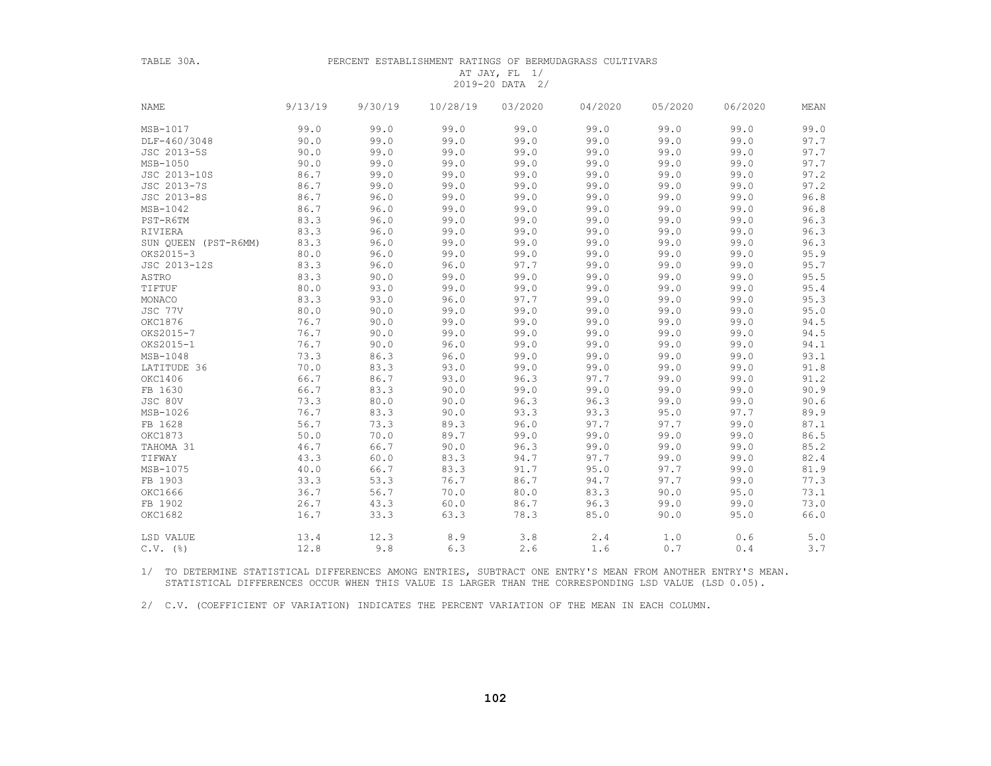| ۱ |  |
|---|--|
|   |  |

#### PERCENT ESTABLISHMENT RATINGS OF BERMUDAGRASS CULTIVARS

#### AT JAY, FL 1/ 2019-20 DATA 2/

| <b>NAME</b>          | 9/13/19 | 9/30/19 | 10/28/19   | 03/2020 | 04/2020 | 05/2020 | 06/2020 | MEAN |
|----------------------|---------|---------|------------|---------|---------|---------|---------|------|
| MSB-1017             | 99.0    | 99.0    | 99.0       | 99.0    | 99.0    | 99.0    | 99.0    | 99.0 |
| DLF-460/3048         | 90.0    | 99.0    | 99.0       | 99.0    | 99.0    | 99.0    | 99.0    | 97.7 |
| JSC 2013-5S          | 90.0    | 99.0    | 99.0       | 99.0    | 99.0    | 99.0    | 99.0    | 97.7 |
| MSB-1050             | 90.0    | 99.0    | 99.0       | 99.0    | 99.0    | 99.0    | 99.0    | 97.7 |
| JSC 2013-10S         | 86.7    | 99.0    | 99.0       | 99.0    | 99.0    | 99.0    | 99.0    | 97.2 |
| JSC 2013-7S          | 86.7    | 99.0    | 99.0       | 99.0    | 99.0    | 99.0    | 99.0    | 97.2 |
| JSC 2013-8S          | 86.7    | 96.0    | 99.0       | 99.0    | 99.0    | 99.0    | 99.0    | 96.8 |
| MSB-1042             | 86.7    | 96.0    | 99.0       | 99.0    | 99.0    | 99.0    | 99.0    | 96.8 |
| PST-R6TM             | 83.3    | 96.0    | 99.0       | 99.0    | 99.0    | 99.0    | 99.0    | 96.3 |
| RIVIERA              | 83.3    | 96.0    | 99.0       | 99.0    | 99.0    | 99.0    | 99.0    | 96.3 |
| SUN QUEEN (PST-R6MM) | 83.3    | 96.0    | 99.0       | 99.0    | 99.0    | 99.0    | 99.0    | 96.3 |
| OKS2015-3            | 80.0    | 96.0    | 99.0       | 99.0    | 99.0    | 99.0    | 99.0    | 95.9 |
| JSC 2013-12S         | 83.3    | 96.0    | 96.0       | 97.7    | 99.0    | 99.0    | 99.0    | 95.7 |
| ASTRO                | 83.3    | 90.0    | 99.0       | 99.0    | 99.0    | 99.0    | 99.0    | 95.5 |
| TIFTUF               | 80.0    | 93.0    | 99.0       | 99.0    | 99.0    | 99.0    | 99.0    | 95.4 |
| MONACO               | 83.3    | 93.0    | 96.0       | 97.7    | 99.0    | 99.0    | 99.0    | 95.3 |
| JSC 77V              | 80.0    | 90.0    | 99.0       | 99.0    | 99.0    | 99.0    | 99.0    | 95.0 |
| OKC1876              | 76.7    | 90.0    | 99.0       | 99.0    | 99.0    | 99.0    | 99.0    | 94.5 |
| OKS2015-7            | 76.7    | 90.0    | 99.0       | 99.0    | 99.0    | 99.0    | 99.0    | 94.5 |
| OKS2015-1            | 76.7    | 90.0    | 96.0       | 99.0    | 99.0    | 99.0    | 99.0    | 94.1 |
| MSB-1048             | 73.3    | 86.3    | 96.0       | 99.0    | 99.0    | 99.0    | 99.0    | 93.1 |
| LATITUDE 36          | 70.0    | 83.3    | 93.0       | 99.0    | 99.0    | 99.0    | 99.0    | 91.8 |
| OKC1406              | 66.7    | 86.7    | 93.0       | 96.3    | 97.7    | 99.0    | 99.0    | 91.2 |
| FB 1630              | 66.7    | 83.3    | 90.0       | 99.0    | 99.0    | 99.0    | 99.0    | 90.9 |
| JSC 80V              | 73.3    | 80.0    | 90.0       | 96.3    | 96.3    | 99.0    | 99.0    | 90.6 |
| MSB-1026             | 76.7    | 83.3    | 90.0       | 93.3    | 93.3    | 95.0    | 97.7    | 89.9 |
| FB 1628              | 56.7    | 73.3    | 89.3       | 96.0    | 97.7    | 97.7    | 99.0    | 87.1 |
| OKC1873              | 50.0    | 70.0    | 89.7       | 99.0    | 99.0    | 99.0    | 99.0    | 86.5 |
| TAHOMA 31            | 46.7    | 66.7    | 90.0       | 96.3    | 99.0    | 99.0    | 99.0    | 85.2 |
| TIFWAY               | 43.3    | 60.0    | 83.3       | 94.7    | 97.7    | 99.0    | 99.0    | 82.4 |
| MSB-1075             | 40.0    | 66.7    | 83.3       | 91.7    | 95.0    | 97.7    | 99.0    | 81.9 |
| FB 1903              | 33.3    | 53.3    | 76.7       | 86.7    | 94.7    | 97.7    | 99.0    | 77.3 |
| OKC1666              | 36.7    | 56.7    | 70.0       | 80.0    | 83.3    | 90.0    | 95.0    | 73.1 |
| FB 1902              | 26.7    | 43.3    | 60.0       | 86.7    | 96.3    | 99.0    | 99.0    | 73.0 |
| OKC1682              | 16.7    | 33.3    | 63.3       | 78.3    | 85.0    | 90.0    | 95.0    | 66.0 |
| LSD VALUE            | 13.4    |         | $12.3$ 8.9 | 3.8     | 2.4     | 1.0     | 0.6     | 5.0  |
| $C.V.$ (%)           | 12.8    | 9.8     | 6.3        | 2.6     | 1.6     | 0.7     | 0.4     | 3.7  |

 1/ TO DETERMINE STATISTICAL DIFFERENCES AMONG ENTRIES, SUBTRACT ONE ENTRY'S MEAN FROM ANOTHER ENTRY'S MEAN. STATISTICAL DIFFERENCES OCCUR WHEN THIS VALUE IS LARGER THAN THE CORRESPONDING LSD VALUE (LSD 0.05).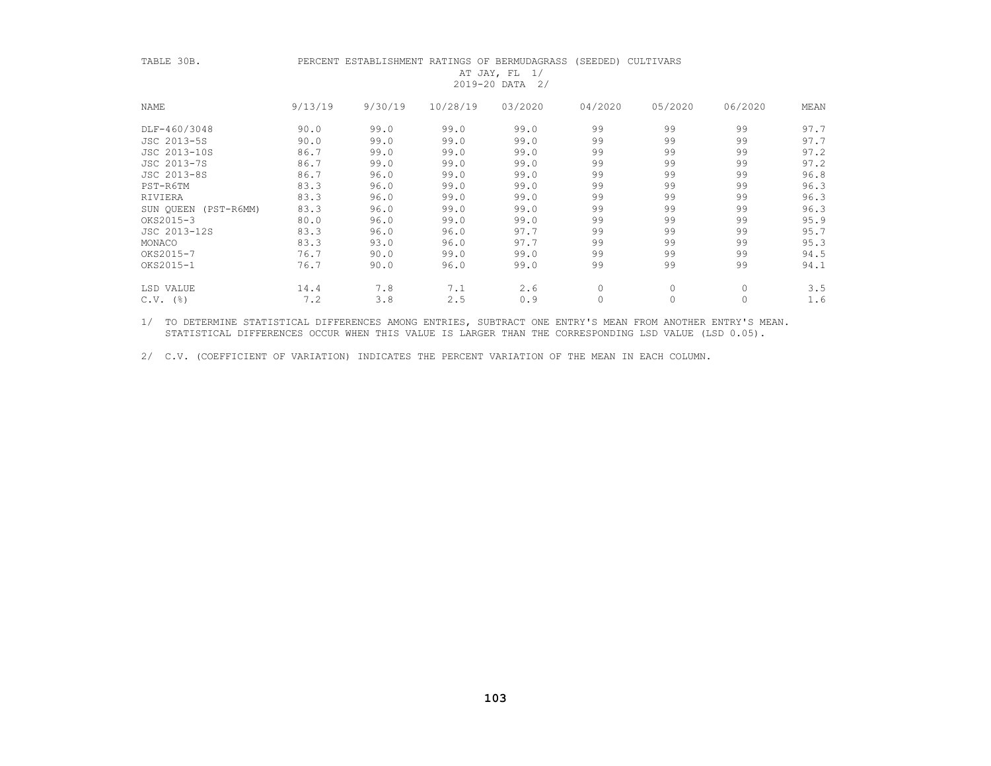| TABLE 30B.           |         |         |          | PERCENT ESTABLISHMENT RATINGS OF BERMUDAGRASS (SEEDED) CULTIVARS<br>AT JAY, FL $1/$ |         |         |         |      |
|----------------------|---------|---------|----------|-------------------------------------------------------------------------------------|---------|---------|---------|------|
|                      |         |         |          | 2019-20 DATA 2/                                                                     |         |         |         |      |
| NAME                 | 9/13/19 | 9/30/19 | 10/28/19 | 03/2020                                                                             | 04/2020 | 05/2020 | 06/2020 | MEAN |
| DLF-460/3048         | 90.0    | 99.0    | 99.0     | 99.0                                                                                | 99      | 99      | 99      | 97.7 |
| JSC 2013-5S          | 90.0    | 99.0    | 99.0     | 99.0                                                                                | 99      | 99      | 99      | 97.7 |
| JSC 2013-10S         | 86.7    | 99.0    | 99.0     | 99.0                                                                                | 99      | 99      | 99      | 97.2 |
| JSC 2013-7S          | 86.7    | 99.0    | 99.0     | 99.0                                                                                | 99      | 99      | 99      | 97.2 |
| JSC 2013-8S          | 86.7    | 96.0    | 99.0     | 99.0                                                                                | 99      | 99      | 99      | 96.8 |
| PST-R6TM             | 83.3    | 96.0    | 99.0     | 99.0                                                                                | 99      | 99      | 99      | 96.3 |
| RIVIERA              | 83.3    | 96.0    | 99.0     | 99.0                                                                                | 99      | 99      | 99      | 96.3 |
| SUN QUEEN (PST-R6MM) | 83.3    | 96.0    | 99.0     | 99.0                                                                                | 99      | 99      | 99      | 96.3 |
| OKS2015-3            | 80.0    | 96.0    | 99.0     | 99.0                                                                                | 99      | 99      | 99      | 95.9 |
| JSC 2013-12S         | 83.3    | 96.0    | 96.0     | 97.7                                                                                | 99      | 99      | 99      | 95.7 |
| MONACO               | 83.3    | 93.0    | 96.0     | 97.7                                                                                | 99      | 99      | 99      | 95.3 |
| OKS2015-7            | 76.7    | 90.0    | 99.0     | 99.0                                                                                | 99      | 99      | 99      | 94.5 |
| OKS2015-1            | 76.7    | 90.0    | 96.0     | 99.0                                                                                | 99      | 99      | 99      | 94.1 |
| LSD VALUE            | 14.4    | 7.8     | 7.1      | 2.6                                                                                 | $\circ$ | 0       | 0       | 3.5  |
| $C.V.$ (%)           | 7.2     | 3.8     | 2.5      | 0.9                                                                                 |         | 0       | $\circ$ | 1.6  |
|                      |         |         |          |                                                                                     |         |         |         |      |

 1/ TO DETERMINE STATISTICAL DIFFERENCES AMONG ENTRIES, SUBTRACT ONE ENTRY'S MEAN FROM ANOTHER ENTRY'S MEAN. STATISTICAL DIFFERENCES OCCUR WHEN THIS VALUE IS LARGER THAN THE CORRESPONDING LSD VALUE (LSD 0.05).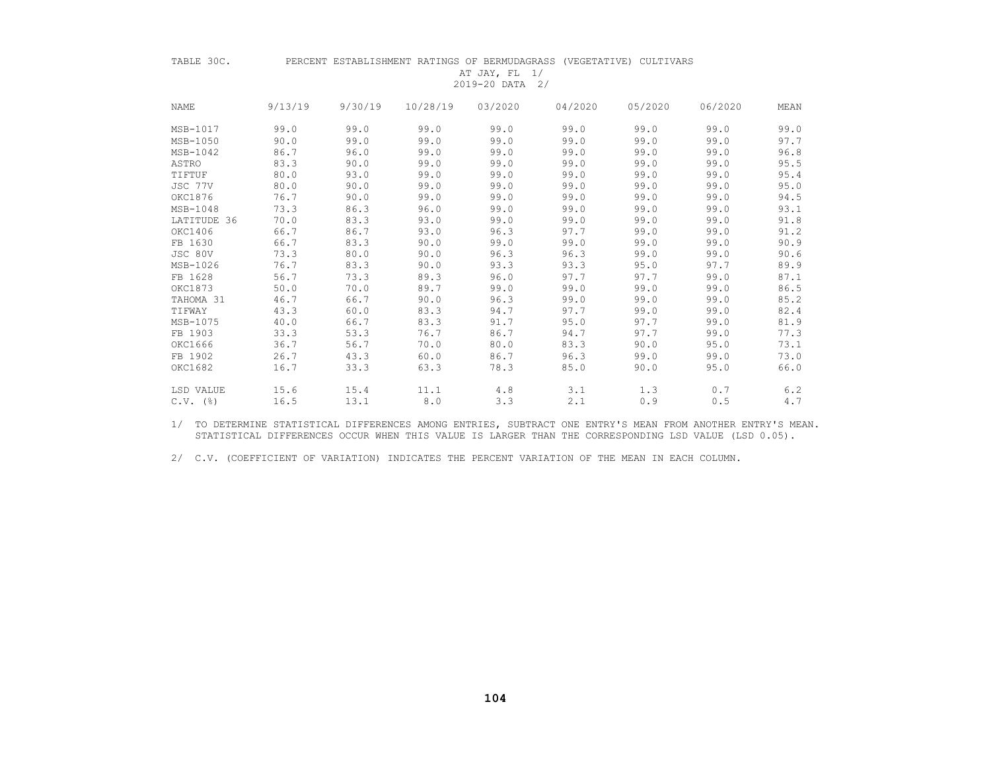| TABLE 30C.   |         |         |          | AT JAY, FL 1/<br>2019-20 DATA 2/ | PERCENT ESTABLISHMENT RATINGS OF BERMUDAGRASS (VEGETATIVE) CULTIVARS |         |         |      |
|--------------|---------|---------|----------|----------------------------------|----------------------------------------------------------------------|---------|---------|------|
| <b>NAME</b>  | 9/13/19 | 9/30/19 | 10/28/19 | 03/2020                          | 04/2020                                                              | 05/2020 | 06/2020 | MEAN |
| MSB-1017     | 99.0    | 99.0    | 99.0     | 99.0                             | 99.0                                                                 | 99.0    | 99.0    | 99.0 |
| MSB-1050     | 90.0    | 99.0    | 99.0     | 99.0                             | 99.0                                                                 | 99.0    | 99.0    | 97.7 |
| $MSB-1042$   | 86.7    | 96.0    | 99.0     | 99.0                             | 99.0                                                                 | 99.0    | 99.0    | 96.8 |
| ASTRO        | 83.3    | 90.0    | 99.0     | 99.0                             | 99.0                                                                 | 99.0    | 99.0    | 95.5 |
| TIFTUF       | 80.0    | 93.0    | 99.0     | 99.0                             | 99.0                                                                 | 99.0    | 99.0    | 95.4 |
| JSC 77V      | 80.0    | 90.0    | 99.0     | 99.0                             | 99.0                                                                 | 99.0    | 99.0    | 95.0 |
| OKC1876      | 76.7    | 90.0    | 99.0     | 99.0                             | 99.0                                                                 | 99.0    | 99.0    | 94.5 |
| MSB-1048     | 73.3    | 86.3    | 96.0     | 99.0                             | 99.0                                                                 | 99.0    | 99.0    | 93.1 |
| LATITUDE 36  | 70.0    | 83.3    | 93.0     | 99.0                             | 99.0                                                                 | 99.0    | 99.0    | 91.8 |
| OKC1406      | 66.7    | 86.7    | 93.0     | 96.3                             | 97.7                                                                 | 99.0    | 99.0    | 91.2 |
| FB 1630      | 66.7    | 83.3    | 90.0     | 99.0                             | 99.0                                                                 | 99.0    | 99.0    | 90.9 |
| JSC 80V      | 73.3    | 80.0    | 90.0     | 96.3                             | 96.3                                                                 | 99.0    | 99.0    | 90.6 |
| MSB-1026     | 76.7    | 83.3    | 90.0     | 93.3                             | 93.3                                                                 | 95.0    | 97.7    | 89.9 |
| FB 1628      | 56.7    | 73.3    | 89.3     | 96.0                             | 97.7                                                                 | 97.7    | 99.0    | 87.1 |
| OKC1873      | 50.0    | 70.0    | 89.7     | 99.0                             | 99.0                                                                 | 99.0    | 99.0    | 86.5 |
| TAHOMA 31    | 46.7    | 66.7    | 90.0     | 96.3                             | 99.0                                                                 | 99.0    | 99.0    | 85.2 |
| TIFWAY       | 43.3    | 60.0    | 83.3     | 94.7                             | 97.7                                                                 | 99.0    | 99.0    | 82.4 |
| MSB-1075     | 40.0    | 66.7    | 83.3     | 91.7                             | 95.0                                                                 | 97.7    | 99.0    | 81.9 |
| FB 1903      | 33.3    | 53.3    | 76.7     | 86.7                             | 94.7                                                                 | 97.7    | 99.0    | 77.3 |
| OKC1666      | 36.7    | 56.7    | 70.0     | 80.0                             | 83.3                                                                 | 90.0    | 95.0    | 73.1 |
| FB 1902      | 26.7    | 43.3    | 60.0     | 86.7                             | 96.3                                                                 | 99.0    | 99.0    | 73.0 |
| OKC1682      | 16.7    | 33.3    | 63.3     | 78.3                             | 85.0                                                                 | 90.0    | 95.0    | 66.0 |
| LSD VALUE    | 15.6    | 15.4    | 11.1     | 4.8                              | 3.1                                                                  | 1.3     | 0.7     | 6.2  |
| $C.V.$ $(%)$ | 16.5    | 13.1    | 8.0      | 3.3                              | 2.1                                                                  | 0.9     | 0.5     | 4.7  |

 1/ TO DETERMINE STATISTICAL DIFFERENCES AMONG ENTRIES, SUBTRACT ONE ENTRY'S MEAN FROM ANOTHER ENTRY'S MEAN. STATISTICAL DIFFERENCES OCCUR WHEN THIS VALUE IS LARGER THAN THE CORRESPONDING LSD VALUE (LSD 0.05).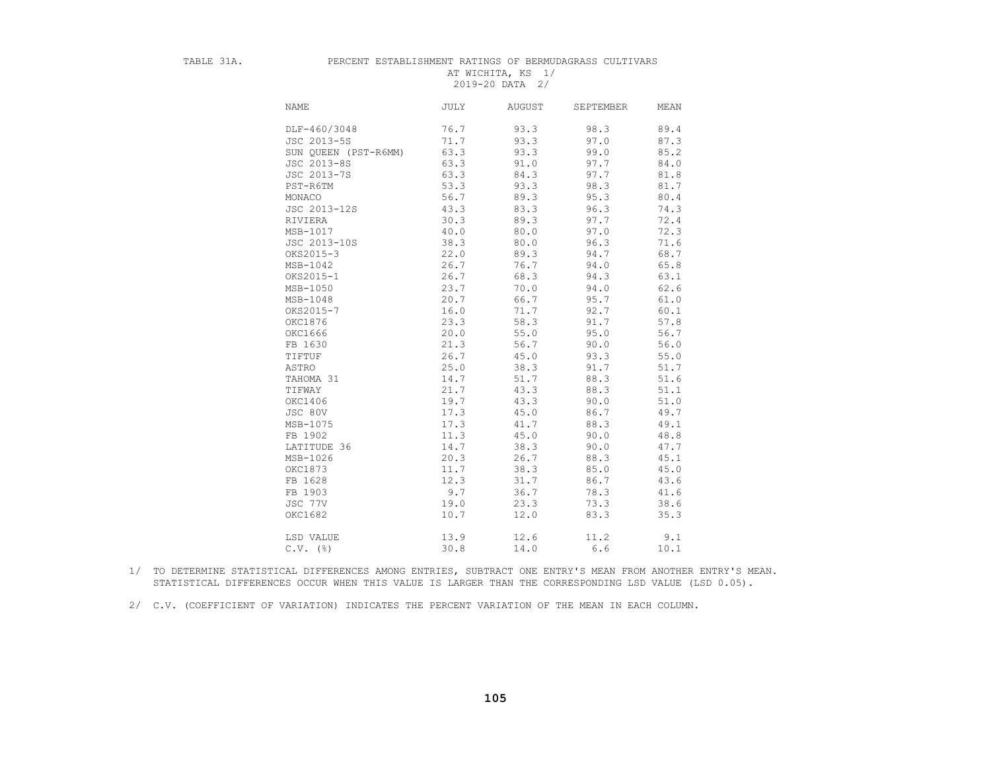#### TABLE 31A. PERCENT ESTABLISHMENT RATINGS OF BERMUDAGRASS CULTIVARS AT WICHITA, KS 1/ 2019-20 DATA 2/

| NAME                 | <b>JULY</b> | <b>AUGUST</b> | SEPTEMBER | MEAN |
|----------------------|-------------|---------------|-----------|------|
| DLF-460/3048         | 76.7        | 93.3          | 98.3      | 89.4 |
| JSC 2013-5S          | 71.7        | 93.3          | 97.0      | 87.3 |
| SUN QUEEN (PST-R6MM) | 63.3        | 93.3          | 99.0      | 85.2 |
| JSC 2013-8S          | 63.3        | 91.0          | 97.7      | 84.0 |
| JSC 2013-7S          | 63.3        | 84.3          | 97.7      | 81.8 |
| PST-R6TM             | 53.3        | 93.3          | 98.3      | 81.7 |
| MONACO               | 56.7        | 89.3          | 95.3      | 80.4 |
| JSC 2013-12S         | 43.3        | 83.3          | 96.3      | 74.3 |
| RIVIERA              | 30.3        | 89.3          | 97.7      | 72.4 |
| MSB-1017             | 40.0        | 80.0          | 97.0      | 72.3 |
| JSC 2013-10S         | 38.3        | 80.0          | 96.3      | 71.6 |
| OKS2015-3            | 22.0        | 89.3          | 94.7      | 68.7 |
| $MSB-1042$           | 26.7        | 76.7          | 94.0      | 65.8 |
| OKS2015-1            | 26.7        | 68.3          | 94.3      | 63.1 |
| MSB-1050             | 23.7        | 70.0          | 94.0      | 62.6 |
| MSB-1048             | 20.7        | 66.7          | 95.7      | 61.0 |
| OKS2015-7            | 16.0        | 71.7          | 92.7      | 60.1 |
| OKC1876              | 23.3        | 58.3          | 91.7      | 57.8 |
| OKC1666              | 20.0        | 55.0          | 95.0      | 56.7 |
| FB 1630              | 21.3        | 56.7          | 90.0      | 56.0 |
| TIFTUF               | 26.7        | 45.0          | 93.3      | 55.0 |
| ASTRO                | 25.0        | 38.3          | 91.7      | 51.7 |
| TAHOMA 31            | 14.7        | 51.7          | 88.3      | 51.6 |
| TIFWAY               | 21.7        | 43.3          | 88.3      | 51.1 |
| OKC1406              | 19.7        | 43.3          | 90.0      | 51.0 |
| JSC 80V              | 17.3        | 45.0          | 86.7      | 49.7 |
| MSB-1075             | 17.3        | 41.7          | 88.3      | 49.1 |
| FB 1902              | 11.3        | 45.0          | 90.0      | 48.8 |
| LATITUDE 36          | 14.7        | 38.3          | 90.0      | 47.7 |
| MSB-1026             | 20.3        | 26.7          | 88.3      | 45.1 |
| OKC1873              | 11.7        | 38.3          | 85.0      | 45.0 |
| FB 1628              | 12.3        | 31.7          | 86.7      | 43.6 |
| FB 1903              | 9.7         | 36.7          | 78.3      | 41.6 |
| JSC 77V              | 19.0        | 23.3          | 73.3      | 38.6 |
| OKC1682              | 10.7        | 12.0          | 83.3      | 35.3 |
| LSD VALUE            | 13.9        | 12.6          | 11.2      | 9.1  |
| $C.V.$ ( $\S$ )      | 30.8        | 14.0          | 6.6       | 10.1 |

 1/ TO DETERMINE STATISTICAL DIFFERENCES AMONG ENTRIES, SUBTRACT ONE ENTRY'S MEAN FROM ANOTHER ENTRY'S MEAN. STATISTICAL DIFFERENCES OCCUR WHEN THIS VALUE IS LARGER THAN THE CORRESPONDING LSD VALUE (LSD 0.05).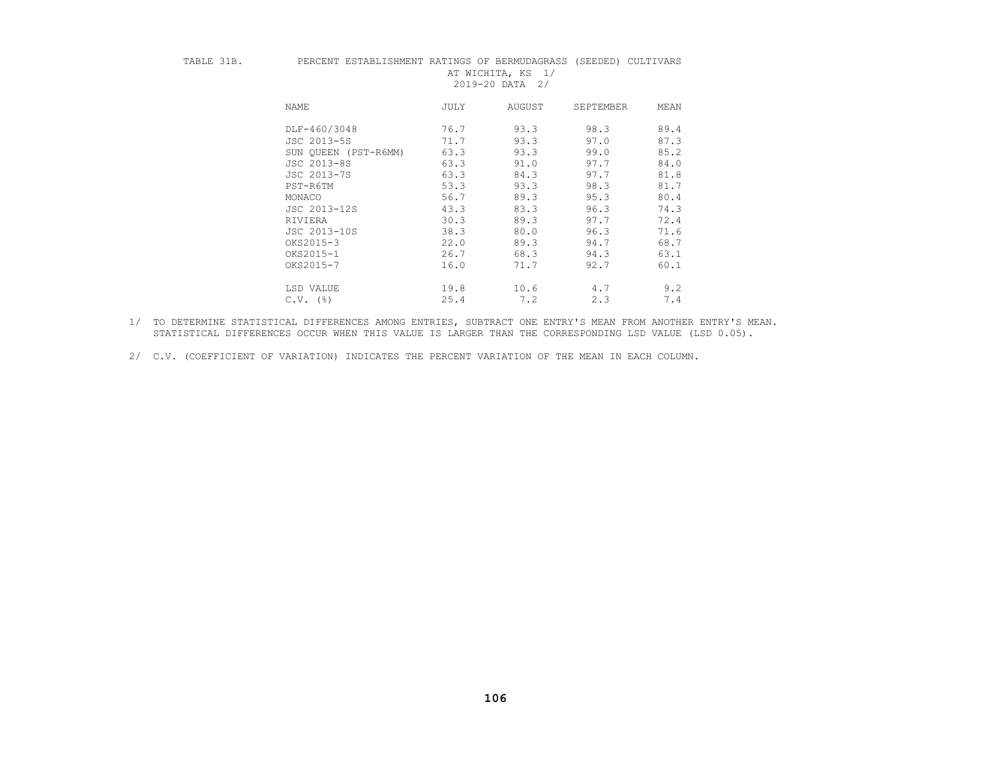| TABLE |  |  |
|-------|--|--|
|       |  |  |

#### PERCENT ESTABLISHMENT RATINGS OF BERMUDAGRASS (SEEDED) CULTIVARS AT WICHITA, KS 1/ 2019-20 DATA 2/

| NAME            | <b>JULY</b>                  | AUGUST | SEPTEMBER | MEAN |
|-----------------|------------------------------|--------|-----------|------|
|                 | DLF-460/3048<br>76.7         | 93.3   | 98.3      | 89.4 |
|                 | JSC 2013-5S<br>71.7          | 93.3   | 97.0      | 87.3 |
|                 | 63.3<br>SUN OUEEN (PST-R6MM) | 93.3   | 99.0      | 85.2 |
|                 | JSC 2013-8S<br>63.3          | 91.0   | 97.7      | 84.0 |
|                 | JSC 2013-7S<br>63.3          | 84.3   | 97.7      | 81.8 |
| PST-R6TM        | 53.3                         | 93.3   | 98.3      | 81.7 |
| MONACO          | 56.7                         | 89.3   | 95.3      | 80.4 |
|                 | 43.3<br>JSC 2013-12S         | 83.3   | 96.3      | 74.3 |
| RIVIERA         | 30.3                         | 89.3   | 97.7      | 72.4 |
|                 | 38.3<br>JSC 2013-10S         | 80.0   | 96.3      | 71.6 |
| OKS2015-3       | 22.0                         | 89.3   | 94.7      | 68.7 |
| OKS2015-1       | 26.7                         | 68.3   | 94.3      | 63.1 |
| OKS2015-7       | 16.0                         | 71.7   | 92.7      | 60.1 |
| LSD VALUE       | 19.8                         | 10.6   | 4.7       | 9.2  |
| $C.V.$ ( $\S$ ) | 25.4                         | 7.2    | 2.3       | 7.4  |

 1/ TO DETERMINE STATISTICAL DIFFERENCES AMONG ENTRIES, SUBTRACT ONE ENTRY'S MEAN FROM ANOTHER ENTRY'S MEAN. STATISTICAL DIFFERENCES OCCUR WHEN THIS VALUE IS LARGER THAN THE CORRESPONDING LSD VALUE (LSD 0.05).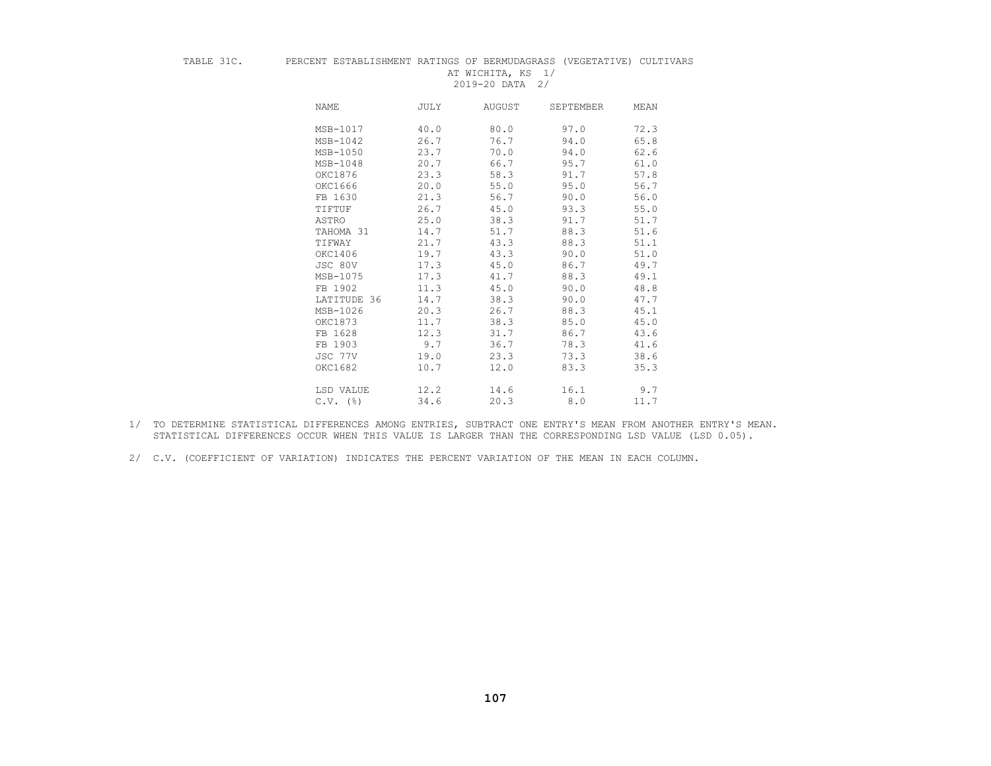#### TABLE 31C. PERCENT ESTABLISHMENT RATINGS OF BERMUDAGRASS (VEGETATIVE) CULTIVARS AT WICHITA, KS 1/

2019-20 DATA 2/

| NAME                   | JULY | AUGUST | SEPTEMBER | MEAN |
|------------------------|------|--------|-----------|------|
| MSB-1017               | 40.0 | 80.0   | 97.0      | 72.3 |
| MSB-1042               | 26.7 | 76.7   | 94.0      | 65.8 |
| MSB-1050               | 23.7 | 70.0   | 94.0      | 62.6 |
| $MSB-1048$             | 20.7 | 66.7   | 95.7      | 61.0 |
| OKC1876                | 23.3 | 58.3   | 91.7      | 57.8 |
| OKC1666                | 20.0 | 55.0   | 95.0      | 56.7 |
| FB 1630                | 21.3 | 56.7   | 90.0      | 56.0 |
| TIFTUF                 | 26.7 | 45.0   | 93.3      | 55.0 |
| ASTRO                  | 25.0 | 38.3   | 91.7      | 51.7 |
| TAHOMA 31              | 14.7 | 51.7   | 88.3      | 51.6 |
| TIFWAY                 | 21.7 | 43.3   | 88.3      | 51.1 |
| OKC1406                | 19.7 | 43.3   | 90.0      | 51.0 |
| JSC 80V                | 17.3 | 45.0   | 86.7      | 49.7 |
| MSB-1075               | 17.3 | 41.7   | 88.3      | 49.1 |
| FB 1902                | 11.3 | 45.0   | 90.0      | 48.8 |
| LATITUDE 36            | 14.7 | 38.3   | 90.0      | 47.7 |
| MSB-1026               | 20.3 | 26.7   | 88.3      | 45.1 |
| OKC1873                | 11.7 | 38.3   | 85.0      | 45.0 |
| FB 1628                | 12.3 | 31.7   | 86.7      | 43.6 |
| FB 1903                | 9.7  | 36.7   | 78.3      | 41.6 |
| JSC 77V                | 19.0 | 23.3   | 73.3      | 38.6 |
| OKC1682                | 10.7 | 12.0   | 83.3      | 35.3 |
| LSD VALUE              | 12.2 | 14.6   | 16.1      | 9.7  |
| $C.V.$ $(\frac{6}{6})$ | 34.6 | 20.3   | 8.0       | 11.7 |

- 1/ TO DETERMINE STATISTICAL DIFFERENCES AMONG ENTRIES, SUBTRACT ONE ENTRY'S MEAN FROM ANOTHER ENTRY'S MEAN. STATISTICAL DIFFERENCES OCCUR WHEN THIS VALUE IS LARGER THAN THE CORRESPONDING LSD VALUE (LSD 0.05).
- 2/ C.V. (COEFFICIENT OF VARIATION) INDICATES THE PERCENT VARIATION OF THE MEAN IN EACH COLUMN.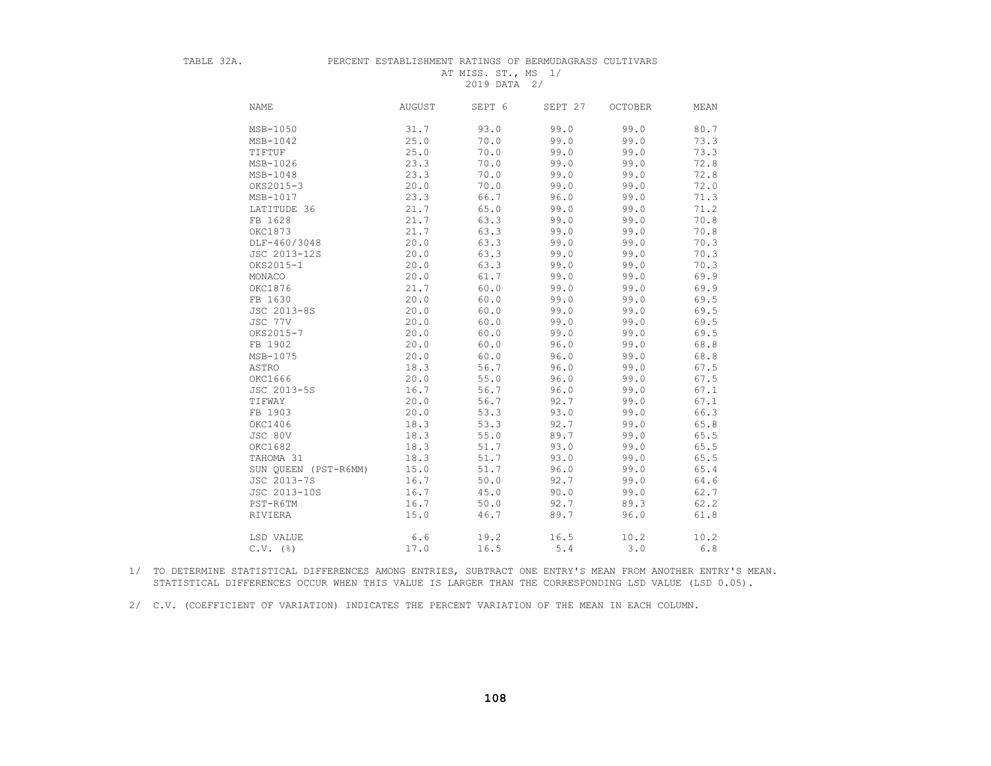# TABLE 32A. PERCENT ESTABLISHMENT RATINGS OF BERMUDAGRASS CULTIVARS AT MISS. ST., MS 1/

2019 DATA 2/

| <b>NAME</b>          | <b>AUGUST</b> | SEPT 6 | SEPT 27 | <b>OCTOBER</b> | MEAN |
|----------------------|---------------|--------|---------|----------------|------|
| MSB-1050             | 31.7          | 93.0   | 99.0    | 99.0           | 80.7 |
| MSB-1042             | 25.0          | 70.0   | 99.0    | 99.0           | 73.3 |
| TIFTUF               | 25.0          | 70.0   | 99.0    | 99.0           | 73.3 |
| MSB-1026             | 23.3          | 70.0   | 99.0    | 99.0           | 72.8 |
| MSB-1048             | 23.3          | 70.0   | 99.0    | 99.0           | 72.8 |
| OKS2015-3            | 20.0          | 70.0   | 99.0    | 99.0           | 72.0 |
| MSB-1017             | 23.3          | 66.7   | 96.0    | 99.0           | 71.3 |
| LATITUDE 36          | 21.7          | 65.0   | 99.0    | 99.0           | 71.2 |
| FB 1628              | 21.7          | 63.3   | 99.0    | 99.0           | 70.8 |
| OKC1873              | 21.7          | 63.3   | 99.0    | 99.0           | 70.8 |
| DLF-460/3048         | 20.0          | 63.3   | 99.0    | 99.0           | 70.3 |
| JSC 2013-12S         | 20.0          | 63.3   | 99.0    | 99.0           | 70.3 |
| OKS2015-1            | 20.0          | 63.3   | 99.0    | 99.0           | 70.3 |
| MONACO               | 20.0          | 61.7   | 99.0    | 99.0           | 69.9 |
| OKC1876              | 21.7          | 60.0   | 99.0    | 99.0           | 69.9 |
| FB 1630              | 20.0          | 60.0   | 99.0    | 99.0           | 69.5 |
| JSC 2013-8S          | 20.0          | 60.0   | 99.0    | 99.0           | 69.5 |
| JSC 77V              | 20.0          | 60.0   | 99.0    | 99.0           | 69.5 |
| OKS2015-7            | 20.0          | 60.0   | 99.0    | 99.0           | 69.5 |
| FB 1902              | 20.0          | 60.0   | 96.0    | 99.0           | 68.8 |
| MSB-1075             | 20.0          | 60.0   | 96.0    | 99.0           | 68.8 |
| ASTRO                | 18.3          | 56.7   | 96.0    | 99.0           | 67.5 |
| OKC1666              | 20.0          | 55.0   | 96.0    | 99.0           | 67.5 |
| JSC 2013-5S          | 16.7          | 56.7   | 96.0    | 99.0           | 67.1 |
| TIFWAY               | 20.0          | 56.7   | 92.7    | 99.0           | 67.1 |
| FB 1903              | 20.0          | 53.3   | 93.0    | 99.0           | 66.3 |
| OKC1406              | 18.3          | 53.3   | 92.7    | 99.0           | 65.8 |
| JSC 80V              | 18.3          | 55.0   | 89.7    | 99.0           | 65.5 |
| OKC1682              | 18.3          | 51.7   | 93.0    | 99.0           | 65.5 |
| TAHOMA 31            | 18.3          | 51.7   | 93.0    | 99.0           | 65.5 |
| SUN QUEEN (PST-R6MM) | 15.0          | 51.7   | 96.0    | 99.0           | 65.4 |
| JSC 2013-7S          | 16.7          | 50.0   | 92.7    | 99.0           | 64.6 |
| JSC 2013-10S         | 16.7          | 45.0   | 90.0    | 99.0           | 62.7 |
| PST-R6TM             | 16.7          | 50.0   | 92.7    | 89.3           | 62.2 |
| RIVIERA              | 15.0          | 46.7   | 89.7    | 96.0           | 61.8 |
| LSD VALUE            | 6.6           | 19.2   | 16.5    | 10.2           | 10.2 |
| $C.V.$ (%)           | 17.0          | 16.5   | 5.4     | 3.0            | 6.8  |

 1/ TO DETERMINE STATISTICAL DIFFERENCES AMONG ENTRIES, SUBTRACT ONE ENTRY'S MEAN FROM ANOTHER ENTRY'S MEAN. STATISTICAL DIFFERENCES OCCUR WHEN THIS VALUE IS LARGER THAN THE CORRESPONDING LSD VALUE (LSD 0.05).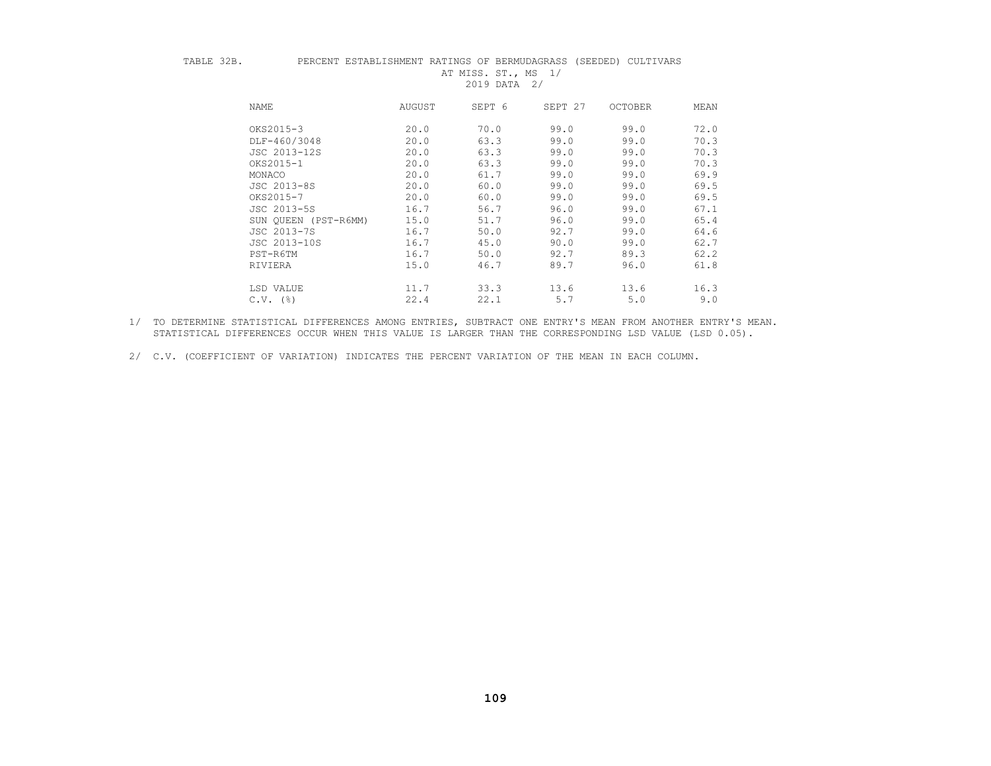| m<br>Λ<br>ı<br>т<br>٠<br>г<br>ï<br>٠<br>٠ |  |
|-------------------------------------------|--|
|                                           |  |

## PERCENT ESTABLISHMENT RATINGS OF BERMUDAGRASS (SEEDED) CULTIVARS AT MISS. ST., MS 1/

2019 DATA 2/

| NAME                 | AUGUST | SEPT 6 | SEPT 27 | OCTOBER | MEAN |
|----------------------|--------|--------|---------|---------|------|
| OKS2015-3            | 20.0   | 70.0   | 99.0    | 99.0    | 72.0 |
| DLF-460/3048         | 20.0   | 63.3   | 99.0    | 99.0    | 70.3 |
| JSC 2013-12S         | 20.0   | 63.3   | 99.0    | 99.0    | 70.3 |
| OKS2015-1            | 20.0   | 63.3   | 99.0    | 99.0    | 70.3 |
| MONACO               | 20.0   | 61.7   | 99.0    | 99.0    | 69.9 |
| JSC 2013-8S          | 20.0   | 60.0   | 99.0    | 99.0    | 69.5 |
| OKS2015-7            | 20.0   | 60.0   | 99.0    | 99.0    | 69.5 |
| JSC 2013-5S          | 16.7   | 56.7   | 96.0    | 99.0    | 67.1 |
| SUN OUEEN (PST-R6MM) | 15.0   | 51.7   | 96.0    | 99.0    | 65.4 |
| JSC 2013-7S          | 16.7   | 50.0   | 92.7    | 99.0    | 64.6 |
| JSC 2013-10S         | 16.7   | 45.0   | 90.0    | 99.0    | 62.7 |
| PST-R6TM             | 16.7   | 50.0   | 92.7    | 89.3    | 62.2 |
| RIVIERA              | 15.0   | 46.7   | 89.7    | 96.0    | 61.8 |
| LSD VALUE            | 11.7   | 33.3   | 13.6    | 13.6    | 16.3 |
| $C.V.$ (%)           | 22.4   | 22.1   | 5.7     | 5.0     | 9.0  |

 1/ TO DETERMINE STATISTICAL DIFFERENCES AMONG ENTRIES, SUBTRACT ONE ENTRY'S MEAN FROM ANOTHER ENTRY'S MEAN. STATISTICAL DIFFERENCES OCCUR WHEN THIS VALUE IS LARGER THAN THE CORRESPONDING LSD VALUE (LSD 0.05).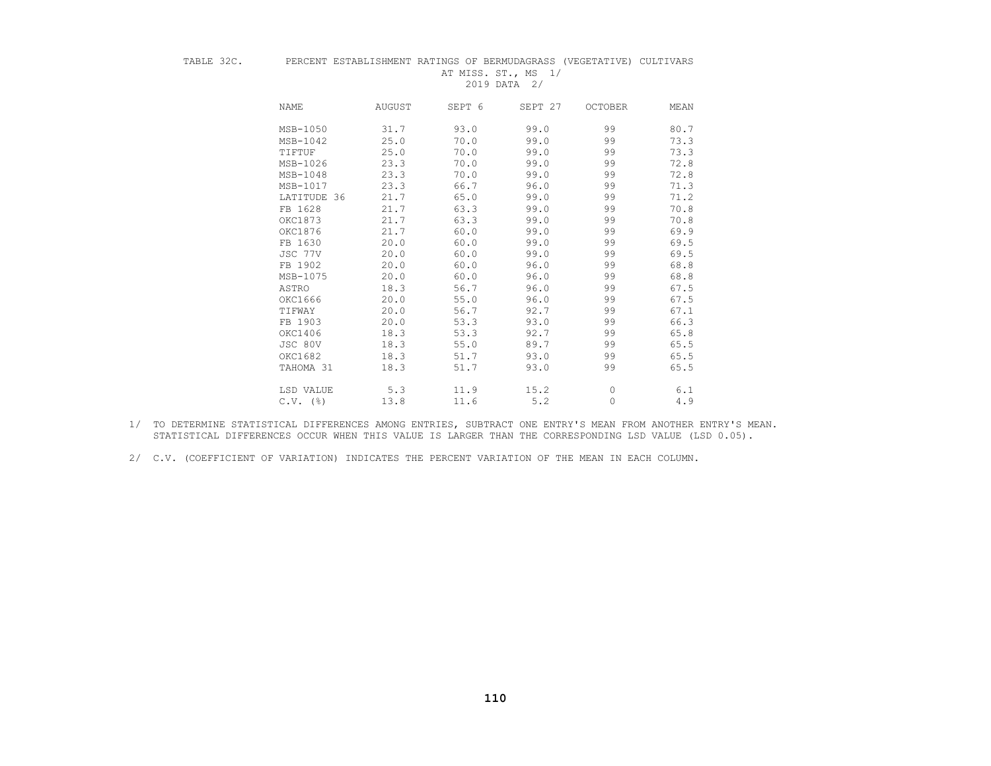#### TABLE 32C. PERCENT ESTABLISHMENT RATINGS OF BERMUDAGRASS (VEGETATIVE) CULTIVARS AT MISS. ST., MS 1/

2019 DATA 2/

| NAME                   | AUGUST | SEPT 6 | SEPT 27 | <b>OCTOBER</b> | MEAN |
|------------------------|--------|--------|---------|----------------|------|
| MSB-1050               | 31.7   | 93.0   | 99.0    | 99             | 80.7 |
| MSB-1042               | 25.0   | 70.0   | 99.0    | 99             | 73.3 |
| TIFTUF                 | 25.0   | 70.0   | 99.0    | 99             | 73.3 |
| MSB-1026               | 23.3   | 70.0   | 99.0    | 99             | 72.8 |
| $MSB-1048$             | 23.3   | 70.0   | 99.0    | 99             | 72.8 |
| MSB-1017               | 23.3   | 66.7   | 96.0    | 99             | 71.3 |
| LATITUDE 36            | 21.7   | 65.0   | 99.0    | 99             | 71.2 |
| FB 1628                | 21.7   | 63.3   | 99.0    | 99             | 70.8 |
| OKC1873                | 21.7   | 63.3   | 99.0    | 99             | 70.8 |
| OKC1876                | 21.7   | 60.0   | 99.0    | 99             | 69.9 |
| FB 1630                | 20.0   | 60.0   | 99.0    | 99             | 69.5 |
| JSC 77V                | 20.0   | 60.0   | 99.0    | 99             | 69.5 |
| FB 1902                | 20.0   | 60.0   | 96.0    | 99             | 68.8 |
| MSB-1075               | 20.0   | 60.0   | 96.0    | 99             | 68.8 |
| ASTRO                  | 18.3   | 56.7   | 96.0    | 99             | 67.5 |
| OKC1666                | 20.0   | 55.0   | 96.0    | 99             | 67.5 |
| TIFWAY                 | 20.0   | 56.7   | 92.7    | 99             | 67.1 |
| FB 1903                | 20.0   | 53.3   | 93.0    | 99             | 66.3 |
| OKC1406                | 18.3   | 53.3   | 92.7    | 99             | 65.8 |
| JSC 80V                | 18.3   | 55.0   | 89.7    | 99             | 65.5 |
| OKC1682                | 18.3   | 51.7   | 93.0    | 99             | 65.5 |
| TAHOMA 31              | 18.3   | 51.7   | 93.0    | 99             | 65.5 |
| LSD VALUE              | 5.3    | 11.9   | 15.2    | 0              | 6.1  |
| $C.V.$ $(\frac{6}{6})$ | 13.8   | 11.6   | 5.2     | 0              | 4.9  |

 1/ TO DETERMINE STATISTICAL DIFFERENCES AMONG ENTRIES, SUBTRACT ONE ENTRY'S MEAN FROM ANOTHER ENTRY'S MEAN. STATISTICAL DIFFERENCES OCCUR WHEN THIS VALUE IS LARGER THAN THE CORRESPONDING LSD VALUE (LSD 0.05).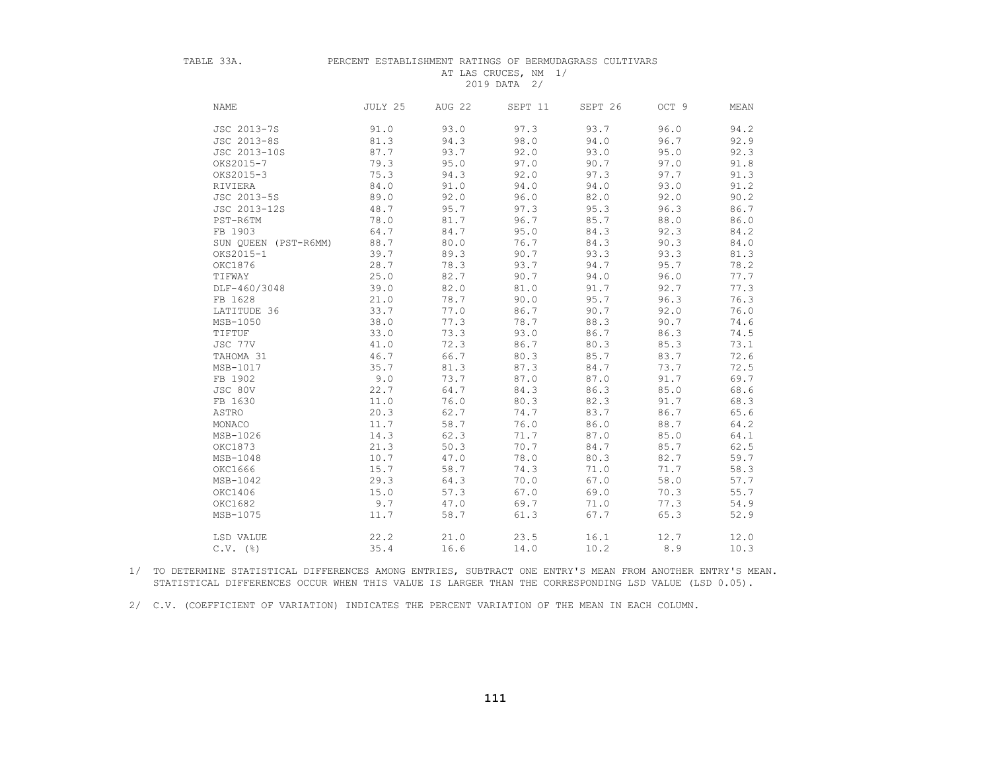#### TABLE 33A. PERCENT ESTABLISHMENT RATINGS OF BERMUDAGRASS CULTIVARS AT LAS CRUCES, NM 1/ 2019 DATA 2/

| <b>NAME</b>          | JULY 25 | AUG 22 | SEPT 11 | SEPT 26 | OCT 9 | MEAN |
|----------------------|---------|--------|---------|---------|-------|------|
| JSC 2013-7S          | 91.0    | 93.0   | 97.3    | 93.7    | 96.0  | 94.2 |
| JSC 2013-8S          | 81.3    | 94.3   | 98.0    | 94.0    | 96.7  | 92.9 |
| JSC 2013-10S         | 87.7    | 93.7   | 92.0    | 93.0    | 95.0  | 92.3 |
| OKS2015-7            | 79.3    | 95.0   | 97.0    | 90.7    | 97.0  | 91.8 |
| OKS2015-3            | 75.3    | 94.3   | 92.0    | 97.3    | 97.7  | 91.3 |
| RIVIERA              | 84.0    | 91.0   | 94.0    | 94.0    | 93.0  | 91.2 |
| JSC 2013-5S          | 89.0    | 92.0   | 96.0    | 82.0    | 92.0  | 90.2 |
| JSC 2013-12S         | 48.7    | 95.7   | 97.3    | 95.3    | 96.3  | 86.7 |
| PST-R6TM             | 78.0    | 81.7   | 96.7    | 85.7    | 88.0  | 86.0 |
| FB 1903              | 64.7    | 84.7   | 95.0    | 84.3    | 92.3  | 84.2 |
| SUN OUEEN (PST-R6MM) | 88.7    | 80.0   | 76.7    | 84.3    | 90.3  | 84.0 |
| OKS2015-1            | 39.7    | 89.3   | 90.7    | 93.3    | 93.3  | 81.3 |
| OKC1876              | 28.7    | 78.3   | 93.7    | 94.7    | 95.7  | 78.2 |
| TIFWAY               | 25.0    | 82.7   | 90.7    | 94.0    | 96.0  | 77.7 |
| DLF-460/3048         | 39.0    | 82.0   | 81.0    | 91.7    | 92.7  | 77.3 |
| FB 1628              | 21.0    | 78.7   | 90.0    | 95.7    | 96.3  | 76.3 |
| LATITUDE 36          | 33.7    | 77.0   | 86.7    | 90.7    | 92.0  | 76.0 |
| MSB-1050             | 38.0    | 77.3   | 78.7    | 88.3    | 90.7  | 74.6 |
| TIFTUF               | 33.0    | 73.3   | 93.0    | 86.7    | 86.3  | 74.5 |
| JSC 77V              | 41.0    | 72.3   | 86.7    | 80.3    | 85.3  | 73.1 |
| TAHOMA 31            | 46.7    | 66.7   | 80.3    | 85.7    | 83.7  | 72.6 |
| MSB-1017             | 35.7    | 81.3   | 87.3    | 84.7    | 73.7  | 72.5 |
| FB 1902              | 9.0     | 73.7   | 87.0    | 87.0    | 91.7  | 69.7 |
| JSC 80V              | 22.7    | 64.7   | 84.3    | 86.3    | 85.0  | 68.6 |
| FB 1630              | 11.0    | 76.0   | 80.3    | 82.3    | 91.7  | 68.3 |
| ASTRO                | 20.3    | 62.7   | 74.7    | 83.7    | 86.7  | 65.6 |
| MONACO               | 11.7    | 58.7   | 76.0    | 86.0    | 88.7  | 64.2 |
| MSB-1026             | 14.3    | 62.3   | 71.7    | 87.0    | 85.0  | 64.1 |
| OKC1873              | 21.3    | 50.3   | 70.7    | 84.7    | 85.7  | 62.5 |
| MSB-1048             | 10.7    | 47.0   | 78.0    | 80.3    | 82.7  | 59.7 |
| OKC1666              | 15.7    | 58.7   | 74.3    | 71.0    | 71.7  | 58.3 |
| MSB-1042             | 29.3    | 64.3   | 70.0    | 67.0    | 58.0  | 57.7 |
| OKC1406              | 15.0    | 57.3   | 67.0    | 69.0    | 70.3  | 55.7 |
| OKC1682              | 9.7     | 47.0   | 69.7    | 71.0    | 77.3  | 54.9 |
| MSB-1075             | 11.7    | 58.7   | 61.3    | 67.7    | 65.3  | 52.9 |
| LSD VALUE            | 22.2    | 21.0   | 23.5    | 16.1    | 12.7  | 12.0 |
| $C.V.$ (%)           | 35.4    | 16.6   | 14.0    | 10.2    | 8.9   | 10.3 |

 1/ TO DETERMINE STATISTICAL DIFFERENCES AMONG ENTRIES, SUBTRACT ONE ENTRY'S MEAN FROM ANOTHER ENTRY'S MEAN. STATISTICAL DIFFERENCES OCCUR WHEN THIS VALUE IS LARGER THAN THE CORRESPONDING LSD VALUE (LSD 0.05).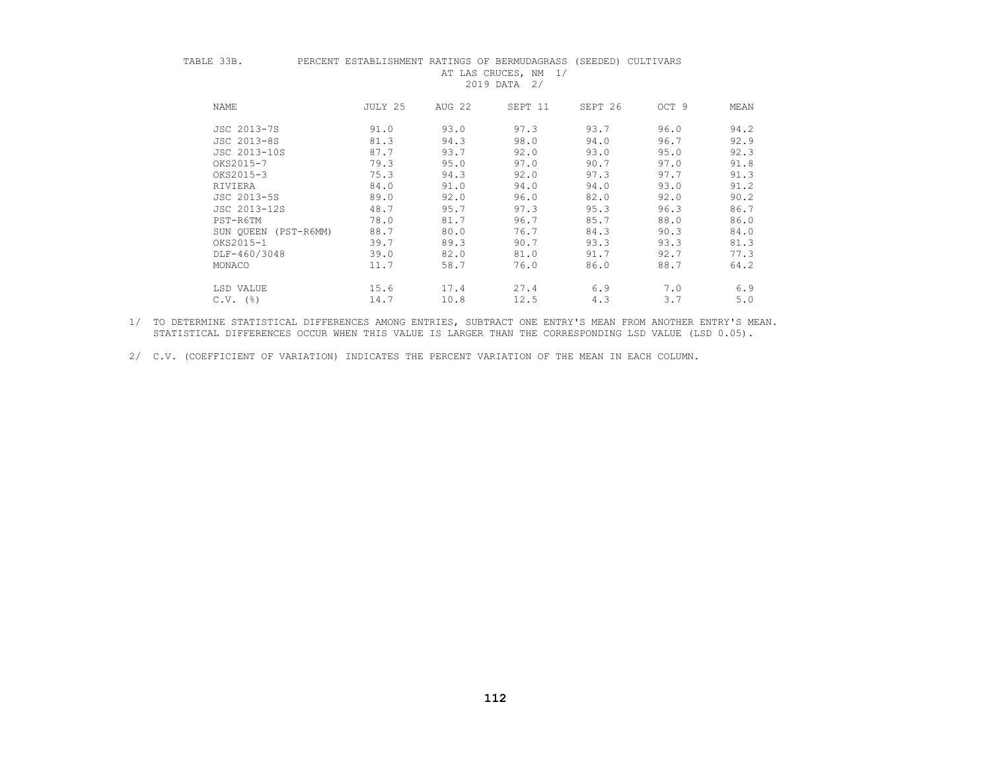#### TABLE 33B. PERCENT ESTABLISHMENT RATINGS OF BERMUDAGRASS (SEEDED) CULTIVARS AT LAS CRUCES, NM 1/ 2019 DATA 2/

| NAME                 | JULY 25 | AUG 22 | SEPT 11 | SEPT 26 | OCT 9 | MEAN |
|----------------------|---------|--------|---------|---------|-------|------|
| JSC 2013-7S          | 91.0    | 93.0   | 97.3    | 93.7    | 96.0  | 94.2 |
| JSC 2013-8S          | 81.3    | 94.3   | 98.0    | 94.0    | 96.7  | 92.9 |
| JSC 2013-10S         | 87.7    | 93.7   | 92.0    | 93.0    | 95.0  | 92.3 |
| OKS2015-7            | 79.3    | 95.0   | 97.0    | 90.7    | 97.0  | 91.8 |
| OKS2015-3            | 75.3    | 94.3   | 92.0    | 97.3    | 97.7  | 91.3 |
| RIVIERA              | 84.0    | 91.0   | 94.0    | 94.0    | 93.0  | 91.2 |
| JSC 2013-5S          | 89.0    | 92.0   | 96.0    | 82.0    | 92.0  | 90.2 |
| JSC 2013-12S         | 48.7    | 95.7   | 97.3    | 95.3    | 96.3  | 86.7 |
| PST-R6TM             | 78.0    | 81.7   | 96.7    | 85.7    | 88.0  | 86.0 |
| SUN OUEEN (PST-R6MM) | 88.7    | 80.0   | 76.7    | 84.3    | 90.3  | 84.0 |
| OKS2015-1            | 39.7    | 89.3   | 90.7    | 93.3    | 93.3  | 81.3 |
| DLF-460/3048         | 39.0    | 82.0   | 81.0    | 91.7    | 92.7  | 77.3 |
| MONACO               | 11.7    | 58.7   | 76.0    | 86.0    | 88.7  | 64.2 |
| LSD VALUE            | 15.6    | 17.4   | 27.4    | 6.9     | 7.0   | 6.9  |
| $C.V.$ $(%)$         | 14.7    | 10.8   | 12.5    | 4.3     | 3.7   | 5.0  |

 1/ TO DETERMINE STATISTICAL DIFFERENCES AMONG ENTRIES, SUBTRACT ONE ENTRY'S MEAN FROM ANOTHER ENTRY'S MEAN. STATISTICAL DIFFERENCES OCCUR WHEN THIS VALUE IS LARGER THAN THE CORRESPONDING LSD VALUE (LSD 0.05).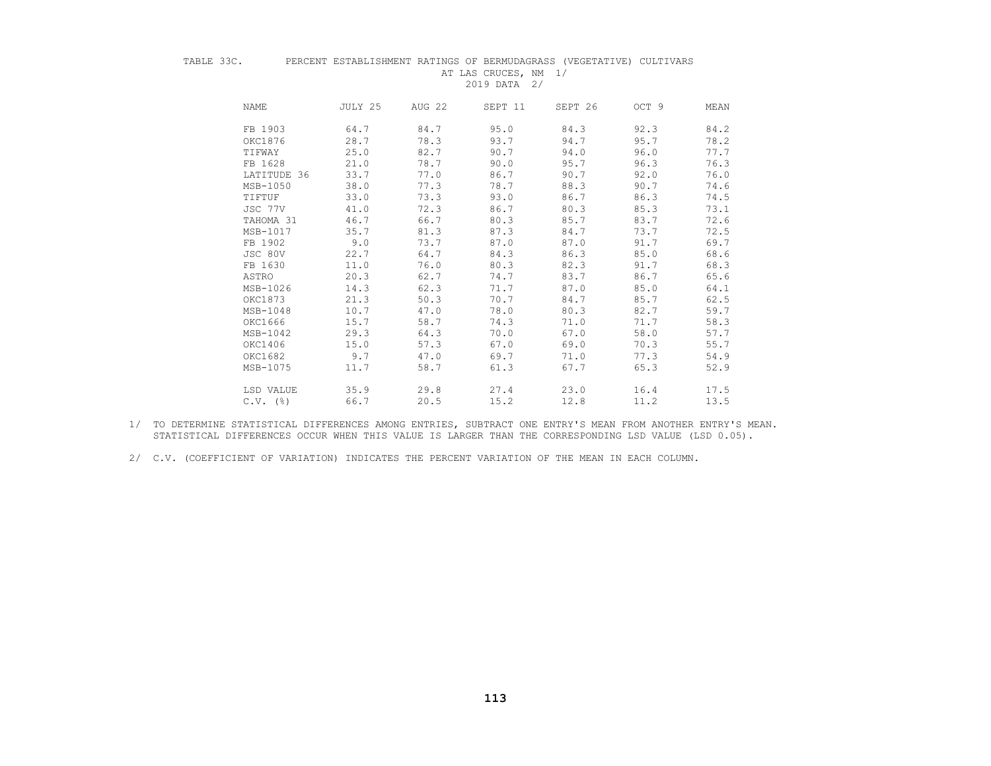#### TABLE 33C. PERCENT ESTABLISHMENT RATINGS OF BERMUDAGRASS (VEGETATIVE) CULTIVARS AT LAS CRUCES, NM 1/

2019 DATA 2/

| <b>NAME</b> | JULY 25             | AUG 22 | SEPT 11 | SEPT 26 | OCT 9 | MEAN |
|-------------|---------------------|--------|---------|---------|-------|------|
|             | FB 1903<br>64.7     | 84.7   | 95.0    | 84.3    | 92.3  | 84.2 |
|             | 28.7<br>OKC1876     | 78.3   | 93.7    | 94.7    | 95.7  | 78.2 |
| TIFWAY      | 25.0                | 82.7   | 90.7    | 94.0    | 96.0  | 77.7 |
|             | FB 1628<br>21.0     | 78.7   | 90.0    | 95.7    | 96.3  | 76.3 |
|             | 33.7<br>LATITUDE 36 | 77.0   | 86.7    | 90.7    | 92.0  | 76.0 |
|             | 38.0<br>MSB-1050    | 77.3   | 78.7    | 88.3    | 90.7  | 74.6 |
| TIFTUF      | 33.0                | 73.3   | 93.0    | 86.7    | 86.3  | 74.5 |
|             | 41.0<br>JSC 77V     | 72.3   | 86.7    | 80.3    | 85.3  | 73.1 |
|             | 46.7<br>TAHOMA 31   | 66.7   | 80.3    | 85.7    | 83.7  | 72.6 |
|             | MSB-1017<br>35.7    | 81.3   | 87.3    | 84.7    | 73.7  | 72.5 |
|             | FB 1902<br>9.0      | 73.7   | 87.0    | 87.0    | 91.7  | 69.7 |
|             | JSC 80V<br>22.7     | 64.7   | 84.3    | 86.3    | 85.0  | 68.6 |
|             | 11.0<br>FB 1630     | 76.0   | 80.3    | 82.3    | 91.7  | 68.3 |
| ASTRO       | 20.3                | 62.7   | 74.7    | 83.7    | 86.7  | 65.6 |
|             | 14.3<br>MSB-1026    | 62.3   | 71.7    | 87.0    | 85.0  | 64.1 |
|             | OKC1873<br>21.3     | 50.3   | 70.7    | 84.7    | 85.7  | 62.5 |
|             | 10.7<br>MSB-1048    | 47.0   | 78.0    | 80.3    | 82.7  | 59.7 |
|             | 15.7<br>OKC1666     | 58.7   | 74.3    | 71.0    | 71.7  | 58.3 |
|             | 29.3<br>MSB-1042    | 64.3   | 70.0    | 67.0    | 58.0  | 57.7 |
|             | OKC1406<br>15.0     | 57.3   | 67.0    | 69.0    | 70.3  | 55.7 |
|             | OKC1682<br>9.7      | 47.0   | 69.7    | 71.0    | 77.3  | 54.9 |
|             | 11.7<br>MSB-1075    | 58.7   | 61.3    | 67.7    | 65.3  | 52.9 |
|             | LSD VALUE<br>35.9   | 29.8   | 27.4    | 23.0    | 16.4  | 17.5 |
|             | $C.V.$ (%)<br>66.7  | 20.5   | 15.2    | 12.8    | 11.2  | 13.5 |

 1/ TO DETERMINE STATISTICAL DIFFERENCES AMONG ENTRIES, SUBTRACT ONE ENTRY'S MEAN FROM ANOTHER ENTRY'S MEAN. STATISTICAL DIFFERENCES OCCUR WHEN THIS VALUE IS LARGER THAN THE CORRESPONDING LSD VALUE (LSD 0.05).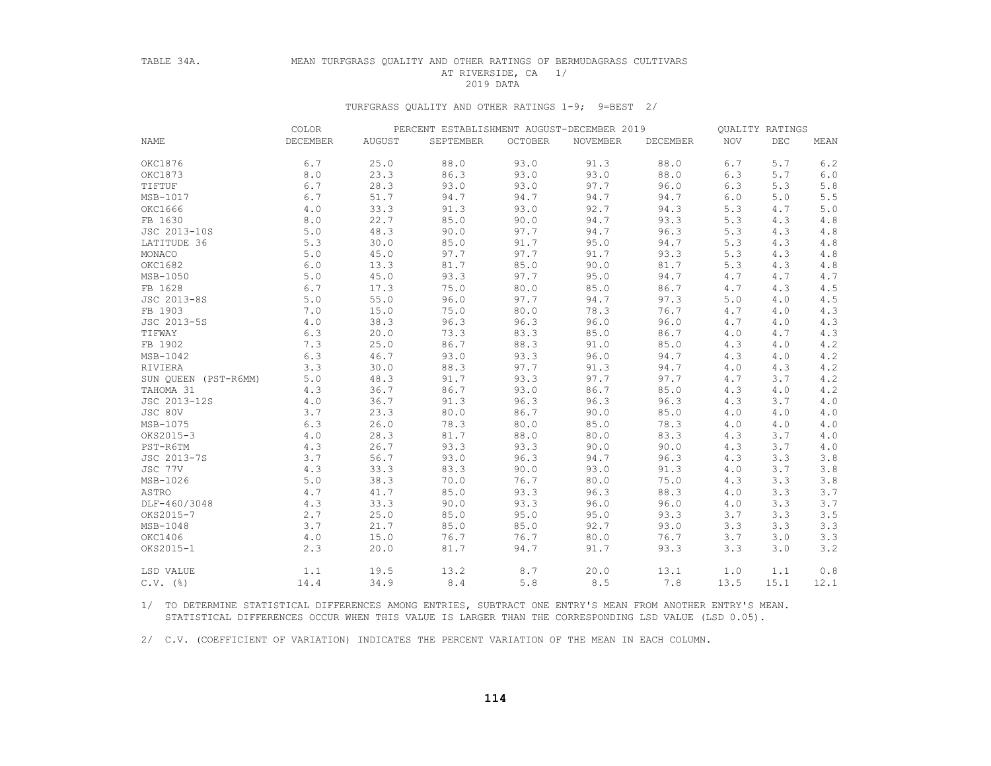## TABLE 34A. MEAN TURFGRASS QUALITY AND OTHER RATINGS OF BERMUDAGRASS CULTIVARS AT RIVERSIDE, CA 1/<br>2019 DATA 2019 DATA

#### TURFGRASS QUALITY AND OTHER RATINGS 1-9; 9=BEST 2/

|                      | COLOR    | PERCENT ESTABLISHMENT AUGUST-DECEMBER 2019 |           |         | QUALITY RATINGS |          |      |      |      |
|----------------------|----------|--------------------------------------------|-----------|---------|-----------------|----------|------|------|------|
| <b>NAME</b>          | DECEMBER | AUGUST                                     | SEPTEMBER | OCTOBER | NOVEMBER        | DECEMBER | NOV  | DEC  | MEAN |
| OKC1876              | 6.7      | 25.0                                       | 88.0      | 93.0    | 91.3            | 88.0     | 6.7  | 5.7  | 6.2  |
| OKC1873              | 8.0      | 23.3                                       | 86.3      | 93.0    | 93.0            | 88.0     | 6.3  | 5.7  | 6.0  |
| TIFTUF               | 6.7      | 28.3                                       | 93.0      | 93.0    | 97.7            | 96.0     | 6.3  | 5.3  | 5.8  |
| MSB-1017             | 6.7      | 51.7                                       | 94.7      | 94.7    | 94.7            | 94.7     | 6.0  | 5.0  | 5.5  |
| OKC1666              | 4.0      | 33.3                                       | 91.3      | 93.0    | 92.7            | 94.3     | 5.3  | 4.7  | 5.0  |
| FB 1630              | 8.0      | 22.7                                       | 85.0      | 90.0    | 94.7            | 93.3     | 5.3  | 4.3  | 4.8  |
| JSC 2013-10S         | 5.0      | 48.3                                       | 90.0      | 97.7    | 94.7            | 96.3     | 5.3  | 4.3  | 4.8  |
| LATITUDE 36          | 5.3      | 30.0                                       | 85.0      | 91.7    | 95.0            | 94.7     | 5.3  | 4.3  | 4.8  |
| MONACO               | 5.0      | 45.0                                       | 97.7      | 97.7    | 91.7            | 93.3     | 5.3  | 4.3  | 4.8  |
| OKC1682              | 6.0      | 13.3                                       | 81.7      | 85.0    | 90.0            | 81.7     | 5.3  | 4.3  | 4.8  |
| MSB-1050             | 5.0      | 45.0                                       | 93.3      | 97.7    | 95.0            | 94.7     | 4.7  | 4.7  | 4.7  |
| FB 1628              | 6.7      | 17.3                                       | 75.0      | 80.0    | 85.0            | 86.7     | 4.7  | 4.3  | 4.5  |
| JSC 2013-8S          | 5.0      | 55.0                                       | 96.0      | 97.7    | 94.7            | 97.3     | 5.0  | 4.0  | 4.5  |
| FB 1903              | 7.0      | 15.0                                       | 75.0      | 80.0    | 78.3            | 76.7     | 4.7  | 4.0  | 4.3  |
| JSC 2013-5S          | 4.0      | 38.3                                       | 96.3      | 96.3    | 96.0            | 96.0     | 4.7  | 4.0  | 4.3  |
| TIFWAY               | 6.3      | 20.0                                       | 73.3      | 83.3    | 85.0            | 86.7     | 4.0  | 4.7  | 4.3  |
| FB 1902              | 7.3      | 25.0                                       | 86.7      | 88.3    | 91.0            | 85.0     | 4.3  | 4.0  | 4.2  |
| MSB-1042             | 6.3      | 46.7                                       | 93.0      | 93.3    | 96.0            | 94.7     | 4.3  | 4.0  | 4.2  |
| RIVIERA              | 3.3      | 30.0                                       | 88.3      | 97.7    | 91.3            | 94.7     | 4.0  | 4.3  | 4.2  |
| SUN QUEEN (PST-R6MM) | 5.0      | 48.3                                       | 91.7      | 93.3    | 97.7            | 97.7     | 4.7  | 3.7  | 4.2  |
| TAHOMA 31            | 4.3      | 36.7                                       | 86.7      | 93.0    | 86.7            | 85.0     | 4.3  | 4.0  | 4.2  |
| JSC 2013-12S         | 4.0      | 36.7                                       | 91.3      | 96.3    | 96.3            | 96.3     | 4.3  | 3.7  | 4.0  |
| JSC 80V              | 3.7      | 23.3                                       | 80.0      | 86.7    | 90.0            | 85.0     | 4.0  | 4.0  | 4.0  |
| MSB-1075             | 6.3      | 26.0                                       | 78.3      | 80.0    | 85.0            | 78.3     | 4.0  | 4.0  | 4.0  |
| OKS2015-3            | 4.0      | 28.3                                       | 81.7      | 88.0    | 80.0            | 83.3     | 4.3  | 3.7  | 4.0  |
| PST-R6TM             | 4.3      | 26.7                                       | 93.3      | 93.3    | 90.0            | 90.0     | 4.3  | 3.7  | 4.0  |
| JSC 2013-7S          | 3.7      | 56.7                                       | 93.0      | 96.3    | 94.7            | 96.3     | 4.3  | 3.3  | 3.8  |
| JSC 77V              | 4.3      | 33.3                                       | 83.3      | 90.0    | 93.0            | 91.3     | 4.0  | 3.7  | 3.8  |
| MSB-1026             | 5.0      | 38.3                                       | 70.0      | 76.7    | 80.0            | 75.0     | 4.3  | 3.3  | 3.8  |
| ASTRO                | 4.7      | 41.7                                       | 85.0      | 93.3    | 96.3            | 88.3     | 4.0  | 3.3  | 3.7  |
| DLF-460/3048         | 4.3      | 33.3                                       | 90.0      | 93.3    | 96.0            | 96.0     | 4.0  | 3.3  | 3.7  |
| OKS2015-7            | 2.7      | 25.0                                       | 85.0      | 95.0    | 95.0            | 93.3     | 3.7  | 3.3  | 3.5  |
| $MSB-1048$           | 3.7      | 21.7                                       | 85.0      | 85.0    | 92.7            | 93.0     | 3.3  | 3.3  | 3.3  |
| OKC1406              | 4.0      | 15.0                                       | 76.7      | 76.7    | 80.0            | 76.7     | 3.7  | 3.0  | 3.3  |
| OKS2015-1            | 2.3      | 20.0                                       | 81.7      | 94.7    | 91.7            | 93.3     | 3.3  | 3.0  | 3.2  |
| LSD VALUE            | 1.1      | 19.5                                       | 13.2      | 8.7     | 20.0            | 13.1     | 1.0  | 1.1  | 0.8  |
| $C.V.$ (%)           | 14.4     | 34.9                                       | 8.4       | 5.8     | 8.5             | 7.8      | 13.5 | 15.1 | 12.1 |

 1/ TO DETERMINE STATISTICAL DIFFERENCES AMONG ENTRIES, SUBTRACT ONE ENTRY'S MEAN FROM ANOTHER ENTRY'S MEAN. STATISTICAL DIFFERENCES OCCUR WHEN THIS VALUE IS LARGER THAN THE CORRESPONDING LSD VALUE (LSD 0.05).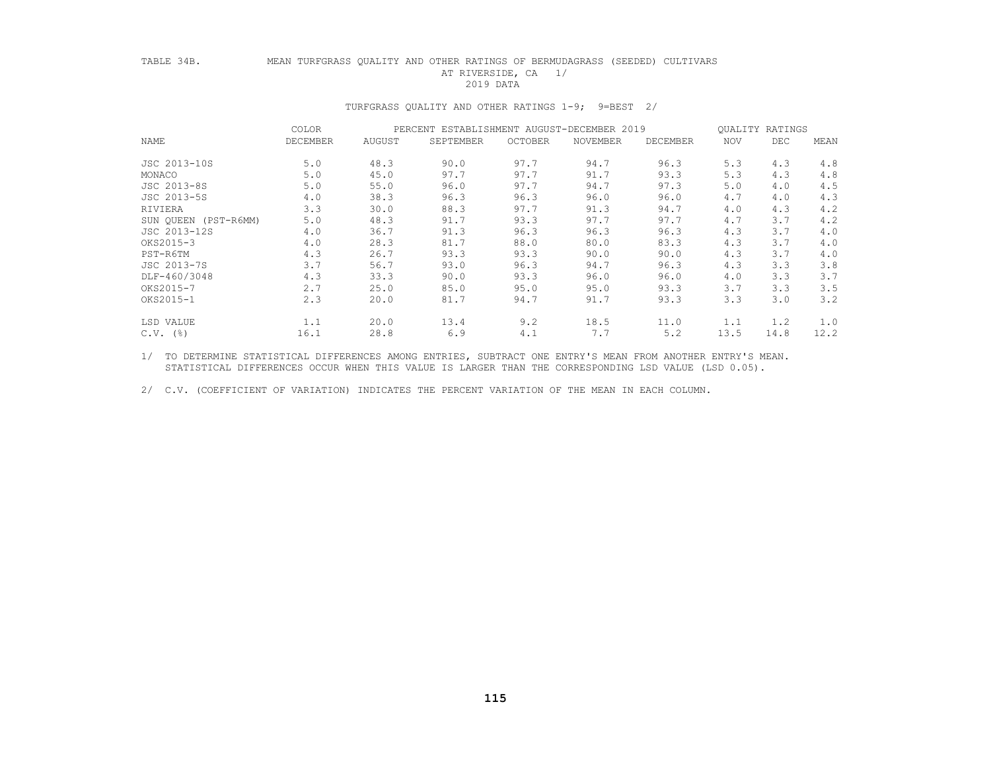## TABLE 34B. MEAN TURFGRASS QUALITY AND OTHER RATINGS OF BERMUDAGRASS (SEEDED) CULTIVARS AT RIVERSIDE, CA 1/<br>2019 DATA 2019 DATA

### TURFGRASS QUALITY AND OTHER RATINGS 1-9; 9=BEST 2/

|                      | <b>COLOR</b> |        | PERCENT ESTABLISHMENT AUGUST-DECEMBER 2019 |         |                 |          |      | QUALITY RATINGS |      |  |
|----------------------|--------------|--------|--------------------------------------------|---------|-----------------|----------|------|-----------------|------|--|
| NAME                 | DECEMBER     | AUGUST | SEPTEMBER                                  | OCTOBER | <b>NOVEMBER</b> | DECEMBER | NOV  | DEC             | MEAN |  |
| JSC 2013-10S         | 5.0          | 48.3   | 90.0                                       | 97.7    | 94.7            | 96.3     | 5.3  | 4.3             | 4.8  |  |
| MONACO               | 5.0          | 45.0   | 97.7                                       | 97.7    | 91.7            | 93.3     | 5.3  | 4.3             | 4.8  |  |
| JSC 2013-8S          | 5.0          | 55.0   | 96.0                                       | 97.7    | 94.7            | 97.3     | 5.0  | 4.0             | 4.5  |  |
| JSC 2013-5S          | 4.0          | 38.3   | 96.3                                       | 96.3    | 96.0            | 96.0     | 4.7  | 4.0             | 4.3  |  |
| RIVIERA              | 3.3          | 30.0   | 88.3                                       | 97.7    | 91.3            | 94.7     | 4.0  | 4.3             | 4.2  |  |
| SUN QUEEN (PST-R6MM) | 5.0          | 48.3   | 91.7                                       | 93.3    | 97.7            | 97.7     | 4.7  | 3.7             | 4.2  |  |
| JSC 2013-12S         | 4.0          | 36.7   | 91.3                                       | 96.3    | 96.3            | 96.3     | 4.3  | 3.7             | 4.0  |  |
| OKS2015-3            | 4.0          | 28.3   | 81.7                                       | 88.0    | 80.0            | 83.3     | 4.3  | 3.7             | 4.0  |  |
| PST-R6TM             | 4.3          | 26.7   | 93.3                                       | 93.3    | 90.0            | 90.0     | 4.3  | 3.7             | 4.0  |  |
| JSC 2013-7S          | 3.7          | 56.7   | 93.0                                       | 96.3    | 94.7            | 96.3     | 4.3  | 3.3             | 3.8  |  |
| DLF-460/3048         | 4.3          | 33.3   | 90.0                                       | 93.3    | 96.0            | 96.0     | 4.0  | 3.3             | 3.7  |  |
| OKS2015-7            | 2.7          | 25.0   | 85.0                                       | 95.0    | 95.0            | 93.3     | 3.7  | 3.3             | 3.5  |  |
| OKS2015-1            | 2.3          | 20.0   | 81.7                                       | 94.7    | 91.7            | 93.3     | 3.3  | 3.0             | 3.2  |  |
| LSD VALUE            | 1.1          | 20.0   | 13.4                                       | 9.2     | 18.5            | 11.0     | 1.1  | 1.2             | 1.0  |  |
| $C.V.$ (%)           | 16.1         | 28.8   | 6.9                                        | 4.1     | 7.7             | 5.2      | 13.5 | 14.8            | 12.2 |  |

 1/ TO DETERMINE STATISTICAL DIFFERENCES AMONG ENTRIES, SUBTRACT ONE ENTRY'S MEAN FROM ANOTHER ENTRY'S MEAN. STATISTICAL DIFFERENCES OCCUR WHEN THIS VALUE IS LARGER THAN THE CORRESPONDING LSD VALUE (LSD 0.05).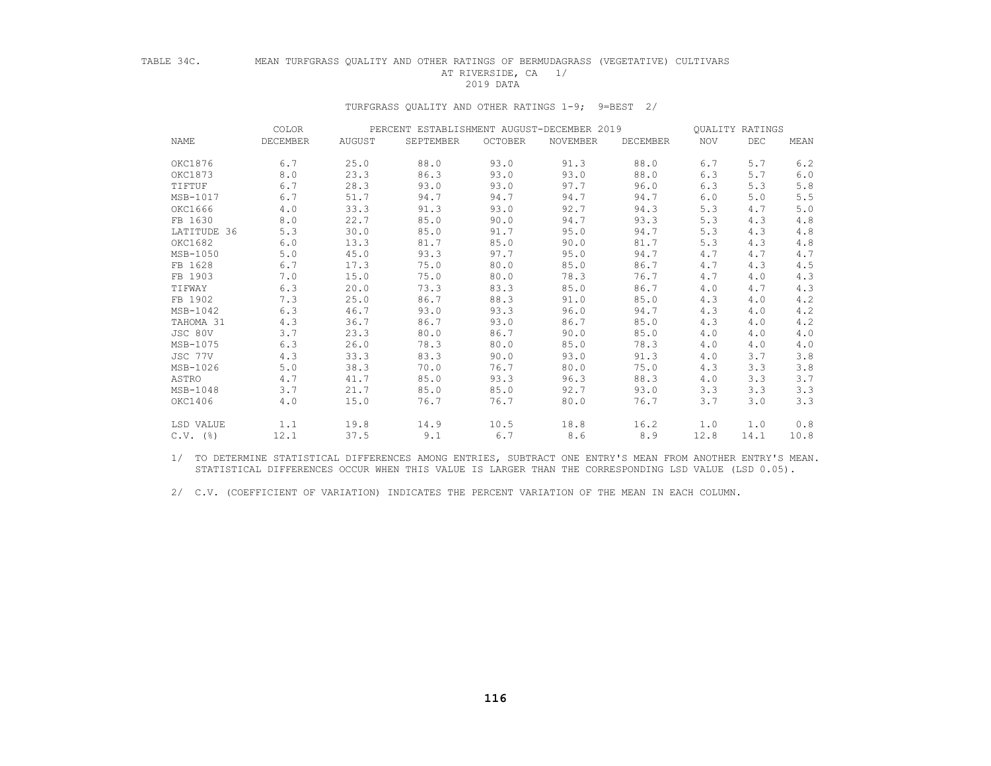## TABLE 34C. MEAN TURFGRASS QUALITY AND OTHER RATINGS OF BERMUDAGRASS (VEGETATIVE) CULTIVARS AT RIVERSIDE, CA 1/<br>2019 DATA 2019 DATA

# TURFGRASS QUALITY AND OTHER RATINGS 1-9; 9=BEST 2/

|             | COLOR    | PERCENT ESTABLISHMENT AUGUST-DECEMBER 2019 |           |         |          |          |            | QUALITY RATINGS |       |  |
|-------------|----------|--------------------------------------------|-----------|---------|----------|----------|------------|-----------------|-------|--|
| NAME        | DECEMBER | AUGUST                                     | SEPTEMBER | OCTOBER | NOVEMBER | DECEMBER | <b>NOV</b> | DEC             | MEAN  |  |
| OKC1876     | 6.7      | 25.0                                       | 88.0      | 93.0    | 91.3     | 88.0     | 6.7        | 5.7             | 6.2   |  |
| OKC1873     | 8.0      | 23.3                                       | 86.3      | 93.0    | 93.0     | 88.0     | 6.3        | 5.7             | 6.0   |  |
| TIFTUF      | 6.7      | 28.3                                       | 93.0      | 93.0    | 97.7     | 96.0     | 6.3        | 5.3             | $5.8$ |  |
| MSB-1017    | 6.7      | 51.7                                       | 94.7      | 94.7    | 94.7     | 94.7     | 6.0        | 5.0             | 5.5   |  |
| OKC1666     | 4.0      | 33.3                                       | 91.3      | 93.0    | 92.7     | 94.3     | 5.3        | 4.7             | $5.0$ |  |
| FB 1630     | 8.0      | 22.7                                       | 85.0      | 90.0    | 94.7     | 93.3     | 5.3        | 4.3             | $4.8$ |  |
| LATITUDE 36 | 5.3      | 30.0                                       | 85.0      | 91.7    | 95.0     | 94.7     | 5.3        | 4.3             | 4.8   |  |
| OKC1682     | 6.0      | 13.3                                       | 81.7      | 85.0    | 90.0     | 81.7     | 5.3        | 4.3             | 4.8   |  |
| MSB-1050    | 5.0      | 45.0                                       | 93.3      | 97.7    | 95.0     | 94.7     | 4.7        | 4.7             | 4.7   |  |
| FB 1628     | 6.7      | 17.3                                       | 75.0      | 80.0    | 85.0     | 86.7     | 4.7        | 4.3             | 4.5   |  |
| FB 1903     | 7.0      | 15.0                                       | 75.0      | 80.0    | 78.3     | 76.7     | 4.7        | 4.0             | 4.3   |  |
| TIFWAY      | 6.3      | 20.0                                       | 73.3      | 83.3    | 85.0     | 86.7     | 4.0        | 4.7             | 4.3   |  |
| FB 1902     | 7.3      | 25.0                                       | 86.7      | 88.3    | 91.0     | 85.0     | 4.3        | 4.0             | 4.2   |  |
| MSB-1042    | 6.3      | 46.7                                       | 93.0      | 93.3    | 96.0     | 94.7     | 4.3        | 4.0             | 4.2   |  |
| TAHOMA 31   | 4.3      | 36.7                                       | 86.7      | 93.0    | 86.7     | 85.0     | 4.3        | 4.0             | 4.2   |  |
| JSC 80V     | 3.7      | 23.3                                       | 80.0      | 86.7    | 90.0     | 85.0     | 4.0        | 4.0             | 4.0   |  |
| MSB-1075    | 6.3      | 26.0                                       | 78.3      | 80.0    | 85.0     | 78.3     | 4.0        | 4.0             | 4.0   |  |
| JSC 77V     | 4.3      | 33.3                                       | 83.3      | 90.0    | 93.0     | 91.3     | 4.0        | 3.7             | 3.8   |  |
| MSB-1026    | 5.0      | 38.3                                       | 70.0      | 76.7    | 80.0     | 75.0     | 4.3        | 3.3             | 3.8   |  |
| ASTRO       | 4.7      | 41.7                                       | 85.0      | 93.3    | 96.3     | 88.3     | 4.0        | 3.3             | 3.7   |  |
| MSB-1048    | 3.7      | 21.7                                       | 85.0      | 85.0    | 92.7     | 93.0     | 3.3        | 3.3             | 3.3   |  |
| OKC1406     | 4.0      | 15.0                                       | 76.7      | 76.7    | 80.0     | 76.7     | 3.7        | 3.0             | 3.3   |  |
| LSD VALUE   | 1.1      | 19.8                                       | 14.9      | 10.5    | 18.8     | 16.2     | 1.0        | 1.0             | 0.8   |  |
| $C.V.$ (%)  | 12.1     | 37.5                                       | 9.1       | 6.7     | 8.6      | 8.9      | 12.8       | 14.1            | 10.8  |  |

 1/ TO DETERMINE STATISTICAL DIFFERENCES AMONG ENTRIES, SUBTRACT ONE ENTRY'S MEAN FROM ANOTHER ENTRY'S MEAN. STATISTICAL DIFFERENCES OCCUR WHEN THIS VALUE IS LARGER THAN THE CORRESPONDING LSD VALUE (LSD 0.05).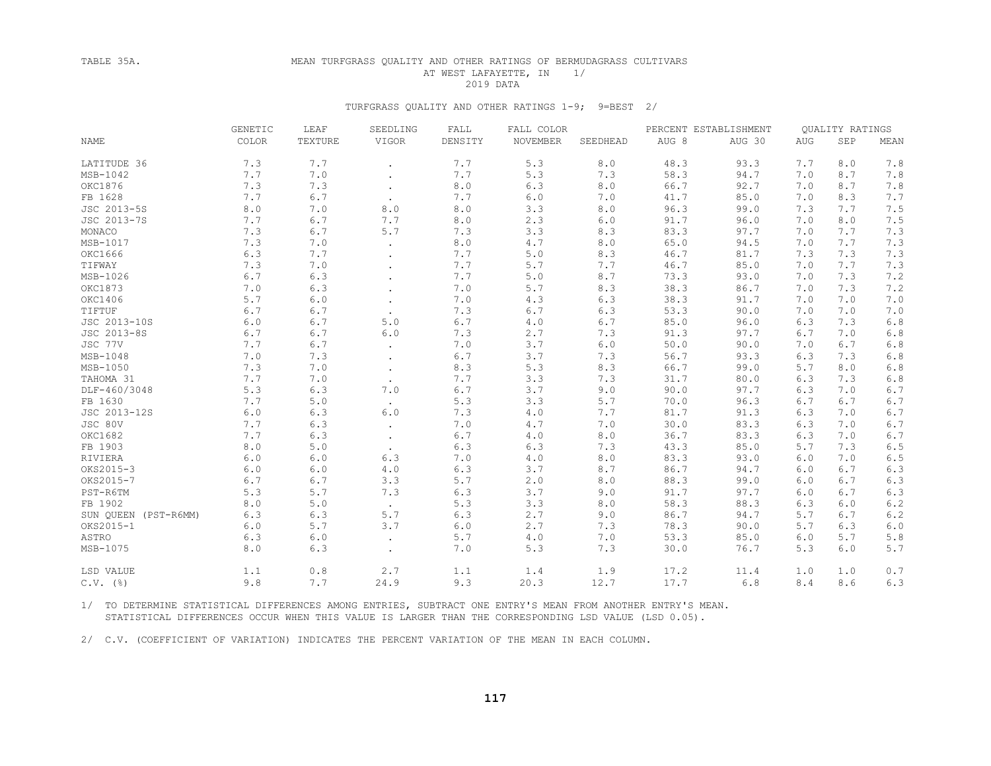## TABLE 35A. MEAN TURFGRASS QUALITY AND OTHER RATINGS OF BERMUDAGRASS CULTIVARS AT WEST LAFAYETTE, IN 1/<br>2019 DATA 2019 DATA

### TURFGRASS QUALITY AND OTHER RATINGS 1-9; 9=BEST 2/

|                      | GENETIC | LEAF    | SEEDLING<br>FALL<br>FALL COLOR<br>PERCENT ESTABLISHMENT |         | QUALITY RATINGS |          |       |        |            |     |         |
|----------------------|---------|---------|---------------------------------------------------------|---------|-----------------|----------|-------|--------|------------|-----|---------|
| NAME                 | COLOR   | TEXTURE | VIGOR                                                   | DENSITY | NOVEMBER        | SEEDHEAD | AUG 8 | AUG 30 | <b>AUG</b> | SEP | MEAN    |
| LATITUDE 36          | 7.3     | 7.7     | $\ddot{\phantom{0}}$                                    | 7.7     | 5.3             | 8.0      | 48.3  | 93.3   | 7.7        | 8.0 | 7.8     |
| $MSB-1042$           | 7.7     | 7.0     |                                                         | 7.7     | 5.3             | 7.3      | 58.3  | 94.7   | 7.0        | 8.7 | 7.8     |
| OKC1876              | 7.3     | 7.3     | $\sim$                                                  | 8.0     | 6.3             | 8.0      | 66.7  | 92.7   | 7.0        | 8.7 | 7.8     |
| FB 1628              | 7.7     | 6.7     | $\ddot{\phantom{a}}$                                    | 7.7     | 6.0             | 7.0      | 41.7  | 85.0   | 7.0        | 8.3 | 7.7     |
| JSC 2013-5S          | 8.0     | 7.0     | 8.0                                                     | $8.0$   | 3.3             | 8.0      | 96.3  | 99.0   | 7.3        | 7.7 | 7.5     |
| JSC 2013-7S          | 7.7     | 6.7     | 7.7                                                     | 8.0     | 2.3             | 6.0      | 91.7  | 96.0   | 7.0        | 8.0 | 7.5     |
| MONACO               | 7.3     | 6.7     | 5.7                                                     | 7.3     | 3.3             | 8.3      | 83.3  | 97.7   | 7.0        | 7.7 | 7.3     |
| MSB-1017             | 7.3     | 7.0     |                                                         | 8.0     | 4.7             | 8.0      | 65.0  | 94.5   | 7.0        | 7.7 | 7.3     |
| OKC1666              | 6.3     | 7.7     |                                                         | 7.7     | 5.0             | 8.3      | 46.7  | 81.7   | 7.3        | 7.3 | 7.3     |
| TIFWAY               | 7.3     | 7.0     | $\ddot{\phantom{a}}$                                    | 7.7     | 5.7             | 7.7      | 46.7  | 85.0   | 7.0        | 7.7 | 7.3     |
| MSB-1026             | 6.7     | 6.3     |                                                         | 7.7     | 5.0             | 8.7      | 73.3  | 93.0   | 7.0        | 7.3 | 7.2     |
| OKC1873              | 7.0     | 6.3     |                                                         | 7.0     | 5.7             | 8.3      | 38.3  | 86.7   | 7.0        | 7.3 | 7.2     |
| OKC1406              | 5.7     | $6.0$   |                                                         | 7.0     | 4.3             | 6.3      | 38.3  | 91.7   | 7.0        | 7.0 | 7.0     |
| TIFTUF               | 6.7     | 6.7     | $\cdot$                                                 | 7.3     | 6.7             | $6.3$    | 53.3  | 90.0   | 7.0        | 7.0 | 7.0     |
| JSC 2013-10S         | 6.0     | 6.7     | 5.0                                                     | 6.7     | 4.0             | 6.7      | 85.0  | 96.0   | 6.3        | 7.3 | 6.8     |
| JSC 2013-8S          | 6.7     | 6.7     | 6.0                                                     | 7.3     | 2.7             | 7.3      | 91.3  | 97.7   | 6.7        | 7.0 | 6.8     |
| JSC 77V              | 7.7     | 6.7     | $\ddot{\phantom{0}}$                                    | 7.0     | 3.7             | $6.0$    | 50.0  | 90.0   | 7.0        | 6.7 | 6.8     |
| $MSB-1048$           | 7.0     | 7.3     | $\bullet$                                               | 6.7     | 3.7             | 7.3      | 56.7  | 93.3   | 6.3        | 7.3 | $6.8$   |
| $MSB-1050$           | 7.3     | 7.0     |                                                         | 8.3     | 5.3             | 8.3      | 66.7  | 99.0   | 5.7        | 8.0 | $6.8\,$ |
| TAHOMA 31            | 7.7     | 7.0     |                                                         | 7.7     | 3.3             | 7.3      | 31.7  | 80.0   | 6.3        | 7.3 | 6.8     |
| DLF-460/3048         | 5.3     | 6.3     | 7.0                                                     | 6.7     | 3.7             | 9.0      | 90.0  | 97.7   | 6.3        | 7.0 | 6.7     |
| FB 1630              | 7.7     | 5.0     | $\sim$                                                  | 5.3     | 3.3             | 5.7      | 70.0  | 96.3   | 6.7        | 6.7 | 6.7     |
| JSC 2013-12S         | 6.0     | 6.3     | 6.0                                                     | 7.3     | 4.0             | 7.7      | 81.7  | 91.3   | 6.3        | 7.0 | 6.7     |
| JSC 80V              | 7.7     | 6.3     | $\ddot{\phantom{0}}$                                    | 7.0     | 4.7             | 7.0      | 30.0  | 83.3   | 6.3        | 7.0 | 6.7     |
| OKC1682              | 7.7     | 6.3     | $\ddot{\phantom{0}}$                                    | 6.7     | 4.0             | 8.0      | 36.7  | 83.3   | 6.3        | 7.0 | 6.7     |
| FB 1903              | 8.0     | 5.0     |                                                         | 6.3     | 6.3             | 7.3      | 43.3  | 85.0   | 5.7        | 7.3 | 6.5     |
| RIVIERA              | 6.0     | 6.0     | 6.3                                                     | 7.0     | 4.0             | 8.0      | 83.3  | 93.0   | 6.0        | 7.0 | 6.5     |
| OKS2015-3            | 6.0     | 6.0     | 4.0                                                     | 6.3     | 3.7             | 8.7      | 86.7  | 94.7   | 6.0        | 6.7 | 6.3     |
| OKS2015-7            | 6.7     | 6.7     | 3.3                                                     | 5.7     | 2.0             | 8.0      | 88.3  | 99.0   | 6.0        | 6.7 | 6.3     |
| PST-R6TM             | 5.3     | 5.7     | 7.3                                                     | 6.3     | 3.7             | 9.0      | 91.7  | 97.7   | 6.0        | 6.7 | 6.3     |
| FB 1902              | 8.0     | 5.0     | $\sim$                                                  | 5.3     | 3.3             | 8.0      | 58.3  | 88.3   | 6.3        | 6.0 | 6.2     |
| SUN QUEEN (PST-R6MM) | 6.3     | 6.3     | 5.7                                                     | 6.3     | 2.7             | 9.0      | 86.7  | 94.7   | 5.7        | 6.7 | 6.2     |
| OKS2015-1            | 6.0     | 5.7     | 3.7                                                     | $6.0$   | 2.7             | 7.3      | 78.3  | 90.0   | 5.7        | 6.3 | $6.0$   |
| ASTRO                | 6.3     | $6.0$   | $\ddot{\phantom{0}}$                                    | 5.7     | 4.0             | 7.0      | 53.3  | 85.0   | 6.0        | 5.7 | 5.8     |
| MSB-1075             | 8.0     | 6.3     | $\bullet$                                               | 7.0     | 5.3             | 7.3      | 30.0  | 76.7   | 5.3        | 6.0 | 5.7     |
| LSD VALUE            | 1.1     | 0.8     | 2.7                                                     | 1.1     | 1.4             | 1.9      | 17.2  | 11.4   | 1.0        | 1.0 | 0.7     |
| $C.V.$ (%)           | 9.8     | 7.7     | 24.9                                                    | 9.3     | 20.3            | 12.7     | 17.7  | 6.8    | 8.4        | 8.6 | 6.3     |

 1/ TO DETERMINE STATISTICAL DIFFERENCES AMONG ENTRIES, SUBTRACT ONE ENTRY'S MEAN FROM ANOTHER ENTRY'S MEAN. STATISTICAL DIFFERENCES OCCUR WHEN THIS VALUE IS LARGER THAN THE CORRESPONDING LSD VALUE (LSD 0.05).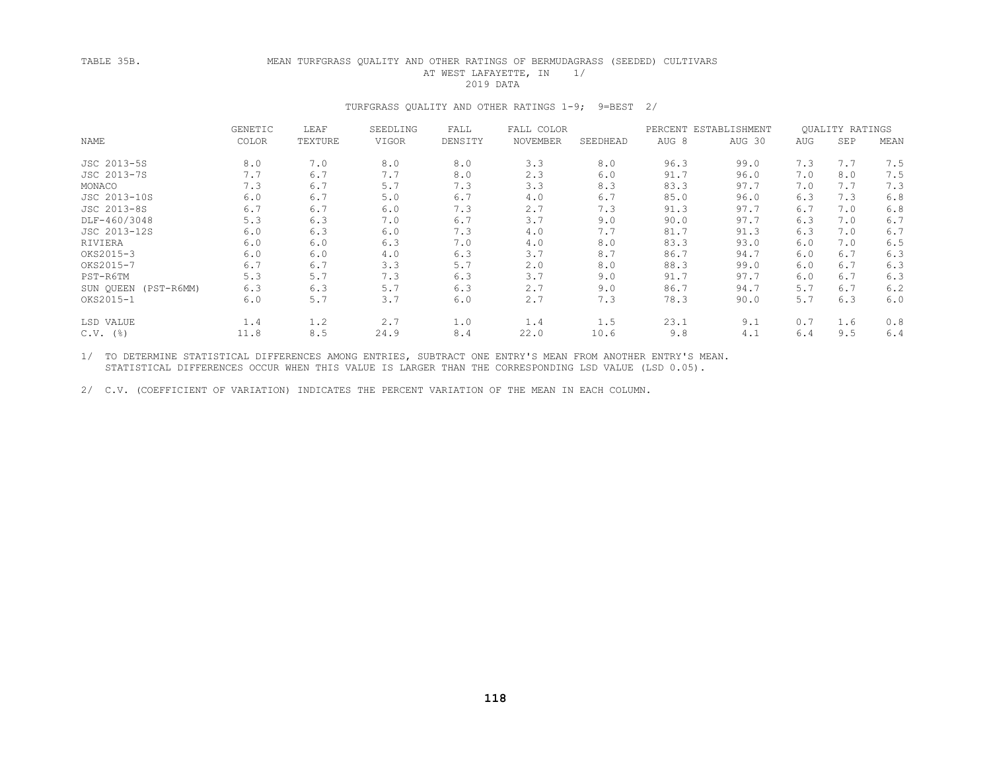## TABLE 35B. MEAN TURFGRASS QUALITY AND OTHER RATINGS OF BERMUDAGRASS (SEEDED) CULTIVARS AT WEST LAFAYETTE, IN 1/<br>2019 DATA 2019 DATA

### TURFGRASS QUALITY AND OTHER RATINGS 1-9; 9=BEST 2/

|                          | <b>GENETIC</b> | LEAF    | SEEDLING | FALL    | FALL COLOR |          | PERCENT ESTABLISHMENT |        |     | <b>OUALITY RATINGS</b> |      |
|--------------------------|----------------|---------|----------|---------|------------|----------|-----------------------|--------|-----|------------------------|------|
| NAME                     | <b>COLOR</b>   | TEXTURE | VIGOR    | DENSITY | NOVEMBER   | SEEDHEAD | AUG <sub>8</sub>      | AUG 30 | AUG | SEP                    | MEAN |
| JSC 2013-5S              | 8.0            | 7.0     | 8.0      | 8.0     | 3.3        | 8.0      | 96.3                  | 99.0   | 7.3 | 7.7                    | 7.5  |
| JSC 2013-7S              | 7.7            | 6.7     | 7.7      | 8.0     | 2.3        | 6.0      | 91.7                  | 96.0   | 7.0 | 8.0                    | 7.5  |
| MONACO                   | 7.3            | 6.7     | 5.7      | 7.3     | 3.3        | 8.3      | 83.3                  | 97.7   | 7.0 | 7.7                    | 7.3  |
| JSC 2013-10S             | 6.0            | 6.7     | 5.0      | 6.7     | 4.0        | 6.7      | 85.0                  | 96.0   | 6.3 | 7.3                    | 6.8  |
| JSC 2013-8S              | 6.7            | 6.7     | 6.0      | 7.3     | 2.7        | 7.3      | 91.3                  | 97.7   | 6.7 | 7.0                    | 6.8  |
| DLF-460/3048             | 5.3            | 6.3     | 7.0      | 6.7     | 3.7        | 9.0      | 90.0                  | 97.7   | 6.3 | 7.0                    | 6.7  |
| JSC 2013-12S             | 6.0            | 6.3     | 6.0      | 7.3     | 4.0        | 7.7      | 81.7                  | 91.3   | 6.3 | 7.0                    | 6.7  |
| RIVIERA                  | 6.0            | 6.0     | 6.3      | 7.0     | 4.0        | 8.0      | 83.3                  | 93.0   | 6.0 | 7.0                    | 6.5  |
| OKS2015-3                | 6.0            | 6.0     | 4.0      | 6.3     | 3.7        | 8.7      | 86.7                  | 94.7   | 6.0 | 6.7                    | 6.3  |
| OKS2015-7                | 6.7            | 6.7     | 3.3      | 5.7     | 2.0        | 8.0      | 88.3                  | 99.0   | 6.0 | 6.7                    | 6.3  |
| PST-R6TM                 | 5.3            | 5.7     | 7.3      | 6.3     | 3.7        | 9.0      | 91.7                  | 97.7   | 6.0 | 6.7                    | 6.3  |
| SUN OUEEN (PST-R6MM)     | 6.3            | 6.3     | 5.7      | 6.3     | 2.7        | 9.0      | 86.7                  | 94.7   | 5.7 | 6.7                    | 6.2  |
| OKS2015-1                | 6.0            | 5.7     | 3.7      | 6.0     | 2.7        | 7.3      | 78.3                  | 90.0   | 5.7 | 6.3                    | 6.0  |
| LSD VALUE                | 1.4            | 1.2     | 2.7      | 1.0     | 1.4        | 1.5      | 23.1                  | 9.1    | 0.7 | 1.6                    | 0.8  |
| $C.V.$ ( $\frac{6}{6}$ ) | 11.8           | 8.5     | 24.9     | 8.4     | 22.0       | 10.6     | 9.8                   | 4.1    | 6.4 | 9.5                    | 6.4  |

 1/ TO DETERMINE STATISTICAL DIFFERENCES AMONG ENTRIES, SUBTRACT ONE ENTRY'S MEAN FROM ANOTHER ENTRY'S MEAN. STATISTICAL DIFFERENCES OCCUR WHEN THIS VALUE IS LARGER THAN THE CORRESPONDING LSD VALUE (LSD 0.05).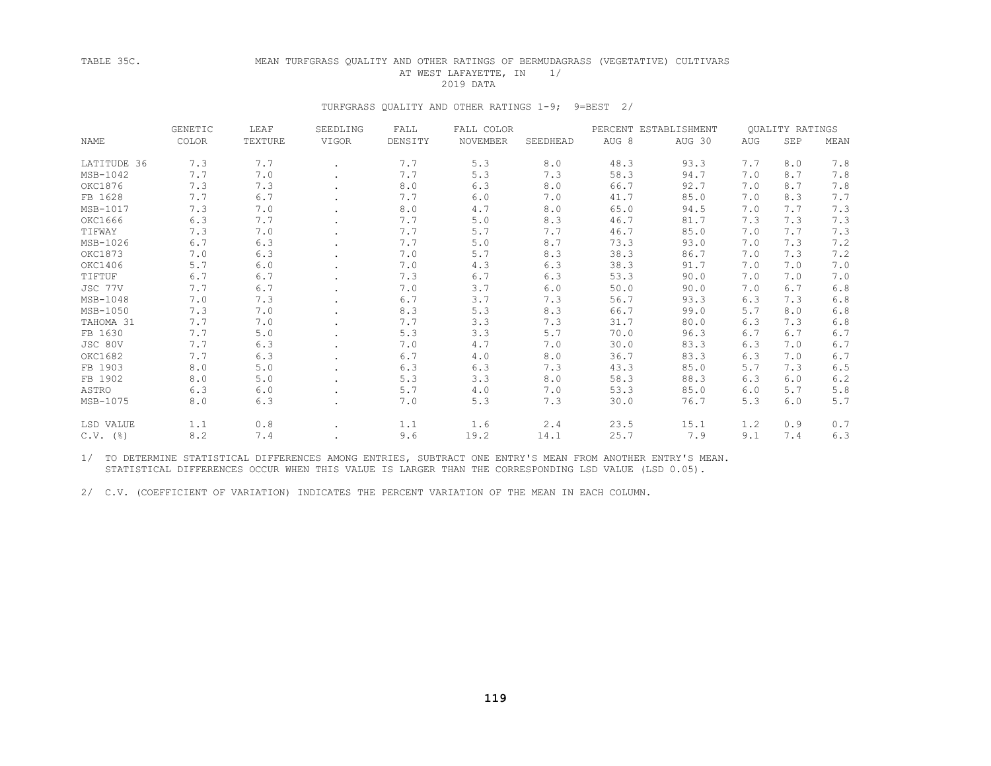#### TABLE 35C. MEAN TURFGRASS QUALITY AND OTHER RATINGS OF BERMUDAGRASS (VEGETATIVE) CULTIVARS AT WEST LAFAYETTE, IN 1/ 2019 DATA

#### TURFGRASS QUALITY AND OTHER RATINGS 1-9; 9=BEST 2/

|             | <b>GENETIC</b> | LEAF    | SEEDLING | FALL    | FALL COLOR |          | PERCENT ESTABLISHMENT |        | QUALITY RATINGS |     |       |
|-------------|----------------|---------|----------|---------|------------|----------|-----------------------|--------|-----------------|-----|-------|
| <b>NAME</b> | COLOR          | TEXTURE | VIGOR    | DENSITY | NOVEMBER   | SEEDHEAD | AUG 8                 | AUG 30 | AUG             | SEP | MEAN  |
| LATITUDE 36 | 7.3            | 7.7     |          | 7.7     | 5.3        | 8.0      | 48.3                  | 93.3   | 7.7             | 8.0 | 7.8   |
| MSB-1042    | 7.7            | 7.0     |          | 7.7     | 5.3        | 7.3      | 58.3                  | 94.7   | 7.0             | 8.7 | 7.8   |
| OKC1876     | 7.3            | 7.3     |          | 8.0     | 6.3        | 8.0      | 66.7                  | 92.7   | 7.0             | 8.7 | 7.8   |
| FB 1628     | 7.7            | 6.7     |          | 7.7     | 6.0        | 7.0      | 41.7                  | 85.0   | 7.0             | 8.3 | 7.7   |
| MSB-1017    | 7.3            | 7.0     |          | 8.0     | 4.7        | 8.0      | 65.0                  | 94.5   | 7.0             | 7.7 | 7.3   |
| OKC1666     | 6.3            | 7.7     |          | 7.7     | 5.0        | 8.3      | 46.7                  | 81.7   | 7.3             | 7.3 | 7.3   |
| TIFWAY      | 7.3            | 7.0     |          | 7.7     | 5.7        | 7.7      | 46.7                  | 85.0   | 7.0             | 7.7 | 7.3   |
| MSB-1026    | 6.7            | 6.3     |          | 7.7     | 5.0        | 8.7      | 73.3                  | 93.0   | 7.0             | 7.3 | 7.2   |
| OKC1873     | 7.0            | 6.3     |          | 7.0     | 5.7        | 8.3      | 38.3                  | 86.7   | 7.0             | 7.3 | 7.2   |
| OKC1406     | 5.7            | 6.0     |          | 7.0     | 4.3        | 6.3      | 38.3                  | 91.7   | 7.0             | 7.0 | 7.0   |
| TIFTUF      | 6.7            | 6.7     |          | 7.3     | 6.7        | 6.3      | 53.3                  | 90.0   | 7.0             | 7.0 | 7.0   |
| JSC 77V     | 7.7            | 6.7     |          | 7.0     | 3.7        | 6.0      | 50.0                  | 90.0   | 7.0             | 6.7 | 6.8   |
| MSB-1048    | 7.0            | 7.3     |          | 6.7     | 3.7        | 7.3      | 56.7                  | 93.3   | 6.3             | 7.3 | 6.8   |
| MSB-1050    | 7.3            | 7.0     |          | 8.3     | 5.3        | 8.3      | 66.7                  | 99.0   | 5.7             | 8.0 | 6.8   |
| TAHOMA 31   | 7.7            | 7.0     |          | 7.7     | 3.3        | 7.3      | 31.7                  | 80.0   | 6.3             | 7.3 | 6.8   |
| FB 1630     | 7.7            | 5.0     |          | 5.3     | 3.3        | 5.7      | 70.0                  | 96.3   | 6.7             | 6.7 | 6.7   |
| JSC 80V     | 7.7            | 6.3     |          | 7.0     | 4.7        | 7.0      | 30.0                  | 83.3   | 6.3             | 7.0 | 6.7   |
| OKC1682     | 7.7            | 6.3     |          | 6.7     | 4.0        | 8.0      | 36.7                  | 83.3   | 6.3             | 7.0 | 6.7   |
| FB 1903     | 8.0            | 5.0     |          | 6.3     | 6.3        | 7.3      | 43.3                  | 85.0   | 5.7             | 7.3 | 6.5   |
| FB 1902     | 8.0            | 5.0     |          | 5.3     | 3.3        | 8.0      | 58.3                  | 88.3   | 6.3             | 6.0 | 6.2   |
| ASTRO       | 6.3            | 6.0     |          | 5.7     | 4.0        | 7.0      | 53.3                  | 85.0   | 6.0             | 5.7 | $5.8$ |
| MSB-1075    | 8.0            | 6.3     |          | 7.0     | 5.3        | 7.3      | 30.0                  | 76.7   | 5.3             | 6.0 | 5.7   |
| LSD VALUE   | 1.1            | 0.8     |          | 1.1     | 1.6        | 2.4      | 23.5                  | 15.1   | 1.2             | 0.9 | 0.7   |
| $C.V.$ (%)  | 8.2            | 7.4     |          | 9.6     | 19.2       | 14.1     | 25.7                  | 7.9    | 9.1             | 7.4 | 6.3   |

 1/ TO DETERMINE STATISTICAL DIFFERENCES AMONG ENTRIES, SUBTRACT ONE ENTRY'S MEAN FROM ANOTHER ENTRY'S MEAN. STATISTICAL DIFFERENCES OCCUR WHEN THIS VALUE IS LARGER THAN THE CORRESPONDING LSD VALUE (LSD 0.05).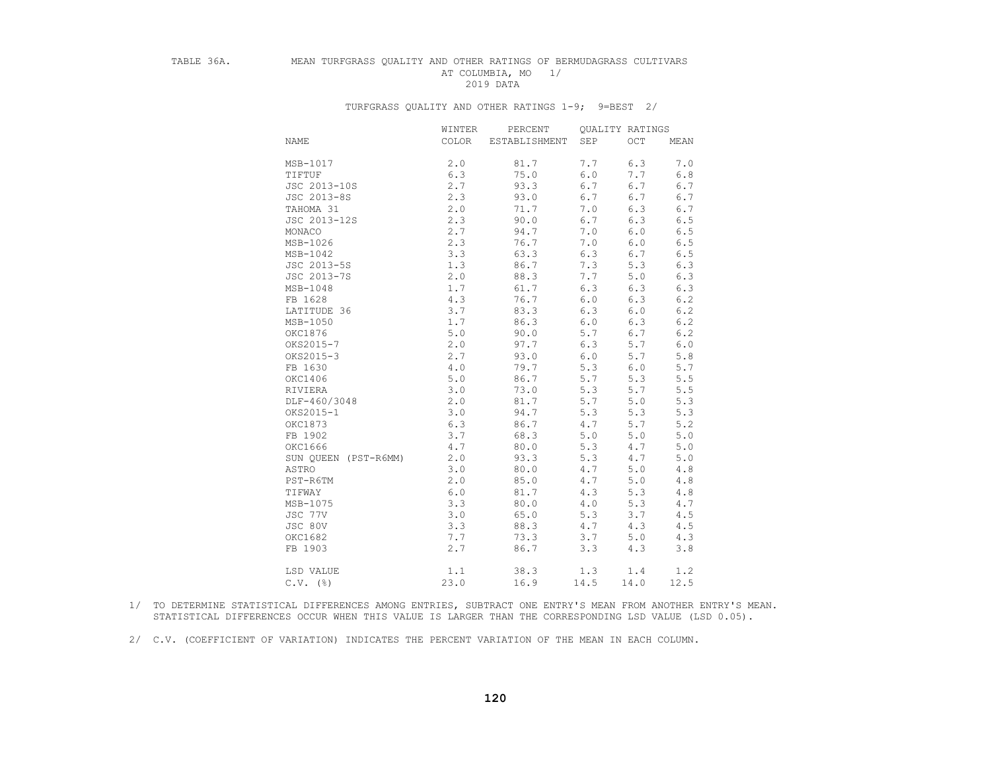## TABLE 36A. MEAN TURFGRASS QUALITY AND OTHER RATINGS OF BERMUDAGRASS CULTIVARS AT COLUMBIA, MO 1/<br>2019 DATA 2019 DATA

|                      | WINTER | PERCENT       | <b>OUALITY RATINGS</b> |         |           |
|----------------------|--------|---------------|------------------------|---------|-----------|
| <b>NAME</b>          | COLOR  | ESTABLISHMENT | SEP                    | OCT     | MEAN      |
|                      |        |               |                        |         |           |
| MSB-1017             | 2.0    | 81.7          | 7.7                    | 6.3     | 7.0       |
| TIFTUF               | 6.3    | 75.0          | 6.0                    | 7.7     | 6.8       |
| JSC 2013-10S         | 2.7    | 93.3          | 6.7                    | 6.7     | 6.7       |
| JSC 2013-8S          | 2.3    | 93.0          | 6.7                    | 6.7     | 6.7       |
| TAHOMA 31            | 2.0    | 71.7          | 7.0                    | 6.3     | 6.7       |
| JSC 2013-12S         | 2.3    | 90.0          | 6.7                    | 6.3     | 6.5       |
| MONACO               | 2.7    | 94.7          | 7.0                    | 6.0     | 6.5       |
| MSB-1026             | 2.3    | 76.7          | 7.0                    | 6.0     | 6.5       |
| MSB-1042             | 3.3    | 63.3          | 6.3                    | 6.7     | 6.5       |
| JSC 2013-5S          | 1.3    | 86.7          | 7.3                    | 5.3     | 6.3       |
| JSC 2013-7S          | 2.0    | 88.3          | 7.7                    | 5.0     | 6.3       |
| MSB-1048             | 1.7    | 61.7          | 6.3                    | 6.3     | 6.3       |
| FB 1628              | 4.3    | 76.7          | $6.0$                  | 6.3     | 6.2       |
| LATITUDE 36          | 3.7    | 83.3          | 6.3                    | 6.0     | $6.2\,$   |
| MSB-1050             | 1.7    | 86.3          | 6.0                    | 6.3     | 6.2       |
| OKC1876              | 5.0    | 90.0          | 5.7                    | 6.7     | 6.2       |
| OKS2015-7            | 2.0    | 97.7          | 6.3                    | 5.7     | 6.0       |
| OKS2015-3            | 2.7    | 93.0          | $6.0$                  | 5.7     | 5.8       |
| FB 1630              | $4.0$  | 79.7          | 5.3                    | $6.0\,$ | 5.7       |
| OKC1406              | 5.0    | 86.7          | 5.7                    | 5.3     | $5.5$     |
| RIVIERA              | 3.0    | 73.0          | 5.3                    | 5.7     | 5.5       |
| DLF-460/3048         | 2.0    | 81.7          | 5.7                    | 5.0     | 5.3       |
| OKS2015-1            | 3.0    | 94.7          | 5.3                    | 5.3     | 5.3       |
| OKC1873              | 6.3    | 86.7          | 4.7                    | 5.7     | $5.2\,$   |
| FB 1902              | 3.7    | 68.3          | 5.0                    | 5.0     | $5.0$     |
| OKC1666              | 4.7    | 80.0          | 5.3                    | 4.7     | $5.0$     |
| SUN OUEEN (PST-R6MM) | 2.0    | 93.3          | 5.3                    | 4.7     | 5.0       |
| ASTRO                | 3.0    | 80.0          | 4.7                    | 5.0     | $4\ .\ 8$ |
| PST-R6TM             | 2.0    | 85.0          | 4.7                    | $5.0$   | $4.8\,$   |
| TIFWAY               | $6.0$  | 81.7          | 4.3                    | 5.3     | $4.8$     |
| MSB-1075             | 3.3    | 80.0          | 4.0                    | 5.3     | 4.7       |
| JSC 77V              | 3.0    | 65.0          | 5.3                    | 3.7     | 4.5       |
| JSC 80V              | 3.3    | 88.3          | 4.7                    | 4.3     | 4.5       |
| OKC1682              | 7.7    | 73.3          | 3.7                    | 5.0     | 4.3       |
| FB 1903              | 2.7    | 86.7          | 3.3                    | 4.3     | 3.8       |
| LSD VALUE            | 1.1    | 38.3          | 1.3                    | 1.4     | 1.2       |
| $C.V.$ (%)           | 23.0   | 16.9          | 14.5                   | 14.0    | 12.5      |

### TURFGRASS QUALITY AND OTHER RATINGS 1-9; 9=BEST 2/

 1/ TO DETERMINE STATISTICAL DIFFERENCES AMONG ENTRIES, SUBTRACT ONE ENTRY'S MEAN FROM ANOTHER ENTRY'S MEAN. STATISTICAL DIFFERENCES OCCUR WHEN THIS VALUE IS LARGER THAN THE CORRESPONDING LSD VALUE (LSD 0.05).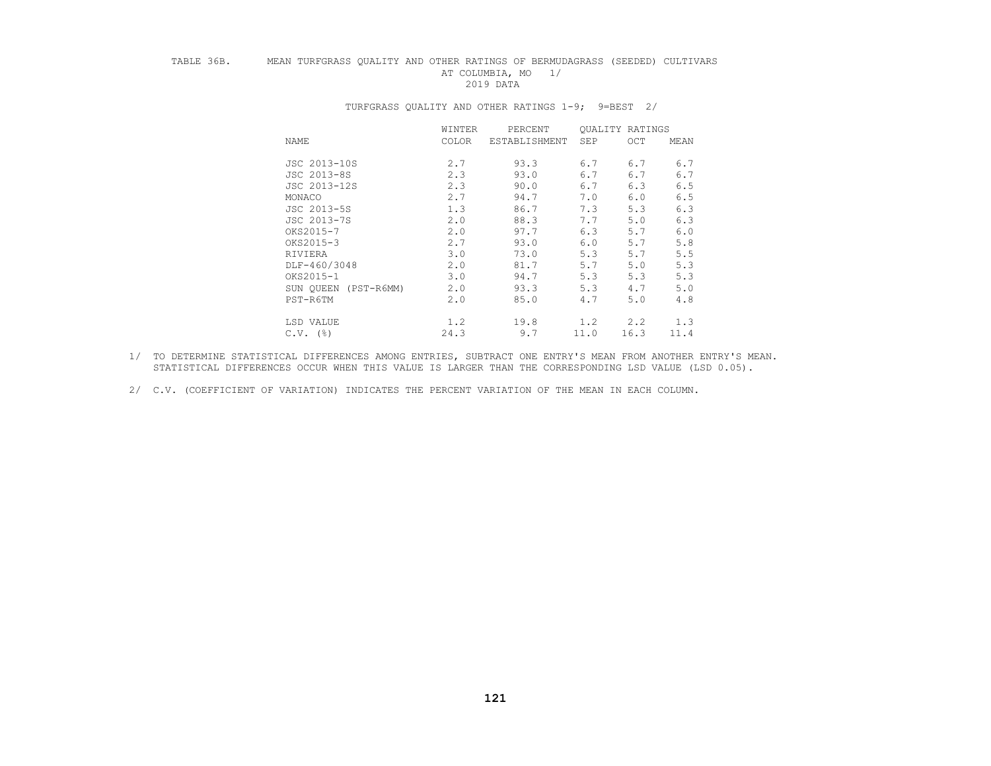## TABLE 36B. MEAN TURFGRASS QUALITY AND OTHER RATINGS OF BERMUDAGRASS (SEEDED) CULTIVARS AT COLUMBIA, MO 1/<br>2019 DATA 2019 DATA

|                           | WINTER       | PERCENT       | <b>OUALITY RATINGS</b> |      |      |
|---------------------------|--------------|---------------|------------------------|------|------|
| NAME                      | <b>COLOR</b> | ESTABLISHMENT | SEP                    | OCT  | MEAN |
| JSC 2013-10S              | 2.7          | 93.3          | 6.7                    | 6.7  | 6.7  |
| JSC 2013-8S               | 2.3          | 93.0          | 6.7                    | 6.7  | 6.7  |
| JSC 2013-12S              | 2.3          | 90.0          | 6.7                    | 6.3  | 6.5  |
| MONACO                    | 2.7          | 94.7          | 7.0                    | 6.0  | 6.5  |
| JSC 2013-5S               | 1.3          | 86.7          | 7.3                    | 5.3  | 6.3  |
| JSC 2013-7S               | 2.0          | 88.3          | 7.7                    | 5.0  | 6.3  |
| OKS2015-7                 | 2.0          | 97.7          | 6.3                    | 5.7  | 6.0  |
| OKS2015-3                 | 2.7          | 93.0          | 6.0                    | 5.7  | 5.8  |
| RIVIERA                   | 3.0          | 73.0          | 5.3                    | 5.7  | 5.5  |
| DLF-460/3048              | 2.0          | 81.7          | 5.7                    | 5.0  | 5.3  |
| OKS2015-1                 | 3.0          | 94.7          | 5.3                    | 5.3  | 5.3  |
| $(PST-R6MM)$<br>SUN OUEEN | 2.0          | 93.3          | 5.3                    | 4.7  | 5.0  |
| PST-R6TM                  | 2.0          | 85.0          | 4.7                    | 5.0  | 4.8  |
| LSD VALUE                 | 1.2          | 19.8          | 1.2                    | 2, 2 | 1.3  |
| $C.V.$ (%)                | 24.3         | 9.7           | 11.0                   | 16.3 | 11.4 |

### TURFGRASS QUALITY AND OTHER RATINGS 1-9; 9=BEST 2/

 1/ TO DETERMINE STATISTICAL DIFFERENCES AMONG ENTRIES, SUBTRACT ONE ENTRY'S MEAN FROM ANOTHER ENTRY'S MEAN. STATISTICAL DIFFERENCES OCCUR WHEN THIS VALUE IS LARGER THAN THE CORRESPONDING LSD VALUE (LSD 0.05).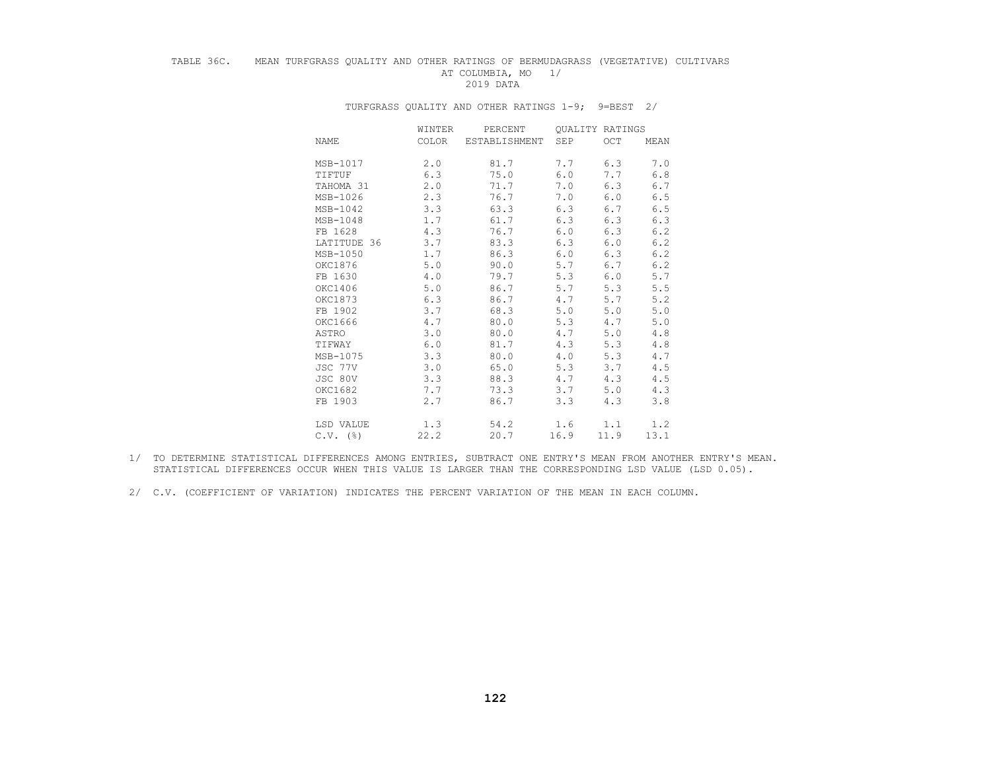## TABLE 36C. MEAN TURFGRASS QUALITY AND OTHER RATINGS OF BERMUDAGRASS (VEGETATIVE) CULTIVARS AT COLUMBIA, MO 1/<br>2019 DATA 2019 DATA

|             | WINTER | PERCENT       |      | <b>OUALITY RATINGS</b> |      |
|-------------|--------|---------------|------|------------------------|------|
| NAME        | COLOR  | ESTABLISHMENT | SEP  | OCT                    | MEAN |
| MSB-1017    | 2.0    | 81.7          | 7.7  | 6.3                    | 7.0  |
| TIFTUF      | 6.3    | 75.0          | 6.0  | 7.7                    | 6.8  |
| TAHOMA 31   | 2.0    | 71.7          | 7.0  | 6.3                    | 6.7  |
| MSB-1026    | 2.3    | 76.7          | 7.0  | 6.0                    | 6.5  |
| MSB-1042    | 3.3    | 63.3          | 6.3  | 6.7                    | 6.5  |
| MSB-1048    | 1.7    | 61.7          | 6.3  | 6.3                    | 6.3  |
| FB 1628     | 4.3    | 76.7          | 6.0  | 6.3                    | 6.2  |
| LATITUDE 36 | 3.7    | 83.3          | 6.3  | 6.0                    | 6.2  |
| MSB-1050    | 1.7    | 86.3          | 6.0  | 6.3                    | 6.2  |
| OKC1876     | 5.0    | 90.0          | 5.7  | 6.7                    | 6.2  |
| FB 1630     | 4.0    | 79.7          | 5.3  | 6.0                    | 5.7  |
| OKC1406     | 5.0    | 86.7          | 5.7  | 5.3                    | 5.5  |
| OKC1873     | 6.3    | 86.7          | 4.7  | 5.7                    | 5.2  |
| FB 1902     | 3.7    | 68.3          | 5.0  | 5.0                    | 5.0  |
| OKC1666     | 4.7    | 80.0          | 5.3  | 4.7                    | 5.0  |
| ASTRO       | 3.0    | 80.0          | 4.7  | 5.0                    | 4.8  |
| TIFWAY      | 6.0    | 81.7          | 4.3  | 5.3                    | 4.8  |
| MSB-1075    | 3.3    | 80.0          | 4.0  | 5.3                    | 4.7  |
| JSC 77V     | 3.0    | 65.0          | 5.3  | 3.7                    | 4.5  |
| JSC 80V     | 3.3    | 88.3          | 4.7  | 4.3                    | 4.5  |
| OKC1682     | 7.7    | 73.3          | 3.7  | 5.0                    | 4.3  |
| FB 1903     | 2.7    | 86.7          | 3.3  | 4.3                    | 3.8  |
| LSD VALUE   | 1.3    | 54.2          | 1.6  | 1.1                    | 1.2  |
| $C.V.$ (%)  | 22.2   | 20.7          | 16.9 | 11.9                   | 13.1 |

### TURFGRASS QUALITY AND OTHER RATINGS 1-9; 9=BEST 2/

- 1/ TO DETERMINE STATISTICAL DIFFERENCES AMONG ENTRIES, SUBTRACT ONE ENTRY'S MEAN FROM ANOTHER ENTRY'S MEAN. STATISTICAL DIFFERENCES OCCUR WHEN THIS VALUE IS LARGER THAN THE CORRESPONDING LSD VALUE (LSD 0.05).
- 2/ C.V. (COEFFICIENT OF VARIATION) INDICATES THE PERCENT VARIATION OF THE MEAN IN EACH COLUMN.